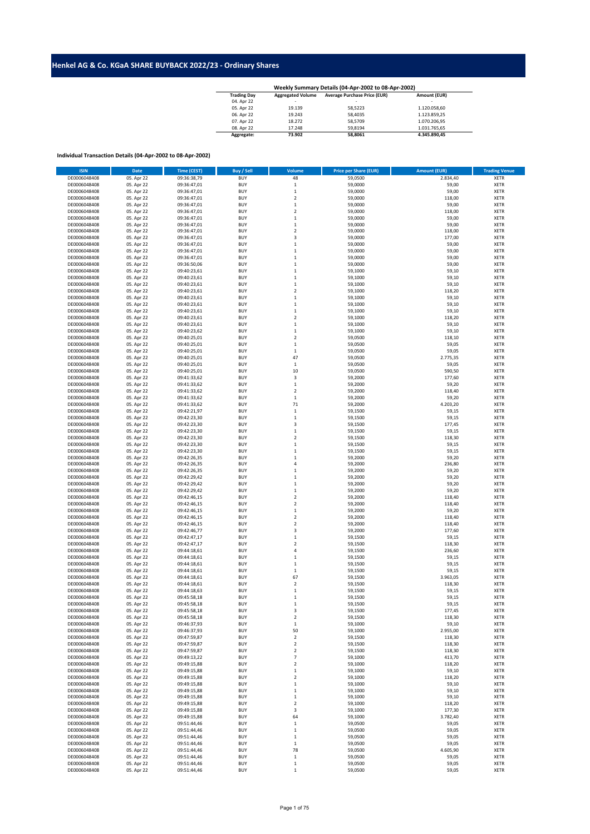## **Henkel AG & Co. KGaA SHARE BUYBACK 2022/23 - Ordinary Shares**

| <b>Trading Day</b> | <b>Aggregated Volume</b> | <b>Average Purchase Price (EUR)</b> | Amount (EUR)             |
|--------------------|--------------------------|-------------------------------------|--------------------------|
| 04. Apr 22         | -                        | -                                   | $\overline{\phantom{0}}$ |
| 05. Apr 22         | 19.139                   | 58.5223                             | 1.120.058.60             |
| 06. Apr 22         | 19.243                   | 58.4035                             | 1.123.859.25             |
| 07. Apr 22         | 18,272                   | 58.5709                             | 1.070.206.95             |
| 08. Apr 22         | 17.248                   | 59.8194                             | 1.031.765.65             |
| Aggregate:         | 73.902                   | 58.8061                             | 4.345.890.45             |

## **Individual Transaction Details (04-Apr-2002 to 08-Apr-2002)**

| <b>ISIN</b>  | <b>Date</b> | Time (CEST) | Buy / Sell | Volume                  | <b>Price per Share (EUR)</b> | <b>Amount (EUR)</b> | <b>Trading Venue</b> |
|--------------|-------------|-------------|------------|-------------------------|------------------------------|---------------------|----------------------|
| DE0006048408 | 05. Apr 22  | 09:36:38,79 | <b>BUY</b> | 48                      | 59,0500                      | 2.834,40            | <b>XETR</b>          |
| DE0006048408 | 05. Apr 22  | 09:36:47,01 | <b>BUY</b> | $\,$ 1                  | 59,0000                      | 59,00               | <b>XETR</b>          |
| DE0006048408 | 05. Apr 22  | 09:36:47,01 | <b>BUY</b> | $\,1\,$                 | 59,0000                      | 59,00               | <b>XETR</b>          |
| DE0006048408 | 05. Apr 22  | 09:36:47,01 | <b>BUY</b> | $\boldsymbol{2}$        | 59,0000                      | 118,00              | <b>XETR</b>          |
| DE0006048408 | 05. Apr 22  | 09:36:47,01 | <b>BUY</b> | $\,1\,$                 | 59,0000                      | 59,00               | <b>XETR</b>          |
| DE0006048408 | 05. Apr 22  | 09:36:47,01 | <b>BUY</b> | $\overline{2}$          | 59,0000                      | 118,00              | <b>XETR</b>          |
| DE0006048408 | 05. Apr 22  | 09:36:47,01 | <b>BUY</b> | $\,1\,$                 | 59,0000                      | 59,00               | <b>XETR</b>          |
| DE0006048408 | 05. Apr 22  | 09:36:47,01 | <b>BUY</b> | $\,1\,$                 | 59,0000                      | 59,00               | <b>XETR</b>          |
| DE0006048408 | 05. Apr 22  | 09:36:47,01 | BUY        | $\overline{2}$          | 59,0000                      | 118,00              | <b>XETR</b>          |
| DE0006048408 | 05. Apr 22  | 09:36:47,01 | <b>BUY</b> | 3                       | 59,0000                      | 177,00              | <b>XETR</b>          |
| DE0006048408 | 05. Apr 22  | 09:36:47,01 | <b>BUY</b> | $\mathbf{1}$            | 59,0000                      | 59,00               | <b>XETR</b>          |
| DE0006048408 | 05. Apr 22  | 09:36:47,01 | <b>BUY</b> | $\,1\,$                 | 59,0000                      | 59,00               | <b>XETR</b>          |
| DE0006048408 | 05. Apr 22  | 09:36:47,01 | <b>BUY</b> | $\,1\,$                 | 59,0000                      | 59,00               | <b>XETR</b>          |
| DE0006048408 | 05. Apr 22  | 09:36:50,06 | <b>BUY</b> | $\,1\,$                 | 59,0000                      | 59,00               | <b>XETR</b>          |
| DE0006048408 | 05. Apr 22  | 09:40:23,61 | <b>BUY</b> | $\,1\,$                 | 59,1000                      | 59,10               | <b>XETR</b>          |
| DE0006048408 | 05. Apr 22  | 09:40:23,61 | <b>BUY</b> | $\,1\,$                 | 59,1000                      | 59,10               | <b>XETR</b>          |
| DE0006048408 | 05. Apr 22  | 09:40:23,61 | BUY        | 1                       | 59,1000                      | 59,10               | <b>XETR</b>          |
| DE0006048408 | 05. Apr 22  | 09:40:23,61 | <b>BUY</b> | $\overline{2}$          | 59,1000                      | 118,20              | <b>XETR</b>          |
| DE0006048408 | 05. Apr 22  | 09:40:23,61 | <b>BUY</b> | $\,1\,$                 | 59,1000                      | 59,10               | <b>XETR</b>          |
| DE0006048408 | 05. Apr 22  | 09:40:23,61 | <b>BUY</b> | $\,1\,$                 | 59,1000                      | 59,10               | <b>XETR</b>          |
| DE0006048408 | 05. Apr 22  | 09:40:23,61 | <b>BUY</b> | $\,1\,$                 | 59,1000                      | 59,10               | <b>XETR</b>          |
| DE0006048408 | 05. Apr 22  | 09:40:23,61 | BUY        | $\boldsymbol{2}$        | 59,1000                      | 118,20              | <b>XETR</b>          |
| DE0006048408 | 05. Apr 22  | 09:40:23,61 | <b>BUY</b> | $\,$ 1                  | 59,1000                      | 59,10               | <b>XETR</b>          |
| DE0006048408 | 05. Apr 22  | 09:40:23,62 | <b>BUY</b> | $\,1\,$                 | 59,1000                      | 59,10               | <b>XETR</b>          |
| DE0006048408 | 05. Apr 22  | 09:40:25,01 | <b>BUY</b> | $\overline{2}$          | 59,0500                      | 118,10              | <b>XETR</b>          |
| DE0006048408 | 05. Apr 22  | 09:40:25,01 | <b>BUY</b> | $\,1\,$                 | 59,0500                      | 59,05               | <b>XETR</b>          |
| DE0006048408 | 05. Apr 22  | 09:40:25,01 | <b>BUY</b> | $\,1\,$                 | 59,0500                      | 59,05               | <b>XETR</b>          |
| DE0006048408 | 05. Apr 22  | 09:40:25,01 | <b>BUY</b> | 47                      | 59,0500                      | 2.775,35            | <b>XETR</b>          |
| DE0006048408 | 05. Apr 22  | 09:40:25,01 | <b>BUY</b> | $\,1\,$                 | 59,0500                      | 59,05               | <b>XETR</b>          |
| DE0006048408 | 05. Apr 22  | 09:40:25,01 | <b>BUY</b> | 10                      | 59,0500                      | 590,50              | <b>XETR</b>          |
| DE0006048408 | 05. Apr 22  | 09:41:33,62 | <b>BUY</b> | 3                       | 59,2000                      | 177,60              | <b>XETR</b>          |
| DE0006048408 | 05. Apr 22  | 09:41:33,62 | <b>BUY</b> | $\,1\,$                 | 59,2000                      | 59,20               | <b>XETR</b>          |
| DE0006048408 | 05. Apr 22  | 09:41:33,62 | <b>BUY</b> | $\overline{2}$          | 59,2000                      | 118,40              | <b>XETR</b>          |
| DE0006048408 | 05. Apr 22  | 09:41:33,62 | <b>BUY</b> | $\,1\,$                 | 59,2000                      | 59,20               | <b>XETR</b>          |
| DE0006048408 | 05. Apr 22  | 09:41:33,62 | <b>BUY</b> | 71                      | 59,2000                      | 4.203,20            | <b>XETR</b>          |
| DE0006048408 | 05. Apr 22  | 09:42:21,97 | <b>BUY</b> | $\,1\,$                 | 59,1500                      | 59,15               | <b>XETR</b>          |
| DE0006048408 | 05. Apr 22  | 09:42:23,30 | <b>BUY</b> | $\,1\,$                 | 59,1500                      | 59,15               | <b>XETR</b>          |
| DE0006048408 | 05. Apr 22  | 09:42:23,30 | <b>BUY</b> | 3                       | 59,1500                      | 177,45              | <b>XETR</b>          |
| DE0006048408 | 05. Apr 22  | 09:42:23,30 | <b>BUY</b> | $\,1\,$                 | 59,1500                      | 59,15               | <b>XETR</b>          |
| DE0006048408 | 05. Apr 22  | 09:42:23,30 | <b>BUY</b> | $\overline{2}$          | 59,1500                      | 118,30              | <b>XETR</b>          |
| DE0006048408 | 05. Apr 22  | 09:42:23,30 | <b>BUY</b> | $\,1\,$                 | 59,1500                      | 59,15               | <b>XETR</b>          |
| DE0006048408 | 05. Apr 22  | 09:42:23,30 | <b>BUY</b> | 1                       | 59,1500                      | 59,15               | <b>XETR</b>          |
| DE0006048408 | 05. Apr 22  | 09:42:26,35 | <b>BUY</b> | $\,1\,$                 | 59,2000                      | 59,20               | <b>XETR</b>          |
| DE0006048408 | 05. Apr 22  | 09:42:26,35 | <b>BUY</b> | $\overline{4}$          | 59,2000                      | 236,80              | XETR                 |
| DE0006048408 | 05. Apr 22  | 09:42:26,35 | <b>BUY</b> | $\,1\,$                 | 59,2000                      | 59,20               | <b>XETR</b>          |
| DE0006048408 | 05. Apr 22  | 09:42:29,42 | <b>BUY</b> | $\,1\,$                 | 59,2000                      | 59,20               | <b>XETR</b>          |
| DE0006048408 | 05. Apr 22  | 09:42:29,42 | <b>BUY</b> | $\,1\,$                 | 59,2000                      | 59,20               | <b>XETR</b>          |
| DE0006048408 | 05. Apr 22  | 09:42:29,42 | <b>BUY</b> | $\,1\,$                 | 59,2000                      | 59,20               | <b>XETR</b>          |
| DE0006048408 | 05. Apr 22  | 09:42:46,15 | <b>BUY</b> | $\overline{2}$          | 59,2000                      | 118,40              | <b>XETR</b>          |
| DE0006048408 | 05. Apr 22  | 09:42:46,15 | <b>BUY</b> | $\overline{2}$          | 59,2000                      | 118,40              | <b>XETR</b>          |
| DE0006048408 | 05. Apr 22  | 09:42:46,15 | <b>BUY</b> | $\,1\,$                 | 59,2000                      | 59,20               | <b>XETR</b>          |
| DE0006048408 | 05. Apr 22  | 09:42:46,15 | <b>BUY</b> | $\overline{2}$          | 59,2000                      | 118,40              | <b>XETR</b>          |
| DE0006048408 | 05. Apr 22  | 09:42:46,15 | <b>BUY</b> | $\overline{2}$          | 59,2000                      | 118,40              | <b>XETR</b>          |
| DE0006048408 | 05. Apr 22  | 09:42:46,77 | <b>BUY</b> | 3                       | 59,2000                      | 177,60              | <b>XETR</b>          |
| DE0006048408 | 05. Apr 22  | 09:42:47,17 | <b>BUY</b> | $\,1\,$                 | 59,1500                      | 59,15               | <b>XETR</b>          |
| DE0006048408 | 05. Apr 22  | 09:42:47,17 | <b>BUY</b> | $\overline{2}$          | 59,1500                      | 118,30              | <b>XETR</b>          |
| DE0006048408 | 05. Apr 22  | 09:44:18,61 | <b>BUY</b> | 4                       | 59,1500                      | 236,60              | <b>XETR</b>          |
| DE0006048408 | 05. Apr 22  | 09:44:18,61 | <b>BUY</b> | $\,1\,$                 | 59,1500                      | 59,15               | <b>XETR</b>          |
| DE0006048408 | 05. Apr 22  | 09:44:18,61 | <b>BUY</b> | $\,1\,$                 | 59,1500                      | 59,15               | <b>XETR</b>          |
| DE0006048408 | 05. Apr 22  | 09:44:18,61 | <b>BUY</b> | $\,1\,$                 | 59,1500                      | 59,15               | <b>XETR</b>          |
| DE0006048408 | 05. Apr 22  | 09:44:18,61 | <b>BUY</b> | 67                      | 59,1500                      | 3.963,05            | XETR                 |
| DE0006048408 | 05. Apr 22  | 09:44:18,61 | <b>BUY</b> | $\overline{2}$          | 59,1500                      | 118,30              | <b>XETR</b>          |
| DE0006048408 | 05. Apr 22  | 09:44:18,63 | <b>BUY</b> | $\,1\,$                 | 59,1500                      | 59,15               | <b>XETR</b>          |
| DE0006048408 | 05. Apr 22  | 09:45:58,18 | <b>BUY</b> | $\,1\,$                 | 59,1500                      | 59,15               | <b>XETR</b>          |
| DE0006048408 | 05. Apr 22  | 09:45:58,18 | <b>BUY</b> | $\,1\,$                 | 59,1500                      | 59,15               | <b>XETR</b>          |
| DE0006048408 | 05. Apr 22  | 09:45:58,18 | <b>BUY</b> | 3                       | 59,1500                      | 177,45              | XETR                 |
| DE0006048408 | 05. Apr 22  | 09:45:58,18 | BUY        | $\overline{\mathbf{2}}$ | 59,1500                      | 118,30              | <b>XETR</b>          |
| DE0006048408 | 05. Apr 22  | 09:46:37,93 | <b>BUY</b> | $\,1\,$                 | 59,1000                      | 59,10               | <b>XETR</b>          |
| DE0006048408 | 05. Apr 22  | 09:46:37,93 | <b>BUY</b> | 50                      | 59,1000                      | 2.955,00            | <b>XETR</b>          |
| DE0006048408 | 05. Apr 22  | 09:47:59,87 | BUY        | $\mathbf 2$             | 59,1500                      | 118,30              | <b>XETR</b>          |
| DE0006048408 | 05. Apr 22  | 09:47:59,87 | <b>BUY</b> | $\overline{2}$          | 59,1500                      | 118,30              | <b>XETR</b>          |
| DE0006048408 | 05. Apr 22  | 09:47:59,87 | BUY        | $\mathbf 2$             | 59,1500                      | 118,30              | <b>XETR</b>          |
| DE0006048408 | 05. Apr 22  | 09:49:13,22 | <b>BUY</b> | $\overline{7}$          | 59,1000                      | 413,70              | <b>XETR</b>          |
| DE0006048408 | 05. Apr 22  | 09:49:15,88 | <b>BUY</b> | $\overline{2}$          | 59,1000                      | 118,20              | <b>XETR</b>          |
| DE0006048408 | 05. Apr 22  | 09:49:15,88 | <b>BUY</b> | $\,1\,$                 | 59,1000                      | 59,10               | <b>XETR</b>          |
| DE0006048408 | 05. Apr 22  | 09:49:15,88 | <b>BUY</b> | $\overline{2}$          | 59,1000                      | 118,20              | <b>XETR</b>          |
| DE0006048408 | 05. Apr 22  | 09:49:15,88 | <b>BUY</b> | $\,1\,$                 | 59,1000                      | 59,10               | <b>XETR</b>          |
| DE0006048408 | 05. Apr 22  | 09:49:15,88 | <b>BUY</b> | $\,1\,$                 | 59,1000                      | 59,10               | <b>XETR</b>          |
| DE0006048408 | 05. Apr 22  | 09:49:15,88 | <b>BUY</b> | $\mathbf 1$             | 59,1000                      | 59,10               | <b>XETR</b>          |
| DE0006048408 | 05. Apr 22  | 09:49:15,88 | <b>BUY</b> | $\mathbf 2$             | 59,1000                      | 118,20              | <b>XETR</b>          |
| DE0006048408 | 05. Apr 22  | 09:49:15,88 | <b>BUY</b> | 3                       | 59,1000                      | 177,30              | <b>XETR</b>          |
| DE0006048408 | 05. Apr 22  | 09:49:15,88 | BUY        | 64                      | 59,1000                      | 3.782,40            | <b>XETR</b>          |
| DE0006048408 | 05. Apr 22  | 09:51:44,46 | BUY        | $\,$ 1                  | 59,0500                      | 59,05               | XETR                 |
| DE0006048408 | 05. Apr 22  | 09:51:44,46 | BUY        | $\,1\,$                 | 59,0500                      | 59,05               | <b>XETR</b>          |
| DE0006048408 | 05. Apr 22  | 09:51:44,46 | <b>BUY</b> | $\,1\,$                 | 59,0500                      | 59,05               | XETR                 |
| DE0006048408 | 05. Apr 22  | 09:51:44,46 | BUY        | $\,1\,$                 | 59,0500                      | 59,05               | <b>XETR</b>          |
| DE0006048408 | 05. Apr 22  | 09:51:44,46 | <b>BUY</b> | 78                      | 59,0500                      | 4.605,90            | XETR                 |
| DE0006048408 | 05. Apr 22  | 09:51:44,46 | BUY        | $\,1\,$                 | 59,0500                      | 59,05               | XETR                 |
| DE0006048408 | 05. Apr 22  | 09:51:44,46 | BUY        | $\,1\,$                 | 59,0500                      | 59,05               | <b>XETR</b>          |
| DE0006048408 | 05. Apr 22  | 09:51:44,46 | <b>BUY</b> | 1                       | 59,0500                      | 59,05               | XETR                 |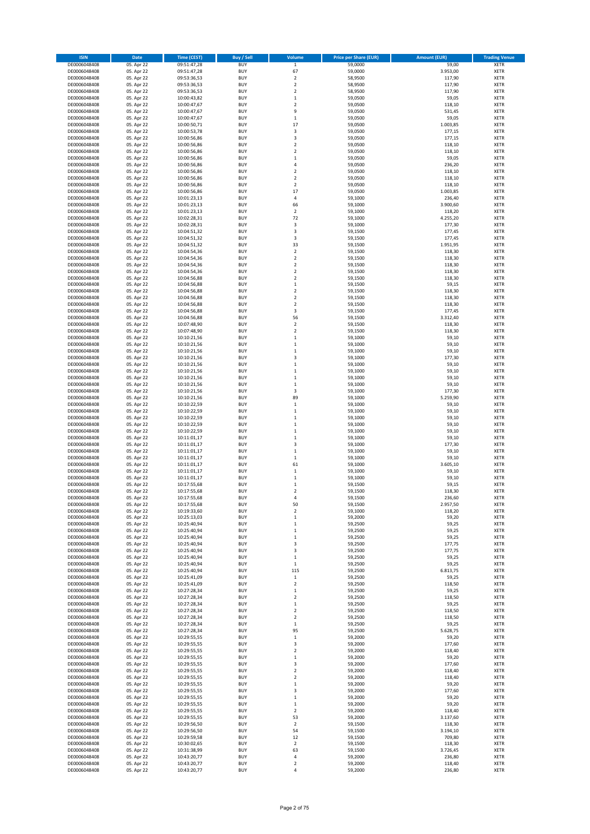| <b>ISIN</b>                  | Date                     | <b>Time (CEST)</b>         | <b>Buy / Sell</b>        | Volume                             | <b>Price per Share (EUR)</b> | <b>Amount (EUR)</b> | <b>Trading Venue</b>       |
|------------------------------|--------------------------|----------------------------|--------------------------|------------------------------------|------------------------------|---------------------|----------------------------|
| DE0006048408                 | 05. Apr 22               | 09:51:47,28                | <b>BUY</b>               | $\,$ 1                             | 59,0000                      | 59,00               | <b>XETR</b>                |
| DE0006048408                 | 05. Apr 22               | 09:51:47,28                | <b>BUY</b>               | 67                                 | 59,0000                      | 3.953,00            | XETR                       |
| DE0006048408                 | 05. Apr 22               | 09:53:36,53                | <b>BUY</b>               | $\boldsymbol{2}$                   | 58,9500                      | 117,90              | XETR                       |
| DE0006048408                 | 05. Apr 22               | 09:53:36,53                | <b>BUY</b>               | $\overline{2}$                     | 58,9500                      | 117,90              | <b>XETR</b>                |
| DE0006048408<br>DE0006048408 | 05. Apr 22<br>05. Apr 22 | 09:53:36,53<br>10:00:43,82 | <b>BUY</b><br><b>BUY</b> | $\boldsymbol{2}$<br>$\mathbf 1$    | 58,9500<br>59,0500           | 117,90<br>59,05     | XETR<br><b>XETR</b>        |
| DE0006048408                 | 05. Apr 22               | 10:00:47,67                | <b>BUY</b>               | $\overline{2}$                     | 59,0500                      | 118,10              | <b>XETR</b>                |
| DE0006048408                 | 05. Apr 22               | 10:00:47,67                | <b>BUY</b>               | 9                                  | 59,0500                      | 531,45              | <b>XETR</b>                |
| DE0006048408                 | 05. Apr 22               | 10:00:47,67                | <b>BUY</b>               | $\,1\,$                            | 59,0500                      | 59,05               | <b>XETR</b>                |
| DE0006048408                 | 05. Apr 22               | 10:00:50,71                | <b>BUY</b>               | 17                                 | 59,0500                      | 1.003,85            | <b>XETR</b>                |
| DE0006048408                 | 05. Apr 22               | 10:00:53,78                | <b>BUY</b><br><b>BUY</b> | 3<br>3                             | 59,0500<br>59,0500           | 177,15<br>177,15    | XETR<br><b>XETR</b>        |
| DE0006048408<br>DE0006048408 | 05. Apr 22<br>05. Apr 22 | 10:00:56,86<br>10:00:56,86 | <b>BUY</b>               | $\boldsymbol{2}$                   | 59,0500                      | 118,10              | XETR                       |
| DE0006048408                 | 05. Apr 22               | 10:00:56,86                | <b>BUY</b>               | $\overline{2}$                     | 59,0500                      | 118,10              | <b>XETR</b>                |
| DE0006048408                 | 05. Apr 22               | 10:00:56,86                | <b>BUY</b>               | $\,1\,$                            | 59,0500                      | 59,05               | <b>XETR</b>                |
| DE0006048408                 | 05. Apr 22               | 10:00:56,86                | <b>BUY</b>               | 4                                  | 59,0500                      | 236,20              | <b>XETR</b>                |
| DE0006048408                 | 05. Apr 22               | 10:00:56,86                | <b>BUY</b>               | $\boldsymbol{2}$                   | 59,0500                      | 118,10              | <b>XETR</b>                |
| DE0006048408<br>DE0006048408 | 05. Apr 22<br>05. Apr 22 | 10:00:56,86<br>10:00:56,86 | <b>BUY</b><br><b>BUY</b> | $\boldsymbol{2}$<br>$\overline{2}$ | 59,0500<br>59,0500           | 118,10<br>118,10    | <b>XETR</b><br><b>XETR</b> |
| DE0006048408                 | 05. Apr 22               | 10:00:56,86                | <b>BUY</b>               | 17                                 | 59,0500                      | 1.003,85            | <b>XETR</b>                |
| DE0006048408                 | 05. Apr 22               | 10:01:23,13                | <b>BUY</b>               | $\sqrt{4}$                         | 59,1000                      | 236,40              | <b>XETR</b>                |
| DE0006048408                 | 05. Apr 22               | 10:01:23,13                | <b>BUY</b>               | 66                                 | 59,1000                      | 3.900,60            | <b>XETR</b>                |
| DE0006048408                 | 05. Apr 22               | 10:01:23,13                | <b>BUY</b>               | $\overline{2}$                     | 59,1000                      | 118,20              | <b>XETR</b>                |
| DE0006048408                 | 05. Apr 22               | 10:02:28,31                | <b>BUY</b>               | 72                                 | 59,1000                      | 4.255,20            | <b>XETR</b>                |
| DE0006048408                 | 05. Apr 22<br>05. Apr 22 | 10:02:28,31                | <b>BUY</b><br><b>BUY</b> | 3<br>3                             | 59,1000                      | 177,30<br>177,45    | <b>XETR</b><br><b>XETR</b> |
| DE0006048408<br>DE0006048408 | 05. Apr 22               | 10:04:51,32<br>10:04:51,32 | <b>BUY</b>               | 3                                  | 59,1500<br>59,1500           | 177,45              | <b>XETR</b>                |
| DE0006048408                 | 05. Apr 22               | 10:04:51,32                | <b>BUY</b>               | 33                                 | 59,1500                      | 1.951,95            | <b>XETR</b>                |
| DE0006048408                 | 05. Apr 22               | 10:04:54,36                | <b>BUY</b>               | $\overline{2}$                     | 59,1500                      | 118,30              | <b>XETR</b>                |
| DE0006048408                 | 05. Apr 22               | 10:04:54,36                | <b>BUY</b>               | $\boldsymbol{2}$                   | 59,1500                      | 118,30              | XETR                       |
| DE0006048408                 | 05. Apr 22               | 10:04:54,36                | <b>BUY</b>               | $\overline{2}$                     | 59,1500                      | 118,30              | <b>XETR</b>                |
| DE0006048408<br>DE0006048408 | 05. Apr 22<br>05. Apr 22 | 10:04:54,36<br>10:04:56,88 | <b>BUY</b><br><b>BUY</b> | $\boldsymbol{2}$<br>$\overline{2}$ | 59,1500<br>59,1500           | 118,30<br>118,30    | XETR<br><b>XETR</b>        |
| DE0006048408                 | 05. Apr 22               | 10:04:56,88                | <b>BUY</b>               | $\,1\,$                            | 59,1500                      | 59,15               | XETR                       |
| DE0006048408                 | 05. Apr 22               | 10:04:56,88                | <b>BUY</b>               | $\overline{2}$                     | 59,1500                      | 118,30              | <b>XETR</b>                |
| DE0006048408                 | 05. Apr 22               | 10:04:56,88                | <b>BUY</b>               | $\boldsymbol{2}$                   | 59,1500                      | 118,30              | XETR                       |
| DE0006048408                 | 05. Apr 22               | 10:04:56,88                | <b>BUY</b>               | $\overline{2}$                     | 59,1500                      | 118,30              | <b>XETR</b>                |
| DE0006048408                 | 05. Apr 22               | 10:04:56,88                | <b>BUY</b>               | 3                                  | 59,1500                      | 177,45              | XETR                       |
| DE0006048408<br>DE0006048408 | 05. Apr 22<br>05. Apr 22 | 10:04:56,88                | <b>BUY</b><br><b>BUY</b> | 56<br>$\overline{2}$               | 59,1500<br>59,1500           | 3.312,40<br>118,30  | <b>XETR</b><br><b>XETR</b> |
| DE0006048408                 | 05. Apr 22               | 10:07:48,90<br>10:07:48.90 | <b>BUY</b>               | $\overline{2}$                     | 59.1500                      | 118,30              | <b>XETR</b>                |
| DE0006048408                 | 05. Apr 22               | 10:10:21,56                | <b>BUY</b>               | $\mathbf 1$                        | 59,1000                      | 59,10               | <b>XETR</b>                |
| DE0006048408                 | 05. Apr 22               | 10:10:21,56                | <b>BUY</b>               | $\mathbf 1$                        | 59,1000                      | 59,10               | <b>XETR</b>                |
| DE0006048408                 | 05. Apr 22               | 10:10:21,56                | <b>BUY</b>               | $\,1\,$                            | 59,1000                      | 59,10               | <b>XETR</b>                |
| DE0006048408                 | 05. Apr 22               | 10:10:21,56                | <b>BUY</b>               | 3                                  | 59,1000                      | 177,30              | <b>XETR</b>                |
| DE0006048408<br>DE0006048408 | 05. Apr 22<br>05. Apr 22 | 10:10:21,56<br>10:10:21,56 | <b>BUY</b><br><b>BUY</b> | $\,$ 1<br>$\,1\,$                  | 59,1000<br>59,1000           | 59,10<br>59,10      | <b>XETR</b><br><b>XETR</b> |
| DE0006048408                 | 05. Apr 22               | 10:10:21,56                | <b>BUY</b>               | $\,$ 1                             | 59,1000                      | 59,10               | <b>XETR</b>                |
| DE0006048408                 | 05. Apr 22               | 10:10:21,56                | <b>BUY</b>               | $\,1\,$                            | 59,1000                      | 59,10               | <b>XETR</b>                |
| DE0006048408                 | 05. Apr 22               | 10:10:21,56                | <b>BUY</b>               | 3                                  | 59,1000                      | 177,30              | XETR                       |
| DE0006048408                 | 05. Apr 22               | 10:10:21,56                | <b>BUY</b>               | 89                                 | 59,1000                      | 5.259,90            | <b>XETR</b>                |
| DE0006048408                 | 05. Apr 22               | 10:10:22,59                | <b>BUY</b>               | $\,$ 1                             | 59,1000                      | 59,10               | <b>XETR</b>                |
| DE0006048408<br>DE0006048408 | 05. Apr 22               | 10:10:22,59<br>10:10:22,59 | <b>BUY</b><br><b>BUY</b> | $\,1\,$<br>$\,$ 1                  | 59,1000<br>59,1000           | 59,10<br>59,10      | <b>XETR</b><br><b>XETR</b> |
| DE0006048408                 | 05. Apr 22<br>05. Apr 22 | 10:10:22,59                | <b>BUY</b>               | $\,1\,$                            | 59,1000                      | 59,10               | <b>XETR</b>                |
| DE0006048408                 | 05. Apr 22               | 10:10:22,59                | <b>BUY</b>               | $\mathbf 1$                        | 59,1000                      | 59,10               | <b>XETR</b>                |
| DE0006048408                 | 05. Apr 22               | 10:11:01,17                | <b>BUY</b>               | $\mathbf{1}$                       | 59,1000                      | 59,10               | <b>XETR</b>                |
| DE0006048408                 | 05. Apr 22               | 10:11:01,17                | <b>BUY</b>               | 3                                  | 59,1000                      | 177,30              | <b>XETR</b>                |
| DE0006048408                 | 05. Apr 22               | 10:11:01,17                | <b>BUY</b>               | $\,1\,$                            | 59,1000                      | 59,10               | XETR                       |
| DE0006048408<br>DE0006048408 | 05. Apr 22<br>05. Apr 22 | 10:11:01,17<br>10:11:01,17 | <b>BUY</b><br><b>BUY</b> | $\mathbf 1$<br>61                  | 59,1000<br>59,1000           | 59,10<br>3.605,10   | <b>XETR</b><br>XETR        |
| DE0006048408                 | 05. Apr 22               | 10:11:01,17                | <b>BUY</b>               | $\mathbf 1$                        | 59,1000                      | 59,10               | <b>XETR</b>                |
| DE0006048408                 | 05. Apr 22               | 10:11:01,17                | <b>BUY</b>               | $\,1\,$                            | 59,1000                      | 59,10               | <b>XETR</b>                |
| DE0006048408                 | 05. Apr 22               | 10:17:55,68                | <b>BUY</b>               | $\mathbf 1$                        | 59,1500                      | 59,15               | <b>XETR</b>                |
| DE0006048408                 | 05. Apr 22               | 10:17:55,68                | <b>BUY</b>               | $\overline{2}$                     | 59,1500                      | 118,30              | <b>XETR</b>                |
| DE0006048408                 | 05. Apr 22               | 10:17:55,68                | <b>BUY</b>               | 4                                  | 59,1500                      | 236,60              | <b>XETR</b>                |
| DE0006048408<br>DE0006048408 | 05. Apr 22<br>05. Apr 22 | 10:17:55,68<br>10:19:33,60 | <b>BUY</b><br><b>BUY</b> | 50<br>$\boldsymbol{2}$             | 59,1500<br>59,1000           | 2.957,50<br>118,20  | <b>XETR</b><br>XETR        |
| DE0006048408                 | 05. Apr 22               | 10:25:13,03                | <b>BUY</b>               | $\,1\,$                            | 59,2000                      | 59,20               | XETR                       |
| DE0006048408                 | 05. Apr 22               | 10:25:40,94                | <b>BUY</b>               | $\,1\,$                            | 59,2500                      | 59,25               | <b>XETR</b>                |
| DE0006048408                 | 05. Apr 22               | 10:25:40,94                | <b>BUY</b>               | $\,$ 1                             | 59,2500                      | 59,25               | XETR                       |
| DE0006048408                 | 05. Apr 22               | 10:25:40,94                | <b>BUY</b>               | $\,1\,$                            | 59,2500                      | 59,25               | <b>XETR</b>                |
| DE0006048408<br>DE0006048408 | 05. Apr 22<br>05. Apr 22 | 10:25:40,94<br>10:25:40,94 | <b>BUY</b><br><b>BUY</b> | 3<br>3                             | 59,2500<br>59,2500           | 177,75<br>177,75    | <b>XETR</b><br><b>XETR</b> |
| DE0006048408                 | 05. Apr 22               | 10:25:40,94                | <b>BUY</b>               | $\,1\,$                            | 59,2500                      | 59,25               | XETR                       |
| DE0006048408                 | 05. Apr 22               | 10:25:40,94                | <b>BUY</b>               | $\,1\,$                            | 59,2500                      | 59,25               | <b>XETR</b>                |
| DE0006048408                 | 05. Apr 22               | 10:25:40,94                | <b>BUY</b>               | 115                                | 59,2500                      | 6.813,75            | XETR                       |
| DE0006048408                 | 05. Apr 22               | 10:25:41,09                | <b>BUY</b>               | $\mathbf 1$                        | 59,2500                      | 59,25               | <b>XETR</b>                |
| DE0006048408                 | 05. Apr 22               | 10:25:41,09                | <b>BUY</b>               | $\boldsymbol{2}$                   | 59,2500                      | 118,50              | XETR                       |
| DE0006048408<br>DE0006048408 | 05. Apr 22<br>05. Apr 22 | 10:27:28,34<br>10:27:28,34 | <b>BUY</b><br><b>BUY</b> | $\,1\,$<br>$\boldsymbol{2}$        | 59,2500<br>59,2500           | 59,25<br>118,50     | <b>XETR</b><br><b>XETR</b> |
| DE0006048408                 | 05. Apr 22               | 10:27:28,34                | <b>BUY</b>               | $\,1\,$                            | 59,2500                      | 59,25               | <b>XETR</b>                |
| DE0006048408                 | 05. Apr 22               | 10:27:28,34                | <b>BUY</b>               | $\overline{2}$                     | 59,2500                      | 118,50              | <b>XETR</b>                |
| DE0006048408                 | 05. Apr 22               | 10:27:28,34                | <b>BUY</b>               | $\overline{\mathbf{2}}$            | 59,2500                      | 118,50              | <b>XETR</b>                |
| DE0006048408                 | 05. Apr 22               | 10:27:28,34                | <b>BUY</b>               | $\mathbf 1$                        | 59,2500                      | 59,25               | <b>XETR</b>                |
| DE0006048408                 | 05. Apr 22               | 10:27:28,34                | <b>BUY</b>               | 95                                 | 59,2500                      | 5.628,75            | <b>XETR</b>                |
| DE0006048408<br>DE0006048408 | 05. Apr 22<br>05. Apr 22 | 10:29:55,55<br>10:29:55,55 | <b>BUY</b><br><b>BUY</b> | $\mathbf 1$<br>3                   | 59,2000<br>59,2000           | 59,20<br>177,60     | <b>XETR</b><br>XETR        |
| DE0006048408                 | 05. Apr 22               | 10:29:55,55                | <b>BUY</b>               | $\overline{2}$                     | 59,2000                      | 118,40              | <b>XETR</b>                |
| DE0006048408                 | 05. Apr 22               | 10:29:55,55                | <b>BUY</b>               | $\,1\,$                            | 59,2000                      | 59,20               | XETR                       |
| DE0006048408                 | 05. Apr 22               | 10:29:55,55                | <b>BUY</b>               | 3                                  | 59,2000                      | 177,60              | <b>XETR</b>                |
| DE0006048408                 | 05. Apr 22               | 10:29:55,55                | <b>BUY</b>               | $\overline{\mathbf{2}}$            | 59,2000                      | 118,40              | XETR                       |
| DE0006048408                 | 05. Apr 22               | 10:29:55,55                | <b>BUY</b>               | $\overline{2}$                     | 59,2000                      | 118,40              | <b>XETR</b>                |
| DE0006048408<br>DE0006048408 | 05. Apr 22<br>05. Apr 22 | 10:29:55,55<br>10:29:55,55 | <b>BUY</b><br><b>BUY</b> | $\,$ 1<br>3                        | 59,2000<br>59,2000           | 59,20<br>177,60     | XETR<br><b>XETR</b>        |
| DE0006048408                 | 05. Apr 22               | 10:29:55,55                | <b>BUY</b>               | $\,$ 1                             | 59,2000                      | 59,20               | XETR                       |
| DE0006048408                 | 05. Apr 22               | 10:29:55,55                | <b>BUY</b>               | $\,1\,$                            | 59,2000                      | 59,20               | <b>XETR</b>                |
| DE0006048408                 | 05. Apr 22               | 10:29:55,55                | <b>BUY</b>               | $\boldsymbol{2}$                   | 59,2000                      | 118,40              | XETR                       |
| DE0006048408                 | 05. Apr 22               | 10:29:55,55                | <b>BUY</b>               | 53                                 | 59,2000                      | 3.137,60            | <b>XETR</b>                |
| DE0006048408                 | 05. Apr 22               | 10:29:56,50                | <b>BUY</b>               | $\overline{\mathbf{2}}$            | 59,1500                      | 118,30              | <b>XETR</b>                |
| DE0006048408<br>DE0006048408 | 05. Apr 22<br>05. Apr 22 | 10:29:56,50<br>10:29:59,58 | <b>BUY</b><br><b>BUY</b> | 54<br>12                           | 59,1500<br>59,1500           | 3.194,10<br>709,80  | <b>XETR</b><br>XETR        |
| DE0006048408                 | 05. Apr 22               | 10:30:02,65                | <b>BUY</b>               | $\mathbf 2$                        | 59,1500                      | 118,30              | <b>XETR</b>                |
| DE0006048408                 | 05. Apr 22               | 10:31:38,99                | <b>BUY</b>               | 63                                 | 59,1500                      | 3.726,45            | XETR                       |
| DE0006048408                 | 05. Apr 22               | 10:43:20,77                | <b>BUY</b>               | 4                                  | 59,2000                      | 236,80              | <b>XETR</b>                |
| DE0006048408                 | 05. Apr 22               | 10:43:20,77                | <b>BUY</b>               | $\boldsymbol{2}$                   | 59,2000                      | 118,40              | XETR                       |
| DE0006048408                 | 05. Apr 22               | 10:43:20,77                | <b>BUY</b>               | 4                                  | 59,2000                      | 236,80              | <b>XETR</b>                |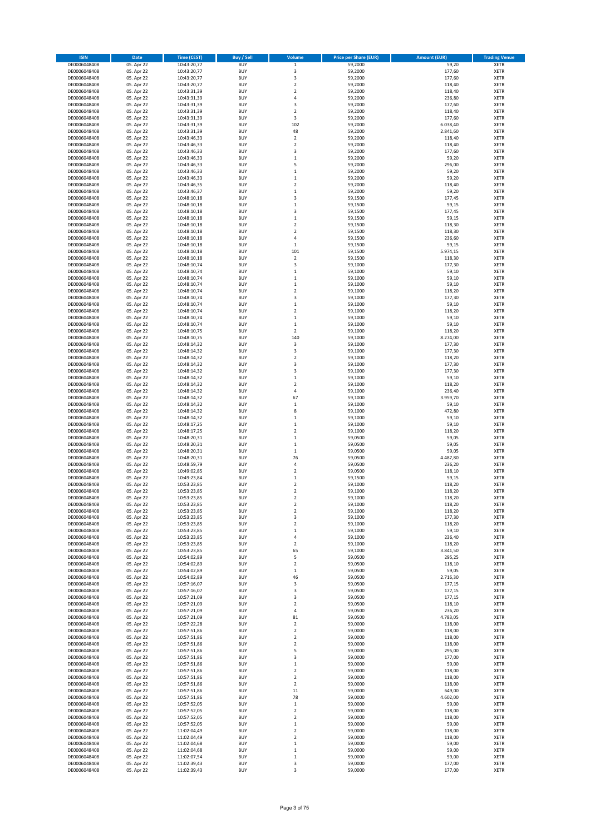| <b>ISIN</b>                  | Date                     | <b>Time (CEST)</b>         | <b>Buy / Sell</b>        | Volume                                    | <b>Price per Share (EUR)</b> | <b>Amount (EUR)</b> | <b>Trading Venue</b>       |
|------------------------------|--------------------------|----------------------------|--------------------------|-------------------------------------------|------------------------------|---------------------|----------------------------|
| DE0006048408                 | 05. Apr 22               | 10:43:20,77                | <b>BUY</b>               | $\,$ 1                                    | 59,2000                      | 59,20               | <b>XETR</b>                |
| DE0006048408                 | 05. Apr 22               | 10:43:20,77                | <b>BUY</b>               | 3                                         | 59,2000                      | 177,60              | XETR                       |
| DE0006048408                 | 05. Apr 22               | 10:43:20,77                | <b>BUY</b>               | 3                                         | 59,2000                      | 177,60              | XETR                       |
| DE0006048408                 | 05. Apr 22               | 10:43:20,77                | <b>BUY</b>               | $\overline{2}$                            | 59,2000                      | 118,40              | <b>XETR</b>                |
| DE0006048408                 | 05. Apr 22               | 10:43:31,39                | <b>BUY</b>               | $\boldsymbol{2}$                          | 59,2000                      | 118,40              | XETR                       |
| DE0006048408                 | 05. Apr 22               | 10:43:31,39                | <b>BUY</b>               | $\sqrt{4}$                                | 59,2000                      | 236,80              | <b>XETR</b>                |
| DE0006048408<br>DE0006048408 | 05. Apr 22               | 10:43:31,39                | <b>BUY</b><br><b>BUY</b> | 3<br>$\overline{2}$                       | 59,2000                      | 177,60              | <b>XETR</b><br><b>XETR</b> |
| DE0006048408                 | 05. Apr 22<br>05. Apr 22 | 10:43:31,39<br>10:43:31,39 | <b>BUY</b>               | 3                                         | 59,2000<br>59,2000           | 118,40<br>177,60    | XETR                       |
| DE0006048408                 | 05. Apr 22               | 10:43:31,39                | <b>BUY</b>               | 102                                       | 59,2000                      | 6.038,40            | <b>XETR</b>                |
| DE0006048408                 | 05. Apr 22               | 10:43:31,39                | <b>BUY</b>               | 48                                        | 59,2000                      | 2.841,60            | XETR                       |
| DE0006048408                 | 05. Apr 22               | 10:43:46,33                | <b>BUY</b>               | $\overline{2}$                            | 59,2000                      | 118,40              | <b>XETR</b>                |
| DE0006048408                 | 05. Apr 22               | 10:43:46,33                | <b>BUY</b>               | $\boldsymbol{2}$                          | 59,2000                      | 118,40              | XETR                       |
| DE0006048408                 | 05. Apr 22               | 10:43:46,33                | <b>BUY</b>               | 3                                         | 59,2000                      | 177,60              | <b>XETR</b>                |
| DE0006048408                 | 05. Apr 22               | 10:43:46,33                | <b>BUY</b>               | $\,$ 1                                    | 59,2000                      | 59,20               | XETR                       |
| DE0006048408                 | 05. Apr 22               | 10:43:46,33                | <b>BUY</b>               | 5                                         | 59,2000                      | 296,00              | <b>XETR</b>                |
| DE0006048408                 | 05. Apr 22               | 10:43:46,33                | <b>BUY</b>               | $\,1\,$                                   | 59,2000                      | 59,20               | <b>XETR</b>                |
| DE0006048408                 | 05. Apr 22               | 10:43:46,33                | <b>BUY</b>               | $\mathbf 1$                               | 59,2000                      | 59,20               | <b>XETR</b>                |
| DE0006048408                 | 05. Apr 22               | 10:43:46,35                | <b>BUY</b><br><b>BUY</b> | $\overline{2}$                            | 59,2000                      | 118,40              | <b>XETR</b>                |
| DE0006048408<br>DE0006048408 | 05. Apr 22<br>05. Apr 22 | 10:43:46,37<br>10:48:10,18 | <b>BUY</b>               | $\,$ 1<br>3                               | 59,2000<br>59,1500           | 59,20<br>177,45     | <b>XETR</b><br><b>XETR</b> |
| DE0006048408                 | 05. Apr 22               | 10:48:10,18                | <b>BUY</b>               | $\,1\,$                                   | 59,1500                      | 59,15               | <b>XETR</b>                |
| DE0006048408                 | 05. Apr 22               | 10:48:10,18                | <b>BUY</b>               | 3                                         | 59,1500                      | 177,45              | <b>XETR</b>                |
| DE0006048408                 | 05. Apr 22               | 10:48:10,18                | <b>BUY</b>               | $\mathbf 1$                               | 59,1500                      | 59,15               | <b>XETR</b>                |
| DE0006048408                 | 05. Apr 22               | 10:48:10,18                | <b>BUY</b>               | $\overline{2}$                            | 59,1500                      | 118,30              | <b>XETR</b>                |
| DE0006048408                 | 05. Apr 22               | 10:48:10,18                | <b>BUY</b>               | $\overline{2}$                            | 59,1500                      | 118,30              | <b>XETR</b>                |
| DE0006048408                 | 05. Apr 22               | 10:48:10,18                | <b>BUY</b>               | $\overline{4}$                            | 59,1500                      | 236,60              | <b>XETR</b>                |
| DE0006048408                 | 05. Apr 22               | 10:48:10,18                | <b>BUY</b>               | $\,1\,$                                   | 59,1500                      | 59,15               | <b>XETR</b>                |
| DE0006048408                 | 05. Apr 22               | 10:48:10,18                | <b>BUY</b>               | 101                                       | 59,1500                      | 5.974,15            | <b>XETR</b>                |
| DE0006048408<br>DE0006048408 | 05. Apr 22<br>05. Apr 22 | 10:48:10,18<br>10:48:10,74 | <b>BUY</b><br><b>BUY</b> | $\boldsymbol{2}$<br>3                     | 59,1500<br>59,1000           | 118,30<br>177,30    | XETR<br><b>XETR</b>        |
| DE0006048408                 | 05. Apr 22               | 10:48:10,74                | <b>BUY</b>               | $\,1\,$                                   | 59,1000                      | 59,10               | XETR                       |
| DE0006048408                 | 05. Apr 22               | 10:48:10,74                | <b>BUY</b>               | $\mathbf 1$                               | 59,1000                      | 59,10               | <b>XETR</b>                |
| DE0006048408                 | 05. Apr 22               | 10:48:10,74                | <b>BUY</b>               | $\,1\,$                                   | 59,1000                      | 59,10               | XETR                       |
| DE0006048408                 | 05. Apr 22               | 10:48:10,74                | <b>BUY</b>               | $\overline{2}$                            | 59,1000                      | 118,20              | <b>XETR</b>                |
| DE0006048408                 | 05. Apr 22               | 10:48:10,74                | <b>BUY</b>               | 3                                         | 59,1000                      | 177,30              | XETR                       |
| DE0006048408                 | 05. Apr 22               | 10:48:10,74                | <b>BUY</b>               | $\,1\,$                                   | 59,1000                      | 59,10               | <b>XETR</b>                |
| DE0006048408                 | 05. Apr 22               | 10:48:10,74                | <b>BUY</b>               | $\boldsymbol{2}$                          | 59,1000                      | 118,20              | XETR                       |
| DE0006048408                 | 05. Apr 22               | 10:48:10,74                | <b>BUY</b>               | $\mathbf 1$                               | 59,1000                      | 59,10               | <b>XETR</b>                |
| DE0006048408                 | 05. Apr 22               | 10:48:10,74                | <b>BUY</b>               | $\,1\,$                                   | 59,1000                      | 59,10               | <b>XETR</b>                |
| DE0006048408                 | 05. Apr 22               | 10:48:10.75                | <b>BUY</b>               | $\overline{2}$                            | 59,1000                      | 118,20              | <b>XETR</b>                |
| DE0006048408<br>DE0006048408 | 05. Apr 22<br>05. Apr 22 | 10:48:10,75<br>10:48:14,32 | <b>BUY</b><br><b>BUY</b> | 140<br>3                                  | 59,1000<br>59,1000           | 8.274,00<br>177,30  | <b>XETR</b><br><b>XETR</b> |
| DE0006048408                 | 05. Apr 22               | 10:48:14,32                | <b>BUY</b>               | 3                                         | 59,1000                      | 177,30              | <b>XETR</b>                |
| DE0006048408                 | 05. Apr 22               | 10:48:14,32                | <b>BUY</b>               | $\boldsymbol{2}$                          | 59,1000                      | 118,20              | <b>XETR</b>                |
| DE0006048408                 | 05. Apr 22               | 10:48:14,32                | <b>BUY</b>               | 3                                         | 59,1000                      | 177,30              | <b>XETR</b>                |
| DE0006048408                 | 05. Apr 22               | 10:48:14,32                | <b>BUY</b>               | 3                                         | 59,1000                      | 177,30              | <b>XETR</b>                |
| DE0006048408                 | 05. Apr 22               | 10:48:14,32                | <b>BUY</b>               | $\,$ 1                                    | 59,1000                      | 59,10               | <b>XETR</b>                |
| DE0006048408                 | 05. Apr 22               | 10:48:14,32                | <b>BUY</b>               | $\boldsymbol{2}$                          | 59,1000                      | 118,20              | <b>XETR</b>                |
| DE0006048408                 | 05. Apr 22               | 10:48:14,32                | <b>BUY</b>               | $\sqrt{4}$                                | 59,1000                      | 236,40              | XETR                       |
| DE0006048408                 | 05. Apr 22               | 10:48:14,32                | <b>BUY</b>               | 67                                        | 59,1000                      | 3.959,70            | <b>XETR</b>                |
| DE0006048408                 | 05. Apr 22               | 10:48:14,32                | <b>BUY</b>               | $\,$ 1                                    | 59,1000                      | 59,10               | <b>XETR</b>                |
| DE0006048408<br>DE0006048408 | 05. Apr 22<br>05. Apr 22 | 10:48:14,32<br>10:48:14,32 | <b>BUY</b><br><b>BUY</b> | 8<br>$\,1\,$                              | 59,1000<br>59,1000           | 472,80<br>59,10     | <b>XETR</b><br><b>XETR</b> |
| DE0006048408                 | 05. Apr 22               | 10:48:17,25                | <b>BUY</b>               | $\,1\,$                                   | 59,1000                      | 59,10               | <b>XETR</b>                |
| DE0006048408                 | 05. Apr 22               | 10:48:17,25                | <b>BUY</b>               | $\overline{2}$                            | 59,1000                      | 118,20              | <b>XETR</b>                |
| DE0006048408                 | 05. Apr 22               | 10:48:20,31                | <b>BUY</b>               | $\mathbf{1}$                              | 59,0500                      | 59,05               | <b>XETR</b>                |
| DE0006048408                 | 05. Apr 22               | 10:48:20,31                | <b>BUY</b>               | $\mathbf 1$                               | 59,0500                      | 59,05               | <b>XETR</b>                |
| DE0006048408                 | 05. Apr 22               | 10:48:20,31                | <b>BUY</b>               | $\,1\,$                                   | 59,0500                      | 59,05               | XETR                       |
| DE0006048408                 | 05. Apr 22               | 10:48:20,31                | <b>BUY</b>               | 76                                        | 59,0500                      | 4.487,80            | <b>XETR</b>                |
| DE0006048408                 | 05. Apr 22               | 10:48:59,79                | <b>BUY</b>               | $\sqrt{4}$                                | 59,0500                      | 236,20              | XETR                       |
| DE0006048408                 | 05. Apr 22               | 10:49:02,85                | <b>BUY</b>               | $\overline{2}$                            | 59,0500                      | 118,10              | <b>XETR</b>                |
| DE0006048408<br>DE0006048408 | 05. Apr 22<br>05. Apr 22 | 10:49:23,84<br>10:53:23,85 | <b>BUY</b><br><b>BUY</b> | $\,1\,$<br>$\overline{2}$                 | 59,1500<br>59,1000           | 59,15<br>118,20     | <b>XETR</b><br><b>XETR</b> |
| DE0006048408                 | 05. Apr 22               | 10:53:23,85                | <b>BUY</b>               | $\overline{2}$                            | 59,1000                      | 118,20              | <b>XETR</b>                |
| DE0006048408                 | 05. Apr 22               | 10:53:23,85                | <b>BUY</b>               | $\overline{\mathbf{2}}$                   | 59,1000                      | 118,20              | <b>XETR</b>                |
| DE0006048408                 | 05. Apr 22               | 10:53:23,85                | <b>BUY</b>               | $\overline{\mathbf{2}}$                   | 59,1000                      | 118,20              | <b>XETR</b>                |
| DE0006048408                 | 05. Apr 22               | 10:53:23,85                | <b>BUY</b>               | $\boldsymbol{2}$                          | 59,1000                      | 118,20              | XETR                       |
| DE0006048408                 | 05. Apr 22               | 10:53:23,85                | <b>BUY</b>               | 3                                         | 59,1000                      | 177,30              | XETR                       |
| DE0006048408                 | 05. Apr 22               | 10:53:23,85                | <b>BUY</b>               | $\mathbf 2$                               | 59,1000                      | 118,20              | <b>XETR</b>                |
| DE0006048408                 | 05. Apr 22               | 10:53:23,85                | <b>BUY</b>               | $\,$ 1                                    | 59,1000                      | 59,10               | XETR                       |
| DE0006048408                 | 05. Apr 22               | 10:53:23,85                | <b>BUY</b>               | 4                                         | 59,1000                      | 236,40              | <b>XETR</b>                |
| DE0006048408<br>DE0006048408 | 05. Apr 22<br>05. Apr 22 | 10:53:23,85<br>10:53:23,85 | <b>BUY</b><br><b>BUY</b> | $\boldsymbol{2}$<br>65                    | 59,1000<br>59,1000           | 118,20<br>3.841,50  | <b>XETR</b><br><b>XETR</b> |
| DE0006048408                 | 05. Apr 22               | 10:54:02,89                | <b>BUY</b>               | 5                                         | 59,0500                      | 295,25              | XETR                       |
| DE0006048408                 | 05. Apr 22               | 10:54:02,89                | <b>BUY</b>               | $\overline{\mathbf{2}}$                   | 59,0500                      | 118,10              | <b>XETR</b>                |
| DE0006048408                 | 05. Apr 22               | 10:54:02,89                | <b>BUY</b>               | $\,1\,$                                   | 59,0500                      | 59,05               | XETR                       |
| DE0006048408                 | 05. Apr 22               | 10:54:02,89                | <b>BUY</b>               | 46                                        | 59,0500                      | 2.716,30            | <b>XETR</b>                |
| DE0006048408                 | 05. Apr 22               | 10:57:16,07                | <b>BUY</b>               | 3                                         | 59,0500                      | 177,15              | XETR                       |
| DE0006048408                 | 05. Apr 22               | 10:57:16,07                | <b>BUY</b>               | 3                                         | 59,0500                      | 177,15              | <b>XETR</b>                |
| DE0006048408                 | 05. Apr 22               | 10:57:21,09                | <b>BUY</b>               | 3                                         | 59,0500                      | 177,15              | <b>XETR</b>                |
| DE0006048408<br>DE0006048408 | 05. Apr 22<br>05. Apr 22 | 10:57:21,09                | <b>BUY</b><br><b>BUY</b> | $\overline{\mathbf{2}}$<br>4              | 59,0500<br>59,0500           | 118,10              | <b>XETR</b><br><b>XETR</b> |
| DE0006048408                 | 05. Apr 22               | 10:57:21,09<br>10:57:21,09 | <b>BUY</b>               | 81                                        | 59,0500                      | 236,20<br>4.783,05  | <b>XETR</b>                |
| DE0006048408                 | 05. Apr 22               | 10:57:22,28                | <b>BUY</b>               | $\overline{\mathbf{2}}$                   | 59,0000                      | 118,00              | <b>XETR</b>                |
| DE0006048408                 | 05. Apr 22               | 10:57:51,86                | <b>BUY</b>               | $\boldsymbol{2}$                          | 59,0000                      | 118,00              | <b>XETR</b>                |
| DE0006048408                 | 05. Apr 22               | 10:57:51,86                | <b>BUY</b>               | $\mathbf 2$                               | 59,0000                      | 118,00              | <b>XETR</b>                |
| DE0006048408                 | 05. Apr 22               | 10:57:51,86                | <b>BUY</b>               | $\overline{\mathbf{2}}$                   | 59,0000                      | 118,00              | XETR                       |
| DE0006048408                 | 05. Apr 22               | 10:57:51,86                | <b>BUY</b>               | 5                                         | 59,0000                      | 295,00              | <b>XETR</b>                |
| DE0006048408                 | 05. Apr 22               | 10:57:51,86                | <b>BUY</b>               | 3                                         | 59,0000                      | 177,00              | <b>XETR</b>                |
| DE0006048408                 | 05. Apr 22               | 10:57:51,86                | <b>BUY</b>               | $\mathbf 1$                               | 59,0000                      | 59,00               | <b>XETR</b>                |
| DE0006048408                 | 05. Apr 22               | 10:57:51,86                | <b>BUY</b>               | $\overline{\mathbf{2}}$<br>$\overline{2}$ | 59,0000                      | 118,00              | XETR<br><b>XETR</b>        |
| DE0006048408<br>DE0006048408 | 05. Apr 22<br>05. Apr 22 | 10:57:51,86<br>10:57:51,86 | <b>BUY</b><br><b>BUY</b> | $\overline{\mathbf{2}}$                   | 59,0000<br>59,0000           | 118,00<br>118,00    | <b>XETR</b>                |
| DE0006048408                 | 05. Apr 22               | 10:57:51,86                | <b>BUY</b>               | $11\,$                                    | 59,0000                      | 649,00              | <b>XETR</b>                |
| DE0006048408                 | 05. Apr 22               | 10:57:51,86                | <b>BUY</b>               | 78                                        | 59,0000                      | 4.602,00            | XETR                       |
| DE0006048408                 | 05. Apr 22               | 10:57:52,05                | <b>BUY</b>               | $\,1\,$                                   | 59,0000                      | 59,00               | <b>XETR</b>                |
| DE0006048408                 | 05. Apr 22               | 10:57:52,05                | <b>BUY</b>               | $\boldsymbol{2}$                          | 59,0000                      | 118,00              | XETR                       |
| DE0006048408                 | 05. Apr 22               | 10:57:52,05                | <b>BUY</b>               | $\overline{\mathbf{2}}$                   | 59,0000                      | 118,00              | <b>XETR</b>                |
| DE0006048408                 | 05. Apr 22               | 10:57:52,05                | <b>BUY</b>               | $\mathbf{1}$                              | 59,0000                      | 59,00               | <b>XETR</b>                |
| DE0006048408                 | 05. Apr 22               | 11:02:04,49                | <b>BUY</b>               | $\overline{\mathbf{2}}$                   | 59,0000                      | 118,00              | <b>XETR</b>                |
| DE0006048408                 | 05. Apr 22               | 11:02:04,49                | <b>BUY</b>               | $\boldsymbol{2}$                          | 59,0000                      | 118,00              | XETR                       |
| DE0006048408<br>DE0006048408 | 05. Apr 22<br>05. Apr 22 | 11:02:04,68<br>11:02:04,68 | <b>BUY</b><br><b>BUY</b> | $\,1\,$                                   | 59,0000<br>59,0000           | 59,00<br>59,00      | <b>XETR</b><br>XETR        |
| DE0006048408                 | 05. Apr 22               | 11:02:07,54                | <b>BUY</b>               | $\,$ 1<br>$\,1\,$                         | 59,0000                      | 59,00               | <b>XETR</b>                |
| DE0006048408                 | 05. Apr 22               | 11:02:39,43                | <b>BUY</b>               | 3                                         | 59,0000                      | 177,00              | XETR                       |
| DE0006048408                 | 05. Apr 22               | 11:02:39,43                | <b>BUY</b>               | 3                                         | 59,0000                      | 177,00              | <b>XETR</b>                |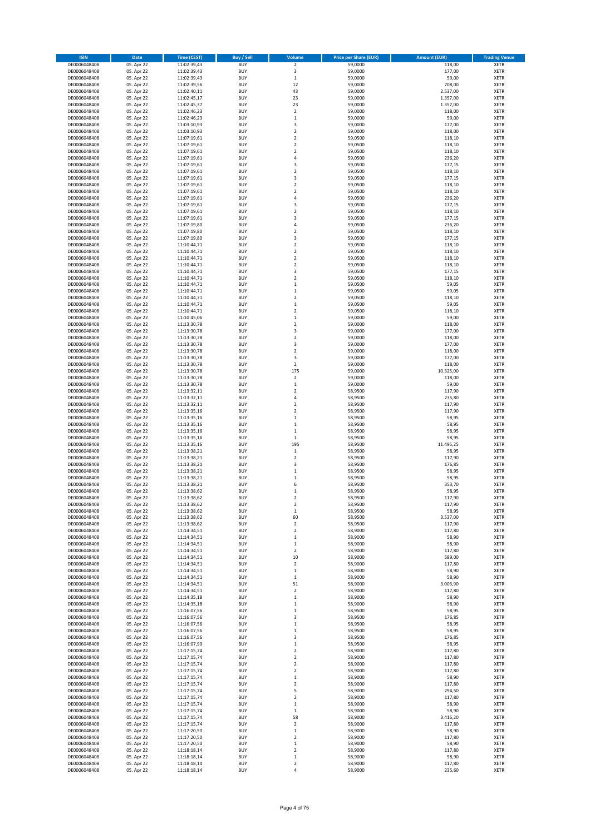| <b>ISIN</b>                  | Date                     | Time (CEST)                | <b>Buy / Sell</b>        | Volume                             | <b>Price per Share (EUR)</b> | <b>Amount (EUR)</b> | <b>Trading Venue</b>       |
|------------------------------|--------------------------|----------------------------|--------------------------|------------------------------------|------------------------------|---------------------|----------------------------|
| DE0006048408                 | 05. Apr 22               | 11:02:39,43                | <b>BUY</b>               | $\mathbf 2$                        | 59,0000                      | 118,00              | <b>XETR</b>                |
| DE0006048408                 | 05. Apr 22               | 11:02:39,43                | <b>BUY</b>               | 3                                  | 59,0000                      | 177,00              | XETR                       |
| DE0006048408                 | 05. Apr 22               | 11:02:39,43                | <b>BUY</b>               | $\,1\,$                            | 59,0000                      | 59,00               | XETR                       |
| DE0006048408                 | 05. Apr 22               | 11:02:39,56                | <b>BUY</b>               | 12                                 | 59,0000                      | 708,00              | <b>XETR</b>                |
| DE0006048408                 | 05. Apr 22               | 11:02:40,11                | <b>BUY</b>               | 43                                 | 59,0000                      | 2.537,00            | <b>XETR</b>                |
| DE0006048408                 | 05. Apr 22               | 11:02:45,17                | <b>BUY</b>               | 23                                 | 59,0000                      | 1.357,00            | <b>XETR</b>                |
| DE0006048408                 | 05. Apr 22               | 11:02:45,37                | BUY                      | 23                                 | 59,0000                      | 1.357,00            | <b>XETR</b>                |
| DE0006048408                 | 05. Apr 22               | 11:02:46,23                | <b>BUY</b>               | $\overline{2}$                     | 59,0000                      | 118,00              | <b>XETR</b>                |
| DE0006048408                 | 05. Apr 22               | 11:02:46,23                | <b>BUY</b>               | $\,1\,$                            | 59,0000                      | 59,00               | <b>XETR</b>                |
| DE0006048408                 | 05. Apr 22               | 11:03:10,93                | <b>BUY</b>               | 3                                  | 59,0000                      | 177,00              | <b>XETR</b>                |
| DE0006048408                 | 05. Apr 22               | 11:03:10,93                | BUY                      | $\overline{2}$                     | 59,0000                      | 118,00              | <b>XETR</b>                |
| DE0006048408                 | 05. Apr 22               | 11:07:19,61                | <b>BUY</b>               | $\overline{2}$                     | 59,0500                      | 118,10              | <b>XETR</b>                |
| DE0006048408                 | 05. Apr 22               | 11:07:19,61                | <b>BUY</b>               | $\boldsymbol{2}$                   | 59,0500                      | 118,10              | XETR                       |
| DE0006048408                 | 05. Apr 22               | 11:07:19,61                | <b>BUY</b>               | $\overline{2}$                     | 59,0500                      | 118,10              | <b>XETR</b>                |
| DE0006048408                 | 05. Apr 22               | 11:07:19,61                | <b>BUY</b>               | $\sqrt{4}$                         | 59,0500                      | 236,20              | <b>XETR</b>                |
| DE0006048408                 | 05. Apr 22               | 11:07:19,61                | <b>BUY</b><br><b>BUY</b> | 3<br>$\overline{2}$                | 59,0500                      | 177,15              | <b>XETR</b><br><b>XETR</b> |
| DE0006048408                 | 05. Apr 22<br>05. Apr 22 | 11:07:19,61                | <b>BUY</b>               | 3                                  | 59,0500                      | 118,10<br>177,15    | <b>XETR</b>                |
| DE0006048408<br>DE0006048408 | 05. Apr 22               | 11:07:19,61<br>11:07:19,61 | <b>BUY</b>               | $\overline{2}$                     | 59,0500<br>59,0500           | 118,10              | <b>XETR</b>                |
| DE0006048408                 | 05. Apr 22               | 11:07:19,61                | <b>BUY</b>               | $\mathbf 2$                        | 59,0500                      | 118,10              | <b>XETR</b>                |
| DE0006048408                 | 05. Apr 22               | 11:07:19,61                | <b>BUY</b>               | $\sqrt{4}$                         | 59,0500                      | 236,20              | <b>XETR</b>                |
| DE0006048408                 | 05. Apr 22               | 11:07:19,61                | <b>BUY</b>               | 3                                  | 59,0500                      | 177,15              | <b>XETR</b>                |
| DE0006048408                 | 05. Apr 22               | 11:07:19,61                | <b>BUY</b>               | $\overline{2}$                     | 59,0500                      | 118,10              | <b>XETR</b>                |
| DE0006048408                 | 05. Apr 22               | 11:07:19,61                | <b>BUY</b>               | 3                                  | 59,0500                      | 177,15              | <b>XETR</b>                |
| DE0006048408                 | 05. Apr 22               | 11:07:19,80                | <b>BUY</b>               | $\sqrt{4}$                         | 59,0500                      | 236,20              | <b>XETR</b>                |
| DE0006048408                 | 05. Apr 22               | 11:07:19,80                | <b>BUY</b>               | $\overline{2}$                     | 59,0500                      | 118,10              | <b>XETR</b>                |
| DE0006048408                 | 05. Apr 22               | 11:07:19,80                | BUY                      | 3                                  | 59,0500                      | 177,15              | <b>XETR</b>                |
| DE0006048408                 | 05. Apr 22               | 11:10:44,71                | <b>BUY</b>               | $\mathbf 2$                        | 59,0500                      | 118,10              | <b>XETR</b>                |
| DE0006048408                 | 05. Apr 22               | 11:10:44,71                | <b>BUY</b>               | $\overline{2}$                     | 59,0500                      | 118,10              | <b>XETR</b>                |
| DE0006048408                 | 05. Apr 22               | 11:10:44,71                | <b>BUY</b>               | $\boldsymbol{2}$                   | 59,0500                      | 118,10              | XETR                       |
| DE0006048408                 | 05. Apr 22               | 11:10:44,71                | <b>BUY</b>               | $\overline{2}$                     | 59,0500                      | 118,10              | <b>XETR</b>                |
| DE0006048408                 | 05. Apr 22               | 11:10:44,71                | <b>BUY</b>               | 3                                  | 59,0500                      | 177,15              | XETR                       |
| DE0006048408                 | 05. Apr 22               | 11:10:44,71                | <b>BUY</b>               | $\overline{2}$                     | 59,0500                      | 118,10              | <b>XETR</b>                |
| DE0006048408                 | 05. Apr 22               | 11:10:44,71                | <b>BUY</b>               | $\,1\,$                            | 59,0500                      | 59,05               | XETR                       |
| DE0006048408                 | 05. Apr 22               | 11:10:44,71                | <b>BUY</b>               | $\mathbf{1}$                       | 59,0500                      | 59,05               | <b>XETR</b>                |
| DE0006048408                 | 05. Apr 22               | 11:10:44,71                | BUY                      | $\mathbf 2$                        | 59,0500                      | 118,10              | XETR                       |
| DE0006048408                 | 05. Apr 22               | 11:10:44,71                | <b>BUY</b>               | $\,1\,$                            | 59,0500                      | 59,05               | <b>XETR</b>                |
| DE0006048408                 | 05. Apr 22               | 11:10:44,71                | <b>BUY</b>               | $\boldsymbol{2}$                   | 59,0500                      | 118,10              | XETR                       |
| DE0006048408                 | 05. Apr 22               | 11:10:45,06                | <b>BUY</b>               | $\,1\,$                            | 59,0000                      | 59,00               | <b>XETR</b>                |
| DE0006048408                 | 05. Apr 22               | 11:13:30,78                | <b>BUY</b>               | $\mathbf 2$                        | 59,0000                      | 118,00              | <b>XETR</b>                |
| DE0006048408                 | 05. Apr 22               | 11:13:30,78                | <b>BUY</b>               | 3                                  | 59,0000                      | 177,00              | <b>XETR</b>                |
| DE0006048408                 | 05. Apr 22               | 11:13:30,78                | <b>BUY</b>               | $\overline{2}$                     | 59,0000                      | 118,00              | <b>XETR</b>                |
| DE0006048408                 | 05. Apr 22               | 11:13:30,78                | <b>BUY</b>               | 3                                  | 59,0000                      | 177,00              | <b>XETR</b>                |
| DE0006048408                 | 05. Apr 22               | 11:13:30,78                | BUY                      | $\overline{2}$                     | 59,0000                      | 118,00              | <b>XETR</b>                |
| DE0006048408                 | 05. Apr 22               | 11:13:30,78                | <b>BUY</b>               | 3                                  | 59,0000                      | 177,00              | <b>XETR</b>                |
| DE0006048408                 | 05. Apr 22               | 11:13:30,78                | <b>BUY</b>               | $\mathbf 2$                        | 59,0000                      | 118,00              | <b>XETR</b>                |
| DE0006048408                 | 05. Apr 22               | 11:13:30,78                | <b>BUY</b>               | 175                                | 59,0000                      | 10.325,00           | <b>XETR</b>                |
| DE0006048408                 | 05. Apr 22               | 11:13:30,78                | <b>BUY</b>               | $\boldsymbol{2}$                   | 59,0000                      | 118,00              | <b>XETR</b>                |
| DE0006048408                 | 05. Apr 22               | 11:13:30,78                | <b>BUY</b>               | $\,1\,$                            | 59,0000                      | 59,00               | <b>XETR</b>                |
| DE0006048408                 | 05. Apr 22               | 11:13:32,11                | <b>BUY</b><br><b>BUY</b> | $\boldsymbol{2}$<br>4              | 58,9500                      | 117,90<br>235,80    | XETR                       |
| DE0006048408<br>DE0006048408 | 05. Apr 22<br>05. Apr 22 | 11:13:32,11<br>11:13:32,11 | <b>BUY</b>               | $\overline{2}$                     | 58,9500<br>58,9500           | 117,90              | <b>XETR</b><br><b>XETR</b> |
| DE0006048408                 | 05. Apr 22               | 11:13:35,16                | <b>BUY</b>               | $\mathbf 2$                        | 58,9500                      | 117,90              | <b>XETR</b>                |
| DE0006048408                 | 05. Apr 22               | 11:13:35,16                | <b>BUY</b>               | $\,$ 1                             | 58,9500                      | 58,95               | <b>XETR</b>                |
| DE0006048408                 | 05. Apr 22               | 11:13:35,16                | <b>BUY</b>               | $\,$ 1                             | 58,9500                      | 58,95               | <b>XETR</b>                |
| DE0006048408                 | 05. Apr 22               | 11:13:35,16                | <b>BUY</b>               | $\,1\,$                            | 58,9500                      | 58,95               | <b>XETR</b>                |
| DE0006048408                 | 05. Apr 22               | 11:13:35,16                | <b>BUY</b>               | $\mathbf{1}$                       | 58,9500                      | 58,95               | <b>XETR</b>                |
| DE0006048408                 | 05. Apr 22               | 11:13:35,16                | <b>BUY</b>               | 195                                | 58,9500                      | 11.495,25           | <b>XETR</b>                |
| DE0006048408                 | 05. Apr 22               | 11:13:38,21                | <b>BUY</b>               | $\,$ 1                             | 58,9500                      | 58,95               | <b>XETR</b>                |
| DE0006048408                 | 05. Apr 22               | 11:13:38,21                | <b>BUY</b>               | $\overline{2}$                     | 58,9500                      | 117,90              | <b>XETR</b>                |
| DE0006048408                 | 05. Apr 22               | 11:13:38,21                | BUY                      | 3                                  | 58,9500                      | 176,85              | XETR                       |
| DE0006048408                 | 05. Apr 22               | 11:13:38,21                | <b>BUY</b>               | $\mathbf 1$                        | 58,9500                      | 58,95               | <b>XETR</b>                |
| DE0006048408                 | 05. Apr 22               | 11:13:38,21                | <b>BUY</b>               | $\,1\,$                            | 58,9500                      | 58,95               | <b>XETR</b>                |
| DE0006048408                 | 05. Apr 22               | 11:13:38,21                | <b>BUY</b>               | 6                                  | 58,9500                      | 353,70              | <b>XETR</b>                |
| DE0006048408                 | 05. Apr 22               | 11:13:38,62                | BUY                      | $\,1\,$                            | 58,9500                      | 58,95               | <b>XETR</b>                |
| DE0006048408                 | 05. Apr 22               | 11:13:38,62                | <b>BUY</b>               | $\overline{\mathbf{2}}$            | 58,9500                      | 117,90              | <b>XETR</b>                |
| DE0006048408                 | 05. Apr 22               | 11:13:38,62                | <b>BUY</b>               | $\boldsymbol{2}$                   | 58,9500                      | 117,90              | <b>XETR</b>                |
| DE0006048408                 | 05. Apr 22               | 11:13:38,62                | <b>BUY</b>               | $\mathbf 1$                        | 58,9500                      | 58,95               | XETR                       |
| DE0006048408                 | 05. Apr 22               | 11:13:38,62                | <b>BUY</b>               | 60                                 | 58,9500                      | 3.537,00            | <b>XETR</b>                |
| DE0006048408                 | 05. Apr 22               | 11:13:38,62                | <b>BUY</b>               | $\overline{\mathbf{2}}$            | 58,9500                      | 117,90              | <b>XETR</b>                |
| DE0006048408                 | 05. Apr 22               | 11:14:34,51                | <b>BUY</b>               | $\boldsymbol{2}$                   | 58,9000                      | 117,80              | <b>XETR</b>                |
| DE0006048408<br>DE0006048408 | 05. Apr 22<br>05. Apr 22 | 11:14:34,51<br>11:14:34,51 | <b>BUY</b><br><b>BUY</b> | $\,1\,$<br>$\,$ 1                  | 58,9000<br>58,9000           | 58,90<br>58,90      | <b>XETR</b><br><b>XETR</b> |
|                              | 05. Apr 22               |                            |                          | $\mathbf 2$                        | 58,9000                      |                     | <b>XETR</b>                |
| DE0006048408<br>DE0006048408 | 05. Apr 22               | 11:14:34,51<br>11:14:34,51 | <b>BUY</b><br><b>BUY</b> | 10                                 | 58,9000                      | 117,80<br>589,00    | <b>XETR</b>                |
| DE0006048408                 | 05. Apr 22               | 11:14:34,51                | <b>BUY</b>               | $\overline{\mathbf{2}}$            | 58,9000                      | 117,80              | <b>XETR</b>                |
| DE0006048408                 | 05. Apr 22               | 11:14:34,51                | <b>BUY</b>               | $\,1\,$                            | 58,9000                      | 58,90               | <b>XETR</b>                |
| DE0006048408                 | 05. Apr 22               | 11:14:34,51                | <b>BUY</b>               | $\,1\,$                            | 58,9000                      | 58,90               | <b>XETR</b>                |
| DE0006048408                 | 05. Apr 22               | 11:14:34,51                | <b>BUY</b>               | 51                                 | 58,9000                      | 3.003,90            | XETR                       |
| DE0006048408                 | 05. Apr 22               | 11:14:34,51                | <b>BUY</b>               | $\overline{\mathbf{2}}$            | 58,9000                      | 117,80              | <b>XETR</b>                |
| DE0006048408                 | 05. Apr 22               | 11:14:35,18                | <b>BUY</b>               | $\,1\,$                            | 58,9000                      | 58,90               | <b>XETR</b>                |
| DE0006048408                 | 05. Apr 22               | 11:14:35,18                | <b>BUY</b>               | $\,1\,$                            | 58,9000                      | 58,90               | <b>XETR</b>                |
| DE0006048408                 | 05. Apr 22               | 11:16:07,56                | <b>BUY</b>               | $\mathbf 1$                        | 58,9500                      | 58,95               | <b>XETR</b>                |
| DE0006048408                 | 05. Apr 22               | 11:16:07,56                | <b>BUY</b>               | 3                                  | 58,9500                      | 176,85              | <b>XETR</b>                |
| DE0006048408                 | 05. Apr 22               | 11:16:07,56                | <b>BUY</b>               | $\mathbf 1$                        | 58,9500                      | 58,95               | <b>XETR</b>                |
| DE0006048408                 | 05. Apr 22               | 11:16:07,56                | <b>BUY</b>               | $\,1\,$                            | 58,9500                      | 58,95               | <b>XETR</b>                |
| DE0006048408                 | 05. Apr 22               | 11:16:07,56                | <b>BUY</b>               | 3                                  | 58,9500                      | 176,85              | <b>XETR</b>                |
| DE0006048408                 | 05. Apr 22               | 11:16:07,90                | <b>BUY</b>               | $\,1\,$                            | 58,9500                      | 58,95               | XETR                       |
| DE0006048408                 | 05. Apr 22               | 11:17:15,74                | <b>BUY</b>               | $\overline{2}$                     | 58,9000                      | 117,80              | <b>XETR</b>                |
| DE0006048408<br>DE0006048408 | 05. Apr 22<br>05. Apr 22 | 11:17:15,74<br>11:17:15,74 | <b>BUY</b><br><b>BUY</b> | $\boldsymbol{2}$<br>$\overline{2}$ | 58,9000<br>58,9000           | 117,80<br>117,80    | <b>XETR</b><br><b>XETR</b> |
| DE0006048408                 | 05. Apr 22               | 11:17:15,74                | <b>BUY</b>               | $\overline{\mathbf{2}}$            | 58,9000                      | 117,80              | XETR                       |
| DE0006048408                 | 05. Apr 22               | 11:17:15,74                | <b>BUY</b>               | $\mathbf 1$                        | 58,9000                      | 58,90               | <b>XETR</b>                |
| DE0006048408                 | 05. Apr 22               | 11:17:15,74                | <b>BUY</b>               | $\boldsymbol{2}$                   | 58,9000                      | 117,80              | <b>XETR</b>                |
| DE0006048408                 | 05. Apr 22               | 11:17:15,74                | <b>BUY</b>               | 5                                  | 58,9000                      | 294,50              | <b>XETR</b>                |
| DE0006048408                 | 05. Apr 22               | 11:17:15,74                | <b>BUY</b>               | $\boldsymbol{2}$                   | 58,9000                      | 117,80              | XETR                       |
| DE0006048408                 | 05. Apr 22               | 11:17:15,74                | <b>BUY</b>               | $\,1\,$                            | 58,9000                      | 58,90               | <b>XETR</b>                |
| DE0006048408                 | 05. Apr 22               | 11:17:15,74                | <b>BUY</b>               | $\,1\,$                            | 58,9000                      | 58,90               | XETR                       |
| DE0006048408                 | 05. Apr 22               | 11:17:15,74                | <b>BUY</b>               | 58                                 | 58,9000                      | 3.416,20            | <b>XETR</b>                |
| DE0006048408                 | 05. Apr 22               | 11:17:15,74                | <b>BUY</b>               | $\overline{\mathbf{2}}$            | 58,9000                      | 117,80              | <b>XETR</b>                |
| DE0006048408                 | 05. Apr 22               | 11:17:20,50                | <b>BUY</b>               | $\,1\,$                            | 58,9000                      | 58,90               | <b>XETR</b>                |
| DE0006048408                 | 05. Apr 22               | 11:17:20,50                | <b>BUY</b>               | $\boldsymbol{2}$                   | 58,9000                      | 117,80              | XETR                       |
| DE0006048408                 | 05. Apr 22               | 11:17:20,50                | <b>BUY</b>               | $\,1\,$                            | 58,9000                      | 58,90               | <b>XETR</b>                |
| DE0006048408                 | 05. Apr 22               | 11:18:18,14                | <b>BUY</b>               | $\boldsymbol{2}$                   | 58,9000                      | 117,80              | XETR                       |
| DE0006048408                 | 05. Apr 22               | 11:18:18,14                | <b>BUY</b>               | $\,1\,$                            | 58,9000                      | 58,90               | <b>XETR</b>                |
| DE0006048408                 | 05. Apr 22               | 11:18:18,14                | <b>BUY</b>               | $\boldsymbol{2}$                   | 58,9000                      | 117,80              | XETR                       |
| DE0006048408                 | 05. Apr 22               | 11:18:18,14                | <b>BUY</b>               | $\sqrt{4}$                         | 58,9000                      | 235,60              | <b>XETR</b>                |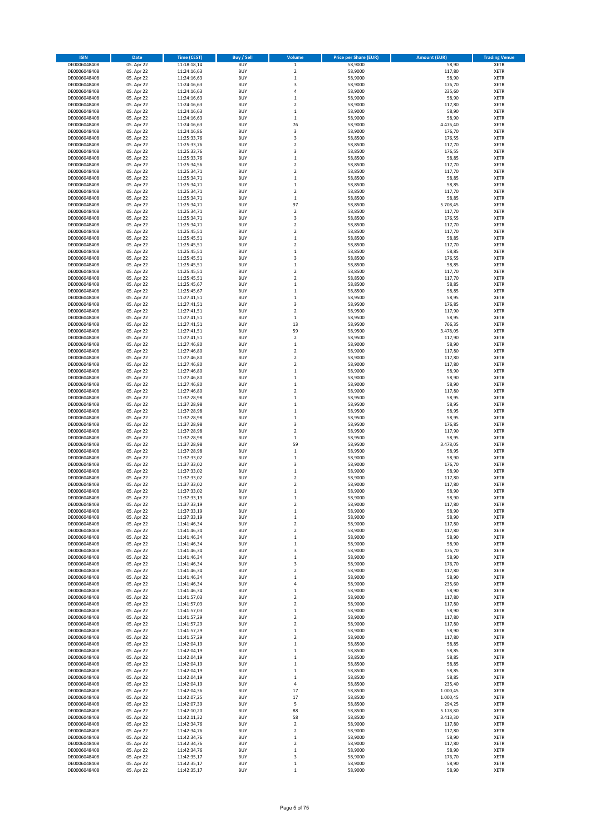| <b>ISIN</b>                  | Date                     | Time (CEST)                | <b>Buy / Sell</b>        | Volume                      | <b>Price per Share (EUR)</b> | <b>Amount (EUR)</b>  | <b>Trading Venue</b>       |
|------------------------------|--------------------------|----------------------------|--------------------------|-----------------------------|------------------------------|----------------------|----------------------------|
| DE0006048408                 | 05. Apr 22               | 11:18:18,14                | <b>BUY</b>               | $\,$ 1                      | 58,9000                      | 58,90                | <b>XETR</b>                |
| DE0006048408                 | 05. Apr 22               | 11:24:16,63                | <b>BUY</b>               | $\overline{2}$              | 58,9000                      | 117,80               | XETR                       |
| DE0006048408                 | 05. Apr 22               | 11:24:16,63                | <b>BUY</b>               | $\,1\,$                     | 58,9000                      | 58,90                | XETR                       |
| DE0006048408                 | 05. Apr 22               | 11:24:16,63                | <b>BUY</b>               | 3                           | 58,9000                      | 176,70               | <b>XETR</b>                |
| DE0006048408                 | 05. Apr 22               | 11:24:16,63                | <b>BUY</b>               | 4                           | 58,9000                      | 235,60               | XETR                       |
| DE0006048408                 | 05. Apr 22               | 11:24:16,63                | <b>BUY</b>               | $\mathbf{1}$                | 58,9000                      | 58,90                | <b>XETR</b>                |
| DE0006048408                 | 05. Apr 22               | 11:24:16,63                | <b>BUY</b>               | $\overline{2}$              | 58,9000                      | 117,80               | <b>XETR</b>                |
| DE0006048408                 | 05. Apr 22               | 11:24:16,63                | <b>BUY</b>               | $\mathbf 1$                 | 58,9000                      | 58,90                | <b>XETR</b>                |
| DE0006048408                 | 05. Apr 22               | 11:24:16,63                | <b>BUY</b>               | $\,1\,$                     | 58,9000                      | 58,90                | XETR                       |
| DE0006048408                 | 05. Apr 22               | 11:24:16,63                | <b>BUY</b>               | 76                          | 58,9000                      | 4.476,40             | <b>XETR</b>                |
| DE0006048408                 | 05. Apr 22               | 11:24:16,86                | <b>BUY</b>               | 3                           | 58,9000                      | 176,70               | XETR                       |
| DE0006048408                 | 05. Apr 22               | 11:25:33,76                | <b>BUY</b>               | 3                           | 58,8500                      | 176,55               | <b>XETR</b>                |
| DE0006048408                 | 05. Apr 22               | 11:25:33,76                | <b>BUY</b>               | $\boldsymbol{2}$            | 58,8500                      | 117,70               | XETR                       |
| DE0006048408                 | 05. Apr 22               | 11:25:33,76<br>11:25:33,76 | <b>BUY</b>               | 3                           | 58,8500                      | 176,55               | <b>XETR</b>                |
| DE0006048408<br>DE0006048408 | 05. Apr 22<br>05. Apr 22 | 11:25:34,56                | <b>BUY</b><br><b>BUY</b> | $\,$ 1<br>$\boldsymbol{2}$  | 58,8500<br>58,8500           | 58,85<br>117,70      | <b>XETR</b><br><b>XETR</b> |
| DE0006048408                 | 05. Apr 22               | 11:25:34,71                | <b>BUY</b>               | $\boldsymbol{2}$            | 58,8500                      | 117,70               | <b>XETR</b>                |
| DE0006048408                 | 05. Apr 22               | 11:25:34,71                | <b>BUY</b>               | $\mathbf 1$                 | 58,8500                      | 58,85                | <b>XETR</b>                |
| DE0006048408                 | 05. Apr 22               | 11:25:34,71                | <b>BUY</b>               | $\,1\,$                     | 58,8500                      | 58,85                | <b>XETR</b>                |
| DE0006048408                 | 05. Apr 22               | 11:25:34,71                | <b>BUY</b>               | $\mathbf 2$                 | 58,8500                      | 117,70               | <b>XETR</b>                |
| DE0006048408                 | 05. Apr 22               | 11:25:34,71                | <b>BUY</b>               | $\,$ 1                      | 58,8500                      | 58,85                | <b>XETR</b>                |
| DE0006048408                 | 05. Apr 22               | 11:25:34,71                | <b>BUY</b>               | 97                          | 58,8500                      | 5.708,45             | <b>XETR</b>                |
| DE0006048408                 | 05. Apr 22               | 11:25:34,71                | <b>BUY</b>               | $\overline{2}$              | 58,8500                      | 117,70               | <b>XETR</b>                |
| DE0006048408                 | 05. Apr 22               | 11:25:34,71                | <b>BUY</b>               | 3                           | 58,8500                      | 176,55               | <b>XETR</b>                |
| DE0006048408                 | 05. Apr 22               | 11:25:34,71                | <b>BUY</b>               | $\overline{2}$              | 58,8500                      | 117,70               | <b>XETR</b>                |
| DE0006048408                 | 05. Apr 22               | 11:25:45,51                | <b>BUY</b>               | $\overline{2}$              | 58,8500                      | 117,70               | <b>XETR</b>                |
| DE0006048408                 | 05. Apr 22               | 11:25:45,51                | <b>BUY</b>               | $\,1\,$                     | 58,8500                      | 58,85                | <b>XETR</b>                |
| DE0006048408                 | 05. Apr 22               | 11:25:45,51                | <b>BUY</b>               | $\mathbf 2$                 | 58,8500                      | 117,70               | <b>XETR</b>                |
| DE0006048408                 | 05. Apr 22               | 11:25:45,51                | <b>BUY</b>               | $\mathbf 1$                 | 58,8500                      | 58,85                | <b>XETR</b>                |
| DE0006048408                 | 05. Apr 22               | 11:25:45,51                | <b>BUY</b>               | 3                           | 58,8500                      | 176,55               | XETR                       |
| DE0006048408                 | 05. Apr 22               | 11:25:45,51                | <b>BUY</b>               | $\mathbf 1$                 | 58,8500                      | 58,85                | <b>XETR</b>                |
| DE0006048408                 | 05. Apr 22               | 11:25:45,51                | <b>BUY</b>               | $\boldsymbol{2}$            | 58,8500                      | 117,70               | XETR                       |
| DE0006048408                 | 05. Apr 22               | 11:25:45,51                | <b>BUY</b>               | $\overline{\mathbf{c}}$     | 58,8500                      | 117,70               | <b>XETR</b>                |
| DE0006048408                 | 05. Apr 22               | 11:25:45,67                | <b>BUY</b>               | $\mathbf{1}$                | 58,8500                      | 58,85                | XETR                       |
| DE0006048408                 | 05. Apr 22               | 11:25:45,67                | <b>BUY</b>               | $\mathbf{1}$                | 58,8500                      | 58,85                | <b>XETR</b>                |
| DE0006048408                 | 05. Apr 22               | 11:27:41,51                | <b>BUY</b><br><b>BUY</b> | $\,$ 1<br>3                 | 58,9500                      | 58,95                | XETR<br><b>XETR</b>        |
| DE0006048408<br>DE0006048408 | 05. Apr 22<br>05. Apr 22 | 11:27:41,51<br>11:27:41,51 | <b>BUY</b>               | $\boldsymbol{2}$            | 58,9500<br>58,9500           | 176,85<br>117,90     | XETR                       |
| DE0006048408                 | 05. Apr 22               | 11:27:41,51                | <b>BUY</b>               | $\,1\,$                     | 58,9500                      | 58,95                | <b>XETR</b>                |
| DE0006048408                 | 05. Apr 22               | 11:27:41,51                | <b>BUY</b>               | 13                          | 58,9500                      | 766,35               | <b>XETR</b>                |
| DE0006048408                 | 05. Apr 22               | 11:27:41,51                | <b>BUY</b>               | 59                          | 58,9500                      | 3.478,05             | <b>XETR</b>                |
| DE0006048408                 | 05. Apr 22               | 11:27:41,51                | <b>BUY</b>               | $\overline{\mathbf{c}}$     | 58,9500                      | 117,90               | <b>XETR</b>                |
| DE0006048408                 | 05. Apr 22               | 11:27:46,80                | <b>BUY</b>               | $\mathbf 1$                 | 58,9000                      | 58,90                | <b>XETR</b>                |
| DE0006048408                 | 05. Apr 22               | 11:27:46,80                | <b>BUY</b>               | $\overline{\mathbf{c}}$     | 58,9000                      | 117,80               | <b>XETR</b>                |
| DE0006048408                 | 05. Apr 22               | 11:27:46,80                | <b>BUY</b>               | $\mathbf 2$                 | 58,9000                      | 117,80               | <b>XETR</b>                |
| DE0006048408                 | 05. Apr 22               | 11:27:46,80                | <b>BUY</b>               | $\boldsymbol{2}$            | 58,9000                      | 117,80               | <b>XETR</b>                |
| DE0006048408                 | 05. Apr 22               | 11:27:46,80                | <b>BUY</b>               | $\,$ 1                      | 58,9000                      | 58,90                | <b>XETR</b>                |
| DE0006048408                 | 05. Apr 22               | 11:27:46,80                | <b>BUY</b>               | $\,$ 1                      | 58,9000                      | 58,90                | <b>XETR</b>                |
| DE0006048408                 | 05. Apr 22               | 11:27:46,80                | <b>BUY</b>               | $\,$ 1                      | 58,9000                      | 58,90                | <b>XETR</b>                |
| DE0006048408                 | 05. Apr 22               | 11:27:46,80                | <b>BUY</b>               | $\boldsymbol{2}$            | 58,9000                      | 117,80               | <b>XETR</b>                |
| DE0006048408                 | 05. Apr 22               | 11:37:28,98                | <b>BUY</b>               | $\mathbf 1$                 | 58,9500                      | 58,95                | <b>XETR</b>                |
| DE0006048408                 | 05. Apr 22               | 11:37:28,98                | <b>BUY</b>               | $\,$ 1                      | 58,9500                      | 58,95                | <b>XETR</b>                |
| DE0006048408                 | 05. Apr 22               | 11:37:28,98                | <b>BUY</b>               | $\,$ 1                      | 58,9500                      | 58,95                | <b>XETR</b>                |
| DE0006048408                 | 05. Apr 22               | 11:37:28,98                | <b>BUY</b>               | $\,$ 1                      | 58,9500                      | 58,95                | <b>XETR</b>                |
| DE0006048408                 | 05. Apr 22               | 11:37:28,98                | <b>BUY</b>               | 3                           | 58,9500                      | 176,85               | <b>XETR</b>                |
| DE0006048408                 | 05. Apr 22               | 11:37:28,98                | <b>BUY</b>               | $\overline{2}$              | 58,9500                      | 117,90               | <b>XETR</b>                |
| DE0006048408                 | 05. Apr 22               | 11:37:28,98                | <b>BUY</b>               | $\mathbf{1}$                | 58,9500                      | 58,95                | <b>XETR</b>                |
| DE0006048408                 | 05. Apr 22               | 11:37:28,98                | <b>BUY</b>               | 59                          | 58,9500                      | 3.478,05             | <b>XETR</b>                |
| DE0006048408                 | 05. Apr 22               | 11:37:28,98                | <b>BUY</b>               | $\,1\,$                     | 58,9500                      | 58,95                | <b>XETR</b>                |
| DE0006048408                 | 05. Apr 22               | 11:37:33,02                | <b>BUY</b><br><b>BUY</b> | $\mathbf{1}$<br>3           | 58,9000<br>58,9000           | 58,90                | <b>XETR</b><br>XETR        |
| DE0006048408<br>DE0006048408 | 05. Apr 22<br>05. Apr 22 | 11:37:33,02<br>11:37:33,02 | <b>BUY</b>               | $\mathbf 1$                 | 58,9000                      | 176,70<br>58,90      | <b>XETR</b>                |
| DE0006048408                 | 05. Apr 22               | 11:37:33,02                | <b>BUY</b>               | $\boldsymbol{2}$            | 58,9000                      | 117,80               | <b>XETR</b>                |
| DE0006048408                 | 05. Apr 22               | 11:37:33,02                | <b>BUY</b>               | $\overline{2}$              | 58,9000                      | 117,80               | <b>XETR</b>                |
| DE0006048408                 | 05. Apr 22               | 11:37:33,02                | <b>BUY</b>               | $\,1\,$                     | 58,9000                      | 58,90                | <b>XETR</b>                |
| DE0006048408                 | 05. Apr 22               | 11:37:33,19                | <b>BUY</b>               | 1                           | 58,9000                      | 58,90                | <b>XETR</b>                |
| DE0006048408                 | 05. Apr 22               | 11:37:33,19                | <b>BUY</b>               | $\boldsymbol{2}$            | 58,9000                      | 117,80               | <b>XETR</b>                |
| DE0006048408                 | 05. Apr 22               | 11:37:33,19                | <b>BUY</b>               | $\mathbf 1$                 | 58,9000                      | 58,90                | XETR                       |
| DE0006048408                 | 05. Apr 22               | 11:37:33,19                | <b>BUY</b>               | $\,1\,$                     | 58,9000                      | 58,90                | XETR                       |
| DE0006048408                 | 05. Apr 22               | 11:41:46,34                | <b>BUY</b>               | $\mathbf 2$                 | 58,9000                      | 117,80               | <b>XETR</b>                |
| DE0006048408                 | 05. Apr 22               | 11:41:46,34                | <b>BUY</b>               | $\boldsymbol{2}$            | 58,9000                      | 117,80               | <b>XETR</b>                |
| DE0006048408                 | 05. Apr 22               | 11:41:46,34                | <b>BUY</b>               | $\,1\,$                     | 58,9000                      | 58,90                | <b>XETR</b>                |
| DE0006048408                 | 05. Apr 22               | 11:41:46,34                | <b>BUY</b>               | $\,$ 1                      | 58,9000                      | 58,90                | <b>XETR</b>                |
| DE0006048408                 | 05. Apr 22               | 11:41:46,34                | <b>BUY</b>               | 3                           | 58,9000                      | 176,70               | <b>XETR</b>                |
| DE0006048408                 | 05. Apr 22               | 11:41:46,34                | <b>BUY</b>               | $\,1\,$                     | 58,9000                      | 58,90                | <b>XETR</b>                |
| DE0006048408<br>DE0006048408 | 05. Apr 22               | 11:41:46,34                | <b>BUY</b>               | 3                           | 58,9000                      | 176,70               | <b>XETR</b>                |
| DE0006048408                 | 05. Apr 22<br>05. Apr 22 | 11:41:46,34<br>11:41:46,34 | <b>BUY</b><br><b>BUY</b> | $\boldsymbol{2}$<br>$\,1\,$ | 58,9000<br>58,9000           | 117,80<br>58,90      | <b>XETR</b><br><b>XETR</b> |
| DE0006048408                 | 05. Apr 22               | 11:41:46,34                | <b>BUY</b>               | 4                           | 58,9000                      | 235,60               | <b>XETR</b>                |
| DE0006048408                 | 05. Apr 22               | 11:41:46,34                | <b>BUY</b>               | $\,1\,$                     | 58,9000                      | 58,90                | <b>XETR</b>                |
| DE0006048408                 | 05. Apr 22               | 11:41:57,03                | <b>BUY</b>               | $\boldsymbol{2}$            | 58,9000                      | 117,80               | <b>XETR</b>                |
| DE0006048408                 | 05. Apr 22               | 11:41:57,03                | <b>BUY</b>               | $\overline{\mathbf{2}}$     | 58,9000                      | 117,80               | <b>XETR</b>                |
| DE0006048408                 | 05. Apr 22               | 11:41:57,03                | <b>BUY</b>               | $\mathbf 1$                 | 58,9000                      | 58,90                | <b>XETR</b>                |
| DE0006048408                 | 05. Apr 22               | 11:41:57,29                | <b>BUY</b>               | $\overline{\mathbf{2}}$     | 58,9000                      | 117,80               | <b>XETR</b>                |
| DE0006048408                 | 05. Apr 22               | 11:41:57,29                | <b>BUY</b>               | $\boldsymbol{2}$            | 58,9000                      | 117,80               | <b>XETR</b>                |
| DE0006048408                 | 05. Apr 22               | 11:41:57,29                | <b>BUY</b>               | $\,1\,$                     | 58,9000                      | 58,90                | <b>XETR</b>                |
| DE0006048408                 | 05. Apr 22               | 11:41:57,29                | <b>BUY</b>               | $\boldsymbol{2}$            | 58,9000                      | 117,80               | <b>XETR</b>                |
| DE0006048408                 | 05. Apr 22               | 11:42:04,19                | <b>BUY</b>               | $\,1\,$                     | 58,8500                      | 58,85                | XETR                       |
| DE0006048408                 | 05. Apr 22               | 11:42:04,19                | <b>BUY</b>               | $\mathbf 1$                 | 58,8500                      | 58,85                | <b>XETR</b>                |
| DE0006048408                 | 05. Apr 22               | 11:42:04,19                | <b>BUY</b>               | $\mathbf{1}$                | 58,8500                      | 58,85                | <b>XETR</b>                |
| DE0006048408                 | 05. Apr 22               | 11:42:04,19                | <b>BUY</b>               | $\mathbf 1$                 | 58,8500                      | 58,85                | <b>XETR</b>                |
| DE0006048408                 | 05. Apr 22               | 11:42:04,19                | <b>BUY</b>               | $\mathbf{1}$                | 58,8500                      | 58,85                | <b>XETR</b>                |
| DE0006048408                 | 05. Apr 22               | 11:42:04,19                | <b>BUY</b>               | $\mathbf 1$                 | 58,8500                      | 58,85                | <b>XETR</b>                |
| DE0006048408                 | 05. Apr 22               | 11:42:04,19                | <b>BUY</b>               | 4                           | 58,8500                      | 235,40               | <b>XETR</b>                |
| DE0006048408<br>DE0006048408 | 05. Apr 22<br>05. Apr 22 | 11:42:04,36<br>11:42:07,25 | <b>BUY</b><br><b>BUY</b> | 17<br>17                    | 58,8500<br>58,8500           | 1.000,45<br>1.000,45 | <b>XETR</b><br>XETR        |
| DE0006048408                 | 05. Apr 22               | 11:42:07,39                | <b>BUY</b>               | 5                           | 58,8500                      | 294,25               | <b>XETR</b>                |
| DE0006048408                 | 05. Apr 22               | 11:42:10,20                | <b>BUY</b>               | 88                          | 58,8500                      | 5.178,80             | <b>XETR</b>                |
| DE0006048408                 | 05. Apr 22               | 11:42:11,32                | <b>BUY</b>               | 58                          | 58,8500                      | 3.413,30             | <b>XETR</b>                |
| DE0006048408                 | 05. Apr 22               | 11:42:34,76                | <b>BUY</b>               | $\overline{\mathbf{2}}$     | 58,9000                      | 117,80               | <b>XETR</b>                |
| DE0006048408                 | 05. Apr 22               | 11:42:34,76                | <b>BUY</b>               | $\overline{\mathbf{2}}$     | 58,9000                      | 117,80               | <b>XETR</b>                |
| DE0006048408                 | 05. Apr 22               | 11:42:34,76                | <b>BUY</b>               | $\,1\,$                     | 58,9000                      | 58,90                | <b>XETR</b>                |
| DE0006048408                 | 05. Apr 22               | 11:42:34,76                | <b>BUY</b>               | $\mathbf 2$                 | 58,9000                      | 117,80               | <b>XETR</b>                |
| DE0006048408                 | 05. Apr 22               | 11:42:34,76                | <b>BUY</b>               | $\,$ 1                      | 58,9000                      | 58,90                | <b>XETR</b>                |
| DE0006048408                 | 05. Apr 22               | 11:42:35,17                | <b>BUY</b>               | 3                           | 58,9000                      | 176,70               | <b>XETR</b>                |
| DE0006048408                 | 05. Apr 22               | 11:42:35,17                | <b>BUY</b>               | $\,$ 1                      | 58,9000                      | 58,90                | XETR                       |
| DE0006048408                 | 05. Apr 22               | 11:42:35,17                | <b>BUY</b>               | $\,1\,$                     | 58,9000                      | 58,90                | <b>XETR</b>                |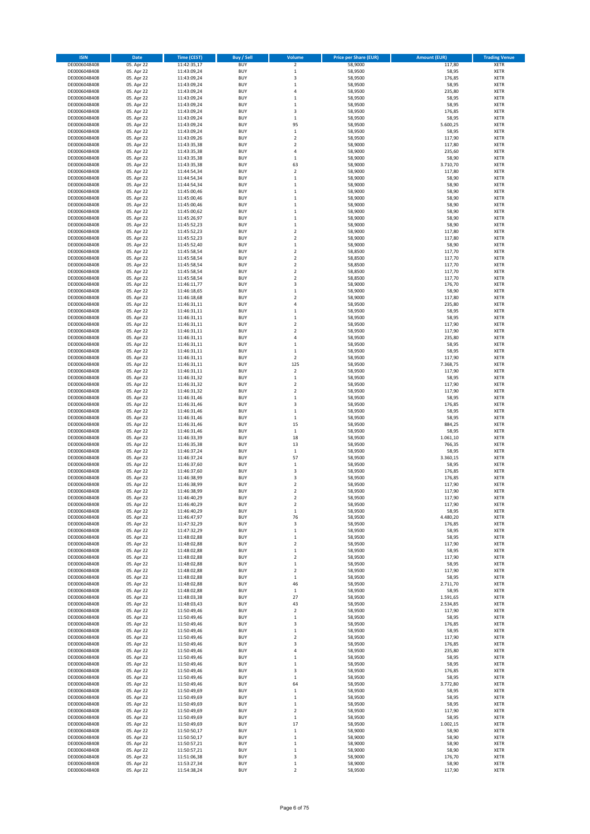| <b>ISIN</b>                  | Date                     | Time (CEST)                | <b>Buy / Sell</b>        | Volume                             | <b>Price per Share (EUR)</b> | <b>Amount (EUR)</b> | <b>Trading Venue</b>       |
|------------------------------|--------------------------|----------------------------|--------------------------|------------------------------------|------------------------------|---------------------|----------------------------|
| DE0006048408                 | 05. Apr 22               | 11:42:35,17                | <b>BUY</b>               | $\mathbf 2$                        | 58,9000                      | 117,80              | <b>XETR</b>                |
| DE0006048408                 | 05. Apr 22               | 11:43:09,24                | <b>BUY</b>               | $\,1\,$                            | 58,9500                      | 58,95               | XETR                       |
| DE0006048408                 | 05. Apr 22               | 11:43:09,24                | <b>BUY</b>               | 3                                  | 58,9500                      | 176,85              | XETR                       |
| DE0006048408                 | 05. Apr 22               | 11:43:09,24                | <b>BUY</b>               | $\,1\,$                            | 58,9500                      | 58,95               | <b>XETR</b>                |
| DE0006048408<br>DE0006048408 | 05. Apr 22<br>05. Apr 22 | 11:43:09,24<br>11:43:09,24 | <b>BUY</b><br><b>BUY</b> | 4<br>$\mathbf{1}$                  | 58,9500<br>58,9500           | 235,80<br>58,95     | XETR<br><b>XETR</b>        |
| DE0006048408                 | 05. Apr 22               | 11:43:09,24                | <b>BUY</b>               | $\mathbf{1}$                       | 58,9500                      | 58,95               | <b>XETR</b>                |
| DE0006048408                 | 05. Apr 22               | 11:43:09,24                | <b>BUY</b>               | 3                                  | 58,9500                      | 176,85              | <b>XETR</b>                |
| DE0006048408                 | 05. Apr 22               | 11:43:09,24                | <b>BUY</b>               | $\,1\,$                            | 58,9500                      | 58,95               | XETR                       |
| DE0006048408                 | 05. Apr 22               | 11:43:09,24                | <b>BUY</b>               | 95                                 | 58,9500                      | 5.600,25            | <b>XETR</b>                |
| DE0006048408                 | 05. Apr 22               | 11:43:09,24                | <b>BUY</b><br><b>BUY</b> | $\,$ 1<br>$\overline{2}$           | 58,9500<br>58,9500           | 58,95<br>117,90     | XETR<br><b>XETR</b>        |
| DE0006048408<br>DE0006048408 | 05. Apr 22<br>05. Apr 22 | 11:43:09,26<br>11:43:35,38 | <b>BUY</b>               | $\boldsymbol{2}$                   | 58,9000                      | 117,80              | XETR                       |
| DE0006048408                 | 05. Apr 22               | 11:43:35,38                | <b>BUY</b>               | $\sqrt{4}$                         | 58,9000                      | 235,60              | <b>XETR</b>                |
| DE0006048408                 | 05. Apr 22               | 11:43:35,38                | <b>BUY</b>               | $\,1\,$                            | 58,9000                      | 58,90               | <b>XETR</b>                |
| DE0006048408                 | 05. Apr 22               | 11:43:35,38                | <b>BUY</b>               | 63                                 | 58,9000                      | 3.710,70            | <b>XETR</b>                |
| DE0006048408                 | 05. Apr 22               | 11:44:54,34                | <b>BUY</b>               | $\boldsymbol{2}$                   | 58,9000                      | 117,80              | <b>XETR</b>                |
| DE0006048408<br>DE0006048408 | 05. Apr 22<br>05. Apr 22 | 11:44:54,34<br>11:44:54,34 | <b>BUY</b><br><b>BUY</b> | $\mathbf 1$<br>$\,1\,$             | 58,9000<br>58,9000           | 58,90<br>58,90      | <b>XETR</b><br><b>XETR</b> |
| DE0006048408                 | 05. Apr 22               | 11:45:00,46                | <b>BUY</b>               | $\,$ 1                             | 58,9000                      | 58,90               | <b>XETR</b>                |
| DE0006048408                 | 05. Apr 22               | 11:45:00,46                | <b>BUY</b>               | $\,$ 1                             | 58,9000                      | 58,90               | <b>XETR</b>                |
| DE0006048408                 | 05. Apr 22               | 11:45:00,46                | <b>BUY</b>               | $\,1\,$                            | 58,9000                      | 58,90               | <b>XETR</b>                |
| DE0006048408                 | 05. Apr 22               | 11:45:00,62                | <b>BUY</b>               | $\,1\,$                            | 58,9000                      | 58,90               | <b>XETR</b>                |
| DE0006048408                 | 05. Apr 22               | 11:45:26,97                | <b>BUY</b>               | $\,1\,$                            | 58,9000                      | 58,90               | <b>XETR</b>                |
| DE0006048408                 | 05. Apr 22<br>05. Apr 22 | 11:45:52,23                | <b>BUY</b><br><b>BUY</b> | $\mathbf 1$<br>$\overline{2}$      | 58,9000                      | 58,90<br>117,80     | <b>XETR</b><br><b>XETR</b> |
| DE0006048408<br>DE0006048408 | 05. Apr 22               | 11:45:52,23<br>11:45:52,23 | <b>BUY</b>               | $\overline{2}$                     | 58,9000<br>58,9000           | 117,80              | <b>XETR</b>                |
| DE0006048408                 | 05. Apr 22               | 11:45:52,40                | <b>BUY</b>               | $\,$ 1                             | 58,9000                      | 58,90               | <b>XETR</b>                |
| DE0006048408                 | 05. Apr 22               | 11:45:58,54                | <b>BUY</b>               | $\overline{2}$                     | 58,8500                      | 117,70              | <b>XETR</b>                |
| DE0006048408                 | 05. Apr 22               | 11:45:58,54                | <b>BUY</b>               | $\boldsymbol{2}$                   | 58,8500                      | 117,70              | XETR                       |
| DE0006048408                 | 05. Apr 22               | 11:45:58,54                | <b>BUY</b>               | $\overline{2}$                     | 58,8500                      | 117,70              | <b>XETR</b>                |
| DE0006048408<br>DE0006048408 | 05. Apr 22<br>05. Apr 22 | 11:45:58,54<br>11:45:58,54 | <b>BUY</b><br><b>BUY</b> | $\boldsymbol{2}$<br>$\overline{2}$ | 58,8500<br>58,8500           | 117,70<br>117,70    | XETR<br><b>XETR</b>        |
| DE0006048408                 | 05. Apr 22               | 11:46:11,77                | <b>BUY</b>               | 3                                  | 58,9000                      | 176,70              | XETR                       |
| DE0006048408                 | 05. Apr 22               | 11:46:18,65                | <b>BUY</b>               | $\mathbf{1}$                       | 58,9000                      | 58,90               | <b>XETR</b>                |
| DE0006048408                 | 05. Apr 22               | 11:46:18,68                | <b>BUY</b>               | $\boldsymbol{2}$                   | 58,9000                      | 117,80              | XETR                       |
| DE0006048408                 | 05. Apr 22               | 11:46:31,11                | <b>BUY</b>               | $\sqrt{4}$                         | 58,9500                      | 235,80              | <b>XETR</b>                |
| DE0006048408                 | 05. Apr 22               | 11:46:31,11                | <b>BUY</b>               | $\,1\,$                            | 58,9500                      | 58,95               | XETR                       |
| DE0006048408                 | 05. Apr 22<br>05. Apr 22 | 11:46:31,11                | <b>BUY</b>               | $\mathbf 1$<br>$\mathbf 2$         | 58,9500                      | 58,95               | <b>XETR</b><br><b>XETR</b> |
| DE0006048408<br>DE0006048408 | 05. Apr 22               | 11:46:31,11<br>11:46:31,11 | <b>BUY</b><br><b>BUY</b> | $\overline{2}$                     | 58,9500<br>58,9500           | 117,90<br>117,90    | <b>XETR</b>                |
| DE0006048408                 | 05. Apr 22               | 11:46:31,11                | <b>BUY</b>               | $\sqrt{4}$                         | 58,9500                      | 235,80              | <b>XETR</b>                |
| DE0006048408                 | 05. Apr 22               | 11:46:31,11                | <b>BUY</b>               | $\mathbf{1}$                       | 58,9500                      | 58,95               | <b>XETR</b>                |
| DE0006048408                 | 05. Apr 22               | 11:46:31,11                | <b>BUY</b>               | $\,1\,$                            | 58,9500                      | 58,95               | <b>XETR</b>                |
| DE0006048408                 | 05. Apr 22               | 11:46:31,11                | <b>BUY</b>               | $\mathbf 2$                        | 58,9500                      | 117,90              | <b>XETR</b>                |
| DE0006048408                 | 05. Apr 22               | 11:46:31,11                | <b>BUY</b><br><b>BUY</b> | 125<br>$\boldsymbol{2}$            | 58,9500                      | 7.368,75            | <b>XETR</b>                |
| DE0006048408<br>DE0006048408 | 05. Apr 22<br>05. Apr 22 | 11:46:31,11<br>11:46:31,32 | <b>BUY</b>               | $\,$ 1                             | 58,9500<br>58,9500           | 117,90<br>58,95     | <b>XETR</b><br><b>XETR</b> |
| DE0006048408                 | 05. Apr 22               | 11:46:31,32                | <b>BUY</b>               | $\boldsymbol{2}$                   | 58,9500                      | 117,90              | <b>XETR</b>                |
| DE0006048408                 | 05. Apr 22               | 11:46:31,32                | <b>BUY</b>               | $\boldsymbol{2}$                   | 58,9500                      | 117,90              | XETR                       |
| DE0006048408                 | 05. Apr 22               | 11:46:31,46                | <b>BUY</b>               | $\,1\,$                            | 58,9500                      | 58,95               | <b>XETR</b>                |
| DE0006048408                 | 05. Apr 22               | 11:46:31,46                | <b>BUY</b>               | 3                                  | 58,9500                      | 176,85              | <b>XETR</b>                |
| DE0006048408<br>DE0006048408 | 05. Apr 22<br>05. Apr 22 | 11:46:31,46<br>11:46:31,46 | <b>BUY</b><br><b>BUY</b> | $\,1\,$<br>$\,$ 1                  | 58,9500<br>58,9500           | 58,95<br>58,95      | <b>XETR</b><br><b>XETR</b> |
| DE0006048408                 | 05. Apr 22               | 11:46:31,46                | <b>BUY</b>               | 15                                 | 58,9500                      | 884,25              | <b>XETR</b>                |
| DE0006048408                 | 05. Apr 22               | 11:46:31,46                | <b>BUY</b>               | $\mathbf 1$                        | 58,9500                      | 58,95               | <b>XETR</b>                |
| DE0006048408                 | 05. Apr 22               | 11:46:33,39                | <b>BUY</b>               | 18                                 | 58,9500                      | 1.061,10            | <b>XETR</b>                |
| DE0006048408                 | 05. Apr 22               | 11:46:35,38                | <b>BUY</b>               | 13                                 | 58,9500                      | 766,35              | <b>XETR</b>                |
| DE0006048408                 | 05. Apr 22               | 11:46:37,24                | <b>BUY</b><br><b>BUY</b> | $\,1\,$<br>57                      | 58,9500                      | 58,95               | XETR<br><b>XETR</b>        |
| DE0006048408<br>DE0006048408 | 05. Apr 22<br>05. Apr 22 | 11:46:37,24<br>11:46:37,60 | <b>BUY</b>               | $\,$ 1                             | 58,9500<br>58,9500           | 3.360,15<br>58,95   | XETR                       |
| DE0006048408                 | 05. Apr 22               | 11:46:37,60                | <b>BUY</b>               | 3                                  | 58,9500                      | 176,85              | <b>XETR</b>                |
| DE0006048408                 | 05. Apr 22               | 11:46:38,99                | <b>BUY</b>               | 3                                  | 58,9500                      | 176,85              | <b>XETR</b>                |
| DE0006048408                 | 05. Apr 22               | 11:46:38,99                | <b>BUY</b>               | $\overline{2}$                     | 58,9500                      | 117,90              | <b>XETR</b>                |
| DE0006048408                 | 05. Apr 22               | 11:46:38,99                | <b>BUY</b>               | $\overline{2}$                     | 58,9500                      | 117,90              | <b>XETR</b>                |
| DE0006048408                 | 05. Apr 22               | 11:46:40,29                | <b>BUY</b>               | $\overline{\mathbf{2}}$            | 58,9500                      | 117,90              | <b>XETR</b>                |
| DE0006048408<br>DE0006048408 | 05. Apr 22<br>05. Apr 22 | 11:46:40,29<br>11:46:40,29 | <b>BUY</b><br><b>BUY</b> | $\boldsymbol{2}$<br>$\mathbf 1$    | 58,9500<br>58,9500           | 117,90<br>58,95     | <b>XETR</b><br>XETR        |
| DE0006048408                 | 05. Apr 22               | 11:46:47,97                | <b>BUY</b>               | 76                                 | 58,9500                      | 4.480,20            | XETR                       |
| DE0006048408                 | 05. Apr 22               | 11:47:32,29                | <b>BUY</b>               | 3                                  | 58,9500                      | 176,85              | <b>XETR</b>                |
| DE0006048408                 | 05. Apr 22               | 11:47:32,29                | <b>BUY</b>               | $\mathbf 1$                        | 58,9500                      | 58,95               | XETR                       |
| DE0006048408                 | 05. Apr 22               | 11:48:02,88                | <b>BUY</b>               | $\,1\,$                            | 58,9500                      | 58,95               | <b>XETR</b>                |
| DE0006048408<br>DE0006048408 | 05. Apr 22<br>05. Apr 22 | 11:48:02,88<br>11:48:02,88 | <b>BUY</b><br><b>BUY</b> | $\boldsymbol{2}$<br>$\,1\,$        | 58,9500<br>58,9500           | 117,90<br>58,95     | <b>XETR</b><br><b>XETR</b> |
| DE0006048408                 | 05. Apr 22               | 11:48:02,88                | <b>BUY</b>               | $\boldsymbol{2}$                   | 58,9500                      | 117,90              | <b>XETR</b>                |
| DE0006048408                 | 05. Apr 22               | 11:48:02,88                | <b>BUY</b>               | $\,1\,$                            | 58,9500                      | 58,95               | <b>XETR</b>                |
| DE0006048408                 | 05. Apr 22               | 11:48:02,88                | <b>BUY</b>               | $\boldsymbol{2}$                   | 58,9500                      | 117,90              | <b>XETR</b>                |
| DE0006048408                 | 05. Apr 22               | 11:48:02,88                | <b>BUY</b>               | $\,1\,$                            | 58,9500                      | 58,95               | <b>XETR</b>                |
| DE0006048408                 | 05. Apr 22               | 11:48:02,88                | <b>BUY</b>               | 46                                 | 58,9500<br>58,9500           | 2.711,70<br>58,95   | XETR                       |
| DE0006048408<br>DE0006048408 | 05. Apr 22<br>05. Apr 22 | 11:48:02,88<br>11:48:03,38 | <b>BUY</b><br><b>BUY</b> | $\,1\,$<br>27                      | 58,9500                      | 1.591,65            | <b>XETR</b><br><b>XETR</b> |
| DE0006048408                 | 05. Apr 22               | 11:48:03,43                | <b>BUY</b>               | 43                                 | 58,9500                      | 2.534,85            | <b>XETR</b>                |
| DE0006048408                 | 05. Apr 22               | 11:50:49,46                | <b>BUY</b>               | $\overline{\mathbf{2}}$            | 58,9500                      | 117,90              | <b>XETR</b>                |
| DE0006048408                 | 05. Apr 22               | 11:50:49,46                | <b>BUY</b>               | $\mathbf{1}$                       | 58,9500                      | 58,95               | <b>XETR</b>                |
| DE0006048408                 | 05. Apr 22               | 11:50:49,46                | <b>BUY</b>               | 3                                  | 58,9500                      | 176,85              | XETR                       |
| DE0006048408<br>DE0006048408 | 05. Apr 22<br>05. Apr 22 | 11:50:49,46<br>11:50:49,46 | <b>BUY</b><br><b>BUY</b> | $\,1\,$<br>$\mathbf 2$             | 58,9500<br>58,9500           | 58,95<br>117,90     | <b>XETR</b><br><b>XETR</b> |
| DE0006048408                 | 05. Apr 22               | 11:50:49,46                | <b>BUY</b>               | 3                                  | 58,9500                      | 176,85              | XETR                       |
| DE0006048408                 | 05. Apr 22               | 11:50:49,46                | <b>BUY</b>               | 4                                  | 58,9500                      | 235,80              | <b>XETR</b>                |
| DE0006048408                 | 05. Apr 22               | 11:50:49,46                | <b>BUY</b>               | $\mathbf{1}$                       | 58,9500                      | 58,95               | <b>XETR</b>                |
| DE0006048408                 | 05. Apr 22               | 11:50:49,46                | <b>BUY</b>               | $\mathbf 1$                        | 58,9500                      | 58,95               | <b>XETR</b>                |
| DE0006048408                 | 05. Apr 22               | 11:50:49,46                | <b>BUY</b>               | 3                                  | 58,9500                      | 176,85              | <b>XETR</b>                |
| DE0006048408<br>DE0006048408 | 05. Apr 22<br>05. Apr 22 | 11:50:49,46<br>11:50:49,46 | <b>BUY</b><br><b>BUY</b> | $\mathbf 1$<br>64                  | 58,9500<br>58,9500           | 58,95<br>3.772,80   | <b>XETR</b><br>XETR        |
| DE0006048408                 | 05. Apr 22               | 11:50:49,69                | <b>BUY</b>               | $\mathbf 1$                        | 58,9500                      | 58,95               | <b>XETR</b>                |
| DE0006048408                 | 05. Apr 22               | 11:50:49,69                | <b>BUY</b>               | $\,$ 1                             | 58,9500                      | 58,95               | XETR                       |
| DE0006048408                 | 05. Apr 22               | 11:50:49,69                | <b>BUY</b>               | $\,1\,$                            | 58,9500                      | 58,95               | <b>XETR</b>                |
| DE0006048408                 | 05. Apr 22               | 11:50:49,69                | <b>BUY</b>               | $\boldsymbol{2}$                   | 58,9500                      | 117,90              | <b>XETR</b>                |
| DE0006048408                 | 05. Apr 22               | 11:50:49,69                | <b>BUY</b>               | $\,1\,$                            | 58,9500                      | 58,95               | <b>XETR</b>                |
| DE0006048408<br>DE0006048408 | 05. Apr 22<br>05. Apr 22 | 11:50:49,69<br>11:50:50,17 | <b>BUY</b><br><b>BUY</b> | 17<br>$\,1\,$                      | 58,9500<br>58,9000           | 1.002,15<br>58,90   | <b>XETR</b><br><b>XETR</b> |
| DE0006048408                 | 05. Apr 22               | 11:50:50,17                | <b>BUY</b>               | $\,$ 1                             | 58,9000                      | 58,90               | <b>XETR</b>                |
| DE0006048408                 | 05. Apr 22               | 11:50:57,21                | <b>BUY</b>               | $\,1\,$                            | 58,9000                      | 58,90               | <b>XETR</b>                |
| DE0006048408                 | 05. Apr 22               | 11:50:57,21                | <b>BUY</b>               | $\,$ 1                             | 58,9000                      | 58,90               | XETR                       |
| DE0006048408                 | 05. Apr 22               | 11:51:06,38                | <b>BUY</b>               | 3                                  | 58,9000                      | 176,70              | <b>XETR</b>                |
| DE0006048408<br>DE0006048408 | 05. Apr 22<br>05. Apr 22 | 11:53:27,34<br>11:54:38,24 | <b>BUY</b><br><b>BUY</b> | $\,$ 1<br>$\boldsymbol{2}$         | 58,9000<br>58,9500           | 58,90<br>117,90     | XETR<br><b>XETR</b>        |
|                              |                          |                            |                          |                                    |                              |                     |                            |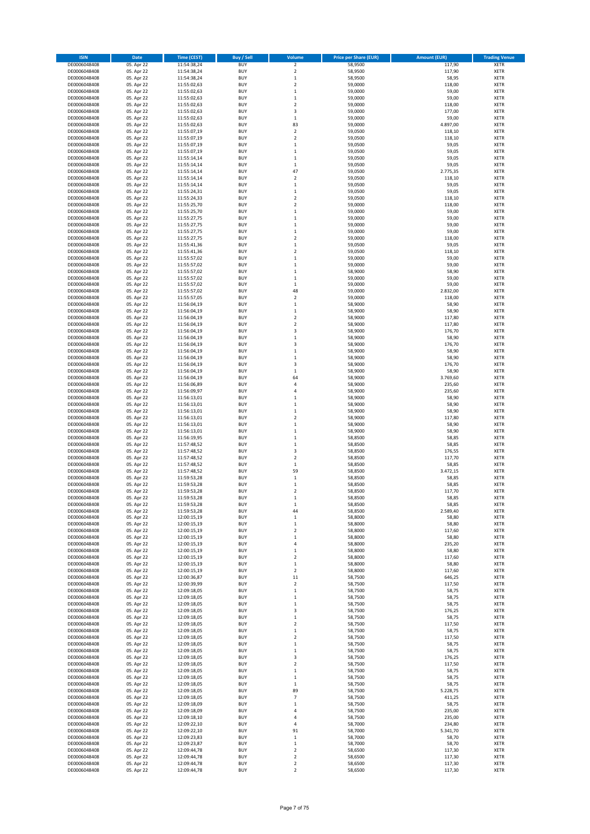| <b>ISIN</b>  | Date       | <b>Time (CEST)</b> | <b>Buy / Sell</b> | Volume                  | <b>Price per Share (EUR)</b> | <b>Amount (EUR)</b> | <b>Trading Venue</b> |
|--------------|------------|--------------------|-------------------|-------------------------|------------------------------|---------------------|----------------------|
| DE0006048408 | 05. Apr 22 | 11:54:38,24        | <b>BUY</b>        | $\mathbf 2$             | 58,9500                      | 117,90              | <b>XETR</b>          |
| DE0006048408 | 05. Apr 22 | 11:54:38,24        | <b>BUY</b>        | $\overline{2}$          | 58,9500                      | 117,90              | XETR                 |
| DE0006048408 | 05. Apr 22 | 11:54:38,24        | <b>BUY</b>        | $\,1\,$                 | 58,9500                      | 58,95               | XETR                 |
| DE0006048408 | 05. Apr 22 | 11:55:02,63        | <b>BUY</b>        | $\overline{2}$          | 59,0000                      | 118,00              | <b>XETR</b>          |
| DE0006048408 | 05. Apr 22 | 11:55:02,63        | <b>BUY</b>        | $\,1\,$                 | 59,0000                      | 59,00               | XETR                 |
| DE0006048408 | 05. Apr 22 | 11:55:02,63        | <b>BUY</b>        | $\mathbf 1$             | 59,0000                      | 59,00               | <b>XETR</b>          |
| DE0006048408 | 05. Apr 22 | 11:55:02,63        | <b>BUY</b>        | $\overline{2}$          | 59,0000                      | 118,00              | <b>XETR</b>          |
| DE0006048408 | 05. Apr 22 | 11:55:02,63        | <b>BUY</b>        | 3                       | 59,0000                      | 177,00              | <b>XETR</b>          |
| DE0006048408 | 05. Apr 22 | 11:55:02,63        | <b>BUY</b>        | $\,1\,$                 | 59,0000                      | 59,00               | XETR                 |
| DE0006048408 | 05. Apr 22 | 11:55:02,63        | <b>BUY</b>        | 83                      | 59,0000                      | 4.897,00            | <b>XETR</b>          |
| DE0006048408 | 05. Apr 22 | 11:55:07,19        | <b>BUY</b>        | $\mathbf 2$             | 59,0500                      | 118,10              | XETR                 |
| DE0006048408 | 05. Apr 22 | 11:55:07,19        | <b>BUY</b>        | $\overline{2}$          | 59,0500                      | 118,10              | <b>XETR</b>          |
| DE0006048408 | 05. Apr 22 | 11:55:07,19        | <b>BUY</b>        | $\,1\,$                 | 59,0500                      | 59,05               | XETR                 |
| DE0006048408 | 05. Apr 22 | 11:55:07,19        | <b>BUY</b>        | $\mathbf 1$             | 59,0500                      | 59,05               | <b>XETR</b>          |
| DE0006048408 | 05. Apr 22 | 11:55:14,14        | <b>BUY</b>        | $\,$ 1                  | 59,0500                      | 59,05               | XETR                 |
| DE0006048408 | 05. Apr 22 | 11:55:14,14        | <b>BUY</b>        | $\,1\,$                 | 59,0500                      | 59,05               | <b>XETR</b>          |
| DE0006048408 | 05. Apr 22 | 11:55:14,14        | <b>BUY</b>        | 47                      | 59,0500                      | 2.775,35            | <b>XETR</b>          |
| DE0006048408 | 05. Apr 22 | 11:55:14,14        | <b>BUY</b>        | $\overline{\mathbf{2}}$ | 59,0500                      | 118,10              | <b>XETR</b>          |
| DE0006048408 | 05. Apr 22 | 11:55:14,14        | <b>BUY</b>        | $\,1\,$                 | 59,0500                      | 59,05               | <b>XETR</b>          |
| DE0006048408 | 05. Apr 22 | 11:55:24,31        | <b>BUY</b>        | $\,$ 1                  | 59,0500                      | 59,05               | <b>XETR</b>          |
| DE0006048408 | 05. Apr 22 | 11:55:24,33        | <b>BUY</b>        | $\overline{2}$          | 59,0500                      | 118,10              | <b>XETR</b>          |
| DE0006048408 | 05. Apr 22 | 11:55:25,70        | <b>BUY</b>        | $\overline{2}$          | 59,0000                      | 118,00              | <b>XETR</b>          |
| DE0006048408 | 05. Apr 22 | 11:55:25,70        | <b>BUY</b>        | $\,1\,$                 | 59,0000                      | 59,00               | <b>XETR</b>          |
| DE0006048408 | 05. Apr 22 | 11:55:27,75        | <b>BUY</b>        | $\mathbf 1$             | 59,0000                      | 59,00               | <b>XETR</b>          |
| DE0006048408 | 05. Apr 22 | 11:55:27,75        | <b>BUY</b>        | $\mathbf 1$             | 59,0000                      | 59,00               | <b>XETR</b>          |
| DE0006048408 | 05. Apr 22 | 11:55:27,75        | <b>BUY</b>        | $\mathbf 1$             | 59,0000                      | 59,00               | <b>XETR</b>          |
| DE0006048408 | 05. Apr 22 | 11:55:27,75        | <b>BUY</b>        | $\overline{2}$          | 59,0000                      | 118,00              | <b>XETR</b>          |
| DE0006048408 | 05. Apr 22 | 11:55:41,36        | <b>BUY</b>        | $\,$ 1                  | 59,0500                      | 59,05               | <b>XETR</b>          |
| DE0006048408 | 05. Apr 22 | 11:55:41,36        | <b>BUY</b>        | $\overline{2}$          | 59,0500                      | 118,10              | <b>XETR</b>          |
| DE0006048408 | 05. Apr 22 | 11:55:57,02        | <b>BUY</b>        | $\,1\,$                 | 59,0000                      | 59,00               | XETR                 |
| DE0006048408 | 05. Apr 22 | 11:55:57,02        | <b>BUY</b>        | $\mathbf 1$             | 59,0000                      | 59,00               | <b>XETR</b>          |
| DE0006048408 | 05. Apr 22 | 11:55:57,02        | <b>BUY</b>        | $\,$ 1                  | 58,9000                      | 58,90               | <b>XETR</b>          |
| DE0006048408 | 05. Apr 22 | 11:55:57,02        | <b>BUY</b>        | $\mathbf 1$             | 59,0000                      | 59,00               | <b>XETR</b>          |
| DE0006048408 | 05. Apr 22 | 11:55:57,02        | <b>BUY</b>        | $\,1\,$                 | 59,0000                      | 59,00               | <b>XETR</b>          |
| DE0006048408 | 05. Apr 22 | 11:55:57,02        | <b>BUY</b>        | 48                      | 59,0000                      | 2.832,00            | <b>XETR</b>          |
| DE0006048408 | 05. Apr 22 | 11:55:57,05        | <b>BUY</b>        | $\mathbf 2$             | 59,0000                      | 118,00              | <b>XETR</b>          |
| DE0006048408 | 05. Apr 22 | 11:56:04,19        | <b>BUY</b>        | $\,1\,$                 | 58,9000                      | 58,90               | <b>XETR</b>          |
| DE0006048408 | 05. Apr 22 | 11:56:04,19        | <b>BUY</b>        | $\,$ 1                  | 58,9000                      | 58,90               | XETR                 |
| DE0006048408 | 05. Apr 22 | 11:56:04,19        | <b>BUY</b>        | $\overline{\mathbf{c}}$ | 58,9000                      | 117,80              | <b>XETR</b>          |
| DE0006048408 | 05. Apr 22 | 11:56:04,19        | <b>BUY</b>        | $\mathbf 2$             | 58,9000                      | 117,80              | <b>XETR</b>          |
| DE0006048408 | 05. Apr 22 | 11:56:04,19        | <b>BUY</b>        | 3                       | 58,9000                      | 176,70              | <b>XETR</b>          |
| DE0006048408 | 05. Apr 22 | 11:56:04,19        | <b>BUY</b>        | $\mathbf 1$             | 58,9000                      | 58,90               | <b>XETR</b>          |
| DE0006048408 | 05. Apr 22 | 11:56:04,19        | <b>BUY</b>        | 3                       | 58,9000                      | 176,70              | <b>XETR</b>          |
| DE0006048408 | 05. Apr 22 | 11:56:04,19        | BUY               | $\,1\,$                 | 58,9000                      | 58,90               | <b>XETR</b>          |
| DE0006048408 | 05. Apr 22 | 11:56:04,19        | <b>BUY</b>        | $\,$ 1                  | 58,9000                      | 58,90               | <b>XETR</b>          |
| DE0006048408 | 05. Apr 22 | 11:56:04,19        | <b>BUY</b>        | 3                       | 58,9000                      | 176,70              | <b>XETR</b>          |
| DE0006048408 | 05. Apr 22 | 11:56:04,19        | <b>BUY</b>        | $\,$ 1                  | 58,9000                      | 58,90               | <b>XETR</b>          |
| DE0006048408 | 05. Apr 22 | 11:56:04,19        | <b>BUY</b>        | 64                      | 58,9000                      | 3.769,60            | <b>XETR</b>          |
| DE0006048408 | 05. Apr 22 | 11:56:06,89        | <b>BUY</b>        | 4                       | 58,9000                      | 235,60              | <b>XETR</b>          |
| DE0006048408 | 05. Apr 22 | 11:56:09,97        | <b>BUY</b>        | $\sqrt{4}$              | 58,9000                      | 235,60              | <b>XETR</b>          |
| DE0006048408 | 05. Apr 22 | 11:56:13,01        | <b>BUY</b>        | $\mathbf{1}$            | 58,9000                      | 58,90               | <b>XETR</b>          |
| DE0006048408 | 05. Apr 22 | 11:56:13,01        | <b>BUY</b>        | $\,1\,$                 | 58,9000                      | 58,90               | <b>XETR</b>          |
| DE0006048408 | 05. Apr 22 | 11:56:13,01        | <b>BUY</b>        | $\,$ 1                  | 58,9000                      | 58,90               | <b>XETR</b>          |
| DE0006048408 | 05. Apr 22 | 11:56:13,01        | <b>BUY</b>        | $\boldsymbol{2}$        | 58,9000                      | 117,80              | <b>XETR</b>          |
| DE0006048408 | 05. Apr 22 | 11:56:13,01        | <b>BUY</b>        | $\,1\,$                 | 58,9000                      | 58,90               | <b>XETR</b>          |
| DE0006048408 | 05. Apr 22 | 11:56:13,01        | <b>BUY</b>        | $\mathbf 1$             | 58,9000                      | 58,90               | <b>XETR</b>          |
| DE0006048408 | 05. Apr 22 | 11:56:19,95        | <b>BUY</b>        | $\mathbf{1}$            | 58,8500                      | 58,85               | <b>XETR</b>          |
| DE0006048408 | 05. Apr 22 | 11:57:48,52        | <b>BUY</b>        | $\,1\,$                 | 58,8500                      | 58,85               | <b>XETR</b>          |
| DE0006048408 | 05. Apr 22 | 11:57:48,52        | <b>BUY</b>        | 3                       | 58,8500                      | 176,55              | XETR                 |
| DE0006048408 | 05. Apr 22 | 11:57:48,52        | <b>BUY</b>        | $\overline{2}$          | 58,8500                      | 117,70              | <b>XETR</b>          |
| DE0006048408 | 05. Apr 22 | 11:57:48,52        | <b>BUY</b>        | $\,$ 1                  | 58,8500                      | 58,85               | XETR                 |
| DE0006048408 | 05. Apr 22 | 11:57:48,52        | <b>BUY</b>        | 59                      | 58,8500                      | 3.472,15            | <b>XETR</b>          |
| DE0006048408 | 05. Apr 22 | 11:59:53,28        | <b>BUY</b>        | $\,1\,$                 | 58,8500                      | 58,85               | <b>XETR</b>          |
| DE0006048408 | 05. Apr 22 | 11:59:53,28        | BUY               | $\mathbf 1$             | 58,8500                      | 58,85               | <b>XETR</b>          |
| DE0006048408 | 05. Apr 22 | 11:59:53,28        | BUY               | $\overline{2}$          | 58,8500                      | 117,70              | <b>XETR</b>          |
| DE0006048408 | 05. Apr 22 | 11:59:53,28        | <b>BUY</b>        | $\mathbf{1}$            | 58,8500                      | 58,85               | <b>XETR</b>          |
| DE0006048408 | 05. Apr 22 | 11:59:53,28        | <b>BUY</b>        | $\,$ 1                  | 58,8500                      | 58,85               | <b>XETR</b>          |
| DE0006048408 | 05. Apr 22 | 11:59:53,28        | <b>BUY</b>        | 44                      | 58,8500                      | 2.589,40            | XETR                 |
| DE0006048408 | 05. Apr 22 | 12:00:15,19        | <b>BUY</b>        | $\,$ 1                  | 58,8000                      | 58,80               | XETR                 |
| DE0006048408 | 05. Apr 22 | 12:00:15,19        | <b>BUY</b>        | $\,1\,$                 | 58,8000                      | 58,80               | <b>XETR</b>          |
| DE0006048408 | 05. Apr 22 | 12:00:15,19        | <b>BUY</b>        | $\boldsymbol{2}$        | 58,8000                      | 117,60              | XETR                 |
| DE0006048408 | 05. Apr 22 | 12:00:15,19        | <b>BUY</b>        | $\,1\,$                 | 58,8000                      | 58,80               | <b>XETR</b>          |
| DE0006048408 | 05. Apr 22 | 12:00:15,19        | <b>BUY</b>        | $\sqrt{4}$              | 58,8000                      | 235,20              | <b>XETR</b>          |
| DE0006048408 | 05. Apr 22 | 12:00:15,19        | <b>BUY</b>        | $\,1\,$                 | 58,8000                      | 58,80               | <b>XETR</b>          |
| DE0006048408 | 05. Apr 22 | 12:00:15,19        | <b>BUY</b>        | $\boldsymbol{2}$        | 58,8000                      | 117,60              | <b>XETR</b>          |
| DE0006048408 | 05. Apr 22 | 12:00:15,19        | <b>BUY</b>        | $\,1\,$                 | 58,8000                      | 58,80               | <b>XETR</b>          |
| DE0006048408 | 05. Apr 22 | 12:00:15,19        | <b>BUY</b>        | $\boldsymbol{2}$        | 58,8000                      | 117,60              | XETR                 |
| DE0006048408 | 05. Apr 22 | 12:00:36,87        | <b>BUY</b>        | 11                      | 58,7500                      | 646,25              | <b>XETR</b>          |
| DE0006048408 | 05. Apr 22 | 12:00:39,99        | <b>BUY</b>        | $\boldsymbol{2}$        | 58,7500                      | 117,50              | XETR                 |
| DE0006048408 | 05. Apr 22 | 12:09:18,05        | <b>BUY</b>        | $\,$ 1                  | 58,7500                      | 58,75               | <b>XETR</b>          |
| DE0006048408 | 05. Apr 22 | 12:09:18,05        | <b>BUY</b>        | $\,$ 1                  | 58,7500                      | 58,75               | <b>XETR</b>          |
| DE0006048408 | 05. Apr 22 | 12:09:18,05        | <b>BUY</b>        | $\,$ 1                  | 58,7500                      | 58,75               | <b>XETR</b>          |
| DE0006048408 | 05. Apr 22 | 12:09:18,05        | <b>BUY</b>        | 3                       | 58,7500                      | 176,25              | <b>XETR</b>          |
| DE0006048408 | 05. Apr 22 | 12:09:18,05        | <b>BUY</b>        | $\mathbf{1}$            | 58,7500                      | 58,75               | <b>XETR</b>          |
| DE0006048408 | 05. Apr 22 | 12:09:18,05        | <b>BUY</b>        | $\overline{2}$          | 58,7500                      | 117,50              | <b>XETR</b>          |
| DE0006048408 | 05. Apr 22 | 12:09:18,05        | <b>BUY</b>        | $\,$ 1                  | 58,7500                      | 58,75               | <b>XETR</b>          |
| DE0006048408 | 05. Apr 22 | 12:09:18,05        | <b>BUY</b>        | $\boldsymbol{2}$        | 58,7500                      | 117,50              | <b>XETR</b>          |
| DE0006048408 | 05. Apr 22 | 12:09:18,05        | <b>BUY</b>        | $\,$ 1                  | 58,7500                      | 58,75               | XETR                 |
| DE0006048408 | 05. Apr 22 | 12:09:18,05        | <b>BUY</b>        | $\mathbf 1$             | 58,7500                      | 58,75               | <b>XETR</b>          |
| DE0006048408 | 05. Apr 22 | 12:09:18,05        | <b>BUY</b>        | 3                       | 58,7500                      | 176,25              | <b>XETR</b>          |
| DE0006048408 | 05. Apr 22 | 12:09:18,05        | <b>BUY</b>        | $\overline{2}$          | 58,7500                      | 117,50              | <b>XETR</b>          |
| DE0006048408 | 05. Apr 22 | 12:09:18,05        | <b>BUY</b>        | $\mathbf{1}$            | 58,7500                      | 58,75               | XETR                 |
| DE0006048408 | 05. Apr 22 | 12:09:18,05        | <b>BUY</b>        | $\mathbf 1$             | 58,7500                      | 58,75               | <b>XETR</b>          |
| DE0006048408 | 05. Apr 22 | 12:09:18,05        | <b>BUY</b>        | $\,1\,$                 | 58,7500                      | 58,75               | <b>XETR</b>          |
| DE0006048408 | 05. Apr 22 | 12:09:18,05        | <b>BUY</b>        | 89                      | 58,7500                      | 5.228,75            | <b>XETR</b>          |
| DE0006048408 | 05. Apr 22 | 12:09:18,05        | <b>BUY</b>        | $\overline{7}$          | 58,7500                      | 411,25              | XETR                 |
| DE0006048408 | 05. Apr 22 | 12:09:18,09        | <b>BUY</b>        | $\,1\,$                 | 58,7500                      | 58,75               | <b>XETR</b>          |
| DE0006048408 | 05. Apr 22 | 12:09:18,09        | <b>BUY</b>        | 4                       | 58,7500                      | 235,00              | XETR                 |
| DE0006048408 | 05. Apr 22 | 12:09:18,10        | <b>BUY</b>        | 4                       | 58,7500                      | 235,00              | <b>XETR</b>          |
| DE0006048408 | 05. Apr 22 | 12:09:22,10        | <b>BUY</b>        | 4                       | 58,7000                      | 234,80              | <b>XETR</b>          |
| DE0006048408 | 05. Apr 22 | 12:09:22,10        | <b>BUY</b>        | 91                      | 58,7000                      | 5.341,70            | <b>XETR</b>          |
| DE0006048408 | 05. Apr 22 | 12:09:23,83        | <b>BUY</b>        | $\,$ 1                  | 58,7000                      | 58,70               | XETR                 |
| DE0006048408 | 05. Apr 22 | 12:09:23,87        | <b>BUY</b>        | $\,1\,$                 | 58,7000                      | 58,70               | <b>XETR</b>          |
| DE0006048408 | 05. Apr 22 | 12:09:44,78        | <b>BUY</b>        | $\mathbf 2$             | 58,6500                      | 117,30              | XETR                 |
| DE0006048408 | 05. Apr 22 | 12:09:44,78        | <b>BUY</b>        | $\mathbf 2$             | 58,6500                      | 117,30              | <b>XETR</b>          |
| DE0006048408 | 05. Apr 22 | 12:09:44,78        | <b>BUY</b>        | $\boldsymbol{2}$        | 58,6500                      | 117,30              | XETR                 |
| DE0006048408 | 05. Apr 22 | 12:09:44,78        | <b>BUY</b>        | $\mathbf 2$             | 58,6500                      | 117,30              | <b>XETR</b>          |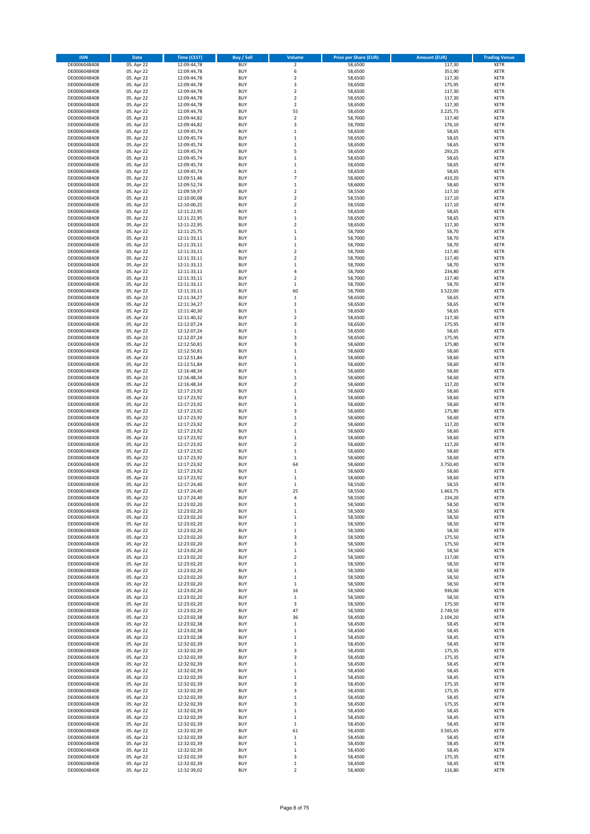| <b>ISIN</b>                  | <b>Date</b>              | Time (CEST)                | <b>Buy / Sell</b>        | Volume                       | <b>Price per Share (EUR)</b> | <b>Amount (EUR)</b> | <b>Trading Venue</b>       |
|------------------------------|--------------------------|----------------------------|--------------------------|------------------------------|------------------------------|---------------------|----------------------------|
| DE0006048408                 | 05. Apr 22               | 12:09:44,78                | <b>BUY</b>               | $\mathbf 2$                  | 58,6500                      | 117,30              | XETR                       |
| DE0006048408                 | 05. Apr 22               | 12:09:44,78                | <b>BUY</b>               | 6                            | 58,6500                      | 351,90              | <b>XETR</b>                |
| DE0006048408                 | 05. Apr 22               | 12:09:44,78                | <b>BUY</b>               | $\overline{\mathbf{c}}$      | 58,6500                      | 117,30              | XETR                       |
| DE0006048408                 | 05. Apr 22               | 12:09:44,78                | <b>BUY</b>               | $\overline{\mathbf{3}}$      | 58,6500                      | 175,95              | <b>XETR</b>                |
| DE0006048408                 | 05. Apr 22               | 12:09:44,78                | <b>BUY</b>               | $\mathbf 2$                  | 58,6500                      | 117,30              | XETR                       |
| DE0006048408                 | 05. Apr 22               | 12:09:44,78                | <b>BUY</b>               | $\overline{\mathbf{c}}$      | 58,6500                      | 117,30              | <b>XETR</b>                |
| DE0006048408                 | 05. Apr 22               | 12:09:44,78                | BUY                      | $\overline{\mathbf{c}}$      | 58,6500                      | 117,30              | <b>XETR</b>                |
| DE0006048408                 | 05. Apr 22               | 12:09:44,78                | <b>BUY</b>               | 55                           | 58,6500                      | 3.225,75            | <b>XETR</b>                |
| DE0006048408                 | 05. Apr 22               | 12:09:44,82                | <b>BUY</b>               | $\mathbf 2$                  | 58,7000                      | 117,40              | XETR                       |
| DE0006048408                 | 05. Apr 22               | 12:09:44,82                | <b>BUY</b>               | 3                            | 58,7000                      | 176,10              | <b>XETR</b>                |
| DE0006048408                 | 05. Apr 22               | 12:09:45,74                | <b>BUY</b>               | $\mathbf{1}$                 | 58,6500                      | 58,65               | XETR                       |
| DE0006048408                 | 05. Apr 22               | 12:09:45,74                | <b>BUY</b><br><b>BUY</b> | $\mathbf 1$                  | 58,6500                      | 58,65               | <b>XETR</b>                |
| DE0006048408<br>DE0006048408 | 05. Apr 22<br>05. Apr 22 | 12:09:45,74<br>12:09:45,74 | <b>BUY</b>               | $\mathbf{1}$<br>5            | 58,6500<br>58,6500           | 58,65<br>293,25     | XETR<br><b>XETR</b>        |
| DE0006048408                 | 05. Apr 22               | 12:09:45,74                | <b>BUY</b>               | $\mathbf{1}$                 | 58,6500                      | 58,65               | XETR                       |
| DE0006048408                 | 05. Apr 22               | 12:09:45,74                | <b>BUY</b>               | $\mathbf{1}$                 | 58,6500                      | 58,65               | <b>XETR</b>                |
| DE0006048408                 | 05. Apr 22               | 12:09:45,74                | <b>BUY</b>               | $\mathbf{1}$                 | 58,6500                      | 58,65               | XETR                       |
| DE0006048408                 | 05. Apr 22               | 12:09:51,46                | <b>BUY</b>               | $\overline{7}$               | 58,6000                      | 410,20              | <b>XETR</b>                |
| DE0006048408                 | 05. Apr 22               | 12:09:52,74                | <b>BUY</b>               | $\mathbf{1}$                 | 58,6000                      | 58,60               | <b>XETR</b>                |
| DE0006048408                 | 05. Apr 22               | 12:09:59,97                | <b>BUY</b>               | $\overline{\mathbf{c}}$      | 58,5500                      | 117,10              | <b>XETR</b>                |
| DE0006048408                 | 05. Apr 22               | 12:10:00,08                | <b>BUY</b>               | $\overline{\mathbf{c}}$      | 58,5500                      | 117,10              | <b>XETR</b>                |
| DE0006048408                 | 05. Apr 22               | 12:10:00,25                | <b>BUY</b>               | $\overline{\mathbf{c}}$      | 58,5500                      | 117,10              | <b>XETR</b>                |
| DE0006048408                 | 05. Apr 22               | 12:11:22,95                | <b>BUY</b>               | $\mathbf{1}$                 | 58,6500                      | 58,65               | <b>XETR</b>                |
| DE0006048408                 | 05. Apr 22               | 12:11:22,95                | <b>BUY</b>               | $\mathbf{1}$                 | 58,6500                      | 58,65               | <b>XETR</b>                |
| DE0006048408                 | 05. Apr 22               | 12:11:22,95                | <b>BUY</b>               | $\overline{2}$               | 58,6500                      | 117,30              | <b>XETR</b>                |
| DE0006048408<br>DE0006048408 | 05. Apr 22<br>05. Apr 22 | 12:11:25,75<br>12:11:33,11 | <b>BUY</b><br><b>BUY</b> | $\mathbf{1}$<br>$\mathbf{1}$ | 58,7000<br>58,7000           | 58,70<br>58,70      | <b>XETR</b><br><b>XETR</b> |
| DE0006048408                 | 05. Apr 22               | 12:11:33,11                | <b>BUY</b>               | $\mathbf 1$                  | 58,7000                      | 58,70               | <b>XETR</b>                |
| DE0006048408                 | 05. Apr 22               | 12:11:33,11                | <b>BUY</b>               | $\overline{\mathbf{2}}$      | 58,7000                      | 117,40              | <b>XETR</b>                |
| DE0006048408                 | 05. Apr 22               | 12:11:33,11                | <b>BUY</b>               | 2                            | 58,7000                      | 117,40              | <b>XETR</b>                |
| DE0006048408                 | 05. Apr 22               | 12:11:33,11                | <b>BUY</b>               | $\mathbf{1}$                 | 58,7000                      | 58,70               | <b>XETR</b>                |
| DE0006048408                 | 05. Apr 22               | 12:11:33,11                | <b>BUY</b>               | 4                            | 58,7000                      | 234,80              | <b>XETR</b>                |
| DE0006048408                 | 05. Apr 22               | 12:11:33,11                | <b>BUY</b>               | $\overline{\mathbf{2}}$      | 58,7000                      | 117,40              | <b>XETR</b>                |
| DE0006048408                 | 05. Apr 22               | 12:11:33,11                | <b>BUY</b>               | 1                            | 58,7000                      | 58,70               | <b>XETR</b>                |
| DE0006048408                 | 05. Apr 22               | 12:11:33,11                | <b>BUY</b>               | 60                           | 58,7000                      | 3.522,00            | <b>XETR</b>                |
| DE0006048408                 | 05. Apr 22               | 12:11:34,27                | <b>BUY</b>               | $\,1\,$                      | 58,6500                      | 58,65               | <b>XETR</b>                |
| DE0006048408                 | 05. Apr 22               | 12:11:34,27                | <b>BUY</b>               | $\,1\,$                      | 58,6500                      | 58,65               | <b>XETR</b>                |
| DE0006048408                 | 05. Apr 22               | 12:11:40,30                | <b>BUY</b>               | $\,1\,$                      | 58,6500                      | 58,65               | <b>XETR</b>                |
| DE0006048408                 | 05. Apr 22               | 12:11:40.32                | <b>BUY</b>               | $\overline{\mathbf{c}}$      | 58,6500                      | 117,30              | <b>XETR</b>                |
| DE0006048408                 | 05. Apr 22               | 12:12:07,24                | BUY                      | $\overline{\mathbf{3}}$      | 58,6500                      | 175,95              | <b>XETR</b>                |
| DE0006048408<br>DE0006048408 | 05. Apr 22<br>05. Apr 22 | 12:12:07,24<br>12:12:07,24 | <b>BUY</b><br><b>BUY</b> | $\mathbf{1}$<br>3            | 58,6500<br>58,6500           | 58,65<br>175,95     | <b>XETR</b><br><b>XETR</b> |
| DE0006048408                 | 05. Apr 22               | 12:12:50,81                | <b>BUY</b>               | 3                            | 58,6000                      | 175,80              | <b>XETR</b>                |
| DE0006048408                 | 05. Apr 22               | 12:12:50,81                | <b>BUY</b>               | $\mathbf{1}$                 | 58,6000                      | 58,60               | <b>XETR</b>                |
| DE0006048408                 | 05. Apr 22               | 12:12:51,84                | <b>BUY</b>               | $\mathbf 1$                  | 58,6000                      | 58,60               | <b>XETR</b>                |
| DE0006048408                 | 05. Apr 22               | 12:12:51,84                | <b>BUY</b>               | $\mathbf 1$                  | 58,6000                      | 58,60               | <b>XETR</b>                |
| DE0006048408                 | 05. Apr 22               | 12:16:48,34                | <b>BUY</b>               | $\mathbf{1}$                 | 58,6000                      | 58,60               | <b>XETR</b>                |
| DE0006048408                 | 05. Apr 22               | 12:16:48,34                | <b>BUY</b>               | $\mathbf{1}$                 | 58,6000                      | 58,60               | <b>XETR</b>                |
| DE0006048408                 | 05. Apr 22               | 12:16:48,34                | <b>BUY</b>               | $\overline{\mathbf{2}}$      | 58,6000                      | 117,20              | <b>XETR</b>                |
| DE0006048408                 | 05. Apr 22               | 12:17:23,92                | <b>BUY</b>               | 1                            | 58,6000                      | 58,60               | <b>XETR</b>                |
| DE0006048408                 | 05. Apr 22               | 12:17:23,92                | <b>BUY</b>               | $\mathbf{1}$                 | 58,6000                      | 58,60               | <b>XETR</b>                |
| DE0006048408                 | 05. Apr 22               | 12:17:23,92                | <b>BUY</b>               | $\mathbf{1}$                 | 58,6000                      | 58,60               | <b>XETR</b>                |
| DE0006048408                 | 05. Apr 22               | 12:17:23,92                | <b>BUY</b>               | 3                            | 58,6000                      | 175,80              | <b>XETR</b>                |
| DE0006048408                 | 05. Apr 22               | 12:17:23,92                | <b>BUY</b>               | $\mathbf 1$                  | 58,6000                      | 58,60               | <b>XETR</b>                |
| DE0006048408                 | 05. Apr 22               | 12:17:23,92                | <b>BUY</b>               | $\overline{\mathbf{c}}$      | 58,6000                      | 117,20              | <b>XETR</b>                |
| DE0006048408                 | 05. Apr 22               | 12:17:23,92                | <b>BUY</b>               | $\mathbf{1}$                 | 58,6000                      | 58,60               | <b>XETR</b>                |
| DE0006048408                 | 05. Apr 22               | 12:17:23,92                | <b>BUY</b>               | $\mathbf{1}$                 | 58,6000                      | 58,60               | <b>XETR</b>                |
| DE0006048408                 | 05. Apr 22               | 12:17:23,92                | <b>BUY</b><br><b>BUY</b> | $\overline{\mathbf{c}}$      | 58,6000                      | 117,20              | <b>XETR</b>                |
| DE0006048408<br>DE0006048408 | 05. Apr 22<br>05. Apr 22 | 12:17:23,92<br>12:17:23,92 | <b>BUY</b>               | 1<br>$\,1\,$                 | 58,6000<br>58,6000           | 58,60<br>58,60      | XETR<br><b>XETR</b>        |
| DE0006048408                 | 05. Apr 22               | 12:17:23,92                | <b>BUY</b>               | 64                           | 58,6000                      | 3.750,40            | XETR                       |
| DE0006048408                 | 05. Apr 22               | 12:17:23,92                | <b>BUY</b>               | $\mathbf 1$                  | 58,6000                      | 58,60               | <b>XETR</b>                |
| DE0006048408                 | 05. Apr 22               | 12:17:23,92                | <b>BUY</b>               | 1                            | 58,6000                      | 58,60               | XETR                       |
| DE0006048408                 | 05. Apr 22               | 12:17:24.40                | <b>BUY</b>               | $\mathbf 1$                  | 58,5500                      | 58,55               | <b>XETR</b>                |
| DE0006048408                 | 05. Apr 22               | 12:17:24,40                | <b>BUY</b>               | 25                           | 58,5500                      | 1.463,75            | <b>XETR</b>                |
| DE0006048408                 | 05. Apr 22               | 12:17:24,40                | <b>BUY</b>               | 4                            | 58,5500                      | 234,20              | XETR                       |
| DE0006048408                 | 05. Apr 22               | 12:23:02,20                | <b>BUY</b>               | 1                            | 58,5000                      | 58,50               | <b>XETR</b>                |
| DE0006048408                 | 05. Apr 22               | 12:23:02,20                | <b>BUY</b>               | $\mathbf{1}$                 | 58,5000                      | 58,50               | XETR                       |
| DE0006048408                 | 05. Apr 22               | 12:23:02,20                | <b>BUY</b>               | 1                            | 58,5000                      | 58,50               | XETR                       |
| DE0006048408                 | 05. Apr 22               | 12:23:02,20                | <b>BUY</b>               | $\mathbf 1$                  | 58,5000                      | 58,50               | <b>XETR</b>                |
| DE0006048408                 | 05. Apr 22               | 12:23:02,20                | <b>BUY</b>               | $\mathbf 1$                  | 58,5000                      | 58,50               | XETR                       |
| DE0006048408                 | 05. Apr 22               | 12:23:02,20                | <b>BUY</b>               | 3                            | 58,5000                      | 175,50              | <b>XETR</b>                |
| DE0006048408                 | 05. Apr 22               | 12:23:02,20                | <b>BUY</b>               | 3                            | 58,5000                      | 175,50              | XETR                       |
| DE0006048408                 | 05. Apr 22<br>05. Apr 22 | 12:23:02,20<br>12:23:02,20 | <b>BUY</b><br><b>BUY</b> | $\mathbf{1}$                 | 58,5000                      | 58,50               | <b>XETR</b>                |
| DE0006048408<br>DE0006048408 | 05. Apr 22               | 12:23:02,20                | <b>BUY</b>               | 2<br>$\mathbf{1}$            | 58,5000<br>58,5000           | 117,00<br>58,50     | XETR<br><b>XETR</b>        |
| DE0006048408                 | 05. Apr 22               | 12:23:02,20                | <b>BUY</b>               | $\mathbf{1}$                 | 58,5000                      | 58,50               | XETR                       |
| DE0006048408                 | 05. Apr 22               | 12:23:02,20                | <b>BUY</b>               | $\mathbf 1$                  | 58,5000                      | 58,50               | <b>XETR</b>                |
| DE0006048408                 | 05. Apr 22               | 12:23:02,20                | <b>BUY</b>               | $\,1\,$                      | 58,5000                      | 58,50               | XETR                       |
| DE0006048408                 | 05. Apr 22               | 12:23:02,20                | <b>BUY</b>               | 16                           | 58,5000                      | 936,00              | <b>XETR</b>                |
| DE0006048408                 | 05. Apr 22               | 12:23:02,20                | <b>BUY</b>               | $\,1\,$                      | 58,5000                      | 58,50               | <b>XETR</b>                |
| DE0006048408                 | 05. Apr 22               | 12:23:02,20                | <b>BUY</b>               | 3                            | 58,5000                      | 175,50              | <b>XETR</b>                |
| DE0006048408                 | 05. Apr 22               | 12:23:02,20                | <b>BUY</b>               | 47                           | 58,5000                      | 2.749,50            | <b>XETR</b>                |
| DE0006048408                 | 05. Apr 22               | 12:23:02,38                | <b>BUY</b>               | 36                           | 58,4500                      | 2.104,20            | <b>XETR</b>                |
| DE0006048408                 | 05. Apr 22               | 12:23:02,38                | <b>BUY</b>               | $\mathbf 1$                  | 58,4500                      | 58,45               | <b>XETR</b>                |
| DE0006048408                 | 05. Apr 22               | 12:23:02,38                | <b>BUY</b>               | 1                            | 58,4500                      | 58,45               | XETR                       |
| DE0006048408                 | 05. Apr 22               | 12:23:02,38<br>12:32:02,39 | <b>BUY</b><br><b>BUY</b> | $\mathbf 1$                  | 58,4500<br>58,4500           | 58,45<br>58,45      | <b>XETR</b><br>XETR        |
| DE0006048408<br>DE0006048408 | 05. Apr 22<br>05. Apr 22 | 12:32:02,39                | <b>BUY</b>               | 1<br>3                       | 58,4500                      | 175,35              | <b>XETR</b>                |
| DE0006048408                 | 05. Apr 22               | 12:32:02,39                | <b>BUY</b>               | 3                            | 58,4500                      | 175,35              | XETR                       |
| DE0006048408                 | 05. Apr 22               | 12:32:02,39                | <b>BUY</b>               | $\mathbf{1}$                 | 58,4500                      | 58,45               | <b>XETR</b>                |
| DE0006048408                 | 05. Apr 22               | 12:32:02,39                | <b>BUY</b>               | 1                            | 58,4500                      | 58,45               | XETR                       |
| DE0006048408                 | 05. Apr 22               | 12:32:02,39                | <b>BUY</b>               | $\mathbf{1}$                 | 58,4500                      | 58,45               | <b>XETR</b>                |
| DE0006048408                 | 05. Apr 22               | 12:32:02,39                | <b>BUY</b>               | 3                            | 58,4500                      | 175,35              | XETR                       |
| DE0006048408                 | 05. Apr 22               | 12:32:02,39                | <b>BUY</b>               | 3                            | 58,4500                      | 175,35              | <b>XETR</b>                |
| DE0006048408                 | 05. Apr 22               | 12:32:02,39                | <b>BUY</b>               | 1                            | 58,4500                      | 58,45               | XETR                       |
| DE0006048408                 | 05. Apr 22               | 12:32:02,39                | <b>BUY</b>               | 3                            | 58,4500                      | 175,35              | <b>XETR</b>                |
| DE0006048408                 | 05. Apr 22               | 12:32:02,39                | <b>BUY</b>               | $\mathbf{1}$                 | 58,4500                      | 58,45               | XETR                       |
| DE0006048408                 | 05. Apr 22               | 12:32:02,39                | <b>BUY</b>               | $\mathbf{1}$                 | 58,4500                      | 58,45               | <b>XETR</b>                |
| DE0006048408                 | 05. Apr 22               | 12:32:02,39                | <b>BUY</b>               | 1                            | 58,4500                      | 58,45               | <b>XETR</b>                |
| DE0006048408                 | 05. Apr 22               | 12:32:02,39                | <b>BUY</b>               | 61                           | 58,4500                      | 3.565,45            | <b>XETR</b>                |
| DE0006048408                 | 05. Apr 22               | 12:32:02,39                | <b>BUY</b>               | $\mathbf{1}$                 | 58,4500                      | 58,45               | XETR                       |
| DE0006048408                 | 05. Apr 22               | 12:32:02,39                | <b>BUY</b>               | $\mathbf 1$                  | 58,4500                      | 58,45               | <b>XETR</b>                |
| DE0006048408<br>DE0006048408 | 05. Apr 22<br>05. Apr 22 | 12:32:02,39<br>12:32:02,39 | <b>BUY</b><br><b>BUY</b> | $\mathbf 1$<br>3             | 58,4500<br>58,4500           | 58,45<br>175,35     | XETR<br><b>XETR</b>        |
| DE0006048408                 | 05. Apr 22               | 12:32:02,39                | <b>BUY</b>               | $\mathbf 1$                  | 58,4500                      | 58,45               | XETR                       |
| DE0006048408                 | 05. Apr 22               | 12:32:39,02                | <b>BUY</b>               | $\overline{\mathbf{c}}$      | 58,4000                      | 116,80              | <b>XETR</b>                |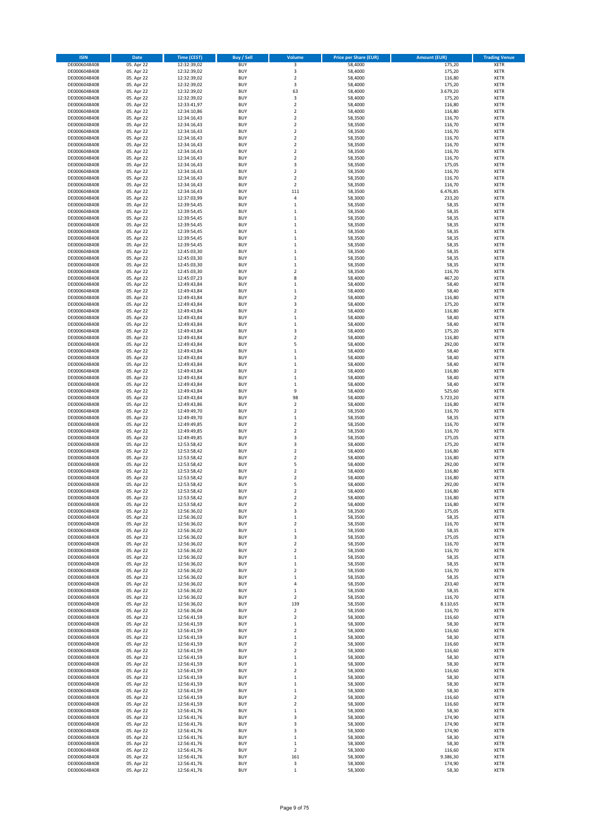| <b>ISIN</b>                  | Date                     | <b>Time (CEST)</b>         | <b>Buy / Sell</b>        | Volume                                      | <b>Price per Share (EUR)</b> | <b>Amount (EUR)</b> | <b>Trading Venue</b>       |
|------------------------------|--------------------------|----------------------------|--------------------------|---------------------------------------------|------------------------------|---------------------|----------------------------|
| DE0006048408                 | 05. Apr 22               | 12:32:39,02                | <b>BUY</b>               | 3                                           | 58,4000                      | 175,20              | <b>XETR</b>                |
| DE0006048408                 | 05. Apr 22               | 12:32:39,02                | <b>BUY</b>               | 3                                           | 58,4000                      | 175,20              | XETR                       |
| DE0006048408                 | 05. Apr 22               | 12:32:39,02                | BUY                      | $\mathbf 2$                                 | 58,4000                      | 116,80              | XETR                       |
| DE0006048408                 | 05. Apr 22               | 12:32:39,02                | <b>BUY</b>               | 3                                           | 58,4000                      | 175,20              | <b>XETR</b>                |
| DE0006048408                 | 05. Apr 22               | 12:32:39,02                | <b>BUY</b>               | 63                                          | 58,4000                      | 3.679,20            | XETR                       |
| DE0006048408                 | 05. Apr 22               | 12:32:39,02                | <b>BUY</b>               | 3                                           | 58,4000                      | 175,20              | <b>XETR</b>                |
| DE0006048408                 | 05. Apr 22               | 12:33:41,97                | <b>BUY</b>               | $\overline{2}$                              | 58,4000                      | 116,80              | <b>XETR</b>                |
| DE0006048408                 | 05. Apr 22               | 12:34:10,86                | <b>BUY</b>               | $\overline{2}$                              | 58,4000                      | 116,80              | <b>XETR</b>                |
| DE0006048408                 | 05. Apr 22               | 12:34:16,43                | <b>BUY</b>               | $\boldsymbol{2}$                            | 58,3500                      | 116,70              | XETR                       |
| DE0006048408                 | 05. Apr 22               | 12:34:16,43                | <b>BUY</b>               | $\overline{2}$                              | 58,3500                      | 116,70              | <b>XETR</b>                |
| DE0006048408                 | 05. Apr 22               | 12:34:16,43                | BUY                      | $\boldsymbol{2}$                            | 58,3500                      | 116,70              | XETR                       |
| DE0006048408                 | 05. Apr 22               | 12:34:16,43                | <b>BUY</b>               | $\overline{2}$                              | 58,3500                      | 116,70              | <b>XETR</b>                |
| DE0006048408<br>DE0006048408 | 05. Apr 22<br>05. Apr 22 | 12:34:16,43<br>12:34:16,43 | <b>BUY</b><br><b>BUY</b> | $\boldsymbol{2}$<br>$\overline{2}$          | 58,3500<br>58,3500           | 116,70<br>116,70    | XETR<br><b>XETR</b>        |
| DE0006048408                 | 05. Apr 22               | 12:34:16,43                | <b>BUY</b>               | $\boldsymbol{2}$                            | 58,3500                      | 116,70              | XETR                       |
| DE0006048408                 | 05. Apr 22               | 12:34:16,43                | <b>BUY</b>               | 3                                           | 58,3500                      | 175,05              | <b>XETR</b>                |
| DE0006048408                 | 05. Apr 22               | 12:34:16,43                | <b>BUY</b>               | $\overline{2}$                              | 58,3500                      | 116,70              | <b>XETR</b>                |
| DE0006048408                 | 05. Apr 22               | 12:34:16,43                | <b>BUY</b>               | $\boldsymbol{2}$                            | 58,3500                      | 116,70              | <b>XETR</b>                |
| DE0006048408                 | 05. Apr 22               | 12:34:16,43                | <b>BUY</b>               | $\overline{2}$                              | 58,3500                      | 116,70              | <b>XETR</b>                |
| DE0006048408                 | 05. Apr 22               | 12:34:16,43                | <b>BUY</b>               | 111                                         | 58,3500                      | 6.476,85            | <b>XETR</b>                |
| DE0006048408                 | 05. Apr 22               | 12:37:03,99                | <b>BUY</b>               | 4                                           | 58,3000                      | 233,20              | <b>XETR</b>                |
| DE0006048408                 | 05. Apr 22               | 12:39:54,45                | <b>BUY</b>               | $\mathbf 1$                                 | 58,3500                      | 58,35               | <b>XETR</b>                |
| DE0006048408                 | 05. Apr 22               | 12:39:54,45                | <b>BUY</b>               | $\mathbf{1}$                                | 58,3500                      | 58,35               | <b>XETR</b>                |
| DE0006048408                 | 05. Apr 22               | 12:39:54,45                | <b>BUY</b>               | $\mathbf 1$                                 | 58,3500                      | 58,35               | <b>XETR</b>                |
| DE0006048408                 | 05. Apr 22               | 12:39:54,45                | <b>BUY</b>               | $\mathbf 1$                                 | 58,3500                      | 58,35               | <b>XETR</b>                |
| DE0006048408                 | 05. Apr 22               | 12:39:54,45                | <b>BUY</b>               | $\mathbf 1$                                 | 58,3500                      | 58,35               | <b>XETR</b>                |
| DE0006048408                 | 05. Apr 22               | 12:39:54,45                | BUY                      | $\,1\,$                                     | 58,3500                      | 58,35               | <b>XETR</b>                |
| DE0006048408                 | 05. Apr 22               | 12:39:54,45                | <b>BUY</b><br><b>BUY</b> | $\,1\,$<br>$\mathbf 1$                      | 58,3500<br>58,3500           | 58,35               | <b>XETR</b><br><b>XETR</b> |
| DE0006048408<br>DE0006048408 | 05. Apr 22<br>05. Apr 22 | 12:45:03,30<br>12:45:03,30 | <b>BUY</b>               | $\,1\,$                                     | 58,3500                      | 58,35<br>58,35      | XETR                       |
| DE0006048408                 | 05. Apr 22               | 12:45:03,30                | <b>BUY</b>               | $\mathbf 1$                                 | 58,3500                      | 58,35               | <b>XETR</b>                |
| DE0006048408                 | 05. Apr 22               | 12:45:03,30                | <b>BUY</b>               | $\boldsymbol{2}$                            | 58,3500                      | 116,70              | <b>XETR</b>                |
| DE0006048408                 | 05. Apr 22               | 12:45:07,23                | <b>BUY</b>               | 8                                           | 58,4000                      | 467,20              | <b>XETR</b>                |
| DE0006048408                 | 05. Apr 22               | 12:49:43,84                | <b>BUY</b>               | $\,1\,$                                     | 58,4000                      | 58,40               | <b>XETR</b>                |
| DE0006048408                 | 05. Apr 22               | 12:49:43,84                | <b>BUY</b>               | $\mathbf{1}$                                | 58,4000                      | 58,40               | <b>XETR</b>                |
| DE0006048408                 | 05. Apr 22               | 12:49:43,84                | <b>BUY</b>               | $\mathbf 2$                                 | 58,4000                      | 116,80              | <b>XETR</b>                |
| DE0006048408                 | 05. Apr 22               | 12:49:43,84                | <b>BUY</b>               | 3                                           | 58,4000                      | 175,20              | <b>XETR</b>                |
| DE0006048408                 | 05. Apr 22               | 12:49:43,84                | <b>BUY</b>               | $\boldsymbol{2}$                            | 58,4000                      | 116,80              | XETR                       |
| DE0006048408                 | 05. Apr 22               | 12:49:43,84                | <b>BUY</b>               | $\,1\,$                                     | 58,4000                      | 58,40               | <b>XETR</b>                |
| DE0006048408                 | 05. Apr 22               | 12:49:43,84                | <b>BUY</b>               | $\mathbf{1}$                                | 58,4000                      | 58,40               | <b>XETR</b>                |
| DE0006048408                 | 05. Apr 22               | 12:49:43.84                | <b>BUY</b>               | 3                                           | 58,4000                      | 175,20              | <b>XETR</b>                |
| DE0006048408                 | 05. Apr 22               | 12:49:43,84                | <b>BUY</b>               | $\overline{2}$                              | 58,4000                      | 116,80              | <b>XETR</b>                |
| DE0006048408                 | 05. Apr 22               | 12:49:43,84                | <b>BUY</b>               | 5                                           | 58,4000                      | 292,00              | <b>XETR</b>                |
| DE0006048408                 | 05. Apr 22               | 12:49:43,84                | BUY<br><b>BUY</b>        | $\,1\,$                                     | 58,4000                      | 58,40               | <b>XETR</b>                |
| DE0006048408<br>DE0006048408 | 05. Apr 22<br>05. Apr 22 | 12:49:43,84<br>12:49:43,84 | <b>BUY</b>               | $\,$ 1<br>$\,$ 1                            | 58,4000<br>58,4000           | 58,40<br>58,40      | <b>XETR</b><br><b>XETR</b> |
| DE0006048408                 | 05. Apr 22               | 12:49:43,84                | <b>BUY</b>               | $\boldsymbol{2}$                            | 58,4000                      | 116,80              | <b>XETR</b>                |
| DE0006048408                 | 05. Apr 22               | 12:49:43,84                | <b>BUY</b>               | $\,$ 1                                      | 58,4000                      | 58,40               | <b>XETR</b>                |
| DE0006048408                 | 05. Apr 22               | 12:49:43,84                | <b>BUY</b>               | $\,1\,$                                     | 58,4000                      | 58,40               | <b>XETR</b>                |
| DE0006048408                 | 05. Apr 22               | 12:49:43,84                | <b>BUY</b>               | 9                                           | 58,4000                      | 525,60              | <b>XETR</b>                |
| DE0006048408                 | 05. Apr 22               | 12:49:43,84                | <b>BUY</b>               | 98                                          | 58,4000                      | 5.723,20            | <b>XETR</b>                |
| DE0006048408                 | 05. Apr 22               | 12:49:43,86                | <b>BUY</b>               | $\boldsymbol{2}$                            | 58,4000                      | 116,80              | <b>XETR</b>                |
| DE0006048408                 | 05. Apr 22               | 12:49:49,70                | <b>BUY</b>               | $\mathbf 2$                                 | 58,3500                      | 116,70              | <b>XETR</b>                |
| DE0006048408                 | 05. Apr 22               | 12:49:49,70                | <b>BUY</b>               | $\,$ 1                                      | 58,3500                      | 58,35               | <b>XETR</b>                |
| DE0006048408                 | 05. Apr 22               | 12:49:49,85                | <b>BUY</b>               | $\boldsymbol{2}$                            | 58,3500                      | 116,70              | <b>XETR</b>                |
| DE0006048408                 | 05. Apr 22               | 12:49:49,85                | <b>BUY</b>               | $\overline{2}$                              | 58,3500                      | 116,70              | <b>XETR</b>                |
| DE0006048408                 | 05. Apr 22               | 12:49:49,85                | <b>BUY</b>               | 3                                           | 58,3500                      | 175,05              | <b>XETR</b>                |
| DE0006048408                 | 05. Apr 22               | 12:53:58,42                | <b>BUY</b>               | 3                                           | 58,4000                      | 175,20              | <b>XETR</b>                |
| DE0006048408                 | 05. Apr 22               | 12:53:58,42                | <b>BUY</b>               | $\boldsymbol{2}$                            | 58,4000                      | 116,80              | <b>XETR</b>                |
| DE0006048408                 | 05. Apr 22               | 12:53:58,42                | <b>BUY</b>               | $\overline{2}$                              | 58,4000                      | 116,80              | <b>XETR</b>                |
| DE0006048408                 | 05. Apr 22               | 12:53:58,42                | <b>BUY</b>               | 5                                           | 58,4000                      | 292,00              | XETR                       |
| DE0006048408                 | 05. Apr 22               | 12:53:58,42<br>12:53:58,42 | <b>BUY</b>               | $\overline{2}$                              | 58,4000                      | 116,80              | <b>XETR</b>                |
| DE0006048408<br>DE0006048408 | 05. Apr 22<br>05. Apr 22 | 12:53:58,42                | <b>BUY</b><br>BUY        | $\overline{\mathbf{2}}$<br>5                | 58,4000<br>58,4000           | 116,80<br>292,00    | <b>XETR</b><br><b>XETR</b> |
| DE0006048408                 | 05. Apr 22               | 12:53:58,42                | BUY                      | $\overline{2}$                              | 58,4000                      | 116,80              | <b>XETR</b>                |
| DE0006048408                 | 05. Apr 22               | 12:53:58,42                | <b>BUY</b>               | 2                                           | 58,4000                      | 116,80              | <b>XETR</b>                |
| DE0006048408                 | 05. Apr 22               | 12:53:58,42                | <b>BUY</b>               | $\boldsymbol{2}$                            | 58,4000                      | 116,80              | <b>XETR</b>                |
| DE0006048408                 | 05. Apr 22               | 12:56:36,02                | <b>BUY</b>               | 3                                           | 58,3500                      | 175,05              | XETR                       |
| DE0006048408                 | 05. Apr 22               | 12:56:36,02                | <b>BUY</b>               | $\,1\,$                                     | 58,3500                      | 58,35               | XETR                       |
| DE0006048408                 | 05. Apr 22               | 12:56:36,02                | <b>BUY</b>               | $\mathbf 2$                                 | 58,3500                      | 116,70              | <b>XETR</b>                |
| DE0006048408                 | 05. Apr 22               | 12:56:36,02                | <b>BUY</b>               | $\,$ 1                                      | 58,3500                      | 58,35               | XETR                       |
| DE0006048408                 | 05. Apr 22               | 12:56:36,02                | <b>BUY</b>               | 3                                           | 58,3500                      | 175,05              | <b>XETR</b>                |
| DE0006048408                 | 05. Apr 22               | 12:56:36,02                | <b>BUY</b>               | $\overline{2}$                              | 58,3500                      | 116,70              | <b>XETR</b>                |
| DE0006048408                 | 05. Apr 22               | 12:56:36,02                | <b>BUY</b>               | $\mathbf 2$                                 | 58,3500                      | 116,70              | <b>XETR</b>                |
| DE0006048408                 | 05. Apr 22               | 12:56:36,02                | <b>BUY</b>               | $\,1\,$                                     | 58,3500                      | 58,35               | XETR                       |
| DE0006048408                 | 05. Apr 22               | 12:56:36,02                | <b>BUY</b>               | $\,1\,$                                     | 58,3500                      | 58,35               | <b>XETR</b>                |
| DE0006048408                 | 05. Apr 22               | 12:56:36,02                | <b>BUY</b>               | $\boldsymbol{2}$                            | 58,3500                      | 116,70              | XETR                       |
| DE0006048408                 | 05. Apr 22               | 12:56:36,02                | <b>BUY</b><br><b>BUY</b> | $\,1\,$<br>4                                | 58,3500                      | 58,35               | <b>XETR</b><br>XETR        |
| DE0006048408<br>DE0006048408 | 05. Apr 22<br>05. Apr 22 | 12:56:36,02<br>12:56:36,02 | <b>BUY</b>               | $\,1\,$                                     | 58,3500<br>58,3500           | 233,40<br>58,35     | <b>XETR</b>                |
| DE0006048408                 | 05. Apr 22               | 12:56:36,02                | <b>BUY</b>               | $\boldsymbol{2}$                            | 58,3500                      | 116,70              | <b>XETR</b>                |
| DE0006048408                 | 05. Apr 22               | 12:56:36,02                | <b>BUY</b>               | 139                                         | 58,3500                      | 8.110,65            | <b>XETR</b>                |
| DE0006048408                 | 05. Apr 22               | 12:56:36,04                | <b>BUY</b>               | $\overline{2}$                              | 58,3500                      | 116,70              | <b>XETR</b>                |
| DE0006048408                 | 05. Apr 22               | 12:56:41,59                | <b>BUY</b>               | $\overline{\mathbf{2}}$                     | 58,3000                      | 116,60              | <b>XETR</b>                |
| DE0006048408                 | 05. Apr 22               | 12:56:41,59                | <b>BUY</b>               | $\mathbf 1$                                 | 58,3000                      | 58,30               | <b>XETR</b>                |
| DE0006048408                 | 05. Apr 22               | 12:56:41,59                | <b>BUY</b>               | $\boldsymbol{2}$                            | 58,3000                      | 116,60              | <b>XETR</b>                |
| DE0006048408                 | 05. Apr 22               | 12:56:41,59                | <b>BUY</b>               | $\mathbf 1$                                 | 58,3000                      | 58,30               | <b>XETR</b>                |
| DE0006048408                 | 05. Apr 22               | 12:56:41,59                | <b>BUY</b>               | $\boldsymbol{2}$                            | 58,3000                      | 116,60              | XETR                       |
| DE0006048408                 | 05. Apr 22               | 12:56:41,59                | <b>BUY</b>               | $\overline{2}$                              | 58,3000                      | 116,60              | <b>XETR</b>                |
| DE0006048408                 | 05. Apr 22               | 12:56:41,59                | <b>BUY</b>               | $\,1\,$                                     | 58,3000                      | 58,30               | XETR                       |
| DE0006048408                 | 05. Apr 22               | 12:56:41,59                | <b>BUY</b>               | $\mathbf 1$                                 | 58,3000                      | 58,30               | <b>XETR</b>                |
| DE0006048408                 | 05. Apr 22               | 12:56:41,59                | <b>BUY</b>               | $\overline{\mathbf{2}}$                     | 58,3000                      | 116,60              | XETR                       |
| DE0006048408                 | 05. Apr 22               | 12:56:41,59                | <b>BUY</b>               | $\mathbf 1$                                 | 58,3000                      | 58,30               | <b>XETR</b>                |
| DE0006048408                 | 05. Apr 22               | 12:56:41,59                | <b>BUY</b>               | $\,1\,$                                     | 58,3000                      | 58,30               | <b>XETR</b>                |
| DE0006048408                 | 05. Apr 22               | 12:56:41,59                | <b>BUY</b><br><b>BUY</b> | $\,1\,$                                     | 58,3000                      | 58,30               | <b>XETR</b><br>XETR        |
| DE0006048408<br>DE0006048408 | 05. Apr 22<br>05. Apr 22 | 12:56:41,59<br>12:56:41,59 | <b>BUY</b>               | $\boldsymbol{2}$<br>$\overline{\mathbf{2}}$ | 58,3000<br>58,3000           | 116,60<br>116,60    | <b>XETR</b>                |
| DE0006048408                 | 05. Apr 22               | 12:56:41,76                | <b>BUY</b>               | $\,1\,$                                     | 58,3000                      | 58,30               | XETR                       |
| DE0006048408                 | 05. Apr 22               | 12:56:41,76                | <b>BUY</b>               | 3                                           | 58,3000                      | 174,90              | <b>XETR</b>                |
| DE0006048408                 | 05. Apr 22               | 12:56:41,76                | <b>BUY</b>               | 3                                           | 58,3000                      | 174,90              | <b>XETR</b>                |
| DE0006048408                 | 05. Apr 22               | 12:56:41,76                | <b>BUY</b>               | 3                                           | 58,3000                      | 174,90              | <b>XETR</b>                |
| DE0006048408                 | 05. Apr 22               | 12:56:41,76                | <b>BUY</b>               | $\,1\,$                                     | 58,3000                      | 58,30               | XETR                       |
| DE0006048408                 | 05. Apr 22               | 12:56:41,76                | <b>BUY</b>               | $\mathbf 1$                                 | 58,3000                      | 58,30               | <b>XETR</b>                |
| DE0006048408                 | 05. Apr 22               | 12:56:41,76                | <b>BUY</b>               | $\mathbf 2$                                 | 58,3000                      | 116,60              | XETR                       |
| DE0006048408                 | 05. Apr 22               | 12:56:41,76                | <b>BUY</b>               | 161                                         | 58,3000                      | 9.386,30            | <b>XETR</b>                |
| DE0006048408                 | 05. Apr 22               | 12:56:41,76                | <b>BUY</b>               | 3                                           | 58,3000                      | 174,90              | XETR                       |
| DE0006048408                 | 05. Apr 22               | 12:56:41,76                | <b>BUY</b>               | $\,1\,$                                     | 58,3000                      | 58,30               | <b>XETR</b>                |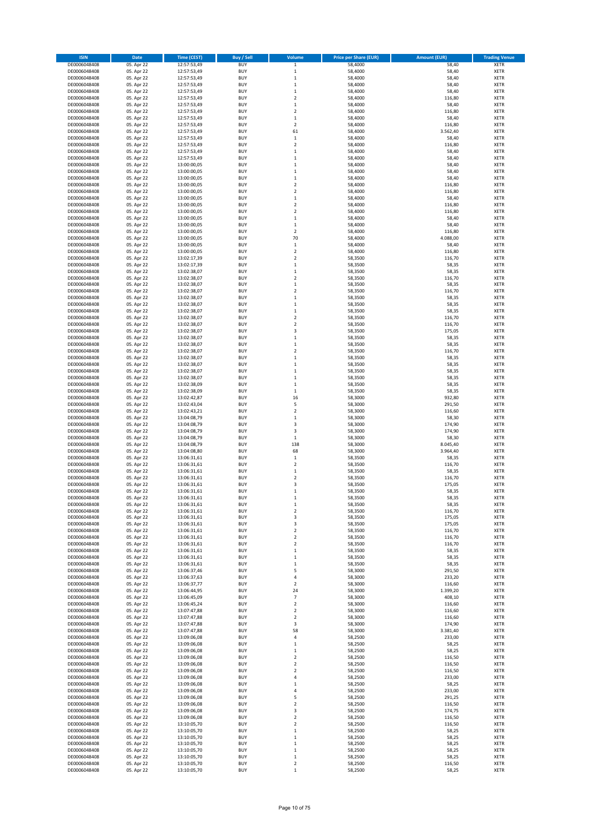| <b>ISIN</b>                  | Date                     | <b>Time (CEST)</b>         | <b>Buy / Sell</b>        | Volume                             | <b>Price per Share (EUR)</b> | <b>Amount (EUR)</b> | <b>Trading Venue</b>       |
|------------------------------|--------------------------|----------------------------|--------------------------|------------------------------------|------------------------------|---------------------|----------------------------|
| DE0006048408                 | 05. Apr 22               | 12:57:53,49                | <b>BUY</b>               | $\,$ 1                             | 58,4000                      | 58,40               | <b>XETR</b>                |
| DE0006048408                 | 05. Apr 22               | 12:57:53,49                | <b>BUY</b>               | $\mathbf 1$                        | 58,4000                      | 58,40               | XETR                       |
| DE0006048408                 | 05. Apr 22               | 12:57:53,49                | <b>BUY</b>               | $\,1\,$                            | 58,4000                      | 58,40               | XETR                       |
| DE0006048408                 | 05. Apr 22               | 12:57:53,49                | <b>BUY</b>               | $\,1\,$                            | 58,4000                      | 58,40               | <b>XETR</b>                |
| DE0006048408<br>DE0006048408 | 05. Apr 22<br>05. Apr 22 | 12:57:53,49<br>12:57:53,49 | <b>BUY</b><br><b>BUY</b> | $\,1\,$<br>$\overline{2}$          | 58,4000<br>58,4000           | 58,40<br>116,80     | XETR<br><b>XETR</b>        |
| DE0006048408                 | 05. Apr 22               | 12:57:53,49                | <b>BUY</b>               | $\,1\,$                            | 58,4000                      | 58,40               | <b>XETR</b>                |
| DE0006048408                 | 05. Apr 22               | 12:57:53,49                | <b>BUY</b>               | $\overline{2}$                     | 58,4000                      | 116,80              | <b>XETR</b>                |
| DE0006048408                 | 05. Apr 22               | 12:57:53,49                | <b>BUY</b>               | $\,1\,$                            | 58,4000                      | 58,40               | XETR                       |
| DE0006048408                 | 05. Apr 22               | 12:57:53,49                | <b>BUY</b>               | $\overline{2}$                     | 58,4000                      | 116,80              | <b>XETR</b>                |
| DE0006048408                 | 05. Apr 22               | 12:57:53,49                | <b>BUY</b><br><b>BUY</b> | 61                                 | 58,4000                      | 3.562,40            | XETR<br><b>XETR</b>        |
| DE0006048408<br>DE0006048408 | 05. Apr 22<br>05. Apr 22 | 12:57:53,49<br>12:57:53,49 | <b>BUY</b>               | $\mathbf 1$<br>$\boldsymbol{2}$    | 58,4000<br>58,4000           | 58,40<br>116,80     | XETR                       |
| DE0006048408                 | 05. Apr 22               | 12:57:53,49                | <b>BUY</b>               | $\mathbf 1$                        | 58,4000                      | 58,40               | <b>XETR</b>                |
| DE0006048408                 | 05. Apr 22               | 12:57:53,49                | <b>BUY</b>               | $\,$ 1                             | 58,4000                      | 58,40               | <b>XETR</b>                |
| DE0006048408                 | 05. Apr 22               | 13:00:00,05                | <b>BUY</b>               | $\,1\,$                            | 58,4000                      | 58,40               | <b>XETR</b>                |
| DE0006048408                 | 05. Apr 22               | 13:00:00,05                | <b>BUY</b>               | $\,1\,$                            | 58,4000                      | 58,40               | <b>XETR</b>                |
| DE0006048408<br>DE0006048408 | 05. Apr 22<br>05. Apr 22 | 13:00:00,05<br>13:00:00,05 | <b>BUY</b><br><b>BUY</b> | $\mathbf 1$<br>$\overline{2}$      | 58,4000<br>58,4000           | 58,40<br>116,80     | <b>XETR</b><br><b>XETR</b> |
| DE0006048408                 | 05. Apr 22               | 13:00:00,05                | <b>BUY</b>               | $\mathbf 2$                        | 58,4000                      | 116,80              | <b>XETR</b>                |
| DE0006048408                 | 05. Apr 22               | 13:00:00,05                | <b>BUY</b>               | $\,$ 1                             | 58,4000                      | 58,40               | <b>XETR</b>                |
| DE0006048408                 | 05. Apr 22               | 13:00:00,05                | <b>BUY</b>               | $\boldsymbol{2}$                   | 58,4000                      | 116,80              | <b>XETR</b>                |
| DE0006048408                 | 05. Apr 22               | 13:00:00,05                | <b>BUY</b>               | $\overline{2}$                     | 58,4000                      | 116,80              | <b>XETR</b>                |
| DE0006048408                 | 05. Apr 22               | 13:00:00,05                | <b>BUY</b>               | $\mathbf 1$                        | 58,4000                      | 58,40               | <b>XETR</b>                |
| DE0006048408                 | 05. Apr 22               | 13:00:00,05                | <b>BUY</b><br><b>BUY</b> | $\mathbf 1$<br>$\overline{2}$      | 58,4000                      | 58,40               | <b>XETR</b>                |
| DE0006048408<br>DE0006048408 | 05. Apr 22<br>05. Apr 22 | 13:00:00,05<br>13:00:00,05 | <b>BUY</b>               | 70                                 | 58,4000<br>58,4000           | 116,80<br>4.088,00  | <b>XETR</b><br><b>XETR</b> |
| DE0006048408                 | 05. Apr 22               | 13:00:00,05                | <b>BUY</b>               | $\,$ 1                             | 58,4000                      | 58,40               | <b>XETR</b>                |
| DE0006048408                 | 05. Apr 22               | 13:00:00,05                | <b>BUY</b>               | $\overline{2}$                     | 58,4000                      | 116,80              | <b>XETR</b>                |
| DE0006048408                 | 05. Apr 22               | 13:02:17,39                | <b>BUY</b>               | $\overline{\mathbf{2}}$            | 58,3500                      | 116,70              | XETR                       |
| DE0006048408                 | 05. Apr 22               | 13:02:17,39                | <b>BUY</b>               | $\mathbf 1$                        | 58,3500                      | 58,35               | <b>XETR</b>                |
| DE0006048408<br>DE0006048408 | 05. Apr 22<br>05. Apr 22 | 13:02:38,07<br>13:02:38,07 | <b>BUY</b><br><b>BUY</b> | $\,$ 1<br>$\overline{2}$           | 58,3500<br>58,3500           | 58,35<br>116,70     | <b>XETR</b><br><b>XETR</b> |
| DE0006048408                 | 05. Apr 22               | 13:02:38,07                | <b>BUY</b>               | $\mathbf{1}$                       | 58,3500                      | 58,35               | <b>XETR</b>                |
| DE0006048408                 | 05. Apr 22               | 13:02:38,07                | <b>BUY</b>               | $\overline{2}$                     | 58,3500                      | 116,70              | <b>XETR</b>                |
| DE0006048408                 | 05. Apr 22               | 13:02:38,07                | <b>BUY</b>               | $\,$ 1                             | 58,3500                      | 58,35               | <b>XETR</b>                |
| DE0006048408                 | 05. Apr 22               | 13:02:38,07                | <b>BUY</b>               | $\,1\,$                            | 58,3500                      | 58,35               | <b>XETR</b>                |
| DE0006048408                 | 05. Apr 22               | 13:02:38,07                | <b>BUY</b>               | $\,1\,$                            | 58,3500                      | 58,35               | XETR                       |
| DE0006048408<br>DE0006048408 | 05. Apr 22<br>05. Apr 22 | 13:02:38,07                | <b>BUY</b><br><b>BUY</b> | $\overline{2}$<br>$\mathbf 2$      | 58,3500                      | 116,70<br>116,70    | <b>XETR</b><br><b>XETR</b> |
| DE0006048408                 | 05. Apr 22               | 13:02:38,07<br>13:02:38,07 | <b>BUY</b>               | 3                                  | 58,3500<br>58,3500           | 175,05              | <b>XETR</b>                |
| DE0006048408                 | 05. Apr 22               | 13:02:38,07                | <b>BUY</b>               | $\mathbf 1$                        | 58,3500                      | 58,35               | <b>XETR</b>                |
| DE0006048408                 | 05. Apr 22               | 13:02:38,07                | <b>BUY</b>               | $\mathbf 1$                        | 58,3500                      | 58,35               | <b>XETR</b>                |
| DE0006048408                 | 05. Apr 22               | 13:02:38,07                | <b>BUY</b>               | $\overline{2}$                     | 58,3500                      | 116,70              | <b>XETR</b>                |
| DE0006048408                 | 05. Apr 22               | 13:02:38,07                | <b>BUY</b>               | $\,1\,$                            | 58,3500                      | 58,35               | <b>XETR</b>                |
| DE0006048408<br>DE0006048408 | 05. Apr 22<br>05. Apr 22 | 13:02:38,07<br>13:02:38,07 | <b>BUY</b><br><b>BUY</b> | $\,$ 1<br>$\,1\,$                  | 58,3500<br>58,3500           | 58,35<br>58,35      | <b>XETR</b><br><b>XETR</b> |
| DE0006048408                 | 05. Apr 22               | 13:02:38,07                | <b>BUY</b>               | $\,$ 1                             | 58,3500                      | 58,35               | <b>XETR</b>                |
| DE0006048408                 | 05. Apr 22               | 13:02:38,09                | <b>BUY</b>               | $\,1\,$                            | 58,3500                      | 58,35               | <b>XETR</b>                |
| DE0006048408                 | 05. Apr 22               | 13:02:38,09                | <b>BUY</b>               | $\,1\,$                            | 58,3500                      | 58,35               | <b>XETR</b>                |
| DE0006048408                 | 05. Apr 22               | 13:02:42,87                | <b>BUY</b>               | 16                                 | 58,3000                      | 932,80              | <b>XETR</b>                |
| DE0006048408                 | 05. Apr 22               | 13:02:43,04                | <b>BUY</b>               | 5                                  | 58,3000                      | 291,50              | <b>XETR</b>                |
| DE0006048408<br>DE0006048408 | 05. Apr 22<br>05. Apr 22 | 13:02:43,21<br>13:04:08,79 | <b>BUY</b><br><b>BUY</b> | $\boldsymbol{2}$<br>$\,$ 1         | 58,3000<br>58,3000           | 116,60<br>58,30     | <b>XETR</b><br><b>XETR</b> |
| DE0006048408                 | 05. Apr 22               | 13:04:08,79                | <b>BUY</b>               | 3                                  | 58,3000                      | 174,90              | <b>XETR</b>                |
| DE0006048408                 | 05. Apr 22               | 13:04:08,79                | <b>BUY</b>               | 3                                  | 58,3000                      | 174,90              | <b>XETR</b>                |
| DE0006048408                 | 05. Apr 22               | 13:04:08,79                | <b>BUY</b>               | $\,1\,$                            | 58,3000                      | 58,30               | <b>XETR</b>                |
| DE0006048408                 | 05. Apr 22               | 13:04:08,79                | <b>BUY</b>               | 138                                | 58,3000                      | 8.045,40            | <b>XETR</b>                |
| DE0006048408                 | 05. Apr 22               | 13:04:08,80                | <b>BUY</b><br><b>BUY</b> | 68                                 | 58,3000                      | 3.964,40            | <b>XETR</b><br><b>XETR</b> |
| DE0006048408<br>DE0006048408 | 05. Apr 22<br>05. Apr 22 | 13:06:31,61<br>13:06:31,61 | <b>BUY</b>               | $\mathbf 1$<br>$\boldsymbol{2}$    | 58,3500<br>58,3500           | 58,35<br>116,70     | XETR                       |
| DE0006048408                 | 05. Apr 22               | 13:06:31,61                | <b>BUY</b>               | $\mathbf 1$                        | 58,3500                      | 58,35               | <b>XETR</b>                |
| DE0006048408                 | 05. Apr 22               | 13:06:31,61                | <b>BUY</b>               | $\boldsymbol{2}$                   | 58,3500                      | 116,70              | <b>XETR</b>                |
| DE0006048408                 | 05. Apr 22               | 13:06:31,61                | <b>BUY</b>               | 3                                  | 58,3500                      | 175,05              | <b>XETR</b>                |
| DE0006048408                 | 05. Apr 22               | 13:06:31,61                | <b>BUY</b>               | $\,1\,$                            | 58,3500                      | 58,35               | <b>XETR</b>                |
| DE0006048408<br>DE0006048408 | 05. Apr 22               | 13:06:31,61                | <b>BUY</b>               | 1                                  | 58,3500                      | 58,35               | <b>XETR</b>                |
| DE0006048408                 | 05. Apr 22<br>05. Apr 22 | 13:06:31,61<br>13:06:31,61 | <b>BUY</b><br><b>BUY</b> | $\,1\,$<br>$\boldsymbol{2}$        | 58,3500<br>58,3500           | 58,35<br>116,70     | <b>XETR</b><br>XETR        |
| DE0006048408                 | 05. Apr 22               | 13:06:31,61                | <b>BUY</b>               | 3                                  | 58,3500                      | 175,05              | XETR                       |
| DE0006048408                 | 05. Apr 22               | 13:06:31,61                | <b>BUY</b>               | 3                                  | 58,3500                      | 175,05              | <b>XETR</b>                |
| DE0006048408                 | 05. Apr 22               | 13:06:31,61                | <b>BUY</b>               | $\mathbf 2$                        | 58,3500                      | 116,70              | XETR                       |
| DE0006048408                 | 05. Apr 22               | 13:06:31,61                | <b>BUY</b>               | $\boldsymbol{2}$                   | 58,3500                      | 116,70              | <b>XETR</b>                |
| DE0006048408<br>DE0006048408 | 05. Apr 22<br>05. Apr 22 | 13:06:31,61<br>13:06:31,61 | <b>BUY</b><br><b>BUY</b> | $\boldsymbol{2}$<br>$\,1\,$        | 58,3500<br>58,3500           | 116,70<br>58,35     | <b>XETR</b><br><b>XETR</b> |
| DE0006048408                 | 05. Apr 22               | 13:06:31,61                | <b>BUY</b>               | $\,1\,$                            | 58,3500                      | 58,35               | <b>XETR</b>                |
| DE0006048408                 | 05. Apr 22               | 13:06:31,61                | <b>BUY</b>               | $\,1\,$                            | 58,3500                      | 58,35               | <b>XETR</b>                |
| DE0006048408                 | 05. Apr 22               | 13:06:37,46                | <b>BUY</b>               | 5                                  | 58,3000                      | 291,50              | XETR                       |
| DE0006048408                 | 05. Apr 22               | 13:06:37,63                | <b>BUY</b>               | 4                                  | 58,3000                      | 233,20              | <b>XETR</b>                |
| DE0006048408                 | 05. Apr 22               | 13:06:37,77                | <b>BUY</b>               | $\boldsymbol{2}$                   | 58,3000<br>58,3000           | 116,60<br>1.399,20  | XETR                       |
| DE0006048408<br>DE0006048408 | 05. Apr 22<br>05. Apr 22 | 13:06:44,95<br>13:06:45,09 | <b>BUY</b><br><b>BUY</b> | 24<br>$\overline{7}$               | 58,3000                      | 408,10              | <b>XETR</b><br><b>XETR</b> |
| DE0006048408                 | 05. Apr 22               | 13:06:45,24                | <b>BUY</b>               | $\boldsymbol{2}$                   | 58,3000                      | 116,60              | <b>XETR</b>                |
| DE0006048408                 | 05. Apr 22               | 13:07:47,88                | <b>BUY</b>               | $\overline{\mathbf{2}}$            | 58,3000                      | 116,60              | <b>XETR</b>                |
| DE0006048408                 | 05. Apr 22               | 13:07:47,88                | <b>BUY</b>               | $\overline{\mathbf{2}}$            | 58,3000                      | 116,60              | <b>XETR</b>                |
| DE0006048408                 | 05. Apr 22               | 13:07:47,88                | <b>BUY</b>               | 3                                  | 58,3000                      | 174,90              | <b>XETR</b>                |
| DE0006048408<br>DE0006048408 | 05. Apr 22<br>05. Apr 22 | 13:07:47,88<br>13:09:06,08 | <b>BUY</b><br><b>BUY</b> | 58<br>4                            | 58,3000<br>58,2500           | 3.381,40<br>233,00  | <b>XETR</b><br><b>XETR</b> |
| DE0006048408                 | 05. Apr 22               | 13:09:06,08                | <b>BUY</b>               | $\,1\,$                            | 58,2500                      | 58,25               | XETR                       |
| DE0006048408                 | 05. Apr 22               | 13:09:06,08                | <b>BUY</b>               | $\mathbf 1$                        | 58,2500                      | 58,25               | <b>XETR</b>                |
| DE0006048408                 | 05. Apr 22               | 13:09:06,08                | <b>BUY</b>               | $\boldsymbol{2}$                   | 58,2500                      | 116,50              | XETR                       |
| DE0006048408                 | 05. Apr 22               | 13:09:06,08                | <b>BUY</b>               | $\overline{2}$                     | 58,2500                      | 116,50              | <b>XETR</b>                |
| DE0006048408                 | 05. Apr 22               | 13:09:06,08                | <b>BUY</b>               | $\overline{\mathbf{2}}$            | 58,2500                      | 116,50              | XETR                       |
| DE0006048408<br>DE0006048408 | 05. Apr 22<br>05. Apr 22 | 13:09:06,08<br>13:09:06,08 | <b>BUY</b><br><b>BUY</b> | 4<br>$\,1\,$                       | 58,2500<br>58,2500           | 233,00<br>58,25     | <b>XETR</b><br>XETR        |
| DE0006048408                 | 05. Apr 22               | 13:09:06,08                | <b>BUY</b>               | $\sqrt{4}$                         | 58,2500                      | 233,00              | <b>XETR</b>                |
| DE0006048408                 | 05. Apr 22               | 13:09:06,08                | <b>BUY</b>               | 5                                  | 58,2500                      | 291,25              | XETR                       |
| DE0006048408                 | 05. Apr 22               | 13:09:06,08                | <b>BUY</b>               | $\boldsymbol{2}$                   | 58,2500                      | 116,50              | <b>XETR</b>                |
| DE0006048408                 | 05. Apr 22               | 13:09:06,08                | <b>BUY</b>               | 3                                  | 58,2500                      | 174,75              | XETR                       |
| DE0006048408                 | 05. Apr 22               | 13:09:06,08                | <b>BUY</b>               | $\overline{\mathbf{2}}$            | 58,2500                      | 116,50              | <b>XETR</b>                |
| DE0006048408<br>DE0006048408 | 05. Apr 22<br>05. Apr 22 | 13:10:05,70<br>13:10:05,70 | <b>BUY</b><br><b>BUY</b> | $\overline{\mathbf{2}}$<br>$\,1\,$ | 58,2500<br>58,2500           | 116,50<br>58,25     | <b>XETR</b><br><b>XETR</b> |
| DE0006048408                 | 05. Apr 22               | 13:10:05,70                | <b>BUY</b>               | $\,1\,$                            | 58,2500                      | 58,25               | XETR                       |
| DE0006048408                 | 05. Apr 22               | 13:10:05,70                | <b>BUY</b>               | $\,1\,$                            | 58,2500                      | 58,25               | <b>XETR</b>                |
| DE0006048408                 | 05. Apr 22               | 13:10:05,70                | <b>BUY</b>               | $\,$ 1                             | 58,2500                      | 58,25               | XETR                       |
| DE0006048408                 | 05. Apr 22               | 13:10:05,70                | <b>BUY</b>               | $\,1\,$                            | 58,2500                      | 58,25               | <b>XETR</b>                |
| DE0006048408                 | 05. Apr 22               | 13:10:05,70                | <b>BUY</b>               | $\boldsymbol{2}$                   | 58,2500                      | 116,50              | XETR                       |
| DE0006048408                 | 05. Apr 22               | 13:10:05,70                | <b>BUY</b>               | $\mathbf 1$                        | 58,2500                      | 58,25               | <b>XETR</b>                |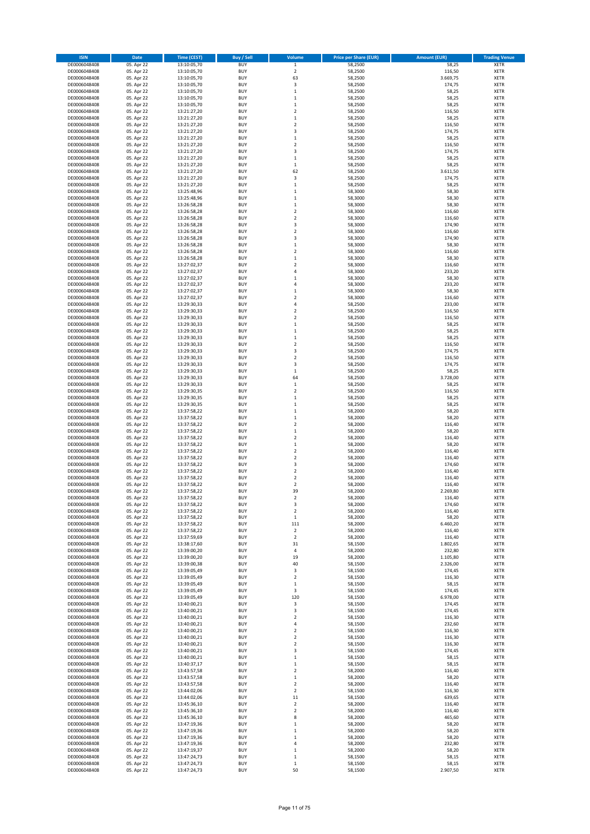| <b>ISIN</b>                  | Date                     | Time (CEST)                | <b>Buy / Sell</b>        | Volume                               | <b>Price per Share (EUR)</b> | <b>Amount (EUR)</b>  | <b>Trading Venue</b>       |
|------------------------------|--------------------------|----------------------------|--------------------------|--------------------------------------|------------------------------|----------------------|----------------------------|
| DE0006048408                 | 05. Apr 22               | 13:10:05,70                | <b>BUY</b>               | $\,$ 1                               | 58,2500                      | 58,25                | <b>XETR</b>                |
| DE0006048408                 | 05. Apr 22               | 13:10:05,70                | <b>BUY</b>               | $\overline{2}$                       | 58,2500                      | 116,50               | XETR                       |
| DE0006048408                 | 05. Apr 22               | 13:10:05,70                | <b>BUY</b>               | 63                                   | 58,2500                      | 3.669,75             | XETR                       |
| DE0006048408                 | 05. Apr 22               | 13:10:05,70                | <b>BUY</b>               | 3                                    | 58,2500                      | 174,75               | <b>XETR</b>                |
| DE0006048408<br>DE0006048408 | 05. Apr 22<br>05. Apr 22 | 13:10:05,70<br>13:10:05,70 | <b>BUY</b><br><b>BUY</b> | $\,1\,$<br>$\mathbf{1}$              | 58,2500<br>58,2500           | 58,25<br>58,25       | XETR<br><b>XETR</b>        |
| DE0006048408                 | 05. Apr 22               | 13:10:05,70                | <b>BUY</b>               | $\mathbf{1}$                         | 58,2500                      | 58,25                | <b>XETR</b>                |
| DE0006048408                 | 05. Apr 22               | 13:21:27,20                | <b>BUY</b>               | $\overline{2}$                       | 58,2500                      | 116,50               | <b>XETR</b>                |
| DE0006048408                 | 05. Apr 22               | 13:21:27,20                | <b>BUY</b>               | $\,1\,$                              | 58,2500                      | 58,25                | XETR                       |
| DE0006048408                 | 05. Apr 22               | 13:21:27,20                | <b>BUY</b>               | $\overline{\mathbf{c}}$              | 58,2500                      | 116,50               | <b>XETR</b>                |
| DE0006048408                 | 05. Apr 22               | 13:21:27,20                | <b>BUY</b>               | 3                                    | 58,2500                      | 174,75               | XETR                       |
| DE0006048408                 | 05. Apr 22               | 13:21:27,20                | <b>BUY</b>               | $\,1\,$                              | 58,2500                      | 58,25                | <b>XETR</b>                |
| DE0006048408<br>DE0006048408 | 05. Apr 22<br>05. Apr 22 | 13:21:27,20<br>13:21:27,20 | <b>BUY</b><br><b>BUY</b> | $\boldsymbol{2}$<br>3                | 58,2500<br>58,2500           | 116,50<br>174,75     | XETR<br><b>XETR</b>        |
| DE0006048408                 | 05. Apr 22               | 13:21:27,20                | <b>BUY</b>               | $\,$ 1                               | 58,2500                      | 58,25                | <b>XETR</b>                |
| DE0006048408                 | 05. Apr 22               | 13:21:27,20                | <b>BUY</b>               | $\,$ 1                               | 58,2500                      | 58,25                | <b>XETR</b>                |
| DE0006048408                 | 05. Apr 22               | 13:21:27,20                | <b>BUY</b>               | 62                                   | 58,2500                      | 3.611,50             | <b>XETR</b>                |
| DE0006048408                 | 05. Apr 22               | 13:21:27,20                | <b>BUY</b>               | 3                                    | 58,2500                      | 174,75               | <b>XETR</b>                |
| DE0006048408                 | 05. Apr 22               | 13:21:27,20                | BUY                      | $\,1\,$                              | 58,2500                      | 58,25                | <b>XETR</b>                |
| DE0006048408<br>DE0006048408 | 05. Apr 22               | 13:25:48,96<br>13:25:48,96 | <b>BUY</b><br><b>BUY</b> | $\,$ 1<br>$\,$ 1                     | 58,3000<br>58,3000           | 58,30<br>58,30       | <b>XETR</b><br><b>XETR</b> |
| DE0006048408                 | 05. Apr 22<br>05. Apr 22 | 13:26:58,28                | <b>BUY</b>               | $\,$ 1                               | 58,3000                      | 58,30                | <b>XETR</b>                |
| DE0006048408                 | 05. Apr 22               | 13:26:58,28                | <b>BUY</b>               | $\overline{\mathbf{c}}$              | 58,3000                      | 116,60               | <b>XETR</b>                |
| DE0006048408                 | 05. Apr 22               | 13:26:58,28                | <b>BUY</b>               | $\mathbf 2$                          | 58,3000                      | 116,60               | <b>XETR</b>                |
| DE0006048408                 | 05. Apr 22               | 13:26:58,28                | <b>BUY</b>               | 3                                    | 58,3000                      | 174,90               | <b>XETR</b>                |
| DE0006048408                 | 05. Apr 22               | 13:26:58,28                | <b>BUY</b>               | $\overline{2}$                       | 58,3000                      | 116,60               | <b>XETR</b>                |
| DE0006048408                 | 05. Apr 22               | 13:26:58,28                | BUY                      | 3                                    | 58,3000                      | 174,90               | <b>XETR</b>                |
| DE0006048408<br>DE0006048408 | 05. Apr 22<br>05. Apr 22 | 13:26:58,28<br>13:26:58,28 | <b>BUY</b><br><b>BUY</b> | $\,1\,$<br>$\overline{2}$            | 58,3000<br>58,3000           | 58,30<br>116,60      | <b>XETR</b><br><b>XETR</b> |
| DE0006048408                 | 05. Apr 22               | 13:26:58,28                | <b>BUY</b>               | $\,1\,$                              | 58,3000                      | 58,30                | XETR                       |
| DE0006048408                 | 05. Apr 22               | 13:27:02,37                | <b>BUY</b>               | $\overline{2}$                       | 58,3000                      | 116,60               | <b>XETR</b>                |
| DE0006048408                 | 05. Apr 22               | 13:27:02,37                | <b>BUY</b>               | $\sqrt{4}$                           | 58,3000                      | 233,20               | <b>XETR</b>                |
| DE0006048408                 | 05. Apr 22               | 13:27:02,37                | <b>BUY</b>               | $\mathbf 1$                          | 58,3000                      | 58,30                | <b>XETR</b>                |
| DE0006048408                 | 05. Apr 22               | 13:27:02,37                | <b>BUY</b>               | 4                                    | 58,3000                      | 233,20               | <b>XETR</b>                |
| DE0006048408                 | 05. Apr 22               | 13:27:02,37                | <b>BUY</b>               | $\mathbf{1}$                         | 58,3000                      | 58,30                | <b>XETR</b>                |
| DE0006048408                 | 05. Apr 22               | 13:27:02,37                | BUY                      | $\overline{2}$                       | 58,3000                      | 116,60               | <b>XETR</b>                |
| DE0006048408<br>DE0006048408 | 05. Apr 22<br>05. Apr 22 | 13:29:30,33<br>13:29:30,33 | <b>BUY</b><br><b>BUY</b> | $\sqrt{4}$<br>$\boldsymbol{2}$       | 58,2500<br>58,2500           | 233,00<br>116,50     | <b>XETR</b><br>XETR        |
| DE0006048408                 | 05. Apr 22               | 13:29:30,33                | <b>BUY</b>               | $\overline{2}$                       | 58,2500                      | 116,50               | <b>XETR</b>                |
| DE0006048408                 | 05. Apr 22               | 13:29:30,33                | <b>BUY</b>               | $\mathbf{1}$                         | 58,2500                      | 58,25                | <b>XETR</b>                |
| DE0006048408                 | 05. Apr 22               | 13:29:30,33                | <b>BUY</b>               | $\,1\,$                              | 58,2500                      | 58,25                | <b>XETR</b>                |
| DE0006048408                 | 05. Apr 22               | 13:29:30,33                | <b>BUY</b>               | $\mathbf 1$                          | 58,2500                      | 58,25                | <b>XETR</b>                |
| DE0006048408                 | 05. Apr 22               | 13:29:30,33                | <b>BUY</b>               | $\overline{2}$                       | 58,2500                      | 116,50               | <b>XETR</b>                |
| DE0006048408                 | 05. Apr 22               | 13:29:30,33                | BUY                      | 3                                    | 58,2500                      | 174,75               | <b>XETR</b>                |
| DE0006048408<br>DE0006048408 | 05. Apr 22<br>05. Apr 22 | 13:29:30,33                | <b>BUY</b><br><b>BUY</b> | $\boldsymbol{2}$<br>3                | 58,2500<br>58,2500           | 116,50<br>174,75     | <b>XETR</b><br><b>XETR</b> |
| DE0006048408                 | 05. Apr 22               | 13:29:30,33<br>13:29:30,33 | <b>BUY</b>               | $\,1\,$                              | 58,2500                      | 58,25                | <b>XETR</b>                |
| DE0006048408                 | 05. Apr 22               | 13:29:30,33                | <b>BUY</b>               | 64                                   | 58,2500                      | 3.728,00             | <b>XETR</b>                |
| DE0006048408                 | 05. Apr 22               | 13:29:30,33                | <b>BUY</b>               | $\,1\,$                              | 58,2500                      | 58,25                | <b>XETR</b>                |
| DE0006048408                 | 05. Apr 22               | 13:29:30,35                | <b>BUY</b>               | $\boldsymbol{2}$                     | 58,2500                      | 116,50               | <b>XETR</b>                |
| DE0006048408                 | 05. Apr 22               | 13:29:30,35                | <b>BUY</b>               | $\mathbf 1$                          | 58,2500                      | 58,25                | <b>XETR</b>                |
| DE0006048408                 | 05. Apr 22               | 13:29:30,35                | <b>BUY</b>               | $\,1\,$                              | 58,2500                      | 58,25                | <b>XETR</b>                |
| DE0006048408<br>DE0006048408 | 05. Apr 22<br>05. Apr 22 | 13:37:58,22<br>13:37:58,22 | <b>BUY</b><br><b>BUY</b> | $\,$ 1<br>$\,$ 1                     | 58,2000<br>58,2000           | 58,20<br>58,20       | <b>XETR</b><br><b>XETR</b> |
| DE0006048408                 | 05. Apr 22               | 13:37:58,22                | <b>BUY</b>               | $\overline{2}$                       | 58,2000                      | 116,40               | <b>XETR</b>                |
| DE0006048408                 | 05. Apr 22               | 13:37:58,22                | <b>BUY</b>               | $\mathbf 1$                          | 58,2000                      | 58,20                | <b>XETR</b>                |
| DE0006048408                 | 05. Apr 22               | 13:37:58,22                | <b>BUY</b>               | $\overline{2}$                       | 58,2000                      | 116,40               | <b>XETR</b>                |
| DE0006048408                 | 05. Apr 22               | 13:37:58,22                | <b>BUY</b>               | $\,1\,$                              | 58,2000                      | 58,20                | <b>XETR</b>                |
| DE0006048408                 | 05. Apr 22               | 13:37:58,22                | <b>BUY</b>               | $\boldsymbol{2}$                     | 58,2000                      | 116,40               | XETR                       |
| DE0006048408                 | 05. Apr 22               | 13:37:58,22                | <b>BUY</b>               | $\overline{2}$                       | 58,2000                      | 116,40               | <b>XETR</b>                |
| DE0006048408<br>DE0006048408 | 05. Apr 22<br>05. Apr 22 | 13:37:58,22<br>13:37:58,22 | <b>BUY</b><br><b>BUY</b> | 3<br>$\overline{2}$                  | 58,2000<br>58,2000           | 174,60<br>116,40     | XETR<br><b>XETR</b>        |
| DE0006048408                 | 05. Apr 22               | 13:37:58,22                | <b>BUY</b>               | $\overline{\mathbf{2}}$              | 58,2000                      | 116,40               | <b>XETR</b>                |
| DE0006048408                 | 05. Apr 22               | 13:37:58,22                | BUY                      | $\overline{2}$                       | 58,2000                      | 116,40               | <b>XETR</b>                |
| DE0006048408                 | 05. Apr 22               | 13:37:58,22                | BUY                      | 39                                   | 58,2000                      | 2.269,80             | <b>XETR</b>                |
| DE0006048408                 | 05. Apr 22               | 13:37:58,22                | <b>BUY</b>               | $\overline{\mathbf{2}}$              | 58,2000                      | 116,40               | <b>XETR</b>                |
| DE0006048408                 | 05. Apr 22               | 13:37:58,22                | <b>BUY</b>               | 3                                    | 58,2000                      | 174,60               | <b>XETR</b>                |
| DE0006048408<br>DE0006048408 | 05. Apr 22<br>05. Apr 22 | 13:37:58,22<br>13:37:58,22 | <b>BUY</b><br><b>BUY</b> | $\boldsymbol{2}$<br>$\mathbf 1$      | 58,2000<br>58,2000           | 116,40<br>58,20      | XETR<br>XETR               |
| DE0006048408                 | 05. Apr 22               | 13:37:58,22                | <b>BUY</b>               | 111                                  | 58,2000                      | 6.460,20             | <b>XETR</b>                |
| DE0006048408                 | 05. Apr 22               | 13:37:58,22                | <b>BUY</b>               | $\sqrt{2}$                           | 58,2000                      | 116,40               | XETR                       |
| DE0006048408                 | 05. Apr 22               | 13:37:59,69                | <b>BUY</b>               | $\boldsymbol{2}$                     | 58,2000                      | 116,40               | <b>XETR</b>                |
| DE0006048408                 | 05. Apr 22               | 13:38:17,60                | <b>BUY</b>               | 31                                   | 58,1500                      | 1.802,65             | <b>XETR</b>                |
| DE0006048408                 | 05. Apr 22               | 13:39:00,20                | <b>BUY</b>               | 4                                    | 58,2000                      | 232,80               | <b>XETR</b>                |
| DE0006048408<br>DE0006048408 | 05. Apr 22<br>05. Apr 22 | 13:39:00,20<br>13:39:00,38 | <b>BUY</b><br><b>BUY</b> | 19<br>40                             | 58,2000<br>58,1500           | 1.105,80<br>2.326,00 | XETR<br><b>XETR</b>        |
| DE0006048408                 | 05. Apr 22               | 13:39:05,49                | <b>BUY</b>               | 3                                    | 58,1500                      | 174,45               | XETR                       |
| DE0006048408                 | 05. Apr 22               | 13:39:05,49                | <b>BUY</b>               | $\boldsymbol{2}$                     | 58,1500                      | 116,30               | <b>XETR</b>                |
| DE0006048408                 | 05. Apr 22               | 13:39:05,49                | <b>BUY</b>               | $\,$ 1                               | 58,1500                      | 58,15                | XETR                       |
| DE0006048408                 | 05. Apr 22               | 13:39:05,49                | <b>BUY</b>               | 3                                    | 58,1500                      | 174,45               | <b>XETR</b>                |
| DE0006048408                 | 05. Apr 22<br>05. Apr 22 | 13:39:05,49<br>13:40:00,21 | <b>BUY</b>               | 120                                  | 58,1500                      | 6.978,00             | <b>XETR</b>                |
| DE0006048408<br>DE0006048408 | 05. Apr 22               | 13:40:00,21                | <b>BUY</b><br><b>BUY</b> | 3<br>3                               | 58,1500<br>58,1500           | 174,45<br>174,45     | <b>XETR</b><br><b>XETR</b> |
| DE0006048408                 | 05. Apr 22               | 13:40:00,21                | <b>BUY</b>               | $\overline{\mathbf{2}}$              | 58,1500                      | 116,30               | <b>XETR</b>                |
| DE0006048408                 | 05. Apr 22               | 13:40:00,21                | <b>BUY</b>               | 4                                    | 58,1500                      | 232,60               | <b>XETR</b>                |
| DE0006048408                 | 05. Apr 22               | 13:40:00,21                | <b>BUY</b>               | $\boldsymbol{2}$                     | 58,1500                      | 116,30               | <b>XETR</b>                |
| DE0006048408                 | 05. Apr 22               | 13:40:00,21                | <b>BUY</b>               | $\overline{2}$                       | 58,1500                      | 116,30               | <b>XETR</b>                |
| DE0006048408                 | 05. Apr 22               | 13:40:00,21                | <b>BUY</b>               | $\boldsymbol{2}$                     | 58,1500                      | 116,30               | XETR                       |
| DE0006048408<br>DE0006048408 | 05. Apr 22<br>05. Apr 22 | 13:40:00,21                | <b>BUY</b><br><b>BUY</b> | 3                                    | 58,1500<br>58,1500           | 174,45<br>58,15      | <b>XETR</b><br>XETR        |
| DE0006048408                 | 05. Apr 22               | 13:40:00,21<br>13:40:37,17 | <b>BUY</b>               | $\,1\,$<br>$\mathbf 1$               | 58,1500                      | 58,15                | <b>XETR</b>                |
| DE0006048408                 | 05. Apr 22               | 13:43:57,58                | <b>BUY</b>               | $\overline{\mathbf{2}}$              | 58,2000                      | 116,40               | XETR                       |
| DE0006048408                 | 05. Apr 22               | 13:43:57,58                | <b>BUY</b>               | $\mathbf 1$                          | 58,2000                      | 58,20                | <b>XETR</b>                |
| DE0006048408                 | 05. Apr 22               | 13:43:57,58                | <b>BUY</b>               | $\boldsymbol{2}$                     | 58,2000                      | 116,40               | XETR                       |
| DE0006048408                 | 05. Apr 22               | 13:44:02,06                | <b>BUY</b>               | $\overline{2}$                       | 58,1500                      | 116,30               | <b>XETR</b>                |
| DE0006048408                 | 05. Apr 22               | 13:44:02,06                | <b>BUY</b>               | 11                                   | 58,1500                      | 639,65               | XETR                       |
| DE0006048408<br>DE0006048408 | 05. Apr 22<br>05. Apr 22 | 13:45:36,10<br>13:45:36,10 | <b>BUY</b><br><b>BUY</b> | $\boldsymbol{2}$<br>$\boldsymbol{2}$ | 58,2000<br>58,2000           | 116,40<br>116,40     | <b>XETR</b><br>XETR        |
| DE0006048408                 | 05. Apr 22               | 13:45:36,10                | <b>BUY</b>               | 8                                    | 58,2000                      | 465,60               | <b>XETR</b>                |
| DE0006048408                 | 05. Apr 22               | 13:47:19,36                | <b>BUY</b>               | $\,1\,$                              | 58,2000                      | 58,20                | <b>XETR</b>                |
| DE0006048408                 | 05. Apr 22               | 13:47:19,36                | <b>BUY</b>               | $\,1\,$                              | 58,2000                      | 58,20                | <b>XETR</b>                |
| DE0006048408                 | 05. Apr 22               | 13:47:19,36                | <b>BUY</b>               | $\,1\,$                              | 58,2000                      | 58,20                | XETR                       |
| DE0006048408                 | 05. Apr 22               | 13:47:19,36                | <b>BUY</b>               | 4                                    | 58,2000                      | 232,80               | <b>XETR</b>                |
| DE0006048408                 | 05. Apr 22               | 13:47:19,37                | <b>BUY</b>               | $\,$ 1                               | 58,2000                      | 58,20<br>58,15       | XETR                       |
| DE0006048408<br>DE0006048408 | 05. Apr 22<br>05. Apr 22 | 13:47:24,73<br>13:47:24,73 | <b>BUY</b><br><b>BUY</b> | $\,1\,$<br>$\,$ 1                    | 58,1500<br>58,1500           | 58,15                | <b>XETR</b><br>XETR        |
| DE0006048408                 | 05. Apr 22               | 13:47:24,73                | <b>BUY</b>               | 50                                   | 58,1500                      | 2.907,50             | <b>XETR</b>                |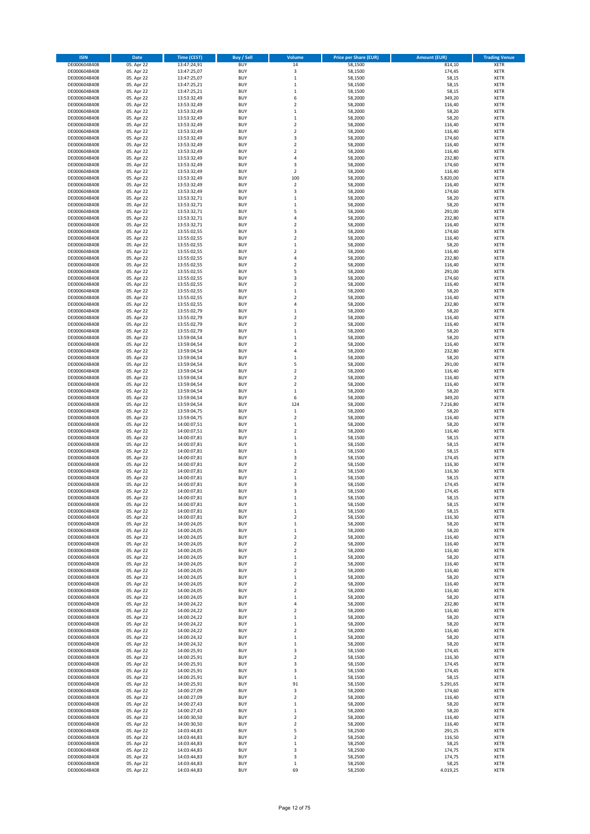| <b>ISIN</b>                  | Date                     | <b>Time (CEST)</b>         | <b>Buy / Sell</b>        | Volume                               | <b>Price per Share (EUR)</b> | <b>Amount (EUR)</b> | <b>Trading Venue</b>       |
|------------------------------|--------------------------|----------------------------|--------------------------|--------------------------------------|------------------------------|---------------------|----------------------------|
| DE0006048408                 | 05. Apr 22               | 13:47:24,91                | <b>BUY</b>               | 14                                   | 58,1500                      | 814,10              | <b>XETR</b>                |
| DE0006048408                 | 05. Apr 22               | 13:47:25,07                | <b>BUY</b>               | 3                                    | 58,1500                      | 174,45              | XETR                       |
| DE0006048408                 | 05. Apr 22               | 13:47:25,07                | BUY                      | $\mathbf{1}$                         | 58,1500                      | 58,15               | XETR                       |
| DE0006048408                 | 05. Apr 22               | 13:47:25,21                | <b>BUY</b>               | $\,1\,$                              | 58,1500                      | 58,15               | <b>XETR</b>                |
| DE0006048408<br>DE0006048408 | 05. Apr 22<br>05. Apr 22 | 13:47:25,21<br>13:53:32,49 | <b>BUY</b><br><b>BUY</b> | $\,1\,$<br>6                         | 58,1500<br>58,2000           | 58,15<br>349,20     | XETR<br><b>XETR</b>        |
| DE0006048408                 | 05. Apr 22               | 13:53:32,49                | <b>BUY</b>               | $\overline{2}$                       | 58,2000                      | 116,40              | <b>XETR</b>                |
| DE0006048408                 | 05. Apr 22               | 13:53:32,49                | <b>BUY</b>               | $\,1\,$                              | 58,2000                      | 58,20               | <b>XETR</b>                |
| DE0006048408                 | 05. Apr 22               | 13:53:32,49                | <b>BUY</b>               | $\,1\,$                              | 58,2000                      | 58,20               | XETR                       |
| DE0006048408                 | 05. Apr 22               | 13:53:32,49                | <b>BUY</b>               | $\overline{2}$                       | 58,2000                      | 116,40              | <b>XETR</b>                |
| DE0006048408                 | 05. Apr 22               | 13:53:32,49                | BUY<br><b>BUY</b>        | $\boldsymbol{2}$<br>3                | 58,2000<br>58,2000           | 116,40<br>174,60    | XETR<br><b>XETR</b>        |
| DE0006048408<br>DE0006048408 | 05. Apr 22<br>05. Apr 22 | 13:53:32,49<br>13:53:32,49 | <b>BUY</b>               | $\boldsymbol{2}$                     | 58,2000                      | 116,40              | XETR                       |
| DE0006048408                 | 05. Apr 22               | 13:53:32,49                | <b>BUY</b>               | $\overline{2}$                       | 58,2000                      | 116,40              | <b>XETR</b>                |
| DE0006048408                 | 05. Apr 22               | 13:53:32,49                | <b>BUY</b>               | $\sqrt{4}$                           | 58,2000                      | 232,80              | <b>XETR</b>                |
| DE0006048408                 | 05. Apr 22               | 13:53:32,49                | <b>BUY</b>               | 3                                    | 58,2000                      | 174,60              | <b>XETR</b>                |
| DE0006048408                 | 05. Apr 22               | 13:53:32,49                | <b>BUY</b>               | $\boldsymbol{2}$                     | 58,2000                      | 116,40              | <b>XETR</b>                |
| DE0006048408<br>DE0006048408 | 05. Apr 22<br>05. Apr 22 | 13:53:32,49<br>13:53:32,49 | <b>BUY</b><br><b>BUY</b> | 100<br>$\boldsymbol{2}$              | 58,2000<br>58,2000           | 5.820,00<br>116,40  | <b>XETR</b><br><b>XETR</b> |
| DE0006048408                 | 05. Apr 22               | 13:53:32,49                | <b>BUY</b>               | 3                                    | 58,2000                      | 174,60              | <b>XETR</b>                |
| DE0006048408                 | 05. Apr 22               | 13:53:32,71                | <b>BUY</b>               | $\,$ 1                               | 58,2000                      | 58,20               | <b>XETR</b>                |
| DE0006048408                 | 05. Apr 22               | 13:53:32,71                | <b>BUY</b>               | $\,1\,$                              | 58,2000                      | 58,20               | <b>XETR</b>                |
| DE0006048408                 | 05. Apr 22               | 13:53:32,71                | <b>BUY</b>               | 5                                    | 58,2000                      | 291,00              | <b>XETR</b>                |
| DE0006048408                 | 05. Apr 22               | 13:53:32,71                | <b>BUY</b>               | 4                                    | 58,2000                      | 232,80              | <b>XETR</b>                |
| DE0006048408<br>DE0006048408 | 05. Apr 22<br>05. Apr 22 | 13:53:32,71<br>13:55:02,55 | <b>BUY</b><br><b>BUY</b> | $\overline{2}$<br>3                  | 58,2000<br>58,2000           | 116,40<br>174,60    | <b>XETR</b><br><b>XETR</b> |
| DE0006048408                 | 05. Apr 22               | 13:55:02,55                | BUY                      | $\overline{2}$                       | 58,2000                      | 116,40              | <b>XETR</b>                |
| DE0006048408                 | 05. Apr 22               | 13:55:02,55                | <b>BUY</b>               | $\,$ 1                               | 58,2000                      | 58,20               | <b>XETR</b>                |
| DE0006048408                 | 05. Apr 22               | 13:55:02,55                | <b>BUY</b>               | $\overline{2}$                       | 58,2000                      | 116,40              | <b>XETR</b>                |
| DE0006048408                 | 05. Apr 22               | 13:55:02,55                | <b>BUY</b>               | 4                                    | 58,2000                      | 232,80              | XETR                       |
| DE0006048408<br>DE0006048408 | 05. Apr 22<br>05. Apr 22 | 13:55:02,55<br>13:55:02,55 | <b>BUY</b><br><b>BUY</b> | $\overline{2}$<br>5                  | 58,2000<br>58,2000           | 116,40<br>291,00    | <b>XETR</b><br><b>XETR</b> |
| DE0006048408                 | 05. Apr 22               | 13:55:02,55                | <b>BUY</b>               | 3                                    | 58,2000                      | 174,60              | <b>XETR</b>                |
| DE0006048408                 | 05. Apr 22               | 13:55:02,55                | <b>BUY</b>               | $\boldsymbol{2}$                     | 58,2000                      | 116,40              | <b>XETR</b>                |
| DE0006048408                 | 05. Apr 22               | 13:55:02,55                | <b>BUY</b>               | $\mathbf 1$                          | 58,2000                      | 58,20               | <b>XETR</b>                |
| DE0006048408                 | 05. Apr 22               | 13:55:02,55                | <b>BUY</b>               | $\overline{2}$                       | 58,2000                      | 116,40              | <b>XETR</b>                |
| DE0006048408                 | 05. Apr 22               | 13:55:02,55                | <b>BUY</b>               | $\sqrt{4}$                           | 58,2000                      | 232,80              | <b>XETR</b>                |
| DE0006048408<br>DE0006048408 | 05. Apr 22<br>05. Apr 22 | 13:55:02,79<br>13:55:02,79 | <b>BUY</b><br><b>BUY</b> | $\,1\,$<br>$\overline{2}$            | 58,2000<br>58,2000           | 58,20<br>116,40     | XETR<br><b>XETR</b>        |
| DE0006048408                 | 05. Apr 22               | 13:55:02,79                | <b>BUY</b>               | $\mathbf 2$                          | 58,2000                      | 116,40              | <b>XETR</b>                |
| DE0006048408                 | 05. Apr 22               | 13:55:02,79                | <b>BUY</b>               | $\,1\,$                              | 58,2000                      | 58,20               | <b>XETR</b>                |
| DE0006048408                 | 05. Apr 22               | 13:59:04,54                | <b>BUY</b>               | $\mathbf 1$                          | 58,2000                      | 58,20               | <b>XETR</b>                |
| DE0006048408                 | 05. Apr 22               | 13:59:04,54                | <b>BUY</b>               | $\overline{2}$                       | 58,2000                      | 116,40              | <b>XETR</b>                |
| DE0006048408                 | 05. Apr 22               | 13:59:04,54                | <b>BUY</b>               | $\overline{4}$                       | 58,2000                      | 232,80              | <b>XETR</b>                |
| DE0006048408<br>DE0006048408 | 05. Apr 22<br>05. Apr 22 | 13:59:04,54<br>13:59:04,54 | <b>BUY</b><br><b>BUY</b> | $\,1\,$<br>5                         | 58,2000<br>58,2000           | 58,20<br>291,00     | <b>XETR</b><br><b>XETR</b> |
| DE0006048408                 | 05. Apr 22               | 13:59:04,54                | <b>BUY</b>               | $\boldsymbol{2}$                     | 58,2000                      | 116,40              | <b>XETR</b>                |
| DE0006048408                 | 05. Apr 22               | 13:59:04,54                | <b>BUY</b>               | $\boldsymbol{2}$                     | 58,2000                      | 116,40              | <b>XETR</b>                |
| DE0006048408                 | 05. Apr 22               | 13:59:04,54                | <b>BUY</b>               | $\boldsymbol{2}$                     | 58,2000                      | 116,40              | <b>XETR</b>                |
| DE0006048408                 | 05. Apr 22               | 13:59:04,54                | <b>BUY</b>               | $\,1\,$                              | 58,2000                      | 58,20               | <b>XETR</b>                |
| DE0006048408                 | 05. Apr 22               | 13:59:04,54                | <b>BUY</b>               | 6                                    | 58,2000                      | 349,20              | <b>XETR</b>                |
| DE0006048408<br>DE0006048408 | 05. Apr 22<br>05. Apr 22 | 13:59:04,54<br>13:59:04,75 | <b>BUY</b><br><b>BUY</b> | 124<br>$\mathbf 1$                   | 58,2000<br>58,2000           | 7.216,80<br>58,20   | <b>XETR</b><br><b>XETR</b> |
| DE0006048408                 | 05. Apr 22               | 13:59:04,75                | <b>BUY</b>               | $\boldsymbol{2}$                     | 58,2000                      | 116,40              | <b>XETR</b>                |
| DE0006048408                 | 05. Apr 22               | 14:00:07,51                | <b>BUY</b>               | $\,1\,$                              | 58,2000                      | 58,20               | <b>XETR</b>                |
| DE0006048408                 | 05. Apr 22               | 14:00:07,51                | <b>BUY</b>               | $\overline{2}$                       | 58,2000                      | 116,40              | <b>XETR</b>                |
| DE0006048408                 | 05. Apr 22               | 14:00:07,81                | <b>BUY</b>               | $\mathbf{1}$                         | 58,1500                      | 58,15               | <b>XETR</b>                |
| DE0006048408<br>DE0006048408 | 05. Apr 22<br>05. Apr 22 | 14:00:07,81<br>14:00:07,81 | <b>BUY</b><br><b>BUY</b> | $\mathbf 1$<br>$\,1\,$               | 58,1500<br>58,1500           | 58,15<br>58,15      | <b>XETR</b><br>XETR        |
| DE0006048408                 | 05. Apr 22               | 14:00:07,81                | <b>BUY</b>               | 3                                    | 58,1500                      | 174,45              | <b>XETR</b>                |
| DE0006048408                 | 05. Apr 22               | 14:00:07,81                | <b>BUY</b>               | $\boldsymbol{2}$                     | 58,1500                      | 116,30              | XETR                       |
| DE0006048408                 | 05. Apr 22               | 14:00:07,81                | <b>BUY</b>               | $\overline{2}$                       | 58,1500                      | 116,30              | <b>XETR</b>                |
| DE0006048408                 | 05. Apr 22               | 14:00:07,81                | <b>BUY</b>               | $\,1\,$                              | 58,1500                      | 58,15               | <b>XETR</b>                |
| DE0006048408                 | 05. Apr 22               | 14:00:07,81                | BUY                      | 3                                    | 58,1500                      | 174,45              | <b>XETR</b>                |
| DE0006048408                 | 05. Apr 22               | 14:00:07,81                | BUY                      | 3                                    | 58,1500                      | 174,45              | <b>XETR</b>                |
| DE0006048408<br>DE0006048408 | 05. Apr 22<br>05. Apr 22 | 14:00:07,81<br>14:00:07,81 | <b>BUY</b><br><b>BUY</b> | 1<br>$\,1\,$                         | 58,1500<br>58,1500           | 58,15<br>58,15      | <b>XETR</b><br><b>XETR</b> |
| DE0006048408                 | 05. Apr 22               | 14:00:07,81                | <b>BUY</b>               | $\mathbf 1$                          | 58,1500                      | 58,15               | XETR                       |
| DE0006048408                 | 05. Apr 22               | 14:00:07,81                | <b>BUY</b>               | $\boldsymbol{2}$                     | 58,1500                      | 116,30              | XETR                       |
| DE0006048408                 | 05. Apr 22               | 14:00:24,05                | <b>BUY</b>               | $\,1\,$                              | 58,2000                      | 58,20               | <b>XETR</b>                |
| DE0006048408                 | 05. Apr 22               | 14:00:24,05                | <b>BUY</b>               | $\,$ 1                               | 58,2000                      | 58,20               | XETR                       |
| DE0006048408<br>DE0006048408 | 05. Apr 22<br>05. Apr 22 | 14:00:24,05<br>14:00:24,05 | <b>BUY</b><br><b>BUY</b> | $\boldsymbol{2}$<br>$\boldsymbol{2}$ | 58,2000<br>58,2000           | 116,40<br>116,40    | <b>XETR</b><br><b>XETR</b> |
| DE0006048408                 | 05. Apr 22               | 14:00:24,05                | <b>BUY</b>               | $\mathbf 2$                          | 58,2000                      | 116,40              | <b>XETR</b>                |
| DE0006048408                 | 05. Apr 22               | 14:00:24,05                | <b>BUY</b>               | $\,1\,$                              | 58,2000                      | 58,20               | XETR                       |
| DE0006048408                 | 05. Apr 22               | 14:00:24,05                | <b>BUY</b>               | $\overline{\mathbf{2}}$              | 58,2000                      | 116,40              | <b>XETR</b>                |
| DE0006048408                 | 05. Apr 22               | 14:00:24,05                | <b>BUY</b>               | $\boldsymbol{2}$                     | 58,2000                      | 116,40              | XETR                       |
| DE0006048408<br>DE0006048408 | 05. Apr 22<br>05. Apr 22 | 14:00:24,05<br>14:00:24,05 | <b>BUY</b><br><b>BUY</b> | $\,1\,$<br>$\boldsymbol{2}$          | 58,2000<br>58,2000           | 58,20<br>116,40     | <b>XETR</b><br><b>XETR</b> |
| DE0006048408                 | 05. Apr 22               | 14:00:24,05                | <b>BUY</b>               | $\boldsymbol{2}$                     | 58,2000                      | 116,40              | <b>XETR</b>                |
| DE0006048408                 | 05. Apr 22               | 14:00:24,05                | <b>BUY</b>               | $\,1\,$                              | 58,2000                      | 58,20               | <b>XETR</b>                |
| DE0006048408                 | 05. Apr 22               | 14:00:24,22                | <b>BUY</b>               | 4                                    | 58,2000                      | 232,80              | <b>XETR</b>                |
| DE0006048408                 | 05. Apr 22               | 14:00:24,22                | <b>BUY</b>               | $\overline{\mathbf{2}}$              | 58,2000                      | 116,40              | <b>XETR</b>                |
| DE0006048408<br>DE0006048408 | 05. Apr 22<br>05. Apr 22 | 14:00:24,22<br>14:00:24,22 | <b>BUY</b><br><b>BUY</b> | $\mathbf{1}$<br>$\mathbf 1$          | 58,2000<br>58,2000           | 58,20<br>58,20      | <b>XETR</b><br><b>XETR</b> |
| DE0006048408                 | 05. Apr 22               | 14:00:24,22                | <b>BUY</b>               | $\boldsymbol{2}$                     | 58,2000                      | 116,40              | <b>XETR</b>                |
| DE0006048408                 | 05. Apr 22               | 14:00:24,32                | <b>BUY</b>               | $\mathbf 1$                          | 58,2000                      | 58,20               | <b>XETR</b>                |
| DE0006048408                 | 05. Apr 22               | 14:00:24,32                | <b>BUY</b>               | $\,1\,$                              | 58,2000                      | 58,20               | XETR                       |
| DE0006048408                 | 05. Apr 22               | 14:00:25,91                | <b>BUY</b>               | 3                                    | 58,1500                      | 174,45              | <b>XETR</b>                |
| DE0006048408<br>DE0006048408 | 05. Apr 22<br>05. Apr 22 | 14:00:25,91<br>14:00:25,91 | <b>BUY</b><br><b>BUY</b> | $\boldsymbol{2}$<br>3                | 58,1500<br>58,1500           | 116,30<br>174,45    | <b>XETR</b><br><b>XETR</b> |
| DE0006048408                 | 05. Apr 22               | 14:00:25,91                | <b>BUY</b>               | 3                                    | 58,1500                      | 174,45              | <b>XETR</b>                |
| DE0006048408                 | 05. Apr 22               | 14:00:25,91                | <b>BUY</b>               | $\mathbf 1$                          | 58,1500                      | 58,15               | <b>XETR</b>                |
| DE0006048408                 | 05. Apr 22               | 14:00:25,91                | <b>BUY</b>               | 91                                   | 58,1500                      | 5.291,65            | <b>XETR</b>                |
| DE0006048408                 | 05. Apr 22               | 14:00:27,09                | <b>BUY</b>               | 3                                    | 58,2000                      | 174,60              | <b>XETR</b>                |
| DE0006048408                 | 05. Apr 22               | 14:00:27,09                | <b>BUY</b>               | $\boldsymbol{2}$                     | 58,2000                      | 116,40              | <b>XETR</b>                |
| DE0006048408<br>DE0006048408 | 05. Apr 22<br>05. Apr 22 | 14:00:27,43<br>14:00:27,43 | <b>BUY</b><br><b>BUY</b> | $\,1\,$<br>$\,1\,$                   | 58,2000<br>58,2000           | 58,20<br>58,20      | <b>XETR</b><br><b>XETR</b> |
| DE0006048408                 | 05. Apr 22               | 14:00:30,50                | <b>BUY</b>               | $\boldsymbol{2}$                     | 58,2000                      | 116,40              | <b>XETR</b>                |
| DE0006048408                 | 05. Apr 22               | 14:00:30,50                | <b>BUY</b>               | $\overline{\mathbf{2}}$              | 58,2000                      | 116,40              | <b>XETR</b>                |
| DE0006048408                 | 05. Apr 22               | 14:03:44,83                | <b>BUY</b>               | 5                                    | 58,2500                      | 291,25              | <b>XETR</b>                |
| DE0006048408                 | 05. Apr 22               | 14:03:44,83                | <b>BUY</b>               | $\boldsymbol{2}$                     | 58,2500                      | 116,50              | <b>XETR</b>                |
| DE0006048408                 | 05. Apr 22               | 14:03:44,83                | <b>BUY</b><br><b>BUY</b> | $\,1\,$                              | 58,2500                      | 58,25               | <b>XETR</b><br>XETR        |
| DE0006048408<br>DE0006048408 | 05. Apr 22<br>05. Apr 22 | 14:03:44,83<br>14:03:44,83 | <b>BUY</b>               | 3<br>3                               | 58,2500<br>58,2500           | 174,75<br>174,75    | <b>XETR</b>                |
| DE0006048408                 | 05. Apr 22               | 14:03:44,83                | <b>BUY</b>               | $\,$ 1                               | 58,2500                      | 58,25               | <b>XETR</b>                |
| DE0006048408                 | 05. Apr 22               | 14:03:44,83                | <b>BUY</b>               | 69                                   | 58,2500                      | 4.019,25            | <b>XETR</b>                |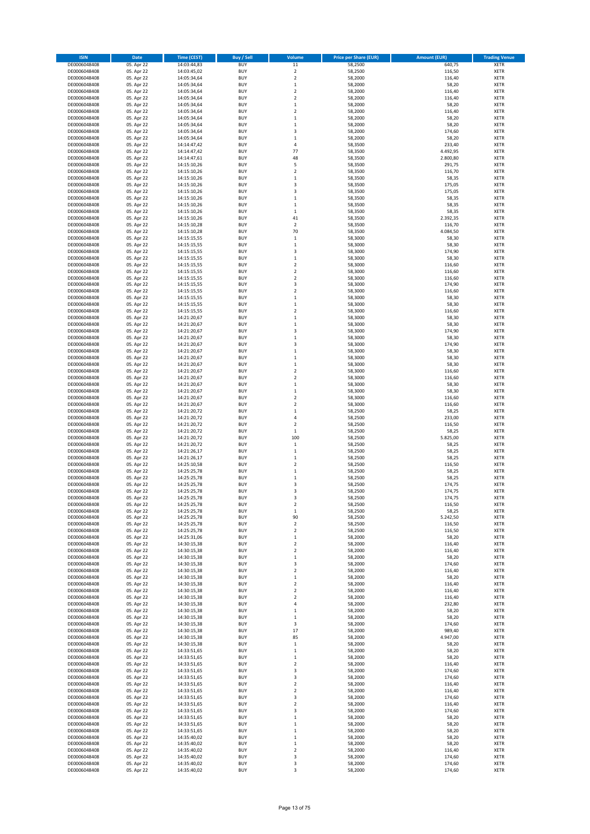| <b>ISIN</b>                  | Date                     | <b>Time (CEST)</b>         | <b>Buy / Sell</b>        | Volume                               | <b>Price per Share (EUR)</b> | <b>Amount (EUR)</b> | <b>Trading Venue</b>       |
|------------------------------|--------------------------|----------------------------|--------------------------|--------------------------------------|------------------------------|---------------------|----------------------------|
| DE0006048408                 | 05. Apr 22               | 14:03:44,83                | <b>BUY</b>               | $11\,$                               | 58,2500                      | 640,75              | <b>XETR</b>                |
| DE0006048408                 | 05. Apr 22               | 14:03:45,02                | <b>BUY</b>               | $\overline{2}$                       | 58,2500                      | 116,50              | XETR                       |
| DE0006048408                 | 05. Apr 22               | 14:05:34,64                | <b>BUY</b>               | $\mathbf 2$                          | 58,2000                      | 116,40              | XETR                       |
| DE0006048408                 | 05. Apr 22               | 14:05:34,64                | <b>BUY</b>               | $\,1\,$                              | 58,2000                      | 58,20               | <b>XETR</b>                |
| DE0006048408<br>DE0006048408 | 05. Apr 22<br>05. Apr 22 | 14:05:34,64<br>14:05:34,64 | <b>BUY</b><br><b>BUY</b> | $\boldsymbol{2}$<br>$\overline{2}$   | 58,2000<br>58,2000           | 116,40<br>116,40    | XETR<br><b>XETR</b>        |
| DE0006048408                 | 05. Apr 22               | 14:05:34,64                | <b>BUY</b>               | $\,1\,$                              | 58,2000                      | 58,20               | <b>XETR</b>                |
| DE0006048408                 | 05. Apr 22               | 14:05:34,64                | <b>BUY</b>               | $\overline{2}$                       | 58,2000                      | 116,40              | <b>XETR</b>                |
| DE0006048408                 | 05. Apr 22               | 14:05:34,64                | <b>BUY</b>               | $\,1\,$                              | 58,2000                      | 58,20               | <b>XETR</b>                |
| DE0006048408                 | 05. Apr 22               | 14:05:34,64                | <b>BUY</b>               | $\mathbf{1}$                         | 58,2000                      | 58,20               | <b>XETR</b>                |
| DE0006048408                 | 05. Apr 22               | 14:05:34,64                | <b>BUY</b>               | 3                                    | 58,2000                      | 174,60              | XETR                       |
| DE0006048408<br>DE0006048408 | 05. Apr 22               | 14:05:34,64<br>14:14:47,42 | <b>BUY</b><br><b>BUY</b> | $\mathbf 1$<br>4                     | 58,2000<br>58,3500           | 58,20<br>233,40     | <b>XETR</b><br>XETR        |
| DE0006048408                 | 05. Apr 22<br>05. Apr 22 | 14:14:47,42                | <b>BUY</b>               | 77                                   | 58,3500                      | 4.492,95            | <b>XETR</b>                |
| DE0006048408                 | 05. Apr 22               | 14:14:47,61                | <b>BUY</b>               | 48                                   | 58,3500                      | 2.800,80            | <b>XETR</b>                |
| DE0006048408                 | 05. Apr 22               | 14:15:10,26                | <b>BUY</b>               | 5                                    | 58,3500                      | 291,75              | <b>XETR</b>                |
| DE0006048408                 | 05. Apr 22               | 14:15:10,26                | <b>BUY</b>               | $\boldsymbol{2}$                     | 58,3500                      | 116,70              | <b>XETR</b>                |
| DE0006048408<br>DE0006048408 | 05. Apr 22               | 14:15:10,26                | <b>BUY</b>               | $\mathbf 1$                          | 58,3500                      | 58,35               | <b>XETR</b>                |
| DE0006048408                 | 05. Apr 22<br>05. Apr 22 | 14:15:10,26<br>14:15:10,26 | <b>BUY</b><br><b>BUY</b> | 3<br>3                               | 58,3500<br>58,3500           | 175,05<br>175,05    | <b>XETR</b><br><b>XETR</b> |
| DE0006048408                 | 05. Apr 22               | 14:15:10,26                | <b>BUY</b>               | $\,$ 1                               | 58,3500                      | 58,35               | <b>XETR</b>                |
| DE0006048408                 | 05. Apr 22               | 14:15:10,26                | <b>BUY</b>               | $\,1\,$                              | 58,3500                      | 58,35               | <b>XETR</b>                |
| DE0006048408                 | 05. Apr 22               | 14:15:10,26                | <b>BUY</b>               | $\,1\,$                              | 58,3500                      | 58,35               | <b>XETR</b>                |
| DE0006048408                 | 05. Apr 22               | 14:15:10,26                | <b>BUY</b>               | 41                                   | 58,3500                      | 2.392,35            | <b>XETR</b>                |
| DE0006048408                 | 05. Apr 22               | 14:15:10,28                | <b>BUY</b>               | $\overline{2}$                       | 58,3500                      | 116,70              | <b>XETR</b>                |
| DE0006048408<br>DE0006048408 | 05. Apr 22<br>05. Apr 22 | 14:15:10,28<br>14:15:15,55 | <b>BUY</b><br><b>BUY</b> | 70<br>$\,1\,$                        | 58,3500<br>58,3000           | 4.084,50<br>58,30   | <b>XETR</b><br><b>XETR</b> |
| DE0006048408                 | 05. Apr 22               | 14:15:15,55                | <b>BUY</b>               | $\,$ 1                               | 58,3000                      | 58,30               | <b>XETR</b>                |
| DE0006048408                 | 05. Apr 22               | 14:15:15,55                | <b>BUY</b>               | 3                                    | 58,3000                      | 174,90              | <b>XETR</b>                |
| DE0006048408                 | 05. Apr 22               | 14:15:15,55                | <b>BUY</b>               | $\,1\,$                              | 58,3000                      | 58,30               | XETR                       |
| DE0006048408                 | 05. Apr 22               | 14:15:15,55                | <b>BUY</b>               | $\overline{2}$                       | 58,3000                      | 116,60              | <b>XETR</b>                |
| DE0006048408                 | 05. Apr 22               | 14:15:15,55                | <b>BUY</b>               | $\boldsymbol{2}$                     | 58,3000                      | 116,60              | <b>XETR</b>                |
| DE0006048408<br>DE0006048408 | 05. Apr 22<br>05. Apr 22 | 14:15:15,55<br>14:15:15,55 | <b>BUY</b><br><b>BUY</b> | $\overline{2}$<br>3                  | 58,3000<br>58,3000           | 116,60<br>174,90    | <b>XETR</b><br>XETR        |
| DE0006048408                 | 05. Apr 22               | 14:15:15,55                | <b>BUY</b>               | $\overline{2}$                       | 58,3000                      | 116,60              | <b>XETR</b>                |
| DE0006048408                 | 05. Apr 22               | 14:15:15,55                | <b>BUY</b>               | $\,1\,$                              | 58,3000                      | 58,30               | XETR                       |
| DE0006048408                 | 05. Apr 22               | 14:15:15,55                | <b>BUY</b>               | $\,1\,$                              | 58,3000                      | 58,30               | <b>XETR</b>                |
| DE0006048408                 | 05. Apr 22               | 14:15:15,55                | <b>BUY</b>               | $\boldsymbol{2}$                     | 58,3000                      | 116,60              | XETR                       |
| DE0006048408                 | 05. Apr 22               | 14:21:20,67                | <b>BUY</b>               | $\,1\,$                              | 58,3000                      | 58,30               | <b>XETR</b>                |
| DE0006048408<br>DE0006048408 | 05. Apr 22<br>05. Apr 22 | 14:21:20,67<br>14:21:20,67 | <b>BUY</b><br><b>BUY</b> | $\mathbf{1}$<br>3                    | 58,3000<br>58,3000           | 58,30<br>174,90     | <b>XETR</b><br><b>XETR</b> |
| DE0006048408                 | 05. Apr 22               | 14:21:20,67                | <b>BUY</b>               | $\mathbf 1$                          | 58,3000                      | 58,30               | <b>XETR</b>                |
| DE0006048408                 | 05. Apr 22               | 14:21:20,67                | <b>BUY</b>               | 3                                    | 58,3000                      | 174,90              | <b>XETR</b>                |
| DE0006048408                 | 05. Apr 22               | 14:21:20,67                | <b>BUY</b>               | $\,1\,$                              | 58,3000                      | 58,30               | <b>XETR</b>                |
| DE0006048408                 | 05. Apr 22               | 14:21:20,67                | <b>BUY</b>               | $\,$ 1                               | 58,3000                      | 58,30               | <b>XETR</b>                |
| DE0006048408                 | 05. Apr 22               | 14:21:20,67                | <b>BUY</b>               | $\,$ 1                               | 58,3000                      | 58,30               | <b>XETR</b>                |
| DE0006048408<br>DE0006048408 | 05. Apr 22<br>05. Apr 22 | 14:21:20,67<br>14:21:20,67 | <b>BUY</b><br><b>BUY</b> | $\boldsymbol{2}$<br>$\boldsymbol{2}$ | 58,3000<br>58,3000           | 116,60<br>116,60    | <b>XETR</b><br><b>XETR</b> |
| DE0006048408                 | 05. Apr 22               | 14:21:20,67                | <b>BUY</b>               | $\,1\,$                              | 58,3000                      | 58,30               | <b>XETR</b>                |
| DE0006048408                 | 05. Apr 22               | 14:21:20,67                | <b>BUY</b>               | $\,1\,$                              | 58,3000                      | 58,30               | <b>XETR</b>                |
| DE0006048408                 | 05. Apr 22               | 14:21:20,67                | <b>BUY</b>               | $\boldsymbol{2}$                     | 58,3000                      | 116,60              | <b>XETR</b>                |
| DE0006048408                 | 05. Apr 22               | 14:21:20,67                | <b>BUY</b>               | $\overline{2}$                       | 58,3000                      | 116,60              | <b>XETR</b>                |
| DE0006048408                 | 05. Apr 22               | 14:21:20,72                | <b>BUY</b>               | $\,1\,$                              | 58,2500                      | 58,25               | <b>XETR</b>                |
| DE0006048408                 | 05. Apr 22<br>05. Apr 22 | 14:21:20,72                | <b>BUY</b><br><b>BUY</b> | $\sqrt{4}$<br>$\overline{2}$         | 58,2500                      | 233,00<br>116,50    | <b>XETR</b><br><b>XETR</b> |
| DE0006048408<br>DE0006048408 | 05. Apr 22               | 14:21:20,72<br>14:21:20,72 | <b>BUY</b>               | $\mathbf 1$                          | 58,2500<br>58,2500           | 58,25               | <b>XETR</b>                |
| DE0006048408                 | 05. Apr 22               | 14:21:20,72                | <b>BUY</b>               | 100                                  | 58,2500                      | 5.825,00            | <b>XETR</b>                |
| DE0006048408                 | 05. Apr 22               | 14:21:20,72                | <b>BUY</b>               | $\mathbf 1$                          | 58,2500                      | 58,25               | <b>XETR</b>                |
| DE0006048408                 | 05. Apr 22               | 14:21:26,17                | <b>BUY</b>               | $\,1\,$                              | 58,2500                      | 58,25               | XETR                       |
| DE0006048408                 | 05. Apr 22               | 14:21:26,17                | <b>BUY</b>               | $\mathbf{1}$                         | 58,2500                      | 58,25               | <b>XETR</b>                |
| DE0006048408<br>DE0006048408 | 05. Apr 22<br>05. Apr 22 | 14:25:10,58<br>14:25:25,78 | <b>BUY</b><br><b>BUY</b> | $\boldsymbol{2}$<br>$\mathbf 1$      | 58,2500<br>58,2500           | 116,50<br>58,25     | XETR<br><b>XETR</b>        |
| DE0006048408                 | 05. Apr 22               | 14:25:25,78                | <b>BUY</b>               | $\,1\,$                              | 58,2500                      | 58,25               | <b>XETR</b>                |
| DE0006048408                 | 05. Apr 22               | 14:25:25,78                | <b>BUY</b>               | 3                                    | 58,2500                      | 174,75              | <b>XETR</b>                |
| DE0006048408                 | 05. Apr 22               | 14:25:25,78                | <b>BUY</b>               | 3                                    | 58,2500                      | 174,75              | <b>XETR</b>                |
| DE0006048408                 | 05. Apr 22               | 14:25:25,78                | <b>BUY</b>               | 3                                    | 58,2500                      | 174,75              | <b>XETR</b>                |
| DE0006048408                 | 05. Apr 22               | 14:25:25,78                | <b>BUY</b>               | $\overline{\mathbf{2}}$              | 58,2500                      | 116,50              | <b>XETR</b>                |
| DE0006048408<br>DE0006048408 | 05. Apr 22<br>05. Apr 22 | 14:25:25,78<br>14:25:25,78 | <b>BUY</b><br><b>BUY</b> | $\mathbf 1$<br>90                    | 58,2500<br>58,2500           | 58,25<br>5.242,50   | XETR<br>XETR               |
| DE0006048408                 | 05. Apr 22               | 14:25:25,78                | <b>BUY</b>               | $\mathbf 2$                          | 58,2500                      | 116,50              | <b>XETR</b>                |
| DE0006048408                 | 05. Apr 22               | 14:25:25,78                | <b>BUY</b>               | $\boldsymbol{2}$                     | 58,2500                      | 116,50              | XETR                       |
| DE0006048408                 | 05. Apr 22               | 14:25:31,06                | <b>BUY</b>               | $\,1\,$                              | 58,2000                      | 58,20               | <b>XETR</b>                |
| DE0006048408                 | 05. Apr 22               | 14:30:15,38                | <b>BUY</b>               | $\boldsymbol{2}$                     | 58,2000                      | 116,40              | <b>XETR</b>                |
| DE0006048408                 | 05. Apr 22               | 14:30:15,38                | <b>BUY</b>               | $\mathbf 2$                          | 58,2000                      | 116,40              | <b>XETR</b>                |
| DE0006048408<br>DE0006048408 | 05. Apr 22<br>05. Apr 22 | 14:30:15,38<br>14:30:15,38 | <b>BUY</b><br><b>BUY</b> | $\,1\,$<br>3                         | 58,2000<br>58,2000           | 58,20<br>174,60     | XETR<br><b>XETR</b>        |
| DE0006048408                 | 05. Apr 22               | 14:30:15,38                | <b>BUY</b>               | $\boldsymbol{2}$                     | 58,2000                      | 116,40              | XETR                       |
| DE0006048408                 | 05. Apr 22               | 14:30:15,38                | <b>BUY</b>               | $\,1\,$                              | 58,2000                      | 58,20               | <b>XETR</b>                |
| DE0006048408                 | 05. Apr 22               | 14:30:15,38                | <b>BUY</b>               | $\mathbf 2$                          | 58,2000                      | 116,40              | XETR                       |
| DE0006048408                 | 05. Apr 22               | 14:30:15,38                | <b>BUY</b>               | $\boldsymbol{2}$                     | 58,2000                      | 116,40              | <b>XETR</b>                |
| DE0006048408<br>DE0006048408 | 05. Apr 22<br>05. Apr 22 | 14:30:15,38                | <b>BUY</b><br><b>BUY</b> | $\boldsymbol{2}$<br>4                | 58,2000<br>58,2000           | 116,40              | <b>XETR</b><br><b>XETR</b> |
| DE0006048408                 | 05. Apr 22               | 14:30:15,38<br>14:30:15,38 | <b>BUY</b>               | $\mathbf 1$                          | 58,2000                      | 232,80<br>58,20     | <b>XETR</b>                |
| DE0006048408                 | 05. Apr 22               | 14:30:15,38                | <b>BUY</b>               | $\mathbf{1}$                         | 58,2000                      | 58,20               | <b>XETR</b>                |
| DE0006048408                 | 05. Apr 22               | 14:30:15,38                | <b>BUY</b>               | 3                                    | 58,2000                      | 174,60              | <b>XETR</b>                |
| DE0006048408                 | 05. Apr 22               | 14:30:15,38                | <b>BUY</b>               | 17                                   | 58,2000                      | 989,40              | <b>XETR</b>                |
| DE0006048408                 | 05. Apr 22               | 14:30:15,38                | <b>BUY</b>               | 85                                   | 58,2000                      | 4.947,00            | <b>XETR</b>                |
| DE0006048408<br>DE0006048408 | 05. Apr 22<br>05. Apr 22 | 14:30:15,38                | <b>BUY</b><br><b>BUY</b> | $\,1\,$<br>$\mathbf 1$               | 58,2000<br>58,2000           | 58,20<br>58,20      | XETR<br><b>XETR</b>        |
| DE0006048408                 | 05. Apr 22               | 14:33:51,65<br>14:33:51,65 | <b>BUY</b>               | $\,1\,$                              | 58,2000                      | 58,20               | <b>XETR</b>                |
| DE0006048408                 | 05. Apr 22               | 14:33:51,65                | <b>BUY</b>               | $\overline{2}$                       | 58,2000                      | 116,40              | <b>XETR</b>                |
| DE0006048408                 | 05. Apr 22               | 14:33:51,65                | <b>BUY</b>               | 3                                    | 58,2000                      | 174,60              | XETR                       |
| DE0006048408                 | 05. Apr 22               | 14:33:51,65                | <b>BUY</b>               | 3                                    | 58,2000                      | 174,60              | <b>XETR</b>                |
| DE0006048408                 | 05. Apr 22               | 14:33:51,65                | <b>BUY</b>               | $\boldsymbol{2}$                     | 58,2000                      | 116,40              | <b>XETR</b>                |
| DE0006048408                 | 05. Apr 22               | 14:33:51,65                | <b>BUY</b>               | $\overline{2}$                       | 58,2000                      | 116,40              | <b>XETR</b>                |
| DE0006048408<br>DE0006048408 | 05. Apr 22<br>05. Apr 22 | 14:33:51,65<br>14:33:51,65 | <b>BUY</b><br><b>BUY</b> | 3<br>$\overline{\mathbf{2}}$         | 58,2000<br>58,2000           | 174,60<br>116,40    | XETR<br><b>XETR</b>        |
| DE0006048408                 | 05. Apr 22               | 14:33:51,65                | <b>BUY</b>               | 3                                    | 58,2000                      | 174,60              | XETR                       |
| DE0006048408                 | 05. Apr 22               | 14:33:51,65                | <b>BUY</b>               | $\,1\,$                              | 58,2000                      | 58,20               | <b>XETR</b>                |
| DE0006048408                 | 05. Apr 22               | 14:33:51,65                | <b>BUY</b>               | $\,1\,$                              | 58,2000                      | 58,20               | <b>XETR</b>                |
| DE0006048408                 | 05. Apr 22               | 14:33:51,65                | <b>BUY</b>               | $\,1\,$                              | 58,2000                      | 58,20               | <b>XETR</b>                |
| DE0006048408                 | 05. Apr 22               | 14:35:40,02                | <b>BUY</b>               | $\,1\,$                              | 58,2000                      | 58,20               | XETR                       |
| DE0006048408<br>DE0006048408 | 05. Apr 22<br>05. Apr 22 | 14:35:40,02<br>14:35:40,02 | <b>BUY</b><br><b>BUY</b> | $\,1\,$<br>$\mathbf 2$               | 58,2000<br>58,2000           | 58,20<br>116,40     | <b>XETR</b><br>XETR        |
| DE0006048408                 | 05. Apr 22               | 14:35:40,02                | <b>BUY</b>               | 3                                    | 58,2000                      | 174,60              | <b>XETR</b>                |
| DE0006048408                 | 05. Apr 22               | 14:35:40,02                | <b>BUY</b>               | 3                                    | 58,2000                      | 174,60              | <b>XETR</b>                |
| DE0006048408                 | 05. Apr 22               | 14:35:40,02                | <b>BUY</b>               | 3                                    | 58,2000                      | 174,60              | <b>XETR</b>                |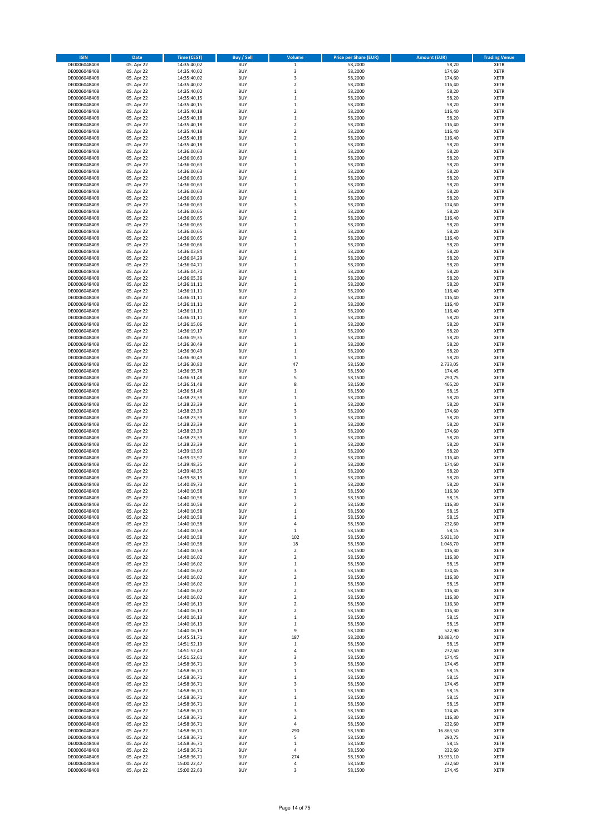| <b>ISIN</b>                  | Date                     | <b>Time (CEST)</b>         | <b>Buy / Sell</b>        | Volume                               | <b>Price per Share (EUR)</b> | <b>Amount (EUR)</b> | <b>Trading Venue</b>       |
|------------------------------|--------------------------|----------------------------|--------------------------|--------------------------------------|------------------------------|---------------------|----------------------------|
| DE0006048408                 | 05. Apr 22               | 14:35:40,02                | <b>BUY</b>               | $\,$ 1                               | 58,2000                      | 58,20               | <b>XETR</b>                |
| DE0006048408                 | 05. Apr 22               | 14:35:40,02                | <b>BUY</b>               | 3                                    | 58,2000                      | 174,60              | XETR                       |
| DE0006048408                 | 05. Apr 22               | 14:35:40,02                | <b>BUY</b>               | 3                                    | 58,2000                      | 174,60              | XETR                       |
| DE0006048408                 | 05. Apr 22               | 14:35:40,02                | <b>BUY</b>               | $\overline{2}$                       | 58,2000                      | 116,40              | <b>XETR</b>                |
| DE0006048408<br>DE0006048408 | 05. Apr 22<br>05. Apr 22 | 14:35:40,02<br>14:35:40,15 | <b>BUY</b><br><b>BUY</b> | $\mathbf{1}$<br>$\mathbf{1}$         | 58,2000<br>58,2000           | 58,20<br>58,20      | XETR<br><b>XETR</b>        |
| DE0006048408                 | 05. Apr 22               | 14:35:40,15                | <b>BUY</b>               | $\mathbf{1}$                         | 58,2000                      | 58,20               | <b>XETR</b>                |
| DE0006048408                 | 05. Apr 22               | 14:35:40,18                | <b>BUY</b>               | $\overline{2}$                       | 58,2000                      | 116,40              | <b>XETR</b>                |
| DE0006048408                 | 05. Apr 22               | 14:35:40,18                | <b>BUY</b>               | $\,1\,$                              | 58,2000                      | 58,20               | <b>XETR</b>                |
| DE0006048408                 | 05. Apr 22               | 14:35:40,18                | <b>BUY</b>               | $\overline{2}$                       | 58,2000                      | 116,40              | <b>XETR</b>                |
| DE0006048408                 | 05. Apr 22               | 14:35:40,18                | <b>BUY</b><br><b>BUY</b> | $\boldsymbol{2}$<br>$\overline{2}$   | 58,2000<br>58,2000           | 116,40<br>116,40    | XETR<br><b>XETR</b>        |
| DE0006048408<br>DE0006048408 | 05. Apr 22<br>05. Apr 22 | 14:35:40,18<br>14:35:40,18 | <b>BUY</b>               | $\,1\,$                              | 58,2000                      | 58,20               | XETR                       |
| DE0006048408                 | 05. Apr 22               | 14:36:00,63                | <b>BUY</b>               | $\mathbf 1$                          | 58,2000                      | 58,20               | <b>XETR</b>                |
| DE0006048408                 | 05. Apr 22               | 14:36:00,63                | <b>BUY</b>               | $\,$ 1                               | 58,2000                      | 58,20               | <b>XETR</b>                |
| DE0006048408                 | 05. Apr 22               | 14:36:00,63                | <b>BUY</b>               | $\,1\,$                              | 58,2000                      | 58,20               | <b>XETR</b>                |
| DE0006048408                 | 05. Apr 22               | 14:36:00,63                | <b>BUY</b>               | $\,1\,$                              | 58,2000                      | 58,20               | <b>XETR</b>                |
| DE0006048408<br>DE0006048408 | 05. Apr 22<br>05. Apr 22 | 14:36:00,63<br>14:36:00,63 | <b>BUY</b><br><b>BUY</b> | $\mathbf 1$<br>$\,1\,$               | 58,2000<br>58,2000           | 58,20<br>58,20      | <b>XETR</b><br><b>XETR</b> |
| DE0006048408                 | 05. Apr 22               | 14:36:00,63                | <b>BUY</b>               | $\,$ 1                               | 58,2000                      | 58,20               | <b>XETR</b>                |
| DE0006048408                 | 05. Apr 22               | 14:36:00,63                | <b>BUY</b>               | $\,$ 1                               | 58,2000                      | 58,20               | <b>XETR</b>                |
| DE0006048408                 | 05. Apr 22               | 14:36:00,63                | <b>BUY</b>               | 3                                    | 58,2000                      | 174,60              | <b>XETR</b>                |
| DE0006048408                 | 05. Apr 22               | 14:36:00,65                | <b>BUY</b>               | $\,1\,$                              | 58,2000                      | 58,20               | <b>XETR</b>                |
| DE0006048408                 | 05. Apr 22               | 14:36:00,65                | <b>BUY</b>               | $\overline{2}$                       | 58,2000                      | 116,40              | <b>XETR</b>                |
| DE0006048408                 | 05. Apr 22<br>05. Apr 22 | 14:36:00,65                | <b>BUY</b><br><b>BUY</b> | $\mathbf 1$<br>$\mathbf 1$           | 58,2000                      | 58,20<br>58,20      | <b>XETR</b><br><b>XETR</b> |
| DE0006048408<br>DE0006048408 | 05. Apr 22               | 14:36:00,65<br>14:36:00,65 | <b>BUY</b>               | $\overline{2}$                       | 58,2000<br>58,2000           | 116,40              | <b>XETR</b>                |
| DE0006048408                 | 05. Apr 22               | 14:36:00,66                | <b>BUY</b>               | $\,1\,$                              | 58,2000                      | 58,20               | <b>XETR</b>                |
| DE0006048408                 | 05. Apr 22               | 14:36:03,84                | <b>BUY</b>               | $\mathbf 1$                          | 58,2000                      | 58,20               | <b>XETR</b>                |
| DE0006048408                 | 05. Apr 22               | 14:36:04,29                | <b>BUY</b>               | $\,1\,$                              | 58,2000                      | 58,20               | XETR                       |
| DE0006048408                 | 05. Apr 22               | 14:36:04,71                | <b>BUY</b>               | $\mathbf 1$                          | 58,2000                      | 58,20               | <b>XETR</b>                |
| DE0006048408<br>DE0006048408 | 05. Apr 22<br>05. Apr 22 | 14:36:04,71                | <b>BUY</b><br><b>BUY</b> | $\,1\,$<br>$\mathbf 1$               | 58,2000<br>58,2000           | 58,20<br>58,20      | <b>XETR</b><br><b>XETR</b> |
| DE0006048408                 | 05. Apr 22               | 14:36:05,36<br>14:36:11,11 | <b>BUY</b>               | $\,1\,$                              | 58,2000                      | 58,20               | <b>XETR</b>                |
| DE0006048408                 | 05. Apr 22               | 14:36:11,11                | <b>BUY</b>               | $\overline{2}$                       | 58,2000                      | 116,40              | <b>XETR</b>                |
| DE0006048408                 | 05. Apr 22               | 14:36:11,11                | <b>BUY</b>               | $\boldsymbol{2}$                     | 58,2000                      | 116,40              | <b>XETR</b>                |
| DE0006048408                 | 05. Apr 22               | 14:36:11,11                | <b>BUY</b>               | $\overline{2}$                       | 58,2000                      | 116,40              | <b>XETR</b>                |
| DE0006048408                 | 05. Apr 22               | 14:36:11,11                | <b>BUY</b>               | $\boldsymbol{2}$                     | 58,2000                      | 116,40              | XETR                       |
| DE0006048408                 | 05. Apr 22<br>05. Apr 22 | 14:36:11,11                | <b>BUY</b>               | $\mathbf 1$<br>$\mathbf{1}$          | 58,2000                      | 58,20               | <b>XETR</b><br><b>XETR</b> |
| DE0006048408<br>DE0006048408 | 05. Apr 22               | 14:36:15,06<br>14:36:19,17 | <b>BUY</b><br><b>BUY</b> | $\,1\,$                              | 58,2000<br>58,2000           | 58,20<br>58,20      | <b>XETR</b>                |
| DE0006048408                 | 05. Apr 22               | 14:36:19,35                | <b>BUY</b>               | $\mathbf 1$                          | 58,2000                      | 58,20               | <b>XETR</b>                |
| DE0006048408                 | 05. Apr 22               | 14:36:30,49                | <b>BUY</b>               | $\mathbf 1$                          | 58,2000                      | 58,20               | <b>XETR</b>                |
| DE0006048408                 | 05. Apr 22               | 14:36:30,49                | BUY                      | $\,1\,$                              | 58,2000                      | 58,20               | <b>XETR</b>                |
| DE0006048408                 | 05. Apr 22               | 14:36:30,49                | <b>BUY</b>               | $\,$ 1                               | 58,2000                      | 58,20               | <b>XETR</b>                |
| DE0006048408<br>DE0006048408 | 05. Apr 22<br>05. Apr 22 | 14:36:30,80<br>14:36:35,78 | <b>BUY</b><br><b>BUY</b> | 47<br>3                              | 58,1500<br>58,1500           | 2.733,05<br>174,45  | <b>XETR</b><br><b>XETR</b> |
| DE0006048408                 | 05. Apr 22               | 14:36:51,48                | <b>BUY</b>               | 5                                    | 58,1500                      | 290,75              | <b>XETR</b>                |
| DE0006048408                 | 05. Apr 22               | 14:36:51,48                | <b>BUY</b>               | 8                                    | 58,1500                      | 465,20              | <b>XETR</b>                |
| DE0006048408                 | 05. Apr 22               | 14:36:51,48                | <b>BUY</b>               | $\,$ 1                               | 58,1500                      | 58,15               | XETR                       |
| DE0006048408                 | 05. Apr 22               | 14:38:23,39                | <b>BUY</b>               | $\mathbf{1}$                         | 58,2000                      | 58,20               | <b>XETR</b>                |
| DE0006048408                 | 05. Apr 22               | 14:38:23,39                | <b>BUY</b>               | $\,1\,$                              | 58,2000                      | 58,20               | XETR                       |
| DE0006048408<br>DE0006048408 | 05. Apr 22<br>05. Apr 22 | 14:38:23,39<br>14:38:23,39 | <b>BUY</b><br><b>BUY</b> | 3<br>$\,$ 1                          | 58,2000<br>58,2000           | 174,60<br>58,20     | <b>XETR</b><br><b>XETR</b> |
| DE0006048408                 | 05. Apr 22               | 14:38:23,39                | <b>BUY</b>               | $\,$ 1                               | 58,2000                      | 58,20               | <b>XETR</b>                |
| DE0006048408                 | 05. Apr 22               | 14:38:23,39                | <b>BUY</b>               | $\overline{\mathbf{3}}$              | 58,2000                      | 174,60              | <b>XETR</b>                |
| DE0006048408                 | 05. Apr 22               | 14:38:23,39                | <b>BUY</b>               | $\mathbf{1}$                         | 58,2000                      | 58,20               | <b>XETR</b>                |
| DE0006048408                 | 05. Apr 22               | 14:38:23,39                | <b>BUY</b>               | $\mathbf 1$                          | 58,2000                      | 58,20               | <b>XETR</b>                |
| DE0006048408                 | 05. Apr 22               | 14:39:13,90                | <b>BUY</b><br><b>BUY</b> | $\,$ 1<br>$\overline{\mathbf{c}}$    | 58,2000                      | 58,20               | XETR<br><b>XETR</b>        |
| DE0006048408<br>DE0006048408 | 05. Apr 22<br>05. Apr 22 | 14:39:13,97<br>14:39:48,35 | <b>BUY</b>               | 3                                    | 58,2000<br>58,2000           | 116,40<br>174,60    | XETR                       |
| DE0006048408                 | 05. Apr 22               | 14:39:48,35                | <b>BUY</b>               | $\mathbf 1$                          | 58,2000                      | 58,20               | <b>XETR</b>                |
| DE0006048408                 | 05. Apr 22               | 14:39:58,19                | <b>BUY</b>               | $\mathbf{1}$                         | 58,2000                      | 58,20               | <b>XETR</b>                |
| DE0006048408                 | 05. Apr 22               | 14:40:09,73                | BUY                      | $\mathbf 1$                          | 58,2000                      | 58,20               | <b>XETR</b>                |
| DE0006048408                 | 05. Apr 22               | 14:40:10,58                | BUY                      | $\overline{2}$                       | 58,1500                      | 116,30              | <b>XETR</b>                |
| DE0006048408<br>DE0006048408 | 05. Apr 22               | 14:40:10,58                | <b>BUY</b>               | $\mathbf{1}$                         | 58,1500                      | 58,15               | <b>XETR</b>                |
| DE0006048408                 | 05. Apr 22<br>05. Apr 22 | 14:40:10,58<br>14:40:10,58 | <b>BUY</b><br><b>BUY</b> | $\boldsymbol{2}$<br>$\mathbf 1$      | 58,1500<br>58,1500           | 116,30<br>58,15     | <b>XETR</b><br>XETR        |
| DE0006048408                 | 05. Apr 22               | 14:40:10,58                | <b>BUY</b>               | $\,1\,$                              | 58,1500                      | 58,15               | XETR                       |
| DE0006048408                 | 05. Apr 22               | 14:40:10,58                | <b>BUY</b>               | 4                                    | 58,1500                      | 232,60              | <b>XETR</b>                |
| DE0006048408                 | 05. Apr 22               | 14:40:10,58                | <b>BUY</b>               | $\mathbf 1$                          | 58,1500                      | 58,15               | XETR                       |
| DE0006048408                 | 05. Apr 22               | 14:40:10,58                | <b>BUY</b>               | 102                                  | 58,1500                      | 5.931,30            | <b>XETR</b>                |
| DE0006048408<br>DE0006048408 | 05. Apr 22<br>05. Apr 22 | 14:40:10,58<br>14:40:10,58 | <b>BUY</b><br><b>BUY</b> | 18<br>$\mathbf 2$                    | 58,1500<br>58,1500           | 1.046,70<br>116,30  | <b>XETR</b><br><b>XETR</b> |
| DE0006048408                 | 05. Apr 22               | 14:40:16,02                | <b>BUY</b>               | $\boldsymbol{2}$                     | 58,1500                      | 116,30              | XETR                       |
| DE0006048408                 | 05. Apr 22               | 14:40:16,02                | <b>BUY</b>               | $\,1\,$                              | 58,1500                      | 58,15               | <b>XETR</b>                |
| DE0006048408                 | 05. Apr 22               | 14:40:16,02                | <b>BUY</b>               | 3                                    | 58,1500                      | 174,45              | XETR                       |
| DE0006048408                 | 05. Apr 22               | 14:40:16,02                | <b>BUY</b>               | $\boldsymbol{2}$                     | 58,1500                      | 116,30              | <b>XETR</b>                |
| DE0006048408                 | 05. Apr 22               | 14:40:16,02                | <b>BUY</b>               | $\,$ 1                               | 58,1500                      | 58,15               | XETR                       |
| DE0006048408<br>DE0006048408 | 05. Apr 22<br>05. Apr 22 | 14:40:16,02<br>14:40:16,02 | <b>BUY</b><br><b>BUY</b> | $\boldsymbol{2}$<br>$\boldsymbol{2}$ | 58,1500<br>58,1500           | 116,30<br>116,30    | <b>XETR</b><br><b>XETR</b> |
| DE0006048408                 | 05. Apr 22               | 14:40:16,13                | <b>BUY</b>               | $\overline{\mathbf{2}}$              | 58,1500                      | 116,30              | <b>XETR</b>                |
| DE0006048408                 | 05. Apr 22               | 14:40:16,13                | <b>BUY</b>               | $\overline{\mathbf{2}}$              | 58,1500                      | 116,30              | <b>XETR</b>                |
| DE0006048408                 | 05. Apr 22               | 14:40:16,13                | <b>BUY</b>               | $\mathbf{1}$                         | 58,1500                      | 58,15               | <b>XETR</b>                |
| DE0006048408                 | 05. Apr 22               | 14:40:16,13                | <b>BUY</b>               | $\mathbf 1$                          | 58,1500                      | 58,15               | <b>XETR</b>                |
| DE0006048408                 | 05. Apr 22               | 14:40:16,19                | <b>BUY</b><br><b>BUY</b> | 9                                    | 58,1000                      | 522,90              | <b>XETR</b>                |
| DE0006048408<br>DE0006048408 | 05. Apr 22<br>05. Apr 22 | 14:45:51,71<br>14:51:52,19 | <b>BUY</b>               | 187<br>$\,1\,$                       | 58,2000<br>58,1500           | 10.883,40<br>58,15  | <b>XETR</b><br>XETR        |
| DE0006048408                 | 05. Apr 22               | 14:51:52,43                | <b>BUY</b>               | $\sqrt{4}$                           | 58,1500                      | 232,60              | <b>XETR</b>                |
| DE0006048408                 | 05. Apr 22               | 14:51:52,61                | <b>BUY</b>               | 3                                    | 58,1500                      | 174,45              | XETR                       |
| DE0006048408                 | 05. Apr 22               | 14:58:36,71                | <b>BUY</b>               | 3                                    | 58,1500                      | 174,45              | <b>XETR</b>                |
| DE0006048408                 | 05. Apr 22               | 14:58:36,71                | <b>BUY</b>               | $\mathbf{1}$                         | 58,1500                      | 58,15               | XETR                       |
| DE0006048408                 | 05. Apr 22               | 14:58:36,71                | <b>BUY</b>               | $\mathbf 1$                          | 58,1500                      | 58,15               | XETR                       |
| DE0006048408<br>DE0006048408 | 05. Apr 22<br>05. Apr 22 | 14:58:36,71<br>14:58:36,71 | <b>BUY</b><br><b>BUY</b> | 3<br>$\mathbf 1$                     | 58,1500<br>58,1500           | 174,45<br>58,15     | <b>XETR</b><br><b>XETR</b> |
| DE0006048408                 | 05. Apr 22               | 14:58:36,71                | <b>BUY</b>               | $\,$ 1                               | 58,1500                      | 58,15               | XETR                       |
| DE0006048408                 | 05. Apr 22               | 14:58:36,71                | <b>BUY</b>               | $\,1\,$                              | 58,1500                      | 58,15               | <b>XETR</b>                |
| DE0006048408                 | 05. Apr 22               | 14:58:36,71                | <b>BUY</b>               | 3                                    | 58,1500                      | 174,45              | XETR                       |
| DE0006048408                 | 05. Apr 22               | 14:58:36,71                | <b>BUY</b>               | $\overline{\mathbf{2}}$              | 58,1500                      | 116,30              | <b>XETR</b>                |
| DE0006048408<br>DE0006048408 | 05. Apr 22<br>05. Apr 22 | 14:58:36,71<br>14:58:36,71 | <b>BUY</b><br><b>BUY</b> | 4<br>290                             | 58,1500<br>58,1500           | 232,60<br>16.863,50 | <b>XETR</b><br><b>XETR</b> |
| DE0006048408                 | 05. Apr 22               | 14:58:36,71                | <b>BUY</b>               | 5                                    | 58,1500                      | 290,75              | XETR                       |
| DE0006048408                 | 05. Apr 22               | 14:58:36,71                | <b>BUY</b>               | $\,1\,$                              | 58,1500                      | 58,15               | <b>XETR</b>                |
| DE0006048408                 | 05. Apr 22               | 14:58:36,71                | <b>BUY</b>               | $\sqrt{4}$                           | 58,1500                      | 232,60              | XETR                       |
| DE0006048408                 | 05. Apr 22               | 14:58:36,71                | <b>BUY</b>               | 274                                  | 58,1500                      | 15.933,10           | <b>XETR</b>                |
| DE0006048408                 | 05. Apr 22               | 15:00:22,47                | <b>BUY</b>               | $\sqrt{4}$                           | 58,1500                      | 232,60              | XETR                       |
| DE0006048408                 | 05. Apr 22               | 15:00:22,63                | <b>BUY</b>               | 3                                    | 58,1500                      | 174,45              | <b>XETR</b>                |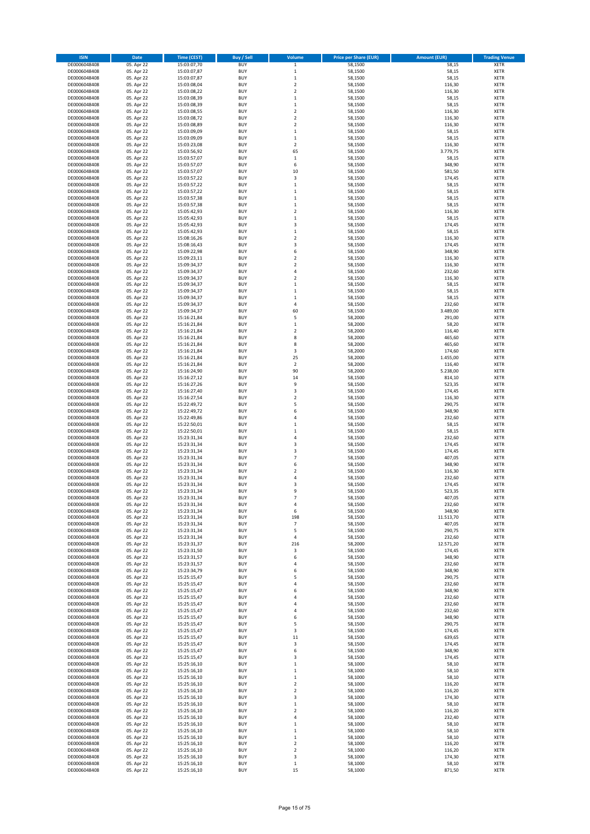| <b>ISIN</b>                  | <b>Date</b>              | <b>Time (CEST)</b>         | Buy / Sell               | Volume                   | <b>Price per Share (EUR)</b> | <b>Amount (EUR)</b> | <b>Trading Venue</b>       |
|------------------------------|--------------------------|----------------------------|--------------------------|--------------------------|------------------------------|---------------------|----------------------------|
| DE0006048408                 | 05. Apr 22               | 15:03:07,70                | <b>BUY</b>               | $\mathbf 1$              | 58,1500                      | 58,15               | XETR                       |
| DE0006048408                 | 05. Apr 22               | 15:03:07,87                | <b>BUY</b>               | $\mathbf 1$              | 58,1500                      | 58,15               | <b>XETR</b>                |
| DE0006048408                 | 05. Apr 22               | 15:03:07,87                | BUY                      | $\mathbf{1}$             | 58,1500                      | 58,15               | XETR                       |
| DE0006048408                 | 05. Apr 22               | 15:03:08,04                | <b>BUY</b>               | $\overline{\mathbf{c}}$  | 58,1500                      | 116,30              | <b>XETR</b>                |
| DE0006048408                 | 05. Apr 22               | 15:03:08,22                | <b>BUY</b>               | $\mathbf 2$              | 58,1500                      | 116,30              | XETR                       |
| DE0006048408                 | 05. Apr 22               | 15:03:08,39                | <b>BUY</b>               | $\mathbf{1}$             | 58,1500                      | 58,15               | <b>XETR</b>                |
| DE0006048408                 | 05. Apr 22               | 15:03:08,39                | <b>BUY</b>               | $\mathbf{1}$             | 58,1500                      | 58,15               | <b>XETR</b>                |
| DE0006048408                 | 05. Apr 22               | 15:03:08,55                | <b>BUY</b>               | $\overline{\mathbf{c}}$  | 58,1500                      | 116,30              | <b>XETR</b>                |
| DE0006048408                 | 05. Apr 22               | 15:03:08,72                | <b>BUY</b>               | $\mathbf 2$              | 58,1500                      | 116,30              | XETR                       |
| DE0006048408                 | 05. Apr 22               | 15:03:08,89                | <b>BUY</b>               | $\overline{\mathbf{c}}$  | 58,1500                      | 116,30              | <b>XETR</b>                |
| DE0006048408                 | 05. Apr 22               | 15:03:09,09                | <b>BUY</b>               | $\mathbf{1}$             | 58,1500                      | 58,15               | XETR                       |
| DE0006048408                 | 05. Apr 22               | 15:03:09,09                | <b>BUY</b>               | $\mathbf 1$              | 58,1500                      | 58,15               | <b>XETR</b>                |
| DE0006048408                 | 05. Apr 22               | 15:03:23,08                | <b>BUY</b>               | $\mathbf 2$              | 58,1500                      | 116,30              | XETR                       |
| DE0006048408                 | 05. Apr 22               | 15:03:56,92                | <b>BUY</b>               | 65                       | 58,1500                      | 3.779,75            | <b>XETR</b>                |
| DE0006048408                 | 05. Apr 22               | 15:03:57,07                | <b>BUY</b>               | $\,1\,$                  | 58,1500                      | 58,15               | XETR                       |
| DE0006048408                 | 05. Apr 22               | 15:03:57,07                | <b>BUY</b>               | 6                        | 58,1500                      | 348,90              | <b>XETR</b>                |
| DE0006048408                 | 05. Apr 22               | 15:03:57,07                | <b>BUY</b>               | 10                       | 58,1500                      | 581,50              | XETR                       |
| DE0006048408                 | 05. Apr 22               | 15:03:57,22                | <b>BUY</b>               | 3                        | 58,1500                      | 174,45              | <b>XETR</b>                |
| DE0006048408                 | 05. Apr 22               | 15:03:57,22                | <b>BUY</b>               | $\mathbf{1}$             | 58,1500                      | 58,15               | <b>XETR</b>                |
| DE0006048408                 | 05. Apr 22               | 15:03:57,22                | <b>BUY</b>               | $\mathbf{1}$             | 58,1500                      | 58,15               | <b>XETR</b>                |
| DE0006048408                 | 05. Apr 22               | 15:03:57,38                | <b>BUY</b>               | $\mathbf 1$              | 58,1500                      | 58,15               | <b>XETR</b>                |
| DE0006048408                 | 05. Apr 22               | 15:03:57,38                | <b>BUY</b>               | $\mathbf{1}$             | 58,1500                      | 58,15               | <b>XETR</b>                |
| DE0006048408                 | 05. Apr 22               | 15:05:42,93                | <b>BUY</b>               | $\overline{2}$           | 58,1500                      | 116,30              | <b>XETR</b>                |
| DE0006048408                 | 05. Apr 22               | 15:05:42,93                | <b>BUY</b>               | $\mathbf{1}$             | 58,1500                      | 58,15               | <b>XETR</b>                |
| DE0006048408                 | 05. Apr 22               | 15:05:42,93                | <b>BUY</b>               | $\overline{\mathbf{3}}$  | 58,1500                      | 174,45              | <b>XETR</b>                |
| DE0006048408                 | 05. Apr 22               | 15:05:42,93                | <b>BUY</b>               | $\mathbf{1}$             | 58,1500                      | 58,15               | <b>XETR</b>                |
| DE0006048408                 | 05. Apr 22               | 15:08:16,26                | <b>BUY</b>               | $\overline{\mathbf{c}}$  | 58,1500                      | 116,30              | <b>XETR</b>                |
| DE0006048408                 | 05. Apr 22               | 15:08:16,43                | <b>BUY</b>               | 3                        | 58,1500                      | 174,45              | <b>XETR</b>                |
| DE0006048408                 | 05. Apr 22               | 15:09:22,98                | <b>BUY</b>               | 6                        | 58,1500                      | 348,90              | <b>XETR</b>                |
| DE0006048408                 | 05. Apr 22               | 15:09:23,11                | <b>BUY</b>               | 2                        | 58,1500                      | 116,30              | XETR                       |
| DE0006048408                 | 05. Apr 22               | 15:09:34,37                | <b>BUY</b>               | 2                        | 58,1500                      | 116,30              | <b>XETR</b>                |
| DE0006048408                 | 05. Apr 22               | 15:09:34,37                | <b>BUY</b>               | 4                        | 58,1500                      | 232,60              | XETR                       |
| DE0006048408                 | 05. Apr 22               | 15:09:34,37                | <b>BUY</b>               | 2                        | 58,1500                      | 116,30              | <b>XETR</b>                |
| DE0006048408                 | 05. Apr 22               | 15:09:34,37                | <b>BUY</b>               | 1                        | 58,1500                      | 58,15               | <b>XETR</b>                |
| DE0006048408                 | 05. Apr 22               | 15:09:34,37                | <b>BUY</b>               | $\mathbf{1}$             | 58,1500                      | 58,15               | <b>XETR</b>                |
| DE0006048408                 | 05. Apr 22               | 15:09:34,37                | <b>BUY</b>               | $\mathbf{1}$             | 58,1500                      | 58,15               | XETR                       |
| DE0006048408                 | 05. Apr 22               | 15:09:34,37                | <b>BUY</b>               | 4                        | 58,1500                      | 232,60              | <b>XETR</b>                |
| DE0006048408                 | 05. Apr 22               | 15:09:34,37                | <b>BUY</b>               | 60                       | 58,1500                      | 3.489,00            | XETR                       |
| DE0006048408                 | 05. Apr 22               | 15:16:21,84                | <b>BUY</b>               | 5                        | 58,2000                      | 291,00              | <b>XETR</b>                |
| DE0006048408                 | 05. Apr 22               | 15:16:21,84                | <b>BUY</b>               | $\,1\,$                  | 58,2000                      | 58,20               | <b>XETR</b>                |
| DE0006048408                 | 05. Apr 22               | 15:16:21,84                | <b>BUY</b>               | $\overline{\mathbf{c}}$  | 58,2000                      | 116,40              | <b>XETR</b>                |
| DE0006048408                 | 05. Apr 22               | 15:16:21,84                | <b>BUY</b>               | 8                        | 58,2000                      | 465,60              | <b>XETR</b>                |
| DE0006048408                 | 05. Apr 22               | 15:16:21,84                | <b>BUY</b>               | 8                        | 58,2000                      | 465,60              | <b>XETR</b>                |
| DE0006048408                 | 05. Apr 22               | 15:16:21,84                | <b>BUY</b>               | 3                        | 58,2000                      | 174,60              | <b>XETR</b>                |
| DE0006048408                 | 05. Apr 22               | 15:16:21,84                | <b>BUY</b>               | 25                       | 58,2000                      | 1.455,00            | <b>XETR</b>                |
| DE0006048408                 | 05. Apr 22               | 15:16:21,84                | <b>BUY</b>               | $\boldsymbol{2}$         | 58,2000                      | 116,40              | <b>XETR</b>                |
| DE0006048408                 | 05. Apr 22               | 15:16:24,90                | <b>BUY</b>               | 90                       | 58,2000                      | 5.238,00            | <b>XETR</b>                |
| DE0006048408                 | 05. Apr 22               | 15:16:27,12                | <b>BUY</b>               | 14                       | 58,1500                      | 814,10              | <b>XETR</b>                |
| DE0006048408                 | 05. Apr 22               | 15:16:27,26                | <b>BUY</b><br><b>BUY</b> | 9<br>3                   | 58,1500                      | 523,35              | <b>XETR</b>                |
| DE0006048408                 | 05. Apr 22               | 15:16:27,40                | <b>BUY</b>               | 2                        | 58,1500                      | 174,45              | XETR                       |
| DE0006048408<br>DE0006048408 | 05. Apr 22               | 15:16:27,54                | <b>BUY</b>               | 5                        | 58,1500<br>58,1500           | 116,30<br>290,75    | <b>XETR</b><br><b>XETR</b> |
|                              | 05. Apr 22               | 15:22:49,72                | <b>BUY</b>               | 6                        |                              | 348,90              | <b>XETR</b>                |
| DE0006048408<br>DE0006048408 | 05. Apr 22<br>05. Apr 22 | 15:22:49,72<br>15:22:49,86 | <b>BUY</b>               | 4                        | 58,1500<br>58,1500           | 232,60              | <b>XETR</b>                |
| DE0006048408                 | 05. Apr 22               | 15:22:50,01                | <b>BUY</b>               | $\mathbf{1}$             | 58,1500                      | 58,15               | <b>XETR</b>                |
| DE0006048408                 | 05. Apr 22               | 15:22:50,01                | <b>BUY</b>               | $\mathbf{1}$             | 58,1500                      | 58,15               | <b>XETR</b>                |
| DE0006048408                 | 05. Apr 22               | 15:23:31,34                | <b>BUY</b>               | 4                        | 58,1500                      | 232,60              | <b>XETR</b>                |
| DE0006048408                 | 05. Apr 22               | 15:23:31,34                | <b>BUY</b>               | $\overline{\mathbf{3}}$  | 58,1500                      | 174,45              | <b>XETR</b>                |
| DE0006048408                 | 05. Apr 22               | 15:23:31,34                | <b>BUY</b>               | 3                        | 58,1500                      | 174,45              | XETR                       |
| DE0006048408                 | 05. Apr 22               | 15:23:31,34                | <b>BUY</b>               | $\overline{7}$           | 58,1500                      | 407,05              | <b>XETR</b>                |
| DE0006048408                 | 05. Apr 22               | 15:23:31,34                | <b>BUY</b>               | 6                        | 58,1500                      | 348,90              | XETR                       |
| DE0006048408                 | 05. Apr 22               | 15:23:31,34                | <b>BUY</b>               | 2                        | 58,1500                      | 116,30              | <b>XETR</b>                |
| DE0006048408                 | 05. Apr 22               | 15:23:31,34                | <b>BUY</b>               | 4                        | 58,1500                      | 232,60              | XETR                       |
| DE0006048408                 | 05. Apr 22               | 15:23:31.34                | <b>BUY</b>               | 3                        | 58,1500                      | 174,45              | <b>XETR</b>                |
| DE0006048408                 | 05. Apr 22               | 15:23:31,34                | <b>BUY</b>               | 9                        | 58,1500                      | 523,35              | XETR                       |
| DE0006048408                 | 05. Apr 22               | 15:23:31,34                | <b>BUY</b>               |                          | 58,1500                      | 407,05              | XETR                       |
| DE0006048408                 | 05. Apr 22               | 15:23:31,34                | <b>BUY</b>               | 4                        | 58,1500                      | 232,60              | <b>XETR</b>                |
| DE0006048408                 | 05. Apr 22               | 15:23:31,34                | <b>BUY</b>               | 6                        | 58,1500                      | 348,90              | XETR                       |
| DE0006048408                 | 05. Apr 22               | 15:23:31,34                | <b>BUY</b>               | 198                      | 58,1500                      | 11.513,70           | XETR                       |
| DE0006048408                 | 05. Apr 22               | 15:23:31,34                | <b>BUY</b>               | $\overline{\phantom{a}}$ | 58,1500                      | 407,05              | <b>XETR</b>                |
| DE0006048408                 | 05. Apr 22               | 15:23:31,34                | <b>BUY</b>               | 5                        | 58,1500                      | 290,75              | XETR                       |
| DE0006048408                 | 05. Apr 22               | 15:23:31,34                | <b>BUY</b>               | 4                        | 58,1500                      | 232,60              | <b>XETR</b>                |
| DE0006048408                 | 05. Apr 22               | 15:23:31,37                | <b>BUY</b>               | 216                      | 58,2000                      | 12.571,20           | <b>XETR</b>                |
| DE0006048408                 | 05. Apr 22               | 15:23:31,50                | <b>BUY</b>               | 3                        | 58,1500                      | 174,45              | <b>XETR</b>                |
| DE0006048408                 | 05. Apr 22               | 15:23:31,57                | <b>BUY</b>               | 6                        | 58,1500                      | 348,90              | <b>XETR</b>                |
| DE0006048408                 | 05. Apr 22               | 15:23:31,57                | <b>BUY</b>               | 4                        | 58,1500                      | 232,60              | <b>XETR</b>                |
| DE0006048408                 | 05. Apr 22               | 15:23:34,79                | <b>BUY</b>               | 6                        | 58,1500                      | 348,90              | <b>XETR</b>                |
| DE0006048408                 | 05. Apr 22               | 15:25:15,47                | <b>BUY</b>               | 5                        | 58,1500                      | 290,75              | <b>XETR</b>                |
| DE0006048408                 | 05. Apr 22               | 15:25:15,47                | <b>BUY</b>               | 4                        | 58,1500                      | 232,60              | <b>XETR</b>                |
| DE0006048408                 | 05. Apr 22               | 15:25:15,47                | <b>BUY</b>               | 6                        | 58,1500                      | 348,90              | <b>XETR</b>                |
| DE0006048408<br>DE0006048408 | 05. Apr 22               | 15:25:15,47                | <b>BUY</b><br><b>BUY</b> | $\overline{4}$<br>4      | 58,1500                      | 232,60              | <b>XETR</b><br><b>XETR</b> |
| DE0006048408                 | 05. Apr 22<br>05. Apr 22 | 15:25:15,47                | <b>BUY</b>               | 4                        | 58,1500<br>58,1500           | 232,60<br>232,60    | <b>XETR</b>                |
| DE0006048408                 | 05. Apr 22               | 15:25:15,47<br>15:25:15,47 | <b>BUY</b>               | 6                        | 58,1500                      | 348,90              | <b>XETR</b>                |
| DE0006048408                 | 05. Apr 22               | 15:25:15,47                | <b>BUY</b>               | 5                        | 58,1500                      | 290,75              | <b>XETR</b>                |
| DE0006048408                 | 05. Apr 22               | 15:25:15,47                | <b>BUY</b>               | 3                        | 58,1500                      | 174,45              | <b>XETR</b>                |
| DE0006048408                 | 05. Apr 22               | 15:25:15,47                | <b>BUY</b>               | $11\,$                   | 58,1500                      | 639,65              | <b>XETR</b>                |
| DE0006048408                 | 05. Apr 22               | 15:25:15,47                | <b>BUY</b>               | 3                        | 58,1500                      | 174,45              | <b>XETR</b>                |
| DE0006048408                 | 05. Apr 22               | 15:25:15,47                | <b>BUY</b>               | 6                        | 58,1500                      | 348,90              | <b>XETR</b>                |
| DE0006048408                 | 05. Apr 22               | 15:25:15,47                | <b>BUY</b>               | 3                        | 58,1500                      | 174,45              | <b>XETR</b>                |
| DE0006048408                 | 05. Apr 22               | 15:25:16,10                | <b>BUY</b>               | $\mathbf{1}$             | 58,1000                      | 58,10               | <b>XETR</b>                |
| DE0006048408                 | 05. Apr 22               | 15:25:16,10                | <b>BUY</b>               | 1                        | 58,1000                      | 58,10               | <b>XETR</b>                |
| DE0006048408                 | 05. Apr 22               | 15:25:16,10                | <b>BUY</b>               | $\mathbf{1}$             | 58,1000                      | 58,10               | <b>XETR</b>                |
| DE0006048408                 | 05. Apr 22               | 15:25:16,10                | <b>BUY</b>               | $\mathbf 2$              | 58,1000                      | 116,20              | <b>XETR</b>                |
| DE0006048408                 | 05. Apr 22               | 15:25:16,10                | <b>BUY</b>               | $\overline{\mathbf{c}}$  | 58,1000                      | 116,20              | <b>XETR</b>                |
| DE0006048408                 | 05. Apr 22               | 15:25:16,10                | <b>BUY</b>               | 3                        | 58,1000                      | 174,30              | XETR                       |
| DE0006048408                 | 05. Apr 22               | 15:25:16,10                | <b>BUY</b>               | $\mathbf 1$              | 58,1000                      | 58,10               | <b>XETR</b>                |
| DE0006048408                 | 05. Apr 22               | 15:25:16,10                | <b>BUY</b>               | $\overline{2}$           | 58,1000                      | 116,20              | XETR                       |
| DE0006048408                 | 05. Apr 22               | 15:25:16,10                | <b>BUY</b>               | 4                        | 58,1000                      | 232,40              | <b>XETR</b>                |
| DE0006048408                 | 05. Apr 22               | 15:25:16,10                | <b>BUY</b>               | 1                        | 58,1000                      | 58,10               | <b>XETR</b>                |
| DE0006048408                 | 05. Apr 22               | 15:25:16,10                | <b>BUY</b>               | 1                        | 58,1000                      | 58,10               | <b>XETR</b>                |
| DE0006048408                 | 05. Apr 22               | 15:25:16,10                | <b>BUY</b>               | $\mathbf 1$              | 58,1000                      | 58,10               | XETR                       |
| DE0006048408                 | 05. Apr 22               | 15:25:16,10                | <b>BUY</b>               | $\mathbf 2$              | 58,1000                      | 116,20              | <b>XETR</b>                |
| DE0006048408                 | 05. Apr 22               | 15:25:16,10                | <b>BUY</b>               | 2                        | 58,1000                      | 116,20              | XETR                       |
| DE0006048408                 | 05. Apr 22               | 15:25:16,10                | <b>BUY</b>               | 3                        | 58,1000                      | 174,30              | <b>XETR</b>                |
| DE0006048408                 | 05. Apr 22               | 15:25:16,10                | <b>BUY</b>               | $\,$ 1                   | 58,1000                      | 58,10               | XETR                       |
| DE0006048408                 | 05. Apr 22               | 15:25:16,10                | <b>BUY</b>               | 15                       | 58,1000                      | 871,50              | <b>XETR</b>                |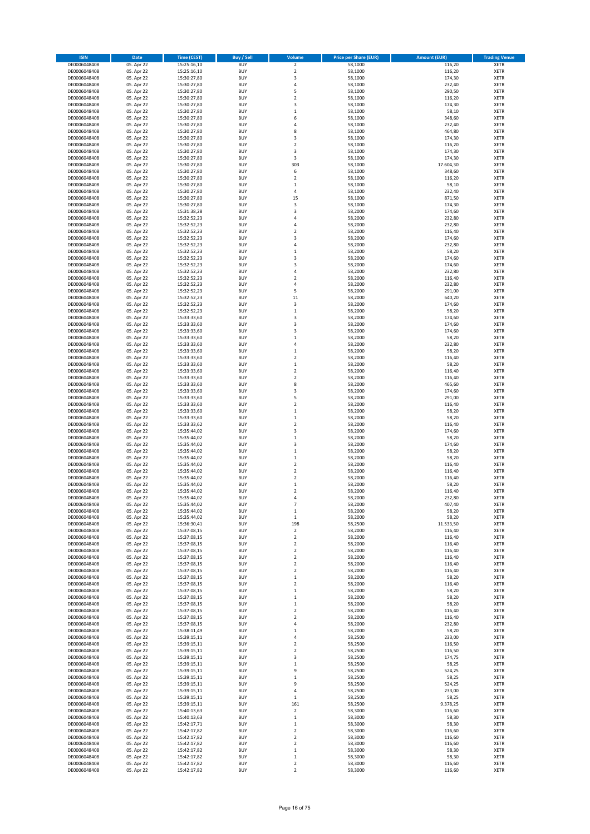| <b>ISIN</b>                  | Date                     | <b>Time (CEST)</b>         | <b>Buy / Sell</b>        | Volume                                  | <b>Price per Share (EUR)</b> | <b>Amount (EUR)</b> | <b>Trading Venue</b>       |
|------------------------------|--------------------------|----------------------------|--------------------------|-----------------------------------------|------------------------------|---------------------|----------------------------|
| DE0006048408                 | 05. Apr 22               | 15:25:16,10                | <b>BUY</b>               | $\mathbf 2$                             | 58,1000                      | 116,20              | <b>XETR</b>                |
| DE0006048408                 | 05. Apr 22               | 15:25:16,10                | <b>BUY</b>               | $\overline{2}$                          | 58,1000                      | 116,20              | XETR                       |
| DE0006048408                 | 05. Apr 22               | 15:30:27,80                | <b>BUY</b>               | 3                                       | 58,1000                      | 174,30              | XETR                       |
| DE0006048408                 | 05. Apr 22               | 15:30:27,80                | <b>BUY</b>               | $\sqrt{4}$                              | 58,1000                      | 232,40              | <b>XETR</b>                |
| DE0006048408<br>DE0006048408 | 05. Apr 22<br>05. Apr 22 | 15:30:27,80<br>15:30:27,80 | <b>BUY</b><br><b>BUY</b> | 5<br>$\overline{2}$                     | 58,1000<br>58,1000           | 290,50<br>116,20    | XETR<br><b>XETR</b>        |
| DE0006048408                 | 05. Apr 22               | 15:30:27,80                | <b>BUY</b>               | 3                                       | 58,1000                      | 174,30              | <b>XETR</b>                |
| DE0006048408                 | 05. Apr 22               | 15:30:27,80                | <b>BUY</b>               | $\mathbf 1$                             | 58,1000                      | 58,10               | <b>XETR</b>                |
| DE0006048408                 | 05. Apr 22               | 15:30:27,80                | <b>BUY</b>               | 6                                       | 58,1000                      | 348,60              | XETR                       |
| DE0006048408                 | 05. Apr 22               | 15:30:27,80                | <b>BUY</b>               | 4                                       | 58,1000                      | 232,40              | <b>XETR</b>                |
| DE0006048408                 | 05. Apr 22               | 15:30:27,80                | BUY<br><b>BUY</b>        | 8<br>3                                  | 58,1000<br>58,1000           | 464,80<br>174,30    | XETR<br><b>XETR</b>        |
| DE0006048408<br>DE0006048408 | 05. Apr 22<br>05. Apr 22 | 15:30:27,80<br>15:30:27,80 | <b>BUY</b>               | $\boldsymbol{2}$                        | 58,1000                      | 116,20              | XETR                       |
| DE0006048408                 | 05. Apr 22               | 15:30:27,80                | <b>BUY</b>               | 3                                       | 58,1000                      | 174,30              | <b>XETR</b>                |
| DE0006048408                 | 05. Apr 22               | 15:30:27,80                | <b>BUY</b>               | 3                                       | 58,1000                      | 174,30              | <b>XETR</b>                |
| DE0006048408                 | 05. Apr 22               | 15:30:27,80                | <b>BUY</b>               | 303                                     | 58,1000                      | 17.604,30           | <b>XETR</b>                |
| DE0006048408                 | 05. Apr 22               | 15:30:27,80                | <b>BUY</b>               | 6                                       | 58,1000                      | 348,60              | <b>XETR</b>                |
| DE0006048408<br>DE0006048408 | 05. Apr 22<br>05. Apr 22 | 15:30:27,80<br>15:30:27,80 | <b>BUY</b><br><b>BUY</b> | $\overline{\mathbf{2}}$<br>$\,1\,$      | 58,1000<br>58,1000           | 116,20<br>58,10     | <b>XETR</b><br><b>XETR</b> |
| DE0006048408                 | 05. Apr 22               | 15:30:27,80                | <b>BUY</b>               | $\sqrt{4}$                              | 58,1000                      | 232,40              | <b>XETR</b>                |
| DE0006048408                 | 05. Apr 22               | 15:30:27,80                | <b>BUY</b>               | 15                                      | 58,1000                      | 871,50              | <b>XETR</b>                |
| DE0006048408                 | 05. Apr 22               | 15:30:27,80                | <b>BUY</b>               | 3                                       | 58,1000                      | 174,30              | <b>XETR</b>                |
| DE0006048408                 | 05. Apr 22               | 15:31:38,28                | <b>BUY</b>               | 3                                       | 58,2000                      | 174,60              | <b>XETR</b>                |
| DE0006048408                 | 05. Apr 22               | 15:32:52,23                | <b>BUY</b>               | 4                                       | 58,2000                      | 232,80              | <b>XETR</b>                |
| DE0006048408                 | 05. Apr 22<br>05. Apr 22 | 15:32:52,23                | <b>BUY</b><br><b>BUY</b> | $\sqrt{4}$<br>$\overline{2}$            | 58,2000                      | 232,80<br>116,40    | <b>XETR</b><br><b>XETR</b> |
| DE0006048408<br>DE0006048408 | 05. Apr 22               | 15:32:52,23<br>15:32:52,23 | BUY                      | 3                                       | 58,2000<br>58,2000           | 174,60              | <b>XETR</b>                |
| DE0006048408                 | 05. Apr 22               | 15:32:52,23                | <b>BUY</b>               | 4                                       | 58,2000                      | 232,80              | <b>XETR</b>                |
| DE0006048408                 | 05. Apr 22               | 15:32:52,23                | <b>BUY</b>               | $\mathbf 1$                             | 58,2000                      | 58,20               | <b>XETR</b>                |
| DE0006048408                 | 05. Apr 22               | 15:32:52,23                | <b>BUY</b>               | 3                                       | 58,2000                      | 174,60              | XETR                       |
| DE0006048408                 | 05. Apr 22               | 15:32:52,23                | <b>BUY</b>               | 3                                       | 58,2000                      | 174,60              | <b>XETR</b>                |
| DE0006048408<br>DE0006048408 | 05. Apr 22<br>05. Apr 22 | 15:32:52,23<br>15:32:52,23 | <b>BUY</b><br><b>BUY</b> | $\sqrt{4}$<br>$\overline{2}$            | 58,2000<br>58,2000           | 232,80<br>116,40    | <b>XETR</b><br><b>XETR</b> |
| DE0006048408                 | 05. Apr 22               | 15:32:52,23                | <b>BUY</b>               | 4                                       | 58,2000                      | 232,80              | XETR                       |
| DE0006048408                 | 05. Apr 22               | 15:32:52,23                | <b>BUY</b>               | 5                                       | 58,2000                      | 291,00              | <b>XETR</b>                |
| DE0006048408                 | 05. Apr 22               | 15:32:52,23                | <b>BUY</b>               | 11                                      | 58,2000                      | 640,20              | XETR                       |
| DE0006048408                 | 05. Apr 22               | 15:32:52,23                | <b>BUY</b>               | 3                                       | 58,2000                      | 174,60              | <b>XETR</b>                |
| DE0006048408                 | 05. Apr 22               | 15:32:52,23                | <b>BUY</b>               | $\,$ 1                                  | 58,2000                      | 58,20               | XETR                       |
| DE0006048408<br>DE0006048408 | 05. Apr 22<br>05. Apr 22 | 15:33:33,60                | <b>BUY</b><br><b>BUY</b> | 3<br>3                                  | 58,2000<br>58,2000           | 174,60<br>174,60    | <b>XETR</b><br><b>XETR</b> |
| DE0006048408                 | 05. Apr 22               | 15:33:33,60<br>15:33:33,60 | <b>BUY</b>               | 3                                       | 58,2000                      | 174,60              | <b>XETR</b>                |
| DE0006048408                 | 05. Apr 22               | 15:33:33,60                | <b>BUY</b>               | $\mathbf 1$                             | 58,2000                      | 58,20               | <b>XETR</b>                |
| DE0006048408                 | 05. Apr 22               | 15:33:33,60                | <b>BUY</b>               | 4                                       | 58,2000                      | 232,80              | <b>XETR</b>                |
| DE0006048408                 | 05. Apr 22               | 15:33:33,60                | <b>BUY</b>               | $\mathbf 1$                             | 58,2000                      | 58,20               | <b>XETR</b>                |
| DE0006048408                 | 05. Apr 22               | 15:33:33,60                | <b>BUY</b>               | $\boldsymbol{2}$                        | 58,2000                      | 116,40              | <b>XETR</b>                |
| DE0006048408                 | 05. Apr 22               | 15:33:33,60                | <b>BUY</b><br><b>BUY</b> | $\,$ 1<br>$\boldsymbol{2}$              | 58,2000                      | 58,20               | <b>XETR</b>                |
| DE0006048408<br>DE0006048408 | 05. Apr 22<br>05. Apr 22 | 15:33:33,60<br>15:33:33,60 | <b>BUY</b>               | $\boldsymbol{2}$                        | 58,2000<br>58,2000           | 116,40<br>116,40    | <b>XETR</b><br><b>XETR</b> |
| DE0006048408                 | 05. Apr 22               | 15:33:33,60                | <b>BUY</b>               | 8                                       | 58,2000                      | 465,60              | <b>XETR</b>                |
| DE0006048408                 | 05. Apr 22               | 15:33:33,60                | <b>BUY</b>               | 3                                       | 58,2000                      | 174,60              | XETR                       |
| DE0006048408                 | 05. Apr 22               | 15:33:33,60                | <b>BUY</b>               | 5                                       | 58,2000                      | 291,00              | <b>XETR</b>                |
| DE0006048408                 | 05. Apr 22               | 15:33:33,60                | <b>BUY</b>               | $\overline{2}$                          | 58,2000                      | 116,40              | XETR                       |
| DE0006048408<br>DE0006048408 | 05. Apr 22<br>05. Apr 22 | 15:33:33,60<br>15:33:33,60 | <b>BUY</b><br><b>BUY</b> | $\,$ 1<br>$\,$ 1                        | 58,2000<br>58,2000           | 58,20<br>58,20      | <b>XETR</b><br><b>XETR</b> |
| DE0006048408                 | 05. Apr 22               | 15:33:33,62                | <b>BUY</b>               | $\boldsymbol{2}$                        | 58,2000                      | 116,40              | <b>XETR</b>                |
| DE0006048408                 | 05. Apr 22               | 15:35:44,02                | <b>BUY</b>               | 3                                       | 58,2000                      | 174,60              | <b>XETR</b>                |
| DE0006048408                 | 05. Apr 22               | 15:35:44,02                | <b>BUY</b>               | $\mathbf{1}$                            | 58,2000                      | 58,20               | <b>XETR</b>                |
| DE0006048408                 | 05. Apr 22               | 15:35:44,02                | <b>BUY</b>               | 3                                       | 58,2000                      | 174,60              | <b>XETR</b>                |
| DE0006048408                 | 05. Apr 22               | 15:35:44,02                | <b>BUY</b><br><b>BUY</b> | $\,1\,$<br>$\mathbf{1}$                 | 58,2000                      | 58,20               | XETR<br><b>XETR</b>        |
| DE0006048408<br>DE0006048408 | 05. Apr 22<br>05. Apr 22 | 15:35:44,02<br>15:35:44,02 | <b>BUY</b>               | $\mathbf 2$                             | 58,2000<br>58,2000           | 58,20<br>116,40     | XETR                       |
| DE0006048408                 | 05. Apr 22               | 15:35:44,02                | <b>BUY</b>               | $\overline{2}$                          | 58,2000                      | 116,40              | <b>XETR</b>                |
| DE0006048408                 | 05. Apr 22               | 15:35:44,02                | <b>BUY</b>               | $\overline{\mathbf{2}}$                 | 58,2000                      | 116,40              | <b>XETR</b>                |
| DE0006048408                 | 05. Apr 22               | 15:35:44,02                | BUY                      | $\mathbf 1$                             | 58,2000                      | 58,20               | <b>XETR</b>                |
| DE0006048408                 | 05. Apr 22               | 15:35:44,02                | <b>BUY</b>               | $\overline{\mathbf{c}}$                 | 58,2000                      | 116,40              | <b>XETR</b>                |
| DE0006048408<br>DE0006048408 | 05. Apr 22               | 15:35:44,02                | <b>BUY</b>               | 4                                       | 58,2000                      | 232,80              | <b>XETR</b>                |
| DE0006048408                 | 05. Apr 22<br>05. Apr 22 | 15:35:44,02<br>15:35:44,02 | <b>BUY</b><br><b>BUY</b> | $\overline{\phantom{a}}$<br>$\mathbf 1$ | 58,2000<br>58,2000           | 407,40<br>58,20     | <b>XETR</b><br>XETR        |
| DE0006048408                 | 05. Apr 22               | 15:35:44,02                | <b>BUY</b>               | $\mathbf 1$                             | 58,2000                      | 58,20               | XETR                       |
| DE0006048408                 | 05. Apr 22               | 15:36:30,41                | <b>BUY</b>               | 198                                     | 58,2500                      | 11.533,50           | <b>XETR</b>                |
| DE0006048408                 | 05. Apr 22               | 15:37:08,15                | <b>BUY</b>               | $\mathbf 2$                             | 58,2000                      | 116,40              | XETR                       |
| DE0006048408                 | 05. Apr 22               | 15:37:08,15                | <b>BUY</b>               | $\boldsymbol{2}$                        | 58,2000                      | 116,40              | <b>XETR</b>                |
| DE0006048408<br>DE0006048408 | 05. Apr 22<br>05. Apr 22 | 15:37:08,15<br>15:37:08,15 | <b>BUY</b><br><b>BUY</b> | $\boldsymbol{2}$<br>$\mathbf 2$         | 58,2000<br>58,2000           | 116,40<br>116,40    | <b>XETR</b><br><b>XETR</b> |
| DE0006048408                 | 05. Apr 22               | 15:37:08,15                | <b>BUY</b>               | $\boldsymbol{2}$                        | 58,2000                      | 116,40              | XETR                       |
| DE0006048408                 | 05. Apr 22               | 15:37:08,15                | <b>BUY</b>               | $\boldsymbol{2}$                        | 58,2000                      | 116,40              | <b>XETR</b>                |
| DE0006048408                 | 05. Apr 22               | 15:37:08,15                | <b>BUY</b>               | $\boldsymbol{2}$                        | 58,2000                      | 116,40              | XETR                       |
| DE0006048408                 | 05. Apr 22               | 15:37:08,15                | <b>BUY</b>               | $\,$ 1                                  | 58,2000                      | 58,20               | <b>XETR</b>                |
| DE0006048408                 | 05. Apr 22               | 15:37:08,15                | <b>BUY</b><br><b>BUY</b> | $\boldsymbol{2}$                        | 58,2000<br>58,2000           | 116,40              | XETR                       |
| DE0006048408<br>DE0006048408 | 05. Apr 22<br>05. Apr 22 | 15:37:08,15<br>15:37:08,15 | <b>BUY</b>               | $\,$ 1<br>$\,$ 1                        | 58,2000                      | 58,20<br>58,20      | <b>XETR</b><br><b>XETR</b> |
| DE0006048408                 | 05. Apr 22               | 15:37:08,15                | <b>BUY</b>               | $\,1\,$                                 | 58,2000                      | 58,20               | <b>XETR</b>                |
| DE0006048408                 | 05. Apr 22               | 15:37:08,15                | <b>BUY</b>               | $\overline{2}$                          | 58,2000                      | 116,40              | <b>XETR</b>                |
| DE0006048408                 | 05. Apr 22               | 15:37:08,15                | <b>BUY</b>               | $\overline{\mathbf{2}}$                 | 58,2000                      | 116,40              | <b>XETR</b>                |
| DE0006048408                 | 05. Apr 22               | 15:37:08,15                | <b>BUY</b>               | 4                                       | 58,2000                      | 232,80              | <b>XETR</b>                |
| DE0006048408<br>DE0006048408 | 05. Apr 22<br>05. Apr 22 | 15:38:11,49<br>15:39:15,11 | <b>BUY</b><br><b>BUY</b> | $\,1\,$<br>$\sqrt{4}$                   | 58,2000<br>58,2500           | 58,20<br>233,00     | <b>XETR</b><br><b>XETR</b> |
| DE0006048408                 | 05. Apr 22               | 15:39:15,11                | <b>BUY</b>               | $\boldsymbol{2}$                        | 58,2500                      | 116,50              | XETR                       |
| DE0006048408                 | 05. Apr 22               | 15:39:15,11                | <b>BUY</b>               | $\overline{2}$                          | 58,2500                      | 116,50              | <b>XETR</b>                |
| DE0006048408                 | 05. Apr 22               | 15:39:15,11                | <b>BUY</b>               | 3                                       | 58,2500                      | 174,75              | XETR                       |
| DE0006048408                 | 05. Apr 22               | 15:39:15,11                | <b>BUY</b>               | $\mathbf 1$                             | 58,2500                      | 58,25               | <b>XETR</b>                |
| DE0006048408                 | 05. Apr 22               | 15:39:15,11                | <b>BUY</b>               | 9                                       | 58,2500                      | 524,25              | XETR                       |
| DE0006048408<br>DE0006048408 | 05. Apr 22<br>05. Apr 22 | 15:39:15,11<br>15:39:15,11 | <b>BUY</b><br><b>BUY</b> | $\mathbf 1$<br>9                        | 58,2500<br>58,2500           | 58,25<br>524,25     | <b>XETR</b><br><b>XETR</b> |
| DE0006048408                 | 05. Apr 22               | 15:39:15,11                | <b>BUY</b>               | 4                                       | 58,2500                      | 233,00              | <b>XETR</b>                |
| DE0006048408                 | 05. Apr 22               | 15:39:15,11                | <b>BUY</b>               | $\,1\,$                                 | 58,2500                      | 58,25               | XETR                       |
| DE0006048408                 | 05. Apr 22               | 15:39:15,11                | <b>BUY</b>               | 161                                     | 58,2500                      | 9.378,25            | <b>XETR</b>                |
| DE0006048408                 | 05. Apr 22               | 15:40:13,63                | <b>BUY</b>               | $\boldsymbol{2}$                        | 58,3000                      | 116,60              | XETR                       |
| DE0006048408                 | 05. Apr 22               | 15:40:13,63                | <b>BUY</b>               | $\,1\,$                                 | 58,3000                      | 58,30               | <b>XETR</b>                |
| DE0006048408<br>DE0006048408 | 05. Apr 22<br>05. Apr 22 | 15:42:17,71<br>15:42:17,82 | <b>BUY</b><br><b>BUY</b> | $\,1\,$<br>$\overline{\mathbf{2}}$      | 58,3000<br>58,3000           | 58,30<br>116,60     | <b>XETR</b><br><b>XETR</b> |
| DE0006048408                 | 05. Apr 22               | 15:42:17,82                | <b>BUY</b>               | $\boldsymbol{2}$                        | 58,3000                      | 116,60              | XETR                       |
| DE0006048408                 | 05. Apr 22               | 15:42:17,82                | <b>BUY</b>               | $\mathbf 2$                             | 58,3000                      | 116,60              | <b>XETR</b>                |
| DE0006048408                 | 05. Apr 22               | 15:42:17,82                | <b>BUY</b>               | $\,$ 1                                  | 58,3000                      | 58,30               | XETR                       |
| DE0006048408                 | 05. Apr 22               | 15:42:17,82                | <b>BUY</b>               | $\,1\,$                                 | 58,3000                      | 58,30               | <b>XETR</b>                |
| DE0006048408                 | 05. Apr 22               | 15:42:17,82                | <b>BUY</b>               | $\boldsymbol{2}$                        | 58,3000                      | 116,60              | XETR                       |
| DE0006048408                 | 05. Apr 22               | 15:42:17,82                | <b>BUY</b>               | $\boldsymbol{2}$                        | 58,3000                      | 116,60              | <b>XETR</b>                |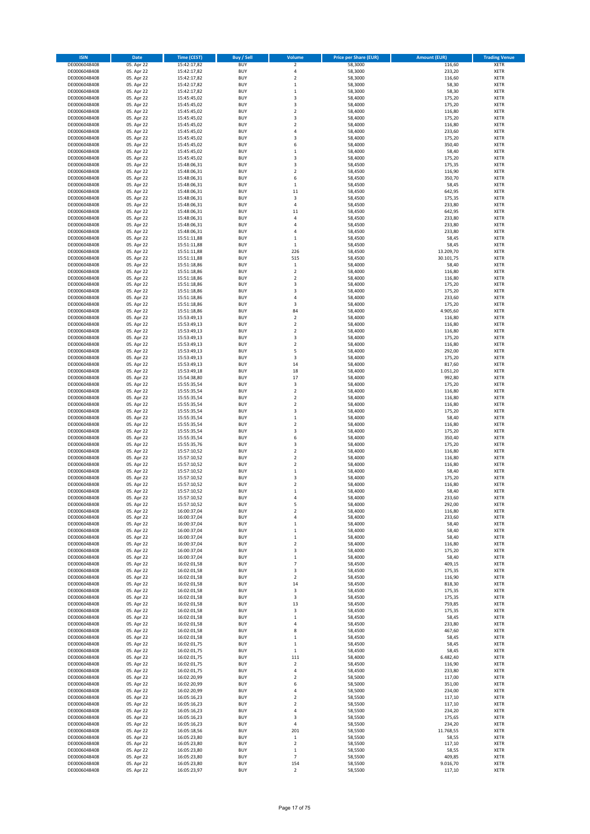| <b>ISIN</b>                  | Date                     | <b>Time (CEST)</b>         | <b>Buy / Sell</b>        | Volume                          | <b>Price per Share (EUR)</b> | <b>Amount (EUR)</b> | <b>Trading Venue</b>       |
|------------------------------|--------------------------|----------------------------|--------------------------|---------------------------------|------------------------------|---------------------|----------------------------|
| DE0006048408                 | 05. Apr 22               | 15:42:17,82                | <b>BUY</b>               | $\mathbf 2$                     | 58,3000                      | 116,60              | <b>XETR</b>                |
| DE0006048408                 | 05. Apr 22               | 15:42:17,82                | <b>BUY</b>               | 4                               | 58,3000                      | 233,20              | XETR                       |
| DE0006048408                 | 05. Apr 22               | 15:42:17,82                | BUY                      | $\overline{2}$                  | 58,3000                      | 116,60              | XETR                       |
| DE0006048408                 | 05. Apr 22               | 15:42:17,82                | <b>BUY</b>               | $\,1\,$                         | 58,3000                      | 58,30               | <b>XETR</b>                |
| DE0006048408<br>DE0006048408 | 05. Apr 22<br>05. Apr 22 | 15:42:17,82<br>15:45:45,02 | <b>BUY</b><br><b>BUY</b> | $\,1\,$<br>3                    | 58,3000<br>58,4000           | 58,30<br>175,20     | XETR<br><b>XETR</b>        |
| DE0006048408                 | 05. Apr 22               | 15:45:45,02                | <b>BUY</b>               | 3                               | 58,4000                      | 175,20              | <b>XETR</b>                |
| DE0006048408                 | 05. Apr 22               | 15:45:45,02                | <b>BUY</b>               | $\overline{2}$                  | 58,4000                      | 116,80              | <b>XETR</b>                |
| DE0006048408                 | 05. Apr 22               | 15:45:45,02                | <b>BUY</b>               | 3                               | 58,4000                      | 175,20              | XETR                       |
| DE0006048408                 | 05. Apr 22               | 15:45:45,02                | <b>BUY</b>               | $\overline{2}$                  | 58,4000                      | 116,80              | <b>XETR</b>                |
| DE0006048408                 | 05. Apr 22               | 15:45:45,02                | <b>BUY</b>               | $\sqrt{4}$                      | 58,4000                      | 233,60              | XETR                       |
| DE0006048408<br>DE0006048408 | 05. Apr 22               | 15:45:45,02<br>15:45:45,02 | <b>BUY</b><br><b>BUY</b> | 3<br>6                          | 58,4000<br>58,4000           | 175,20<br>350,40    | <b>XETR</b><br>XETR        |
| DE0006048408                 | 05. Apr 22<br>05. Apr 22 | 15:45:45,02                | <b>BUY</b>               | $\mathbf 1$                     | 58,4000                      | 58,40               | <b>XETR</b>                |
| DE0006048408                 | 05. Apr 22               | 15:45:45,02                | <b>BUY</b>               | 3                               | 58,4000                      | 175,20              | XETR                       |
| DE0006048408                 | 05. Apr 22               | 15:48:06,31                | <b>BUY</b>               | 3                               | 58,4500                      | 175,35              | <b>XETR</b>                |
| DE0006048408                 | 05. Apr 22               | 15:48:06,31                | <b>BUY</b>               | $\boldsymbol{2}$                | 58,4500                      | 116,90              | <b>XETR</b>                |
| DE0006048408                 | 05. Apr 22               | 15:48:06,31                | <b>BUY</b>               | 6                               | 58,4500                      | 350,70              | <b>XETR</b>                |
| DE0006048408<br>DE0006048408 | 05. Apr 22<br>05. Apr 22 | 15:48:06,31<br>15:48:06,31 | <b>BUY</b><br><b>BUY</b> | $\,1\,$<br>$11\,$               | 58,4500<br>58,4500           | 58,45<br>642,95     | <b>XETR</b><br><b>XETR</b> |
| DE0006048408                 | 05. Apr 22               | 15:48:06,31                | <b>BUY</b>               | 3                               | 58,4500                      | 175,35              | <b>XETR</b>                |
| DE0006048408                 | 05. Apr 22               | 15:48:06,31                | <b>BUY</b>               | 4                               | 58,4500                      | 233,80              | <b>XETR</b>                |
| DE0006048408                 | 05. Apr 22               | 15:48:06,31                | <b>BUY</b>               | 11                              | 58,4500                      | 642,95              | <b>XETR</b>                |
| DE0006048408                 | 05. Apr 22               | 15:48:06,31                | <b>BUY</b>               | 4                               | 58,4500                      | 233,80              | <b>XETR</b>                |
| DE0006048408                 | 05. Apr 22               | 15:48:06,31                | <b>BUY</b>               | $\sqrt{4}$                      | 58,4500                      | 233,80              | <b>XETR</b>                |
| DE0006048408<br>DE0006048408 | 05. Apr 22<br>05. Apr 22 | 15:48:06,31<br>15:51:11,88 | <b>BUY</b><br><b>BUY</b> | 4<br>$\mathbf 1$                | 58,4500<br>58,4500           | 233,80<br>58,45     | <b>XETR</b><br><b>XETR</b> |
| DE0006048408                 | 05. Apr 22               | 15:51:11,88                | <b>BUY</b>               | $\mathbf 1$                     | 58,4500                      | 58,45               | <b>XETR</b>                |
| DE0006048408                 | 05. Apr 22               | 15:51:11,88                | <b>BUY</b>               | 226                             | 58,4500                      | 13.209,70           | <b>XETR</b>                |
| DE0006048408                 | 05. Apr 22               | 15:51:11,88                | <b>BUY</b>               | 515                             | 58,4500                      | 30.101,75           | XETR                       |
| DE0006048408                 | 05. Apr 22               | 15:51:18,86                | <b>BUY</b>               | $\,1\,$                         | 58,4000                      | 58,40               | <b>XETR</b>                |
| DE0006048408                 | 05. Apr 22               | 15:51:18,86                | <b>BUY</b>               | $\boldsymbol{2}$                | 58,4000                      | 116,80              | <b>XETR</b>                |
| DE0006048408<br>DE0006048408 | 05. Apr 22<br>05. Apr 22 | 15:51:18,86<br>15:51:18,86 | <b>BUY</b><br><b>BUY</b> | $\overline{2}$<br>3             | 58,4000<br>58,4000           | 116,80<br>175,20    | <b>XETR</b><br>XETR        |
| DE0006048408                 | 05. Apr 22               | 15:51:18,86                | <b>BUY</b>               | 3                               | 58,4000                      | 175,20              | <b>XETR</b>                |
| DE0006048408                 | 05. Apr 22               | 15:51:18,86                | <b>BUY</b>               | $\sqrt{4}$                      | 58,4000                      | 233,60              | XETR                       |
| DE0006048408                 | 05. Apr 22               | 15:51:18,86                | <b>BUY</b>               | 3                               | 58,4000                      | 175,20              | <b>XETR</b>                |
| DE0006048408                 | 05. Apr 22               | 15:51:18,86                | <b>BUY</b>               | 84                              | 58,4000                      | 4.905,60            | XETR                       |
| DE0006048408                 | 05. Apr 22               | 15:53:49,13                | <b>BUY</b>               | $\overline{2}$                  | 58,4000                      | 116,80              | <b>XETR</b>                |
| DE0006048408<br>DE0006048408 | 05. Apr 22<br>05. Apr 22 | 15:53:49,13<br>15:53:49,13 | <b>BUY</b><br><b>BUY</b> | $\mathbf 2$<br>$\overline{2}$   | 58,4000<br>58,4000           | 116,80<br>116,80    | <b>XETR</b><br><b>XETR</b> |
| DE0006048408                 | 05. Apr 22               | 15:53:49,13                | <b>BUY</b>               | 3                               | 58,4000                      | 175,20              | <b>XETR</b>                |
| DE0006048408                 | 05. Apr 22               | 15:53:49,13                | <b>BUY</b>               | $\overline{2}$                  | 58,4000                      | 116,80              | <b>XETR</b>                |
| DE0006048408                 | 05. Apr 22               | 15:53:49,13                | <b>BUY</b>               | 5                               | 58,4000                      | 292,00              | <b>XETR</b>                |
| DE0006048408                 | 05. Apr 22               | 15:53:49,13                | <b>BUY</b>               | 3                               | 58,4000                      | 175,20              | <b>XETR</b>                |
| DE0006048408                 | 05. Apr 22               | 15:53:49,13                | <b>BUY</b>               | 14                              | 58,4000                      | 817,60              | <b>XETR</b>                |
| DE0006048408<br>DE0006048408 | 05. Apr 22<br>05. Apr 22 | 15:53:49,18<br>15:54:38,80 | <b>BUY</b><br><b>BUY</b> | 18<br>17                        | 58,4000<br>58,4000           | 1.051,20<br>992,80  | <b>XETR</b><br><b>XETR</b> |
| DE0006048408                 | 05. Apr 22               | 15:55:35,54                | <b>BUY</b>               | 3                               | 58,4000                      | 175,20              | <b>XETR</b>                |
| DE0006048408                 | 05. Apr 22               | 15:55:35,54                | <b>BUY</b>               | $\boldsymbol{2}$                | 58,4000                      | 116,80              | XETR                       |
| DE0006048408                 | 05. Apr 22               | 15:55:35,54                | <b>BUY</b>               | $\overline{\mathbf{2}}$         | 58,4000                      | 116,80              | <b>XETR</b>                |
| DE0006048408                 | 05. Apr 22               | 15:55:35,54                | <b>BUY</b>               | $\boldsymbol{2}$                | 58,4000                      | 116,80              | XETR                       |
| DE0006048408                 | 05. Apr 22               | 15:55:35,54                | <b>BUY</b>               | 3                               | 58,4000                      | 175,20              | <b>XETR</b>                |
| DE0006048408<br>DE0006048408 | 05. Apr 22<br>05. Apr 22 | 15:55:35,54<br>15:55:35,54 | <b>BUY</b><br><b>BUY</b> | $\,$ 1<br>$\boldsymbol{2}$      | 58,4000<br>58,4000           | 58,40<br>116,80     | <b>XETR</b><br><b>XETR</b> |
| DE0006048408                 | 05. Apr 22               | 15:55:35,54                | <b>BUY</b>               | 3                               | 58,4000                      | 175,20              | <b>XETR</b>                |
| DE0006048408                 | 05. Apr 22               | 15:55:35,54                | <b>BUY</b>               | 6                               | 58,4000                      | 350,40              | <b>XETR</b>                |
| DE0006048408                 | 05. Apr 22               | 15:55:35,76                | <b>BUY</b>               | 3                               | 58,4000                      | 175,20              | <b>XETR</b>                |
| DE0006048408                 | 05. Apr 22               | 15:57:10,52                | <b>BUY</b>               | $\boldsymbol{2}$                | 58,4000                      | 116,80              | XETR                       |
| DE0006048408                 | 05. Apr 22               | 15:57:10,52                | <b>BUY</b>               | $\overline{2}$                  | 58,4000                      | 116,80              | <b>XETR</b>                |
| DE0006048408<br>DE0006048408 | 05. Apr 22<br>05. Apr 22 | 15:57:10,52<br>15:57:10,52 | <b>BUY</b><br><b>BUY</b> | $\boldsymbol{2}$<br>$\mathbf 1$ | 58,4000<br>58,4000           | 116,80<br>58,40     | XETR<br><b>XETR</b>        |
| DE0006048408                 | 05. Apr 22               | 15:57:10,52                | <b>BUY</b>               | 3                               | 58,4000                      | 175,20              | <b>XETR</b>                |
| DE0006048408                 | 05. Apr 22               | 15:57:10,52                | <b>BUY</b>               | $\overline{2}$                  | 58,4000                      | 116,80              | <b>XETR</b>                |
| DE0006048408                 | 05. Apr 22               | 15:57:10,52                | <b>BUY</b>               | $\,1\,$                         | 58,4000                      | 58,40               | <b>XETR</b>                |
| DE0006048408                 | 05. Apr 22               | 15:57:10,52                | <b>BUY</b>               | 4                               | 58,4000                      | 233,60              | <b>XETR</b>                |
| DE0006048408                 | 05. Apr 22               | 15:57:10,52                | <b>BUY</b>               | 5                               | 58,4000                      | 292,00              | <b>XETR</b>                |
| DE0006048408<br>DE0006048408 | 05. Apr 22<br>05. Apr 22 | 16:00:37,04<br>16:00:37,04 | <b>BUY</b><br><b>BUY</b> | $\boldsymbol{2}$<br>4           | 58,4000<br>58,4000           | 116,80<br>233,60    | XETR<br>XETR               |
| DE0006048408                 | 05. Apr 22               | 16:00:37,04                | <b>BUY</b>               | $\,1\,$                         | 58,4000                      | 58,40               | <b>XETR</b>                |
| DE0006048408                 | 05. Apr 22               | 16:00:37,04                | <b>BUY</b>               | $\,$ 1                          | 58,4000                      | 58,40               | XETR                       |
| DE0006048408                 | 05. Apr 22               | 16:00:37,04                | <b>BUY</b>               | $\,1\,$                         | 58,4000                      | 58,40               | <b>XETR</b>                |
| DE0006048408                 | 05. Apr 22               | 16:00:37,04                | <b>BUY</b>               | $\overline{2}$                  | 58,4000                      | 116,80              | <b>XETR</b>                |
| DE0006048408<br>DE0006048408 | 05. Apr 22<br>05. Apr 22 | 16:00:37,04<br>16:00:37,04 | <b>BUY</b><br><b>BUY</b> | 3                               | 58,4000<br>58,4000           | 175,20              | <b>XETR</b><br><b>XETR</b> |
| DE0006048408                 | 05. Apr 22               | 16:02:01,58                | <b>BUY</b>               | $\,1\,$<br>$\overline{7}$       | 58,4500                      | 58,40<br>409,15     | <b>XETR</b>                |
| DE0006048408                 | 05. Apr 22               | 16:02:01,58                | <b>BUY</b>               | 3                               | 58,4500                      | 175,35              | XETR                       |
| DE0006048408                 | 05. Apr 22               | 16:02:01,58                | <b>BUY</b>               | $\boldsymbol{2}$                | 58,4500                      | 116,90              | <b>XETR</b>                |
| DE0006048408                 | 05. Apr 22               | 16:02:01,58                | <b>BUY</b>               | 14                              | 58,4500                      | 818,30              | <b>XETR</b>                |
| DE0006048408                 | 05. Apr 22               | 16:02:01,58                | <b>BUY</b>               | 3                               | 58,4500                      | 175,35              | <b>XETR</b>                |
| DE0006048408<br>DE0006048408 | 05. Apr 22<br>05. Apr 22 | 16:02:01,58<br>16:02:01,58 | <b>BUY</b><br><b>BUY</b> | 3<br>13                         | 58,4500<br>58,4500           | 175,35<br>759,85    | <b>XETR</b><br><b>XETR</b> |
| DE0006048408                 | 05. Apr 22               | 16:02:01,58                | <b>BUY</b>               | 3                               | 58,4500                      | 175,35              | <b>XETR</b>                |
| DE0006048408                 | 05. Apr 22               | 16:02:01,58                | <b>BUY</b>               | $\mathbf{1}$                    | 58,4500                      | 58,45               | <b>XETR</b>                |
| DE0006048408                 | 05. Apr 22               | 16:02:01,58                | <b>BUY</b>               | 4                               | 58,4500                      | 233,80              | <b>XETR</b>                |
| DE0006048408                 | 05. Apr 22               | 16:02:01,58                | <b>BUY</b>               | 8                               | 58,4500                      | 467,60              | <b>XETR</b>                |
| DE0006048408                 | 05. Apr 22               | 16:02:01,58                | <b>BUY</b>               | $\mathbf 1$                     | 58,4500                      | 58,45               | <b>XETR</b>                |
| DE0006048408                 | 05. Apr 22               | 16:02:01,75                | <b>BUY</b><br><b>BUY</b> | $\,1\,$                         | 58,4500                      | 58,45               | XETR<br><b>XETR</b>        |
| DE0006048408<br>DE0006048408 | 05. Apr 22<br>05. Apr 22 | 16:02:01,75<br>16:02:01,75 | <b>BUY</b>               | $\mathbf 1$<br>111              | 58,4500<br>58,4000           | 58,45<br>6.482,40   | <b>XETR</b>                |
| DE0006048408                 | 05. Apr 22               | 16:02:01,75                | <b>BUY</b>               | $\overline{2}$                  | 58,4500                      | 116,90              | <b>XETR</b>                |
| DE0006048408                 | 05. Apr 22               | 16:02:01,75                | <b>BUY</b>               | 4                               | 58,4500                      | 233,80              | <b>XETR</b>                |
| DE0006048408                 | 05. Apr 22               | 16:02:20,99                | <b>BUY</b>               | $\overline{2}$                  | 58,5000                      | 117,00              | <b>XETR</b>                |
| DE0006048408                 | 05. Apr 22               | 16:02:20,99                | <b>BUY</b>               | 6                               | 58,5000                      | 351,00              | <b>XETR</b>                |
| DE0006048408<br>DE0006048408 | 05. Apr 22<br>05. Apr 22 | 16:02:20,99<br>16:05:16,23 | <b>BUY</b><br><b>BUY</b> | 4<br>$\overline{\mathbf{2}}$    | 58,5000<br>58,5500           | 234,00<br>117,10    | <b>XETR</b><br><b>XETR</b> |
| DE0006048408                 | 05. Apr 22               | 16:05:16,23                | <b>BUY</b>               | $\overline{\mathbf{2}}$         | 58,5500                      | 117,10              | <b>XETR</b>                |
| DE0006048408                 | 05. Apr 22               | 16:05:16,23                | <b>BUY</b>               | $\sqrt{4}$                      | 58,5500                      | 234,20              | <b>XETR</b>                |
| DE0006048408                 | 05. Apr 22               | 16:05:16,23                | <b>BUY</b>               | 3                               | 58,5500                      | 175,65              | <b>XETR</b>                |
| DE0006048408                 | 05. Apr 22               | 16:05:16,23                | <b>BUY</b>               | 4                               | 58,5500                      | 234,20              | <b>XETR</b>                |
| DE0006048408                 | 05. Apr 22               | 16:05:18,56                | <b>BUY</b>               | 201                             | 58,5500                      | 11.768,55           | <b>XETR</b>                |
| DE0006048408<br>DE0006048408 | 05. Apr 22<br>05. Apr 22 | 16:05:23,80<br>16:05:23,80 | <b>BUY</b><br><b>BUY</b> | $\,$ 1<br>$\mathbf 2$           | 58,5500<br>58,5500           | 58,55<br>117,10     | <b>XETR</b><br><b>XETR</b> |
| DE0006048408                 | 05. Apr 22               | 16:05:23,80                | <b>BUY</b>               | $\,$ 1                          | 58,5500                      | 58,55               | XETR                       |
| DE0006048408                 | 05. Apr 22               | 16:05:23,80                | <b>BUY</b>               | $\overline{\phantom{a}}$        | 58,5500                      | 409,85              | <b>XETR</b>                |
| DE0006048408                 | 05. Apr 22               | 16:05:23,80                | <b>BUY</b>               | 154                             | 58,5500                      | 9.016,70            | <b>XETR</b>                |
| DE0006048408                 | 05. Apr 22               | 16:05:23,97                | <b>BUY</b>               | $\overline{2}$                  | 58,5500                      | 117,10              | <b>XETR</b>                |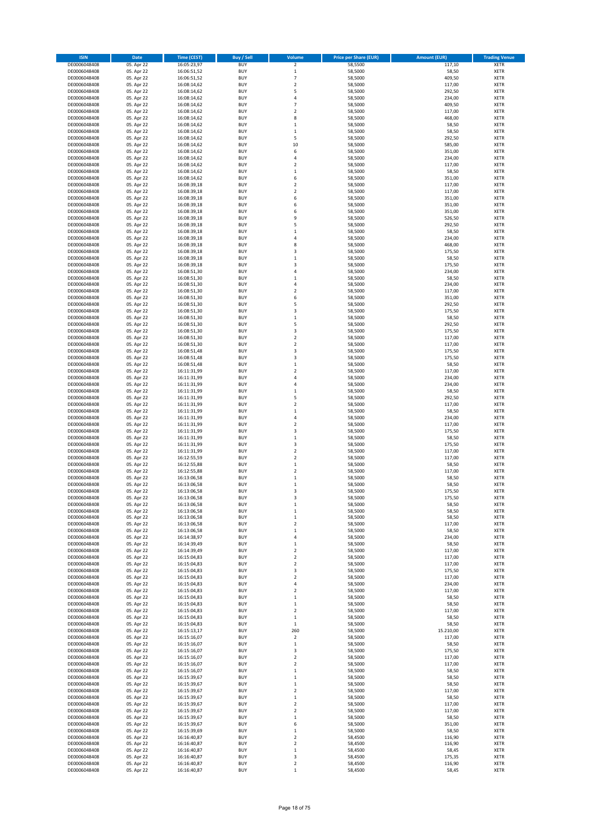| <b>ISIN</b>                  | Date                     | <b>Time (CEST)</b>         | <b>Buy / Sell</b>        | Volume                               | <b>Price per Share (EUR)</b> | <b>Amount (EUR)</b> | <b>Trading Venue</b>       |
|------------------------------|--------------------------|----------------------------|--------------------------|--------------------------------------|------------------------------|---------------------|----------------------------|
| DE0006048408                 | 05. Apr 22               | 16:05:23,97                | <b>BUY</b>               | $\mathbf 2$                          | 58,5500                      | 117,10              | <b>XETR</b>                |
| DE0006048408                 | 05. Apr 22               | 16:06:51,52                | <b>BUY</b>               | $\,1\,$                              | 58,5000                      | 58,50               | XETR                       |
| DE0006048408                 | 05. Apr 22               | 16:06:51,52                | <b>BUY</b>               | $\overline{7}$                       | 58,5000                      | 409,50              | XETR                       |
| DE0006048408                 | 05. Apr 22               | 16:08:14,62                | <b>BUY</b>               | $\overline{2}$                       | 58,5000                      | 117,00              | <b>XETR</b>                |
| DE0006048408                 | 05. Apr 22               | 16:08:14,62                | <b>BUY</b>               | 5                                    | 58,5000                      | 292,50              | XETR                       |
| DE0006048408                 | 05. Apr 22               | 16:08:14,62                | <b>BUY</b>               | $\sqrt{4}$                           | 58,5000                      | 234,00              | <b>XETR</b>                |
| DE0006048408                 | 05. Apr 22               | 16:08:14,62                | <b>BUY</b>               | $\overline{7}$                       | 58,5000                      | 409,50              | <b>XETR</b>                |
| DE0006048408                 | 05. Apr 22               | 16:08:14,62                | <b>BUY</b>               | $\overline{2}$                       | 58,5000                      | 117,00              | <b>XETR</b>                |
| DE0006048408                 | 05. Apr 22               | 16:08:14,62                | <b>BUY</b>               | 8                                    | 58,5000                      | 468,00              | <b>XETR</b>                |
| DE0006048408                 | 05. Apr 22               | 16:08:14,62                | <b>BUY</b>               | $\mathbf{1}$                         | 58,5000                      | 58,50               | <b>XETR</b>                |
| DE0006048408                 | 05. Apr 22               | 16:08:14,62                | <b>BUY</b>               | $\,$ 1                               | 58,5000                      | 58,50               | XETR                       |
| DE0006048408                 | 05. Apr 22               | 16:08:14,62                | <b>BUY</b>               | 5                                    | 58,5000                      | 292,50              | <b>XETR</b>                |
| DE0006048408<br>DE0006048408 | 05. Apr 22<br>05. Apr 22 | 16:08:14,62<br>16:08:14,62 | <b>BUY</b><br><b>BUY</b> | 10<br>6                              | 58,5000<br>58,5000           | 585,00<br>351,00    | XETR<br><b>XETR</b>        |
| DE0006048408                 | 05. Apr 22               | 16:08:14,62                | <b>BUY</b>               | $\sqrt{4}$                           | 58,5000                      | 234,00              | <b>XETR</b>                |
| DE0006048408                 | 05. Apr 22               | 16:08:14,62                | <b>BUY</b>               | $\overline{\mathbf{2}}$              | 58,5000                      | 117,00              | <b>XETR</b>                |
| DE0006048408                 | 05. Apr 22               | 16:08:14,62                | <b>BUY</b>               | $\,1\,$                              | 58,5000                      | 58,50               | <b>XETR</b>                |
| DE0006048408                 | 05. Apr 22               | 16:08:14,62                | <b>BUY</b>               | 6                                    | 58,5000                      | 351,00              | <b>XETR</b>                |
| DE0006048408                 | 05. Apr 22               | 16:08:39,18                | <b>BUY</b>               | $\overline{2}$                       | 58,5000                      | 117,00              | <b>XETR</b>                |
| DE0006048408                 | 05. Apr 22               | 16:08:39,18                | <b>BUY</b>               | $\boldsymbol{2}$                     | 58,5000                      | 117,00              | <b>XETR</b>                |
| DE0006048408                 | 05. Apr 22               | 16:08:39,18                | <b>BUY</b>               | 6                                    | 58,5000                      | 351,00              | <b>XETR</b>                |
| DE0006048408                 | 05. Apr 22               | 16:08:39,18                | <b>BUY</b>               | 6                                    | 58,5000                      | 351,00              | <b>XETR</b>                |
| DE0006048408                 | 05. Apr 22               | 16:08:39,18                | <b>BUY</b>               | 6                                    | 58,5000                      | 351,00              | <b>XETR</b>                |
| DE0006048408                 | 05. Apr 22               | 16:08:39,18                | <b>BUY</b>               | 9                                    | 58,5000                      | 526,50              | <b>XETR</b>                |
| DE0006048408                 | 05. Apr 22               | 16:08:39,18                | <b>BUY</b>               | 5                                    | 58,5000                      | 292,50              | <b>XETR</b>                |
| DE0006048408<br>DE0006048408 | 05. Apr 22               | 16:08:39,18                | <b>BUY</b><br><b>BUY</b> | $\mathbf{1}$<br>$\overline{4}$       | 58,5000<br>58,5000           | 58,50<br>234,00     | <b>XETR</b><br><b>XETR</b> |
| DE0006048408                 | 05. Apr 22<br>05. Apr 22 | 16:08:39,18<br>16:08:39,18 | <b>BUY</b>               | 8                                    | 58,5000                      | 468,00              | <b>XETR</b>                |
| DE0006048408                 | 05. Apr 22               | 16:08:39,18                | <b>BUY</b>               | 3                                    | 58,5000                      | 175,50              | <b>XETR</b>                |
| DE0006048408                 | 05. Apr 22               | 16:08:39,18                | <b>BUY</b>               | $\,1\,$                              | 58,5000                      | 58,50               | XETR                       |
| DE0006048408                 | 05. Apr 22               | 16:08:39,18                | <b>BUY</b>               | $\overline{3}$                       | 58,5000                      | 175,50              | <b>XETR</b>                |
| DE0006048408                 | 05. Apr 22               | 16:08:51,30                | <b>BUY</b>               | $\sqrt{4}$                           | 58,5000                      | 234,00              | <b>XETR</b>                |
| DE0006048408                 | 05. Apr 22               | 16:08:51,30                | <b>BUY</b>               | $\mathbf 1$                          | 58,5000                      | 58,50               | <b>XETR</b>                |
| DE0006048408                 | 05. Apr 22               | 16:08:51,30                | <b>BUY</b>               | 4                                    | 58,5000                      | 234,00              | XETR                       |
| DE0006048408                 | 05. Apr 22               | 16:08:51,30                | <b>BUY</b>               | $\overline{2}$                       | 58,5000                      | 117,00              | <b>XETR</b>                |
| DE0006048408                 | 05. Apr 22               | 16:08:51,30                | <b>BUY</b>               | 6                                    | 58,5000                      | 351,00              | XETR                       |
| DE0006048408                 | 05. Apr 22               | 16:08:51,30                | <b>BUY</b>               | 5                                    | 58,5000                      | 292,50              | <b>XETR</b>                |
| DE0006048408                 | 05. Apr 22               | 16:08:51,30                | <b>BUY</b>               | 3                                    | 58,5000                      | 175,50              | XETR                       |
| DE0006048408                 | 05. Apr 22               | 16:08:51,30                | <b>BUY</b>               | $\mathbf 1$                          | 58,5000                      | 58,50               | <b>XETR</b>                |
| DE0006048408                 | 05. Apr 22               | 16:08:51,30                | <b>BUY</b>               | 5                                    | 58,5000                      | 292,50              | <b>XETR</b>                |
| DE0006048408<br>DE0006048408 | 05. Apr 22               | 16:08:51,30<br>16:08:51,30 | <b>BUY</b><br><b>BUY</b> | 3<br>$\overline{2}$                  | 58,5000<br>58,5000           | 175,50<br>117,00    | <b>XETR</b><br><b>XETR</b> |
| DE0006048408                 | 05. Apr 22<br>05. Apr 22 | 16:08:51,30                | <b>BUY</b>               | $\overline{2}$                       | 58,5000                      | 117,00              | <b>XETR</b>                |
| DE0006048408                 | 05. Apr 22               | 16:08:51,48                | <b>BUY</b>               | 3                                    | 58,5000                      | 175,50              | <b>XETR</b>                |
| DE0006048408                 | 05. Apr 22               | 16:08:51,48                | <b>BUY</b>               | 3                                    | 58,5000                      | 175,50              | <b>XETR</b>                |
| DE0006048408                 | 05. Apr 22               | 16:08:51,48                | <b>BUY</b>               | $\,$ 1                               | 58,5000                      | 58,50               | <b>XETR</b>                |
| DE0006048408                 | 05. Apr 22               | 16:11:31,99                | <b>BUY</b>               | $\boldsymbol{2}$                     | 58,5000                      | 117,00              | <b>XETR</b>                |
| DE0006048408                 | 05. Apr 22               | 16:11:31,99                | <b>BUY</b>               | $\overline{4}$                       | 58,5000                      | 234,00              | <b>XETR</b>                |
| DE0006048408                 | 05. Apr 22               | 16:11:31,99                | <b>BUY</b>               | 4                                    | 58,5000                      | 234,00              | <b>XETR</b>                |
| DE0006048408                 | 05. Apr 22               | 16:11:31,99                | <b>BUY</b>               | $\,1\,$                              | 58,5000                      | 58,50               | XETR                       |
| DE0006048408                 | 05. Apr 22               | 16:11:31,99                | <b>BUY</b>               | 5                                    | 58,5000                      | 292,50              | <b>XETR</b>                |
| DE0006048408                 | 05. Apr 22               | 16:11:31,99                | <b>BUY</b>               | $\overline{2}$                       | 58,5000                      | 117,00              | XETR                       |
| DE0006048408                 | 05. Apr 22               | 16:11:31,99                | <b>BUY</b>               | $\,1\,$                              | 58,5000                      | 58,50               | <b>XETR</b>                |
| DE0006048408                 | 05. Apr 22               | 16:11:31,99                | <b>BUY</b>               | $\sqrt{4}$                           | 58,5000                      | 234,00              | <b>XETR</b>                |
| DE0006048408                 | 05. Apr 22               | 16:11:31,99                | <b>BUY</b>               | $\boldsymbol{2}$                     | 58,5000                      | 117,00              | <b>XETR</b>                |
| DE0006048408                 | 05. Apr 22               | 16:11:31,99                | <b>BUY</b>               | 3                                    | 58,5000                      | 175,50              | <b>XETR</b>                |
| DE0006048408                 | 05. Apr 22               | 16:11:31,99                | <b>BUY</b>               | $\mathbf{1}$                         | 58,5000                      | 58,50               | <b>XETR</b>                |
| DE0006048408                 | 05. Apr 22               | 16:11:31,99                | <b>BUY</b>               | 3                                    | 58,5000                      | 175,50              | <b>XETR</b>                |
| DE0006048408<br>DE0006048408 | 05. Apr 22<br>05. Apr 22 | 16:11:31,99<br>16:12:55,59 | <b>BUY</b><br><b>BUY</b> | $\boldsymbol{2}$<br>$\overline{2}$   | 58,5000<br>58,5000           | 117,00<br>117,00    | XETR<br><b>XETR</b>        |
| DE0006048408                 | 05. Apr 22               | 16:12:55,88                | <b>BUY</b>               | $\,$ 1                               | 58,5000                      | 58,50               | XETR                       |
| DE0006048408                 | 05. Apr 22               | 16:12:55,88                | <b>BUY</b>               | $\overline{2}$                       | 58,5000                      | 117,00              | <b>XETR</b>                |
| DE0006048408                 | 05. Apr 22               | 16:13:06,58                | <b>BUY</b>               | 1                                    | 58,5000                      | 58,50               | <b>XETR</b>                |
| DE0006048408                 | 05. Apr 22               | 16:13:06,58                | <b>BUY</b>               | $\mathbf 1$                          | 58,5000                      | 58,50               | <b>XETR</b>                |
| DE0006048408                 | 05. Apr 22               | 16:13:06,58                | <b>BUY</b>               | 3                                    | 58,5000                      | 175,50              | <b>XETR</b>                |
| DE0006048408                 | 05. Apr 22               | 16:13:06,58                | <b>BUY</b>               | 3                                    | 58,5000                      | 175,50              | <b>XETR</b>                |
| DE0006048408                 | 05. Apr 22               | 16:13:06,58                | <b>BUY</b>               | $\,1\,$                              | 58,5000                      | 58,50               | <b>XETR</b>                |
| DE0006048408                 | 05. Apr 22               | 16:13:06,58                | <b>BUY</b>               | $\mathbf 1$                          | 58,5000                      | 58,50               | XETR                       |
| DE0006048408                 | 05. Apr 22               | 16:13:06,58                | <b>BUY</b>               | $\,1\,$                              | 58,5000                      | 58,50               | XETR                       |
| DE0006048408                 | 05. Apr 22               | 16:13:06,58                | <b>BUY</b>               | $\mathbf 2$                          | 58,5000                      | 117,00              | <b>XETR</b>                |
| DE0006048408                 | 05. Apr 22               | 16:13:06,58                | <b>BUY</b>               | $\,1\,$                              | 58,5000                      | 58,50               | <b>XETR</b>                |
| DE0006048408                 | 05. Apr 22               | 16:14:38,97                | <b>BUY</b>               | 4                                    | 58,5000                      | 234,00              | <b>XETR</b>                |
| DE0006048408                 | 05. Apr 22               | 16:14:39,49                | <b>BUY</b>               | $\,1\,$                              | 58,5000                      | 58,50               | <b>XETR</b>                |
| DE0006048408                 | 05. Apr 22               | 16:14:39,49                | <b>BUY</b>               | $\boldsymbol{2}$                     | 58,5000                      | 117,00              | <b>XETR</b>                |
| DE0006048408<br>DE0006048408 | 05. Apr 22<br>05. Apr 22 | 16:15:04,83<br>16:15:04,83 | <b>BUY</b><br><b>BUY</b> | $\boldsymbol{2}$<br>$\boldsymbol{2}$ | 58,5000<br>58,5000           | 117,00<br>117,00    | <b>XETR</b><br><b>XETR</b> |
| DE0006048408                 | 05. Apr 22               | 16:15:04,83                | <b>BUY</b>               | 3                                    | 58,5000                      | 175,50              | <b>XETR</b>                |
| DE0006048408                 | 05. Apr 22               | 16:15:04,83                | <b>BUY</b>               | $\boldsymbol{2}$                     | 58,5000                      | 117,00              | <b>XETR</b>                |
| DE0006048408                 | 05. Apr 22               | 16:15:04,83                | <b>BUY</b>               | 4                                    | 58,5000                      | 234,00              | <b>XETR</b>                |
| DE0006048408                 | 05. Apr 22               | 16:15:04,83                | <b>BUY</b>               | $\overline{\mathbf{2}}$              | 58,5000                      | 117,00              | <b>XETR</b>                |
| DE0006048408                 | 05. Apr 22               | 16:15:04,83                | <b>BUY</b>               | $\,1\,$                              | 58,5000                      | 58,50               | <b>XETR</b>                |
| DE0006048408                 | 05. Apr 22               | 16:15:04,83                | <b>BUY</b>               | $\,1\,$                              | 58,5000                      | 58,50               | <b>XETR</b>                |
| DE0006048408                 | 05. Apr 22               | 16:15:04,83                | <b>BUY</b>               | $\overline{2}$                       | 58,5000                      | 117,00              | <b>XETR</b>                |
| DE0006048408                 | 05. Apr 22               | 16:15:04,83                | <b>BUY</b>               | $\mathbf{1}$                         | 58,5000                      | 58,50               | <b>XETR</b>                |
| DE0006048408                 | 05. Apr 22               | 16:15:04,83                | <b>BUY</b>               | $\mathbf 1$                          | 58,5000                      | 58,50               | <b>XETR</b>                |
| DE0006048408                 | 05. Apr 22               | 16:15:13,17                | <b>BUY</b>               | 260                                  | 58,5000                      | 15.210,00           | <b>XETR</b>                |
| DE0006048408                 | 05. Apr 22               | 16:15:16,07                | <b>BUY</b>               | $\boldsymbol{2}$                     | 58,5000                      | 117,00              | <b>XETR</b>                |
| DE0006048408<br>DE0006048408 | 05. Apr 22<br>05. Apr 22 | 16:15:16,07<br>16:15:16,07 | <b>BUY</b><br><b>BUY</b> | $\,1\,$<br>3                         | 58,5000<br>58,5000           | 58,50<br>175,50     | XETR<br><b>XETR</b>        |
| DE0006048408                 | 05. Apr 22               | 16:15:16,07                | <b>BUY</b>               | $\boldsymbol{2}$                     | 58,5000                      | 117,00              | <b>XETR</b>                |
| DE0006048408                 | 05. Apr 22               | 16:15:16,07                | <b>BUY</b>               | $\overline{2}$                       | 58,5000                      | 117,00              | <b>XETR</b>                |
| DE0006048408                 | 05. Apr 22               | 16:15:16,07                | <b>BUY</b>               | $\mathbf{1}$                         | 58,5000                      | 58,50               | <b>XETR</b>                |
| DE0006048408                 | 05. Apr 22               | 16:15:39,67                | <b>BUY</b>               | $\mathbf{1}$                         | 58,5000                      | 58,50               | <b>XETR</b>                |
| DE0006048408                 | 05. Apr 22               | 16:15:39,67                | <b>BUY</b>               | $\,1\,$                              | 58,5000                      | 58,50               | <b>XETR</b>                |
| DE0006048408                 | 05. Apr 22               | 16:15:39,67                | <b>BUY</b>               | $\overline{2}$                       | 58,5000                      | 117,00              | <b>XETR</b>                |
| DE0006048408                 | 05. Apr 22               | 16:15:39,67                | <b>BUY</b>               | $\,$ 1                               | 58,5000                      | 58,50               | <b>XETR</b>                |
| DE0006048408                 | 05. Apr 22               | 16:15:39,67                | <b>BUY</b>               | $\boldsymbol{2}$                     | 58,5000                      | 117,00              | <b>XETR</b>                |
| DE0006048408                 | 05. Apr 22               | 16:15:39,67                | <b>BUY</b>               | $\boldsymbol{2}$                     | 58,5000                      | 117,00              | <b>XETR</b>                |
| DE0006048408                 | 05. Apr 22               | 16:15:39,67                | <b>BUY</b>               | $\,1\,$                              | 58,5000                      | 58,50               | <b>XETR</b>                |
| DE0006048408                 | 05. Apr 22               | 16:15:39,67                | <b>BUY</b>               | 6                                    | 58,5000                      | 351,00              | <b>XETR</b>                |
| DE0006048408                 | 05. Apr 22               | 16:15:39,69                | <b>BUY</b>               | $\,1\,$                              | 58,5000                      | 58,50               | <b>XETR</b>                |
| DE0006048408                 | 05. Apr 22               | 16:16:40,87                | <b>BUY</b>               | $\boldsymbol{2}$                     | 58,4500                      | 116,90              | XETR                       |
| DE0006048408                 | 05. Apr 22               | 16:16:40,87                | <b>BUY</b>               | $\mathbf 2$                          | 58,4500                      | 116,90              | <b>XETR</b>                |
| DE0006048408                 | 05. Apr 22               | 16:16:40,87                | <b>BUY</b>               | $\,$ 1                               | 58,4500                      | 58,45               | XETR                       |
| DE0006048408<br>DE0006048408 | 05. Apr 22               | 16:16:40,87<br>16:16:40,87 | <b>BUY</b><br><b>BUY</b> | 3<br>$\boldsymbol{2}$                | 58,4500                      | 175,35              | <b>XETR</b><br>XETR        |
| DE0006048408                 | 05. Apr 22<br>05. Apr 22 | 16:16:40,87                | <b>BUY</b>               | $\mathbf 1$                          | 58,4500<br>58,4500           | 116,90<br>58,45     | <b>XETR</b>                |
|                              |                          |                            |                          |                                      |                              |                     |                            |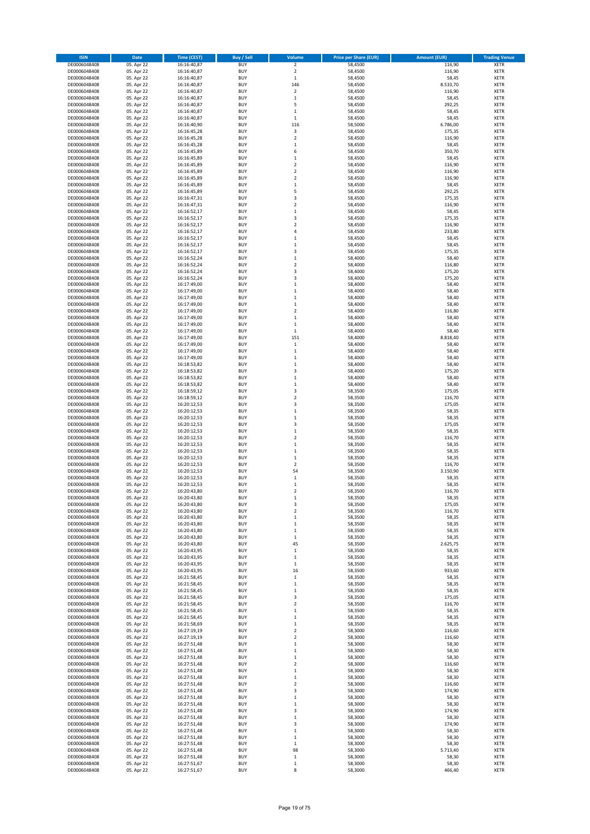| <b>ISIN</b>                  | <b>Date</b>              | <b>Time (CEST)</b>         | <b>Buy / Sell</b>        | Volume                       | <b>Price per Share (EUR)</b> | <b>Amount (EUR)</b> | <b>Trading Venue</b>       |
|------------------------------|--------------------------|----------------------------|--------------------------|------------------------------|------------------------------|---------------------|----------------------------|
| DE0006048408                 | 05. Apr 22               | 16:16:40,87                | <b>BUY</b>               | $\mathbf 2$                  | 58,4500                      | 116,90              | <b>XETR</b>                |
| DE0006048408                 | 05. Apr 22               | 16:16:40,87                | <b>BUY</b>               | $\overline{2}$               | 58,4500                      | 116,90              | <b>XETR</b>                |
| DE0006048408                 | 05. Apr 22               | 16:16:40,87                | <b>BUY</b>               | $\,1\,$                      | 58,4500                      | 58,45               | <b>XETR</b>                |
| DE0006048408                 | 05. Apr 22               | 16:16:40,87                | <b>BUY</b>               | 146                          | 58,4500                      | 8.533,70            | <b>XETR</b>                |
| DE0006048408                 | 05. Apr 22               | 16:16:40,87                | <b>BUY</b>               | $\mathbf 2$                  | 58,4500                      | 116,90              | <b>XETR</b>                |
| DE0006048408                 | 05. Apr 22               | 16:16:40,87                | <b>BUY</b>               | $\,1\,$                      | 58,4500                      | 58,45               | <b>XETR</b>                |
| DE0006048408                 | 05. Apr 22               | 16:16:40,87                | <b>BUY</b>               | 5                            | 58,4500                      | 292,25              | <b>XETR</b>                |
| DE0006048408                 | 05. Apr 22               | 16:16:40,87                | <b>BUY</b>               | $\mathbf 1$                  | 58,4500                      | 58,45               | <b>XETR</b>                |
| DE0006048408<br>DE0006048408 | 05. Apr 22<br>05. Apr 22 | 16:16:40,87<br>16:16:40,90 | <b>BUY</b><br><b>BUY</b> | $\,$ 1<br>116                | 58,4500<br>58,5000           | 58,45<br>6.786,00   | <b>XETR</b><br><b>XETR</b> |
| DE0006048408                 | 05. Apr 22               | 16:16:45,28                | <b>BUY</b>               | 3                            | 58,4500                      | 175,35              | <b>XETR</b>                |
| DE0006048408                 | 05. Apr 22               | 16:16:45,28                | <b>BUY</b>               | $\overline{2}$               | 58,4500                      | 116,90              | <b>XETR</b>                |
| DE0006048408                 | 05. Apr 22               | 16:16:45,28                | <b>BUY</b>               | $\,$ 1                       | 58,4500                      | 58,45               | <b>XETR</b>                |
| DE0006048408                 | 05. Apr 22               | 16:16:45,89                | <b>BUY</b>               | 6                            | 58,4500                      | 350,70              | <b>XETR</b>                |
| DE0006048408                 | 05. Apr 22               | 16:16:45,89                | <b>BUY</b>               | $\,$ 1                       | 58,4500                      | 58,45               | <b>XETR</b>                |
| DE0006048408                 | 05. Apr 22               | 16:16:45,89                | <b>BUY</b>               | $\overline{2}$               | 58,4500                      | 116,90              | <b>XETR</b>                |
| DE0006048408                 | 05. Apr 22               | 16:16:45,89                | <b>BUY</b>               | $\overline{2}$               | 58,4500                      | 116,90              | <b>XETR</b>                |
| DE0006048408                 | 05. Apr 22               | 16:16:45,89                | <b>BUY</b>               | $\overline{2}$               | 58,4500                      | 116,90              | <b>XETR</b>                |
| DE0006048408                 | 05. Apr 22               | 16:16:45,89                | <b>BUY</b>               | $\,1\,$                      | 58,4500                      | 58,45               | <b>XETR</b>                |
| DE0006048408<br>DE0006048408 | 05. Apr 22<br>05. Apr 22 | 16:16:45,89                | <b>BUY</b><br><b>BUY</b> | 5<br>3                       | 58,4500<br>58,4500           | 292,25<br>175,35    | <b>XETR</b><br><b>XETR</b> |
| DE0006048408                 | 05. Apr 22               | 16:16:47,31<br>16:16:47,31 | <b>BUY</b>               | $\overline{\mathbf{2}}$      | 58,4500                      | 116,90              | <b>XETR</b>                |
| DE0006048408                 | 05. Apr 22               | 16:16:52,17                | <b>BUY</b>               | $\,1\,$                      | 58,4500                      | 58,45               | <b>XETR</b>                |
| DE0006048408                 | 05. Apr 22               | 16:16:52,17                | <b>BUY</b>               | 3                            | 58,4500                      | 175,35              | <b>XETR</b>                |
| DE0006048408                 | 05. Apr 22               | 16:16:52,17                | <b>BUY</b>               | $\overline{2}$               | 58,4500                      | 116,90              | <b>XETR</b>                |
| DE0006048408                 | 05. Apr 22               | 16:16:52,17                | <b>BUY</b>               | 4                            | 58,4500                      | 233,80              | <b>XETR</b>                |
| DE0006048408                 | 05. Apr 22               | 16:16:52,17                | <b>BUY</b>               | $\,1\,$                      | 58,4500                      | 58,45               | <b>XETR</b>                |
| DE0006048408                 | 05. Apr 22               | 16:16:52,17                | <b>BUY</b>               | $\,1\,$                      | 58,4500                      | 58,45               | <b>XETR</b>                |
| DE0006048408                 | 05. Apr 22               | 16:16:52,17                | <b>BUY</b>               | 3                            | 58,4500                      | 175,35              | <b>XETR</b>                |
| DE0006048408<br>DE0006048408 | 05. Apr 22<br>05. Apr 22 | 16:16:52,24<br>16:16:52,24 | <b>BUY</b><br><b>BUY</b> | $\,$ 1<br>$\overline{2}$     | 58,4000<br>58,4000           | 58,40<br>116,80     | <b>XETR</b><br><b>XETR</b> |
| DE0006048408                 | 05. Apr 22               | 16:16:52,24                | <b>BUY</b>               | 3                            | 58,4000                      | 175,20              | <b>XETR</b>                |
| DE0006048408                 | 05. Apr 22               | 16:16:52,24                | <b>BUY</b>               | 3                            | 58,4000                      | 175,20              | <b>XETR</b>                |
| DE0006048408                 | 05. Apr 22               | 16:17:49,00                | <b>BUY</b>               | $\,1\,$                      | 58,4000                      | 58,40               | <b>XETR</b>                |
| DE0006048408                 | 05. Apr 22               | 16:17:49,00                | <b>BUY</b>               | $\mathbf 1$                  | 58,4000                      | 58,40               | <b>XETR</b>                |
| DE0006048408                 | 05. Apr 22               | 16:17:49,00                | <b>BUY</b>               | $\,$ 1                       | 58,4000                      | 58,40               | <b>XETR</b>                |
| DE0006048408                 | 05. Apr 22               | 16:17:49,00                | <b>BUY</b>               | $\,1\,$                      | 58,4000                      | 58,40               | <b>XETR</b>                |
| DE0006048408                 | 05. Apr 22               | 16:17:49,00                | <b>BUY</b>               | $\boldsymbol{2}$             | 58,4000                      | 116,80              | <b>XETR</b>                |
| DE0006048408                 | 05. Apr 22               | 16:17:49,00                | <b>BUY</b>               | $\mathbf 1$                  | 58,4000                      | 58,40               | <b>XETR</b>                |
| DE0006048408                 | 05. Apr 22               | 16:17:49,00                | <b>BUY</b>               | $\,$ 1                       | 58,4000                      | 58,40               | <b>XETR</b>                |
| DE0006048408<br>DE0006048408 | 05. Apr 22               | 16:17:49,00                | <b>BUY</b><br><b>BUY</b> | $\mathbf 1$<br>151           | 58,4000<br>58,4000           | 58,40<br>8.818,40   | <b>XETR</b><br><b>XETR</b> |
| DE0006048408                 | 05. Apr 22<br>05. Apr 22 | 16:17:49,00<br>16:17:49,00 | <b>BUY</b>               | $\,1\,$                      | 58,4000                      | 58,40               | <b>XETR</b>                |
| DE0006048408                 | 05. Apr 22               | 16:17:49,00                | <b>BUY</b>               | $\,1\,$                      | 58,4000                      | 58,40               | <b>XETR</b>                |
| DE0006048408                 | 05. Apr 22               | 16:17:49,00                | <b>BUY</b>               | $\,1\,$                      | 58,4000                      | 58,40               | <b>XETR</b>                |
| DE0006048408                 | 05. Apr 22               | 16:18:53,82                | <b>BUY</b>               | $\,$ 1                       | 58,4000                      | 58,40               | <b>XETR</b>                |
| DE0006048408                 | 05. Apr 22               | 16:18:53,82                | <b>BUY</b>               | 3                            | 58,4000                      | 175,20              | <b>XETR</b>                |
| DE0006048408                 | 05. Apr 22               | 16:18:53,82                | <b>BUY</b>               | $\,1\,$                      | 58,4000                      | 58,40               | <b>XETR</b>                |
| DE0006048408                 | 05. Apr 22               | 16:18:53,82                | <b>BUY</b>               | $\mathbf 1$                  | 58,4000                      | 58,40               | <b>XETR</b>                |
| DE0006048408                 | 05. Apr 22               | 16:18:59,12                | <b>BUY</b>               | 3                            | 58,3500                      | 175,05              | <b>XETR</b>                |
| DE0006048408                 | 05. Apr 22               | 16:18:59,12                | <b>BUY</b>               | $\overline{2}$               | 58,3500                      | 116,70              | <b>XETR</b>                |
| DE0006048408<br>DE0006048408 | 05. Apr 22<br>05. Apr 22 | 16:20:12,53<br>16:20:12,53 | <b>BUY</b><br><b>BUY</b> | 3<br>$\,1\,$                 | 58,3500<br>58,3500           | 175,05<br>58,35     | <b>XETR</b><br><b>XETR</b> |
| DE0006048408                 | 05. Apr 22               | 16:20:12,53                | <b>BUY</b>               | $\,1\,$                      | 58,3500                      | 58,35               | <b>XETR</b>                |
| DE0006048408                 | 05. Apr 22               | 16:20:12,53                | <b>BUY</b>               | 3                            | 58,3500                      | 175,05              | <b>XETR</b>                |
| DE0006048408                 | 05. Apr 22               | 16:20:12,53                | <b>BUY</b>               | $\mathbf 1$                  | 58,3500                      | 58,35               | <b>XETR</b>                |
| DE0006048408                 | 05. Apr 22               | 16:20:12,53                | <b>BUY</b>               | $\overline{2}$               | 58,3500                      | 116,70              | <b>XETR</b>                |
| DE0006048408                 | 05. Apr 22               | 16:20:12,53                | <b>BUY</b>               | $\mathbf 1$                  | 58,3500                      | 58,35               | <b>XETR</b>                |
| DE0006048408                 | 05. Apr 22               | 16:20:12,53                | <b>BUY</b>               | $\,1\,$                      | 58,3500                      | 58,35               | <b>XETR</b>                |
| DE0006048408                 | 05. Apr 22               | 16:20:12,53                | <b>BUY</b>               | $\mathbf 1$                  | 58,3500                      | 58,35               | <b>XETR</b>                |
| DE0006048408                 | 05. Apr 22               | 16:20:12,53                | <b>BUY</b>               | $\boldsymbol{2}$             | 58,3500                      | 116,70              | <b>XETR</b>                |
| DE0006048408                 | 05. Apr 22               | 16:20:12,53                | <b>BUY</b><br><b>BUY</b> | 54                           | 58,3500                      | 3.150,90            | <b>XETR</b>                |
| DE0006048408<br>DE0006048408 | 05. Apr 22<br>05. Apr 22 | 16:20:12,53<br>16:20:12,53 | <b>BUY</b>               | $\,1\,$<br>$\mathbf 1$       | 58,3500<br>58,3500           | 58,35<br>58,35      | <b>XETR</b><br><b>XETR</b> |
| DE0006048408                 | 05. Apr 22               | 16:20:43,80                | <b>BUY</b>               | $\overline{2}$               | 58,3500                      | 116,70              | <b>XETR</b>                |
| DE0006048408                 | 05. Apr 22               | 16:20:43,80                | <b>BUY</b>               | 1                            | 58,3500                      | 58,35               | XETR                       |
| DE0006048408                 | 05. Apr 22               | 16:20:43,80                | <b>BUY</b>               | 3                            | 58,3500                      | 175,05              | <b>XETR</b>                |
| DE0006048408                 | 05. Apr 22               | 16:20:43,80                | <b>BUY</b>               | $\overline{2}$               | 58,3500                      | 116,70              | <b>XETR</b>                |
| DE0006048408                 | 05. Apr 22               | 16:20:43,80                | <b>BUY</b>               | $\,1\,$                      | 58,3500                      | 58,35               | <b>XETR</b>                |
| DE0006048408                 | 05. Apr 22               | 16:20:43,80                | <b>BUY</b>               | $\mathbf 1$                  | 58,3500                      | 58,35               | <b>XETR</b>                |
| DE0006048408                 | 05. Apr 22               | 16:20:43,80                | <b>BUY</b>               | $\,$ 1 $\,$                  | 58,3500                      | 58,35<br>58,35      | <b>XETR</b>                |
| DE0006048408<br>DE0006048408 | 05. Apr 22<br>05. Apr 22 | 16:20:43,80<br>16:20:43,80 | <b>BUY</b><br><b>BUY</b> | $\,1\,$<br>45                | 58,3500<br>58,3500           | 2.625,75            | <b>XETR</b><br><b>XETR</b> |
| DE0006048408                 | 05. Apr 22               | 16:20:43,95                | <b>BUY</b>               | $\,1\,$                      | 58,3500                      | 58,35               | <b>XETR</b>                |
| DE0006048408                 | 05. Apr 22               | 16:20:43,95                | <b>BUY</b>               | $\,1\,$                      | 58,3500                      | 58,35               | <b>XETR</b>                |
| DE0006048408                 | 05. Apr 22               | 16:20:43,95                | <b>BUY</b>               | $\,1\,$                      | 58,3500                      | 58,35               | <b>XETR</b>                |
| DE0006048408                 | 05. Apr 22               | 16:20:43,95                | <b>BUY</b>               | 16                           | 58,3500                      | 933,60              | <b>XETR</b>                |
| DE0006048408                 | 05. Apr 22               | 16:21:58,45                | <b>BUY</b>               | $\mathbf 1$                  | 58,3500                      | 58,35               | <b>XETR</b>                |
| DE0006048408                 | 05. Apr 22               | 16:21:58,45                | <b>BUY</b>               | $\mathbf 1$                  | 58,3500                      | 58,35               | <b>XETR</b>                |
| DE0006048408                 | 05. Apr 22               | 16:21:58,45                | <b>BUY</b>               | $\,1\,$                      | 58,3500                      | 58,35               | <b>XETR</b>                |
| DE0006048408<br>DE0006048408 | 05. Apr 22<br>05. Apr 22 | 16:21:58,45<br>16:21:58,45 | <b>BUY</b><br><b>BUY</b> | 3<br>$\overline{\mathbf{2}}$ | 58,3500                      | 175,05              | <b>XETR</b><br><b>XETR</b> |
| DE0006048408                 | 05. Apr 22               | 16:21:58,45                | <b>BUY</b>               | $\mathbf{1}$                 | 58,3500<br>58,3500           | 116,70<br>58,35     | <b>XETR</b>                |
| DE0006048408                 | 05. Apr 22               | 16:21:58,45                | <b>BUY</b>               | 1                            | 58,3500                      | 58,35               | <b>XETR</b>                |
| DE0006048408                 | 05. Apr 22               | 16:21:58,69                | <b>BUY</b>               | $\mathbf 1$                  | 58,3500                      | 58,35               | <b>XETR</b>                |
| DE0006048408                 | 05. Apr 22               | 16:27:19,19                | <b>BUY</b>               | $\overline{\mathbf{2}}$      | 58,3000                      | 116,60              | <b>XETR</b>                |
| DE0006048408                 | 05. Apr 22               | 16:27:19,19                | <b>BUY</b>               | $\overline{2}$               | 58,3000                      | 116,60              | <b>XETR</b>                |
| DE0006048408                 | 05. Apr 22               | 16:27:51,48                | <b>BUY</b>               | $\mathbf{1}$                 | 58,3000                      | 58,30               | <b>XETR</b>                |
| DE0006048408                 | 05. Apr 22               | 16:27:51,48                | <b>BUY</b>               | $\mathbf 1$                  | 58,3000                      | 58,30               | <b>XETR</b>                |
| DE0006048408                 | 05. Apr 22               | 16:27:51,48                | <b>BUY</b>               | $\,1\,$                      | 58,3000                      | 58,30               | <b>XETR</b>                |
| DE0006048408<br>DE0006048408 | 05. Apr 22               | 16:27:51,48                | <b>BUY</b><br><b>BUY</b> | 2<br>1                       | 58,3000<br>58,3000           | 116,60              | <b>XETR</b><br><b>XETR</b> |
| DE0006048408                 | 05. Apr 22<br>05. Apr 22 | 16:27:51,48<br>16:27:51,48 | <b>BUY</b>               | $\mathbf 1$                  | 58,3000                      | 58,30<br>58,30      | <b>XETR</b>                |
| DE0006048408                 | 05. Apr 22               | 16:27:51,48                | <b>BUY</b>               | $\boldsymbol{2}$             | 58,3000                      | 116,60              | <b>XETR</b>                |
| DE0006048408                 | 05. Apr 22               | 16:27:51,48                | <b>BUY</b>               | 3                            | 58,3000                      | 174,90              | <b>XETR</b>                |
| DE0006048408                 | 05. Apr 22               | 16:27:51,48                | <b>BUY</b>               | $\,1\,$                      | 58,3000                      | 58,30               | <b>XETR</b>                |
| DE0006048408                 | 05. Apr 22               | 16:27:51,48                | <b>BUY</b>               | $\,1\,$                      | 58,3000                      | 58,30               | <b>XETR</b>                |
| DE0006048408                 | 05. Apr 22               | 16:27:51,48                | <b>BUY</b>               | 3                            | 58,3000                      | 174,90              | <b>XETR</b>                |
| DE0006048408                 | 05. Apr 22               | 16:27:51,48                | <b>BUY</b>               | $\mathbf 1$                  | 58,3000                      | 58,30               | <b>XETR</b>                |
| DE0006048408                 | 05. Apr 22               | 16:27:51,48                | <b>BUY</b>               | 3                            | 58,3000                      | 174,90              | <b>XETR</b>                |
| DE0006048408                 | 05. Apr 22               | 16:27:51,48                | <b>BUY</b>               | $\mathbf 1$<br>$\,1\,$       | 58,3000                      | 58,30               | <b>XETR</b>                |
| DE0006048408<br>DE0006048408 | 05. Apr 22<br>05. Apr 22 | 16:27:51,48<br>16:27:51,48 | <b>BUY</b><br><b>BUY</b> | $\mathbf 1$                  | 58,3000<br>58,3000           | 58,30<br>58,30      | <b>XETR</b><br><b>XETR</b> |
| DE0006048408                 | 05. Apr 22               | 16:27:51,48                | <b>BUY</b>               | 98                           | 58,3000                      | 5.713,40            | <b>XETR</b>                |
| DE0006048408                 | 05. Apr 22               | 16:27:51,48                | <b>BUY</b>               | $\,1\,$                      | 58,3000                      | 58,30               | <b>XETR</b>                |
| DE0006048408                 | 05. Apr 22               | 16:27:51,67                | <b>BUY</b>               | $\,$ 1                       | 58,3000                      | 58,30               | <b>XETR</b>                |
| DE0006048408                 | 05. Apr 22               | 16:27:51,67                | <b>BUY</b>               | 8                            | 58,3000                      | 466,40              | <b>XETR</b>                |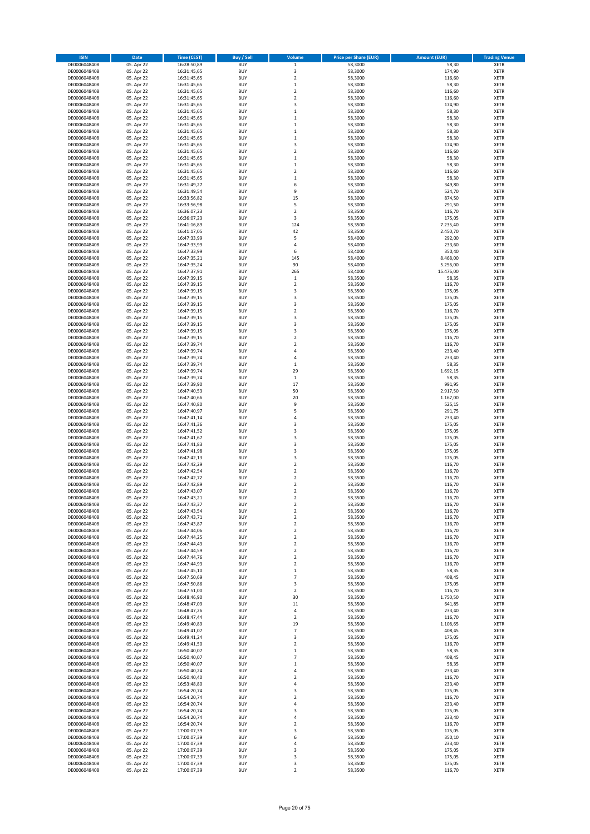| <b>ISIN</b>  | <b>Date</b> | <b>Time (CEST)</b> | Buy / Sell | Volume                  | <b>Price per Share (EUR)</b> | <b>Amount (EUR)</b> | <b>Trading Venue</b> |
|--------------|-------------|--------------------|------------|-------------------------|------------------------------|---------------------|----------------------|
| DE0006048408 | 05. Apr 22  | 16:28:50,89        | <b>BUY</b> | $\mathbf 1$             | 58,3000                      | 58,30               | XETR                 |
| DE0006048408 | 05. Apr 22  | 16:31:45,65        | <b>BUY</b> | 3                       | 58,3000                      | 174,90              | <b>XETR</b>          |
| DE0006048408 | 05. Apr 22  | 16:31:45,65        | <b>BUY</b> | $\overline{\mathbf{c}}$ | 58,3000                      | 116,60              | XETR                 |
| DE0006048408 | 05. Apr 22  | 16:31:45,65        | <b>BUY</b> | $\,1\,$                 | 58,3000                      | 58,30               | <b>XETR</b>          |
| DE0006048408 | 05. Apr 22  | 16:31:45,65        | <b>BUY</b> | $\mathbf 2$             | 58,3000                      | 116,60              | XETR                 |
| DE0006048408 | 05. Apr 22  | 16:31:45,65        | <b>BUY</b> | $\overline{\mathbf{c}}$ | 58,3000                      | 116,60              | <b>XETR</b>          |
| DE0006048408 | 05. Apr 22  | 16:31:45,65        | <b>BUY</b> | $\overline{\mathbf{3}}$ | 58,3000                      | 174,90              | <b>XETR</b>          |
| DE0006048408 | 05. Apr 22  | 16:31:45,65        | <b>BUY</b> | $\mathbf{1}$            | 58,3000                      | 58,30               | <b>XETR</b>          |
| DE0006048408 | 05. Apr 22  | 16:31:45,65        | <b>BUY</b> | 1                       | 58,3000                      | 58,30               | XETR                 |
| DE0006048408 | 05. Apr 22  | 16:31:45,65        | <b>BUY</b> | $\mathbf{1}$            | 58,3000                      | 58,30               | <b>XETR</b>          |
| DE0006048408 | 05. Apr 22  | 16:31:45,65        | <b>BUY</b> | $\mathbf{1}$            | 58,3000                      | 58,30               | XETR                 |
| DE0006048408 | 05. Apr 22  | 16:31:45,65        | <b>BUY</b> | $\mathbf 1$             | 58,3000                      | 58,30               | <b>XETR</b>          |
| DE0006048408 | 05. Apr 22  | 16:31:45,65        | <b>BUY</b> | 3                       | 58,3000                      | 174,90              | XETR                 |
| DE0006048408 | 05. Apr 22  | 16:31:45,65        | <b>BUY</b> | $\overline{\mathbf{c}}$ | 58,3000                      | 116,60              | <b>XETR</b>          |
| DE0006048408 | 05. Apr 22  | 16:31:45,65        | <b>BUY</b> | $\mathbf{1}$            | 58,3000                      | 58,30               | XETR                 |
| DE0006048408 | 05. Apr 22  | 16:31:45,65        | <b>BUY</b> | $\mathbf{1}$            | 58,3000                      | 58,30               | <b>XETR</b>          |
| DE0006048408 | 05. Apr 22  | 16:31:45,65        | <b>BUY</b> | $\overline{\mathbf{c}}$ | 58,3000                      | 116,60              | XETR                 |
| DE0006048408 | 05. Apr 22  | 16:31:45,65        | <b>BUY</b> | $\mathbf{1}$            | 58,3000                      | 58,30               | <b>XETR</b>          |
| DE0006048408 | 05. Apr 22  | 16:31:49,27        | <b>BUY</b> | 6                       | 58,3000                      | 349,80              | <b>XETR</b>          |
| DE0006048408 | 05. Apr 22  | 16:31:49,54        | <b>BUY</b> | 9                       | 58,3000                      | 524,70              | <b>XETR</b>          |
| DE0006048408 | 05. Apr 22  | 16:33:56,82        | <b>BUY</b> | 15                      | 58,3000                      | 874,50              | <b>XETR</b>          |
| DE0006048408 | 05. Apr 22  | 16:33:56,98        | <b>BUY</b> | 5                       | 58,3000                      | 291,50              | <b>XETR</b>          |
| DE0006048408 | 05. Apr 22  | 16:36:07,23        | <b>BUY</b> | $\overline{\mathbf{c}}$ | 58,3500                      | 116,70              | <b>XETR</b>          |
| DE0006048408 | 05. Apr 22  | 16:36:07,23        | <b>BUY</b> | 3                       | 58,3500                      | 175,05              | <b>XETR</b>          |
| DE0006048408 | 05. Apr 22  | 16:41:16,89        | <b>BUY</b> | 124                     | 58,3500                      | 7.235,40            | <b>XETR</b>          |
| DE0006048408 | 05. Apr 22  | 16:41:17,05        | <b>BUY</b> | 42                      | 58,3500                      | 2.450,70            | <b>XETR</b>          |
| DE0006048408 | 05. Apr 22  | 16:47:33,99        | <b>BUY</b> | 5                       | 58,4000                      | 292,00              | <b>XETR</b>          |
| DE0006048408 | 05. Apr 22  | 16:47:33,99        | <b>BUY</b> | 4                       | 58,4000                      | 233,60              | <b>XETR</b>          |
| DE0006048408 | 05. Apr 22  | 16:47:33,99        | <b>BUY</b> | 6                       | 58,4000                      | 350,40              | <b>XETR</b>          |
| DE0006048408 | 05. Apr 22  | 16:47:35,21        | <b>BUY</b> | 145                     | 58,4000                      | 8.468,00            | XETR                 |
| DE0006048408 | 05. Apr 22  | 16:47:35,24        | <b>BUY</b> | 90                      | 58,4000                      | 5.256,00            | <b>XETR</b>          |
| DE0006048408 | 05. Apr 22  | 16:47:37,91        | <b>BUY</b> | 265                     | 58,4000                      | 15.476,00           | XETR                 |
| DE0006048408 | 05. Apr 22  | 16:47:39,15        | <b>BUY</b> | $\mathbf 1$             | 58,3500                      | 58,35               | <b>XETR</b>          |
| DE0006048408 | 05. Apr 22  | 16:47:39,15        | <b>BUY</b> | 2                       | 58,3500                      | 116,70              | XETR                 |
| DE0006048408 | 05. Apr 22  | 16:47:39,15        | <b>BUY</b> | 3                       | 58,3500                      | 175,05              | <b>XETR</b>          |
| DE0006048408 | 05. Apr 22  | 16:47:39,15        | <b>BUY</b> | $\overline{\mathbf{3}}$ | 58,3500                      | 175,05              | XETR                 |
| DE0006048408 | 05. Apr 22  | 16:47:39,15        | <b>BUY</b> | $\overline{\mathbf{3}}$ | 58,3500                      | 175,05              | <b>XETR</b>          |
| DE0006048408 | 05. Apr 22  | 16:47:39,15        | <b>BUY</b> | $\mathbf 2$             | 58,3500                      | 116,70              | XETR                 |
| DE0006048408 | 05. Apr 22  | 16:47:39,15        | <b>BUY</b> | $\overline{\mathbf{3}}$ | 58,3500                      | 175,05              | <b>XETR</b>          |
| DE0006048408 | 05. Apr 22  | 16:47:39,15        | <b>BUY</b> | $\overline{\mathbf{3}}$ | 58,3500                      | 175,05              | <b>XETR</b>          |
| DE0006048408 | 05. Apr 22  | 16:47:39,15        | <b>BUY</b> | $\overline{\mathbf{3}}$ | 58,3500                      | 175,05              | <b>XETR</b>          |
| DE0006048408 | 05. Apr 22  | 16:47:39,15        | <b>BUY</b> | $\overline{\mathbf{c}}$ | 58,3500                      | 116,70              | <b>XETR</b>          |
| DE0006048408 | 05. Apr 22  | 16:47:39,74        | <b>BUY</b> | $\overline{\mathbf{2}}$ | 58,3500                      | 116,70              | <b>XETR</b>          |
| DE0006048408 | 05. Apr 22  | 16:47:39,74        | <b>BUY</b> | $\overline{a}$          | 58,3500                      | 233,40              | <b>XETR</b>          |
| DE0006048408 | 05. Apr 22  | 16:47:39,74        | <b>BUY</b> | 4                       | 58,3500                      | 233,40              | <b>XETR</b>          |
| DE0006048408 | 05. Apr 22  | 16:47:39,74        | <b>BUY</b> | $\mathbf 1$             | 58,3500                      | 58,35               | <b>XETR</b>          |
| DE0006048408 | 05. Apr 22  | 16:47:39,74        | <b>BUY</b> | 29                      | 58,3500                      | 1.692,15            | <b>XETR</b>          |
| DE0006048408 | 05. Apr 22  | 16:47:39,74        | <b>BUY</b> | $\,1\,$                 | 58,3500                      | 58,35               | <b>XETR</b>          |
| DE0006048408 | 05. Apr 22  | 16:47:39,90        | <b>BUY</b> | 17                      | 58,3500                      | 991,95              | <b>XETR</b>          |
| DE0006048408 | 05. Apr 22  | 16:47:40,53        | <b>BUY</b> | 50                      | 58,3500                      | 2.917,50            | <b>XETR</b>          |
| DE0006048408 | 05. Apr 22  | 16:47:40,66        | <b>BUY</b> | 20                      | 58,3500                      | 1.167,00            | <b>XETR</b>          |
| DE0006048408 | 05. Apr 22  | 16:47:40,80        | <b>BUY</b> | 9                       | 58,3500                      | 525,15              | <b>XETR</b>          |
| DE0006048408 | 05. Apr 22  | 16:47:40,97        | <b>BUY</b> | 5                       | 58,3500                      | 291,75              | <b>XETR</b>          |
| DE0006048408 | 05. Apr 22  | 16:47:41,14        | <b>BUY</b> | 4                       | 58,3500                      | 233,40              | <b>XETR</b>          |
| DE0006048408 | 05. Apr 22  | 16:47:41,36        | <b>BUY</b> | 3                       | 58,3500                      | 175,05              | <b>XETR</b>          |
| DE0006048408 | 05. Apr 22  | 16:47:41,52        | <b>BUY</b> | $\overline{\mathbf{3}}$ | 58,3500                      | 175,05              | <b>XETR</b>          |
| DE0006048408 | 05. Apr 22  | 16:47:41,67        | <b>BUY</b> | $\overline{\mathbf{3}}$ | 58,3500                      | 175,05              | <b>XETR</b>          |
| DE0006048408 | 05. Apr 22  | 16:47:41,83        | <b>BUY</b> | $\overline{\mathbf{3}}$ | 58,3500                      | 175,05              | <b>XETR</b>          |
| DE0006048408 | 05. Apr 22  | 16:47:41,98        | <b>BUY</b> | 3                       | 58,3500                      | 175,05              | <b>XETR</b>          |
| DE0006048408 | 05. Apr 22  | 16:47:42,13        | <b>BUY</b> | 3                       | 58,3500                      | 175,05              | <b>XETR</b>          |
| DE0006048408 | 05. Apr 22  | 16:47:42,29        | <b>BUY</b> | $\mathbf 2$             | 58,3500                      | 116,70              | XETR                 |
| DE0006048408 | 05. Apr 22  | 16:47:42,54        | <b>BUY</b> | $\overline{\mathbf{c}}$ | 58,3500                      | 116,70              | <b>XETR</b>          |
| DE0006048408 | 05. Apr 22  | 16:47:42,72        | <b>BUY</b> | 2                       | 58,3500                      | 116,70              | XETR                 |
| DE0006048408 | 05. Apr 22  | 16:47:42.89        | <b>BUY</b> | $\overline{\mathbf{2}}$ | 58,3500                      | 116,70              | <b>XETR</b>          |
| DE0006048408 | 05. Apr 22  | 16:47:43,07        | <b>BUY</b> | 2                       | 58,3500                      | 116,70              | <b>XETR</b>          |
| DE0006048408 | 05. Apr 22  | 16:47:43,21        | <b>BUY</b> | $\overline{2}$          | 58,3500                      | 116,70              | XETR                 |
| DE0006048408 | 05. Apr 22  | 16:47:43,37        | <b>BUY</b> | 2                       | 58,3500                      | 116,70              | <b>XETR</b>          |
| DE0006048408 | 05. Apr 22  | 16:47:43,54        | <b>BUY</b> | 2                       | 58,3500                      | 116,70              | XETR                 |
| DE0006048408 | 05. Apr 22  | 16:47:43,71        | <b>BUY</b> | 2                       | 58,3500                      | 116,70              | XETR                 |
| DE0006048408 | 05. Apr 22  | 16:47:43,87        | <b>BUY</b> | $\mathbf 2$             | 58,3500                      | 116,70              | <b>XETR</b>          |
| DE0006048408 | 05. Apr 22  | 16:47:44,06        | <b>BUY</b> | $\mathbf 2$             | 58,3500                      | 116,70              | XETR                 |
| DE0006048408 | 05. Apr 22  | 16:47:44,25        | <b>BUY</b> | 2                       | 58,3500                      | 116,70              | <b>XETR</b>          |
| DE0006048408 | 05. Apr 22  | 16:47:44,43        | <b>BUY</b> | $\mathbf 2$             | 58,3500                      | 116,70              | XETR                 |
| DE0006048408 | 05. Apr 22  | 16:47:44,59        | <b>BUY</b> | $\mathbf 2$             | 58,3500                      | 116,70              | <b>XETR</b>          |
| DE0006048408 | 05. Apr 22  | 16:47:44,76        | <b>BUY</b> | 2                       | 58,3500                      | 116,70              | XETR                 |
| DE0006048408 | 05. Apr 22  | 16:47:44,93        | <b>BUY</b> | 2                       | 58,3500                      | 116,70              | <b>XETR</b>          |
| DE0006048408 | 05. Apr 22  | 16:47:45,10        | <b>BUY</b> | $\mathbf 1$             | 58,3500                      | 58,35               | XETR                 |
| DE0006048408 | 05. Apr 22  | 16:47:50,69        | <b>BUY</b> | 7                       | 58,3500                      | 408,45              | <b>XETR</b>          |
| DE0006048408 | 05. Apr 22  | 16:47:50,86        | <b>BUY</b> | 3                       | 58,3500                      | 175,05              | XETR                 |
| DE0006048408 | 05. Apr 22  | 16:47:51,00        | <b>BUY</b> | 2                       | 58,3500                      | 116,70              | <b>XETR</b>          |
| DE0006048408 | 05. Apr 22  | 16:48:46,90        | <b>BUY</b> | 30                      | 58,3500                      | 1.750,50            | XETR                 |
| DE0006048408 | 05. Apr 22  | 16:48:47,09        | <b>BUY</b> | 11                      | 58,3500                      | 641,85              | <b>XETR</b>          |
| DE0006048408 | 05. Apr 22  | 16:48:47,26        | <b>BUY</b> | 4                       | 58,3500                      | 233,40              | <b>XETR</b>          |
| DE0006048408 | 05. Apr 22  | 16:48:47,44        | <b>BUY</b> | 2                       | 58,3500                      | 116,70              | <b>XETR</b>          |
| DE0006048408 | 05. Apr 22  | 16:49:40,89        | <b>BUY</b> | 19                      | 58,3500                      | 1.108,65            | <b>XETR</b>          |
| DE0006048408 | 05. Apr 22  | 16:49:41,07        | <b>BUY</b> | 7                       | 58,3500                      | 408,45              | XETR                 |
| DE0006048408 | 05. Apr 22  | 16:49:41,24        | <b>BUY</b> | 3                       | 58,3500                      | 175,05              | <b>XETR</b>          |
| DE0006048408 | 05. Apr 22  | 16:49:41,50        | <b>BUY</b> | 2                       | 58,3500                      | 116,70              | XETR                 |
| DE0006048408 | 05. Apr 22  | 16:50:40,07        | <b>BUY</b> | $\mathbf 1$             | 58,3500                      | 58,35               | <b>XETR</b>          |
| DE0006048408 | 05. Apr 22  | 16:50:40,07        | <b>BUY</b> | $\overline{7}$          | 58,3500                      | 408,45              | XETR                 |
| DE0006048408 | 05. Apr 22  | 16:50:40,07        | <b>BUY</b> | $\mathbf{1}$            | 58,3500                      | 58,35               | <b>XETR</b>          |
| DE0006048408 | 05. Apr 22  | 16:50:40,24        | <b>BUY</b> | 4                       | 58,3500                      | 233,40              | XETR                 |
| DE0006048408 | 05. Apr 22  | 16:50:40,40        | <b>BUY</b> | 2                       | 58,3500                      | 116,70              | <b>XETR</b>          |
| DE0006048408 | 05. Apr 22  | 16:53:48,80        | <b>BUY</b> | 4                       | 58,3500                      | 233,40              | XETR                 |
| DE0006048408 | 05. Apr 22  | 16:54:20,74        | <b>BUY</b> | 3                       | 58,3500                      | 175,05              | <b>XETR</b>          |
| DE0006048408 | 05. Apr 22  | 16:54:20,74        | <b>BUY</b> | 2                       | 58,3500                      | 116,70              | XETR                 |
| DE0006048408 | 05. Apr 22  | 16:54:20,74        | <b>BUY</b> | 4                       | 58,3500                      | 233,40              | <b>XETR</b>          |
| DE0006048408 | 05. Apr 22  | 16:54:20,74        | <b>BUY</b> | 3                       | 58,3500                      | 175,05              | <b>XETR</b>          |
| DE0006048408 | 05. Apr 22  | 16:54:20,74        | <b>BUY</b> | 4                       | 58,3500                      | 233,40              | <b>XETR</b>          |
| DE0006048408 | 05. Apr 22  | 16:54:20,74        | <b>BUY</b> | 2                       | 58,3500                      | 116,70              | <b>XETR</b>          |
| DE0006048408 | 05. Apr 22  | 17:00:07,39        | <b>BUY</b> | 3                       | 58,3500                      | 175,05              | <b>XETR</b>          |
| DE0006048408 | 05. Apr 22  | 17:00:07,39        | <b>BUY</b> | 6                       | 58,3500                      | 350,10              | XETR                 |
| DE0006048408 | 05. Apr 22  | 17:00:07,39        | <b>BUY</b> | 4                       | 58,3500                      | 233,40              | <b>XETR</b>          |
| DE0006048408 | 05. Apr 22  | 17:00:07,39        | <b>BUY</b> | 3                       | 58,3500                      | 175,05              | XETR                 |
| DE0006048408 | 05. Apr 22  | 17:00:07,39        | <b>BUY</b> | 3                       | 58,3500                      | 175,05              | <b>XETR</b>          |
| DE0006048408 | 05. Apr 22  | 17:00:07,39        | <b>BUY</b> | 3                       | 58,3500                      | 175,05              | XETR                 |
| DE0006048408 | 05. Apr 22  | 17:00:07,39        | <b>BUY</b> | $\mathbf 2$             | 58,3500                      | 116,70              | <b>XETR</b>          |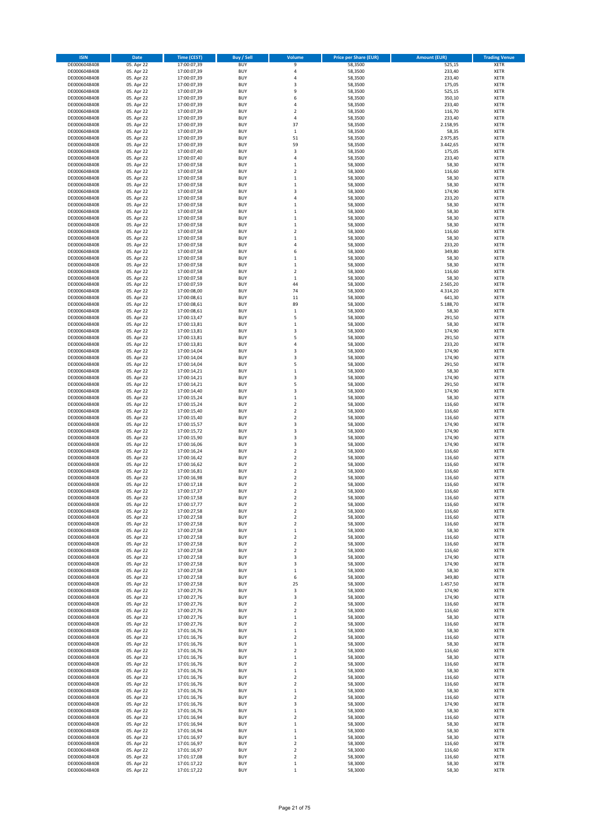| <b>ISIN</b>                  | Date                     | <b>Time (CEST)</b>         | <b>Buy / Sell</b>        | Volume                                      | <b>Price per Share (EUR)</b> | <b>Amount (EUR)</b> | <b>Trading Venue</b>       |
|------------------------------|--------------------------|----------------------------|--------------------------|---------------------------------------------|------------------------------|---------------------|----------------------------|
| DE0006048408                 | 05. Apr 22               | 17:00:07,39                | <b>BUY</b>               | 9                                           | 58,3500                      | 525,15              | <b>XETR</b>                |
| DE0006048408                 | 05. Apr 22               | 17:00:07,39                | <b>BUY</b>               | 4                                           | 58,3500                      | 233,40              | XETR                       |
| DE0006048408                 | 05. Apr 22               | 17:00:07,39                | <b>BUY</b>               | $\sqrt{4}$                                  | 58,3500                      | 233,40              | XETR                       |
| DE0006048408                 | 05. Apr 22               | 17:00:07,39                | <b>BUY</b>               | 3                                           | 58,3500                      | 175,05              | <b>XETR</b>                |
| DE0006048408                 | 05. Apr 22               | 17:00:07,39                | <b>BUY</b>               | 9                                           | 58,3500                      | 525,15              | XETR                       |
| DE0006048408                 | 05. Apr 22               | 17:00:07,39                | <b>BUY</b>               | 6                                           | 58,3500                      | 350,10              | <b>XETR</b>                |
| DE0006048408                 | 05. Apr 22               | 17:00:07,39                | <b>BUY</b>               | 4                                           | 58,3500                      | 233,40              | <b>XETR</b>                |
| DE0006048408                 | 05. Apr 22               | 17:00:07,39                | <b>BUY</b>               | $\overline{2}$                              | 58,3500                      | 116,70              | <b>XETR</b>                |
| DE0006048408                 | 05. Apr 22               | 17:00:07,39                | <b>BUY</b>               | 4                                           | 58,3500                      | 233,40              | XETR                       |
| DE0006048408                 | 05. Apr 22               | 17:00:07,39                | <b>BUY</b>               | 37                                          | 58,3500                      | 2.158,95            | <b>XETR</b>                |
| DE0006048408                 | 05. Apr 22               | 17:00:07,39                | <b>BUY</b>               | $\,1\,$                                     | 58,3500                      | 58,35               | XETR                       |
| DE0006048408                 | 05. Apr 22               | 17:00:07,39                | <b>BUY</b>               | 51                                          | 58,3500                      | 2.975,85            | <b>XETR</b>                |
| DE0006048408                 | 05. Apr 22               | 17:00:07,39                | <b>BUY</b>               | 59                                          | 58,3500                      | 3.442,65            | XETR                       |
| DE0006048408                 | 05. Apr 22               | 17:00:07,40                | <b>BUY</b>               | 3                                           | 58,3500                      | 175,05              | <b>XETR</b>                |
| DE0006048408                 | 05. Apr 22               | 17:00:07,40                | <b>BUY</b>               | $\sqrt{4}$                                  | 58,3500                      | 233,40              | XETR                       |
| DE0006048408                 | 05. Apr 22               | 17:00:07,58                | <b>BUY</b>               | $\,1\,$                                     | 58,3000                      | 58,30               | <b>XETR</b>                |
| DE0006048408                 | 05. Apr 22               | 17:00:07,58                | <b>BUY</b>               | $\boldsymbol{2}$                            | 58,3000                      | 116,60              | <b>XETR</b>                |
| DE0006048408                 | 05. Apr 22               | 17:00:07,58                | <b>BUY</b>               | $\mathbf 1$                                 | 58,3000                      | 58,30               | <b>XETR</b>                |
| DE0006048408                 | 05. Apr 22               | 17:00:07,58                | <b>BUY</b>               | $\,1\,$                                     | 58,3000                      | 58,30               | <b>XETR</b>                |
| DE0006048408                 | 05. Apr 22               | 17:00:07,58                | <b>BUY</b>               | 3                                           | 58,3000                      | 174,90              | <b>XETR</b>                |
| DE0006048408                 | 05. Apr 22               | 17:00:07,58                | <b>BUY</b>               | $\sqrt{4}$                                  | 58,3000                      | 233,20              | <b>XETR</b>                |
| DE0006048408                 | 05. Apr 22               | 17:00:07,58                | <b>BUY</b>               | $\mathbf{1}$                                | 58,3000                      | 58,30               | <b>XETR</b>                |
| DE0006048408                 | 05. Apr 22               | 17:00:07,58                | <b>BUY</b>               | $\,1\,$                                     | 58,3000                      | 58,30               | <b>XETR</b>                |
| DE0006048408                 | 05. Apr 22               | 17:00:07,58                | <b>BUY</b>               | $\mathbf 1$                                 | 58,3000                      | 58,30               | <b>XETR</b>                |
| DE0006048408                 | 05. Apr 22               | 17:00:07,58                | <b>BUY</b>               | $\mathbf 1$                                 | 58,3000                      | 58,30               | <b>XETR</b>                |
| DE0006048408                 | 05. Apr 22               | 17:00:07,58                | <b>BUY</b>               | $\overline{2}$                              | 58,3000                      | 116,60              | <b>XETR</b>                |
| DE0006048408                 | 05. Apr 22               | 17:00:07,58                | <b>BUY</b>               | $\,1\,$                                     | 58,3000                      | 58,30               | <b>XETR</b>                |
| DE0006048408<br>DE0006048408 | 05. Apr 22<br>05. Apr 22 | 17:00:07,58<br>17:00:07,58 | <b>BUY</b><br><b>BUY</b> | 4<br>6                                      | 58,3000<br>58,3000           | 233,20<br>349,80    | <b>XETR</b><br><b>XETR</b> |
| DE0006048408                 | 05. Apr 22               | 17:00:07,58                | <b>BUY</b>               | $\,1\,$                                     | 58,3000                      | 58,30               | XETR                       |
| DE0006048408                 | 05. Apr 22               | 17:00:07,58                | <b>BUY</b>               | $\mathbf 1$                                 | 58,3000                      | 58,30               | <b>XETR</b>                |
| DE0006048408                 | 05. Apr 22               | 17:00:07,58                | <b>BUY</b>               | $\boldsymbol{2}$                            | 58,3000                      | 116,60              | <b>XETR</b>                |
| DE0006048408                 | 05. Apr 22               | 17:00:07,58                | <b>BUY</b>               | $\mathbf 1$                                 | 58,3000                      | 58,30               | <b>XETR</b>                |
| DE0006048408                 | 05. Apr 22               | 17:00:07,59                | <b>BUY</b>               | 44                                          | 58,3000                      | 2.565,20            | XETR                       |
| DE0006048408                 | 05. Apr 22               | 17:00:08,00                | <b>BUY</b>               | 74                                          | 58,3000                      | 4.314,20            | <b>XETR</b>                |
| DE0006048408                 | 05. Apr 22               | 17:00:08,61                | <b>BUY</b>               | $11\,$                                      | 58,3000                      | 641,30              | XETR                       |
| DE0006048408                 | 05. Apr 22               | 17:00:08,61                | <b>BUY</b>               | 89                                          | 58,3000                      | 5.188,70            | <b>XETR</b>                |
| DE0006048408                 | 05. Apr 22               | 17:00:08,61                | <b>BUY</b>               | $\,$ 1                                      | 58,3000                      | 58,30               | XETR                       |
| DE0006048408                 | 05. Apr 22               | 17:00:13,47                | <b>BUY</b>               | 5                                           | 58,3000                      | 291,50              | <b>XETR</b>                |
| DE0006048408                 | 05. Apr 22               | 17:00:13,81                | <b>BUY</b>               | $\mathbf{1}$                                | 58,3000                      | 58,30               | <b>XETR</b>                |
| DE0006048408                 | 05. Apr 22               | 17:00:13.81                | <b>BUY</b>               | 3                                           | 58.3000                      | 174,90              | <b>XETR</b>                |
| DE0006048408                 | 05. Apr 22               | 17:00:13,81                | <b>BUY</b>               | 5                                           | 58,3000                      | 291,50              | <b>XETR</b>                |
| DE0006048408                 | 05. Apr 22               | 17:00:13,81                | <b>BUY</b>               | 4                                           | 58,3000                      | 233,20              | <b>XETR</b>                |
| DE0006048408                 | 05. Apr 22               | 17:00:14,04                | <b>BUY</b>               | 3                                           | 58,3000                      | 174,90              | <b>XETR</b>                |
| DE0006048408                 | 05. Apr 22               | 17:00:14,04                | <b>BUY</b>               | 3                                           | 58,3000                      | 174,90              | <b>XETR</b>                |
| DE0006048408                 | 05. Apr 22               | 17:00:14,04                | <b>BUY</b>               | 5                                           | 58,3000                      | 291,50              | <b>XETR</b>                |
| DE0006048408                 | 05. Apr 22               | 17:00:14,21                | <b>BUY</b>               | $\,$ 1                                      | 58,3000                      | 58,30               | <b>XETR</b>                |
| DE0006048408                 | 05. Apr 22               | 17:00:14,21                | <b>BUY</b>               | 3                                           | 58,3000                      | 174,90              | <b>XETR</b>                |
| DE0006048408                 | 05. Apr 22               | 17:00:14,21                | <b>BUY</b>               | 5                                           | 58,3000                      | 291,50              | <b>XETR</b>                |
| DE0006048408                 | 05. Apr 22               | 17:00:14,40                | <b>BUY</b>               | 3                                           | 58,3000                      | 174,90              | XETR                       |
| DE0006048408                 | 05. Apr 22               | 17:00:15,24                | <b>BUY</b>               | $\mathbf{1}$                                | 58,3000                      | 58,30               | <b>XETR</b>                |
| DE0006048408                 | 05. Apr 22               | 17:00:15,24                | <b>BUY</b>               | $\overline{2}$                              | 58,3000                      | 116,60              | <b>XETR</b>                |
| DE0006048408                 | 05. Apr 22               | 17:00:15,40                | <b>BUY</b>               | $\mathbf 2$                                 | 58,3000                      | 116,60              | <b>XETR</b>                |
| DE0006048408                 | 05. Apr 22               | 17:00:15,40                | <b>BUY</b>               | $\boldsymbol{2}$                            | 58,3000                      | 116,60              | <b>XETR</b>                |
| DE0006048408                 | 05. Apr 22               | 17:00:15,57                | <b>BUY</b>               | 3                                           | 58,3000                      | 174,90              | <b>XETR</b>                |
| DE0006048408                 | 05. Apr 22               | 17:00:15,72                | <b>BUY</b>               | 3                                           | 58,3000                      | 174,90              | <b>XETR</b>                |
| DE0006048408                 | 05. Apr 22               | 17:00:15,90                | <b>BUY</b>               | 3                                           | 58,3000                      | 174,90              | <b>XETR</b>                |
| DE0006048408                 | 05. Apr 22               | 17:00:16,06                | <b>BUY</b>               | 3                                           | 58,3000                      | 174,90              | <b>XETR</b>                |
| DE0006048408                 | 05. Apr 22               | 17:00:16,24                | <b>BUY</b>               | $\boldsymbol{2}$                            | 58,3000                      | 116,60              | <b>XETR</b>                |
| DE0006048408                 | 05. Apr 22               | 17:00:16,42                | <b>BUY</b>               | $\overline{2}$                              | 58,3000                      | 116,60              | <b>XETR</b>                |
| DE0006048408                 | 05. Apr 22               | 17:00:16,62                | <b>BUY</b>               | $\boldsymbol{2}$                            | 58,3000                      | 116,60              | XETR                       |
| DE0006048408                 | 05. Apr 22               | 17:00:16,81                | <b>BUY</b>               | $\overline{2}$                              | 58,3000                      | 116,60              | <b>XETR</b>                |
| DE0006048408                 | 05. Apr 22               | 17:00:16,98                | <b>BUY</b>               | $\overline{\mathbf{2}}$                     | 58,3000                      | 116,60              | <b>XETR</b>                |
| DE0006048408<br>DE0006048408 | 05. Apr 22               | 17:00:17,18                | <b>BUY</b>               | $\overline{2}$                              | 58,3000                      | 116,60              | <b>XETR</b>                |
|                              | 05. Apr 22               | 17:00:17,37                | <b>BUY</b>               | $\overline{2}$                              | 58,3000                      | 116,60              | <b>XETR</b>                |
| DE0006048408<br>DE0006048408 | 05. Apr 22               | 17:00:17,58                | <b>BUY</b>               | $\overline{\mathbf{2}}$                     | 58,3000                      | 116,60              | <b>XETR</b>                |
| DE0006048408                 | 05. Apr 22<br>05. Apr 22 | 17:00:17,77<br>17:00:27,58 | <b>BUY</b><br><b>BUY</b> | $\overline{\mathbf{2}}$<br>$\boldsymbol{2}$ | 58,3000<br>58,3000           | 116,60<br>116,60    | <b>XETR</b><br>XETR        |
| DE0006048408                 | 05. Apr 22               | 17:00:27,58                | <b>BUY</b>               | $\boldsymbol{2}$                            | 58,3000                      | 116,60              | <b>XETR</b>                |
| DE0006048408                 | 05. Apr 22               | 17:00:27,58                | <b>BUY</b>               | $\mathbf 2$                                 | 58,3000                      | 116,60              | <b>XETR</b>                |
| DE0006048408                 | 05. Apr 22               | 17:00:27,58                | <b>BUY</b>               | $\,$ 1                                      | 58,3000                      | 58,30               | <b>XETR</b>                |
| DE0006048408                 | 05. Apr 22               | 17:00:27,58                | <b>BUY</b>               | $\boldsymbol{2}$                            | 58,3000                      | 116,60              | <b>XETR</b>                |
| DE0006048408                 | 05. Apr 22               | 17:00:27,58                | <b>BUY</b>               | $\boldsymbol{2}$                            | 58,3000                      | 116,60              | <b>XETR</b>                |
| DE0006048408                 | 05. Apr 22               | 17:00:27,58                | <b>BUY</b>               | $\mathbf 2$                                 | 58,3000                      | 116,60              | <b>XETR</b>                |
| DE0006048408                 | 05. Apr 22               | 17:00:27,58                | <b>BUY</b>               | 3                                           | 58,3000                      | 174,90              | <b>XETR</b>                |
| DE0006048408                 | 05. Apr 22               | 17:00:27,58                | <b>BUY</b>               | 3                                           | 58,3000                      | 174,90              | <b>XETR</b>                |
| DE0006048408                 | 05. Apr 22               | 17:00:27,58                | <b>BUY</b>               | $\,1\,$                                     | 58,3000                      | 58,30               | <b>XETR</b>                |
| DE0006048408                 | 05. Apr 22               | 17:00:27,58                | <b>BUY</b>               | 6                                           | 58,3000                      | 349,80              | <b>XETR</b>                |
| DE0006048408                 | 05. Apr 22               | 17:00:27,58                | <b>BUY</b>               | 25                                          | 58,3000                      | 1.457,50            | <b>XETR</b>                |
| DE0006048408                 | 05. Apr 22               | 17:00:27,76                | <b>BUY</b>               | 3                                           | 58,3000                      | 174,90              | <b>XETR</b>                |
| DE0006048408                 | 05. Apr 22               | 17:00:27,76                | <b>BUY</b>               | 3                                           | 58,3000                      | 174,90              | <b>XETR</b>                |
| DE0006048408                 | 05. Apr 22               | 17:00:27,76                | <b>BUY</b>               | $\overline{\mathbf{2}}$                     | 58,3000                      | 116,60              | <b>XETR</b>                |
| DE0006048408                 | 05. Apr 22               | 17:00:27,76                | <b>BUY</b>               | $\overline{\mathbf{2}}$                     | 58,3000                      | 116,60              | <b>XETR</b>                |
| DE0006048408                 | 05. Apr 22               | 17:00:27,76                | <b>BUY</b>               | $\mathbf{1}$                                | 58,3000                      | 58,30               | <b>XETR</b>                |
| DE0006048408                 | 05. Apr 22               | 17:00:27,76                | <b>BUY</b>               | $\overline{2}$                              | 58,3000                      | 116,60              | <b>XETR</b>                |
| DE0006048408                 | 05. Apr 22               | 17:01:16,76                | <b>BUY</b>               | $\,1\,$                                     | 58,3000                      | 58,30               | <b>XETR</b>                |
| DE0006048408                 | 05. Apr 22               | 17:01:16,76                | <b>BUY</b>               | $\mathbf 2$                                 | 58,3000                      | 116,60              | <b>XETR</b>                |
| DE0006048408                 | 05. Apr 22<br>05. Apr 22 | 17:01:16,76                | <b>BUY</b><br><b>BUY</b> | $\,1\,$<br>$\overline{2}$                   | 58,3000<br>58,3000           | 58,30<br>116,60     | XETR<br><b>XETR</b>        |
| DE0006048408<br>DE0006048408 | 05. Apr 22               | 17:01:16,76<br>17:01:16,76 | <b>BUY</b>               | $\,1\,$                                     | 58,3000                      | 58,30               | <b>XETR</b>                |
| DE0006048408                 | 05. Apr 22               | 17:01:16,76                | <b>BUY</b>               | $\overline{2}$                              | 58,3000                      | 116,60              | <b>XETR</b>                |
| DE0006048408                 | 05. Apr 22               | 17:01:16,76                | <b>BUY</b>               | $\mathbf{1}$                                | 58,3000                      | 58,30               | XETR                       |
| DE0006048408                 | 05. Apr 22               | 17:01:16,76                | <b>BUY</b>               | $\overline{2}$                              | 58,3000                      | 116,60              | <b>XETR</b>                |
| DE0006048408                 | 05. Apr 22               | 17:01:16,76                | <b>BUY</b>               | $\boldsymbol{2}$                            | 58,3000                      | 116,60              | <b>XETR</b>                |
| DE0006048408                 | 05. Apr 22               | 17:01:16,76                | <b>BUY</b>               | $\mathbf 1$                                 | 58,3000                      | 58,30               | <b>XETR</b>                |
| DE0006048408                 | 05. Apr 22               | 17:01:16,76                | <b>BUY</b>               | $\overline{\mathbf{2}}$                     | 58,3000                      | 116,60              | XETR                       |
| DE0006048408                 | 05. Apr 22               | 17:01:16,76                | <b>BUY</b>               | 3                                           | 58,3000                      | 174,90              | <b>XETR</b>                |
| DE0006048408                 | 05. Apr 22               | 17:01:16,76                | <b>BUY</b>               | $\,1\,$                                     | 58,3000                      | 58,30               | XETR                       |
| DE0006048408                 | 05. Apr 22               | 17:01:16,94                | <b>BUY</b>               | $\overline{\mathbf{2}}$                     | 58,3000                      | 116,60              | <b>XETR</b>                |
| DE0006048408                 | 05. Apr 22               | 17:01:16,94                | <b>BUY</b>               | $\mathbf{1}$                                | 58,3000                      | 58,30               | <b>XETR</b>                |
| DE0006048408                 | 05. Apr 22               | 17:01:16,94                | <b>BUY</b>               | $\,1\,$                                     | 58,3000                      | 58,30               | <b>XETR</b>                |
| DE0006048408                 | 05. Apr 22               | 17:01:16,97                | <b>BUY</b>               | $\,1\,$                                     | 58,3000                      | 58,30               | XETR                       |
| DE0006048408                 | 05. Apr 22               | 17:01:16,97                | <b>BUY</b>               | $\mathbf 2$                                 | 58,3000                      | 116,60              | <b>XETR</b>                |
| DE0006048408                 | 05. Apr 22               | 17:01:16,97                | <b>BUY</b>               | $\boldsymbol{2}$                            | 58,3000                      | 116,60              | XETR                       |
| DE0006048408                 | 05. Apr 22               | 17:01:17,08                | <b>BUY</b>               | $\mathbf 2$                                 | 58,3000                      | 116,60              | <b>XETR</b>                |
| DE0006048408                 | 05. Apr 22               | 17:01:17,22                | <b>BUY</b>               | $\mathbf 1$                                 | 58,3000                      | 58,30               | XETR                       |
| DE0006048408                 | 05. Apr 22               | 17:01:17,22                | <b>BUY</b>               | $\,1\,$                                     | 58,3000                      | 58,30               | <b>XETR</b>                |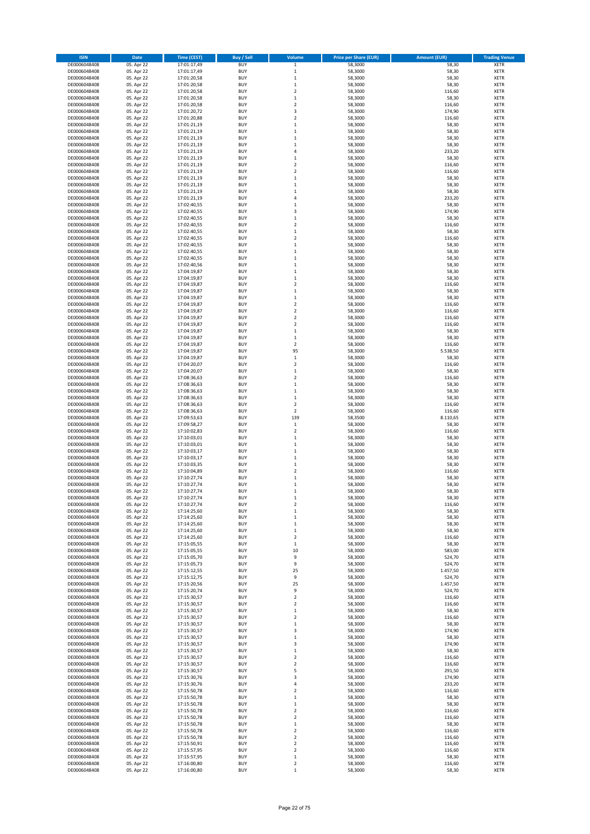| <b>ISIN</b>                  | <b>Date</b>              | <b>Time (CEST)</b>         | <b>Buy / Sell</b>        | Volume                       | <b>Price per Share (EUR)</b> | <b>Amount (EUR)</b> | <b>Trading Venue</b>       |
|------------------------------|--------------------------|----------------------------|--------------------------|------------------------------|------------------------------|---------------------|----------------------------|
| DE0006048408                 | 05. Apr 22               | 17:01:17,49                | <b>BUY</b>               | $\,$ 1                       | 58,3000                      | 58,30               | <b>XETR</b>                |
| DE0006048408                 | 05. Apr 22               | 17:01:17,49                | <b>BUY</b>               | $\mathbf 1$                  | 58,3000                      | 58,30               | <b>XETR</b>                |
| DE0006048408                 | 05. Apr 22               | 17:01:20,58                | <b>BUY</b>               | $\,$ 1                       | 58,3000                      | 58,30               | <b>XETR</b>                |
| DE0006048408                 | 05. Apr 22               | 17:01:20,58                | <b>BUY</b>               | $\,1\,$                      | 58,3000                      | 58,30               | <b>XETR</b>                |
| DE0006048408                 | 05. Apr 22               | 17:01:20,58                | <b>BUY</b>               | $\boldsymbol{2}$             | 58,3000                      | 116,60              | <b>XETR</b>                |
| DE0006048408                 | 05. Apr 22               | 17:01:20,58                | <b>BUY</b>               | $\,1\,$                      | 58,3000                      | 58,30               | <b>XETR</b>                |
| DE0006048408                 | 05. Apr 22               | 17:01:20,58                | <b>BUY</b>               | $\overline{2}$               | 58,3000                      | 116,60              | <b>XETR</b>                |
| DE0006048408                 | 05. Apr 22               | 17:01:20,72                | <b>BUY</b>               | 3                            | 58,3000                      | 174,90              | <b>XETR</b>                |
| DE0006048408                 | 05. Apr 22               | 17:01:20,88                | <b>BUY</b>               | $\overline{2}$               | 58,3000                      | 116,60              | <b>XETR</b>                |
| DE0006048408                 | 05. Apr 22               | 17:01:21,19                | <b>BUY</b>               | $\mathbf 1$                  | 58,3000                      | 58,30               | <b>XETR</b>                |
| DE0006048408                 | 05. Apr 22               | 17:01:21,19                | <b>BUY</b>               | $\,1\,$                      | 58,3000                      | 58,30               | <b>XETR</b>                |
| DE0006048408                 | 05. Apr 22               | 17:01:21,19                | <b>BUY</b>               | $\,1\,$                      | 58,3000                      | 58,30               | <b>XETR</b>                |
| DE0006048408                 | 05. Apr 22               | 17:01:21,19                | <b>BUY</b>               | $\,1\,$                      | 58,3000                      | 58,30               | <b>XETR</b>                |
| DE0006048408                 | 05. Apr 22               | 17:01:21,19<br>17:01:21,19 | <b>BUY</b>               | $\sqrt{4}$                   | 58,3000                      | 233,20              | <b>XETR</b>                |
| DE0006048408<br>DE0006048408 | 05. Apr 22<br>05. Apr 22 | 17:01:21,19                | <b>BUY</b><br><b>BUY</b> | $\,$ 1<br>$\overline{2}$     | 58,3000<br>58,3000           | 58,30<br>116,60     | <b>XETR</b><br><b>XETR</b> |
| DE0006048408                 | 05. Apr 22               | 17:01:21,19                | <b>BUY</b>               | $\overline{2}$               | 58,3000                      | 116,60              | <b>XETR</b>                |
| DE0006048408                 | 05. Apr 22               | 17:01:21,19                | <b>BUY</b>               | $\mathbf{1}$                 | 58,3000                      | 58,30               | <b>XETR</b>                |
| DE0006048408                 | 05. Apr 22               | 17:01:21,19                | <b>BUY</b>               | $\,1\,$                      | 58,3000                      | 58,30               | <b>XETR</b>                |
| DE0006048408                 | 05. Apr 22               | 17:01:21,19                | <b>BUY</b>               | $\,1\,$                      | 58,3000                      | 58,30               | <b>XETR</b>                |
| DE0006048408                 | 05. Apr 22               | 17:01:21,19                | <b>BUY</b>               | 4                            | 58,3000                      | 233,20              | <b>XETR</b>                |
| DE0006048408                 | 05. Apr 22               | 17:02:40,55                | <b>BUY</b>               | $\mathbf 1$                  | 58,3000                      | 58,30               | <b>XETR</b>                |
| DE0006048408                 | 05. Apr 22               | 17:02:40,55                | <b>BUY</b>               | 3                            | 58,3000                      | 174,90              | <b>XETR</b>                |
| DE0006048408                 | 05. Apr 22               | 17:02:40,55                | <b>BUY</b>               | $\mathbf{1}$                 | 58,3000                      | 58,30               | <b>XETR</b>                |
| DE0006048408                 | 05. Apr 22               | 17:02:40,55                | <b>BUY</b>               | $\overline{2}$               | 58,3000                      | 116,60              | <b>XETR</b>                |
| DE0006048408                 | 05. Apr 22               | 17:02:40,55                | <b>BUY</b>               | $\mathbf{1}$                 | 58,3000                      | 58,30               | <b>XETR</b>                |
| DE0006048408                 | 05. Apr 22               | 17:02:40,55                | <b>BUY</b>               | $\overline{2}$               | 58,3000                      | 116,60              | <b>XETR</b>                |
| DE0006048408                 | 05. Apr 22               | 17:02:40,55                | <b>BUY</b>               | $\,1\,$                      | 58,3000                      | 58,30               | <b>XETR</b>                |
| DE0006048408                 | 05. Apr 22               | 17:02:40,55                | <b>BUY</b>               | $\mathbf 1$                  | 58,3000                      | 58,30               | <b>XETR</b>                |
| DE0006048408                 | 05. Apr 22               | 17:02:40,55                | <b>BUY</b>               | $\,1\,$                      | 58,3000                      | 58,30               | <b>XETR</b>                |
| DE0006048408                 | 05. Apr 22               | 17:02:40,56                | <b>BUY</b>               | $\,1\,$                      | 58,3000                      | 58,30               | <b>XETR</b>                |
| DE0006048408                 | 05. Apr 22               | 17:04:19,87                | <b>BUY</b>               | $\,1\,$                      | 58,3000                      | 58,30               | <b>XETR</b>                |
| DE0006048408                 | 05. Apr 22               | 17:04:19,87                | <b>BUY</b>               | $\,1\,$                      | 58,3000                      | 58,30               | <b>XETR</b>                |
| DE0006048408                 | 05. Apr 22               | 17:04:19,87                | <b>BUY</b>               | $\overline{2}$               | 58,3000                      | 116,60              | <b>XETR</b>                |
| DE0006048408                 | 05. Apr 22               | 17:04:19,87                | <b>BUY</b>               | $\mathbf 1$                  | 58,3000                      | 58,30               | <b>XETR</b>                |
| DE0006048408                 | 05. Apr 22               | 17:04:19,87                | <b>BUY</b><br><b>BUY</b> | $\,$ 1<br>$\overline{2}$     | 58,3000                      | 58,30               | <b>XETR</b>                |
| DE0006048408<br>DE0006048408 | 05. Apr 22<br>05. Apr 22 | 17:04:19,87<br>17:04:19,87 | <b>BUY</b>               | $\boldsymbol{2}$             | 58,3000<br>58,3000           | 116,60<br>116,60    | <b>XETR</b><br><b>XETR</b> |
| DE0006048408                 | 05. Apr 22               | 17:04:19,87                | <b>BUY</b>               | $\overline{2}$               | 58,3000                      | 116,60              | <b>XETR</b>                |
| DE0006048408                 | 05. Apr 22               | 17:04:19,87                | <b>BUY</b>               | $\boldsymbol{2}$             | 58,3000                      | 116,60              | <b>XETR</b>                |
| DE0006048408                 | 05. Apr 22               | 17:04:19,87                | <b>BUY</b>               | $\mathbf 1$                  | 58,3000                      | 58,30               | <b>XETR</b>                |
| DE0006048408                 | 05. Apr 22               | 17:04:19,87                | <b>BUY</b>               | $\mathbf 1$                  | 58,3000                      | 58,30               | <b>XETR</b>                |
| DE0006048408                 | 05. Apr 22               | 17:04:19,87                | <b>BUY</b>               | $\overline{\mathbf{2}}$      | 58,3000                      | 116,60              | <b>XETR</b>                |
| DE0006048408                 | 05. Apr 22               | 17:04:19,87                | <b>BUY</b>               | 95                           | 58,3000                      | 5.538,50            | <b>XETR</b>                |
| DE0006048408                 | 05. Apr 22               | 17:04:19,87                | <b>BUY</b>               | $\,1\,$                      | 58,3000                      | 58,30               | <b>XETR</b>                |
| DE0006048408                 | 05. Apr 22               | 17:04:20,07                | <b>BUY</b>               | $\boldsymbol{2}$             | 58,3000                      | 116,60              | <b>XETR</b>                |
| DE0006048408                 | 05. Apr 22               | 17:04:20,07                | <b>BUY</b>               | $\,1\,$                      | 58,3000                      | 58,30               | <b>XETR</b>                |
| DE0006048408                 | 05. Apr 22               | 17:08:36,63                | <b>BUY</b>               | $\overline{2}$               | 58,3000                      | 116,60              | <b>XETR</b>                |
| DE0006048408                 | 05. Apr 22               | 17:08:36,63                | <b>BUY</b>               | $\mathbf 1$                  | 58,3000                      | 58,30               | <b>XETR</b>                |
| DE0006048408                 | 05. Apr 22               | 17:08:36,63                | <b>BUY</b>               | $\mathbf 1$                  | 58,3000                      | 58,30               | <b>XETR</b>                |
| DE0006048408                 | 05. Apr 22               | 17:08:36,63                | <b>BUY</b>               | $\mathbf 1$                  | 58,3000                      | 58,30               | <b>XETR</b>                |
| DE0006048408                 | 05. Apr 22               | 17:08:36,63                | <b>BUY</b>               | $\overline{2}$               | 58,3000                      | 116,60              | <b>XETR</b>                |
| DE0006048408                 | 05. Apr 22               | 17:08:36,63                | <b>BUY</b>               | $\overline{2}$               | 58,3000                      | 116,60              | <b>XETR</b>                |
| DE0006048408                 | 05. Apr 22               | 17:09:53,63                | <b>BUY</b>               | 139                          | 58,3500                      | 8.110,65            | <b>XETR</b>                |
| DE0006048408                 | 05. Apr 22               | 17:09:58,27                | <b>BUY</b>               | $\,1\,$                      | 58,3000                      | 58,30               | <b>XETR</b>                |
| DE0006048408<br>DE0006048408 | 05. Apr 22               | 17:10:02,83                | <b>BUY</b>               | $\overline{2}$               | 58,3000                      | 116,60              | <b>XETR</b>                |
| DE0006048408                 | 05. Apr 22<br>05. Apr 22 | 17:10:03,01<br>17:10:03,01 | <b>BUY</b><br><b>BUY</b> | $\mathbf 1$<br>$\mathbf 1$   | 58,3000<br>58,3000           | 58,30<br>58,30      | <b>XETR</b><br><b>XETR</b> |
| DE0006048408                 | 05. Apr 22               | 17:10:03,17                | <b>BUY</b>               | $\,1\,$                      | 58,3000                      | 58,30               | <b>XETR</b>                |
| DE0006048408                 | 05. Apr 22               | 17:10:03,17                | <b>BUY</b>               | $\mathbf 1$                  | 58,3000                      | 58,30               | <b>XETR</b>                |
| DE0006048408                 | 05. Apr 22               | 17:10:03,35                | <b>BUY</b>               | $\,$ 1                       | 58,3000                      | 58,30               | <b>XETR</b>                |
| DE0006048408                 | 05. Apr 22               | 17:10:04,89                | <b>BUY</b>               | $\overline{2}$               | 58,3000                      | 116,60              | <b>XETR</b>                |
| DE0006048408                 | 05. Apr 22               | 17:10:27,74                | <b>BUY</b>               | 1                            | 58,3000                      | 58,30               | <b>XETR</b>                |
| DE0006048408                 | 05. Apr 22               | 17:10:27,74                | <b>BUY</b>               | $\mathbf 1$                  | 58,3000                      | 58,30               | <b>XETR</b>                |
| DE0006048408                 | 05. Apr 22               | 17:10:27,74                | <b>BUY</b>               | $\mathbf 1$                  | 58,3000                      | 58,30               | <b>XETR</b>                |
| DE0006048408                 | 05. Apr 22               | 17:10:27,74                | <b>BUY</b>               | 1                            | 58,3000                      | 58,30               | XETR                       |
| DE0006048408                 | 05. Apr 22               | 17:10:27,74                | <b>BUY</b>               | $\overline{\mathbf{2}}$      | 58,3000                      | 116,60              | <b>XETR</b>                |
| DE0006048408                 | 05. Apr 22               | 17:14:25,60                | <b>BUY</b>               | $\mathbf 1$                  | 58,3000                      | 58,30               | <b>XETR</b>                |
| DE0006048408                 | 05. Apr 22               | 17:14:25,60                | <b>BUY</b>               | $\mathbf{1}$                 | 58,3000                      | 58,30               | <b>XETR</b>                |
| DE0006048408                 | 05. Apr 22               | 17:14:25,60                | <b>BUY</b>               | $\mathbf 1$                  | 58,3000                      | 58,30               | <b>XETR</b>                |
| DE0006048408                 | 05. Apr 22               | 17:14:25,60                | <b>BUY</b>               | $\,$ 1                       | 58,3000                      | 58,30               | <b>XETR</b>                |
| DE0006048408                 | 05. Apr 22               | 17:14:25,60                | <b>BUY</b>               | $\overline{\mathbf{2}}$      | 58,3000                      | 116,60              | <b>XETR</b>                |
| DE0006048408                 | 05. Apr 22<br>05. Apr 22 | 17:15:05,55                | <b>BUY</b>               | $\,$ 1                       | 58,3000<br>58,3000           | 58,30               | <b>XETR</b>                |
| DE0006048408<br>DE0006048408 | 05. Apr 22               | 17:15:05,55<br>17:15:05,70 | <b>BUY</b><br><b>BUY</b> | 10<br>9                      | 58,3000                      | 583,00<br>524,70    | <b>XETR</b><br><b>XETR</b> |
| DE0006048408                 | 05. Apr 22               | 17:15:05,73                | <b>BUY</b>               | 9                            | 58,3000                      | 524,70              | <b>XETR</b>                |
| DE0006048408                 | 05. Apr 22               | 17:15:12,55                | <b>BUY</b>               | 25                           | 58,3000                      | 1.457,50            | <b>XETR</b>                |
| DE0006048408                 | 05. Apr 22               | 17:15:12,75                | <b>BUY</b>               | 9                            | 58,3000                      | 524,70              | <b>XETR</b>                |
| DE0006048408                 | 05. Apr 22               | 17:15:20,56                | <b>BUY</b>               | 25                           | 58,3000                      | 1.457,50            | <b>XETR</b>                |
| DE0006048408                 | 05. Apr 22               | 17:15:20,74                | <b>BUY</b>               | 9                            | 58,3000                      | 524,70              | <b>XETR</b>                |
| DE0006048408                 | 05. Apr 22               | 17:15:30,57                | <b>BUY</b>               | $\overline{2}$               | 58,3000                      | 116,60              | <b>XETR</b>                |
| DE0006048408                 | 05. Apr 22               | 17:15:30,57                | <b>BUY</b>               | $\overline{\mathbf{2}}$      | 58,3000                      | 116,60              | <b>XETR</b>                |
| DE0006048408                 | 05. Apr 22               | 17:15:30,57                | <b>BUY</b>               | $\mathbf 1$                  | 58,3000                      | 58,30               | <b>XETR</b>                |
| DE0006048408                 | 05. Apr 22               | 17:15:30,57                | <b>BUY</b>               | 2                            | 58,3000                      | 116,60              | <b>XETR</b>                |
| DE0006048408                 | 05. Apr 22               | 17:15:30,57                | <b>BUY</b>               | $\mathbf 1$                  | 58,3000                      | 58,30               | <b>XETR</b>                |
| DE0006048408                 | 05. Apr 22               | 17:15:30,57                | <b>BUY</b>               | 3                            | 58,3000                      | 174,90              | <b>XETR</b>                |
| DE0006048408                 | 05. Apr 22               | 17:15:30,57                | <b>BUY</b>               | $\mathbf 1$                  | 58,3000                      | 58,30               | <b>XETR</b>                |
| DE0006048408                 | 05. Apr 22               | 17:15:30,57                | <b>BUY</b>               | 3                            | 58,3000                      | 174,90              | <b>XETR</b>                |
| DE0006048408                 | 05. Apr 22               | 17:15:30,57                | <b>BUY</b>               | $\,1\,$                      | 58,3000                      | 58,30               | <b>XETR</b>                |
| DE0006048408                 | 05. Apr 22               | 17:15:30,57                | <b>BUY</b>               | $\overline{\mathbf{2}}$      | 58,3000                      | 116,60              | <b>XETR</b>                |
| DE0006048408                 | 05. Apr 22               | 17:15:30,57                | <b>BUY</b>               | $\overline{\mathbf{2}}$<br>5 | 58,3000                      | 116,60              | <b>XETR</b>                |
| DE0006048408<br>DE0006048408 | 05. Apr 22<br>05. Apr 22 | 17:15:30,57<br>17:15:30,76 | <b>BUY</b><br><b>BUY</b> | 3                            | 58,3000<br>58,3000           | 291,50<br>174,90    | <b>XETR</b><br><b>XETR</b> |
| DE0006048408                 | 05. Apr 22               | 17:15:30,76                | <b>BUY</b>               | 4                            | 58,3000                      | 233,20              | <b>XETR</b>                |
| DE0006048408                 | 05. Apr 22               | 17:15:50,78                | <b>BUY</b>               | $\overline{2}$               | 58,3000                      | 116,60              | <b>XETR</b>                |
| DE0006048408                 | 05. Apr 22               | 17:15:50,78                | <b>BUY</b>               | $\mathbf{1}$                 | 58,3000                      | 58,30               | <b>XETR</b>                |
| DE0006048408                 | 05. Apr 22               | 17:15:50,78                | <b>BUY</b>               | $\,1\,$                      | 58,3000                      | 58,30               | <b>XETR</b>                |
| DE0006048408                 | 05. Apr 22               | 17:15:50,78                | <b>BUY</b>               | $\boldsymbol{2}$             | 58,3000                      | 116,60              | <b>XETR</b>                |
| DE0006048408                 | 05. Apr 22               | 17:15:50,78                | <b>BUY</b>               | $\overline{2}$               | 58,3000                      | 116,60              | <b>XETR</b>                |
| DE0006048408                 | 05. Apr 22               | 17:15:50,78                | <b>BUY</b>               | $\,1\,$                      | 58,3000                      | 58,30               | <b>XETR</b>                |
| DE0006048408                 | 05. Apr 22               | 17:15:50,78                | <b>BUY</b>               | $\overline{2}$               | 58,3000                      | 116,60              | <b>XETR</b>                |
| DE0006048408                 | 05. Apr 22               | 17:15:50,78                | <b>BUY</b>               | $\overline{2}$               | 58,3000                      | 116,60              | <b>XETR</b>                |
| DE0006048408                 | 05. Apr 22               | 17:15:50,91                | <b>BUY</b>               | $\overline{\mathbf{2}}$      | 58,3000                      | 116,60              | <b>XETR</b>                |
| DE0006048408                 | 05. Apr 22               | 17:15:57,95                | <b>BUY</b>               | $\overline{2}$               | 58,3000                      | 116,60              | <b>XETR</b>                |
| DE0006048408                 | 05. Apr 22               | 17:15:57,95                | <b>BUY</b>               | $\,1\,$                      | 58,3000                      | 58,30               | <b>XETR</b>                |
| DE0006048408                 | 05. Apr 22               | 17:16:00,80                | <b>BUY</b>               | $\mathbf 2$                  | 58,3000                      | 116,60              | <b>XETR</b>                |
| DE0006048408                 | 05. Apr 22               | 17:16:00,80                | <b>BUY</b>               | $\,1\,$                      | 58,3000                      | 58,30               | <b>XETR</b>                |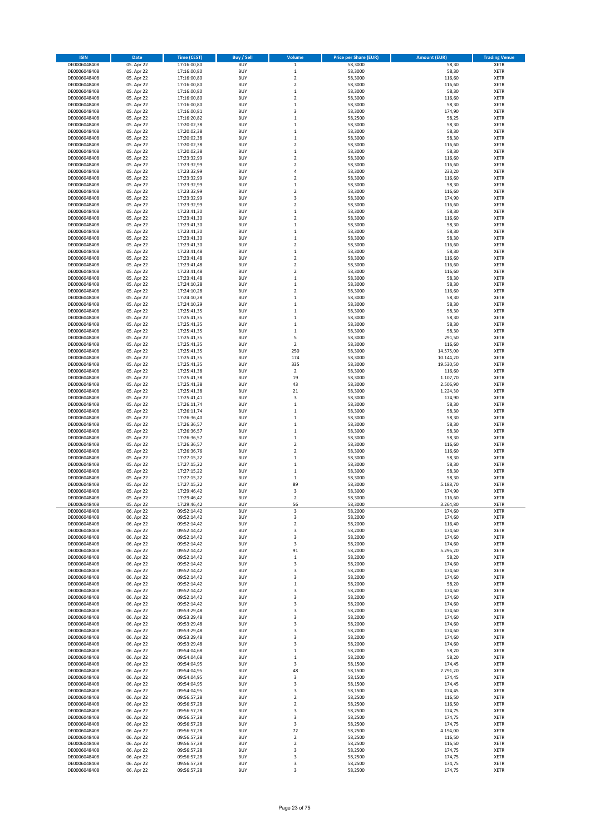| <b>ISIN</b>                  | Date                     | <b>Time (CEST)</b>         | <b>Buy / Sell</b>        | Volume                     | <b>Price per Share (EUR)</b> | <b>Amount (EUR)</b> | <b>Trading Venue</b>       |
|------------------------------|--------------------------|----------------------------|--------------------------|----------------------------|------------------------------|---------------------|----------------------------|
| DE0006048408                 | 05. Apr 22               | 17:16:00,80                | <b>BUY</b>               | $\mathbf 1$                | 58,3000                      | 58,30               | <b>XETR</b>                |
| DE0006048408                 | 05. Apr 22               | 17:16:00,80                | <b>BUY</b>               | $\,1\,$                    | 58,3000                      | 58,30               | <b>XETR</b>                |
| DE0006048408                 | 05. Apr 22               | 17:16:00,80                | <b>BUY</b>               | $\mathbf 2$                | 58,3000                      | 116,60              | <b>XETR</b>                |
| DE0006048408                 | 05. Apr 22               | 17:16:00,80                | <b>BUY</b>               | $\overline{\mathbf{c}}$    | 58,3000                      | 116,60              | <b>XETR</b>                |
| DE0006048408                 | 05. Apr 22               | 17:16:00,80                | <b>BUY</b>               | $\mathbf 1$                | 58,3000                      | 58,30               | <b>XETR</b>                |
| DE0006048408                 | 05. Apr 22               | 17:16:00,80                | <b>BUY</b>               | $\overline{\mathbf{c}}$    | 58,3000                      | 116,60              | <b>XETR</b>                |
| DE0006048408                 | 05. Apr 22               | 17:16:00,80                | <b>BUY</b>               | $\overline{1}$             | 58,3000                      | 58,30               | <b>XETR</b>                |
| DE0006048408                 | 05. Apr 22               | 17:16:00,81                | <b>BUY</b>               | 3                          | 58,3000                      | 174,90              | <b>XETR</b>                |
| DE0006048408                 | 05. Apr 22               | 17:16:20,82                | <b>BUY</b>               | $\mathbf 1$                | 58,2500                      | 58,25               | <b>XETR</b>                |
| DE0006048408                 | 05. Apr 22               | 17:20:02,38                | <b>BUY</b>               | $\mathbf 1$                | 58,3000                      | 58,30               | <b>XETR</b>                |
| DE0006048408                 | 05. Apr 22               | 17:20:02,38                | <b>BUY</b>               | $\mathbf{1}$               | 58,3000                      | 58,30               | <b>XETR</b>                |
| DE0006048408                 | 05. Apr 22               | 17:20:02,38                | <b>BUY</b>               | $\,1\,$                    | 58,3000                      | 58,30               | <b>XETR</b>                |
| DE0006048408                 | 05. Apr 22               | 17:20:02,38                | <b>BUY</b>               | $\mathbf 2$                | 58,3000                      | 116,60              | <b>XETR</b>                |
| DE0006048408                 | 05. Apr 22               | 17:20:02,38                | <b>BUY</b>               | $\mathbf 1$                | 58,3000                      | 58,30               | <b>XETR</b>                |
| DE0006048408                 | 05. Apr 22               | 17:23:32,99                | <b>BUY</b>               | $\overline{\mathbf{c}}$    | 58,3000                      | 116,60              | <b>XETR</b>                |
| DE0006048408                 | 05. Apr 22               | 17:23:32,99                | <b>BUY</b>               | $\overline{\mathbf{c}}$    | 58,3000                      | 116,60              | <b>XETR</b>                |
| DE0006048408                 | 05. Apr 22               | 17:23:32,99                | <b>BUY</b>               | 4                          | 58,3000                      | 233,20              | <b>XETR</b>                |
| DE0006048408                 | 05. Apr 22               | 17:23:32,99                | <b>BUY</b>               | 2                          | 58,3000                      | 116,60              | <b>XETR</b>                |
| DE0006048408                 | 05. Apr 22               | 17:23:32,99                | <b>BUY</b>               | $\mathbf 1$                | 58,3000                      | 58,30               | <b>XETR</b>                |
| DE0006048408                 | 05. Apr 22               | 17:23:32,99                | <b>BUY</b>               | $\overline{\mathbf{c}}$    | 58,3000                      | 116,60              | <b>XETR</b>                |
| DE0006048408                 | 05. Apr 22               | 17:23:32,99                | <b>BUY</b>               | 3                          | 58,3000                      | 174,90              | <b>XETR</b>                |
| DE0006048408                 | 05. Apr 22               | 17:23:32,99                | <b>BUY</b>               | $\overline{\mathbf{c}}$    | 58,3000                      | 116,60              | <b>XETR</b>                |
| DE0006048408                 | 05. Apr 22               | 17:23:41,30                | <b>BUY</b>               | $\mathbf 1$                | 58,3000                      | 58,30               | <b>XETR</b>                |
| DE0006048408                 | 05. Apr 22               | 17:23:41,30                | <b>BUY</b>               | $\overline{\mathbf{c}}$    | 58,3000                      | 116,60              | <b>XETR</b>                |
| DE0006048408                 | 05. Apr 22               | 17:23:41,30                | <b>BUY</b>               | $\mathbf 1$                | 58,3000                      | 58,30               | <b>XETR</b>                |
| DE0006048408                 | 05. Apr 22               | 17:23:41,30                | <b>BUY</b>               | $\mathbf{1}$               | 58,3000                      | 58,30               | <b>XETR</b>                |
| DE0006048408                 | 05. Apr 22               | 17:23:41,30                | <b>BUY</b>               | $\mathbf 1$                | 58,3000                      | 58,30               | <b>XETR</b>                |
| DE0006048408                 | 05. Apr 22               | 17:23:41,30                | <b>BUY</b><br><b>BUY</b> | $\overline{\mathbf{c}}$    | 58,3000                      | 116,60              | <b>XETR</b>                |
| DE0006048408<br>DE0006048408 | 05. Apr 22               | 17:23:41,48<br>17:23:41,48 | <b>BUY</b>               | $\mathbf 1$<br>$\mathbf 2$ | 58,3000<br>58,3000           | 58,30<br>116,60     | <b>XETR</b><br>XETR        |
| DE0006048408                 | 05. Apr 22<br>05. Apr 22 | 17:23:41,48                | <b>BUY</b>               | $\overline{\mathbf{c}}$    | 58,3000                      | 116,60              | <b>XETR</b>                |
| DE0006048408                 | 05. Apr 22               | 17:23:41,48                | <b>BUY</b>               | $\mathbf 2$                | 58,3000                      | 116,60              | XETR                       |
| DE0006048408                 | 05. Apr 22               | 17:23:41,48                | <b>BUY</b>               | $\mathbf 1$                | 58,3000                      | 58,30               | <b>XETR</b>                |
| DE0006048408                 | 05. Apr 22               | 17:24:10,28                | <b>BUY</b>               | $\mathbf 1$                | 58,3000                      | 58,30               | XETR                       |
| DE0006048408                 | 05. Apr 22               | 17:24:10,28                | <b>BUY</b>               | $\overline{\mathbf{c}}$    | 58,3000                      | 116,60              | <b>XETR</b>                |
| DE0006048408                 | 05. Apr 22               | 17:24:10,28                | <b>BUY</b>               | $\mathbf 1$                | 58,3000                      | 58,30               | XETR                       |
| DE0006048408                 | 05. Apr 22               | 17:24:10,29                | <b>BUY</b>               | $\mathbf 1$                | 58,3000                      | 58,30               | <b>XETR</b>                |
| DE0006048408                 | 05. Apr 22               | 17:25:41,35                | <b>BUY</b>               | $\mathbf 1$                | 58,3000                      | 58,30               | <b>XETR</b>                |
| DE0006048408                 | 05. Apr 22               | 17:25:41,35                | <b>BUY</b>               | $\mathbf 1$                | 58,3000                      | 58,30               | <b>XETR</b>                |
| DE0006048408                 | 05. Apr 22               | 17:25:41,35                | <b>BUY</b>               | $\mathbf 1$                | 58,3000                      | 58,30               | <b>XETR</b>                |
| DE0006048408                 | 05. Apr 22               | 17:25:41,35                | <b>BUY</b>               | $\mathbf 1$                | 58,3000                      | 58,30               | <b>XETR</b>                |
| DE0006048408                 | 05. Apr 22               | 17:25:41,35                | <b>BUY</b>               | 5                          | 58,3000                      | 291,50              | <b>XETR</b>                |
| DE0006048408                 | 05. Apr 22               | 17:25:41,35                | <b>BUY</b>               | $\overline{\mathbf{c}}$    | 58,3000                      | 116,60              | <b>XETR</b>                |
| DE0006048408                 | 05. Apr 22               | 17:25:41,35                | <b>BUY</b>               | 250                        | 58,3000                      | 14.575,00           | <b>XETR</b>                |
| DE0006048408                 | 05. Apr 22               | 17:25:41,35                | <b>BUY</b>               | 174                        | 58,3000                      | 10.144,20           | <b>XETR</b>                |
| DE0006048408                 | 05. Apr 22               | 17:25:41,35                | <b>BUY</b>               | 335                        | 58,3000                      | 19.530,50           | <b>XETR</b>                |
| DE0006048408                 | 05. Apr 22               | 17:25:41,38                | <b>BUY</b>               | $\overline{2}$             | 58,3000                      | 116,60              | <b>XETR</b>                |
| DE0006048408                 | 05. Apr 22               | 17:25:41,38                | <b>BUY</b>               | 19                         | 58,3000                      | 1.107,70            | <b>XETR</b>                |
| DE0006048408                 | 05. Apr 22               | 17:25:41,38                | <b>BUY</b>               | 43                         | 58,3000                      | 2.506,90            | <b>XETR</b>                |
| DE0006048408                 | 05. Apr 22               | 17:25:41,38                | <b>BUY</b>               | 21                         | 58,3000                      | 1.224,30            | <b>XETR</b>                |
| DE0006048408                 | 05. Apr 22               | 17:25:41,41                | <b>BUY</b>               | 3                          | 58,3000                      | 174,90              | <b>XETR</b>                |
| DE0006048408                 | 05. Apr 22               | 17:26:11,74                | <b>BUY</b>               | $\mathbf 1$                | 58,3000                      | 58,30               | <b>XETR</b>                |
| DE0006048408                 | 05. Apr 22               | 17:26:11,74                | <b>BUY</b>               | $\mathbf 1$                | 58,3000                      | 58,30               | <b>XETR</b>                |
| DE0006048408                 | 05. Apr 22               | 17:26:36,40                | <b>BUY</b>               | $\mathbf 1$                | 58,3000                      | 58,30               | <b>XETR</b>                |
| DE0006048408                 | 05. Apr 22               | 17:26:36,57                | <b>BUY</b>               | $\mathbf 1$                | 58,3000                      | 58,30               | <b>XETR</b>                |
| DE0006048408                 | 05. Apr 22               | 17:26:36,57                | <b>BUY</b>               | $\mathbf 1$                | 58,3000                      | 58,30               | <b>XETR</b>                |
| DE0006048408                 | 05. Apr 22               | 17:26:36,57                | <b>BUY</b>               | $\mathbf 1$                | 58,3000                      | 58,30               | <b>XETR</b>                |
| DE0006048408                 | 05. Apr 22               | 17:26:36,57                | <b>BUY</b>               | $\overline{\mathbf{c}}$    | 58,3000                      | 116,60              | <b>XETR</b>                |
| DE0006048408                 | 05. Apr 22               | 17:26:36,76                | <b>BUY</b>               | 2                          | 58,3000                      | 116,60              | XETR                       |
| DE0006048408                 | 05. Apr 22               | 17:27:15,22                | <b>BUY</b>               | $\mathbf 1$                | 58,3000                      | 58,30               | <b>XETR</b>                |
| DE0006048408                 | 05. Apr 22               | 17:27:15,22                | <b>BUY</b>               | $\mathbf 1$                | 58,3000                      | 58,30               | XETR                       |
| DE0006048408                 | 05. Apr 22               | 17:27:15,22                | <b>BUY</b>               | $\mathbf 1$                | 58,3000                      | 58,30               | <b>XETR</b>                |
| DE0006048408                 | 05. Apr 22               | 17:27:15,22                | <b>BUY</b>               | $\mathbf 1$                | 58,3000                      | 58,30               | XETR                       |
| DE0006048408                 | 05. Apr 22               | 17:27:15,22                | <b>BUY</b>               | 89                         | 58,3000                      | 5.188,70            | <b>XETR</b>                |
| DE0006048408                 | 05. Apr 22               | 17:29:46,42                | <b>BUY</b>               | 3                          | 58,3000                      | 174,90              | <b>XETR</b>                |
| DE0006048408                 | 05. Apr 22               | 17:29:46,42                | <b>BUY</b>               | 2                          | 58,3000                      | 116,60              | <b>XETR</b>                |
| DE0006048408<br>DE0006048408 | 05. Apr 22<br>06. Apr 22 | 17:29:46,42<br>09:52:14,42 | <b>BUY</b><br><b>BUY</b> | 56<br>3                    | 58,3000<br>58,2000           | 3.264,80<br>174,60  | <b>XETR</b><br><b>XETR</b> |
| DE0006048408                 | 06. Apr 22               | 09:52:14,42                | <b>BUY</b>               | 3                          | 58,2000                      | 174,60              | <b>XETR</b>                |
| DE0006048408                 | 06. Apr 22               | 09:52:14,42                | <b>BUY</b>               | $\mathbf 2$                | 58,2000                      | 116,40              | XETR                       |
| DE0006048408                 | 06. Apr 22               | 09:52:14,42                | <b>BUY</b>               | 3                          | 58,2000                      | 174,60              | <b>XETR</b>                |
| DE0006048408                 | 06. Apr 22               | 09:52:14,42                | <b>BUY</b>               | 3                          | 58,2000                      | 174,60              | XETR                       |
| DE0006048408                 | 06. Apr 22               | 09:52:14,42                | <b>BUY</b>               | 3                          | 58,2000                      | 174,60              | <b>XETR</b>                |
| DE0006048408                 | 06. Apr 22               | 09:52:14,42                | <b>BUY</b>               | 91                         | 58,2000                      | 5.296,20            | <b>XETR</b>                |
| DE0006048408                 | 06. Apr 22               | 09:52:14,42                | <b>BUY</b>               | $\,1\,$                    | 58,2000                      | 58,20               | <b>XETR</b>                |
| DE0006048408                 | 06. Apr 22               | 09:52:14,42                | <b>BUY</b>               | 3                          | 58,2000                      | 174,60              | XETR                       |
| DE0006048408                 | 06. Apr 22               | 09:52:14,42                | <b>BUY</b>               | 3                          | 58,2000                      | 174,60              | <b>XETR</b>                |
| DE0006048408                 | 06. Apr 22               | 09:52:14,42                | <b>BUY</b>               | 3                          | 58,2000                      | 174,60              | <b>XETR</b>                |
| DE0006048408                 | 06. Apr 22               | 09:52:14,42                | <b>BUY</b>               | $\mathbf 1$                | 58,2000                      | 58,20               | <b>XETR</b>                |
| DE0006048408                 | 06. Apr 22               | 09:52:14,42                | <b>BUY</b>               | 3                          | 58,2000                      | 174,60              | <b>XETR</b>                |
| DE0006048408                 | 06. Apr 22               | 09:52:14,42                | <b>BUY</b>               | 3                          | 58,2000                      | 174,60              | <b>XETR</b>                |
| DE0006048408                 | 06. Apr 22               | 09:52:14,42                | <b>BUY</b>               | 3                          | 58,2000                      | 174,60              | XETR                       |
| DE0006048408                 | 06. Apr 22               | 09:53:29,48                | <b>BUY</b>               | 3                          | 58,2000                      | 174,60              | <b>XETR</b>                |
| DE0006048408                 | 06. Apr 22               | 09:53:29,48                | <b>BUY</b>               | 3                          | 58,2000                      | 174,60              | XETR                       |
| DE0006048408                 | 06. Apr 22               | 09:53:29,48                | <b>BUY</b><br><b>BUY</b> | 3<br>3                     | 58,2000                      | 174,60              | <b>XETR</b>                |
| DE0006048408<br>DE0006048408 | 06. Apr 22<br>06. Apr 22 | 09:53:29,48<br>09:53:29,48 | <b>BUY</b>               | 3                          | 58,2000<br>58,2000           | 174,60<br>174,60    | XETR<br><b>XETR</b>        |
| DE0006048408                 | 06. Apr 22               | 09:53:29,48                | <b>BUY</b>               | 3                          | 58,2000                      | 174,60              | XETR                       |
| DE0006048408                 | 06. Apr 22               | 09:54:04,68                | <b>BUY</b>               | $\mathbf 1$                | 58,2000                      | 58,20               | <b>XETR</b>                |
| DE0006048408                 | 06. Apr 22               | 09:54:04,68                | <b>BUY</b>               | $\mathbf{1}$               | 58,2000                      | 58,20               | XETR                       |
| DE0006048408                 | 06. Apr 22               | 09:54:04,95                | <b>BUY</b>               | 3                          | 58,1500                      | 174,45              | <b>XETR</b>                |
| DE0006048408                 | 06. Apr 22               | 09:54:04,95                | <b>BUY</b>               | 48                         | 58,1500                      | 2.791,20            | XETR                       |
| DE0006048408                 | 06. Apr 22               | 09:54:04,95                | <b>BUY</b>               | 3                          | 58,1500                      | 174,45              | <b>XETR</b>                |
| DE0006048408                 | 06. Apr 22               | 09:54:04,95                | <b>BUY</b>               | 3                          | 58,1500                      | 174,45              | XETR                       |
| DE0006048408                 | 06. Apr 22               | 09:54:04,95                | <b>BUY</b>               | 3                          | 58,1500                      | 174,45              | <b>XETR</b>                |
| DE0006048408                 | 06. Apr 22               | 09:56:57,28                | <b>BUY</b>               | 2                          | 58,2500                      | 116,50              | XETR                       |
| DE0006048408                 | 06. Apr 22               | 09:56:57,28                | <b>BUY</b>               | 2                          | 58,2500                      | 116,50              | XETR                       |
| DE0006048408                 | 06. Apr 22               | 09:56:57,28                | <b>BUY</b>               | 3                          | 58,2500                      | 174,75              | XETR                       |
| DE0006048408                 | 06. Apr 22               | 09:56:57,28                | <b>BUY</b>               | 3                          | 58,2500                      | 174,75              | <b>XETR</b>                |
| DE0006048408                 | 06. Apr 22               | 09:56:57,28                | <b>BUY</b>               | 3                          | 58,2500                      | 174,75              | XETR                       |
| DE0006048408                 | 06. Apr 22               | 09:56:57,28                | <b>BUY</b>               | 72                         | 58,2500                      | 4.194,00            | XETR                       |
| DE0006048408                 | 06. Apr 22               | 09:56:57,28                | <b>BUY</b>               | $\mathbf 2$                | 58,2500                      | 116,50              | XETR                       |
| DE0006048408                 | 06. Apr 22               | 09:56:57,28                | <b>BUY</b>               | 2                          | 58,2500                      | 116,50              | <b>XETR</b>                |
| DE0006048408                 | 06. Apr 22               | 09:56:57,28                | <b>BUY</b>               | 3                          | 58,2500                      | 174,75              | <b>XETR</b>                |
| DE0006048408                 | 06. Apr 22               | 09:56:57,28                | <b>BUY</b>               | 3                          | 58,2500                      | 174,75              | XETR                       |
| DE0006048408                 | 06. Apr 22               | 09:56:57,28                | <b>BUY</b>               | 3                          | 58,2500                      | 174,75              | XETR                       |
| DE0006048408                 | 06. Apr 22               | 09:56:57,28                | <b>BUY</b>               | 3                          | 58,2500                      | 174,75              | <b>XETR</b>                |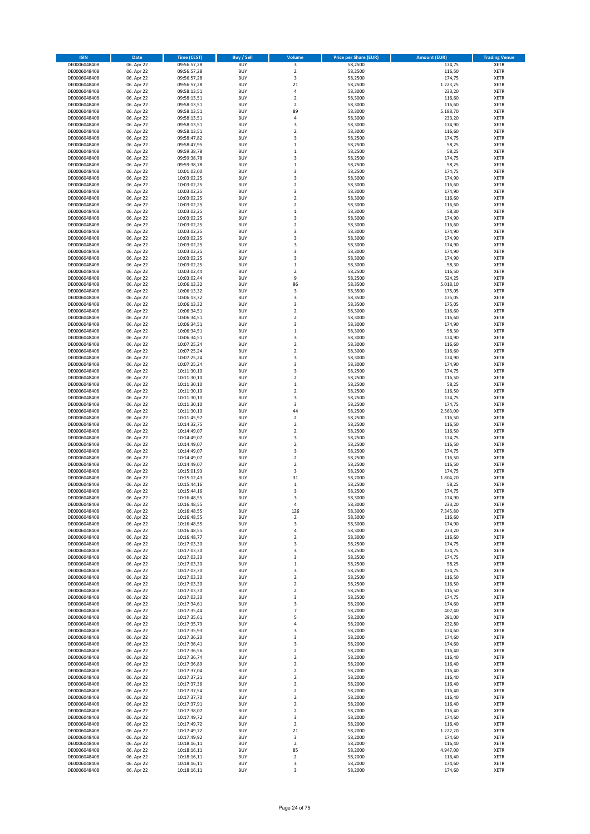| <b>ISIN</b>                  | Date                     | <b>Time (CEST)</b>         | <b>Buy / Sell</b>        | Volume                             | <b>Price per Share (EUR)</b> | <b>Amount (EUR)</b> | <b>Trading Venue</b>       |
|------------------------------|--------------------------|----------------------------|--------------------------|------------------------------------|------------------------------|---------------------|----------------------------|
| DE0006048408                 | 06. Apr 22               | 09:56:57,28                | <b>BUY</b>               | 3                                  | 58,2500                      | 174,75              | <b>XETR</b>                |
| DE0006048408                 | 06. Apr 22               | 09:56:57,28                | <b>BUY</b>               | $\overline{2}$                     | 58,2500                      | 116,50              | XETR                       |
| DE0006048408                 | 06. Apr 22               | 09:56:57,28                | <b>BUY</b>               | 3                                  | 58,2500                      | 174,75              | XETR                       |
| DE0006048408                 | 06. Apr 22               | 09:56:57,28                | <b>BUY</b>               | 21                                 | 58,2500                      | 1.223,25            | <b>XETR</b>                |
| DE0006048408                 | 06. Apr 22               | 09:58:13,51                | <b>BUY</b>               | 4                                  | 58,3000                      | 233,20              | <b>XETR</b>                |
| DE0006048408                 | 06. Apr 22               | 09:58:13,51                | <b>BUY</b>               | $\overline{2}$                     | 58,3000                      | 116,60              | <b>XETR</b>                |
| DE0006048408                 | 06. Apr 22               | 09:58:13,51                | <b>BUY</b>               | $\overline{2}$                     | 58,3000                      | 116,60              | <b>XETR</b>                |
| DE0006048408                 | 06. Apr 22               | 09:58:13,51                | <b>BUY</b>               | 89                                 | 58,3000                      | 5.188,70            | <b>XETR</b>                |
| DE0006048408<br>DE0006048408 | 06. Apr 22<br>06. Apr 22 | 09:58:13,51<br>09:58:13,51 | <b>BUY</b><br><b>BUY</b> | 4<br>3                             | 58,3000<br>58,3000           | 233,20<br>174,90    | <b>XETR</b><br><b>XETR</b> |
| DE0006048408                 | 06. Apr 22               | 09:58:13,51                | <b>BUY</b>               | $\overline{2}$                     | 58,3000                      | 116,60              | <b>XETR</b>                |
| DE0006048408                 | 06. Apr 22               | 09:58:47,82                | <b>BUY</b>               | 3                                  | 58,2500                      | 174,75              | <b>XETR</b>                |
| DE0006048408                 | 06. Apr 22               | 09:58:47,95                | <b>BUY</b>               | $\,1\,$                            | 58,2500                      | 58,25               | XETR                       |
| DE0006048408                 | 06. Apr 22               | 09:59:38,78                | <b>BUY</b>               | $\mathbf 1$                        | 58,2500                      | 58,25               | <b>XETR</b>                |
| DE0006048408                 | 06. Apr 22               | 09:59:38,78                | <b>BUY</b>               | 3                                  | 58,2500                      | 174,75              | <b>XETR</b>                |
| DE0006048408                 | 06. Apr 22               | 09:59:38,78                | <b>BUY</b>               | $\,1\,$                            | 58,2500                      | 58,25               | <b>XETR</b>                |
| DE0006048408                 | 06. Apr 22               | 10:01:03,00                | <b>BUY</b>               | 3                                  | 58,2500                      | 174,75              | <b>XETR</b>                |
| DE0006048408                 | 06. Apr 22               | 10:03:02,25                | <b>BUY</b>               | 3                                  | 58,3000                      | 174,90              | <b>XETR</b>                |
| DE0006048408                 | 06. Apr 22               | 10:03:02,25                | <b>BUY</b>               | $\overline{2}$                     | 58,3000                      | 116,60              | <b>XETR</b>                |
| DE0006048408<br>DE0006048408 | 06. Apr 22<br>06. Apr 22 | 10:03:02,25<br>10:03:02,25 | <b>BUY</b><br><b>BUY</b> | 3<br>$\overline{2}$                | 58,3000<br>58,3000           | 174,90<br>116,60    | <b>XETR</b><br><b>XETR</b> |
| DE0006048408                 | 06. Apr 22               | 10:03:02,25                | <b>BUY</b>               | $\overline{2}$                     | 58,3000                      | 116,60              | <b>XETR</b>                |
| DE0006048408                 | 06. Apr 22               | 10:03:02,25                | <b>BUY</b>               | $\,1\,$                            | 58,3000                      | 58,30               | <b>XETR</b>                |
| DE0006048408                 | 06. Apr 22               | 10:03:02,25                | <b>BUY</b>               | 3                                  | 58,3000                      | 174,90              | <b>XETR</b>                |
| DE0006048408                 | 06. Apr 22               | 10:03:02,25                | <b>BUY</b>               | $\overline{2}$                     | 58,3000                      | 116,60              | <b>XETR</b>                |
| DE0006048408                 | 06. Apr 22               | 10:03:02,25                | <b>BUY</b>               | 3                                  | 58,3000                      | 174,90              | <b>XETR</b>                |
| DE0006048408                 | 06. Apr 22               | 10:03:02,25                | <b>BUY</b>               | 3                                  | 58,3000                      | 174,90              | <b>XETR</b>                |
| DE0006048408                 | 06. Apr 22               | 10:03:02,25                | <b>BUY</b>               | 3                                  | 58,3000                      | 174,90              | <b>XETR</b>                |
| DE0006048408                 | 06. Apr 22               | 10:03:02,25                | <b>BUY</b>               | 3                                  | 58,3000                      | 174,90              | <b>XETR</b>                |
| DE0006048408<br>DE0006048408 | 06. Apr 22<br>06. Apr 22 | 10:03:02,25                | <b>BUY</b><br><b>BUY</b> | 3<br>$\mathbf 1$                   | 58,3000<br>58,3000           | 174,90<br>58,30     | XETR<br><b>XETR</b>        |
| DE0006048408                 | 06. Apr 22               | 10:03:02,25<br>10:03:02,44 | <b>BUY</b>               | $\boldsymbol{2}$                   | 58,2500                      | 116,50              | XETR                       |
| DE0006048408                 | 06. Apr 22               | 10:03:02,44                | <b>BUY</b>               | 9                                  | 58,2500                      | 524,25              | <b>XETR</b>                |
| DE0006048408                 | 06. Apr 22               | 10:06:13,32                | <b>BUY</b>               | 86                                 | 58,3500                      | 5.018,10            | XETR                       |
| DE0006048408                 | 06. Apr 22               | 10:06:13,32                | <b>BUY</b>               | 3                                  | 58,3500                      | 175,05              | <b>XETR</b>                |
| DE0006048408                 | 06. Apr 22               | 10:06:13,32                | <b>BUY</b>               | 3                                  | 58,3500                      | 175,05              | XETR                       |
| DE0006048408                 | 06. Apr 22               | 10:06:13,32                | <b>BUY</b>               | 3                                  | 58,3500                      | 175,05              | <b>XETR</b>                |
| DE0006048408                 | 06. Apr 22               | 10:06:34,51                | <b>BUY</b>               | $\boldsymbol{2}$                   | 58,3000                      | 116,60              | XETR                       |
| DE0006048408                 | 06. Apr 22               | 10:06:34,51                | <b>BUY</b>               | $\overline{2}$                     | 58,3000                      | 116,60              | <b>XETR</b>                |
| DE0006048408                 | 06. Apr 22               | 10:06:34,51                | <b>BUY</b>               | 3                                  | 58,3000                      | 174,90              | <b>XETR</b>                |
| DE0006048408                 | 06. Apr 22               | 10:06:34,51                | <b>BUY</b>               | $\,1\,$                            | 58,3000                      | 58,30               | <b>XETR</b>                |
| DE0006048408                 | 06. Apr 22               | 10:06:34,51                | <b>BUY</b><br><b>BUY</b> | 3<br>$\overline{2}$                | 58,3000                      | 174,90<br>116,60    | <b>XETR</b><br><b>XETR</b> |
| DE0006048408<br>DE0006048408 | 06. Apr 22<br>06. Apr 22 | 10:07:25,24<br>10:07:25,24 | <b>BUY</b>               | $\overline{2}$                     | 58,3000<br>58,3000           | 116,60              | <b>XETR</b>                |
| DE0006048408                 | 06. Apr 22               | 10:07:25,24                | <b>BUY</b>               | 3                                  | 58,3000                      | 174,90              | <b>XETR</b>                |
| DE0006048408                 | 06. Apr 22               | 10:07:25,24                | <b>BUY</b>               | 3                                  | 58,3000                      | 174,90              | <b>XETR</b>                |
| DE0006048408                 | 06. Apr 22               | 10:11:30,10                | <b>BUY</b>               | 3                                  | 58,2500                      | 174,75              | <b>XETR</b>                |
| DE0006048408                 | 06. Apr 22               | 10:11:30,10                | <b>BUY</b>               | $\boldsymbol{2}$                   | 58,2500                      | 116,50              | <b>XETR</b>                |
| DE0006048408                 | 06. Apr 22               | 10:11:30,10                | <b>BUY</b>               | $\,1\,$                            | 58,2500                      | 58,25               | <b>XETR</b>                |
| DE0006048408                 | 06. Apr 22               | 10:11:30,10                | <b>BUY</b>               | $\boldsymbol{2}$                   | 58,2500                      | 116,50              | <b>XETR</b>                |
| DE0006048408                 | 06. Apr 22               | 10:11:30,10                | <b>BUY</b>               | 3                                  | 58,2500                      | 174,75              | <b>XETR</b>                |
| DE0006048408                 | 06. Apr 22               | 10:11:30,10                | <b>BUY</b>               | 3                                  | 58,2500                      | 174,75              | <b>XETR</b>                |
| DE0006048408<br>DE0006048408 | 06. Apr 22<br>06. Apr 22 | 10:11:30,10<br>10:11:45,97 | <b>BUY</b><br><b>BUY</b> | 44<br>$\boldsymbol{2}$             | 58,2500<br>58,2500           | 2.563,00<br>116,50  | <b>XETR</b><br><b>XETR</b> |
| DE0006048408                 | 06. Apr 22               | 10:14:32,75                | <b>BUY</b>               | $\boldsymbol{2}$                   | 58,2500                      | 116,50              | <b>XETR</b>                |
| DE0006048408                 | 06. Apr 22               | 10:14:49,07                | <b>BUY</b>               | $\overline{2}$                     | 58,2500                      | 116,50              | <b>XETR</b>                |
| DE0006048408                 | 06. Apr 22               | 10:14:49,07                | <b>BUY</b>               | 3                                  | 58,2500                      | 174,75              | <b>XETR</b>                |
| DE0006048408                 | 06. Apr 22               | 10:14:49,07                | <b>BUY</b>               | $\overline{2}$                     | 58,2500                      | 116,50              | <b>XETR</b>                |
| DE0006048408                 | 06. Apr 22               | 10:14:49,07                | <b>BUY</b>               | 3                                  | 58,2500                      | 174,75              | XETR                       |
| DE0006048408                 | 06. Apr 22               | 10:14:49,07                | <b>BUY</b>               | $\overline{2}$                     | 58,2500                      | 116,50              | <b>XETR</b>                |
| DE0006048408                 | 06. Apr 22               | 10:14:49,07                | <b>BUY</b>               | $\boldsymbol{2}$                   | 58,2500                      | 116,50              | XETR                       |
| DE0006048408                 | 06. Apr 22               | 10:15:01,93                | <b>BUY</b>               | 3                                  | 58,2500                      | 174,75              | <b>XETR</b>                |
| DE0006048408<br>DE0006048408 | 06. Apr 22<br>06. Apr 22 | 10:15:12,43<br>10:15:44.16 | <b>BUY</b><br><b>BUY</b> | 31<br>$\mathbf 1$                  | 58,2000<br>58,2500           | 1.804,20<br>58,25   | <b>XETR</b><br><b>XETR</b> |
| DE0006048408                 | 06. Apr 22               | 10:15:44,16                | <b>BUY</b>               | 3                                  | 58,2500                      | 174,75              | <b>XETR</b>                |
| DE0006048408                 | 06. Apr 22               | 10:16:48,55                | <b>BUY</b>               | 3                                  | 58,3000                      | 174,90              | <b>XETR</b>                |
| DE0006048408                 | 06. Apr 22               | 10:16:48,55                | <b>BUY</b>               | 4                                  | 58,3000                      | 233,20              | <b>XETR</b>                |
| DE0006048408                 | 06. Apr 22               | 10:16:48,55                | <b>BUY</b>               | 126                                | 58,3000                      | 7.345,80            | XETR                       |
| DE0006048408                 | 06. Apr 22               | 10:16:48,55                | <b>BUY</b>               | 2                                  | 58,3000                      | 116,60              | XETR                       |
| DE0006048408                 | 06. Apr 22               | 10:16:48,55                | <b>BUY</b>               | 3                                  | 58,3000                      | 174,90              | <b>XETR</b>                |
| DE0006048408                 | 06. Apr 22               | 10:16:48,55                | <b>BUY</b>               | 4                                  | 58,3000                      | 233,20              | XETR                       |
| DE0006048408                 | 06. Apr 22               | 10:16:48,77                | <b>BUY</b>               | $\boldsymbol{2}$                   | 58,3000                      | 116,60              | <b>XETR</b>                |
| DE0006048408<br>DE0006048408 | 06. Apr 22<br>06. Apr 22 | 10:17:03,30<br>10:17:03,30 | <b>BUY</b><br><b>BUY</b> | 3<br>3                             | 58,2500<br>58,2500           | 174,75<br>174,75    | <b>XETR</b><br><b>XETR</b> |
| DE0006048408                 | 06. Apr 22               | 10:17:03,30                | <b>BUY</b>               | 3                                  | 58,2500                      | 174,75              | XETR                       |
| DE0006048408                 | 06. Apr 22               | 10:17:03,30                | <b>BUY</b>               | $\,1\,$                            | 58,2500                      | 58,25               | <b>XETR</b>                |
| DE0006048408                 | 06. Apr 22               | 10:17:03,30                | <b>BUY</b>               | 3                                  | 58,2500                      | 174,75              | XETR                       |
| DE0006048408                 | 06. Apr 22               | 10:17:03,30                | <b>BUY</b>               | $\boldsymbol{2}$                   | 58,2500                      | 116,50              | <b>XETR</b>                |
| DE0006048408                 | 06. Apr 22               | 10:17:03,30                | <b>BUY</b>               | $\mathbf 2$                        | 58,2500                      | 116,50              | XETR                       |
| DE0006048408                 | 06. Apr 22               | 10:17:03,30                | <b>BUY</b>               | $\boldsymbol{2}$                   | 58,2500                      | 116,50              | <b>XETR</b>                |
| DE0006048408                 | 06. Apr 22               | 10:17:03,30                | <b>BUY</b>               | 3                                  | 58,2500                      | 174,75              | <b>XETR</b>                |
| DE0006048408                 | 06. Apr 22               | 10:17:34,61                | <b>BUY</b><br><b>BUY</b> | 3<br>$\overline{7}$                | 58,2000<br>58,2000           | 174,60<br>407,40    | <b>XETR</b>                |
| DE0006048408<br>DE0006048408 | 06. Apr 22<br>06. Apr 22 | 10:17:35,44<br>10:17:35,61 | <b>BUY</b>               | 5                                  | 58,2000                      | 291,00              | <b>XETR</b><br><b>XETR</b> |
| DE0006048408                 | 06. Apr 22               | 10:17:35,79                | <b>BUY</b>               | 4                                  | 58,2000                      | 232,80              | <b>XETR</b>                |
| DE0006048408                 | 06. Apr 22               | 10:17:35,93                | <b>BUY</b>               | 3                                  | 58,2000                      | 174,60              | <b>XETR</b>                |
| DE0006048408                 | 06. Apr 22               | 10:17:36,20                | <b>BUY</b>               | 3                                  | 58,2000                      | 174,60              | <b>XETR</b>                |
| DE0006048408                 | 06. Apr 22               | 10:17:36,41                | <b>BUY</b>               | 3                                  | 58,2000                      | 174,60              | XETR                       |
| DE0006048408                 | 06. Apr 22               | 10:17:36,56                | <b>BUY</b>               | $\overline{2}$                     | 58,2000                      | 116,40              | <b>XETR</b>                |
| DE0006048408                 | 06. Apr 22               | 10:17:36,74                | <b>BUY</b>               | $\boldsymbol{2}$                   | 58,2000                      | 116,40              | <b>XETR</b>                |
| DE0006048408                 | 06. Apr 22               | 10:17:36,89                | <b>BUY</b>               | $\overline{2}$                     | 58,2000                      | 116,40              | <b>XETR</b>                |
| DE0006048408                 | 06. Apr 22               | 10:17:37,04                | <b>BUY</b>               | $\overline{\mathbf{2}}$            | 58,2000                      | 116,40              | <b>XETR</b>                |
| DE0006048408                 | 06. Apr 22               | 10:17:37,21                | <b>BUY</b>               | $\overline{2}$                     | 58,2000                      | 116,40              | <b>XETR</b>                |
| DE0006048408<br>DE0006048408 | 06. Apr 22<br>06. Apr 22 | 10:17:37,36<br>10:17:37,54 | <b>BUY</b><br><b>BUY</b> | $\boldsymbol{2}$<br>$\overline{2}$ | 58,2000<br>58,2000           | 116,40<br>116,40    | XETR<br><b>XETR</b>        |
| DE0006048408                 | 06. Apr 22               | 10:17:37,70                | <b>BUY</b>               | $\boldsymbol{2}$                   | 58,2000                      | 116,40              | <b>XETR</b>                |
| DE0006048408                 | 06. Apr 22               | 10:17:37,91                | <b>BUY</b>               | $\boldsymbol{2}$                   | 58,2000                      | 116,40              | <b>XETR</b>                |
| DE0006048408                 | 06. Apr 22               | 10:17:38,07                | <b>BUY</b>               | $\boldsymbol{2}$                   | 58,2000                      | 116,40              | <b>XETR</b>                |
| DE0006048408                 | 06. Apr 22               | 10:17:49,72                | <b>BUY</b>               | 3                                  | 58,2000                      | 174,60              | <b>XETR</b>                |
| DE0006048408                 | 06. Apr 22               | 10:17:49,72                | <b>BUY</b>               | $\overline{\mathbf{2}}$            | 58,2000                      | 116,40              | <b>XETR</b>                |
| DE0006048408                 | 06. Apr 22               | 10:17:49,72                | <b>BUY</b>               | 21                                 | 58,2000                      | 1.222,20            | <b>XETR</b>                |
| DE0006048408                 | 06. Apr 22               | 10:17:49,92                | <b>BUY</b>               | 3                                  | 58,2000                      | 174,60              | <b>XETR</b>                |
| DE0006048408<br>DE0006048408 | 06. Apr 22<br>06. Apr 22 | 10:18:16,11                | <b>BUY</b><br><b>BUY</b> | $\mathbf 2$<br>85                  | 58,2000<br>58,2000           | 116,40<br>4.947,00  | <b>XETR</b><br>XETR        |
| DE0006048408                 | 06. Apr 22               | 10:18:16,11<br>10:18:16,11 | <b>BUY</b>               | $\overline{\mathbf{2}}$            | 58,2000                      | 116,40              | <b>XETR</b>                |
| DE0006048408                 | 06. Apr 22               | 10:18:16,11                | <b>BUY</b>               | 3                                  | 58,2000                      | 174,60              | <b>XETR</b>                |
| DE0006048408                 | 06. Apr 22               | 10:18:16,11                | <b>BUY</b>               | 3                                  | 58,2000                      | 174,60              | <b>XETR</b>                |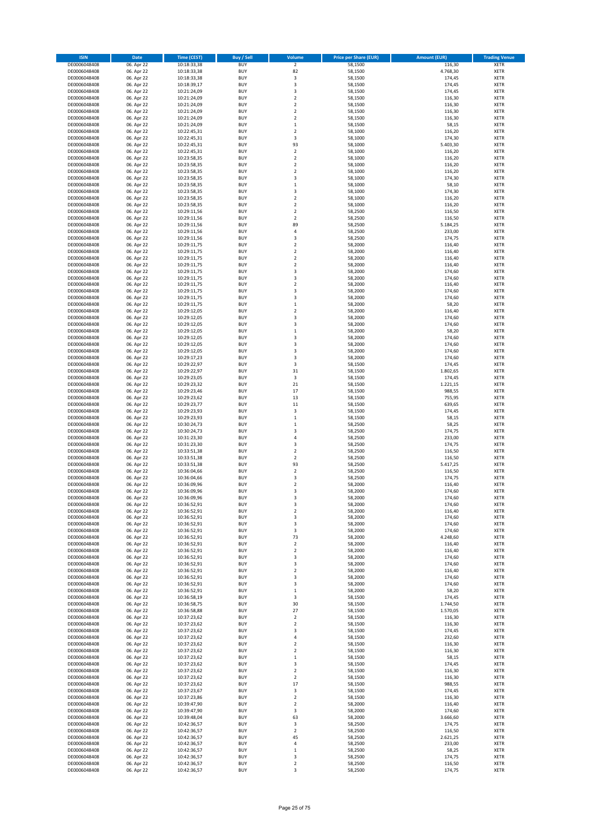| <b>ISIN</b>                  | Date                     | <b>Time (CEST)</b>         | <b>Buy / Sell</b>        | Volume                           | <b>Price per Share (EUR)</b> | <b>Amount (EUR)</b> | <b>Trading Venue</b>       |
|------------------------------|--------------------------|----------------------------|--------------------------|----------------------------------|------------------------------|---------------------|----------------------------|
| DE0006048408                 | 06. Apr 22               | 10:18:33,38                | <b>BUY</b>               | $\mathbf 2$                      | 58,1500                      | 116,30              | <b>XETR</b>                |
| DE0006048408                 | 06. Apr 22               | 10:18:33,38                | <b>BUY</b>               | 82                               | 58,1500                      | 4.768,30            | XETR                       |
| DE0006048408                 | 06. Apr 22               | 10:18:33,38                | <b>BUY</b>               | 3                                | 58,1500                      | 174,45              | XETR                       |
| DE0006048408                 | 06. Apr 22               | 10:18:39,17                | <b>BUY</b>               | 3                                | 58,1500                      | 174,45              | <b>XETR</b>                |
| DE0006048408                 | 06. Apr 22               | 10:21:24,09                | <b>BUY</b>               | 3                                | 58,1500                      | 174,45              | <b>XETR</b>                |
| DE0006048408                 | 06. Apr 22               | 10:21:24,09                | <b>BUY</b>               | $\overline{2}$                   | 58,1500                      | 116,30              | <b>XETR</b>                |
| DE0006048408                 | 06. Apr 22               | 10:21:24,09                | <b>BUY</b>               | $\overline{2}$                   | 58,1500                      | 116,30              | <b>XETR</b>                |
| DE0006048408                 | 06. Apr 22               | 10:21:24,09                | <b>BUY</b>               | $\overline{2}$                   | 58,1500                      | 116,30              | <b>XETR</b>                |
| DE0006048408                 | 06. Apr 22               | 10:21:24,09                | <b>BUY</b>               | $\boldsymbol{2}$                 | 58,1500                      | 116,30              | <b>XETR</b>                |
| DE0006048408                 | 06. Apr 22               | 10:21:24,09                | <b>BUY</b>               | $\mathbf 1$                      | 58,1500                      | 58,15               | <b>XETR</b>                |
| DE0006048408                 | 06. Apr 22               | 10:22:45,31                | <b>BUY</b>               | $\overline{2}$                   | 58,1000                      | 116,20              | <b>XETR</b>                |
| DE0006048408                 | 06. Apr 22               | 10:22:45,31                | <b>BUY</b>               | 3                                | 58,1000                      | 174,30              | <b>XETR</b>                |
| DE0006048408                 | 06. Apr 22               | 10:22:45,31                | <b>BUY</b>               | 93                               | 58,1000                      | 5.403,30            | XETR                       |
| DE0006048408                 | 06. Apr 22               | 10:22:45,31                | <b>BUY</b>               | $\overline{2}$                   | 58,1000                      | 116,20              | <b>XETR</b>                |
| DE0006048408                 | 06. Apr 22               | 10:23:58,35                | <b>BUY</b>               | $\boldsymbol{2}$                 | 58,1000                      | 116,20              | <b>XETR</b>                |
| DE0006048408                 | 06. Apr 22               | 10:23:58,35                | <b>BUY</b>               | $\overline{\mathbf{2}}$          | 58,1000                      | 116,20              | <b>XETR</b>                |
| DE0006048408                 | 06. Apr 22               | 10:23:58,35                | <b>BUY</b>               | $\boldsymbol{2}$                 | 58,1000                      | 116,20              | <b>XETR</b>                |
| DE0006048408                 | 06. Apr 22               | 10:23:58,35                | <b>BUY</b>               | 3                                | 58,1000                      | 174,30              | <b>XETR</b>                |
| DE0006048408                 | 06. Apr 22               | 10:23:58,35                | <b>BUY</b>               | $\,1\,$                          | 58,1000                      | 58,10               | <b>XETR</b>                |
| DE0006048408                 | 06. Apr 22               | 10:23:58,35                | <b>BUY</b>               | 3                                | 58,1000                      | 174,30              | <b>XETR</b>                |
| DE0006048408                 | 06. Apr 22               | 10:23:58,35                | <b>BUY</b>               | $\overline{2}$                   | 58,1000                      | 116,20              | <b>XETR</b>                |
| DE0006048408                 | 06. Apr 22               | 10:23:58,35                | <b>BUY</b>               | $\boldsymbol{2}$                 | 58,1000                      | 116,20              | <b>XETR</b>                |
| DE0006048408                 | 06. Apr 22<br>06. Apr 22 | 10:29:11,56                | <b>BUY</b><br><b>BUY</b> | $\overline{2}$<br>$\overline{2}$ | 58,2500                      | 116,50<br>116,50    | <b>XETR</b><br><b>XETR</b> |
| DE0006048408<br>DE0006048408 | 06. Apr 22               | 10:29:11,56<br>10:29:11,56 | <b>BUY</b>               | 89                               | 58,2500<br>58,2500           | 5.184,25            | <b>XETR</b>                |
| DE0006048408                 | 06. Apr 22               | 10:29:11,56                | <b>BUY</b>               | 4                                | 58,2500                      | 233,00              | <b>XETR</b>                |
| DE0006048408                 | 06. Apr 22               | 10:29:11,56                | <b>BUY</b>               | 3                                | 58,2500                      | 174,75              | <b>XETR</b>                |
| DE0006048408                 | 06. Apr 22               | 10:29:11,75                | <b>BUY</b>               | $\overline{2}$                   | 58,2000                      | 116,40              | <b>XETR</b>                |
| DE0006048408                 | 06. Apr 22               | 10:29:11,75                | <b>BUY</b>               | $\overline{2}$                   | 58,2000                      | 116,40              | <b>XETR</b>                |
| DE0006048408                 | 06. Apr 22               | 10:29:11,75                | <b>BUY</b>               | $\boldsymbol{2}$                 | 58,2000                      | 116,40              | XETR                       |
| DE0006048408                 | 06. Apr 22               | 10:29:11,75                | <b>BUY</b>               | $\overline{2}$                   | 58,2000                      | 116,40              | <b>XETR</b>                |
| DE0006048408                 | 06. Apr 22               | 10:29:11,75                | <b>BUY</b>               | 3                                | 58,2000                      | 174,60              | <b>XETR</b>                |
| DE0006048408                 | 06. Apr 22               | 10:29:11,75                | <b>BUY</b>               | 3                                | 58,2000                      | 174,60              | <b>XETR</b>                |
| DE0006048408                 | 06. Apr 22               | 10:29:11,75                | <b>BUY</b>               | $\boldsymbol{2}$                 | 58,2000                      | 116,40              | XETR                       |
| DE0006048408                 | 06. Apr 22               | 10:29:11,75                | <b>BUY</b>               | 3                                | 58,2000                      | 174,60              | <b>XETR</b>                |
| DE0006048408                 | 06. Apr 22               | 10:29:11,75                | <b>BUY</b>               | 3                                | 58,2000                      | 174,60              | XETR                       |
| DE0006048408                 | 06. Apr 22               | 10:29:11,75                | <b>BUY</b>               | $\,1\,$                          | 58,2000                      | 58,20               | <b>XETR</b>                |
| DE0006048408                 | 06. Apr 22               | 10:29:12,05                | <b>BUY</b>               | $\boldsymbol{2}$                 | 58,2000                      | 116,40              | XETR                       |
| DE0006048408                 | 06. Apr 22               | 10:29:12,05                | <b>BUY</b>               | 3                                | 58,2000                      | 174,60              | <b>XETR</b>                |
| DE0006048408                 | 06. Apr 22               | 10:29:12,05                | <b>BUY</b>               | 3                                | 58,2000                      | 174,60              | <b>XETR</b>                |
| DE0006048408                 | 06. Apr 22               | 10:29:12,05                | <b>BUY</b>               | $\,1\,$                          | 58,2000                      | 58,20               | <b>XETR</b>                |
| DE0006048408                 | 06. Apr 22               | 10:29:12,05                | <b>BUY</b>               | 3                                | 58,2000                      | 174,60              | <b>XETR</b>                |
| DE0006048408                 | 06. Apr 22               | 10:29:12,05                | <b>BUY</b>               | 3                                | 58,2000                      | 174,60              | <b>XETR</b>                |
| DE0006048408                 | 06. Apr 22               | 10:29:12,05                | <b>BUY</b>               | 3                                | 58,2000                      | 174,60              | <b>XETR</b>                |
| DE0006048408                 | 06. Apr 22               | 10:29:17,23                | <b>BUY</b>               | 3                                | 58,2000                      | 174,60              | <b>XETR</b>                |
| DE0006048408                 | 06. Apr 22               | 10:29:22,97                | <b>BUY</b>               | 3                                | 58,1500                      | 174,45              | <b>XETR</b>                |
| DE0006048408                 | 06. Apr 22               | 10:29:22,97                | <b>BUY</b>               | 31                               | 58,1500                      | 1.802,65            | <b>XETR</b>                |
| DE0006048408                 | 06. Apr 22               | 10:29:23,05                | <b>BUY</b>               | 3                                | 58,1500                      | 174,45              | <b>XETR</b>                |
| DE0006048408<br>DE0006048408 | 06. Apr 22               | 10:29:23,32                | <b>BUY</b><br><b>BUY</b> | 21<br>17                         | 58,1500                      | 1.221,15<br>988,55  | <b>XETR</b><br><b>XETR</b> |
| DE0006048408                 | 06. Apr 22<br>06. Apr 22 | 10:29:23,46<br>10:29:23,62 | <b>BUY</b>               | 13                               | 58,1500<br>58,1500           | 755,95              | <b>XETR</b>                |
| DE0006048408                 | 06. Apr 22               | 10:29:23,77                | <b>BUY</b>               | 11                               | 58,1500                      | 639,65              | <b>XETR</b>                |
| DE0006048408                 | 06. Apr 22               | 10:29:23,93                | <b>BUY</b>               | 3                                | 58,1500                      | 174,45              | <b>XETR</b>                |
| DE0006048408                 | 06. Apr 22               | 10:29:23,93                | <b>BUY</b>               | $\,$ 1                           | 58,1500                      | 58,15               | <b>XETR</b>                |
| DE0006048408                 | 06. Apr 22               | 10:30:24,73                | <b>BUY</b>               | $\,1\,$                          | 58,2500                      | 58,25               | <b>XETR</b>                |
| DE0006048408                 | 06. Apr 22               | 10:30:24,73                | <b>BUY</b>               | $\overline{\mathbf{3}}$          | 58,2500                      | 174,75              | <b>XETR</b>                |
| DE0006048408                 | 06. Apr 22               | 10:31:23,30                | <b>BUY</b>               | $\sqrt{4}$                       | 58,2500                      | 233,00              | <b>XETR</b>                |
| DE0006048408                 | 06. Apr 22               | 10:31:23,30                | <b>BUY</b>               | 3                                | 58,2500                      | 174,75              | <b>XETR</b>                |
| DE0006048408                 | 06. Apr 22               | 10:33:51,38                | <b>BUY</b>               | $\boldsymbol{2}$                 | 58,2500                      | 116,50              | <b>XETR</b>                |
| DE0006048408                 | 06. Apr 22               | 10:33:51,38                | <b>BUY</b>               | $\overline{2}$                   | 58,2500                      | 116,50              | <b>XETR</b>                |
| DE0006048408                 | 06. Apr 22               | 10:33:51,38                | <b>BUY</b>               | 93                               | 58,2500                      | 5.417,25            | XETR                       |
| DE0006048408                 | 06. Apr 22               | 10:36:04,66                | <b>BUY</b>               | $\overline{2}$                   | 58,2500                      | 116,50              | <b>XETR</b>                |
| DE0006048408                 | 06. Apr 22               | 10:36:04,66                | <b>BUY</b>               | 3                                | 58,2500                      | 174,75              | <b>XETR</b>                |
| DE0006048408                 | 06. Apr 22               | 10:36:09,96                | <b>BUY</b>               | $\overline{2}$                   | 58,2000                      | 116,40              | <b>XETR</b>                |
| DE0006048408                 | 06. Apr 22               | 10:36:09,96                | <b>BUY</b>               | 3                                | 58,2000                      | 174,60              | <b>XETR</b>                |
| DE0006048408                 | 06. Apr 22               | 10:36:09,96                | <b>BUY</b>               | 3                                | 58,2000                      | 174,60              | <b>XETR</b>                |
| DE0006048408                 | 06. Apr 22               | 10:36:52,91                | <b>BUY</b>               | 3                                | 58,2000                      | 174,60              | <b>XETR</b>                |
| DE0006048408<br>DE0006048408 | 06. Apr 22<br>06. Apr 22 | 10:36:52,91<br>10:36:52,91 | <b>BUY</b><br><b>BUY</b> | $\boldsymbol{2}$<br>3            | 58,2000<br>58,2000           | 116,40<br>174,60    | XETR<br><b>XETR</b>        |
| DE0006048408                 | 06. Apr 22               | 10:36:52,91                | <b>BUY</b>               | 3                                | 58,2000                      | 174,60              | <b>XETR</b>                |
| DE0006048408                 | 06. Apr 22               | 10:36:52,91                | <b>BUY</b>               | 3                                | 58,2000                      | 174,60              | <b>XETR</b>                |
| DE0006048408                 | 06. Apr 22               | 10:36:52,91                | <b>BUY</b>               | 73                               | 58,2000                      | 4.248,60            | <b>XETR</b>                |
| DE0006048408                 | 06. Apr 22               | 10:36:52,91                | <b>BUY</b>               | $\boldsymbol{2}$                 | 58,2000                      | 116,40              | <b>XETR</b>                |
| DE0006048408                 | 06. Apr 22               | 10:36:52,91                | <b>BUY</b>               | $\boldsymbol{2}$                 | 58,2000                      | 116,40              | <b>XETR</b>                |
| DE0006048408                 | 06. Apr 22               | 10:36:52,91                | <b>BUY</b>               | 3                                | 58,2000                      | 174,60              | <b>XETR</b>                |
| DE0006048408                 | 06. Apr 22               | 10:36:52,91                | <b>BUY</b>               | 3                                | 58,2000                      | 174,60              | <b>XETR</b>                |
| DE0006048408                 | 06. Apr 22               | 10:36:52,91                | <b>BUY</b>               | $\overline{2}$                   | 58,2000                      | 116,40              | <b>XETR</b>                |
| DE0006048408                 | 06. Apr 22               | 10:36:52,91                | <b>BUY</b>               | 3                                | 58,2000                      | 174,60              | <b>XETR</b>                |
| DE0006048408                 | 06. Apr 22               | 10:36:52,91                | <b>BUY</b>               | 3                                | 58,2000                      | 174,60              | <b>XETR</b>                |
| DE0006048408                 | 06. Apr 22               | 10:36:52,91                | <b>BUY</b>               | $\,1\,$                          | 58,2000                      | 58,20               | <b>XETR</b>                |
| DE0006048408                 | 06. Apr 22               | 10:36:58,19                | <b>BUY</b>               | 3                                | 58,1500                      | 174,45              | <b>XETR</b>                |
| DE0006048408                 | 06. Apr 22               | 10:36:58,75                | <b>BUY</b>               | 30                               | 58,1500                      | 1.744,50            | <b>XETR</b>                |
| DE0006048408                 | 06. Apr 22               | 10:36:58,88                | <b>BUY</b>               | 27                               | 58,1500                      | 1.570,05            | <b>XETR</b>                |
| DE0006048408                 | 06. Apr 22               | 10:37:23,62                | <b>BUY</b><br><b>BUY</b> | $\overline{\mathbf{2}}$          | 58,1500                      | 116,30              | <b>XETR</b>                |
| DE0006048408                 | 06. Apr 22               | 10:37:23,62                |                          | $\overline{2}$                   | 58,1500                      | 116,30              | <b>XETR</b>                |
| DE0006048408<br>DE0006048408 | 06. Apr 22<br>06. Apr 22 | 10:37:23,62<br>10:37:23,62 | <b>BUY</b><br><b>BUY</b> | 3<br>4                           | 58,1500<br>58,1500           | 174,45<br>232,60    | <b>XETR</b><br><b>XETR</b> |
| DE0006048408                 | 06. Apr 22               | 10:37:23,62                | <b>BUY</b>               | $\boldsymbol{2}$                 | 58,1500                      | 116,30              | XETR                       |
| DE0006048408                 | 06. Apr 22               | 10:37:23,62                | <b>BUY</b>               | $\overline{2}$                   | 58,1500                      | 116,30              | <b>XETR</b>                |
| DE0006048408                 | 06. Apr 22               | 10:37:23,62                | <b>BUY</b>               | $\,1\,$                          | 58,1500                      | 58,15               | XETR                       |
| DE0006048408                 | 06. Apr 22               | 10:37:23,62                | <b>BUY</b>               | 3                                | 58,1500                      | 174,45              | <b>XETR</b>                |
| DE0006048408                 | 06. Apr 22               | 10:37:23,62                | <b>BUY</b>               | $\overline{\mathbf{2}}$          | 58,1500                      | 116,30              | XETR                       |
| DE0006048408                 | 06. Apr 22               | 10:37:23,62                | <b>BUY</b>               | $\overline{2}$                   | 58,1500                      | 116,30              | <b>XETR</b>                |
| DE0006048408                 | 06. Apr 22               | 10:37:23,62                | <b>BUY</b>               | 17                               | 58,1500                      | 988,55              | <b>XETR</b>                |
| DE0006048408                 | 06. Apr 22               | 10:37:23,67                | <b>BUY</b>               | 3                                | 58,1500                      | 174,45              | <b>XETR</b>                |
| DE0006048408                 | 06. Apr 22               | 10:37:23,86                | <b>BUY</b>               | $\boldsymbol{2}$                 | 58,1500                      | 116,30              | XETR                       |
| DE0006048408                 | 06. Apr 22               | 10:39:47,90                | <b>BUY</b>               | $\overline{\mathbf{2}}$          | 58,2000                      | 116,40              | <b>XETR</b>                |
| DE0006048408                 | 06. Apr 22               | 10:39:47,90                | <b>BUY</b>               | 3                                | 58,2000                      | 174,60              | XETR                       |
| DE0006048408                 | 06. Apr 22               | 10:39:48,04                | <b>BUY</b>               | 63                               | 58,2000                      | 3.666,60            | <b>XETR</b>                |
| DE0006048408                 | 06. Apr 22               | 10:42:36,57                | <b>BUY</b>               | 3                                | 58,2500                      | 174,75              | <b>XETR</b>                |
| DE0006048408                 | 06. Apr 22               | 10:42:36,57                | <b>BUY</b>               | $\overline{\mathbf{2}}$          | 58,2500                      | 116,50              | <b>XETR</b>                |
| DE0006048408                 | 06. Apr 22               | 10:42:36,57                | <b>BUY</b>               | 45                               | 58,2500                      | 2.621,25            | XETR                       |
| DE0006048408                 | 06. Apr 22               | 10:42:36,57                | <b>BUY</b>               | 4                                | 58,2500                      | 233,00              | <b>XETR</b>                |
| DE0006048408                 | 06. Apr 22               | 10:42:36,57                | <b>BUY</b>               | $\,$ 1                           | 58,2500                      | 58,25<br>174,75     | XETR                       |
| DE0006048408<br>DE0006048408 | 06. Apr 22<br>06. Apr 22 | 10:42:36,57<br>10:42:36,57 | <b>BUY</b><br><b>BUY</b> | 3<br>$\boldsymbol{2}$            | 58,2500<br>58,2500           | 116,50              | <b>XETR</b><br>XETR        |
| DE0006048408                 | 06. Apr 22               | 10:42:36,57                | <b>BUY</b>               | 3                                | 58,2500                      | 174,75              | <b>XETR</b>                |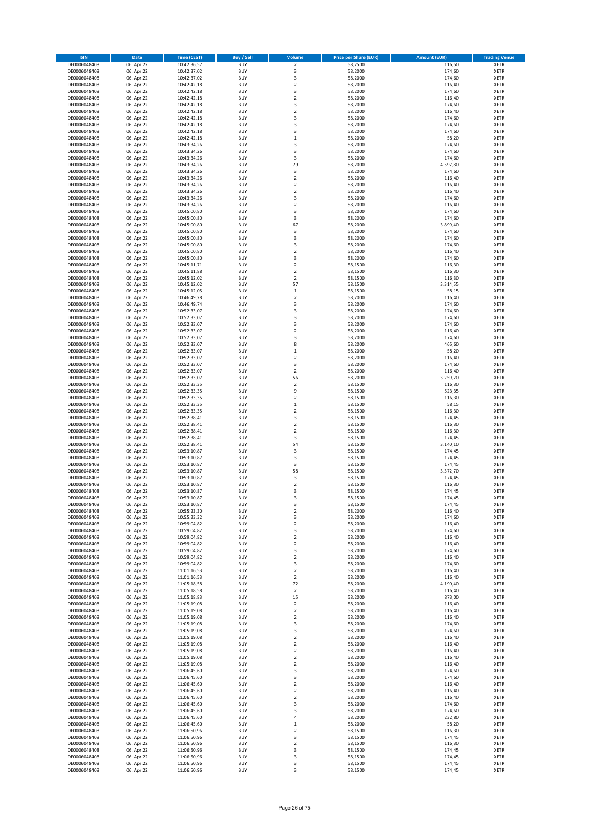| <b>ISIN</b>                  | Date                     | <b>Time (CEST)</b>         | Buy / Sell               | Volume                        | <b>Price per Share (EUR)</b> | <b>Amount (EUR)</b> | <b>Trading Venue</b>       |
|------------------------------|--------------------------|----------------------------|--------------------------|-------------------------------|------------------------------|---------------------|----------------------------|
| DE0006048408                 | 06. Apr 22               | 10:42:36,57                | <b>BUY</b>               | $\mathbf 2$                   | 58,2500                      | 116,50              | <b>XETR</b>                |
| DE0006048408                 | 06. Apr 22               | 10:42:37,02                | <b>BUY</b>               | 3                             | 58,2000                      | 174,60              | XETR                       |
| DE0006048408                 | 06. Apr 22               | 10:42:37,02                | <b>BUY</b>               | 3                             | 58,2000                      | 174,60              | XETR                       |
| DE0006048408                 | 06. Apr 22               | 10:42:42,18                | <b>BUY</b>               | $\overline{2}$                | 58,2000                      | 116,40              | <b>XETR</b>                |
| DE0006048408                 | 06. Apr 22               | 10:42:42,18                | <b>BUY</b>               | 3                             | 58,2000                      | 174,60              | <b>XETR</b>                |
| DE0006048408                 | 06. Apr 22               | 10:42:42,18                | <b>BUY</b>               | $\overline{2}$                | 58,2000                      | 116,40              | <b>XETR</b>                |
| DE0006048408                 | 06. Apr 22               | 10:42:42,18                | <b>BUY</b>               | 3                             | 58,2000                      | 174,60              | <b>XETR</b>                |
| DE0006048408                 | 06. Apr 22               | 10:42:42,18                | <b>BUY</b>               | $\overline{2}$                | 58,2000                      | 116,40              | <b>XETR</b>                |
| DE0006048408                 | 06. Apr 22               | 10:42:42,18                | <b>BUY</b>               | 3                             | 58,2000                      | 174,60              | <b>XETR</b>                |
| DE0006048408                 | 06. Apr 22               | 10:42:42,18                | <b>BUY</b>               | 3                             | 58,2000                      | 174,60              | <b>XETR</b>                |
| DE0006048408                 | 06. Apr 22               | 10:42:42,18                | <b>BUY</b>               | 3                             | 58,2000                      | 174,60              | XETR                       |
| DE0006048408                 | 06. Apr 22               | 10:42:42,18                | <b>BUY</b>               | $\,1\,$                       | 58,2000                      | 58,20               | <b>XETR</b>                |
| DE0006048408<br>DE0006048408 | 06. Apr 22<br>06. Apr 22 | 10:43:34,26<br>10:43:34,26 | <b>BUY</b><br><b>BUY</b> | 3<br>3                        | 58,2000<br>58,2000           | 174,60<br>174,60    | XETR<br><b>XETR</b>        |
| DE0006048408                 | 06. Apr 22               | 10:43:34,26                | <b>BUY</b>               | 3                             | 58,2000                      | 174,60              | XETR                       |
| DE0006048408                 | 06. Apr 22               | 10:43:34,26                | <b>BUY</b>               | 79                            | 58,2000                      | 4.597,80            | <b>XETR</b>                |
| DE0006048408                 | 06. Apr 22               | 10:43:34,26                | <b>BUY</b>               | 3                             | 58,2000                      | 174,60              | <b>XETR</b>                |
| DE0006048408                 | 06. Apr 22               | 10:43:34,26                | <b>BUY</b>               | $\boldsymbol{2}$              | 58,2000                      | 116,40              | <b>XETR</b>                |
| DE0006048408                 | 06. Apr 22               | 10:43:34,26                | <b>BUY</b>               | $\overline{2}$                | 58,2000                      | 116,40              | <b>XETR</b>                |
| DE0006048408                 | 06. Apr 22               | 10:43:34,26                | <b>BUY</b>               | $\mathbf 2$                   | 58,2000                      | 116,40              | <b>XETR</b>                |
| DE0006048408                 | 06. Apr 22               | 10:43:34,26                | <b>BUY</b>               | 3                             | 58,2000                      | 174,60              | <b>XETR</b>                |
| DE0006048408                 | 06. Apr 22               | 10:43:34,26                | <b>BUY</b>               | $\overline{2}$                | 58,2000                      | 116,40              | <b>XETR</b>                |
| DE0006048408                 | 06. Apr 22               | 10:45:00,80                | <b>BUY</b>               | 3                             | 58,2000                      | 174,60              | <b>XETR</b>                |
| DE0006048408                 | 06. Apr 22               | 10:45:00,80                | <b>BUY</b>               | 3                             | 58,2000                      | 174,60              | <b>XETR</b>                |
| DE0006048408                 | 06. Apr 22               | 10:45:00,80                | <b>BUY</b>               | 67                            | 58,2000                      | 3.899,40            | <b>XETR</b>                |
| DE0006048408                 | 06. Apr 22               | 10:45:00,80                | <b>BUY</b>               | 3                             | 58,2000                      | 174,60              | <b>XETR</b>                |
| DE0006048408                 | 06. Apr 22               | 10:45:00,80                | <b>BUY</b>               | 3                             | 58,2000                      | 174,60              | <b>XETR</b>                |
| DE0006048408                 | 06. Apr 22               | 10:45:00,80                | <b>BUY</b><br><b>BUY</b> | 3<br>$\overline{2}$           | 58,2000<br>58,2000           | 174,60<br>116,40    | <b>XETR</b><br><b>XETR</b> |
| DE0006048408<br>DE0006048408 | 06. Apr 22<br>06. Apr 22 | 10:45:00,80<br>10:45:00,80 | <b>BUY</b>               | 3                             | 58,2000                      | 174,60              | XETR                       |
| DE0006048408                 | 06. Apr 22               | 10:45:11,71                | <b>BUY</b>               | $\overline{2}$                | 58,1500                      | 116,30              | <b>XETR</b>                |
| DE0006048408                 | 06. Apr 22               | 10:45:11,88                | <b>BUY</b>               | $\boldsymbol{2}$              | 58,1500                      | 116,30              | XETR                       |
| DE0006048408                 | 06. Apr 22               | 10:45:12,02                | <b>BUY</b>               | $\overline{2}$                | 58,1500                      | 116,30              | <b>XETR</b>                |
| DE0006048408                 | 06. Apr 22               | 10:45:12,02                | <b>BUY</b>               | 57                            | 58,1500                      | 3.314,55            | XETR                       |
| DE0006048408                 | 06. Apr 22               | 10:45:12,05                | <b>BUY</b>               | $\mathbf 1$                   | 58,1500                      | 58,15               | <b>XETR</b>                |
| DE0006048408                 | 06. Apr 22               | 10:46:49,28                | <b>BUY</b>               | $\mathbf 2$                   | 58,2000                      | 116,40              | XETR                       |
| DE0006048408                 | 06. Apr 22               | 10:46:49,74                | <b>BUY</b>               | 3                             | 58,2000                      | 174,60              | <b>XETR</b>                |
| DE0006048408                 | 06. Apr 22               | 10:52:33,07                | <b>BUY</b>               | 3                             | 58,2000                      | 174,60              | XETR                       |
| DE0006048408                 | 06. Apr 22               | 10:52:33,07                | <b>BUY</b>               | 3                             | 58,2000                      | 174,60              | <b>XETR</b>                |
| DE0006048408                 | 06. Apr 22               | 10:52:33,07                | <b>BUY</b>               | 3                             | 58,2000                      | 174,60              | <b>XETR</b>                |
| DE0006048408                 | 06. Apr 22               | 10:52:33,07                | <b>BUY</b>               | $\overline{2}$                | 58,2000                      | 116,40              | <b>XETR</b>                |
| DE0006048408                 | 06. Apr 22               | 10:52:33,07                | <b>BUY</b>               | 3                             | 58,2000                      | 174,60              | <b>XETR</b>                |
| DE0006048408                 | 06. Apr 22               | 10:52:33,07                | <b>BUY</b>               | 8                             | 58,2000                      | 465,60              | <b>XETR</b>                |
| DE0006048408                 | 06. Apr 22               | 10:52:33,07                | <b>BUY</b>               | $\,1\,$                       | 58,2000                      | 58,20               | <b>XETR</b>                |
| DE0006048408                 | 06. Apr 22               | 10:52:33,07                | <b>BUY</b><br><b>BUY</b> | $\mathbf 2$                   | 58,2000                      | 116,40              | <b>XETR</b><br><b>XETR</b> |
| DE0006048408<br>DE0006048408 | 06. Apr 22<br>06. Apr 22 | 10:52:33,07<br>10:52:33,07 | <b>BUY</b>               | 3<br>$\boldsymbol{2}$         | 58,2000<br>58,2000           | 174,60<br>116,40    | <b>XETR</b>                |
| DE0006048408                 | 06. Apr 22               | 10:52:33,07                | <b>BUY</b>               | 56                            | 58,2000                      | 3.259,20            | <b>XETR</b>                |
| DE0006048408                 | 06. Apr 22               | 10:52:33,35                | <b>BUY</b>               | $\overline{\mathbf{2}}$       | 58,1500                      | 116,30              | <b>XETR</b>                |
| DE0006048408                 | 06. Apr 22               | 10:52:33,35                | <b>BUY</b>               | 9                             | 58,1500                      | 523,35              | <b>XETR</b>                |
| DE0006048408                 | 06. Apr 22               | 10:52:33,35                | <b>BUY</b>               | $\boldsymbol{2}$              | 58,1500                      | 116,30              | <b>XETR</b>                |
| DE0006048408                 | 06. Apr 22               | 10:52:33,35                | <b>BUY</b>               | $\,1\,$                       | 58,1500                      | 58,15               | <b>XETR</b>                |
| DE0006048408                 | 06. Apr 22               | 10:52:33,35                | <b>BUY</b>               | $\mathbf 2$                   | 58,1500                      | 116,30              | <b>XETR</b>                |
| DE0006048408                 | 06. Apr 22               | 10:52:38,41                | <b>BUY</b>               | 3                             | 58,1500                      | 174,45              | <b>XETR</b>                |
| DE0006048408                 | 06. Apr 22               | 10:52:38,41                | <b>BUY</b>               | $\mathbf 2$                   | 58,1500                      | 116,30              | <b>XETR</b>                |
| DE0006048408                 | 06. Apr 22               | 10:52:38,41                | <b>BUY</b>               | $\overline{2}$                | 58,1500                      | 116,30              | <b>XETR</b>                |
| DE0006048408                 | 06. Apr 22               | 10:52:38,41                | <b>BUY</b>               | 3                             | 58,1500                      | 174,45              | <b>XETR</b>                |
| DE0006048408                 | 06. Apr 22               | 10:52:38,41                | <b>BUY</b>               | 54                            | 58,1500                      | 3.140,10            | <b>XETR</b>                |
| DE0006048408                 | 06. Apr 22               | 10:53:10,87                | <b>BUY</b>               | 3                             | 58,1500                      | 174,45              | XETR                       |
| DE0006048408                 | 06. Apr 22               | 10:53:10,87                | <b>BUY</b>               | 3                             | 58,1500                      | 174,45              | <b>XETR</b>                |
| DE0006048408                 | 06. Apr 22               | 10:53:10,87                | <b>BUY</b>               | 3                             | 58,1500                      | 174,45              | XETR                       |
| DE0006048408                 | 06. Apr 22               | 10:53:10,87                | <b>BUY</b>               | 58                            | 58,1500                      | 3.372,70            | <b>XETR</b>                |
| DE0006048408<br>DE0006048408 | 06. Apr 22               | 10:53:10,87                | <b>BUY</b><br><b>BUY</b> | 3<br>$\overline{2}$           | 58,1500<br>58,1500           | 174,45<br>116,30    | <b>XETR</b><br><b>XETR</b> |
| DE0006048408                 | 06. Apr 22<br>06. Apr 22 | 10:53:10,87<br>10:53:10,87 | <b>BUY</b>               | 3                             | 58,1500                      | 174,45              | <b>XETR</b>                |
| DE0006048408                 | 06. Apr 22               | 10:53:10,87                | <b>BUY</b>               | 3                             | 58,1500                      | 174,45              | <b>XETR</b>                |
| DE0006048408                 | 06. Apr 22               | 10:53:10,87                | <b>BUY</b>               | 3                             | 58,1500                      | 174,45              | <b>XETR</b>                |
| DE0006048408                 | 06. Apr 22               | 10:55:23,30                | <b>BUY</b>               | $\boldsymbol{2}$              | 58,2000                      | 116,40              | XETR                       |
| DE0006048408                 | 06. Apr 22               | 10:55:23,32                | <b>BUY</b>               | 3                             | 58,2000                      | 174,60              | XETR                       |
| DE0006048408                 | 06. Apr 22               | 10:59:04,82                | <b>BUY</b>               | $\mathbf 2$                   | 58,2000                      | 116,40              | <b>XETR</b>                |
| DE0006048408                 | 06. Apr 22               | 10:59:04,82                | <b>BUY</b>               | 3                             | 58,2000                      | 174,60              | XETR                       |
| DE0006048408                 | 06. Apr 22               | 10:59:04,82                | <b>BUY</b>               | $\boldsymbol{2}$              | 58,2000                      | 116,40              | <b>XETR</b>                |
| DE0006048408                 | 06. Apr 22               | 10:59:04,82                | <b>BUY</b>               | $\boldsymbol{2}$              | 58,2000                      | 116,40              | <b>XETR</b>                |
| DE0006048408                 | 06. Apr 22               | 10:59:04,82                | <b>BUY</b>               | 3                             | 58,2000                      | 174,60              | <b>XETR</b>                |
| DE0006048408                 | 06. Apr 22               | 10:59:04,82                | <b>BUY</b>               | $\boldsymbol{2}$              | 58,2000                      | 116,40              | XETR                       |
| DE0006048408                 | 06. Apr 22               | 10:59:04,82                | <b>BUY</b>               | 3                             | 58,2000                      | 174,60              | <b>XETR</b>                |
| DE0006048408                 | 06. Apr 22               | 11:01:16,53                | <b>BUY</b>               | $\boldsymbol{2}$              | 58,2000                      | 116,40              | XETR                       |
| DE0006048408                 | 06. Apr 22               | 11:01:16,53                | <b>BUY</b>               | $\mathbf 2$                   | 58,2000                      | 116,40              | <b>XETR</b>                |
| DE0006048408                 | 06. Apr 22               | 11:05:18,58                | <b>BUY</b>               | 72                            | 58,2000                      | 4.190,40            | XETR                       |
| DE0006048408                 | 06. Apr 22               | 11:05:18,58<br>11:05:18,83 | <b>BUY</b>               | $\boldsymbol{2}$              | 58,2000                      | 116,40              | <b>XETR</b><br><b>XETR</b> |
| DE0006048408<br>DE0006048408 | 06. Apr 22<br>06. Apr 22 | 11:05:19,08                | <b>BUY</b><br><b>BUY</b> | 15<br>$\overline{\mathbf{2}}$ | 58,2000<br>58,2000           | 873,00<br>116,40    | <b>XETR</b>                |
| DE0006048408                 | 06. Apr 22               | 11:05:19,08                | <b>BUY</b>               | $\boldsymbol{2}$              | 58,2000                      | 116,40              | <b>XETR</b>                |
| DE0006048408                 | 06. Apr 22               | 11:05:19,08                | <b>BUY</b>               | $\overline{\mathbf{2}}$       | 58,2000                      | 116,40              | <b>XETR</b>                |
| DE0006048408                 | 06. Apr 22               | 11:05:19,08                | <b>BUY</b>               | 3                             | 58,2000                      | 174,60              | <b>XETR</b>                |
| DE0006048408                 | 06. Apr 22               | 11:05:19,08                | <b>BUY</b>               | 3                             | 58,2000                      | 174,60              | <b>XETR</b>                |
| DE0006048408                 | 06. Apr 22               | 11:05:19,08                | <b>BUY</b>               | $\mathbf 2$                   | 58,2000                      | 116,40              | <b>XETR</b>                |
| DE0006048408                 | 06. Apr 22               | 11:05:19,08                | <b>BUY</b>               | $\overline{\mathbf{2}}$       | 58,2000                      | 116,40              | XETR                       |
| DE0006048408                 | 06. Apr 22               | 11:05:19,08                | <b>BUY</b>               | $\overline{2}$                | 58,2000                      | 116,40              | <b>XETR</b>                |
| DE0006048408                 | 06. Apr 22               | 11:05:19,08                | <b>BUY</b>               | $\boldsymbol{2}$              | 58,2000                      | 116,40              | <b>XETR</b>                |
| DE0006048408                 | 06. Apr 22               | 11:05:19,08                | <b>BUY</b>               | $\overline{2}$                | 58,2000                      | 116,40              | <b>XETR</b>                |
| DE0006048408                 | 06. Apr 22               | 11:06:45,60                | <b>BUY</b>               | 3                             | 58,2000                      | 174,60              | <b>XETR</b>                |
| DE0006048408                 | 06. Apr 22               | 11:06:45,60                | <b>BUY</b>               | 3                             | 58,2000                      | 174,60              | <b>XETR</b>                |
| DE0006048408                 | 06. Apr 22               | 11:06:45,60                | <b>BUY</b>               | $\boldsymbol{2}$              | 58,2000                      | 116,40              | <b>XETR</b>                |
| DE0006048408                 | 06. Apr 22               | 11:06:45,60                | <b>BUY</b>               | $\overline{2}$                | 58,2000                      | 116,40              | <b>XETR</b>                |
| DE0006048408                 | 06. Apr 22               | 11:06:45,60                | <b>BUY</b>               | $\overline{\mathbf{2}}$       | 58,2000                      | 116,40              | <b>XETR</b>                |
| DE0006048408<br>DE0006048408 | 06. Apr 22<br>06. Apr 22 | 11:06:45,60                | <b>BUY</b><br><b>BUY</b> | 3<br>3                        | 58,2000<br>58,2000           | 174,60<br>174,60    | <b>XETR</b><br><b>XETR</b> |
| DE0006048408                 | 06. Apr 22               | 11:06:45,60<br>11:06:45,60 | <b>BUY</b>               | 4                             | 58,2000                      | 232,80              | <b>XETR</b>                |
| DE0006048408                 | 06. Apr 22               | 11:06:45,60                | <b>BUY</b>               | $\,$ 1                        | 58,2000                      | 58,20               | <b>XETR</b>                |
| DE0006048408                 | 06. Apr 22               | 11:06:50,96                | <b>BUY</b>               | $\overline{\mathbf{2}}$       | 58,1500                      | 116,30              | <b>XETR</b>                |
| DE0006048408                 | 06. Apr 22               | 11:06:50,96                | <b>BUY</b>               | 3                             | 58,1500                      | 174,45              | <b>XETR</b>                |
| DE0006048408                 | 06. Apr 22               | 11:06:50,96                | <b>BUY</b>               | $\mathbf 2$                   | 58,1500                      | 116,30              | <b>XETR</b>                |
| DE0006048408                 | 06. Apr 22               | 11:06:50,96                | <b>BUY</b>               | 3                             | 58,1500                      | 174,45              | <b>XETR</b>                |
| DE0006048408                 | 06. Apr 22               | 11:06:50,96                | <b>BUY</b>               | 3                             | 58,1500                      | 174,45              | <b>XETR</b>                |
| DE0006048408                 | 06. Apr 22               | 11:06:50,96                | <b>BUY</b>               | 3                             | 58,1500                      | 174,45              | <b>XETR</b>                |
| DE0006048408                 | 06. Apr 22               | 11:06:50,96                | <b>BUY</b>               | 3                             | 58,1500                      | 174,45              | <b>XETR</b>                |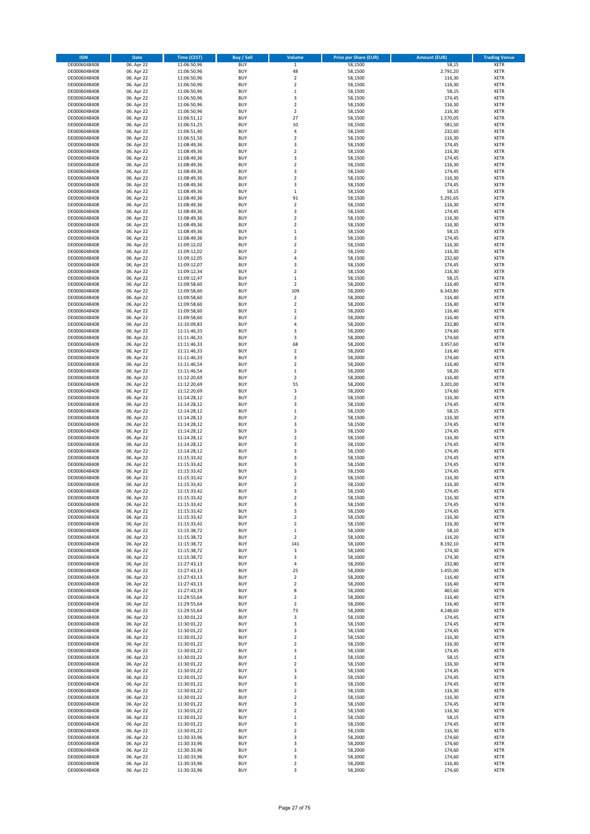| <b>ISIN</b>                  | Date                     | Time (CEST)                | <b>Buy / Sell</b>        | Volume                           | <b>Price per Share (EUR)</b> | <b>Amount (EUR)</b> | <b>Trading Venue</b>       |
|------------------------------|--------------------------|----------------------------|--------------------------|----------------------------------|------------------------------|---------------------|----------------------------|
| DE0006048408                 | 06. Apr 22               | 11:06:50,96                | <b>BUY</b>               | $\mathbf 1$                      | 58,1500                      | 58,15               | <b>XETR</b>                |
| DE0006048408                 | 06. Apr 22               | 11:06:50,96                | <b>BUY</b>               | 48                               | 58,1500                      | 2.791,20            | XETR                       |
| DE0006048408                 | 06. Apr 22               | 11:06:50,96                | <b>BUY</b>               | $\mathbf 2$                      | 58,1500                      | 116,30              | XETR                       |
| DE0006048408                 | 06. Apr 22               | 11:06:50,96                | <b>BUY</b>               | $\overline{2}$                   | 58,1500                      | 116,30              | <b>XETR</b>                |
| DE0006048408                 | 06. Apr 22               | 11:06:50,96                | <b>BUY</b>               | $\,1\,$                          | 58,1500                      | 58,15               | <b>XETR</b>                |
| DE0006048408                 | 06. Apr 22               | 11:06:50,96                | <b>BUY</b>               | 3                                | 58,1500                      | 174,45              | <b>XETR</b>                |
| DE0006048408<br>DE0006048408 | 06. Apr 22               | 11:06:50,96                | <b>BUY</b><br><b>BUY</b> | $\overline{2}$<br>$\overline{2}$ | 58,1500                      | 116,30              | <b>XETR</b><br><b>XETR</b> |
| DE0006048408                 | 06. Apr 22<br>06. Apr 22 | 11:06:50,96<br>11:06:51,12 | <b>BUY</b>               | 27                               | 58,1500<br>58,1500           | 116,30<br>1.570,05  | <b>XETR</b>                |
| DE0006048408                 | 06. Apr 22               | 11:06:51,25                | <b>BUY</b>               | 10                               | 58,1500                      | 581,50              | <b>XETR</b>                |
| DE0006048408                 | 06. Apr 22               | 11:06:51,40                | <b>BUY</b>               | $\sqrt{4}$                       | 58,1500                      | 232,60              | <b>XETR</b>                |
| DE0006048408                 | 06. Apr 22               | 11:06:51,56                | <b>BUY</b>               | $\overline{2}$                   | 58,1500                      | 116,30              | <b>XETR</b>                |
| DE0006048408                 | 06. Apr 22               | 11:08:49,36                | <b>BUY</b>               | 3                                | 58,1500                      | 174,45              | XETR                       |
| DE0006048408                 | 06. Apr 22               | 11:08:49,36                | <b>BUY</b>               | $\overline{2}$                   | 58,1500                      | 116,30              | <b>XETR</b>                |
| DE0006048408                 | 06. Apr 22               | 11:08:49,36                | <b>BUY</b>               | 3                                | 58,1500                      | 174,45              | <b>XETR</b>                |
| DE0006048408                 | 06. Apr 22               | 11:08:49,36                | <b>BUY</b>               | $\boldsymbol{2}$                 | 58,1500                      | 116,30              | <b>XETR</b>                |
| DE0006048408                 | 06. Apr 22               | 11:08:49,36                | <b>BUY</b>               | 3                                | 58,1500                      | 174,45              | <b>XETR</b>                |
| DE0006048408                 | 06. Apr 22               | 11:08:49,36                | <b>BUY</b>               | $\overline{2}$                   | 58,1500                      | 116,30              | <b>XETR</b>                |
| DE0006048408                 | 06. Apr 22               | 11:08:49,36                | <b>BUY</b>               | 3                                | 58,1500                      | 174,45              | <b>XETR</b>                |
| DE0006048408<br>DE0006048408 | 06. Apr 22<br>06. Apr 22 | 11:08:49,36<br>11:08:49,36 | <b>BUY</b><br><b>BUY</b> | $\,$ 1<br>91                     | 58,1500<br>58,1500           | 58,15<br>5.291,65   | <b>XETR</b><br><b>XETR</b> |
| DE0006048408                 | 06. Apr 22               | 11:08:49,36                | <b>BUY</b>               | $\mathbf 2$                      | 58,1500                      | 116,30              | <b>XETR</b>                |
| DE0006048408                 | 06. Apr 22               | 11:08:49,36                | <b>BUY</b>               | 3                                | 58,1500                      | 174,45              | <b>XETR</b>                |
| DE0006048408                 | 06. Apr 22               | 11:08:49,36                | <b>BUY</b>               | $\mathbf 2$                      | 58,1500                      | 116,30              | <b>XETR</b>                |
| DE0006048408                 | 06. Apr 22               | 11:08:49,36                | <b>BUY</b>               | $\overline{2}$                   | 58,1500                      | 116,30              | <b>XETR</b>                |
| DE0006048408                 | 06. Apr 22               | 11:08:49,36                | <b>BUY</b>               | $\mathbf 1$                      | 58,1500                      | 58,15               | <b>XETR</b>                |
| DE0006048408                 | 06. Apr 22               | 11:08:49,36                | <b>BUY</b>               | 3                                | 58,1500                      | 174,45              | <b>XETR</b>                |
| DE0006048408                 | 06. Apr 22               | 11:09:12,02                | <b>BUY</b>               | $\mathbf 2$                      | 58,1500                      | 116,30              | <b>XETR</b>                |
| DE0006048408                 | 06. Apr 22               | 11:09:12,02                | <b>BUY</b>               | $\overline{2}$                   | 58,1500                      | 116,30              | <b>XETR</b>                |
| DE0006048408<br>DE0006048408 | 06. Apr 22<br>06. Apr 22 | 11:09:12,05<br>11:09:12,07 | <b>BUY</b><br><b>BUY</b> | 4<br>3                           | 58,1500<br>58,1500           | 232,60<br>174,45    | XETR<br><b>XETR</b>        |
| DE0006048408                 | 06. Apr 22               | 11:09:12,34                | <b>BUY</b>               | $\boldsymbol{2}$                 | 58,1500                      | 116,30              | XETR                       |
| DE0006048408                 | 06. Apr 22               | 11:09:12,47                | <b>BUY</b>               | $\mathbf 1$                      | 58,1500                      | 58,15               | <b>XETR</b>                |
| DE0006048408                 | 06. Apr 22               | 11:09:58,60                | <b>BUY</b>               | $\boldsymbol{2}$                 | 58,2000                      | 116,40              | XETR                       |
| DE0006048408                 | 06. Apr 22               | 11:09:58,60                | <b>BUY</b>               | 109                              | 58,2000                      | 6.343,80            | <b>XETR</b>                |
| DE0006048408                 | 06. Apr 22               | 11:09:58,60                | <b>BUY</b>               | $\mathbf 2$                      | 58,2000                      | 116,40              | XETR                       |
| DE0006048408                 | 06. Apr 22               | 11:09:58,60                | <b>BUY</b>               | $\overline{2}$                   | 58,2000                      | 116,40              | <b>XETR</b>                |
| DE0006048408                 | 06. Apr 22               | 11:09:58,60                | <b>BUY</b>               | $\boldsymbol{2}$                 | 58,2000                      | 116,40              | <b>XETR</b>                |
| DE0006048408                 | 06. Apr 22               | 11:09:58,60                | <b>BUY</b>               | $\overline{2}$                   | 58,2000                      | 116,40              | <b>XETR</b>                |
| DE0006048408                 | 06. Apr 22               | 11:10:09,83                | <b>BUY</b>               | $\sqrt{4}$                       | 58,2000                      | 232,80              | <b>XETR</b>                |
| DE0006048408                 | 06. Apr 22               | 11:11:46,33                | <b>BUY</b>               | 3                                | 58,2000                      | 174,60              | <b>XETR</b>                |
| DE0006048408                 | 06. Apr 22               | 11:11:46,33                | <b>BUY</b><br><b>BUY</b> | 3<br>68                          | 58,2000                      | 174,60              | <b>XETR</b><br><b>XETR</b> |
| DE0006048408<br>DE0006048408 | 06. Apr 22<br>06. Apr 22 | 11:11:46,33<br>11:11:46,33 | <b>BUY</b>               | $\overline{2}$                   | 58,2000<br>58,2000           | 3.957,60<br>116,40  | <b>XETR</b>                |
| DE0006048408                 | 06. Apr 22               | 11:11:46,33                | <b>BUY</b>               | 3                                | 58,2000                      | 174,60              | <b>XETR</b>                |
| DE0006048408                 | 06. Apr 22               | 11:11:46,54                | <b>BUY</b>               | $\boldsymbol{2}$                 | 58,2000                      | 116,40              | <b>XETR</b>                |
| DE0006048408                 | 06. Apr 22               | 11:11:46,54                | <b>BUY</b>               | $\,1\,$                          | 58,2000                      | 58,20               | <b>XETR</b>                |
| DE0006048408                 | 06. Apr 22               | 11:12:20,69                | <b>BUY</b>               | $\boldsymbol{2}$                 | 58,2000                      | 116,40              | <b>XETR</b>                |
| DE0006048408                 | 06. Apr 22               | 11:12:20,69                | <b>BUY</b>               | 55                               | 58,2000                      | 3.201,00            | <b>XETR</b>                |
| DE0006048408                 | 06. Apr 22               | 11:12:20,69                | <b>BUY</b>               | 3                                | 58,2000                      | 174,60              | <b>XETR</b>                |
| DE0006048408                 | 06. Apr 22               | 11:14:28,12                | <b>BUY</b>               | $\boldsymbol{2}$                 | 58,1500                      | 116,30              | <b>XETR</b>                |
| DE0006048408                 | 06. Apr 22               | 11:14:28,12                | <b>BUY</b>               | 3                                | 58,1500                      | 174,45              | <b>XETR</b>                |
| DE0006048408                 | 06. Apr 22               | 11:14:28,12                | <b>BUY</b>               | $\,$ 1                           | 58,1500                      | 58,15               | <b>XETR</b>                |
| DE0006048408                 | 06. Apr 22               | 11:14:28,12                | <b>BUY</b><br><b>BUY</b> | $\overline{2}$<br>3              | 58,1500                      | 116,30              | <b>XETR</b><br><b>XETR</b> |
| DE0006048408<br>DE0006048408 | 06. Apr 22<br>06. Apr 22 | 11:14:28,12<br>11:14:28,12 | <b>BUY</b>               | 3                                | 58,1500<br>58,1500           | 174,45<br>174,45    | <b>XETR</b>                |
| DE0006048408                 | 06. Apr 22               | 11:14:28,12                | <b>BUY</b>               | $\mathbf 2$                      | 58,1500                      | 116,30              | <b>XETR</b>                |
| DE0006048408                 | 06. Apr 22               | 11:14:28,12                | <b>BUY</b>               | 3                                | 58,1500                      | 174,45              | <b>XETR</b>                |
| DE0006048408                 | 06. Apr 22               | 11:14:28,12                | <b>BUY</b>               | 3                                | 58,1500                      | 174,45              | XETR                       |
| DE0006048408                 | 06. Apr 22               | 11:15:33,42                | <b>BUY</b>               | 3                                | 58,1500                      | 174,45              | <b>XETR</b>                |
| DE0006048408                 | 06. Apr 22               | 11:15:33,42                | <b>BUY</b>               | 3                                | 58,1500                      | 174,45              | XETR                       |
| DE0006048408                 | 06. Apr 22               | 11:15:33,42                | <b>BUY</b>               | 3                                | 58,1500                      | 174,45              | <b>XETR</b>                |
| DE0006048408                 | 06. Apr 22               | 11:15:33,42                | <b>BUY</b>               | $\boldsymbol{2}$                 | 58,1500                      | 116,30              | <b>XETR</b>                |
| DE0006048408                 | 06. Apr 22               | 11:15:33,42                | <b>BUY</b>               | $\overline{2}$                   | 58,1500                      | 116,30              | <b>XETR</b>                |
| DE0006048408<br>DE0006048408 | 06. Apr 22<br>06. Apr 22 | 11:15:33,42                | <b>BUY</b><br><b>BUY</b> | 3                                | 58,1500                      | 174,45              | <b>XETR</b><br><b>XETR</b> |
| DE0006048408                 | 06. Apr 22               | 11:15:33,42<br>11:15:33,42 | <b>BUY</b>               | 2<br>3                           | 58,1500<br>58,1500           | 116,30<br>174,45    | <b>XETR</b>                |
| DE0006048408                 | 06. Apr 22               | 11:15:33,42                | <b>BUY</b>               | 3                                | 58,1500                      | 174,45              | XETR                       |
| DE0006048408                 | 06. Apr 22               | 11:15:33,42                | <b>BUY</b>               | $\boldsymbol{2}$                 | 58,1500                      | 116,30              | XETR                       |
| DE0006048408                 | 06. Apr 22               | 11:15:33,42                | <b>BUY</b>               | $\mathbf 2$                      | 58,1500                      | 116,30              | <b>XETR</b>                |
| DE0006048408                 | 06. Apr 22               | 11:15:38,72                | <b>BUY</b>               | $\,$ 1                           | 58,1000                      | 58,10               | XETR                       |
| DE0006048408                 | 06. Apr 22               | 11:15:38,72                | <b>BUY</b>               | $\boldsymbol{2}$                 | 58,1000                      | 116,20              | <b>XETR</b>                |
| DE0006048408                 | 06. Apr 22               | 11:15:38,72                | <b>BUY</b>               | 141                              | 58,1000                      | 8.192,10            | <b>XETR</b>                |
| DE0006048408                 | 06. Apr 22               | 11:15:38,72                | <b>BUY</b>               | 3                                | 58,1000                      | 174,30              | <b>XETR</b>                |
| DE0006048408                 | 06. Apr 22               | 11:15:38,72                | <b>BUY</b>               | 3                                | 58,1000<br>58,2000           | 174,30              | XETR                       |
| DE0006048408<br>DE0006048408 | 06. Apr 22<br>06. Apr 22 | 11:27:43,13<br>11:27:43,13 | <b>BUY</b><br><b>BUY</b> | 4<br>25                          | 58,2000                      | 232,80<br>1.455,00  | <b>XETR</b><br>XETR        |
| DE0006048408                 | 06. Apr 22               | 11:27:43,13                | <b>BUY</b>               | $\boldsymbol{2}$                 | 58,2000                      | 116,40              | <b>XETR</b>                |
| DE0006048408                 | 06. Apr 22               | 11:27:43,13                | <b>BUY</b>               | $\mathbf 2$                      | 58,2000                      | 116,40              | XETR                       |
| DE0006048408                 | 06. Apr 22               | 11:27:43,19                | <b>BUY</b>               | 8                                | 58,2000                      | 465,60              | <b>XETR</b>                |
| DE0006048408                 | 06. Apr 22               | 11:29:55,64                | <b>BUY</b>               | $\boldsymbol{2}$                 | 58,2000                      | 116,40              | <b>XETR</b>                |
| DE0006048408                 | 06. Apr 22               | 11:29:55,64                | <b>BUY</b>               | $\overline{\mathbf{2}}$          | 58,2000                      | 116,40              | <b>XETR</b>                |
| DE0006048408                 | 06. Apr 22               | 11:29:55,64                | <b>BUY</b>               | 73                               | 58,2000                      | 4.248,60            | <b>XETR</b>                |
| DE0006048408                 | 06. Apr 22               | 11:30:01,22                | <b>BUY</b><br><b>BUY</b> | 3                                | 58,1500                      | 174,45              | <b>XETR</b>                |
| DE0006048408<br>DE0006048408 | 06. Apr 22               | 11:30:01,22<br>11:30:01,22 | <b>BUY</b>               | 3<br>3                           | 58,1500                      | 174,45<br>174,45    | <b>XETR</b><br><b>XETR</b> |
| DE0006048408                 | 06. Apr 22<br>06. Apr 22 | 11:30:01,22                | <b>BUY</b>               | $\mathbf 2$                      | 58,1500<br>58,1500           | 116,30              | <b>XETR</b>                |
| DE0006048408                 | 06. Apr 22               | 11:30:01,22                | <b>BUY</b>               | $\overline{\mathbf{2}}$          | 58,1500                      | 116,30              | XETR                       |
| DE0006048408                 | 06. Apr 22               | 11:30:01,22                | <b>BUY</b>               | 3                                | 58,1500                      | 174,45              | <b>XETR</b>                |
| DE0006048408                 | 06. Apr 22               | 11:30:01,22                | <b>BUY</b>               | $\,1\,$                          | 58,1500                      | 58,15               | <b>XETR</b>                |
| DE0006048408                 | 06. Apr 22               | 11:30:01,22                | <b>BUY</b>               | $\overline{2}$                   | 58,1500                      | 116,30              | <b>XETR</b>                |
| DE0006048408                 | 06. Apr 22               | 11:30:01,22                | <b>BUY</b>               | 3                                | 58,1500                      | 174,45              | XETR                       |
| DE0006048408                 | 06. Apr 22               | 11:30:01,22                | <b>BUY</b>               | 3                                | 58,1500                      | 174,45              | <b>XETR</b>                |
| DE0006048408                 | 06. Apr 22               | 11:30:01,22                | <b>BUY</b>               | 3                                | 58,1500                      | 174,45              | <b>XETR</b>                |
| DE0006048408                 | 06. Apr 22               | 11:30:01,22                | <b>BUY</b>               | $\overline{2}$                   | 58,1500                      | 116,30              | <b>XETR</b>                |
| DE0006048408<br>DE0006048408 | 06. Apr 22<br>06. Apr 22 | 11:30:01,22<br>11:30:01,22 | <b>BUY</b><br><b>BUY</b> | $\overline{\mathbf{2}}$<br>3     | 58,1500<br>58,1500           | 116,30<br>174,45    | <b>XETR</b><br><b>XETR</b> |
| DE0006048408                 | 06. Apr 22               | 11:30:01,22                | <b>BUY</b>               | $\boldsymbol{2}$                 | 58,1500                      | 116,30              | <b>XETR</b>                |
| DE0006048408                 | 06. Apr 22               | 11:30:01,22                | <b>BUY</b>               | $\,1\,$                          | 58,1500                      | 58,15               | <b>XETR</b>                |
| DE0006048408                 | 06. Apr 22               | 11:30:01,22                | <b>BUY</b>               | 3                                | 58,1500                      | 174,45              | <b>XETR</b>                |
| DE0006048408                 | 06. Apr 22               | 11:30:01,22                | <b>BUY</b>               | $\overline{\mathbf{2}}$          | 58,1500                      | 116,30              | <b>XETR</b>                |
| DE0006048408                 | 06. Apr 22               | 11:30:33,96                | <b>BUY</b>               | 3                                | 58,2000                      | 174,60              | <b>XETR</b>                |
| DE0006048408                 | 06. Apr 22               | 11:30:33,96                | <b>BUY</b>               | 3                                | 58,2000                      | 174,60              | <b>XETR</b>                |
| DE0006048408                 | 06. Apr 22               | 11:30:33,96                | <b>BUY</b>               | 3                                | 58,2000                      | 174,60              | <b>XETR</b>                |
| DE0006048408                 | 06. Apr 22               | 11:30:33,96                | <b>BUY</b>               | 3                                | 58,2000                      | 174,60              | <b>XETR</b>                |
| DE0006048408                 | 06. Apr 22               | 11:30:33,96                | <b>BUY</b>               | $\boldsymbol{2}$                 | 58,2000                      | 116,40              | <b>XETR</b>                |
| DE0006048408                 | 06. Apr 22               | 11:30:33,96                | <b>BUY</b>               | 3                                | 58,2000                      | 174,60              | <b>XETR</b>                |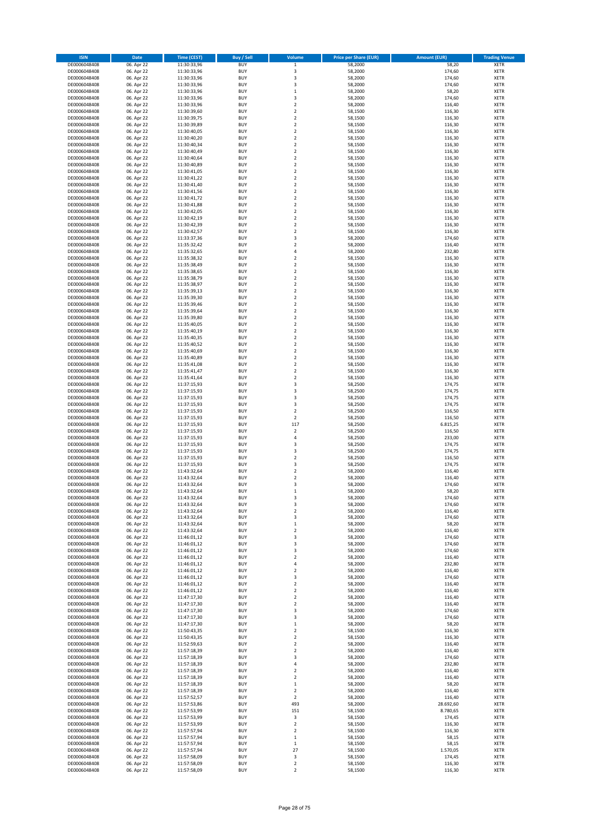| <b>ISIN</b>  | Date       | Time (CEST) | <b>Buy / Sell</b> | Volume                  | <b>Price per Share (EUR)</b> | <b>Amount (EUR)</b> | <b>Trading Venue</b> |
|--------------|------------|-------------|-------------------|-------------------------|------------------------------|---------------------|----------------------|
| DE0006048408 | 06. Apr 22 | 11:30:33,96 | <b>BUY</b>        | $\,$ 1                  | 58,2000                      | 58,20               | <b>XETR</b>          |
| DE0006048408 | 06. Apr 22 | 11:30:33,96 | <b>BUY</b>        | 3                       | 58,2000                      | 174,60              | XETR                 |
| DE0006048408 | 06. Apr 22 | 11:30:33,96 | <b>BUY</b>        | 3                       | 58,2000                      | 174,60              | XETR                 |
| DE0006048408 | 06. Apr 22 | 11:30:33,96 | <b>BUY</b>        | 3                       | 58,2000                      | 174,60              | <b>XETR</b>          |
| DE0006048408 | 06. Apr 22 | 11:30:33,96 | <b>BUY</b>        | $\,1\,$                 | 58,2000                      | 58,20               | <b>XETR</b>          |
| DE0006048408 | 06. Apr 22 | 11:30:33,96 | <b>BUY</b>        | 3                       | 58,2000                      | 174,60              | <b>XETR</b>          |
| DE0006048408 | 06. Apr 22 | 11:30:33,96 | <b>BUY</b>        | $\mathbf 2$             | 58,2000                      | 116,40              | <b>XETR</b>          |
| DE0006048408 | 06. Apr 22 | 11:30:39,60 | <b>BUY</b>        | $\overline{2}$          | 58,1500                      | 116,30              | <b>XETR</b>          |
| DE0006048408 | 06. Apr 22 | 11:30:39,75 | <b>BUY</b>        | $\boldsymbol{2}$        | 58,1500                      | 116,30              | <b>XETR</b>          |
| DE0006048408 | 06. Apr 22 | 11:30:39,89 | <b>BUY</b>        | $\overline{2}$          | 58,1500                      | 116,30              | <b>XETR</b>          |
| DE0006048408 | 06. Apr 22 | 11:30:40,05 | <b>BUY</b>        | $\mathbf 2$             | 58,1500                      | 116,30              | <b>XETR</b>          |
| DE0006048408 | 06. Apr 22 | 11:30:40,20 | <b>BUY</b>        | $\overline{2}$          | 58,1500                      | 116,30              | <b>XETR</b>          |
| DE0006048408 | 06. Apr 22 | 11:30:40,34 | <b>BUY</b>        | $\boldsymbol{2}$        | 58,1500                      | 116,30              | XETR                 |
| DE0006048408 | 06. Apr 22 | 11:30:40,49 | <b>BUY</b>        | $\overline{2}$          | 58,1500                      | 116,30              | <b>XETR</b>          |
| DE0006048408 | 06. Apr 22 | 11:30:40,64 | <b>BUY</b>        | $\boldsymbol{2}$        | 58,1500                      | 116,30              | <b>XETR</b>          |
| DE0006048408 | 06. Apr 22 | 11:30:40,89 | <b>BUY</b>        | $\boldsymbol{2}$        | 58,1500                      | 116,30              | <b>XETR</b>          |
| DE0006048408 | 06. Apr 22 | 11:30:41,05 | <b>BUY</b>        | $\boldsymbol{2}$        | 58,1500                      | 116,30              | <b>XETR</b>          |
| DE0006048408 | 06. Apr 22 | 11:30:41,22 | <b>BUY</b>        | $\boldsymbol{2}$        | 58,1500                      | 116,30              | <b>XETR</b>          |
| DE0006048408 | 06. Apr 22 | 11:30:41,40 | <b>BUY</b>        | $\overline{2}$          | 58,1500                      | 116,30              | <b>XETR</b>          |
| DE0006048408 | 06. Apr 22 | 11:30:41,56 | <b>BUY</b>        | $\mathbf 2$             | 58,1500                      | 116,30              | <b>XETR</b>          |
| DE0006048408 | 06. Apr 22 | 11:30:41,72 | <b>BUY</b>        | $\overline{2}$          | 58,1500                      | 116,30              | <b>XETR</b>          |
| DE0006048408 | 06. Apr 22 | 11:30:41,88 | <b>BUY</b>        | $\mathbf 2$             | 58,1500                      | 116,30              | <b>XETR</b>          |
| DE0006048408 | 06. Apr 22 | 11:30:42,05 | <b>BUY</b>        | $\mathbf 2$             | 58,1500                      | 116,30              | <b>XETR</b>          |
| DE0006048408 | 06. Apr 22 | 11:30:42,19 | <b>BUY</b>        | $\overline{2}$          | 58,1500                      | 116,30              | <b>XETR</b>          |
| DE0006048408 | 06. Apr 22 | 11:30:42,39 | <b>BUY</b>        | $\overline{2}$          | 58,1500                      | 116,30              | <b>XETR</b>          |
| DE0006048408 | 06. Apr 22 | 11:30:42,57 | <b>BUY</b>        | $\overline{2}$          | 58,1500                      | 116,30              | <b>XETR</b>          |
| DE0006048408 | 06. Apr 22 | 11:33:37,36 | <b>BUY</b>        | 3                       | 58,2000                      | 174,60              | <b>XETR</b>          |
| DE0006048408 | 06. Apr 22 | 11:35:32,42 | <b>BUY</b>        | $\overline{2}$          | 58,2000                      | 116,40              | <b>XETR</b>          |
| DE0006048408 | 06. Apr 22 | 11:35:32,65 | <b>BUY</b>        | $\sqrt{4}$              | 58,2000                      | 232,80              | <b>XETR</b>          |
| DE0006048408 | 06. Apr 22 | 11:35:38,32 | <b>BUY</b>        | $\boldsymbol{2}$        | 58,1500                      | 116,30              | XETR                 |
| DE0006048408 | 06. Apr 22 | 11:35:38,49 | <b>BUY</b>        | $\overline{2}$          | 58,1500                      | 116,30              | <b>XETR</b>          |
| DE0006048408 | 06. Apr 22 | 11:35:38,65 | <b>BUY</b>        | $\boldsymbol{2}$        | 58,1500                      | 116,30              | <b>XETR</b>          |
| DE0006048408 | 06. Apr 22 | 11:35:38,79 | <b>BUY</b>        | $\overline{2}$          | 58,1500                      | 116,30              | <b>XETR</b>          |
| DE0006048408 | 06. Apr 22 | 11:35:38,97 | <b>BUY</b>        | $\boldsymbol{2}$        | 58,1500                      | 116,30              | XETR                 |
| DE0006048408 | 06. Apr 22 | 11:35:39,13 | <b>BUY</b>        | $\overline{2}$          | 58,1500                      | 116,30              | <b>XETR</b>          |
| DE0006048408 | 06. Apr 22 | 11:35:39,30 | <b>BUY</b>        | $\mathbf 2$             | 58,1500                      | 116,30              | XETR                 |
| DE0006048408 | 06. Apr 22 | 11:35:39,46 | <b>BUY</b>        | $\overline{2}$          | 58,1500                      | 116,30              | <b>XETR</b>          |
| DE0006048408 | 06. Apr 22 | 11:35:39,64 | <b>BUY</b>        | $\boldsymbol{2}$        | 58,1500                      | 116,30              | XETR                 |
| DE0006048408 | 06. Apr 22 | 11:35:39,80 | <b>BUY</b>        | $\overline{2}$          | 58,1500                      | 116,30              | <b>XETR</b>          |
| DE0006048408 | 06. Apr 22 | 11:35:40,05 | <b>BUY</b>        | $\mathbf 2$             | 58,1500                      | 116,30              | <b>XETR</b>          |
| DE0006048408 | 06. Apr 22 | 11:35:40,19 | <b>BUY</b>        | $\overline{2}$          | 58.1500                      | 116,30              | <b>XETR</b>          |
| DE0006048408 | 06. Apr 22 | 11:35:40,35 | <b>BUY</b>        | $\overline{2}$          | 58,1500                      | 116,30              | <b>XETR</b>          |
| DE0006048408 | 06. Apr 22 | 11:35:40,52 | <b>BUY</b>        | $\overline{\mathbf{c}}$ | 58,1500                      | 116,30              | <b>XETR</b>          |
| DE0006048408 | 06. Apr 22 | 11:35:40,69 | <b>BUY</b>        | $\overline{\mathbf{c}}$ | 58,1500                      | 116,30              | <b>XETR</b>          |
| DE0006048408 | 06. Apr 22 | 11:35:40,89 | <b>BUY</b>        | $\mathbf 2$             | 58,1500                      | 116,30              | <b>XETR</b>          |
| DE0006048408 | 06. Apr 22 | 11:35:41,08 | <b>BUY</b>        | $\boldsymbol{2}$        | 58,1500                      | 116,30              | <b>XETR</b>          |
| DE0006048408 | 06. Apr 22 | 11:35:41,47 | <b>BUY</b>        | $\boldsymbol{2}$        | 58,1500                      | 116,30              | <b>XETR</b>          |
| DE0006048408 | 06. Apr 22 | 11:35:41,64 | <b>BUY</b>        | $\boldsymbol{2}$        | 58,1500                      | 116,30              | <b>XETR</b>          |
| DE0006048408 | 06. Apr 22 | 11:37:15,93 | <b>BUY</b>        | 3                       | 58,2500                      | 174,75              | <b>XETR</b>          |
| DE0006048408 | 06. Apr 22 | 11:37:15,93 | <b>BUY</b>        | 3                       | 58,2500                      | 174,75              | XETR                 |
| DE0006048408 | 06. Apr 22 | 11:37:15,93 | <b>BUY</b>        | 3                       | 58,2500                      | 174,75              | <b>XETR</b>          |
| DE0006048408 | 06. Apr 22 | 11:37:15,93 | <b>BUY</b>        | 3                       | 58,2500                      | 174,75              | <b>XETR</b>          |
| DE0006048408 | 06. Apr 22 | 11:37:15,93 | <b>BUY</b>        | $\boldsymbol{2}$        | 58,2500                      | 116,50              | <b>XETR</b>          |
| DE0006048408 | 06. Apr 22 | 11:37:15,93 | <b>BUY</b>        | $\boldsymbol{2}$        | 58,2500                      | 116,50              | <b>XETR</b>          |
| DE0006048408 | 06. Apr 22 | 11:37:15,93 | <b>BUY</b>        | 117                     | 58,2500                      | 6.815,25            | <b>XETR</b>          |
| DE0006048408 | 06. Apr 22 | 11:37:15,93 | <b>BUY</b>        | $\overline{\mathbf{c}}$ | 58,2500                      | 116,50              | <b>XETR</b>          |
| DE0006048408 | 06. Apr 22 | 11:37:15,93 | <b>BUY</b>        | $\sqrt{4}$              | 58,2500                      | 233,00              | <b>XETR</b>          |
| DE0006048408 | 06. Apr 22 | 11:37:15,93 | <b>BUY</b>        | 3                       | 58,2500                      | 174,75              | <b>XETR</b>          |
| DE0006048408 | 06. Apr 22 | 11:37:15,93 | <b>BUY</b>        | 3                       | 58,2500                      | 174,75              | XETR                 |
| DE0006048408 | 06. Apr 22 | 11:37:15,93 | <b>BUY</b>        | $\overline{2}$          | 58,2500                      | 116,50              | <b>XETR</b>          |
| DE0006048408 | 06. Apr 22 | 11:37:15,93 | <b>BUY</b>        | 3                       | 58,2500                      | 174,75              | XETR                 |
| DE0006048408 | 06. Apr 22 | 11:43:32,64 | <b>BUY</b>        | $\overline{2}$          | 58,2000                      | 116,40              | <b>XETR</b>          |
| DE0006048408 | 06. Apr 22 | 11:43:32,64 | <b>BUY</b>        | $\overline{\mathbf{2}}$ | 58,2000                      | 116,40              | <b>XETR</b>          |
| DE0006048408 | 06. Apr 22 | 11:43:32.64 | <b>BUY</b>        | 3                       | 58,2000                      | 174,60              | <b>XETR</b>          |
| DE0006048408 | 06. Apr 22 | 11:43:32,64 | <b>BUY</b>        | $\mathbf 1$             | 58,2000                      | 58,20               | <b>XETR</b>          |
| DE0006048408 | 06. Apr 22 | 11:43:32,64 | <b>BUY</b>        | 3                       | 58,2000                      | 174,60              | <b>XETR</b>          |
| DE0006048408 | 06. Apr 22 | 11:43:32,64 | <b>BUY</b>        | 3                       | 58,2000                      | 174,60              | <b>XETR</b>          |
| DE0006048408 | 06. Apr 22 | 11:43:32,64 | <b>BUY</b>        | $\boldsymbol{2}$        | 58,2000                      | 116,40              | XETR                 |
| DE0006048408 | 06. Apr 22 | 11:43:32,64 | <b>BUY</b>        | 3                       | 58,2000                      | 174,60              | XETR                 |
| DE0006048408 | 06. Apr 22 | 11:43:32,64 | <b>BUY</b>        | $\,1\,$                 | 58,2000                      | 58,20               | <b>XETR</b>          |
| DE0006048408 | 06. Apr 22 | 11:43:32,64 | <b>BUY</b>        | $\boldsymbol{2}$        | 58,2000                      | 116,40              | XETR                 |
| DE0006048408 | 06. Apr 22 | 11:46:01,12 | <b>BUY</b>        | 3                       | 58,2000                      | 174,60              | <b>XETR</b>          |
| DE0006048408 | 06. Apr 22 | 11:46:01,12 | <b>BUY</b>        | 3                       | 58,2000                      | 174,60              | <b>XETR</b>          |
| DE0006048408 | 06. Apr 22 | 11:46:01,12 | <b>BUY</b>        | 3                       | 58,2000                      | 174,60              | <b>XETR</b>          |
| DE0006048408 | 06. Apr 22 | 11:46:01,12 | <b>BUY</b>        | $\boldsymbol{2}$        | 58,2000                      | 116,40              | XETR                 |
| DE0006048408 | 06. Apr 22 | 11:46:01,12 | <b>BUY</b>        | 4                       | 58,2000                      | 232,80              | <b>XETR</b>          |
| DE0006048408 | 06. Apr 22 | 11:46:01,12 | <b>BUY</b>        | $\boldsymbol{2}$        | 58,2000                      | 116,40              | XETR                 |
| DE0006048408 | 06. Apr 22 | 11:46:01,12 | <b>BUY</b>        | 3                       | 58,2000                      | 174,60              | <b>XETR</b>          |
| DE0006048408 | 06. Apr 22 | 11:46:01,12 | <b>BUY</b>        | $\mathbf 2$             | 58,2000                      | 116,40              | XETR                 |
| DE0006048408 | 06. Apr 22 | 11:46:01,12 | <b>BUY</b>        | $\boldsymbol{2}$        | 58,2000                      | 116,40              | <b>XETR</b>          |
| DE0006048408 | 06. Apr 22 | 11:47:17,30 | <b>BUY</b>        | $\boldsymbol{2}$        | 58,2000                      | 116,40              | <b>XETR</b>          |
| DE0006048408 | 06. Apr 22 | 11:47:17,30 | <b>BUY</b>        | $\boldsymbol{2}$        | 58,2000                      | 116,40              | <b>XETR</b>          |
| DE0006048408 | 06. Apr 22 | 11:47:17,30 | <b>BUY</b>        | 3                       | 58,2000                      | 174,60              | <b>XETR</b>          |
| DE0006048408 | 06. Apr 22 | 11:47:17,30 | <b>BUY</b>        | 3                       | 58,2000                      | 174,60              | <b>XETR</b>          |
| DE0006048408 | 06. Apr 22 | 11:47:17,30 | <b>BUY</b>        | $\mathbf 1$             | 58,2000                      | 58,20               | <b>XETR</b>          |
| DE0006048408 | 06. Apr 22 | 11:50:43,35 | <b>BUY</b>        | $\boldsymbol{2}$        | 58,1500                      | 116,30              | <b>XETR</b>          |
| DE0006048408 | 06. Apr 22 | 11:50:43,35 | <b>BUY</b>        | $\mathbf 2$             | 58,1500                      | 116,30              | <b>XETR</b>          |
| DE0006048408 | 06. Apr 22 | 11:52:59,63 | <b>BUY</b>        | $\boldsymbol{2}$        | 58,2000                      | 116,40              | XETR                 |
| DE0006048408 | 06. Apr 22 | 11:57:18,39 | <b>BUY</b>        | $\overline{2}$          | 58,2000                      | 116,40              | <b>XETR</b>          |
| DE0006048408 | 06. Apr 22 | 11:57:18,39 | <b>BUY</b>        | 3                       | 58,2000                      | 174,60              | XETR                 |
| DE0006048408 | 06. Apr 22 | 11:57:18,39 | <b>BUY</b>        | 4                       | 58,2000                      | 232,80              | <b>XETR</b>          |
| DE0006048408 | 06. Apr 22 | 11:57:18,39 | <b>BUY</b>        | $\boldsymbol{2}$        | 58,2000                      | 116,40              | XETR                 |
| DE0006048408 | 06. Apr 22 | 11:57:18,39 | <b>BUY</b>        | $\overline{2}$          | 58,2000                      | 116,40              | <b>XETR</b>          |
| DE0006048408 | 06. Apr 22 | 11:57:18,39 | <b>BUY</b>        | $\,1\,$                 | 58,2000                      | 58,20               | <b>XETR</b>          |
| DE0006048408 | 06. Apr 22 | 11:57:18,39 | <b>BUY</b>        | $\overline{2}$          | 58,2000                      | 116,40              | <b>XETR</b>          |
| DE0006048408 | 06. Apr 22 | 11:57:52,57 | <b>BUY</b>        | $\overline{\mathbf{2}}$ | 58,2000                      | 116,40              | XETR                 |
| DE0006048408 | 06. Apr 22 | 11:57:53,86 | <b>BUY</b>        | 493                     | 58,2000                      | 28.692,60           | <b>XETR</b>          |
| DE0006048408 | 06. Apr 22 | 11:57:53,99 | <b>BUY</b>        | 151                     | 58,1500                      | 8.780,65            | XETR                 |
| DE0006048408 | 06. Apr 22 | 11:57:53,99 | <b>BUY</b>        | 3                       | 58,1500                      | 174,45              | <b>XETR</b>          |
| DE0006048408 | 06. Apr 22 | 11:57:53,99 | <b>BUY</b>        | $\boldsymbol{2}$        | 58,1500                      | 116,30              | <b>XETR</b>          |
| DE0006048408 | 06. Apr 22 | 11:57:57,94 | <b>BUY</b>        | $\overline{\mathbf{2}}$ | 58,1500                      | 116,30              | <b>XETR</b>          |
| DE0006048408 | 06. Apr 22 | 11:57:57,94 | <b>BUY</b>        | $\,1\,$                 | 58,1500                      | 58,15               | XETR                 |
| DE0006048408 | 06. Apr 22 | 11:57:57,94 | <b>BUY</b>        | $\,$ 1                  | 58,1500                      | 58,15               | <b>XETR</b>          |
| DE0006048408 | 06. Apr 22 | 11:57:57,94 | <b>BUY</b>        | 27                      | 58,1500                      | 1.570,05            | XETR                 |
| DE0006048408 | 06. Apr 22 | 11:57:58,09 | <b>BUY</b>        | 3                       | 58,1500                      | 174,45              | <b>XETR</b>          |
| DE0006048408 | 06. Apr 22 | 11:57:58,09 | <b>BUY</b>        | $\boldsymbol{2}$        | 58,1500                      | 116,30              | XETR                 |
| DE0006048408 | 06. Apr 22 | 11:57:58,09 | <b>BUY</b>        | $\mathbf 2$             | 58,1500                      | 116,30              | <b>XETR</b>          |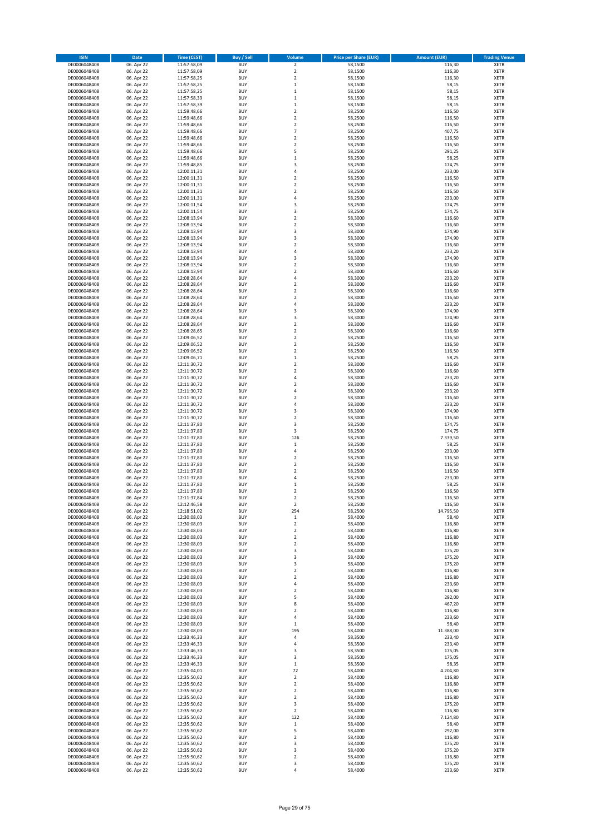| <b>ISIN</b>                  | Date                     | Time (CEST)                | <b>Buy / Sell</b>        | Volume                                      | <b>Price per Share (EUR)</b> | <b>Amount (EUR)</b> | <b>Trading Venue</b>       |
|------------------------------|--------------------------|----------------------------|--------------------------|---------------------------------------------|------------------------------|---------------------|----------------------------|
| DE0006048408                 | 06. Apr 22               | 11:57:58,09                | <b>BUY</b>               | $\mathbf 2$                                 | 58,1500                      | 116,30              | <b>XETR</b>                |
| DE0006048408                 | 06. Apr 22               | 11:57:58,09                | <b>BUY</b>               | $\overline{\mathbf{c}}$                     | 58,1500                      | 116,30              | XETR                       |
| DE0006048408                 | 06. Apr 22               | 11:57:58,25                | <b>BUY</b>               | $\mathbf 2$                                 | 58,1500                      | 116,30              | XETR                       |
| DE0006048408                 | 06. Apr 22               | 11:57:58,25                | <b>BUY</b>               | $\,1\,$                                     | 58,1500                      | 58,15               | <b>XETR</b>                |
| DE0006048408<br>DE0006048408 | 06. Apr 22<br>06. Apr 22 | 11:57:58,25<br>11:57:58,39 | <b>BUY</b><br><b>BUY</b> | $\,$ 1<br>$\mathbf{1}$                      | 58,1500<br>58,1500           | 58,15<br>58,15      | <b>XETR</b><br><b>XETR</b> |
| DE0006048408                 | 06. Apr 22               | 11:57:58,39                | <b>BUY</b>               | $\mathbf{1}$                                | 58,1500                      | 58,15               | <b>XETR</b>                |
| DE0006048408                 | 06. Apr 22               | 11:59:48,66                | <b>BUY</b>               | $\overline{\mathbf{c}}$                     | 58,2500                      | 116,50              | <b>XETR</b>                |
| DE0006048408                 | 06. Apr 22               | 11:59:48,66                | <b>BUY</b>               | $\boldsymbol{2}$                            | 58,2500                      | 116,50              | <b>XETR</b>                |
| DE0006048408                 | 06. Apr 22               | 11:59:48,66                | <b>BUY</b>               | $\overline{\mathbf{c}}$                     | 58,2500                      | 116,50              | <b>XETR</b>                |
| DE0006048408                 | 06. Apr 22               | 11:59:48,66                | <b>BUY</b><br><b>BUY</b> | $\overline{7}$<br>$\overline{\mathbf{c}}$   | 58,2500<br>58,2500           | 407,75<br>116,50    | XETR<br><b>XETR</b>        |
| DE0006048408<br>DE0006048408 | 06. Apr 22<br>06. Apr 22 | 11:59:48,66<br>11:59:48,66 | <b>BUY</b>               | $\boldsymbol{2}$                            | 58,2500                      | 116,50              | XETR                       |
| DE0006048408                 | 06. Apr 22               | 11:59:48,66                | <b>BUY</b>               | 5                                           | 58,2500                      | 291,25              | <b>XETR</b>                |
| DE0006048408                 | 06. Apr 22               | 11:59:48,66                | <b>BUY</b>               | $\,$ 1                                      | 58,2500                      | 58,25               | <b>XETR</b>                |
| DE0006048408                 | 06. Apr 22               | 11:59:48,85                | <b>BUY</b>               | 3                                           | 58,2500                      | 174,75              | <b>XETR</b>                |
| DE0006048408                 | 06. Apr 22               | 12:00:11,31                | <b>BUY</b>               | $\sqrt{4}$                                  | 58,2500                      | 233,00              | <b>XETR</b>                |
| DE0006048408<br>DE0006048408 | 06. Apr 22<br>06. Apr 22 | 12:00:11,31<br>12:00:11,31 | <b>BUY</b><br><b>BUY</b> | $\boldsymbol{2}$<br>$\overline{\mathbf{c}}$ | 58,2500<br>58,2500           | 116,50<br>116,50    | <b>XETR</b><br><b>XETR</b> |
| DE0006048408                 | 06. Apr 22               | 12:00:11,31                | <b>BUY</b>               | $\mathbf 2$                                 | 58,2500                      | 116,50              | <b>XETR</b>                |
| DE0006048408                 | 06. Apr 22               | 12:00:11,31                | <b>BUY</b>               | $\sqrt{4}$                                  | 58,2500                      | 233,00              | <b>XETR</b>                |
| DE0006048408                 | 06. Apr 22               | 12:00:11,54                | <b>BUY</b>               | 3                                           | 58,2500                      | 174,75              | <b>XETR</b>                |
| DE0006048408                 | 06. Apr 22               | 12:00:11,54                | <b>BUY</b>               | 3                                           | 58,2500                      | 174,75              | <b>XETR</b>                |
| DE0006048408                 | 06. Apr 22               | 12:08:13,94                | <b>BUY</b>               | $\mathbf 2$                                 | 58,3000                      | 116,60              | <b>XETR</b>                |
| DE0006048408                 | 06. Apr 22               | 12:08:13,94                | <b>BUY</b><br><b>BUY</b> | $\overline{\mathbf{c}}$<br>3                | 58,3000                      | 116,60              | <b>XETR</b>                |
| DE0006048408<br>DE0006048408 | 06. Apr 22<br>06. Apr 22 | 12:08:13,94<br>12:08:13,94 | <b>BUY</b>               | 3                                           | 58,3000<br>58,3000           | 174,90<br>174,90    | <b>XETR</b><br><b>XETR</b> |
| DE0006048408                 | 06. Apr 22               | 12:08:13,94                | <b>BUY</b>               | $\overline{\mathbf{c}}$                     | 58,3000                      | 116,60              | <b>XETR</b>                |
| DE0006048408                 | 06. Apr 22               | 12:08:13,94                | <b>BUY</b>               | $\sqrt{4}$                                  | 58,3000                      | 233,20              | <b>XETR</b>                |
| DE0006048408                 | 06. Apr 22               | 12:08:13,94                | <b>BUY</b>               | 3                                           | 58,3000                      | 174,90              | XETR                       |
| DE0006048408                 | 06. Apr 22               | 12:08:13,94                | <b>BUY</b>               | $\overline{\mathbf{c}}$                     | 58,3000                      | 116,60              | <b>XETR</b>                |
| DE0006048408<br>DE0006048408 | 06. Apr 22<br>06. Apr 22 | 12:08:13,94<br>12:08:28,64 | <b>BUY</b><br><b>BUY</b> | $\boldsymbol{2}$<br>$\sqrt{4}$              | 58,3000<br>58,3000           | 116,60<br>233,20    | <b>XETR</b><br><b>XETR</b> |
| DE0006048408                 | 06. Apr 22               | 12:08:28,64                | <b>BUY</b>               | $\boldsymbol{2}$                            | 58,3000                      | 116,60              | XETR                       |
| DE0006048408                 | 06. Apr 22               | 12:08:28,64                | <b>BUY</b>               | $\overline{2}$                              | 58,3000                      | 116,60              | <b>XETR</b>                |
| DE0006048408                 | 06. Apr 22               | 12:08:28,64                | <b>BUY</b>               | $\boldsymbol{2}$                            | 58,3000                      | 116,60              | XETR                       |
| DE0006048408                 | 06. Apr 22               | 12:08:28,64                | <b>BUY</b>               | $\sqrt{4}$                                  | 58,3000                      | 233,20              | <b>XETR</b>                |
| DE0006048408                 | 06. Apr 22               | 12:08:28,64                | <b>BUY</b>               | 3                                           | 58,3000                      | 174,90              | XETR                       |
| DE0006048408<br>DE0006048408 | 06. Apr 22<br>06. Apr 22 | 12:08:28,64<br>12:08:28,64 | <b>BUY</b><br><b>BUY</b> | 3<br>$\mathbf 2$                            | 58,3000<br>58,3000           | 174,90<br>116,60    | <b>XETR</b><br><b>XETR</b> |
| DE0006048408                 | 06. Apr 22               | 12:08:28,65                | <b>BUY</b>               | $\overline{2}$                              | 58.3000                      | 116,60              | <b>XETR</b>                |
| DE0006048408                 | 06. Apr 22               | 12:09:06,52                | <b>BUY</b>               | $\overline{2}$                              | 58,2500                      | 116,50              | <b>XETR</b>                |
| DE0006048408                 | 06. Apr 22               | 12:09:06,52                | <b>BUY</b>               | $\overline{2}$                              | 58,2500                      | 116,50              | <b>XETR</b>                |
| DE0006048408                 | 06. Apr 22               | 12:09:06,52                | <b>BUY</b>               | $\overline{2}$                              | 58,2500                      | 116,50              | <b>XETR</b>                |
| DE0006048408                 | 06. Apr 22               | 12:09:06,71                | <b>BUY</b>               | $\,$ 1                                      | 58,2500                      | 58,25               | <b>XETR</b>                |
| DE0006048408<br>DE0006048408 | 06. Apr 22<br>06. Apr 22 | 12:11:30,72<br>12:11:30,72 | <b>BUY</b><br><b>BUY</b> | $\boldsymbol{2}$<br>$\boldsymbol{2}$        | 58,3000<br>58,3000           | 116,60<br>116,60    | <b>XETR</b><br><b>XETR</b> |
| DE0006048408                 | 06. Apr 22               | 12:11:30,72                | <b>BUY</b>               | $\sqrt{4}$                                  | 58,3000                      | 233,20              | <b>XETR</b>                |
| DE0006048408                 | 06. Apr 22               | 12:11:30,72                | <b>BUY</b>               | $\boldsymbol{2}$                            | 58,3000                      | 116,60              | <b>XETR</b>                |
| DE0006048408                 | 06. Apr 22               | 12:11:30,72                | <b>BUY</b>               | $\sqrt{4}$                                  | 58,3000                      | 233,20              | <b>XETR</b>                |
| DE0006048408                 | 06. Apr 22               | 12:11:30,72                | <b>BUY</b>               | $\overline{2}$                              | 58,3000                      | 116,60              | <b>XETR</b>                |
| DE0006048408                 | 06. Apr 22               | 12:11:30,72                | <b>BUY</b>               | $\overline{4}$                              | 58,3000                      | 233,20              | <b>XETR</b>                |
| DE0006048408<br>DE0006048408 | 06. Apr 22<br>06. Apr 22 | 12:11:30,72<br>12:11:30,72 | <b>BUY</b><br><b>BUY</b> | 3<br>$\overline{2}$                         | 58,3000<br>58,3000           | 174,90<br>116,60    | <b>XETR</b><br><b>XETR</b> |
| DE0006048408                 | 06. Apr 22               | 12:11:37,80                | <b>BUY</b>               | 3                                           | 58,2500                      | 174,75              | <b>XETR</b>                |
| DE0006048408                 | 06. Apr 22               | 12:11:37,80                | <b>BUY</b>               | 3                                           | 58,2500                      | 174,75              | <b>XETR</b>                |
| DE0006048408                 | 06. Apr 22               | 12:11:37,80                | <b>BUY</b>               | 126                                         | 58,2500                      | 7.339,50            | <b>XETR</b>                |
| DE0006048408                 | 06. Apr 22               | 12:11:37,80                | <b>BUY</b>               | $\mathbf 1$                                 | 58,2500                      | 58,25               | <b>XETR</b>                |
| DE0006048408                 | 06. Apr 22               | 12:11:37,80                | <b>BUY</b><br><b>BUY</b> | 4<br>$\overline{2}$                         | 58,2500                      | 233,00              | <b>XETR</b><br><b>XETR</b> |
| DE0006048408<br>DE0006048408 | 06. Apr 22<br>06. Apr 22 | 12:11:37,80<br>12:11:37,80 | <b>BUY</b>               | $\boldsymbol{2}$                            | 58,2500<br>58,2500           | 116,50<br>116,50    | XETR                       |
| DE0006048408                 | 06. Apr 22               | 12:11:37,80                | <b>BUY</b>               | $\overline{\mathbf{c}}$                     | 58,2500                      | 116,50              | <b>XETR</b>                |
| DE0006048408                 | 06. Apr 22               | 12:11:37,80                | <b>BUY</b>               | 4                                           | 58,2500                      | 233,00              | <b>XETR</b>                |
| DE0006048408                 | 06. Apr 22               | 12:11:37,80                | <b>BUY</b>               | $\mathbf 1$                                 | 58,2500                      | 58,25               | <b>XETR</b>                |
| DE0006048408                 | 06. Apr 22               | 12:11:37,80                | <b>BUY</b>               | $\overline{\mathbf{c}}$                     | 58,2500                      | 116,50              | <b>XETR</b>                |
| DE0006048408                 | 06. Apr 22               | 12:11:37,84                | <b>BUY</b>               | $\overline{\mathbf{2}}$                     | 58,2500                      | 116,50              | <b>XETR</b>                |
| DE0006048408<br>DE0006048408 | 06. Apr 22<br>06. Apr 22 | 12:12:46,58<br>12:18:51,02 | <b>BUY</b><br><b>BUY</b> | $\overline{\mathbf{2}}$<br>254              | 58,2500<br>58,2500           | 116,50<br>14.795,50 | <b>XETR</b><br>XETR        |
| DE0006048408                 | 06. Apr 22               | 12:30:08,03                | <b>BUY</b>               | $\,$ 1                                      | 58,4000                      | 58,40               | <b>XETR</b>                |
| DE0006048408                 | 06. Apr 22               | 12:30:08,03                | <b>BUY</b>               | $\mathbf 2$                                 | 58,4000                      | 116,80              | <b>XETR</b>                |
| DE0006048408                 | 06. Apr 22               | 12:30:08,03                | <b>BUY</b>               | $\boldsymbol{2}$                            | 58,4000                      | 116,80              | <b>XETR</b>                |
| DE0006048408                 | 06. Apr 22               | 12:30:08,03                | <b>BUY</b>               | $\boldsymbol{2}$                            | 58,4000                      | 116,80              | <b>XETR</b>                |
| DE0006048408<br>DE0006048408 | 06. Apr 22<br>06. Apr 22 | 12:30:08,03<br>12:30:08,03 | <b>BUY</b><br><b>BUY</b> | $\boldsymbol{2}$<br>3                       | 58,4000<br>58,4000           | 116,80<br>175,20    | <b>XETR</b><br><b>XETR</b> |
| DE0006048408                 | 06. Apr 22               | 12:30:08,03                | <b>BUY</b>               | 3                                           | 58,4000                      | 175,20              | <b>XETR</b>                |
| DE0006048408                 | 06. Apr 22               | 12:30:08,03                | <b>BUY</b>               | 3                                           | 58,4000                      | 175,20              | <b>XETR</b>                |
| DE0006048408                 | 06. Apr 22               | 12:30:08,03                | <b>BUY</b>               | $\overline{\mathbf{c}}$                     | 58,4000                      | 116,80              | XETR                       |
| DE0006048408                 | 06. Apr 22               | 12:30:08,03                | <b>BUY</b>               | $\mathbf 2$                                 | 58,4000                      | 116,80              | <b>XETR</b>                |
| DE0006048408                 | 06. Apr 22               | 12:30:08,03                | <b>BUY</b>               | 4<br>$\boldsymbol{2}$                       | 58,4000<br>58,4000           | 233,60              | XETR                       |
| DE0006048408<br>DE0006048408 | 06. Apr 22<br>06. Apr 22 | 12:30:08,03<br>12:30:08,03 | <b>BUY</b><br><b>BUY</b> | 5                                           | 58,4000                      | 116,80<br>292,00    | <b>XETR</b><br><b>XETR</b> |
| DE0006048408                 | 06. Apr 22               | 12:30:08,03                | <b>BUY</b>               | 8                                           | 58,4000                      | 467,20              | <b>XETR</b>                |
| DE0006048408                 | 06. Apr 22               | 12:30:08,03                | <b>BUY</b>               | $\overline{\mathbf{2}}$                     | 58,4000                      | 116,80              | <b>XETR</b>                |
| DE0006048408                 | 06. Apr 22               | 12:30:08,03                | <b>BUY</b>               | 4                                           | 58,4000                      | 233,60              | <b>XETR</b>                |
| DE0006048408                 | 06. Apr 22               | 12:30:08,03                | <b>BUY</b>               | $\mathbf 1$                                 | 58,4000                      | 58,40               | <b>XETR</b>                |
| DE0006048408                 | 06. Apr 22               | 12:30:08,03                | <b>BUY</b><br><b>BUY</b> | 195<br>$\sqrt{4}$                           | 58,4000                      | 11.388,00           | <b>XETR</b>                |
| DE0006048408<br>DE0006048408 | 06. Apr 22<br>06. Apr 22 | 12:33:46,33<br>12:33:46,33 | <b>BUY</b>               | 4                                           | 58,3500<br>58,3500           | 233,40<br>233,40    | <b>XETR</b><br>XETR        |
| DE0006048408                 | 06. Apr 22               | 12:33:46,33                | <b>BUY</b>               | 3                                           | 58,3500                      | 175,05              | <b>XETR</b>                |
| DE0006048408                 | 06. Apr 22               | 12:33:46,33                | <b>BUY</b>               | 3                                           | 58,3500                      | 175,05              | XETR                       |
| DE0006048408                 | 06. Apr 22               | 12:33:46,33                | <b>BUY</b>               | $\mathbf 1$                                 | 58,3500                      | 58,35               | <b>XETR</b>                |
| DE0006048408                 | 06. Apr 22               | 12:35:04,01                | <b>BUY</b>               | 72                                          | 58,4000                      | 4.204,80            | XETR                       |
| DE0006048408                 | 06. Apr 22<br>06. Apr 22 | 12:35:50,62<br>12:35:50,62 | <b>BUY</b><br><b>BUY</b> | $\overline{\mathbf{c}}$<br>$\boldsymbol{2}$ | 58,4000<br>58,4000           | 116,80<br>116,80    | <b>XETR</b>                |
| DE0006048408<br>DE0006048408 | 06. Apr 22               | 12:35:50,62                | <b>BUY</b>               | $\overline{2}$                              | 58,4000                      | 116,80              | <b>XETR</b><br><b>XETR</b> |
| DE0006048408                 | 06. Apr 22               | 12:35:50,62                | <b>BUY</b>               | $\overline{\mathbf{2}}$                     | 58,4000                      | 116,80              | XETR                       |
| DE0006048408                 | 06. Apr 22               | 12:35:50,62                | <b>BUY</b>               | 3                                           | 58,4000                      | 175,20              | <b>XETR</b>                |
| DE0006048408                 | 06. Apr 22               | 12:35:50,62                | <b>BUY</b>               | $\boldsymbol{2}$                            | 58,4000                      | 116,80              | XETR                       |
| DE0006048408                 | 06. Apr 22               | 12:35:50,62                | <b>BUY</b>               | 122                                         | 58,4000                      | 7.124,80            | <b>XETR</b>                |
| DE0006048408<br>DE0006048408 | 06. Apr 22<br>06. Apr 22 | 12:35:50,62<br>12:35:50,62 | <b>BUY</b><br><b>BUY</b> | $\,$ 1<br>5                                 | 58,4000<br>58,4000           | 58,40<br>292,00     | <b>XETR</b><br><b>XETR</b> |
| DE0006048408                 | 06. Apr 22               | 12:35:50,62                | <b>BUY</b>               | $\boldsymbol{2}$                            | 58,4000                      | 116,80              | XETR                       |
| DE0006048408                 | 06. Apr 22               | 12:35:50,62                | <b>BUY</b>               | 3                                           | 58,4000                      | 175,20              | <b>XETR</b>                |
| DE0006048408                 | 06. Apr 22               | 12:35:50,62                | <b>BUY</b>               | 3                                           | 58,4000                      | 175,20              | XETR                       |
| DE0006048408                 | 06. Apr 22               | 12:35:50,62                | <b>BUY</b>               | $\mathbf 2$                                 | 58,4000                      | 116,80              | <b>XETR</b>                |
| DE0006048408                 | 06. Apr 22               | 12:35:50,62                | <b>BUY</b>               | 3                                           | 58,4000                      | 175,20              | <b>XETR</b>                |
| DE0006048408                 | 06. Apr 22               | 12:35:50,62                | <b>BUY</b>               | 4                                           | 58,4000                      | 233,60              | <b>XETR</b>                |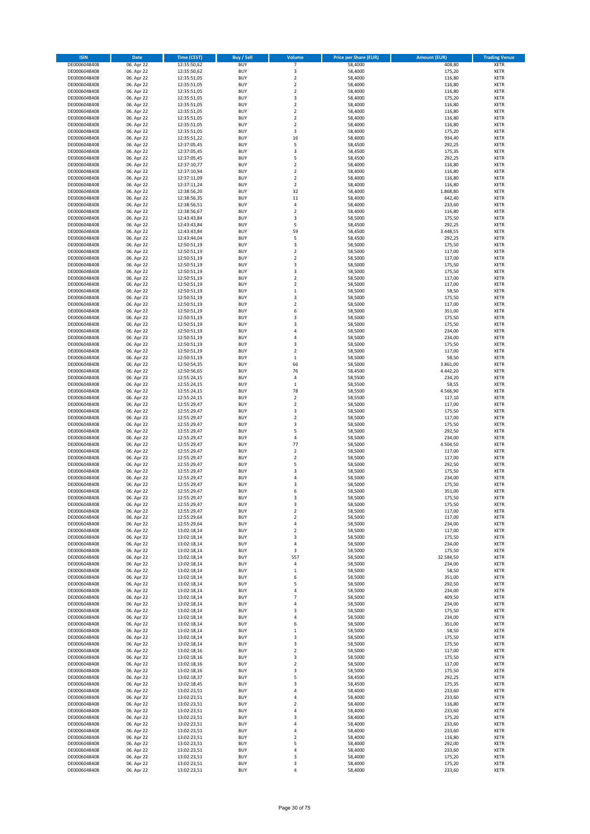| <b>ISIN</b>                  | Date                     | <b>Time (CEST)</b>         | <b>Buy / Sell</b>        | Volume                             | <b>Price per Share (EUR)</b> | <b>Amount (EUR)</b>  | <b>Trading Venue</b>       |
|------------------------------|--------------------------|----------------------------|--------------------------|------------------------------------|------------------------------|----------------------|----------------------------|
| DE0006048408                 | 06. Apr 22               | 12:35:50,62                | <b>BUY</b>               | $\overline{7}$                     | 58,4000                      | 408,80               | <b>XETR</b>                |
| DE0006048408                 | 06. Apr 22               | 12:35:50,62                | <b>BUY</b>               | 3                                  | 58,4000                      | 175,20               | XETR                       |
| DE0006048408                 | 06. Apr 22               | 12:35:51,05                | <b>BUY</b>               | $\mathbf 2$                        | 58,4000                      | 116,80               | XETR                       |
| DE0006048408                 | 06. Apr 22               | 12:35:51,05                | <b>BUY</b>               | $\overline{2}$                     | 58,4000                      | 116,80               | <b>XETR</b>                |
| DE0006048408<br>DE0006048408 | 06. Apr 22<br>06. Apr 22 | 12:35:51,05<br>12:35:51,05 | <b>BUY</b><br><b>BUY</b> | $\boldsymbol{2}$<br>3              | 58,4000<br>58,4000           | 116,80<br>175,20     | XETR<br><b>XETR</b>        |
| DE0006048408                 | 06. Apr 22               | 12:35:51,05                | <b>BUY</b>               | $\overline{2}$                     | 58,4000                      | 116,80               | <b>XETR</b>                |
| DE0006048408                 | 06. Apr 22               | 12:35:51,05                | <b>BUY</b>               | $\overline{2}$                     | 58,4000                      | 116,80               | <b>XETR</b>                |
| DE0006048408                 | 06. Apr 22               | 12:35:51,05                | <b>BUY</b>               | $\boldsymbol{2}$                   | 58,4000                      | 116,80               | <b>XETR</b>                |
| DE0006048408                 | 06. Apr 22               | 12:35:51,05                | <b>BUY</b>               | $\overline{2}$                     | 58,4000                      | 116,80               | <b>XETR</b>                |
| DE0006048408                 | 06. Apr 22               | 12:35:51,05                | <b>BUY</b><br><b>BUY</b> | 3<br>16                            | 58,4000<br>58,4000           | 175,20<br>934,40     | XETR<br><b>XETR</b>        |
| DE0006048408<br>DE0006048408 | 06. Apr 22<br>06. Apr 22 | 12:35:51,22<br>12:37:05,45 | <b>BUY</b>               | 5                                  | 58,4500                      | 292,25               | XETR                       |
| DE0006048408                 | 06. Apr 22               | 12:37:05,45                | <b>BUY</b>               | 3                                  | 58,4500                      | 175,35               | <b>XETR</b>                |
| DE0006048408                 | 06. Apr 22               | 12:37:05,45                | <b>BUY</b>               | 5                                  | 58,4500                      | 292,25               | <b>XETR</b>                |
| DE0006048408                 | 06. Apr 22               | 12:37:10,77                | <b>BUY</b>               | $\boldsymbol{2}$                   | 58,4000                      | 116,80               | <b>XETR</b>                |
| DE0006048408                 | 06. Apr 22               | 12:37:10,94                | <b>BUY</b>               | $\boldsymbol{2}$                   | 58,4000                      | 116,80               | <b>XETR</b>                |
| DE0006048408<br>DE0006048408 | 06. Apr 22<br>06. Apr 22 | 12:37:11,09<br>12:37:11,24 | <b>BUY</b><br><b>BUY</b> | $\boldsymbol{2}$<br>$\overline{2}$ | 58,4000<br>58,4000           | 116,80<br>116,80     | <b>XETR</b><br><b>XETR</b> |
| DE0006048408                 | 06. Apr 22               | 12:38:56,20                | <b>BUY</b>               | 32                                 | 58,4000                      | 1.868,80             | <b>XETR</b>                |
| DE0006048408                 | 06. Apr 22               | 12:38:56,35                | <b>BUY</b>               | 11                                 | 58,4000                      | 642,40               | <b>XETR</b>                |
| DE0006048408                 | 06. Apr 22               | 12:38:56,51                | <b>BUY</b>               | 4                                  | 58,4000                      | 233,60               | <b>XETR</b>                |
| DE0006048408                 | 06. Apr 22               | 12:38:56,67                | <b>BUY</b>               | $\overline{2}$                     | 58,4000                      | 116,80               | <b>XETR</b>                |
| DE0006048408                 | 06. Apr 22               | 12:43:43,84                | <b>BUY</b>               | 3                                  | 58,5000                      | 175,50               | <b>XETR</b>                |
| DE0006048408<br>DE0006048408 | 06. Apr 22<br>06. Apr 22 | 12:43:43,84<br>12:43:43,84 | <b>BUY</b><br><b>BUY</b> | 5<br>59                            | 58,4500<br>58,4500           | 292,25<br>3.448,55   | <b>XETR</b><br><b>XETR</b> |
| DE0006048408                 | 06. Apr 22               | 12:43:44,04                | <b>BUY</b>               | 5                                  | 58,4500                      | 292,25               | <b>XETR</b>                |
| DE0006048408                 | 06. Apr 22               | 12:50:51,19                | <b>BUY</b>               | 3                                  | 58,5000                      | 175,50               | <b>XETR</b>                |
| DE0006048408                 | 06. Apr 22               | 12:50:51,19                | <b>BUY</b>               | $\overline{2}$                     | 58,5000                      | 117,00               | <b>XETR</b>                |
| DE0006048408                 | 06. Apr 22               | 12:50:51,19                | <b>BUY</b>               | $\boldsymbol{2}$                   | 58,5000                      | 117,00               | XETR                       |
| DE0006048408                 | 06. Apr 22               | 12:50:51,19                | <b>BUY</b>               | 3                                  | 58,5000                      | 175,50               | <b>XETR</b>                |
| DE0006048408<br>DE0006048408 | 06. Apr 22<br>06. Apr 22 | 12:50:51,19<br>12:50:51,19 | <b>BUY</b><br><b>BUY</b> | 3<br>$\overline{2}$                | 58,5000<br>58,5000           | 175,50<br>117,00     | <b>XETR</b><br><b>XETR</b> |
| DE0006048408                 | 06. Apr 22               | 12:50:51,19                | <b>BUY</b>               | $\boldsymbol{2}$                   | 58,5000                      | 117,00               | XETR                       |
| DE0006048408                 | 06. Apr 22               | 12:50:51,19                | <b>BUY</b>               | $\mathbf 1$                        | 58,5000                      | 58,50                | <b>XETR</b>                |
| DE0006048408                 | 06. Apr 22               | 12:50:51,19                | <b>BUY</b>               | 3                                  | 58,5000                      | 175,50               | XETR                       |
| DE0006048408                 | 06. Apr 22               | 12:50:51,19                | <b>BUY</b>               | $\overline{2}$                     | 58,5000                      | 117,00               | <b>XETR</b>                |
| DE0006048408                 | 06. Apr 22               | 12:50:51,19                | <b>BUY</b>               | 6                                  | 58,5000                      | 351,00               | XETR                       |
| DE0006048408<br>DE0006048408 | 06. Apr 22<br>06. Apr 22 | 12:50:51,19<br>12:50:51,19 | <b>BUY</b><br><b>BUY</b> | 3<br>$\overline{\mathbf{3}}$       | 58,5000<br>58,5000           | 175,50<br>175,50     | <b>XETR</b><br><b>XETR</b> |
| DE0006048408                 | 06. Apr 22               | 12:50:51,19                | <b>BUY</b>               | $\overline{4}$                     | 58,5000                      | 234,00               | <b>XETR</b>                |
| DE0006048408                 | 06. Apr 22               | 12:50:51,19                | <b>BUY</b>               | $\sqrt{4}$                         | 58,5000                      | 234,00               | <b>XETR</b>                |
| DE0006048408                 | 06. Apr 22               | 12:50:51,19                | <b>BUY</b>               | 3                                  | 58,5000                      | 175,50               | <b>XETR</b>                |
| DE0006048408                 | 06. Apr 22               | 12:50:51,19                | <b>BUY</b>               | $\overline{2}$                     | 58,5000                      | 117,00               | <b>XETR</b>                |
| DE0006048408                 | 06. Apr 22               | 12:50:51,19                | <b>BUY</b>               | $\,1\,$                            | 58,5000                      | 58,50                | <b>XETR</b>                |
| DE0006048408<br>DE0006048408 | 06. Apr 22<br>06. Apr 22 | 12:50:54,35<br>12:50:56,65 | <b>BUY</b><br><b>BUY</b> | 66<br>76                           | 58,5000<br>58,4500           | 3.861,00<br>4.442,20 | <b>XETR</b><br><b>XETR</b> |
| DE0006048408                 | 06. Apr 22               | 12:55:24,15                | <b>BUY</b>               | $\sqrt{4}$                         | 58,5500                      | 234,20               | <b>XETR</b>                |
| DE0006048408                 | 06. Apr 22               | 12:55:24,15                | <b>BUY</b>               | $\,1\,$                            | 58,5500                      | 58,55                | <b>XETR</b>                |
| DE0006048408                 | 06. Apr 22               | 12:55:24,15                | <b>BUY</b>               | 78                                 | 58,5500                      | 4.566,90             | <b>XETR</b>                |
| DE0006048408                 | 06. Apr 22               | 12:55:24,15                | <b>BUY</b>               | $\boldsymbol{2}$                   | 58,5500                      | 117,10               | <b>XETR</b>                |
| DE0006048408                 | 06. Apr 22               | 12:55:29,47                | <b>BUY</b>               | $\boldsymbol{2}$                   | 58,5000                      | 117,00               | <b>XETR</b>                |
| DE0006048408<br>DE0006048408 | 06. Apr 22<br>06. Apr 22 | 12:55:29,47<br>12:55:29,47 | <b>BUY</b><br><b>BUY</b> | 3<br>$\boldsymbol{2}$              | 58,5000<br>58,5000           | 175,50<br>117,00     | <b>XETR</b><br><b>XETR</b> |
| DE0006048408                 | 06. Apr 22               | 12:55:29,47                | <b>BUY</b>               | 3                                  | 58,5000                      | 175,50               | <b>XETR</b>                |
| DE0006048408                 | 06. Apr 22               | 12:55:29,47                | <b>BUY</b>               | 5                                  | 58,5000                      | 292,50               | <b>XETR</b>                |
| DE0006048408                 | 06. Apr 22               | 12:55:29,47                | <b>BUY</b>               | $\sqrt{4}$                         | 58,5000                      | 234,00               | <b>XETR</b>                |
| DE0006048408                 | 06. Apr 22               | 12:55:29,47                | <b>BUY</b>               | 77                                 | 58,5000                      | 4.504,50             | <b>XETR</b>                |
| DE0006048408<br>DE0006048408 | 06. Apr 22<br>06. Apr 22 | 12:55:29,47<br>12:55:29,47 | <b>BUY</b><br><b>BUY</b> | $\boldsymbol{2}$<br>$\overline{2}$ | 58,5000<br>58,5000           | 117,00<br>117,00     | XETR<br><b>XETR</b>        |
| DE0006048408                 | 06. Apr 22               | 12:55:29,47                | <b>BUY</b>               | 5                                  | 58,5000                      | 292,50               | XETR                       |
| DE0006048408                 | 06. Apr 22               | 12:55:29,47                | <b>BUY</b>               | 3                                  | 58,5000                      | 175,50               | <b>XETR</b>                |
| DE0006048408                 | 06. Apr 22               | 12:55:29,47                | <b>BUY</b>               | 4                                  | 58,5000                      | 234,00               | <b>XETR</b>                |
| DE0006048408                 | 06. Apr 22               | 12:55:29,47                | <b>BUY</b>               | 3                                  | 58,5000                      | 175,50               | <b>XETR</b>                |
| DE0006048408                 | 06. Apr 22               | 12:55:29,47                | <b>BUY</b>               | 6                                  | 58,5000                      | 351,00               | <b>XETR</b>                |
| DE0006048408<br>DE0006048408 | 06. Apr 22               | 12:55:29,47                | <b>BUY</b><br><b>BUY</b> | 3<br>3                             | 58,5000<br>58,5000           | 175,50               | <b>XETR</b><br><b>XETR</b> |
| DE0006048408                 | 06. Apr 22<br>06. Apr 22 | 12:55:29,47<br>12:55:29,47 | <b>BUY</b>               | $\boldsymbol{2}$                   | 58,5000                      | 175,50<br>117,00     | XETR                       |
| DE0006048408                 | 06. Apr 22               | 12:55:29,64                | <b>BUY</b>               | $\boldsymbol{2}$                   | 58,5000                      | 117,00               | XETR                       |
| DE0006048408                 | 06. Apr 22               | 12:55:29,64                | <b>BUY</b>               | 4                                  | 58,5000                      | 234,00               | <b>XETR</b>                |
| DE0006048408                 | 06. Apr 22               | 13:02:18,14                | <b>BUY</b>               | $\boldsymbol{2}$                   | 58,5000                      | 117,00               | XETR                       |
| DE0006048408<br>DE0006048408 | 06. Apr 22               | 13:02:18,14<br>13:02:18,14 | <b>BUY</b><br><b>BUY</b> | 3<br>$\sqrt{4}$                    | 58,5000<br>58,5000           | 175,50<br>234,00     | <b>XETR</b><br><b>XETR</b> |
| DE0006048408                 | 06. Apr 22<br>06. Apr 22 | 13:02:18,14                | <b>BUY</b>               | 3                                  | 58,5000                      | 175,50               | <b>XETR</b>                |
| DE0006048408                 | 06. Apr 22               | 13:02:18,14                | <b>BUY</b>               | 557                                | 58,5000                      | 32.584,50            | <b>XETR</b>                |
| DE0006048408                 | 06. Apr 22               | 13:02:18,14                | <b>BUY</b>               | 4                                  | 58,5000                      | 234,00               | <b>XETR</b>                |
| DE0006048408                 | 06. Apr 22               | 13:02:18,14                | <b>BUY</b>               | $\,1\,$                            | 58,5000                      | 58,50                | <b>XETR</b>                |
| DE0006048408                 | 06. Apr 22               | 13:02:18,14                | <b>BUY</b>               | 6                                  | 58,5000                      | 351,00               | <b>XETR</b>                |
| DE0006048408<br>DE0006048408 | 06. Apr 22<br>06. Apr 22 | 13:02:18,14<br>13:02:18,14 | <b>BUY</b><br><b>BUY</b> | 5<br>4                             | 58,5000<br>58,5000           | 292,50<br>234,00     | <b>XETR</b><br><b>XETR</b> |
| DE0006048408                 | 06. Apr 22               | 13:02:18,14                | <b>BUY</b>               | $\overline{7}$                     | 58,5000                      | 409,50               | <b>XETR</b>                |
| DE0006048408                 | 06. Apr 22               | 13:02:18,14                | <b>BUY</b>               | 4                                  | 58,5000                      | 234,00               | <b>XETR</b>                |
| DE0006048408                 | 06. Apr 22               | 13:02:18,14                | <b>BUY</b>               | 3                                  | 58,5000                      | 175,50               | <b>XETR</b>                |
| DE0006048408                 | 06. Apr 22               | 13:02:18,14                | <b>BUY</b>               | 4                                  | 58,5000                      | 234,00               | <b>XETR</b>                |
| DE0006048408                 | 06. Apr 22               | 13:02:18,14                | <b>BUY</b>               | 6                                  | 58,5000                      | 351,00               | <b>XETR</b>                |
| DE0006048408<br>DE0006048408 | 06. Apr 22<br>06. Apr 22 | 13:02:18,14<br>13:02:18,14 | <b>BUY</b><br><b>BUY</b> | $\,1\,$<br>3                       | 58,5000<br>58,5000           | 58,50<br>175,50      | <b>XETR</b><br><b>XETR</b> |
| DE0006048408                 | 06. Apr 22               | 13:02:18,14                | <b>BUY</b>               | 3                                  | 58,5000                      | 175,50               | XETR                       |
| DE0006048408                 | 06. Apr 22               | 13:02:18,16                | <b>BUY</b>               | $\overline{2}$                     | 58,5000                      | 117,00               | <b>XETR</b>                |
| DE0006048408                 | 06. Apr 22               | 13:02:18,16                | <b>BUY</b>               | 3                                  | 58,5000                      | 175,50               | <b>XETR</b>                |
| DE0006048408                 | 06. Apr 22               | 13:02:18,16                | <b>BUY</b>               | $\overline{2}$                     | 58,5000                      | 117,00               | <b>XETR</b>                |
| DE0006048408                 | 06. Apr 22               | 13:02:18,16                | <b>BUY</b>               | 3                                  | 58,5000                      | 175,50               | <b>XETR</b>                |
| DE0006048408<br>DE0006048408 | 06. Apr 22<br>06. Apr 22 | 13:02:18,37<br>13:02:18,45 | <b>BUY</b><br><b>BUY</b> | 5<br>3                             | 58,4500<br>58,4500           | 292,25<br>175,35     | <b>XETR</b><br><b>XETR</b> |
| DE0006048408                 | 06. Apr 22               | 13:02:23,51                | <b>BUY</b>               | 4                                  | 58,4000                      | 233,60               | <b>XETR</b>                |
| DE0006048408                 | 06. Apr 22               | 13:02:23,51                | <b>BUY</b>               | 4                                  | 58,4000                      | 233,60               | <b>XETR</b>                |
| DE0006048408                 | 06. Apr 22               | 13:02:23,51                | <b>BUY</b>               | $\overline{\mathbf{2}}$            | 58,4000                      | 116,80               | <b>XETR</b>                |
| DE0006048408                 | 06. Apr 22               | 13:02:23,51                | <b>BUY</b>               | $\sqrt{4}$                         | 58,4000                      | 233,60               | <b>XETR</b>                |
| DE0006048408                 | 06. Apr 22               | 13:02:23,51                | <b>BUY</b>               | 3                                  | 58,4000                      | 175,20               | <b>XETR</b>                |
| DE0006048408<br>DE0006048408 | 06. Apr 22<br>06. Apr 22 | 13:02:23,51<br>13:02:23,51 | <b>BUY</b><br><b>BUY</b> | 4<br>4                             | 58,4000<br>58,4000           | 233,60<br>233,60     | <b>XETR</b><br><b>XETR</b> |
| DE0006048408                 | 06. Apr 22               | 13:02:23,51                | <b>BUY</b>               | $\overline{\mathbf{2}}$            | 58,4000                      | 116,80               | <b>XETR</b>                |
| DE0006048408                 | 06. Apr 22               | 13:02:23,51                | <b>BUY</b>               | 5                                  | 58,4000                      | 292,00               | <b>XETR</b>                |
| DE0006048408                 | 06. Apr 22               | 13:02:23,51                | <b>BUY</b>               | 4                                  | 58,4000                      | 233,60               | <b>XETR</b>                |
| DE0006048408                 | 06. Apr 22               | 13:02:23,51                | <b>BUY</b>               | 3                                  | 58,4000                      | 175,20               | <b>XETR</b>                |
| DE0006048408                 | 06. Apr 22               | 13:02:23,51                | <b>BUY</b>               | 3                                  | 58,4000                      | 175,20               | <b>XETR</b>                |
| DE0006048408                 | 06. Apr 22               | 13:02:23,51                | <b>BUY</b>               | 4                                  | 58,4000                      | 233,60               | <b>XETR</b>                |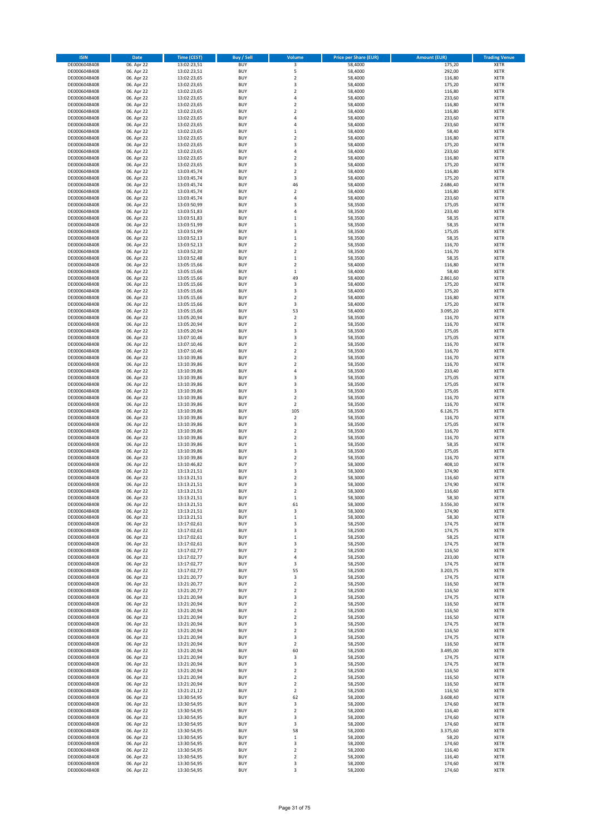| <b>ISIN</b>                  | Date                     | Time (CEST)                | <b>Buy / Sell</b>        | Volume                             | <b>Price per Share (EUR)</b> | <b>Amount (EUR)</b> | <b>Trading Venue</b>       |
|------------------------------|--------------------------|----------------------------|--------------------------|------------------------------------|------------------------------|---------------------|----------------------------|
| DE0006048408                 | 06. Apr 22               | 13:02:23,51                | <b>BUY</b>               | 3                                  | 58,4000                      | 175,20              | <b>XETR</b>                |
| DE0006048408                 | 06. Apr 22               | 13:02:23,51                | <b>BUY</b>               | 5                                  | 58,4000                      | 292,00              | XETR                       |
| DE0006048408                 | 06. Apr 22               | 13:02:23,65                | <b>BUY</b>               | $\mathbf 2$                        | 58,4000                      | 116,80              | XETR                       |
| DE0006048408                 | 06. Apr 22               | 13:02:23,65                | <b>BUY</b>               | 3                                  | 58,4000                      | 175,20              | <b>XETR</b>                |
| DE0006048408<br>DE0006048408 | 06. Apr 22<br>06. Apr 22 | 13:02:23,65<br>13:02:23,65 | <b>BUY</b><br><b>BUY</b> | $\boldsymbol{2}$<br>$\sqrt{4}$     | 58,4000<br>58,4000           | 116,80<br>233,60    | XETR<br><b>XETR</b>        |
| DE0006048408                 | 06. Apr 22               | 13:02:23,65                | <b>BUY</b>               | $\overline{2}$                     | 58,4000                      | 116,80              | <b>XETR</b>                |
| DE0006048408                 | 06. Apr 22               | 13:02:23,65                | <b>BUY</b>               | $\overline{2}$                     | 58,4000                      | 116,80              | <b>XETR</b>                |
| DE0006048408                 | 06. Apr 22               | 13:02:23,65                | <b>BUY</b>               | 4                                  | 58,4000                      | 233,60              | <b>XETR</b>                |
| DE0006048408                 | 06. Apr 22               | 13:02:23,65                | <b>BUY</b>               | 4                                  | 58,4000                      | 233,60              | <b>XETR</b>                |
| DE0006048408                 | 06. Apr 22               | 13:02:23,65                | <b>BUY</b><br><b>BUY</b> | $\mathbf 1$<br>$\overline{2}$      | 58,4000                      | 58,40               | XETR<br><b>XETR</b>        |
| DE0006048408<br>DE0006048408 | 06. Apr 22<br>06. Apr 22 | 13:02:23,65<br>13:02:23,65 | <b>BUY</b>               | 3                                  | 58,4000<br>58,4000           | 116,80<br>175,20    | XETR                       |
| DE0006048408                 | 06. Apr 22               | 13:02:23,65                | <b>BUY</b>               | $\sqrt{4}$                         | 58,4000                      | 233,60              | <b>XETR</b>                |
| DE0006048408                 | 06. Apr 22               | 13:02:23,65                | <b>BUY</b>               | $\boldsymbol{2}$                   | 58,4000                      | 116,80              | <b>XETR</b>                |
| DE0006048408                 | 06. Apr 22               | 13:02:23,65                | <b>BUY</b>               | 3                                  | 58,4000                      | 175,20              | <b>XETR</b>                |
| DE0006048408                 | 06. Apr 22               | 13:03:45,74                | <b>BUY</b>               | $\overline{2}$                     | 58,4000                      | 116,80              | <b>XETR</b>                |
| DE0006048408<br>DE0006048408 | 06. Apr 22<br>06. Apr 22 | 13:03:45,74<br>13:03:45,74 | <b>BUY</b><br><b>BUY</b> | 3<br>46                            | 58,4000<br>58,4000           | 175,20<br>2.686,40  | <b>XETR</b><br><b>XETR</b> |
| DE0006048408                 | 06. Apr 22               | 13:03:45,74                | <b>BUY</b>               | $\boldsymbol{2}$                   | 58,4000                      | 116,80              | <b>XETR</b>                |
| DE0006048408                 | 06. Apr 22               | 13:03:45,74                | <b>BUY</b>               | $\sqrt{4}$                         | 58,4000                      | 233,60              | <b>XETR</b>                |
| DE0006048408                 | 06. Apr 22               | 13:03:50,99                | <b>BUY</b>               | 3                                  | 58,3500                      | 175,05              | <b>XETR</b>                |
| DE0006048408                 | 06. Apr 22               | 13:03:51,83                | <b>BUY</b>               | $\overline{4}$                     | 58,3500                      | 233,40              | <b>XETR</b>                |
| DE0006048408                 | 06. Apr 22               | 13:03:51,83                | <b>BUY</b>               | $\mathbf 1$                        | 58,3500                      | 58,35               | <b>XETR</b>                |
| DE0006048408                 | 06. Apr 22<br>06. Apr 22 | 13:03:51,99                | <b>BUY</b><br><b>BUY</b> | $\mathbf 1$<br>3                   | 58,3500                      | 58,35<br>175,05     | <b>XETR</b><br><b>XETR</b> |
| DE0006048408<br>DE0006048408 | 06. Apr 22               | 13:03:51,99<br>13:03:52,13 | <b>BUY</b>               | $\,1\,$                            | 58,3500<br>58,3500           | 58,35               | <b>XETR</b>                |
| DE0006048408                 | 06. Apr 22               | 13:03:52,13                | <b>BUY</b>               | $\mathbf 2$                        | 58,3500                      | 116,70              | <b>XETR</b>                |
| DE0006048408                 | 06. Apr 22               | 13:03:52,30                | <b>BUY</b>               | $\overline{2}$                     | 58,3500                      | 116,70              | <b>XETR</b>                |
| DE0006048408                 | 06. Apr 22               | 13:03:52,48                | <b>BUY</b>               | $\,1\,$                            | 58,3500                      | 58,35               | XETR                       |
| DE0006048408                 | 06. Apr 22               | 13:05:15,66                | <b>BUY</b>               | $\overline{2}$                     | 58,4000                      | 116,80              | <b>XETR</b>                |
| DE0006048408<br>DE0006048408 | 06. Apr 22<br>06. Apr 22 | 13:05:15,66<br>13:05:15,66 | <b>BUY</b><br><b>BUY</b> | $\,1\,$<br>49                      | 58,4000<br>58,4000           | 58,40<br>2.861,60   | <b>XETR</b><br><b>XETR</b> |
| DE0006048408                 | 06. Apr 22               | 13:05:15,66                | <b>BUY</b>               | 3                                  | 58,4000                      | 175,20              | <b>XETR</b>                |
| DE0006048408                 | 06. Apr 22               | 13:05:15,66                | <b>BUY</b>               | 3                                  | 58,4000                      | 175,20              | <b>XETR</b>                |
| DE0006048408                 | 06. Apr 22               | 13:05:15,66                | <b>BUY</b>               | $\boldsymbol{2}$                   | 58,4000                      | 116,80              | <b>XETR</b>                |
| DE0006048408                 | 06. Apr 22               | 13:05:15,66                | <b>BUY</b>               | 3                                  | 58,4000                      | 175,20              | <b>XETR</b>                |
| DE0006048408                 | 06. Apr 22               | 13:05:15,66                | <b>BUY</b>               | 53                                 | 58,4000                      | 3.095,20            | XETR                       |
| DE0006048408<br>DE0006048408 | 06. Apr 22<br>06. Apr 22 | 13:05:20,94<br>13:05:20,94 | <b>BUY</b><br><b>BUY</b> | $\overline{2}$<br>$\mathbf 2$      | 58,3500<br>58,3500           | 116,70<br>116,70    | <b>XETR</b><br><b>XETR</b> |
| DE0006048408                 | 06. Apr 22               | 13:05:20,94                | <b>BUY</b>               | 3                                  | 58,3500                      | 175,05              | <b>XETR</b>                |
| DE0006048408                 | 06. Apr 22               | 13:07:10,46                | <b>BUY</b>               | 3                                  | 58,3500                      | 175,05              | <b>XETR</b>                |
| DE0006048408                 | 06. Apr 22               | 13:07:10,46                | <b>BUY</b>               | $\overline{2}$                     | 58,3500                      | 116,70              | <b>XETR</b>                |
| DE0006048408                 | 06. Apr 22               | 13:07:10,46                | <b>BUY</b>               | $\overline{2}$                     | 58,3500                      | 116,70              | <b>XETR</b>                |
| DE0006048408                 | 06. Apr 22               | 13:10:39,86                | <b>BUY</b>               | $\mathbf 2$                        | 58,3500                      | 116,70              | <b>XETR</b>                |
| DE0006048408<br>DE0006048408 | 06. Apr 22<br>06. Apr 22 | 13:10:39,86<br>13:10:39,86 | <b>BUY</b><br><b>BUY</b> | $\boldsymbol{2}$<br>4              | 58,3500<br>58,3500           | 116,70<br>233,40    | <b>XETR</b><br><b>XETR</b> |
| DE0006048408                 | 06. Apr 22               | 13:10:39,86                | <b>BUY</b>               | 3                                  | 58,3500                      | 175,05              | <b>XETR</b>                |
| DE0006048408                 | 06. Apr 22               | 13:10:39,86                | <b>BUY</b>               | 3                                  | 58,3500                      | 175,05              | <b>XETR</b>                |
| DE0006048408                 | 06. Apr 22               | 13:10:39,86                | <b>BUY</b>               | 3                                  | 58,3500                      | 175,05              | <b>XETR</b>                |
| DE0006048408                 | 06. Apr 22               | 13:10:39,86                | <b>BUY</b>               | $\boldsymbol{2}$                   | 58,3500                      | 116,70              | <b>XETR</b>                |
| DE0006048408                 | 06. Apr 22               | 13:10:39,86                | <b>BUY</b>               | $\boldsymbol{2}$                   | 58,3500                      | 116,70              | <b>XETR</b>                |
| DE0006048408<br>DE0006048408 | 06. Apr 22<br>06. Apr 22 | 13:10:39,86<br>13:10:39,86 | <b>BUY</b><br><b>BUY</b> | 105<br>$\boldsymbol{2}$            | 58,3500<br>58,3500           | 6.126,75<br>116,70  | <b>XETR</b><br><b>XETR</b> |
| DE0006048408                 | 06. Apr 22               | 13:10:39,86                | <b>BUY</b>               | 3                                  | 58,3500                      | 175,05              | <b>XETR</b>                |
| DE0006048408                 | 06. Apr 22               | 13:10:39,86                | <b>BUY</b>               | $\overline{2}$                     | 58,3500                      | 116,70              | <b>XETR</b>                |
| DE0006048408                 | 06. Apr 22               | 13:10:39,86                | <b>BUY</b>               | $\overline{2}$                     | 58,3500                      | 116,70              | <b>XETR</b>                |
| DE0006048408                 | 06. Apr 22               | 13:10:39,86                | <b>BUY</b>               | $\mathbf 1$                        | 58,3500                      | 58,35               | <b>XETR</b>                |
| DE0006048408                 | 06. Apr 22               | 13:10:39,86                | <b>BUY</b><br><b>BUY</b> | 3<br>$\overline{2}$                | 58,3500                      | 175,05              | <b>XETR</b><br><b>XETR</b> |
| DE0006048408<br>DE0006048408 | 06. Apr 22<br>06. Apr 22 | 13:10:39,86<br>13:10:46,82 | <b>BUY</b>               | $\overline{7}$                     | 58,3500<br>58,3000           | 116,70<br>408,10    | XETR                       |
| DE0006048408                 | 06. Apr 22               | 13:13:21,51                | <b>BUY</b>               | 3                                  | 58,3000                      | 174,90              | <b>XETR</b>                |
| DE0006048408                 | 06. Apr 22               | 13:13:21,51                | <b>BUY</b>               | $\boldsymbol{2}$                   | 58,3000                      | 116,60              | <b>XETR</b>                |
| DE0006048408                 | 06. Apr 22               | 13:13:21,51                | <b>BUY</b>               | 3                                  | 58,3000                      | 174,90              | <b>XETR</b>                |
| DE0006048408                 | 06. Apr 22               | 13:13:21,51                | <b>BUY</b>               | $\overline{2}$                     | 58,3000                      | 116,60              | <b>XETR</b>                |
| DE0006048408                 | 06. Apr 22               | 13:13:21,51                | <b>BUY</b>               | $\mathbf{1}$                       | 58,3000                      | 58,30               | <b>XETR</b>                |
| DE0006048408<br>DE0006048408 | 06. Apr 22<br>06. Apr 22 | 13:13:21,51<br>13:13:21,51 | <b>BUY</b><br><b>BUY</b> | 61<br>3                            | 58,3000<br>58,3000           | 3.556,30<br>174,90  | <b>XETR</b><br>XETR        |
| DE0006048408                 | 06. Apr 22               | 13:13:21,51                | <b>BUY</b>               | $\,1\,$                            | 58,3000                      | 58,30               | XETR                       |
| DE0006048408                 | 06. Apr 22               | 13:17:02,61                | <b>BUY</b>               | 3                                  | 58,2500                      | 174,75              | <b>XETR</b>                |
| DE0006048408                 | 06. Apr 22               | 13:17:02,61                | <b>BUY</b>               | 3                                  | 58,2500                      | 174,75              | XETR                       |
| DE0006048408                 | 06. Apr 22               | 13:17:02,61                | <b>BUY</b>               | $\,1\,$                            | 58,2500                      | 58,25               | <b>XETR</b>                |
| DE0006048408<br>DE0006048408 | 06. Apr 22<br>06. Apr 22 | 13:17:02,61<br>13:17:02,77 | <b>BUY</b><br><b>BUY</b> | 3<br>$\boldsymbol{2}$              | 58,2500<br>58,2500           | 174,75<br>116,50    | <b>XETR</b><br><b>XETR</b> |
| DE0006048408                 | 06. Apr 22               | 13:17:02,77                | <b>BUY</b>               | $\sqrt{4}$                         | 58,2500                      | 233,00              | <b>XETR</b>                |
| DE0006048408                 | 06. Apr 22               | 13:17:02,77                | <b>BUY</b>               | 3                                  | 58,2500                      | 174,75              | <b>XETR</b>                |
| DE0006048408                 | 06. Apr 22               | 13:17:02,77                | <b>BUY</b>               | 55                                 | 58,2500                      | 3.203,75            | <b>XETR</b>                |
| DE0006048408                 | 06. Apr 22               | 13:21:20,77                | <b>BUY</b>               | 3                                  | 58,2500                      | 174,75              | <b>XETR</b>                |
| DE0006048408                 | 06. Apr 22               | 13:21:20,77                | <b>BUY</b><br><b>BUY</b> | $\mathbf 2$<br>$\boldsymbol{2}$    | 58,2500<br>58,2500           | 116,50              | XETR                       |
| DE0006048408<br>DE0006048408 | 06. Apr 22<br>06. Apr 22 | 13:21:20,77<br>13:21:20,94 | <b>BUY</b>               | 3                                  | 58,2500                      | 116,50<br>174,75    | <b>XETR</b><br><b>XETR</b> |
| DE0006048408                 | 06. Apr 22               | 13:21:20,94                | <b>BUY</b>               | $\overline{\mathbf{2}}$            | 58,2500                      | 116,50              | <b>XETR</b>                |
| DE0006048408                 | 06. Apr 22               | 13:21:20,94                | <b>BUY</b>               | $\boldsymbol{2}$                   | 58,2500                      | 116,50              | <b>XETR</b>                |
| DE0006048408                 | 06. Apr 22               | 13:21:20,94                | <b>BUY</b>               | $\overline{\mathbf{2}}$            | 58,2500                      | 116,50              | <b>XETR</b>                |
| DE0006048408                 | 06. Apr 22               | 13:21:20,94                | <b>BUY</b>               | 3                                  | 58,2500                      | 174,75              | <b>XETR</b>                |
| DE0006048408                 | 06. Apr 22               | 13:21:20,94                | <b>BUY</b><br><b>BUY</b> | $\boldsymbol{2}$<br>3              | 58,2500                      | 116,50              | <b>XETR</b>                |
| DE0006048408<br>DE0006048408 | 06. Apr 22<br>06. Apr 22 | 13:21:20,94<br>13:21:20,94 | <b>BUY</b>               | $\boldsymbol{2}$                   | 58,2500<br>58,2500           | 174,75<br>116,50    | <b>XETR</b><br>XETR        |
| DE0006048408                 | 06. Apr 22               | 13:21:20,94                | <b>BUY</b>               | 60                                 | 58,2500                      | 3.495,00            | <b>XETR</b>                |
| DE0006048408                 | 06. Apr 22               | 13:21:20,94                | <b>BUY</b>               | 3                                  | 58,2500                      | 174,75              | <b>XETR</b>                |
| DE0006048408                 | 06. Apr 22               | 13:21:20,94                | <b>BUY</b>               | 3                                  | 58,2500                      | 174,75              | <b>XETR</b>                |
| DE0006048408                 | 06. Apr 22               | 13:21:20,94                | <b>BUY</b>               | $\overline{\mathbf{2}}$            | 58,2500                      | 116,50              | XETR                       |
| DE0006048408                 | 06. Apr 22<br>06. Apr 22 | 13:21:20,94<br>13:21:20,94 | <b>BUY</b><br><b>BUY</b> | $\overline{2}$<br>$\boldsymbol{2}$ | 58,2500<br>58,2500           | 116,50<br>116,50    | <b>XETR</b>                |
| DE0006048408<br>DE0006048408 | 06. Apr 22               | 13:21:21,12                | <b>BUY</b>               | $\overline{2}$                     | 58,2500                      | 116,50              | <b>XETR</b><br><b>XETR</b> |
| DE0006048408                 | 06. Apr 22               | 13:30:54,95                | <b>BUY</b>               | 62                                 | 58,2000                      | 3.608,40            | XETR                       |
| DE0006048408                 | 06. Apr 22               | 13:30:54,95                | <b>BUY</b>               | 3                                  | 58,2000                      | 174,60              | <b>XETR</b>                |
| DE0006048408                 | 06. Apr 22               | 13:30:54,95                | <b>BUY</b>               | $\boldsymbol{2}$                   | 58,2000                      | 116,40              | <b>XETR</b>                |
| DE0006048408                 | 06. Apr 22               | 13:30:54,95                | <b>BUY</b>               | 3                                  | 58,2000                      | 174,60              | <b>XETR</b>                |
| DE0006048408<br>DE0006048408 | 06. Apr 22<br>06. Apr 22 | 13:30:54,95<br>13:30:54,95 | <b>BUY</b><br><b>BUY</b> | 3<br>58                            | 58,2000<br>58,2000           | 174,60<br>3.375,60  | <b>XETR</b><br><b>XETR</b> |
| DE0006048408                 | 06. Apr 22               | 13:30:54,95                | <b>BUY</b>               | $\,$ 1                             | 58,2000                      | 58,20               | XETR                       |
| DE0006048408                 | 06. Apr 22               | 13:30:54,95                | <b>BUY</b>               | 3                                  | 58,2000                      | 174,60              | <b>XETR</b>                |
| DE0006048408                 | 06. Apr 22               | 13:30:54,95                | <b>BUY</b>               | $\mathbf 2$                        | 58,2000                      | 116,40              | XETR                       |
| DE0006048408                 | 06. Apr 22               | 13:30:54,95                | <b>BUY</b>               | $\mathbf 2$                        | 58,2000                      | 116,40              | <b>XETR</b>                |
| DE0006048408                 | 06. Apr 22               | 13:30:54,95                | <b>BUY</b>               | 3                                  | 58,2000                      | 174,60              | XETR                       |
| DE0006048408                 | 06. Apr 22               | 13:30:54,95                | <b>BUY</b>               | 3                                  | 58,2000                      | 174,60              | <b>XETR</b>                |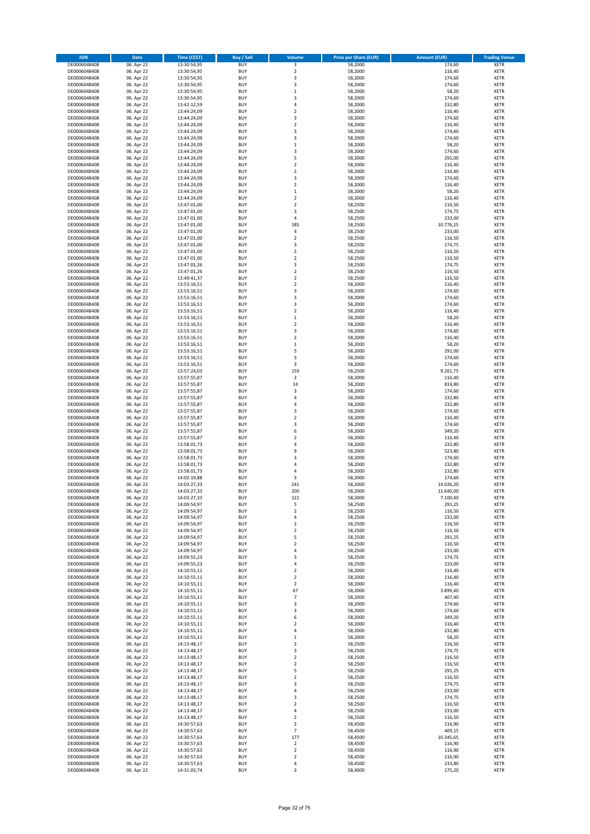| <b>ISIN</b>                  | Date                     | Time (CEST)                | Buy / Sell               | Volume                               | <b>Price per Share (EUR)</b> | <b>Amount (EUR)</b> | <b>Trading Venue</b>       |
|------------------------------|--------------------------|----------------------------|--------------------------|--------------------------------------|------------------------------|---------------------|----------------------------|
| DE0006048408                 | 06. Apr 22               | 13:30:54,95                | <b>BUY</b>               | 3                                    | 58,2000                      | 174,60              | <b>XETR</b>                |
| DE0006048408                 | 06. Apr 22               | 13:30:54,95                | <b>BUY</b>               | $\overline{2}$                       | 58,2000                      | 116,40              | XETR                       |
| DE0006048408                 | 06. Apr 22               | 13:30:54,95                | <b>BUY</b>               | 3                                    | 58,2000                      | 174,60              | XETR                       |
| DE0006048408                 | 06. Apr 22               | 13:30:54,95                | <b>BUY</b>               | 3                                    | 58,2000                      | 174,60              | <b>XETR</b>                |
| DE0006048408                 | 06. Apr 22               | 13:30:54,95                | <b>BUY</b>               | $\,1\,$                              | 58,2000                      | 58,20               | <b>XETR</b>                |
| DE0006048408                 | 06. Apr 22               | 13:30:54,95                | <b>BUY</b>               | $\overline{\mathbf{3}}$              | 58,2000                      | 174,60              | <b>XETR</b>                |
| DE0006048408                 | 06. Apr 22               | 13:42:12,59                | <b>BUY</b>               | $\sqrt{4}$                           | 58,2000                      | 232,80              | <b>XETR</b>                |
| DE0006048408                 | 06. Apr 22               | 13:44:24,09                | <b>BUY</b>               | $\overline{2}$                       | 58,2000                      | 116,40              | <b>XETR</b>                |
| DE0006048408                 | 06. Apr 22               | 13:44:24,09                | <b>BUY</b>               | 3                                    | 58,2000                      | 174,60              | <b>XETR</b>                |
| DE0006048408                 | 06. Apr 22               | 13:44:24,09                | <b>BUY</b>               | $\overline{2}$                       | 58,2000                      | 116,40              | <b>XETR</b>                |
| DE0006048408                 | 06. Apr 22               | 13:44:24,09                | <b>BUY</b>               | 3                                    | 58,2000                      | 174,60              | XETR                       |
| DE0006048408                 | 06. Apr 22               | 13:44:24,09                | <b>BUY</b>               | 3                                    | 58,2000                      | 174,60              | <b>XETR</b>                |
| DE0006048408                 | 06. Apr 22               | 13:44:24,09                | <b>BUY</b>               | $\,1\,$                              | 58,2000                      | 58,20               | XETR                       |
| DE0006048408                 | 06. Apr 22               | 13:44:24,09                | <b>BUY</b>               | 3                                    | 58,2000                      | 174,60              | <b>XETR</b>                |
| DE0006048408                 | 06. Apr 22               | 13:44:24,09                | <b>BUY</b>               | 5                                    | 58,2000                      | 291,00              | XETR                       |
| DE0006048408                 | 06. Apr 22               | 13:44:24,09                | <b>BUY</b>               | $\boldsymbol{2}$                     | 58,2000                      | 116,40              | <b>XETR</b>                |
| DE0006048408                 | 06. Apr 22               | 13:44:24,09                | <b>BUY</b>               | $\boldsymbol{2}$                     | 58,2000                      | 116,40              | <b>XETR</b>                |
| DE0006048408                 | 06. Apr 22               | 13:44:24,09                | <b>BUY</b>               | 3                                    | 58,2000                      | 174,60              | <b>XETR</b>                |
| DE0006048408                 | 06. Apr 22               | 13:44:24,09                | <b>BUY</b>               | $\overline{2}$                       | 58,2000                      | 116,40              | <b>XETR</b>                |
| DE0006048408                 | 06. Apr 22               | 13:44:24,09                | <b>BUY</b>               | $\,$ 1                               | 58,2000                      | 58,20               | <b>XETR</b>                |
| DE0006048408                 | 06. Apr 22               | 13:44:24,09                | <b>BUY</b>               | $\overline{2}$                       | 58,2000                      | 116,40              | <b>XETR</b>                |
| DE0006048408                 | 06. Apr 22               | 13:47:01,00                | <b>BUY</b>               | $\overline{2}$                       | 58,2500                      | 116,50              | <b>XETR</b>                |
| DE0006048408                 | 06. Apr 22               | 13:47:01,00                | <b>BUY</b>               | 3                                    | 58,2500                      | 174,75              | <b>XETR</b>                |
| DE0006048408                 | 06. Apr 22               | 13:47:01,00                | <b>BUY</b>               | 4                                    | 58,2500                      | 233,00              | <b>XETR</b>                |
| DE0006048408                 | 06. Apr 22               | 13:47:01,00                | <b>BUY</b>               | 185                                  | 58,2500                      | 10.776,25           | <b>XETR</b>                |
| DE0006048408                 | 06. Apr 22               | 13:47:01,00                | <b>BUY</b>               | 4                                    | 58,2500                      | 233,00              | <b>XETR</b>                |
| DE0006048408                 | 06. Apr 22               | 13:47:01,00                | <b>BUY</b>               | $\overline{2}$                       | 58,2500                      | 116,50              | <b>XETR</b>                |
| DE0006048408                 | 06. Apr 22               | 13:47:01,00                | <b>BUY</b>               | 3                                    | 58,2500                      | 174,75              | <b>XETR</b>                |
| DE0006048408                 | 06. Apr 22               | 13:47:01,00                | <b>BUY</b>               | $\overline{2}$                       | 58,2500                      | 116,50              | <b>XETR</b>                |
| DE0006048408                 | 06. Apr 22               | 13:47:01,00                | <b>BUY</b>               | $\boldsymbol{2}$                     | 58,2500                      | 116,50              | XETR                       |
| DE0006048408<br>DE0006048408 | 06. Apr 22               | 13:47:01,26<br>13:47:01,26 | <b>BUY</b>               | 3                                    | 58,2500                      | 174,75              | <b>XETR</b>                |
| DE0006048408                 | 06. Apr 22               | 13:49:41,37                | <b>BUY</b><br><b>BUY</b> | $\boldsymbol{2}$<br>$\overline{2}$   | 58,2500                      | 116,50<br>116,50    | XETR<br><b>XETR</b>        |
|                              | 06. Apr 22               | 13:53:16,51                | <b>BUY</b>               | $\boldsymbol{2}$                     | 58,2500                      |                     | XETR                       |
| DE0006048408<br>DE0006048408 | 06. Apr 22<br>06. Apr 22 |                            | <b>BUY</b>               | 3                                    | 58,2000<br>58,2000           | 116,40<br>174,60    | <b>XETR</b>                |
| DE0006048408                 | 06. Apr 22               | 13:53:16,51                | <b>BUY</b>               | 3                                    | 58,2000                      | 174,60              | <b>XETR</b>                |
| DE0006048408                 | 06. Apr 22               | 13:53:16,51<br>13:53:16,51 | <b>BUY</b>               | 3                                    | 58,2000                      | 174,60              | <b>XETR</b>                |
| DE0006048408                 | 06. Apr 22               | 13:53:16,51                | <b>BUY</b>               | $\boldsymbol{2}$                     | 58,2000                      | 116,40              | XETR                       |
| DE0006048408                 | 06. Apr 22               | 13:53:16,51                | <b>BUY</b>               | $\,1\,$                              | 58,2000                      | 58,20               | <b>XETR</b>                |
| DE0006048408                 | 06. Apr 22               | 13:53:16,51                | <b>BUY</b>               | $\mathbf 2$                          | 58,2000                      | 116,40              | <b>XETR</b>                |
| DE0006048408                 | 06. Apr 22               | 13:53:16.51                | <b>BUY</b>               | 3                                    | 58,2000                      | 174,60              | <b>XETR</b>                |
| DE0006048408                 | 06. Apr 22               | 13:53:16,51                | <b>BUY</b>               | $\overline{2}$                       | 58,2000                      | 116,40              | <b>XETR</b>                |
| DE0006048408                 | 06. Apr 22               | 13:53:16,51                | <b>BUY</b>               | $\mathbf 1$                          | 58,2000                      | 58,20               | <b>XETR</b>                |
| DE0006048408                 | 06. Apr 22               | 13:53:16,51                | <b>BUY</b>               | 5                                    | 58,2000                      | 291,00              | <b>XETR</b>                |
| DE0006048408                 | 06. Apr 22               | 13:53:16,51                | <b>BUY</b>               | 3                                    | 58,2000                      | 174,60              | <b>XETR</b>                |
| DE0006048408                 | 06. Apr 22               | 13:53:16,51                | <b>BUY</b>               | 3                                    | 58,2000                      | 174,60              | <b>XETR</b>                |
| DE0006048408                 | 06. Apr 22               | 13:57:24,03                | <b>BUY</b>               | 159                                  | 58,2500                      | 9.261,75            | <b>XETR</b>                |
| DE0006048408                 | 06. Apr 22               | 13:57:55,87                | <b>BUY</b>               | $\sqrt{2}$                           | 58,2000                      | 116,40              | <b>XETR</b>                |
| DE0006048408                 | 06. Apr 22               | 13:57:55,87                | <b>BUY</b>               | 14                                   | 58,2000                      | 814,80              | <b>XETR</b>                |
| DE0006048408                 | 06. Apr 22               | 13:57:55,87                | <b>BUY</b>               | 3                                    | 58,2000                      | 174,60              | <b>XETR</b>                |
| DE0006048408                 | 06. Apr 22               | 13:57:55,87                | <b>BUY</b>               | 4                                    | 58,2000                      | 232,80              | <b>XETR</b>                |
| DE0006048408                 | 06. Apr 22               | 13:57:55,87                | <b>BUY</b>               | $\overline{4}$                       | 58,2000                      | 232,80              | <b>XETR</b>                |
| DE0006048408                 | 06. Apr 22               | 13:57:55,87                | <b>BUY</b>               | 3                                    | 58,2000                      | 174,60              | <b>XETR</b>                |
| DE0006048408                 | 06. Apr 22               | 13:57:55,87                | <b>BUY</b>               | $\overline{2}$                       | 58,2000                      | 116,40              | <b>XETR</b>                |
| DE0006048408                 | 06. Apr 22               | 13:57:55,87                | <b>BUY</b>               | 3                                    | 58,2000                      | 174,60              | <b>XETR</b>                |
| DE0006048408                 | 06. Apr 22               | 13:57:55,87                | <b>BUY</b>               | 6                                    | 58,2000                      | 349,20              | <b>XETR</b>                |
| DE0006048408                 | 06. Apr 22               | 13:57:55,87                | <b>BUY</b>               | $\overline{2}$                       | 58,2000                      | 116,40              | <b>XETR</b>                |
| DE0006048408                 | 06. Apr 22               | 13:58:01,73                | <b>BUY</b>               | $\overline{4}$                       | 58,2000                      | 232,80              | <b>XETR</b>                |
| DE0006048408                 | 06. Apr 22               | 13:58:01,73                | <b>BUY</b>               | 9                                    | 58,2000                      | 523,80              | <b>XETR</b>                |
| DE0006048408                 | 06. Apr 22               | 13:58:01,73                | <b>BUY</b>               | 3                                    | 58,2000                      | 174,60              | <b>XETR</b>                |
| DE0006048408                 | 06. Apr 22               | 13:58:01,73                | <b>BUY</b>               | $\sqrt{4}$                           | 58,2000                      | 232,80              | XETR                       |
| DE0006048408                 | 06. Apr 22               | 13:58:01,73                | <b>BUY</b>               | 4                                    | 58,2000                      | 232,80              | <b>XETR</b>                |
| DE0006048408                 | 06. Apr 22               | 14:02:19,88                | <b>BUY</b>               | 3                                    | 58,2000                      | 174,60              | <b>XETR</b>                |
| DE0006048408                 | 06. Apr 22               | 14:03:27,33                | <b>BUY</b>               | 241                                  | 58,2000                      | 14.026,20           | <b>XETR</b>                |
| DE0006048408                 | 06. Apr 22               | 14:03:27,33                | <b>BUY</b>               | 200                                  | 58,2000                      | 11.640,00           | <b>XETR</b>                |
| DE0006048408                 | 06. Apr 22               | 14:03:27,33                | <b>BUY</b>               | 122                                  | 58,2000                      | 7.100,40            | <b>XETR</b>                |
| DE0006048408                 | 06. Apr 22               | 14:09:54,97                | <b>BUY</b>               | 5                                    | 58,2500                      | 291,25              | <b>XETR</b>                |
| DE0006048408                 | 06. Apr 22               | 14:09:54,97                | <b>BUY</b>               | $\boldsymbol{2}$                     | 58,2500                      | 116,50              | XETR                       |
| DE0006048408                 | 06. Apr 22               | 14:09:54,97                | <b>BUY</b>               | 4                                    | 58,2500                      | 233,00              | <b>XETR</b>                |
| DE0006048408<br>DE0006048408 | 06. Apr 22<br>06. Apr 22 | 14:09:54,97<br>14:09:54,97 | <b>BUY</b><br><b>BUY</b> | $\boldsymbol{2}$<br>$\boldsymbol{2}$ | 58,2500<br>58,2500           | 116,50<br>116,50    | <b>XETR</b><br>XETR        |
| DE0006048408                 | 06. Apr 22               | 14:09:54,97                | <b>BUY</b>               | 5                                    | 58,2500                      | 291,25              | <b>XETR</b>                |
| DE0006048408                 | 06. Apr 22               | 14:09:54,97                | <b>BUY</b>               | $\overline{2}$                       | 58,2500                      | 116,50              | <b>XETR</b>                |
| DE0006048408                 | 06. Apr 22               | 14:09:54,97                | <b>BUY</b>               | 4                                    | 58,2500                      | 233,00              | <b>XETR</b>                |
| DE0006048408                 | 06. Apr 22               | 14:09:55,23                | <b>BUY</b>               | 3                                    | 58,2500                      | 174,75              | XETR                       |
| DE0006048408                 | 06. Apr 22               | 14:09:55,23                | <b>BUY</b>               | 4                                    | 58,2500                      | 233,00              | <b>XETR</b>                |
| DE0006048408                 | 06. Apr 22               | 14:10:55,11                | <b>BUY</b>               | $\overline{2}$                       | 58,2000                      | 116,40              | XETR                       |
| DE0006048408                 | 06. Apr 22               | 14:10:55,11                | <b>BUY</b>               | $\mathbf 2$                          | 58,2000                      | 116,40              | <b>XETR</b>                |
| DE0006048408                 | 06. Apr 22               | 14:10:55,11                | <b>BUY</b>               | $\mathbf 2$                          | 58,2000                      | 116,40              | XETR                       |
| DE0006048408                 | 06. Apr 22               | 14:10:55,11                | <b>BUY</b>               | 67                                   | 58,2000                      | 3.899,40            | <b>XETR</b>                |
| DE0006048408                 | 06. Apr 22               | 14:10:55,11                | <b>BUY</b>               | $\overline{7}$                       | 58,2000                      | 407,40              | <b>XETR</b>                |
| DE0006048408                 | 06. Apr 22               | 14:10:55,11                | <b>BUY</b>               | 3                                    | 58,2000                      | 174,60              | <b>XETR</b>                |
| DE0006048408                 | 06. Apr 22               | 14:10:55,11                | <b>BUY</b>               | 3                                    | 58,2000                      | 174,60              | <b>XETR</b>                |
| DE0006048408                 | 06. Apr 22               | 14:10:55,11                | <b>BUY</b>               | 6                                    | 58,2000                      | 349,20              | <b>XETR</b>                |
| DE0006048408                 | 06. Apr 22               | 14:10:55,11                | <b>BUY</b>               | $\overline{2}$                       | 58,2000                      | 116,40              | <b>XETR</b>                |
| DE0006048408                 | 06. Apr 22               | 14:10:55,11                | <b>BUY</b>               | 4                                    | 58,2000                      | 232,80              | <b>XETR</b>                |
| DE0006048408                 | 06. Apr 22               | 14:10:55,11                | <b>BUY</b>               | $\mathbf 1$                          | 58,2000                      | 58,20               | <b>XETR</b>                |
| DE0006048408                 | 06. Apr 22               | 14:13:48,17                | <b>BUY</b>               | $\boldsymbol{2}$                     | 58,2500                      | 116,50              | XETR                       |
| DE0006048408                 | 06. Apr 22               | 14:13:48,17                | <b>BUY</b>               | 3                                    | 58,2500                      | 174,75              | <b>XETR</b>                |
| DE0006048408                 | 06. Apr 22<br>06. Apr 22 | 14:13:48,17                | <b>BUY</b><br><b>BUY</b> | $\boldsymbol{2}$<br>$\overline{2}$   | 58,2500<br>58,2500           | 116,50<br>116,50    | <b>XETR</b><br><b>XETR</b> |
| DE0006048408<br>DE0006048408 | 06. Apr 22               | 14:13:48,17<br>14:13:48,17 | <b>BUY</b>               | 5                                    | 58,2500                      | 291,25              | XETR                       |
| DE0006048408                 | 06. Apr 22               | 14:13:48,17                | <b>BUY</b>               | $\overline{2}$                       | 58,2500                      | 116,50              | <b>XETR</b>                |
| DE0006048408                 | 06. Apr 22               | 14:13:48,17                | <b>BUY</b>               | 3                                    | 58,2500                      | 174,75              | <b>XETR</b>                |
| DE0006048408                 | 06. Apr 22               | 14:13:48,17                | <b>BUY</b>               | 4                                    | 58,2500                      | 233,00              | <b>XETR</b>                |
| DE0006048408                 | 06. Apr 22               | 14:13:48,17                | <b>BUY</b>               | 3                                    | 58,2500                      | 174,75              | XETR                       |
| DE0006048408                 | 06. Apr 22               | 14:13:48,17                | <b>BUY</b>               | $\overline{\mathbf{2}}$              | 58,2500                      | 116,50              | <b>XETR</b>                |
| DE0006048408                 | 06. Apr 22               | 14:13:48,17                | <b>BUY</b>               | $\sqrt{4}$                           | 58,2500                      | 233,00              | <b>XETR</b>                |
| DE0006048408                 | 06. Apr 22               | 14:13:48,17                | <b>BUY</b>               | $\overline{\mathbf{2}}$              | 58,2500                      | 116,50              | <b>XETR</b>                |
| DE0006048408                 | 06. Apr 22               | 14:30:57,63                | <b>BUY</b>               | $\overline{\mathbf{2}}$              | 58,4500                      | 116,90              | <b>XETR</b>                |
| DE0006048408                 | 06. Apr 22               | 14:30:57,63                | <b>BUY</b>               | $\overline{\phantom{a}}$             | 58,4500                      | 409,15              | <b>XETR</b>                |
| DE0006048408                 | 06. Apr 22               | 14:30:57,63                | <b>BUY</b>               | 177                                  | 58,4500                      | 10.345,65           | <b>XETR</b>                |
| DE0006048408                 | 06. Apr 22               | 14:30:57,63                | <b>BUY</b>               | $\overline{\mathbf{2}}$              | 58,4500                      | 116,90              | <b>XETR</b>                |
| DE0006048408                 | 06. Apr 22               | 14:30:57,63                | <b>BUY</b>               | $\mathbf 2$                          | 58,4500                      | 116,90              | <b>XETR</b>                |
| DE0006048408                 | 06. Apr 22               | 14:30:57,63                | <b>BUY</b>               | $\boldsymbol{2}$                     | 58,4500                      | 116,90              | <b>XETR</b>                |
| DE0006048408                 | 06. Apr 22               | 14:30:57,63                | <b>BUY</b>               | 4                                    | 58,4500                      | 233,80              | <b>XETR</b>                |
| DE0006048408                 | 06. Apr 22               | 14:31:03,74                | <b>BUY</b>               | 3                                    | 58,4000                      | 175,20              | <b>XETR</b>                |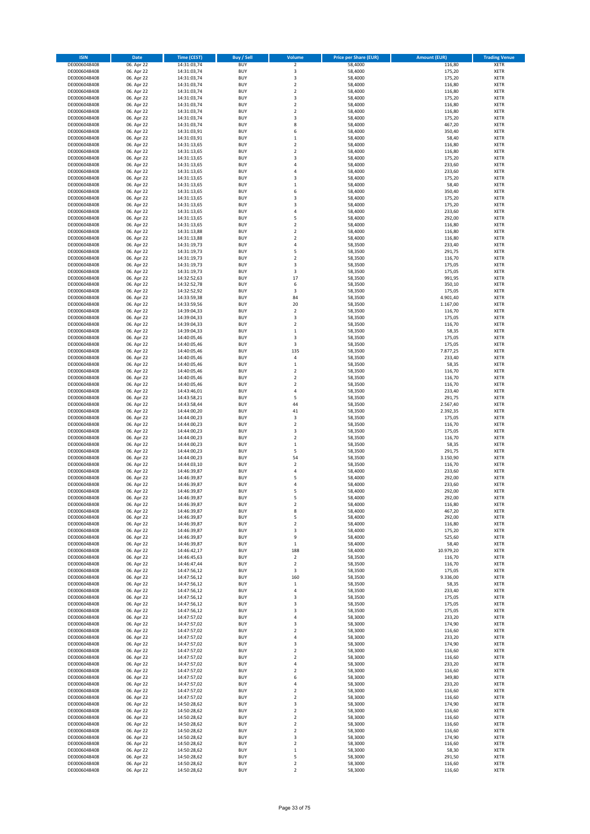| <b>ISIN</b>                  | Date                     | <b>Time (CEST)</b>         | Buy / Sell               | Volume                  | <b>Price per Share (EUR)</b> | <b>Amount (EUR)</b> | <b>Trading Venue</b>       |
|------------------------------|--------------------------|----------------------------|--------------------------|-------------------------|------------------------------|---------------------|----------------------------|
| DE0006048408                 | 06. Apr 22               | 14:31:03,74                | <b>BUY</b>               | $\mathbf 2$             | 58,4000                      | 116,80              | <b>XETR</b>                |
| DE0006048408                 | 06. Apr 22               | 14:31:03,74                | <b>BUY</b>               | 3                       | 58,4000                      | 175,20              | XETR                       |
| DE0006048408                 | 06. Apr 22               | 14:31:03,74                | <b>BUY</b>               | 3                       | 58,4000                      | 175,20              | XETR                       |
| DE0006048408                 | 06. Apr 22               | 14:31:03,74                | <b>BUY</b>               | $\overline{2}$          | 58,4000                      | 116,80              | <b>XETR</b>                |
| DE0006048408                 | 06. Apr 22               | 14:31:03,74                | <b>BUY</b>               | $\boldsymbol{2}$        | 58,4000                      | 116,80              | XETR                       |
| DE0006048408                 | 06. Apr 22               | 14:31:03,74                | <b>BUY</b>               | 3                       | 58,4000                      | 175,20              | <b>XETR</b>                |
| DE0006048408                 | 06. Apr 22               | 14:31:03,74                | <b>BUY</b>               | $\overline{2}$          | 58,4000                      | 116,80              | <b>XETR</b>                |
| DE0006048408                 | 06. Apr 22               | 14:31:03,74                | <b>BUY</b>               | $\overline{2}$          | 58,4000                      | 116,80              | <b>XETR</b>                |
| DE0006048408                 | 06. Apr 22               | 14:31:03,74                | <b>BUY</b>               | 3                       | 58,4000                      | 175,20              | <b>XETR</b>                |
| DE0006048408                 | 06. Apr 22               | 14:31:03,74                | <b>BUY</b>               | 8                       | 58,4000                      | 467,20              | <b>XETR</b>                |
| DE0006048408                 | 06. Apr 22               | 14:31:03,91                | <b>BUY</b>               | 6                       | 58,4000                      | 350,40              | XETR                       |
| DE0006048408                 | 06. Apr 22               | 14:31:03,91                | <b>BUY</b>               | $\mathbf 1$             | 58,4000                      | 58,40               | <b>XETR</b>                |
| DE0006048408                 | 06. Apr 22               | 14:31:13,65                | <b>BUY</b>               | $\boldsymbol{2}$        | 58,4000                      | 116,80              | XETR                       |
| DE0006048408                 | 06. Apr 22               | 14:31:13,65                | <b>BUY</b>               | $\overline{2}$          | 58,4000                      | 116,80              | <b>XETR</b>                |
| DE0006048408                 | 06. Apr 22               | 14:31:13,65                | <b>BUY</b>               | 3                       | 58,4000                      | 175,20              | <b>XETR</b>                |
| DE0006048408                 | 06. Apr 22               | 14:31:13,65                | <b>BUY</b>               | 4                       | 58,4000                      | 233,60              | <b>XETR</b>                |
| DE0006048408                 | 06. Apr 22               | 14:31:13,65                | <b>BUY</b>               | $\sqrt{4}$              | 58,4000                      | 233,60              | <b>XETR</b>                |
| DE0006048408                 | 06. Apr 22               | 14:31:13,65                | <b>BUY</b>               | 3                       | 58,4000                      | 175,20              | <b>XETR</b>                |
| DE0006048408                 | 06. Apr 22               | 14:31:13,65                | <b>BUY</b>               | $\,1\,$                 | 58,4000                      | 58,40               | <b>XETR</b>                |
| DE0006048408                 | 06. Apr 22               | 14:31:13,65                | <b>BUY</b>               | 6                       | 58,4000                      | 350,40              | <b>XETR</b>                |
| DE0006048408                 | 06. Apr 22               | 14:31:13,65                | <b>BUY</b>               | 3                       | 58,4000                      | 175,20              | <b>XETR</b>                |
| DE0006048408                 | 06. Apr 22               | 14:31:13,65                | <b>BUY</b>               | 3                       | 58,4000                      | 175,20              | <b>XETR</b>                |
| DE0006048408                 | 06. Apr 22               | 14:31:13,65                | <b>BUY</b>               | $\overline{4}$          | 58,4000                      | 233,60              | <b>XETR</b>                |
| DE0006048408                 | 06. Apr 22               | 14:31:13,65                | <b>BUY</b>               | 5                       | 58,4000                      | 292,00              | <b>XETR</b>                |
| DE0006048408                 | 06. Apr 22               | 14:31:13,65                | <b>BUY</b>               | $\overline{2}$          | 58,4000                      | 116,80              | <b>XETR</b>                |
| DE0006048408                 | 06. Apr 22               | 14:31:13,88                | <b>BUY</b>               | $\overline{2}$          | 58,4000                      | 116,80              | <b>XETR</b>                |
| DE0006048408                 | 06. Apr 22               | 14:31:13,88                | <b>BUY</b>               | $\overline{2}$          | 58,4000                      | 116,80              | <b>XETR</b>                |
| DE0006048408                 | 06. Apr 22               | 14:31:19,73                | <b>BUY</b>               | $\sqrt{4}$              | 58,3500                      | 233,40              | <b>XETR</b>                |
| DE0006048408                 | 06. Apr 22               | 14:31:19,73                | <b>BUY</b>               | 5                       | 58,3500                      | 291,75              | <b>XETR</b>                |
| DE0006048408                 | 06. Apr 22               | 14:31:19,73                | <b>BUY</b>               | $\boldsymbol{2}$        | 58,3500                      | 116,70              | XETR                       |
| DE0006048408                 | 06. Apr 22               | 14:31:19,73                | <b>BUY</b>               | 3                       | 58,3500                      | 175,05              | <b>XETR</b>                |
| DE0006048408                 | 06. Apr 22               | 14:31:19,73                | <b>BUY</b>               | 3                       | 58,3500                      | 175,05              | <b>XETR</b>                |
| DE0006048408                 | 06. Apr 22               | 14:32:52,63                | <b>BUY</b>               | 17                      | 58,3500                      | 991,95              | <b>XETR</b>                |
| DE0006048408                 | 06. Apr 22               | 14:32:52,78                | <b>BUY</b>               | 6                       | 58,3500                      | 350,10              | <b>XETR</b>                |
| DE0006048408                 | 06. Apr 22               | 14:32:52,92                | <b>BUY</b>               | 3                       | 58,3500                      | 175,05              | <b>XETR</b>                |
| DE0006048408                 | 06. Apr 22               | 14:33:59,38                | <b>BUY</b>               | 84                      | 58,3500                      | 4.901,40            | <b>XETR</b>                |
| DE0006048408                 | 06. Apr 22               | 14:33:59,56                | <b>BUY</b>               | 20                      | 58,3500                      | 1.167,00            | <b>XETR</b>                |
| DE0006048408                 | 06. Apr 22               | 14:39:04,33                | <b>BUY</b>               | $\boldsymbol{2}$        | 58,3500                      | 116,70              | XETR                       |
| DE0006048408                 | 06. Apr 22               | 14:39:04,33                | <b>BUY</b>               | 3                       | 58,3500                      | 175,05              | <b>XETR</b>                |
| DE0006048408                 | 06. Apr 22               | 14:39:04,33                | <b>BUY</b>               | $\mathbf 2$             | 58,3500                      | 116,70              | <b>XETR</b>                |
| DE0006048408                 | 06. Apr 22               | 14:39:04,33                | <b>BUY</b><br><b>BUY</b> | $\,1\,$<br>3            | 58,3500                      | 58,35               | <b>XETR</b><br><b>XETR</b> |
| DE0006048408                 | 06. Apr 22               | 14:40:05,46                | <b>BUY</b>               | 3                       | 58,3500                      | 175,05              |                            |
| DE0006048408                 | 06. Apr 22               | 14:40:05,46                | <b>BUY</b>               | 135                     | 58,3500                      | 175,05              | <b>XETR</b><br><b>XETR</b> |
| DE0006048408                 | 06. Apr 22               | 14:40:05,46                | <b>BUY</b>               |                         | 58,3500                      | 7.877,25            |                            |
| DE0006048408<br>DE0006048408 | 06. Apr 22               | 14:40:05,46                | <b>BUY</b>               | 4<br>$\,$ 1             | 58,3500                      | 233,40              | <b>XETR</b><br><b>XETR</b> |
|                              | 06. Apr 22               | 14:40:05,46                | <b>BUY</b>               | $\boldsymbol{2}$        | 58,3500                      | 58,35               |                            |
| DE0006048408<br>DE0006048408 | 06. Apr 22               | 14:40:05,46<br>14:40:05,46 | <b>BUY</b>               | $\boldsymbol{2}$        | 58,3500                      | 116,70              | <b>XETR</b><br><b>XETR</b> |
|                              | 06. Apr 22               |                            |                          | $\boldsymbol{2}$        | 58,3500                      | 116,70              |                            |
| DE0006048408<br>DE0006048408 | 06. Apr 22<br>06. Apr 22 | 14:40:05,46<br>14:43:46,01 | <b>BUY</b><br><b>BUY</b> | $\sqrt{4}$              | 58,3500                      | 116,70<br>233,40    | <b>XETR</b><br><b>XETR</b> |
| DE0006048408                 | 06. Apr 22               | 14:43:58,21                | <b>BUY</b>               | 5                       | 58,3500<br>58,3500           | 291,75              | <b>XETR</b>                |
| DE0006048408                 | 06. Apr 22               | 14:43:58,44                | <b>BUY</b>               | 44                      | 58,3500                      | 2.567,40            | <b>XETR</b>                |
| DE0006048408                 | 06. Apr 22               | 14:44:00,20                | <b>BUY</b>               | 41                      | 58,3500                      | 2.392,35            | <b>XETR</b>                |
| DE0006048408                 | 06. Apr 22               | 14:44:00,23                | <b>BUY</b>               | 3                       | 58,3500                      | 175,05              | <b>XETR</b>                |
| DE0006048408                 | 06. Apr 22               | 14:44:00,23                | <b>BUY</b>               | $\mathbf 2$             | 58,3500                      | 116,70              | <b>XETR</b>                |
| DE0006048408                 | 06. Apr 22               | 14:44:00,23                | <b>BUY</b>               | 3                       | 58,3500                      | 175,05              | <b>XETR</b>                |
| DE0006048408                 | 06. Apr 22               | 14:44:00,23                | <b>BUY</b>               | $\mathbf 2$             | 58,3500                      | 116,70              | <b>XETR</b>                |
| DE0006048408                 | 06. Apr 22               | 14:44:00,23                | <b>BUY</b>               | $\,1\,$                 | 58,3500                      | 58,35               | <b>XETR</b>                |
| DE0006048408                 | 06. Apr 22               | 14:44:00,23                | <b>BUY</b>               | 5                       | 58,3500                      | 291,75              | XETR                       |
| DE0006048408                 | 06. Apr 22               | 14:44:00,23                | <b>BUY</b>               | 54                      | 58,3500                      | 3.150,90            | <b>XETR</b>                |
| DE0006048408                 | 06. Apr 22               | 14:44:03,10                | <b>BUY</b>               | $\boldsymbol{2}$        | 58,3500                      | 116,70              | XETR                       |
| DE0006048408                 | 06. Apr 22               | 14:46:39,87                | <b>BUY</b>               | $\sqrt{4}$              | 58,4000                      | 233,60              | <b>XETR</b>                |
| DE0006048408                 | 06. Apr 22               | 14:46:39,87                | <b>BUY</b>               | 5                       | 58,4000                      | 292,00              | <b>XETR</b>                |
| DE0006048408                 | 06. Apr 22               | 14:46:39,87                | <b>BUY</b>               | 4                       | 58,4000                      | 233,60              | <b>XETR</b>                |
| DE0006048408                 | 06. Apr 22               | 14:46:39,87                | <b>BUY</b>               | 5                       | 58,4000                      | 292,00              | <b>XETR</b>                |
| DE0006048408                 | 06. Apr 22               | 14:46:39,87                | <b>BUY</b>               | 5                       | 58,4000                      | 292,00              | <b>XETR</b>                |
| DE0006048408                 | 06. Apr 22               | 14:46:39,87                | <b>BUY</b>               | 2                       | 58,4000                      | 116,80              | <b>XETR</b>                |
| DE0006048408                 | 06. Apr 22               | 14:46:39,87                | <b>BUY</b>               | 8                       | 58,4000                      | 467,20              | XETR                       |
| DE0006048408                 | 06. Apr 22               | 14:46:39,87                | <b>BUY</b>               | 5                       | 58,4000                      | 292,00              | XETR                       |
| DE0006048408                 | 06. Apr 22               | 14:46:39,87                | <b>BUY</b>               | $\boldsymbol{2}$        | 58,4000                      | 116,80              | <b>XETR</b>                |
| DE0006048408                 | 06. Apr 22               | 14:46:39,87                | <b>BUY</b>               | 3                       | 58,4000                      | 175,20              | XETR                       |
| DE0006048408                 | 06. Apr 22               | 14:46:39,87                | <b>BUY</b>               | 9                       | 58,4000                      | 525,60              | <b>XETR</b>                |
| DE0006048408                 | 06. Apr 22               | 14:46:39,87                | <b>BUY</b>               | $\,1\,$                 | 58,4000                      | 58,40               | <b>XETR</b>                |
| DE0006048408                 | 06. Apr 22               | 14:46:42,17                | <b>BUY</b>               | 188                     | 58,4000                      | 10.979,20           | <b>XETR</b>                |
| DE0006048408                 | 06. Apr 22               | 14:46:45,63                | <b>BUY</b>               | $\boldsymbol{2}$        | 58,3500                      | 116,70              | <b>XETR</b>                |
| DE0006048408                 | 06. Apr 22               | 14:46:47,44                | <b>BUY</b>               | $\overline{\mathbf{2}}$ | 58,3500                      | 116,70              | <b>XETR</b>                |
| DE0006048408                 | 06. Apr 22               | 14:47:56,12                | <b>BUY</b>               | 3                       | 58,3500                      | 175,05              | <b>XETR</b>                |
| DE0006048408<br>DE0006048408 | 06. Apr 22<br>06. Apr 22 | 14:47:56,12                | <b>BUY</b><br><b>BUY</b> | 160                     | 58,3500<br>58,3500           | 9.336,00<br>58,35   | <b>XETR</b><br><b>XETR</b> |
|                              |                          | 14:47:56,12                |                          | $\,$ 1                  |                              |                     |                            |
| DE0006048408<br>DE0006048408 | 06. Apr 22<br>06. Apr 22 | 14:47:56,12<br>14:47:56,12 | <b>BUY</b><br><b>BUY</b> | 4<br>3                  | 58,3500<br>58,3500           | 233,40<br>175,05    | <b>XETR</b><br><b>XETR</b> |
| DE0006048408                 | 06. Apr 22               | 14:47:56,12                | <b>BUY</b>               | 3                       | 58,3500                      | 175,05              | <b>XETR</b>                |
| DE0006048408                 | 06. Apr 22               | 14:47:56,12                | <b>BUY</b>               | 3                       | 58,3500                      | 175,05              | <b>XETR</b>                |
| DE0006048408                 | 06. Apr 22               | 14:47:57,02                | <b>BUY</b>               | 4                       | 58,3000                      | 233,20              | <b>XETR</b>                |
| DE0006048408                 | 06. Apr 22               | 14:47:57,02                | <b>BUY</b>               | 3                       | 58,3000                      | 174,90              | <b>XETR</b>                |
| DE0006048408                 | 06. Apr 22               | 14:47:57,02                | <b>BUY</b>               | $\boldsymbol{2}$        | 58,3000                      | 116,60              | <b>XETR</b>                |
| DE0006048408                 | 06. Apr 22               | 14:47:57,02                | <b>BUY</b>               | 4                       | 58,3000                      | 233,20              | <b>XETR</b>                |
| DE0006048408                 | 06. Apr 22               | 14:47:57,02                | <b>BUY</b>               | 3                       | 58,3000                      | 174,90              | XETR                       |
| DE0006048408                 | 06. Apr 22               | 14:47:57,02                | <b>BUY</b>               | $\overline{2}$          | 58,3000                      | 116,60              | <b>XETR</b>                |
| DE0006048408                 | 06. Apr 22               | 14:47:57,02                | <b>BUY</b>               | $\boldsymbol{2}$        | 58,3000                      | 116,60              | <b>XETR</b>                |
| DE0006048408                 | 06. Apr 22               | 14:47:57,02                | <b>BUY</b>               | 4                       | 58,3000                      | 233,20              | <b>XETR</b>                |
| DE0006048408                 | 06. Apr 22               | 14:47:57,02                | <b>BUY</b>               | $\overline{\mathbf{2}}$ | 58,3000                      | 116,60              | <b>XETR</b>                |
| DE0006048408                 | 06. Apr 22               | 14:47:57,02                | <b>BUY</b>               | 6                       | 58,3000                      | 349,80              | <b>XETR</b>                |
| DE0006048408                 | 06. Apr 22               | 14:47:57,02                | <b>BUY</b>               | 4                       | 58,3000                      | 233,20              | <b>XETR</b>                |
| DE0006048408                 | 06. Apr 22               | 14:47:57,02                | <b>BUY</b>               | $\overline{2}$          | 58,3000                      | 116,60              | <b>XETR</b>                |
| DE0006048408                 | 06. Apr 22               | 14:47:57,02                | <b>BUY</b>               | 2                       | 58,3000                      | 116,60              | <b>XETR</b>                |
| DE0006048408                 | 06. Apr 22               | 14:50:28,62                | <b>BUY</b>               | 3                       | 58,3000                      | 174,90              | <b>XETR</b>                |
| DE0006048408                 | 06. Apr 22               | 14:50:28,62                | <b>BUY</b>               | $\boldsymbol{2}$        | 58,3000                      | 116,60              | <b>XETR</b>                |
| DE0006048408                 | 06. Apr 22               | 14:50:28,62                | <b>BUY</b>               | $\boldsymbol{2}$        | 58,3000                      | 116,60              | <b>XETR</b>                |
| DE0006048408                 | 06. Apr 22               | 14:50:28,62                | <b>BUY</b>               | $\overline{\mathbf{2}}$ | 58,3000                      | 116,60              | <b>XETR</b>                |
| DE0006048408                 | 06. Apr 22               | 14:50:28,62                | <b>BUY</b>               | $\overline{\mathbf{2}}$ | 58,3000                      | 116,60              | <b>XETR</b>                |
| DE0006048408                 | 06. Apr 22               | 14:50:28,62                | <b>BUY</b>               | 3                       | 58,3000                      | 174,90              | <b>XETR</b>                |
| DE0006048408                 | 06. Apr 22               | 14:50:28,62                | <b>BUY</b>               | $\mathbf 2$             | 58,3000                      | 116,60              | <b>XETR</b>                |
| DE0006048408                 | 06. Apr 22               | 14:50:28,62                | <b>BUY</b>               | $\,$ 1                  | 58,3000                      | 58,30               | <b>XETR</b>                |
| DE0006048408                 | 06. Apr 22               | 14:50:28,62                | <b>BUY</b>               | 5                       | 58,3000                      | 291,50              | <b>XETR</b>                |
| DE0006048408                 | 06. Apr 22               | 14:50:28,62                | <b>BUY</b>               | $\boldsymbol{2}$        | 58,3000                      | 116,60              | <b>XETR</b>                |
| DE0006048408                 | 06. Apr 22               | 14:50:28,62                | <b>BUY</b>               | $\mathbf 2$             | 58,3000                      | 116,60              | <b>XETR</b>                |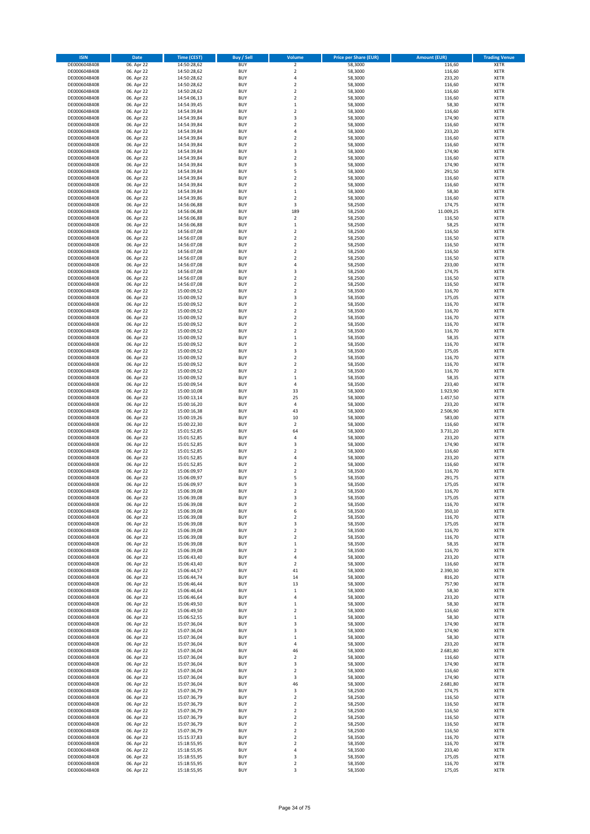| <b>ISIN</b>                  | <b>Date</b>              | <b>Time (CEST)</b>         | Buy / Sell               | Volume                  | <b>Price per Share (EUR)</b> | <b>Amount (EUR)</b> | <b>Trading Venue</b>       |
|------------------------------|--------------------------|----------------------------|--------------------------|-------------------------|------------------------------|---------------------|----------------------------|
| DE0006048408                 | 06. Apr 22               | 14:50:28,62                | <b>BUY</b>               | $\mathbf 2$             | 58,3000                      | 116,60              | <b>XETR</b>                |
| DE0006048408                 | 06. Apr 22               | 14:50:28,62                | <b>BUY</b>               | $\overline{2}$          | 58,3000                      | 116,60              | <b>XETR</b>                |
| DE0006048408                 | 06. Apr 22               | 14:50:28,62                | <b>BUY</b>               | 4                       | 58,3000                      | 233,20              | <b>XETR</b>                |
| DE0006048408                 | 06. Apr 22               | 14:50:28,62                | <b>BUY</b>               | $\overline{2}$          | 58,3000                      | 116,60              | <b>XETR</b>                |
| DE0006048408                 | 06. Apr 22               | 14:50:28,62                | <b>BUY</b>               | $\mathbf 2$             | 58,3000                      | 116,60              | <b>XETR</b>                |
| DE0006048408                 | 06. Apr 22               | 14:54:06,13                | <b>BUY</b>               | $\overline{2}$          | 58,3000                      | 116,60              | <b>XETR</b>                |
| DE0006048408                 | 06. Apr 22               | 14:54:39,45                | <b>BUY</b>               | $\,1\,$                 | 58,3000                      | 58,30               | <b>XETR</b>                |
| DE0006048408                 | 06. Apr 22               | 14:54:39,84                | <b>BUY</b>               | $\overline{2}$          | 58,3000                      | 116,60              | <b>XETR</b>                |
| DE0006048408                 | 06. Apr 22               | 14:54:39,84                | <b>BUY</b>               | 3                       | 58,3000                      | 174,90              | <b>XETR</b>                |
| DE0006048408                 | 06. Apr 22               | 14:54:39,84                | <b>BUY</b>               | $\overline{2}$          | 58,3000                      | 116,60              | <b>XETR</b>                |
| DE0006048408                 | 06. Apr 22               | 14:54:39,84                | <b>BUY</b>               | 4                       | 58,3000                      | 233,20              | <b>XETR</b>                |
| DE0006048408                 | 06. Apr 22               | 14:54:39,84                | <b>BUY</b>               | $\overline{2}$          | 58,3000                      | 116,60              | <b>XETR</b>                |
| DE0006048408                 | 06. Apr 22               | 14:54:39,84                | <b>BUY</b>               | 2                       | 58,3000                      | 116,60              | <b>XETR</b>                |
| DE0006048408                 | 06. Apr 22               | 14:54:39,84                | <b>BUY</b>               | 3                       | 58,3000                      | 174,90              | <b>XETR</b>                |
| DE0006048408                 | 06. Apr 22               | 14:54:39,84                | <b>BUY</b>               | $\mathbf 2$             | 58,3000                      | 116,60              | <b>XETR</b>                |
| DE0006048408                 | 06. Apr 22               | 14:54:39,84                | <b>BUY</b>               | 3                       | 58,3000                      | 174,90              | <b>XETR</b>                |
| DE0006048408                 | 06. Apr 22               | 14:54:39,84                | <b>BUY</b>               | 5                       | 58,3000                      | 291,50              | <b>XETR</b>                |
| DE0006048408                 | 06. Apr 22               | 14:54:39,84                | <b>BUY</b>               | 2                       | 58,3000                      | 116,60              | <b>XETR</b>                |
| DE0006048408                 | 06. Apr 22               | 14:54:39,84                | <b>BUY</b>               | $\overline{2}$          | 58,3000                      | 116,60              | <b>XETR</b>                |
| DE0006048408                 | 06. Apr 22               | 14:54:39,84                | <b>BUY</b>               | $\mathbf 1$             | 58,3000                      | 58,30               | <b>XETR</b>                |
| DE0006048408                 | 06. Apr 22               | 14:54:39,86                | <b>BUY</b>               | $\overline{2}$          | 58,3000                      | 116,60              | <b>XETR</b>                |
| DE0006048408                 | 06. Apr 22               | 14:56:06,88                | <b>BUY</b>               | 3                       | 58,2500                      | 174,75              | <b>XETR</b>                |
| DE0006048408                 | 06. Apr 22               | 14:56:06,88                | <b>BUY</b>               | 189                     | 58,2500                      | 11.009,25           | <b>XETR</b>                |
| DE0006048408                 | 06. Apr 22               | 14:56:06,88                | <b>BUY</b>               | $\overline{2}$          | 58,2500                      | 116,50              | <b>XETR</b>                |
| DE0006048408                 | 06. Apr 22               | 14:56:06,88                | <b>BUY</b>               | $\mathbf 1$             | 58,2500                      | 58,25               | <b>XETR</b>                |
| DE0006048408                 | 06. Apr 22               | 14:56:07,08                | <b>BUY</b>               | $\overline{2}$          | 58,2500                      | 116,50              | <b>XETR</b>                |
| DE0006048408                 | 06. Apr 22               | 14:56:07,08                | <b>BUY</b>               | $\overline{2}$          | 58,2500                      | 116,50              | <b>XETR</b>                |
| DE0006048408                 | 06. Apr 22               | 14:56:07,08                | <b>BUY</b>               | $\overline{2}$          | 58,2500                      | 116,50              | <b>XETR</b>                |
| DE0006048408                 | 06. Apr 22               | 14:56:07,08                | <b>BUY</b>               | 2                       | 58,2500                      | 116,50              | <b>XETR</b>                |
| DE0006048408                 | 06. Apr 22               | 14:56:07,08                | <b>BUY</b>               | 2                       | 58,2500                      | 116,50              | XETR                       |
| DE0006048408                 | 06. Apr 22               | 14:56:07,08                | <b>BUY</b>               | 4                       | 58,2500                      | 233,00              | <b>XETR</b>                |
| DE0006048408                 | 06. Apr 22               | 14:56:07,08                | <b>BUY</b>               | 3                       | 58,2500                      | 174,75              | XETR                       |
| DE0006048408                 | 06. Apr 22               | 14:56:07,08                | <b>BUY</b>               | 2                       | 58,2500                      | 116,50              | <b>XETR</b>                |
| DE0006048408                 | 06. Apr 22               | 14:56:07,08                | <b>BUY</b>               | 2                       | 58,2500                      | 116,50              | XETR                       |
| DE0006048408                 | 06. Apr 22               | 15:00:09,52                | <b>BUY</b>               | $\overline{2}$          | 58,3500                      | 116,70              | <b>XETR</b>                |
| DE0006048408                 | 06. Apr 22               | 15:00:09,52                | <b>BUY</b>               | 3                       | 58,3500                      | 175,05              | XETR                       |
| DE0006048408                 | 06. Apr 22               | 15:00:09,52                | <b>BUY</b>               | $\overline{2}$          | 58,3500                      | 116,70              | <b>XETR</b>                |
| DE0006048408                 | 06. Apr 22               | 15:00:09,52                | <b>BUY</b>               | $\mathbf 2$             | 58,3500                      | 116,70              | XETR                       |
| DE0006048408                 | 06. Apr 22               | 15:00:09,52                | <b>BUY</b>               | $\overline{2}$          | 58,3500                      | 116,70              | <b>XETR</b>                |
| DE0006048408                 | 06. Apr 22               | 15:00:09,52                | <b>BUY</b>               | $\overline{2}$          | 58,3500                      | 116,70              | <b>XETR</b>                |
| DE0006048408                 | 06. Apr 22               | 15:00:09,52                | <b>BUY</b>               | $\overline{2}$          | 58.3500                      | 116,70              | <b>XETR</b>                |
| DE0006048408                 | 06. Apr 22               | 15:00:09,52                | <b>BUY</b>               | $\mathbf{1}$            | 58,3500                      | 58,35               | <b>XETR</b>                |
| DE0006048408                 | 06. Apr 22               | 15:00:09,52                | <b>BUY</b>               | $\overline{2}$          | 58,3500                      | 116,70              | <b>XETR</b>                |
| DE0006048408                 | 06. Apr 22               | 15:00:09,52                | <b>BUY</b>               | $\overline{\mathbf{3}}$ | 58,3500                      | 175,05              | <b>XETR</b>                |
| DE0006048408                 | 06. Apr 22               | 15:00:09,52                | <b>BUY</b>               | $\overline{2}$          | 58,3500                      | 116,70              | <b>XETR</b>                |
| DE0006048408                 | 06. Apr 22               | 15:00:09,52                | <b>BUY</b>               | $\mathbf 2$             | 58,3500                      | 116,70              | <b>XETR</b>                |
| DE0006048408                 | 06. Apr 22               | 15:00:09,52                | <b>BUY</b>               | 2                       | 58,3500                      | 116,70              | <b>XETR</b>                |
| DE0006048408                 | 06. Apr 22               | 15:00:09,52                | <b>BUY</b>               | $\mathbf 1$             | 58,3500                      | 58,35               | <b>XETR</b>                |
| DE0006048408                 | 06. Apr 22               | 15:00:09,54                | <b>BUY</b>               | 4                       | 58,3500                      | 233,40              | <b>XETR</b>                |
| DE0006048408                 | 06. Apr 22               | 15:00:10,08                | <b>BUY</b>               | 33                      | 58,3000                      | 1.923,90            | <b>XETR</b>                |
| DE0006048408                 | 06. Apr 22               | 15:00:13,14                | <b>BUY</b>               | 25                      | 58,3000                      | 1.457,50            | <b>XETR</b>                |
| DE0006048408                 | 06. Apr 22               | 15:00:16,20                | <b>BUY</b>               | $\overline{4}$          | 58,3000                      | 233,20              | <b>XETR</b>                |
| DE0006048408                 | 06. Apr 22               | 15:00:16,38                | <b>BUY</b>               | 43                      | 58,3000                      | 2.506,90            | <b>XETR</b>                |
| DE0006048408                 | 06. Apr 22               | 15:00:19,26                | <b>BUY</b>               | 10                      | 58,3000                      | 583,00              | <b>XETR</b>                |
| DE0006048408                 | 06. Apr 22               | 15:00:22,30                | <b>BUY</b>               | $\boldsymbol{2}$        | 58,3000                      | 116,60              | <b>XETR</b>                |
| DE0006048408                 | 06. Apr 22               | 15:01:52,85                | <b>BUY</b>               | 64                      | 58,3000                      | 3.731,20            | <b>XETR</b>                |
| DE0006048408                 | 06. Apr 22               | 15:01:52,85                | <b>BUY</b>               | 4                       | 58,3000                      | 233,20              | <b>XETR</b>                |
| DE0006048408                 | 06. Apr 22               | 15:01:52,85                | <b>BUY</b>               | $\overline{\mathbf{3}}$ | 58,3000                      | 174,90              | <b>XETR</b>                |
| DE0006048408                 | 06. Apr 22               | 15:01:52,85                | <b>BUY</b>               | 2                       | 58,3000                      | 116,60              | <b>XETR</b>                |
| DE0006048408                 | 06. Apr 22               | 15:01:52,85                | <b>BUY</b>               | $\overline{4}$          | 58,3000                      | 233,20              | <b>XETR</b>                |
| DE0006048408                 | 06. Apr 22               | 15:01:52,85                | <b>BUY</b>               | $\mathbf 2$             | 58,3000                      | 116,60              | <b>XETR</b>                |
| DE0006048408                 | 06. Apr 22               | 15:06:09,97                | <b>BUY</b>               | $\overline{2}$          | 58,3500                      | 116,70              | <b>XETR</b>                |
| DE0006048408                 | 06. Apr 22               | 15:06:09,97                | <b>BUY</b>               | 5                       | 58,3500                      | 291,75              | <b>XETR</b>                |
| DE0006048408                 | 06. Apr 22               | 15:06:09,97                | <b>BUY</b>               | 3                       | 58,3500                      | 175,05              | <b>XETR</b>                |
| DE0006048408                 | 06. Apr 22               | 15:06:39,08                | <b>BUY</b>               | $\overline{\mathbf{c}}$ | 58,3500                      | 116,70              | <b>XETR</b>                |
| DE0006048408                 | 06. Apr 22               | 15:06:39,08                | <b>BUY</b>               | 3                       | 58,3500                      | 175,05              | <b>XETR</b>                |
| DE0006048408                 | 06. Apr 22               | 15:06:39,08                | <b>BUY</b>               | 2                       | 58,3500                      | 116,70              | <b>XETR</b>                |
| DE0006048408                 | 06. Apr 22               | 15:06:39,08                | <b>BUY</b>               | 6                       | 58,3500                      | 350,10              | <b>XETR</b>                |
| DE0006048408                 | 06. Apr 22               | 15:06:39,08                | <b>BUY</b>               | 2                       | 58,3500                      | 116,70              | <b>XETR</b>                |
| DE0006048408                 | 06. Apr 22               | 15:06:39,08                | <b>BUY</b>               | 3                       | 58,3500                      | 175,05              | <b>XETR</b>                |
| DE0006048408                 | 06. Apr 22               | 15:06:39,08                | <b>BUY</b>               | $\mathbf 2$             | 58,3500                      | 116,70              | <b>XETR</b>                |
| DE0006048408                 | 06. Apr 22               | 15:06:39,08                | <b>BUY</b>               | 2                       | 58,3500                      | 116,70              | <b>XETR</b>                |
| DE0006048408                 | 06. Apr 22               | 15:06:39,08                | <b>BUY</b>               | $\mathbf 1$             | 58,3500                      | 58,35               | <b>XETR</b>                |
| DE0006048408                 | 06. Apr 22               | 15:06:39,08                | <b>BUY</b>               | $\overline{\mathbf{c}}$ | 58,3500                      | 116,70              | <b>XETR</b>                |
| DE0006048408                 | 06. Apr 22               | 15:06:43,40<br>15:06:43,40 | <b>BUY</b>               | 4                       | 58,3000                      | 233,20              | <b>XETR</b>                |
| DE0006048408<br>DE0006048408 | 06. Apr 22<br>06. Apr 22 | 15:06:44,57                | <b>BUY</b><br><b>BUY</b> | 2<br>41                 | 58,3000<br>58,3000           | 116,60<br>2.390,30  | <b>XETR</b><br><b>XETR</b> |
| DE0006048408                 | 06. Apr 22               | 15:06:44,74                | <b>BUY</b>               | 14                      | 58,3000                      | 816,20              | <b>XETR</b>                |
| DE0006048408                 | 06. Apr 22               | 15:06:46,44                | <b>BUY</b>               | 13                      | 58,3000                      | 757,90              | <b>XETR</b>                |
| DE0006048408                 | 06. Apr 22               | 15:06:46,64                | <b>BUY</b>               | $\mathbf 1$             | 58,3000                      | 58,30               | <b>XETR</b>                |
| DE0006048408                 | 06. Apr 22               | 15:06:46,64                | <b>BUY</b>               | 4                       | 58,3000                      | 233,20              | <b>XETR</b>                |
| DE0006048408                 | 06. Apr 22               | 15:06:49,50                | <b>BUY</b>               | 1                       | 58,3000                      | 58,30               | <b>XETR</b>                |
| DE0006048408                 | 06. Apr 22               | 15:06:49,50                | <b>BUY</b>               | 2                       | 58,3000                      | 116,60              | <b>XETR</b>                |
| DE0006048408                 | 06. Apr 22               | 15:06:52,55                | <b>BUY</b>               | 1                       | 58,3000                      | 58,30               | <b>XETR</b>                |
| DE0006048408                 | 06. Apr 22               | 15:07:36,04                | <b>BUY</b>               | 3                       | 58,3000                      | 174,90              | <b>XETR</b>                |
| DE0006048408                 | 06. Apr 22               | 15:07:36,04                | <b>BUY</b>               | 3                       | 58,3000                      | 174,90              | <b>XETR</b>                |
| DE0006048408                 | 06. Apr 22               | 15:07:36,04                | <b>BUY</b>               | $\mathbf 1$             | 58,3000                      | 58,30               | <b>XETR</b>                |
| DE0006048408                 | 06. Apr 22               | 15:07:36,04                | <b>BUY</b>               | 4                       | 58,3000                      | 233,20              | <b>XETR</b>                |
| DE0006048408                 | 06. Apr 22               | 15:07:36,04                | <b>BUY</b>               | 46                      | 58,3000                      | 2.681,80            | <b>XETR</b>                |
| DE0006048408                 | 06. Apr 22               | 15:07:36,04                | <b>BUY</b>               | 2                       | 58,3000                      | 116,60              | <b>XETR</b>                |
| DE0006048408                 | 06. Apr 22               | 15:07:36,04                | <b>BUY</b>               | 3                       | 58,3000                      | 174,90              | <b>XETR</b>                |
| DE0006048408                 | 06. Apr 22               | 15:07:36,04                | <b>BUY</b>               | 2                       | 58,3000                      | 116,60              | <b>XETR</b>                |
| DE0006048408                 | 06. Apr 22               | 15:07:36,04                | <b>BUY</b>               | 3                       | 58,3000                      | 174,90              | <b>XETR</b>                |
| DE0006048408                 | 06. Apr 22               | 15:07:36,04                | <b>BUY</b>               | 46                      | 58,3000                      | 2.681,80            | XETR                       |
| DE0006048408                 | 06. Apr 22               | 15:07:36,79                | <b>BUY</b>               | 3                       | 58,2500                      | 174,75              | <b>XETR</b>                |
| DE0006048408                 | 06. Apr 22               | 15:07:36,79                | <b>BUY</b>               | 2                       | 58,2500                      | 116,50              | XETR                       |
| DE0006048408                 | 06. Apr 22               | 15:07:36,79                | <b>BUY</b>               | 2                       | 58,2500                      | 116,50              | <b>XETR</b>                |
| DE0006048408                 | 06. Apr 22               | 15:07:36,79                | <b>BUY</b>               | 2                       | 58,2500                      | 116,50              | XETR                       |
| DE0006048408                 | 06. Apr 22               | 15:07:36,79                | <b>BUY</b>               | 2                       | 58,2500                      | 116,50              | <b>XETR</b>                |
| DE0006048408                 | 06. Apr 22               | 15:07:36,79                | <b>BUY</b>               | 2                       | 58,2500                      | 116,50              | <b>XETR</b>                |
| DE0006048408                 | 06. Apr 22               | 15:07:36,79                | <b>BUY</b>               | 2                       | 58,2500                      | 116,50              | <b>XETR</b>                |
| DE0006048408                 | 06. Apr 22               | 15:15:37,83                | <b>BUY</b>               | $\mathbf 2$             | 58,3500                      | 116,70              | XETR                       |
| DE0006048408                 | 06. Apr 22               | 15:18:55,95                | <b>BUY</b>               | $\mathbf 2$             | 58,3500                      | 116,70              | <b>XETR</b>                |
| DE0006048408                 | 06. Apr 22               | 15:18:55,95                | <b>BUY</b>               | 4                       | 58,3500                      | 233,40              | XETR                       |
| DE0006048408                 | 06. Apr 22               | 15:18:55,95                | <b>BUY</b>               | 3                       | 58,3500                      | 175,05              | <b>XETR</b>                |
| DE0006048408                 | 06. Apr 22               | 15:18:55,95                | <b>BUY</b>               | $\mathbf 2$             | 58,3500                      | 116,70              | XETR                       |
| DE0006048408                 | 06. Apr 22               | 15:18:55,95                | <b>BUY</b>               | 3                       | 58,3500                      | 175,05              | <b>XETR</b>                |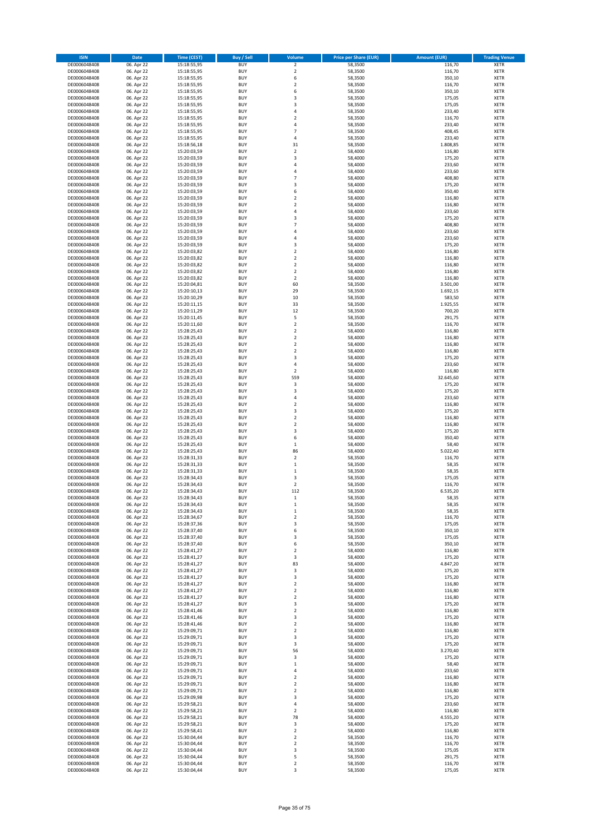| <b>ISIN</b>                  | <b>Date</b>              | Time (CEST)                | <b>Buy / Sell</b>        | Volume                        | <b>Price per Share (EUR)</b> | <b>Amount (EUR)</b> | <b>Trading Venue</b>       |
|------------------------------|--------------------------|----------------------------|--------------------------|-------------------------------|------------------------------|---------------------|----------------------------|
| DE0006048408                 | 06. Apr 22               | 15:18:55,95                | <b>BUY</b>               | $\mathbf 2$                   | 58,3500                      | 116,70              | XETR                       |
| DE0006048408                 | 06. Apr 22               | 15:18:55,95                | <b>BUY</b>               | $\overline{\mathbf{c}}$       | 58,3500                      | 116,70              | <b>XETR</b>                |
| DE0006048408                 | 06. Apr 22               | 15:18:55,95                | <b>BUY</b>               | 6                             | 58,3500                      | 350,10              | XETR                       |
| DE0006048408                 | 06. Apr 22               | 15:18:55,95                | <b>BUY</b>               | $\overline{\mathbf{c}}$       | 58,3500                      | 116,70              | <b>XETR</b>                |
| DE0006048408                 | 06. Apr 22               | 15:18:55,95                | <b>BUY</b>               | 6                             | 58,3500                      | 350,10              | <b>XETR</b>                |
| DE0006048408                 | 06. Apr 22               | 15:18:55,95                | <b>BUY</b>               | $\overline{\mathbf{3}}$       | 58,3500                      | 175,05              | <b>XETR</b>                |
| DE0006048408                 | 06. Apr 22               | 15:18:55,95                | <b>BUY</b>               | $\overline{\mathbf{3}}$       | 58,3500                      | 175,05              | <b>XETR</b>                |
| DE0006048408                 | 06. Apr 22               | 15:18:55,95                | <b>BUY</b>               | $\overline{4}$                | 58,3500                      | 233,40              | <b>XETR</b>                |
| DE0006048408                 | 06. Apr 22               | 15:18:55,95                | <b>BUY</b>               | $\overline{\mathbf{c}}$       | 58,3500                      | 116,70              | <b>XETR</b>                |
| DE0006048408                 | 06. Apr 22               | 15:18:55,95                | <b>BUY</b>               | $\overline{4}$                | 58,3500                      | 233,40              | <b>XETR</b>                |
| DE0006048408                 | 06. Apr 22               | 15:18:55,95                | <b>BUY</b>               | $\overline{7}$                | 58,3500                      | 408,45              | <b>XETR</b>                |
| DE0006048408                 | 06. Apr 22               | 15:18:55,95                | <b>BUY</b>               | 4                             | 58,3500                      | 233,40              | <b>XETR</b>                |
| DE0006048408                 | 06. Apr 22               | 15:18:56,18                | <b>BUY</b>               | 31                            | 58,3500                      | 1.808,85            | <b>XETR</b>                |
| DE0006048408                 | 06. Apr 22               | 15:20:03,59                | <b>BUY</b>               | $\overline{2}$                | 58,4000                      | 116,80              | <b>XETR</b>                |
| DE0006048408                 | 06. Apr 22               | 15:20:03,59                | <b>BUY</b>               | $\overline{\mathbf{3}}$       | 58,4000                      | 175,20              | <b>XETR</b>                |
| DE0006048408                 | 06. Apr 22               | 15:20:03,59                | <b>BUY</b>               | 4                             | 58,4000                      | 233,60              | <b>XETR</b>                |
| DE0006048408                 | 06. Apr 22               | 15:20:03,59                | <b>BUY</b>               | $\overline{4}$                | 58,4000                      | 233,60              | <b>XETR</b>                |
| DE0006048408                 | 06. Apr 22               | 15:20:03,59                | <b>BUY</b>               | $\overline{7}$                | 58,4000                      | 408,80              | <b>XETR</b>                |
| DE0006048408                 | 06. Apr 22               | 15:20:03,59                | <b>BUY</b>               | $\overline{\mathbf{3}}$       | 58,4000                      | 175,20              | <b>XETR</b>                |
| DE0006048408                 | 06. Apr 22               | 15:20:03,59                | <b>BUY</b>               | 6                             | 58,4000                      | 350,40              | <b>XETR</b>                |
| DE0006048408                 | 06. Apr 22               | 15:20:03,59                | <b>BUY</b>               | $\overline{\mathbf{c}}$       | 58,4000                      | 116,80              | <b>XETR</b>                |
| DE0006048408                 | 06. Apr 22               | 15:20:03,59                | <b>BUY</b>               | $\overline{\mathbf{c}}$       | 58,4000                      | 116,80              | <b>XETR</b>                |
| DE0006048408                 | 06. Apr 22               | 15:20:03,59                | <b>BUY</b>               | 4                             | 58,4000                      | 233,60              | <b>XETR</b>                |
| DE0006048408                 | 06. Apr 22               | 15:20:03,59                | <b>BUY</b>               | 3                             | 58,4000                      | 175,20              | <b>XETR</b>                |
| DE0006048408                 | 06. Apr 22               | 15:20:03,59                | <b>BUY</b>               | $\overline{7}$                | 58,4000                      | 408,80              | <b>XETR</b>                |
| DE0006048408                 | 06. Apr 22               | 15:20:03,59                | <b>BUY</b>               | 4                             | 58,4000                      | 233,60              | <b>XETR</b>                |
| DE0006048408                 | 06. Apr 22               | 15:20:03,59                | <b>BUY</b>               | $\overline{4}$                | 58,4000                      | 233,60              | <b>XETR</b>                |
| DE0006048408                 | 06. Apr 22               | 15:20:03,59                | <b>BUY</b>               | 3                             | 58,4000                      | 175,20              | <b>XETR</b>                |
| DE0006048408                 | 06. Apr 22               | 15:20:03,82                | <b>BUY</b>               | 2                             | 58,4000                      | 116,80              | <b>XETR</b>                |
| DE0006048408                 | 06. Apr 22               | 15:20:03,82                | <b>BUY</b>               | $\mathbf 2$                   | 58,4000                      | 116,80              | <b>XETR</b>                |
| DE0006048408                 | 06. Apr 22               | 15:20:03,82                | <b>BUY</b>               | $\overline{\mathbf{c}}$       | 58,4000                      | 116,80              | <b>XETR</b>                |
| DE0006048408                 | 06. Apr 22               | 15:20:03,82                | <b>BUY</b>               | $\mathbf 2$                   | 58,4000                      | 116,80              | <b>XETR</b>                |
| DE0006048408                 | 06. Apr 22               | 15:20:03,82                | <b>BUY</b>               | 2                             | 58,4000                      | 116,80              | <b>XETR</b>                |
| DE0006048408                 | 06. Apr 22               | 15:20:04,81                | <b>BUY</b>               | 60                            | 58,3500                      | 3.501,00            | <b>XETR</b>                |
| DE0006048408                 | 06. Apr 22               | 15:20:10,13                | <b>BUY</b>               | 29                            | 58,3500                      | 1.692,15            | <b>XETR</b>                |
| DE0006048408                 | 06. Apr 22               | 15:20:10,29                | <b>BUY</b>               | 10                            | 58,3500                      | 583,50              | <b>XETR</b>                |
| DE0006048408                 | 06. Apr 22               | 15:20:11,15                | <b>BUY</b>               | 33                            | 58,3500                      | 1.925,55            | <b>XETR</b>                |
| DE0006048408                 | 06. Apr 22               | 15:20:11,29                | <b>BUY</b>               | 12                            | 58,3500                      | 700,20              | <b>XETR</b>                |
| DE0006048408                 | 06. Apr 22               | 15:20:11,45                | <b>BUY</b>               | 5                             | 58,3500                      | 291,75              | <b>XETR</b>                |
| DE0006048408                 | 06. Apr 22               | 15:20:11,60                | <b>BUY</b>               | $\overline{\mathbf{c}}$       | 58,3500                      | 116,70              | <b>XETR</b>                |
| DE0006048408                 | 06. Apr 22               | 15:28:25,43                | <b>BUY</b>               | $\overline{\mathbf{c}}$       | 58,4000                      | 116,80              | <b>XETR</b>                |
| DE0006048408                 | 06. Apr 22               | 15:28:25,43                | <b>BUY</b>               | 2                             | 58,4000                      | 116,80              | <b>XETR</b>                |
| DE0006048408                 | 06. Apr 22               | 15:28:25,43                | <b>BUY</b>               | 2                             | 58,4000                      | 116,80              | <b>XETR</b>                |
| DE0006048408                 | 06. Apr 22               | 15:28:25,43                | <b>BUY</b>               | $\overline{\mathbf{c}}$       | 58,4000                      | 116,80              | <b>XETR</b>                |
| DE0006048408                 | 06. Apr 22               | 15:28:25,43                | <b>BUY</b>               | 3                             | 58,4000                      | 175,20              | <b>XETR</b>                |
| DE0006048408                 | 06. Apr 22               | 15:28:25,43                | <b>BUY</b>               | 4                             | 58,4000                      | 233,60              | <b>XETR</b>                |
| DE0006048408                 | 06. Apr 22               | 15:28:25,43                | <b>BUY</b>               | 2                             | 58,4000                      | 116,80              | <b>XETR</b>                |
| DE0006048408                 | 06. Apr 22               | 15:28:25,43                | <b>BUY</b>               | 559                           | 58,4000                      | 32.645,60           | <b>XETR</b>                |
| DE0006048408                 | 06. Apr 22               | 15:28:25,43                | <b>BUY</b>               | 3                             | 58,4000                      | 175,20              | <b>XETR</b>                |
| DE0006048408                 | 06. Apr 22               | 15:28:25,43                | <b>BUY</b>               | 3                             | 58,4000                      | 175,20              | XETR                       |
| DE0006048408                 | 06. Apr 22               | 15:28:25,43                | <b>BUY</b>               | 4                             | 58,4000                      | 233,60              | <b>XETR</b>                |
| DE0006048408                 | 06. Apr 22               | 15:28:25,43                | <b>BUY</b>               | $\overline{2}$                | 58,4000                      | 116,80              | <b>XETR</b>                |
| DE0006048408                 | 06. Apr 22               | 15:28:25,43                | <b>BUY</b>               | 3                             | 58,4000                      | 175,20              | <b>XETR</b>                |
| DE0006048408                 | 06. Apr 22               | 15:28:25,43                | <b>BUY</b>               | $\mathbf 2$                   | 58,4000                      | 116,80              | <b>XETR</b>                |
| DE0006048408                 | 06. Apr 22               | 15:28:25,43                | <b>BUY</b>               | $\overline{\mathbf{c}}$       | 58,4000                      | 116,80              | <b>XETR</b>                |
| DE0006048408                 | 06. Apr 22               | 15:28:25,43                | <b>BUY</b>               | 3                             | 58,4000                      | 175,20              | <b>XETR</b>                |
| DE0006048408                 | 06. Apr 22               | 15:28:25,43                | <b>BUY</b>               | 6                             | 58,4000                      | 350,40              | <b>XETR</b>                |
| DE0006048408                 | 06. Apr 22               | 15:28:25,43                | <b>BUY</b>               | $\mathbf{1}$                  | 58,4000                      | 58,40               | <b>XETR</b>                |
| DE0006048408                 | 06. Apr 22               | 15:28:25,43                | <b>BUY</b>               | 86                            | 58,4000                      | 5.022,40            | XETR                       |
| DE0006048408                 | 06. Apr 22               | 15:28:31,33                | <b>BUY</b>               | $\overline{\mathbf{c}}$       | 58,3500                      | 116,70              | <b>XETR</b>                |
| DE0006048408                 | 06. Apr 22               | 15:28:31,33                | <b>BUY</b>               | $\mathbf{1}$                  | 58,3500                      | 58,35               | XETR                       |
| DE0006048408                 | 06. Apr 22               | 15:28:31,33                | <b>BUY</b>               | $\mathbf 1$                   | 58,3500                      | 58,35               | <b>XETR</b>                |
| DE0006048408                 | 06. Apr 22               | 15:28:34,43                | <b>BUY</b>               | 3                             | 58,3500                      | 175,05              | XETR                       |
| DE0006048408                 | 06. Apr 22               | 15:28:34.43                | <b>BUY</b>               | $\overline{\mathbf{c}}$       | 58,3500                      | 116,70              | <b>XETR</b>                |
| DE0006048408                 | 06. Apr 22               | 15:28:34,43                | <b>BUY</b>               | 112                           | 58,3500                      | 6.535,20            | <b>XETR</b>                |
| DE0006048408                 | 06. Apr 22               | 15:28:34,43                | <b>BUY</b>               | 1                             | 58,3500                      | 58,35               | <b>XETR</b>                |
| DE0006048408                 | 06. Apr 22               | 15:28:34,43                | <b>BUY</b>               | 1                             | 58,3500                      | 58,35               | <b>XETR</b>                |
| DE0006048408                 | 06. Apr 22               | 15:28:34,43                | <b>BUY</b>               | $\mathbf{1}$                  | 58,3500                      | 58,35               | XETR                       |
| DE0006048408                 | 06. Apr 22               | 15:28:34,67                | <b>BUY</b>               | 2                             | 58,3500                      | 116,70              | XETR                       |
| DE0006048408                 | 06. Apr 22               | 15:28:37,36                | <b>BUY</b>               | 3                             | 58,3500                      | 175,05              | <b>XETR</b>                |
| DE0006048408                 | 06. Apr 22               | 15:28:37,40                | <b>BUY</b>               | 6                             | 58,3500                      | 350,10              | <b>XETR</b>                |
| DE0006048408                 | 06. Apr 22               | 15:28:37,40                | <b>BUY</b>               | 3                             | 58,3500                      | 175,05              | <b>XETR</b>                |
| DE0006048408                 | 06. Apr 22               | 15:28:37,40                | <b>BUY</b>               | 6                             | 58,3500                      | 350,10              | <b>XETR</b>                |
| DE0006048408                 | 06. Apr 22               | 15:28:41,27                | <b>BUY</b>               | 2                             | 58,4000                      | 116,80              | <b>XETR</b>                |
| DE0006048408                 | 06. Apr 22               | 15:28:41,27<br>15:28:41,27 | <b>BUY</b>               | 3                             | 58,4000                      | 175,20              | <b>XETR</b>                |
| DE0006048408<br>DE0006048408 | 06. Apr 22<br>06. Apr 22 | 15:28:41,27                | <b>BUY</b><br><b>BUY</b> | 83<br>$\overline{\mathbf{3}}$ | 58,4000<br>58,4000           | 4.847,20<br>175,20  | <b>XETR</b><br><b>XETR</b> |
| DE0006048408                 | 06. Apr 22               | 15:28:41,27                | <b>BUY</b>               | 3                             | 58,4000                      | 175,20              | <b>XETR</b>                |
| DE0006048408                 | 06. Apr 22               | 15:28:41,27                | <b>BUY</b>               | 2                             | 58,4000                      | 116,80              | <b>XETR</b>                |
| DE0006048408                 | 06. Apr 22               | 15:28:41,27                | <b>BUY</b>               | 2                             | 58,4000                      | 116,80              | <b>XETR</b>                |
| DE0006048408                 | 06. Apr 22               | 15:28:41,27                | <b>BUY</b>               | $\mathbf 2$                   | 58,4000                      | 116,80              | <b>XETR</b>                |
| DE0006048408                 | 06. Apr 22               | 15:28:41,27                | <b>BUY</b>               | 3                             | 58,4000                      | 175,20              | <b>XETR</b>                |
| DE0006048408                 | 06. Apr 22               | 15:28:41,46                | <b>BUY</b>               | 2                             | 58,4000                      | 116,80              | <b>XETR</b>                |
| DE0006048408                 | 06. Apr 22               | 15:28:41,46                | <b>BUY</b>               | 3                             | 58,4000                      | 175,20              | <b>XETR</b>                |
| DE0006048408                 | 06. Apr 22               | 15:28:41,46                | <b>BUY</b>               | $\overline{\mathbf{2}}$       | 58,4000                      | 116,80              | <b>XETR</b>                |
| DE0006048408                 | 06. Apr 22               | 15:29:09,71                | <b>BUY</b>               | $\mathbf 2$                   | 58,4000                      | 116,80              | <b>XETR</b>                |
| DE0006048408                 | 06. Apr 22               | 15:29:09,71                | <b>BUY</b>               | 3                             | 58,4000                      | 175,20              | <b>XETR</b>                |
| DE0006048408                 | 06. Apr 22               | 15:29:09,71                | <b>BUY</b>               | 3                             | 58,4000                      | 175,20              | <b>XETR</b>                |
| DE0006048408                 | 06. Apr 22               | 15:29:09,71                | <b>BUY</b>               | 56                            | 58,4000                      | 3.270,40            | <b>XETR</b>                |
| DE0006048408                 | 06. Apr 22               | 15:29:09,71                | <b>BUY</b>               | 3                             | 58,4000                      | 175,20              | <b>XETR</b>                |
| DE0006048408                 | 06. Apr 22               | 15:29:09,71                | <b>BUY</b>               | $\mathbf{1}$                  | 58,4000                      | 58,40               | <b>XETR</b>                |
| DE0006048408                 | 06. Apr 22               | 15:29:09,71                | <b>BUY</b>               | 4                             | 58,4000                      | 233,60              | <b>XETR</b>                |
| DE0006048408                 | 06. Apr 22               | 15:29:09,71                | <b>BUY</b>               | $\overline{\mathbf{2}}$       | 58,4000                      | 116,80              | <b>XETR</b>                |
| DE0006048408                 | 06. Apr 22               | 15:29:09,71                | <b>BUY</b>               | 2                             | 58,4000                      | 116,80              | <b>XETR</b>                |
| DE0006048408                 | 06. Apr 22               | 15:29:09,71                | <b>BUY</b>               | $\overline{\mathbf{c}}$       | 58,4000                      | 116,80              | <b>XETR</b>                |
| DE0006048408                 | 06. Apr 22               | 15:29:09,98                | <b>BUY</b>               | 3                             | 58,4000                      | 175,20              | <b>XETR</b>                |
| DE0006048408                 | 06. Apr 22               | 15:29:58,21                | <b>BUY</b>               | 4                             | 58,4000                      | 233,60              | <b>XETR</b>                |
| DE0006048408                 | 06. Apr 22               | 15:29:58,21                | <b>BUY</b>               | $\overline{\mathbf{2}}$       | 58,4000                      | 116,80              | <b>XETR</b>                |
| DE0006048408                 | 06. Apr 22               | 15:29:58,21                | <b>BUY</b>               | 78                            | 58,4000                      | 4.555,20            | <b>XETR</b>                |
| DE0006048408                 | 06. Apr 22               | 15:29:58,21                | <b>BUY</b>               | 3                             | 58,4000                      | 175,20              | <b>XETR</b>                |
| DE0006048408                 | 06. Apr 22               | 15:29:58,41                | <b>BUY</b>               | 2                             | 58,4000                      | 116,80              | <b>XETR</b>                |
| DE0006048408                 | 06. Apr 22               | 15:30:04,44                | <b>BUY</b>               | $\mathbf 2$                   | 58,3500                      | 116,70              | <b>XETR</b>                |
| DE0006048408                 | 06. Apr 22               | 15:30:04,44                | <b>BUY</b>               | $\mathbf 2$                   | 58,3500                      | 116,70              | <b>XETR</b>                |
| DE0006048408                 | 06. Apr 22               | 15:30:04,44                | <b>BUY</b>               | 3                             | 58,3500                      | 175,05              | <b>XETR</b>                |
| DE0006048408                 | 06. Apr 22               | 15:30:04,44                | <b>BUY</b>               | 5                             | 58,3500                      | 291,75              | <b>XETR</b>                |
| DE0006048408                 | 06. Apr 22               | 15:30:04,44                | <b>BUY</b>               | $\mathbf 2$                   | 58,3500                      | 116,70              | <b>XETR</b>                |
| DE0006048408                 | 06. Apr 22               | 15:30:04,44                | <b>BUY</b>               | 3                             | 58,3500                      | 175,05              | <b>XETR</b>                |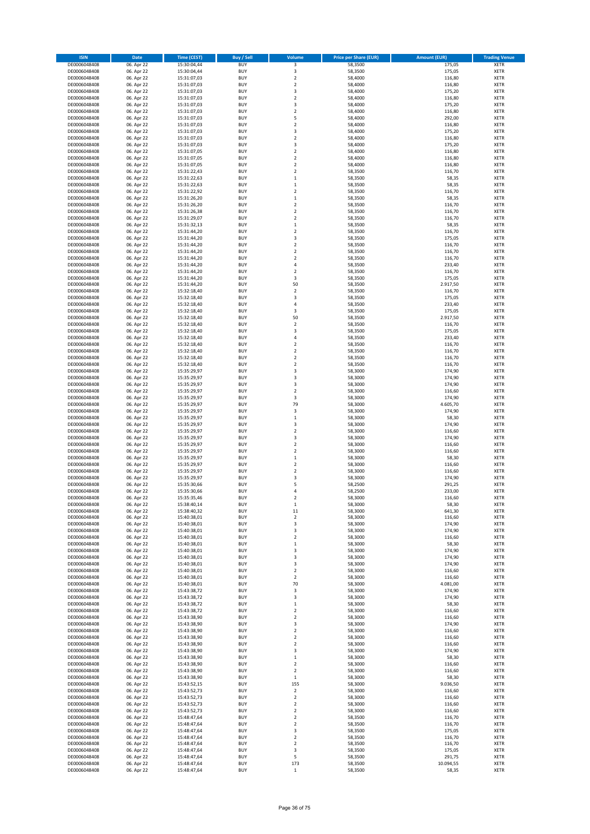| <b>ISIN</b>                  | <b>Date</b>              | Time (CEST)                | Buy / Sell               | <b>Volume</b>                | <b>Price per Share (EUR)</b> | <b>Amount (EUR)</b> | <b>Trading Venue</b>       |
|------------------------------|--------------------------|----------------------------|--------------------------|------------------------------|------------------------------|---------------------|----------------------------|
| DE0006048408                 | 06. Apr 22               | 15:30:04,44                | <b>BUY</b>               | 3                            | 58,3500                      | 175,05              | <b>XETR</b>                |
| DE0006048408                 | 06. Apr 22               | 15:30:04,44                | <b>BUY</b>               | 3                            | 58,3500                      | 175,05              | <b>XETR</b>                |
| DE0006048408                 | 06. Apr 22               | 15:31:07,03                | <b>BUY</b>               | $\overline{\mathbf{c}}$      | 58,4000                      | 116,80              | <b>XETR</b>                |
| DE0006048408                 | 06. Apr 22               | 15:31:07,03                | <b>BUY</b>               | $\overline{\mathbf{c}}$      | 58,4000                      | 116,80              | <b>XETR</b>                |
| DE0006048408                 | 06. Apr 22               | 15:31:07,03                | <b>BUY</b>               | 3                            | 58,4000                      | 175,20              | <b>XETR</b>                |
| DE0006048408                 | 06. Apr 22               | 15:31:07,03                | <b>BUY</b>               | $\overline{\mathbf{c}}$      | 58,4000                      | 116,80              | <b>XETR</b>                |
| DE0006048408                 | 06. Apr 22               | 15:31:07,03                | <b>BUY</b>               | $\overline{\mathbf{3}}$      | 58,4000                      | 175,20              | <b>XETR</b>                |
| DE0006048408                 | 06. Apr 22               | 15:31:07,03                | <b>BUY</b>               | $\overline{\mathbf{c}}$      | 58,4000                      | 116,80              | <b>XETR</b>                |
| DE0006048408                 | 06. Apr 22               | 15:31:07,03                | <b>BUY</b>               | 5                            | 58,4000                      | 292,00              | XETR                       |
| DE0006048408                 | 06. Apr 22               | 15:31:07,03                | <b>BUY</b>               | $\overline{\mathbf{c}}$      | 58,4000                      | 116,80              | <b>XETR</b>                |
| DE0006048408                 | 06. Apr 22               | 15:31:07,03                | <b>BUY</b>               | 3                            | 58,4000                      | 175,20              | XETR                       |
| DE0006048408                 | 06. Apr 22               | 15:31:07,03                | <b>BUY</b>               | $\overline{\mathbf{c}}$      | 58,4000                      | 116,80              | <b>XETR</b>                |
| DE0006048408                 | 06. Apr 22               | 15:31:07,03                | <b>BUY</b>               | 3                            | 58,4000                      | 175,20              | XETR                       |
| DE0006048408                 | 06. Apr 22               | 15:31:07,05                | <b>BUY</b>               | $\overline{\mathbf{c}}$      | 58,4000                      | 116,80              | <b>XETR</b>                |
| DE0006048408<br>DE0006048408 | 06. Apr 22<br>06. Apr 22 | 15:31:07,05<br>15:31:07,05 | <b>BUY</b><br><b>BUY</b> | $\mathbf 2$<br>2             | 58,4000<br>58,4000           | 116,80<br>116,80    | XETR<br><b>XETR</b>        |
| DE0006048408                 | 06. Apr 22               | 15:31:22,43                | <b>BUY</b>               | $\overline{\mathbf{c}}$      | 58,3500                      | 116,70              | XETR                       |
| DE0006048408                 | 06. Apr 22               | 15:31:22,63                | <b>BUY</b>               | $\mathbf{1}$                 | 58,3500                      | 58,35               | <b>XETR</b>                |
| DE0006048408                 | 06. Apr 22               | 15:31:22,63                | <b>BUY</b>               | $\mathbf{1}$                 | 58,3500                      | 58,35               | <b>XETR</b>                |
| DE0006048408                 | 06. Apr 22               | 15:31:22,92                | <b>BUY</b>               | $\overline{\mathbf{c}}$      | 58,3500                      | 116,70              | <b>XETR</b>                |
| DE0006048408                 | 06. Apr 22               | 15:31:26,20                | <b>BUY</b>               | $\mathbf 1$                  | 58,3500                      | 58,35               | <b>XETR</b>                |
| DE0006048408                 | 06. Apr 22               | 15:31:26,20                | <b>BUY</b>               | $\overline{\mathbf{c}}$      | 58,3500                      | 116,70              | <b>XETR</b>                |
| DE0006048408                 | 06. Apr 22               | 15:31:26,38                | <b>BUY</b>               | $\overline{\mathbf{c}}$      | 58,3500                      | 116,70              | <b>XETR</b>                |
| DE0006048408                 | 06. Apr 22               | 15:31:29,07                | <b>BUY</b>               | $\overline{\mathbf{c}}$      | 58,3500                      | 116,70              | <b>XETR</b>                |
| DE0006048408                 | 06. Apr 22               | 15:31:32,13                | <b>BUY</b>               | $\mathbf{1}$                 | 58,3500                      | 58,35               | <b>XETR</b>                |
| DE0006048408                 | 06. Apr 22               | 15:31:44,20                | <b>BUY</b>               | $\overline{\mathbf{c}}$      | 58,3500                      | 116,70              | <b>XETR</b>                |
| DE0006048408                 | 06. Apr 22               | 15:31:44,20                | <b>BUY</b>               | 3                            | 58,3500                      | 175,05              | <b>XETR</b>                |
| DE0006048408                 | 06. Apr 22               | 15:31:44,20                | <b>BUY</b>               | $\overline{\mathbf{c}}$      | 58,3500                      | 116,70              | <b>XETR</b>                |
| DE0006048408                 | 06. Apr 22               | 15:31:44,20                | <b>BUY</b>               | 2                            | 58,3500                      | 116,70              | <b>XETR</b>                |
| DE0006048408                 | 06. Apr 22               | 15:31:44,20                | <b>BUY</b>               | 2                            | 58,3500                      | 116,70              | <b>XETR</b>                |
| DE0006048408                 | 06. Apr 22               | 15:31:44,20                | <b>BUY</b>               | 4                            | 58,3500                      | 233,40              | <b>XETR</b>                |
| DE0006048408                 | 06. Apr 22               | 15:31:44,20                | <b>BUY</b>               | $\mathbf 2$                  | 58,3500                      | 116,70              | <b>XETR</b>                |
| DE0006048408                 | 06. Apr 22               | 15:31:44,20                | <b>BUY</b>               | 3                            | 58,3500                      | 175,05              | <b>XETR</b>                |
| DE0006048408                 | 06. Apr 22               | 15:31:44,20                | <b>BUY</b>               | 50                           | 58,3500                      | 2.917,50            | <b>XETR</b>                |
| DE0006048408                 | 06. Apr 22               | 15:32:18,40                | <b>BUY</b>               | $\overline{\mathbf{c}}$      | 58,3500                      | 116,70              | <b>XETR</b>                |
| DE0006048408                 | 06. Apr 22               | 15:32:18,40                | <b>BUY</b>               | $\overline{\mathbf{3}}$      | 58,3500                      | 175,05              | <b>XETR</b>                |
| DE0006048408                 | 06. Apr 22               | 15:32:18,40                | <b>BUY</b>               | 4                            | 58,3500                      | 233,40              | <b>XETR</b>                |
| DE0006048408                 | 06. Apr 22               | 15:32:18,40                | <b>BUY</b>               | 3                            | 58,3500                      | 175,05              | <b>XETR</b>                |
| DE0006048408                 | 06. Apr 22               | 15:32:18,40                | <b>BUY</b>               | 50                           | 58,3500                      | 2.917,50            | <b>XETR</b>                |
| DE0006048408                 | 06. Apr 22               | 15:32:18,40                | <b>BUY</b>               | $\overline{\mathbf{c}}$      | 58,3500                      | 116,70              | <b>XETR</b>                |
| DE0006048408                 | 06. Apr 22               | 15:32:18,40                | <b>BUY</b>               | $\overline{\mathbf{3}}$      | 58.3500                      | 175,05              | <b>XETR</b>                |
| DE0006048408                 | 06. Apr 22               | 15:32:18,40                | <b>BUY</b>               | $\overline{4}$               | 58,3500                      | 233,40              | <b>XETR</b>                |
| DE0006048408                 | 06. Apr 22               | 15:32:18,40                | <b>BUY</b>               | $\overline{2}$               | 58,3500                      | 116,70              | <b>XETR</b>                |
| DE0006048408                 | 06. Apr 22               | 15:32:18,40                | <b>BUY</b>               | $\overline{\mathbf{c}}$      | 58,3500                      | 116,70              | <b>XETR</b>                |
| DE0006048408                 | 06. Apr 22               | 15:32:18,40                | <b>BUY</b>               | $\overline{\mathbf{c}}$      | 58,3500                      | 116,70              | <b>XETR</b>                |
| DE0006048408                 | 06. Apr 22               | 15:32:18,40                | <b>BUY</b>               | $\mathbf 2$                  | 58,3500                      | 116,70              | <b>XETR</b>                |
| DE0006048408                 | 06. Apr 22               | 15:35:29,97                | <b>BUY</b>               | 3                            | 58,3000                      | 174,90              | <b>XETR</b>                |
| DE0006048408                 | 06. Apr 22               | 15:35:29,97                | <b>BUY</b>               | $\overline{\mathbf{3}}$      | 58,3000                      | 174,90              | <b>XETR</b>                |
| DE0006048408                 | 06. Apr 22               | 15:35:29,97                | <b>BUY</b>               | 3                            | 58,3000                      | 174,90              | <b>XETR</b>                |
| DE0006048408                 | 06. Apr 22               | 15:35:29,97                | <b>BUY</b>               | $\overline{\mathbf{c}}$      | 58,3000                      | 116,60              | <b>XETR</b>                |
| DE0006048408                 | 06. Apr 22               | 15:35:29,97                | <b>BUY</b>               | 3                            | 58,3000                      | 174,90              | <b>XETR</b>                |
| DE0006048408                 | 06. Apr 22               | 15:35:29,97                | <b>BUY</b>               | 79                           | 58,3000                      | 4.605,70            | <b>XETR</b>                |
| DE0006048408                 | 06. Apr 22               | 15:35:29,97                | <b>BUY</b>               | 3                            | 58,3000                      | 174,90              | <b>XETR</b>                |
| DE0006048408                 | 06. Apr 22               | 15:35:29,97                | <b>BUY</b>               | $\mathbf 1$                  | 58,3000                      | 58,30               | <b>XETR</b>                |
| DE0006048408<br>DE0006048408 | 06. Apr 22<br>06. Apr 22 | 15:35:29,97<br>15:35:29,97 | <b>BUY</b><br><b>BUY</b> | 3<br>$\overline{\mathbf{c}}$ | 58,3000<br>58,3000           | 174,90<br>116,60    | <b>XETR</b><br><b>XETR</b> |
| DE0006048408                 | 06. Apr 22               | 15:35:29,97                | <b>BUY</b>               | $\overline{\mathbf{3}}$      | 58,3000                      | 174,90              | <b>XETR</b>                |
| DE0006048408                 | 06. Apr 22               | 15:35:29,97                | <b>BUY</b>               | $\overline{\mathbf{c}}$      | 58,3000                      | 116,60              | <b>XETR</b>                |
| DE0006048408                 | 06. Apr 22               | 15:35:29,97                | <b>BUY</b>               | $\overline{\mathbf{2}}$      | 58,3000                      | 116,60              | <b>XETR</b>                |
| DE0006048408                 | 06. Apr 22               | 15:35:29,97                | <b>BUY</b>               | $\mathbf{1}$                 | 58,3000                      | 58,30               | <b>XETR</b>                |
| DE0006048408                 | 06. Apr 22               | 15:35:29,97                | <b>BUY</b>               | $\mathbf 2$                  | 58,3000                      | 116,60              | <b>XETR</b>                |
| DE0006048408                 | 06. Apr 22               | 15:35:29,97                | <b>BUY</b>               | $\overline{\mathbf{c}}$      | 58,3000                      | 116,60              | <b>XETR</b>                |
| DE0006048408                 | 06. Apr 22               | 15:35:29,97                | <b>BUY</b>               | 3                            | 58,3000                      | 174,90              | <b>XETR</b>                |
| DE0006048408                 | 06. Apr 22               | 15:35:30.66                | <b>BUY</b>               | 5                            | 58,2500                      | 291,25              | <b>XETR</b>                |
| DE0006048408                 | 06. Apr 22               | 15:35:30,66                | <b>BUY</b>               | $\overline{4}$               | 58,2500                      | 233,00              | <b>XETR</b>                |
| DE0006048408                 | 06. Apr 22               | 15:35:35,46                | <b>BUY</b>               | 2                            | 58,3000                      | 116,60              | <b>XETR</b>                |
| DE0006048408                 | 06. Apr 22               | 15:38:40,14                | <b>BUY</b>               | $\mathbf{1}$                 | 58,3000                      | 58,30               | <b>XETR</b>                |
| DE0006048408                 | 06. Apr 22               | 15:38:40,32                | <b>BUY</b>               | 11                           | 58,3000                      | 641,30              | <b>XETR</b>                |
| DE0006048408                 | 06. Apr 22               | 15:40:38,01                | <b>BUY</b>               | 2                            | 58,3000                      | 116,60              | <b>XETR</b>                |
| DE0006048408                 | 06. Apr 22               | 15:40:38,01                | <b>BUY</b>               | 3                            | 58,3000                      | 174,90              | <b>XETR</b>                |
| DE0006048408                 | 06. Apr 22               | 15:40:38,01                | <b>BUY</b>               | 3                            | 58,3000                      | 174,90              | <b>XETR</b>                |
| DE0006048408                 | 06. Apr 22               | 15:40:38,01                | <b>BUY</b>               | 2                            | 58,3000                      | 116,60              | <b>XETR</b>                |
| DE0006048408                 | 06. Apr 22               | 15:40:38,01                | <b>BUY</b>               | $\mathbf{1}$                 | 58,3000                      | 58,30               | <b>XETR</b>                |
| DE0006048408                 | 06. Apr 22               | 15:40:38,01                | <b>BUY</b>               | 3                            | 58,3000                      | 174,90              | <b>XETR</b>                |
| DE0006048408                 | 06. Apr 22               | 15:40:38,01                | <b>BUY</b>               | 3                            | 58,3000                      | 174,90              | XETR                       |
| DE0006048408                 | 06. Apr 22               | 15:40:38,01                | <b>BUY</b>               | 3                            | 58,3000                      | 174,90              | <b>XETR</b>                |
| DE0006048408                 | 06. Apr 22               | 15:40:38,01                | <b>BUY</b>               | $\overline{\mathbf{c}}$      | 58,3000                      | 116,60              | XETR                       |
| DE0006048408                 | 06. Apr 22               | 15:40:38,01                | <b>BUY</b>               | 2                            | 58,3000                      | 116,60              | <b>XETR</b>                |
| DE0006048408                 | 06. Apr 22               | 15:40:38,01<br>15:43:38,72 | <b>BUY</b>               | 70                           | 58,3000                      | 4.081,00            | XETR                       |
| DE0006048408<br>DE0006048408 | 06. Apr 22<br>06. Apr 22 |                            | <b>BUY</b><br><b>BUY</b> | 3<br>3                       | 58,3000<br>58,3000           | 174,90<br>174,90    | <b>XETR</b><br>XETR        |
| DE0006048408                 | 06. Apr 22               | 15:43:38,72<br>15:43:38,72 | <b>BUY</b>               | 1                            | 58,3000                      | 58,30               | <b>XETR</b>                |
| DE0006048408                 | 06. Apr 22               | 15:43:38,72                | <b>BUY</b>               | 2                            | 58,3000                      | 116,60              | <b>XETR</b>                |
| DE0006048408                 | 06. Apr 22               | 15:43:38,90                | <b>BUY</b>               | 2                            | 58,3000                      | 116,60              | <b>XETR</b>                |
| DE0006048408                 | 06. Apr 22               | 15:43:38,90                | <b>BUY</b>               | 3                            | 58,3000                      | 174,90              | <b>XETR</b>                |
| DE0006048408                 | 06. Apr 22               | 15:43:38,90                | <b>BUY</b>               | $\mathbf 2$                  | 58,3000                      | 116,60              | <b>XETR</b>                |
| DE0006048408                 | 06. Apr 22               | 15:43:38,90                | <b>BUY</b>               | 2                            | 58,3000                      | 116,60              | <b>XETR</b>                |
| DE0006048408                 | 06. Apr 22               | 15:43:38,90                | <b>BUY</b>               | 2                            | 58,3000                      | 116,60              | XETR                       |
| DE0006048408                 | 06. Apr 22               | 15:43:38,90                | <b>BUY</b>               | 3                            | 58,3000                      | 174,90              | <b>XETR</b>                |
| DE0006048408                 | 06. Apr 22               | 15:43:38,90                | <b>BUY</b>               | $\mathbf{1}$                 | 58,3000                      | 58,30               | XETR                       |
| DE0006048408                 | 06. Apr 22               | 15:43:38,90                | <b>BUY</b>               | 2                            | 58,3000                      | 116,60              | <b>XETR</b>                |
| DE0006048408                 | 06. Apr 22               | 15:43:38,90                | <b>BUY</b>               | 2                            | 58,3000                      | 116,60              | XETR                       |
| DE0006048408                 | 06. Apr 22               | 15:43:38,90                | <b>BUY</b>               | $\mathbf 1$                  | 58,3000                      | 58,30               | <b>XETR</b>                |
| DE0006048408                 | 06. Apr 22               | 15:43:52,15                | <b>BUY</b>               | 155                          | 58,3000                      | 9.036,50            | <b>XETR</b>                |
| DE0006048408                 | 06. Apr 22               | 15:43:52,73                | <b>BUY</b>               | $\boldsymbol{2}$             | 58,3000                      | 116,60              | <b>XETR</b>                |
| DE0006048408                 | 06. Apr 22               | 15:43:52,73                | <b>BUY</b>               | 2                            | 58,3000                      | 116,60              | <b>XETR</b>                |
| DE0006048408                 | 06. Apr 22               | 15:43:52,73                | <b>BUY</b>               | 2                            | 58,3000                      | 116,60              | <b>XETR</b>                |
| DE0006048408                 | 06. Apr 22               | 15:43:52,73                | <b>BUY</b>               | 2                            | 58,3000                      | 116,60              | <b>XETR</b>                |
| DE0006048408                 | 06. Apr 22               | 15:48:47,64                | <b>BUY</b>               | 2                            | 58,3500                      | 116,70              | <b>XETR</b>                |
| DE0006048408                 | 06. Apr 22               | 15:48:47,64                | <b>BUY</b>               | 2                            | 58,3500                      | 116,70              | <b>XETR</b>                |
| DE0006048408                 | 06. Apr 22               | 15:48:47,64                | <b>BUY</b>               | 3                            | 58,3500                      | 175,05              | <b>XETR</b>                |
| DE0006048408                 | 06. Apr 22               | 15:48:47,64                | <b>BUY</b>               | $\mathbf 2$                  | 58,3500                      | 116,70              | <b>XETR</b>                |
| DE0006048408                 | 06. Apr 22               | 15:48:47,64                | <b>BUY</b>               | $\mathbf 2$                  | 58,3500                      | 116,70              | <b>XETR</b>                |
| DE0006048408                 | 06. Apr 22               | 15:48:47,64                | <b>BUY</b>               | 3                            | 58,3500                      | 175,05              | <b>XETR</b>                |
| DE0006048408                 | 06. Apr 22               | 15:48:47,64                | <b>BUY</b>               | 5                            | 58,3500                      | 291,75              | <b>XETR</b>                |
| DE0006048408                 | 06. Apr 22               | 15:48:47,64                | <b>BUY</b>               | 173                          | 58,3500                      | 10.094,55           | <b>XETR</b>                |
| DE0006048408                 | 06. Apr 22               | 15:48:47,64                | <b>BUY</b>               | $\,1\,$                      | 58,3500                      | 58,35               | <b>XETR</b>                |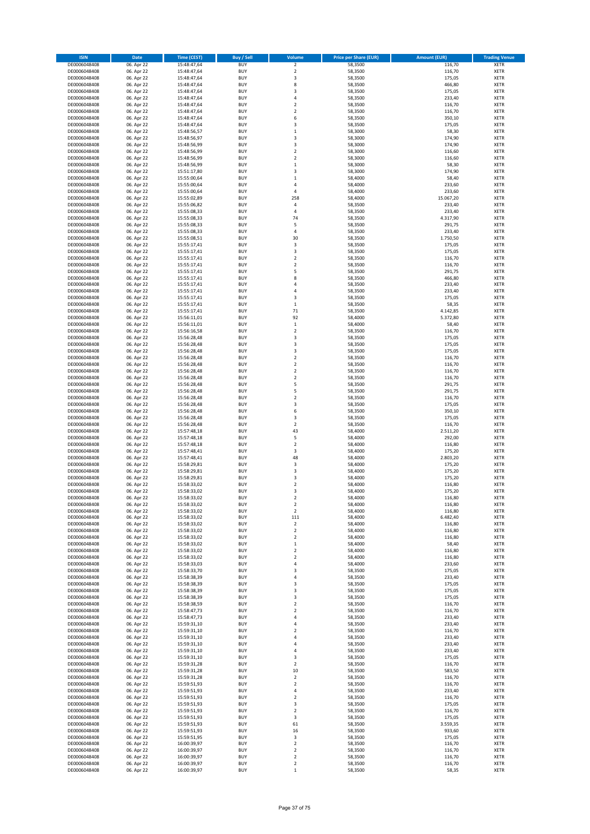| <b>ISIN</b>                  | Date                     | <b>Time (CEST)</b>         | <b>Buy / Sell</b>        | Volume                                      | <b>Price per Share (EUR)</b> | <b>Amount (EUR)</b> | <b>Trading Venue</b>       |
|------------------------------|--------------------------|----------------------------|--------------------------|---------------------------------------------|------------------------------|---------------------|----------------------------|
| DE0006048408                 | 06. Apr 22               | 15:48:47,64                | <b>BUY</b>               | $\mathbf 2$                                 | 58,3500                      | 116,70              | <b>XETR</b>                |
| DE0006048408                 | 06. Apr 22               | 15:48:47,64                | <b>BUY</b>               | $\overline{2}$                              | 58,3500                      | 116,70              | XETR                       |
| DE0006048408                 | 06. Apr 22               | 15:48:47,64                | BUY                      | 3                                           | 58,3500                      | 175,05              | XETR                       |
| DE0006048408                 | 06. Apr 22               | 15:48:47,64                | <b>BUY</b>               | 8                                           | 58,3500                      | 466,80              | <b>XETR</b>                |
| DE0006048408                 | 06. Apr 22               | 15:48:47,64                | <b>BUY</b>               | 3                                           | 58,3500                      | 175,05              | XETR                       |
| DE0006048408                 | 06. Apr 22               | 15:48:47,64                | <b>BUY</b>               | $\sqrt{4}$                                  | 58,3500                      | 233,40              | <b>XETR</b>                |
| DE0006048408                 | 06. Apr 22               | 15:48:47,64                | <b>BUY</b>               | $\overline{2}$                              | 58,3500                      | 116,70              | <b>XETR</b>                |
| DE0006048408                 | 06. Apr 22               | 15:48:47,64                | <b>BUY</b>               | $\overline{2}$                              | 58,3500                      | 116,70              | <b>XETR</b>                |
| DE0006048408<br>DE0006048408 | 06. Apr 22<br>06. Apr 22 | 15:48:47,64<br>15:48:47,64 | <b>BUY</b><br><b>BUY</b> | 6<br>$\overline{3}$                         | 58,3500<br>58,3500           | 350,10<br>175,05    | <b>XETR</b><br><b>XETR</b> |
| DE0006048408                 | 06. Apr 22               | 15:48:56,57                | BUY                      | $\,1\,$                                     | 58,3000                      | 58,30               | XETR                       |
| DE0006048408                 | 06. Apr 22               | 15:48:56,97                | <b>BUY</b>               | 3                                           | 58,3000                      | 174,90              | <b>XETR</b>                |
| DE0006048408                 | 06. Apr 22               | 15:48:56,99                | <b>BUY</b>               | 3                                           | 58,3000                      | 174,90              | XETR                       |
| DE0006048408                 | 06. Apr 22               | 15:48:56,99                | <b>BUY</b>               | $\overline{\mathbf{c}}$                     | 58,3000                      | 116,60              | <b>XETR</b>                |
| DE0006048408                 | 06. Apr 22               | 15:48:56,99                | <b>BUY</b>               | $\boldsymbol{2}$                            | 58,3000                      | 116,60              | <b>XETR</b>                |
| DE0006048408                 | 06. Apr 22               | 15:48:56,99                | <b>BUY</b>               | $\,$ 1                                      | 58,3000                      | 58,30               | <b>XETR</b>                |
| DE0006048408                 | 06. Apr 22               | 15:51:17,80                | <b>BUY</b>               | 3                                           | 58,3000                      | 174,90              | <b>XETR</b>                |
| DE0006048408                 | 06. Apr 22               | 15:55:00,64                | <b>BUY</b>               | $\mathbf 1$                                 | 58,4000                      | 58,40               | <b>XETR</b>                |
| DE0006048408                 | 06. Apr 22               | 15:55:00,64                | BUY                      | $\overline{4}$                              | 58,4000                      | 233,60              | <b>XETR</b>                |
| DE0006048408<br>DE0006048408 | 06. Apr 22<br>06. Apr 22 | 15:55:00,64<br>15:55:02,89 | <b>BUY</b><br><b>BUY</b> | 4<br>258                                    | 58,4000<br>58,4000           | 233,60<br>15.067,20 | <b>XETR</b><br><b>XETR</b> |
| DE0006048408                 | 06. Apr 22               | 15:55:06,82                | <b>BUY</b>               | 4                                           | 58,3500                      | 233,40              | <b>XETR</b>                |
| DE0006048408                 | 06. Apr 22               | 15:55:08,33                | <b>BUY</b>               | $\overline{4}$                              | 58,3500                      | 233,40              | <b>XETR</b>                |
| DE0006048408                 | 06. Apr 22               | 15:55:08,33                | <b>BUY</b>               | 74                                          | 58,3500                      | 4.317,90            | <b>XETR</b>                |
| DE0006048408                 | 06. Apr 22               | 15:55:08,33                | <b>BUY</b>               | 5                                           | 58,3500                      | 291,75              | <b>XETR</b>                |
| DE0006048408                 | 06. Apr 22               | 15:55:08,33                | <b>BUY</b>               | 4                                           | 58,3500                      | 233,40              | <b>XETR</b>                |
| DE0006048408                 | 06. Apr 22               | 15:55:08,51                | BUY                      | 30                                          | 58,3500                      | 1.750,50            | <b>XETR</b>                |
| DE0006048408                 | 06. Apr 22               | 15:55:17,41                | <b>BUY</b>               | 3                                           | 58,3500                      | 175,05              | <b>XETR</b>                |
| DE0006048408                 | 06. Apr 22               | 15:55:17,41                | <b>BUY</b>               | 3                                           | 58,3500                      | 175,05              | <b>XETR</b>                |
| DE0006048408<br>DE0006048408 | 06. Apr 22<br>06. Apr 22 | 15:55:17,41<br>15:55:17,41 | <b>BUY</b><br><b>BUY</b> | $\boldsymbol{2}$<br>$\overline{\mathbf{c}}$ | 58,3500<br>58,3500           | 116,70<br>116,70    | XETR<br><b>XETR</b>        |
| DE0006048408                 | 06. Apr 22               | 15:55:17,41                | <b>BUY</b>               | 5                                           | 58,3500                      | 291,75              | XETR                       |
| DE0006048408                 | 06. Apr 22               | 15:55:17,41                | <b>BUY</b>               | 8                                           | 58,3500                      | 466,80              | <b>XETR</b>                |
| DE0006048408                 | 06. Apr 22               | 15:55:17,41                | <b>BUY</b>               | 4                                           | 58,3500                      | 233,40              | XETR                       |
| DE0006048408                 | 06. Apr 22               | 15:55:17,41                | <b>BUY</b>               | 4                                           | 58,3500                      | 233,40              | <b>XETR</b>                |
| DE0006048408                 | 06. Apr 22               | 15:55:17,41                | <b>BUY</b>               | 3                                           | 58,3500                      | 175,05              | XETR                       |
| DE0006048408                 | 06. Apr 22               | 15:55:17,41                | <b>BUY</b>               | $\mathbf 1$                                 | 58,3500                      | 58,35               | <b>XETR</b>                |
| DE0006048408                 | 06. Apr 22               | 15:55:17,41                | <b>BUY</b>               | 71                                          | 58,3500                      | 4.142,85            | XETR                       |
| DE0006048408                 | 06. Apr 22               | 15:56:11,01                | <b>BUY</b>               | 92                                          | 58,4000                      | 5.372,80            | <b>XETR</b>                |
| DE0006048408                 | 06. Apr 22               | 15:56:11,01                | <b>BUY</b>               | $\,1\,$                                     | 58,4000                      | 58,40               | <b>XETR</b>                |
| DE0006048408                 | 06. Apr 22               | 15:56:16.58                | <b>BUY</b>               | $\overline{\mathbf{c}}$                     | 58,3500                      | 116,70              | <b>XETR</b>                |
| DE0006048408                 | 06. Apr 22               | 15:56:28,48                | <b>BUY</b><br><b>BUY</b> | 3<br>3                                      | 58,3500                      | 175,05<br>175,05    | <b>XETR</b><br><b>XETR</b> |
| DE0006048408<br>DE0006048408 | 06. Apr 22<br>06. Apr 22 | 15:56:28,48<br>15:56:28,48 | BUY                      | 3                                           | 58,3500<br>58,3500           | 175,05              | <b>XETR</b>                |
| DE0006048408                 | 06. Apr 22               | 15:56:28,48                | <b>BUY</b>               | $\boldsymbol{2}$                            | 58,3500                      | 116,70              | <b>XETR</b>                |
| DE0006048408                 | 06. Apr 22               | 15:56:28,48                | <b>BUY</b>               | $\boldsymbol{2}$                            | 58,3500                      | 116,70              | <b>XETR</b>                |
| DE0006048408                 | 06. Apr 22               | 15:56:28,48                | <b>BUY</b>               | $\boldsymbol{2}$                            | 58,3500                      | 116,70              | <b>XETR</b>                |
| DE0006048408                 | 06. Apr 22               | 15:56:28,48                | <b>BUY</b>               | $\boldsymbol{2}$                            | 58,3500                      | 116,70              | <b>XETR</b>                |
| DE0006048408                 | 06. Apr 22               | 15:56:28,48                | <b>BUY</b>               | 5                                           | 58,3500                      | 291,75              | <b>XETR</b>                |
| DE0006048408                 | 06. Apr 22               | 15:56:28,48                | <b>BUY</b>               | 5                                           | 58,3500                      | 291,75              | XETR                       |
| DE0006048408                 | 06. Apr 22               | 15:56:28,48                | <b>BUY</b>               | $\boldsymbol{2}$                            | 58,3500                      | 116,70              | <b>XETR</b>                |
| DE0006048408                 | 06. Apr 22               | 15:56:28,48                | <b>BUY</b>               | 3                                           | 58,3500                      | 175,05              | <b>XETR</b>                |
| DE0006048408<br>DE0006048408 | 06. Apr 22<br>06. Apr 22 | 15:56:28,48<br>15:56:28,48 | <b>BUY</b><br><b>BUY</b> | 6<br>3                                      | 58,3500<br>58,3500           | 350,10<br>175,05    | <b>XETR</b><br><b>XETR</b> |
| DE0006048408                 | 06. Apr 22               | 15:56:28,48                | <b>BUY</b>               | $\boldsymbol{2}$                            | 58,3500                      | 116,70              | <b>XETR</b>                |
| DE0006048408                 | 06. Apr 22               | 15:57:48,18                | <b>BUY</b>               | 43                                          | 58,4000                      | 2.511,20            | <b>XETR</b>                |
| DE0006048408                 | 06. Apr 22               | 15:57:48,18                | <b>BUY</b>               | 5                                           | 58,4000                      | 292,00              | <b>XETR</b>                |
| DE0006048408                 | 06. Apr 22               | 15:57:48,18                | <b>BUY</b>               | $\overline{2}$                              | 58,4000                      | 116,80              | <b>XETR</b>                |
| DE0006048408                 | 06. Apr 22               | 15:57:48,41                | <b>BUY</b>               | 3                                           | 58,4000                      | 175,20              | XETR                       |
| DE0006048408                 | 06. Apr 22               | 15:57:48,41                | <b>BUY</b>               | 48                                          | 58,4000                      | 2.803,20            | <b>XETR</b>                |
| DE0006048408                 | 06. Apr 22               | 15:58:29,81                | <b>BUY</b>               | 3                                           | 58,4000                      | 175,20              | XETR                       |
| DE0006048408                 | 06. Apr 22               | 15:58:29,81                | <b>BUY</b>               | 3                                           | 58,4000                      | 175,20              | <b>XETR</b>                |
| DE0006048408<br>DE0006048408 | 06. Apr 22               | 15:58:29,81                | <b>BUY</b><br>BUY        | 3<br>$\overline{2}$                         | 58,4000                      | 175,20              | <b>XETR</b><br><b>XETR</b> |
| DE0006048408                 | 06. Apr 22<br>06. Apr 22 | 15:58:33,02<br>15:58:33,02 | BUY                      | 3                                           | 58,4000<br>58,4000           | 116,80<br>175,20    | <b>XETR</b>                |
| DE0006048408                 | 06. Apr 22               | 15:58:33,02                | <b>BUY</b>               | $\overline{\mathbf{2}}$                     | 58,4000                      | 116,80              | <b>XETR</b>                |
| DE0006048408                 | 06. Apr 22               | 15:58:33,02                | <b>BUY</b>               | $\overline{\mathbf{2}}$                     | 58,4000                      | 116,80              | <b>XETR</b>                |
| DE0006048408                 | 06. Apr 22               | 15:58:33,02                | <b>BUY</b>               | $\mathbf 2$                                 | 58,4000                      | 116,80              | XETR                       |
| DE0006048408                 | 06. Apr 22               | 15:58:33,02                | <b>BUY</b>               | 111                                         | 58,4000                      | 6.482,40            | <b>XETR</b>                |
| DE0006048408                 | 06. Apr 22               | 15:58:33,02                | <b>BUY</b>               | $\mathbf 2$                                 | 58,4000                      | 116,80              | <b>XETR</b>                |
| DE0006048408                 | 06. Apr 22               | 15:58:33,02                | <b>BUY</b>               | $\mathbf 2$                                 | 58,4000                      | 116,80              | <b>XETR</b>                |
| DE0006048408                 | 06. Apr 22               | 15:58:33,02                | <b>BUY</b>               | $\boldsymbol{2}$                            | 58,4000                      | 116,80              | <b>XETR</b>                |
| DE0006048408                 | 06. Apr 22               | 15:58:33,02                | <b>BUY</b>               | $\,$ 1                                      | 58,4000                      | 58,40               | <b>XETR</b>                |
| DE0006048408<br>DE0006048408 | 06. Apr 22<br>06. Apr 22 | 15:58:33,02<br>15:58:33,02 | <b>BUY</b><br><b>BUY</b> | $\boldsymbol{2}$<br>$\boldsymbol{2}$        | 58,4000<br>58,4000           | 116,80<br>116,80    | <b>XETR</b><br><b>XETR</b> |
| DE0006048408                 | 06. Apr 22               | 15:58:33,03                | <b>BUY</b>               | 4                                           | 58,4000                      | 233,60              | <b>XETR</b>                |
| DE0006048408                 | 06. Apr 22               | 15:58:33,70                | <b>BUY</b>               | 3                                           | 58,3500                      | 175,05              | <b>XETR</b>                |
| DE0006048408                 | 06. Apr 22               | 15:58:38,39                | <b>BUY</b>               | 4                                           | 58,3500                      | 233,40              | <b>XETR</b>                |
| DE0006048408                 | 06. Apr 22               | 15:58:38,39                | <b>BUY</b>               | 3                                           | 58,3500                      | 175,05              | <b>XETR</b>                |
| DE0006048408                 | 06. Apr 22               | 15:58:38,39                | <b>BUY</b>               | 3                                           | 58,3500                      | 175,05              | <b>XETR</b>                |
| DE0006048408                 | 06. Apr 22               | 15:58:38,39                | <b>BUY</b>               | 3                                           | 58,3500                      | 175,05              | <b>XETR</b>                |
| DE0006048408<br>DE0006048408 | 06. Apr 22<br>06. Apr 22 | 15:58:38,59                | <b>BUY</b><br><b>BUY</b> | $\overline{\mathbf{2}}$<br>$\overline{2}$   | 58,3500<br>58,3500           | 116,70              | <b>XETR</b><br><b>XETR</b> |
| DE0006048408                 | 06. Apr 22               | 15:58:47,73<br>15:58:47,73 | <b>BUY</b>               | 4                                           | 58,3500                      | 116,70<br>233,40    | <b>XETR</b>                |
| DE0006048408                 | 06. Apr 22               | 15:59:31,10                | <b>BUY</b>               | 4                                           | 58,3500                      | 233,40              | <b>XETR</b>                |
| DE0006048408                 | 06. Apr 22               | 15:59:31,10                | <b>BUY</b>               | $\overline{\mathbf{2}}$                     | 58,3500                      | 116,70              | <b>XETR</b>                |
| DE0006048408                 | 06. Apr 22               | 15:59:31,10                | <b>BUY</b>               | 4                                           | 58,3500                      | 233,40              | <b>XETR</b>                |
| DE0006048408                 | 06. Apr 22               | 15:59:31,10                | <b>BUY</b>               | 4                                           | 58,3500                      | 233,40              | XETR                       |
| DE0006048408                 | 06. Apr 22               | 15:59:31,10                | <b>BUY</b>               | 4                                           | 58,3500                      | 233,40              | <b>XETR</b>                |
| DE0006048408                 | 06. Apr 22               | 15:59:31,10                | <b>BUY</b>               | 3                                           | 58,3500                      | 175,05              | <b>XETR</b>                |
| DE0006048408                 | 06. Apr 22               | 15:59:31,28                | <b>BUY</b>               | $\overline{2}$                              | 58,3500                      | 116,70              | <b>XETR</b>                |
| DE0006048408                 | 06. Apr 22               | 15:59:31,28                | <b>BUY</b><br><b>BUY</b> | 10<br>$\overline{2}$                        | 58,3500                      | 583,50              | <b>XETR</b><br><b>XETR</b> |
| DE0006048408<br>DE0006048408 | 06. Apr 22<br>06. Apr 22 | 15:59:31,28<br>15:59:51,93 | <b>BUY</b>               | $\boldsymbol{2}$                            | 58,3500<br>58,3500           | 116,70<br>116,70    | <b>XETR</b>                |
| DE0006048408                 | 06. Apr 22               | 15:59:51,93                | <b>BUY</b>               | $\sqrt{4}$                                  | 58,3500                      | 233,40              | <b>XETR</b>                |
| DE0006048408                 | 06. Apr 22               | 15:59:51,93                | <b>BUY</b>               | $\overline{\mathbf{2}}$                     | 58,3500                      | 116,70              | <b>XETR</b>                |
| DE0006048408                 | 06. Apr 22               | 15:59:51,93                | <b>BUY</b>               | 3                                           | 58,3500                      | 175,05              | <b>XETR</b>                |
| DE0006048408                 | 06. Apr 22               | 15:59:51,93                | <b>BUY</b>               | $\boldsymbol{2}$                            | 58,3500                      | 116,70              | <b>XETR</b>                |
| DE0006048408                 | 06. Apr 22               | 15:59:51,93                | <b>BUY</b>               | 3                                           | 58,3500                      | 175,05              | <b>XETR</b>                |
| DE0006048408                 | 06. Apr 22               | 15:59:51,93                | <b>BUY</b>               | 61                                          | 58,3500                      | 3.559,35            | <b>XETR</b>                |
| DE0006048408                 | 06. Apr 22               | 15:59:51,93                | <b>BUY</b>               | 16                                          | 58,3500                      | 933,60              | <b>XETR</b>                |
| DE0006048408                 | 06. Apr 22               | 15:59:51,95                | <b>BUY</b>               | 3                                           | 58,3500                      | 175,05              | <b>XETR</b>                |
| DE0006048408<br>DE0006048408 | 06. Apr 22<br>06. Apr 22 | 16:00:39,97                | <b>BUY</b><br><b>BUY</b> | $\mathbf 2$<br>$\boldsymbol{2}$             | 58,3500<br>58,3500           | 116,70<br>116,70    | <b>XETR</b><br><b>XETR</b> |
| DE0006048408                 | 06. Apr 22               | 16:00:39,97<br>16:00:39,97 | <b>BUY</b>               | $\boldsymbol{2}$                            | 58,3500                      | 116,70              | <b>XETR</b>                |
| DE0006048408                 | 06. Apr 22               | 16:00:39,97                | <b>BUY</b>               | $\boldsymbol{2}$                            | 58,3500                      | 116,70              | <b>XETR</b>                |
| DE0006048408                 | 06. Apr 22               | 16:00:39,97                | <b>BUY</b>               | $\,1\,$                                     | 58,3500                      | 58,35               | <b>XETR</b>                |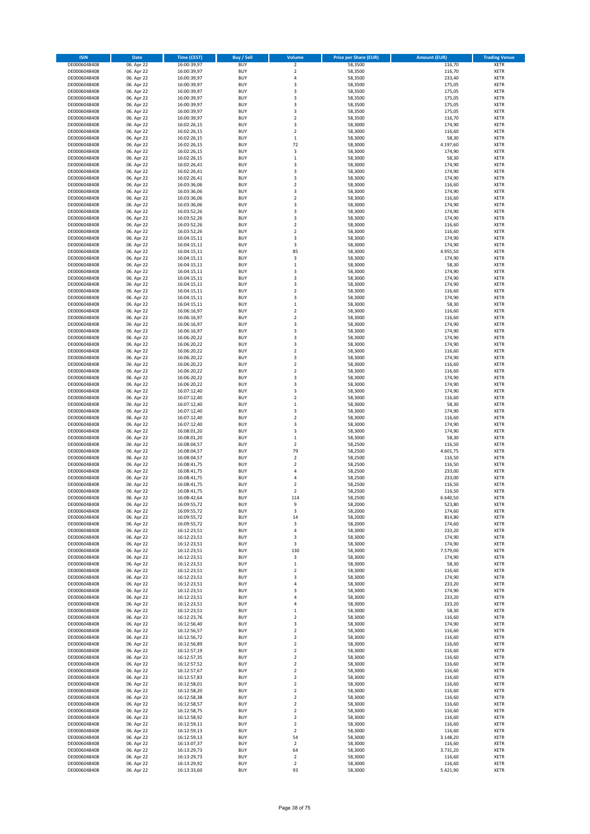| <b>ISIN</b>                  | Date                     | <b>Time (CEST)</b>         | <b>Buy / Sell</b>        | Volume                                      | <b>Price per Share (EUR)</b> | <b>Amount (EUR)</b> | <b>Trading Venue</b>       |
|------------------------------|--------------------------|----------------------------|--------------------------|---------------------------------------------|------------------------------|---------------------|----------------------------|
| DE0006048408                 | 06. Apr 22               | 16:00:39,97                | <b>BUY</b>               | $\mathbf 2$                                 | 58,3500                      | 116,70              | <b>XETR</b>                |
| DE0006048408                 | 06. Apr 22               | 16:00:39,97                | <b>BUY</b>               | $\overline{2}$                              | 58,3500                      | 116,70              | XETR                       |
| DE0006048408                 | 06. Apr 22               | 16:00:39,97                | BUY                      | $\sqrt{4}$                                  | 58,3500                      | 233,40              | XETR                       |
| DE0006048408                 | 06. Apr 22               | 16:00:39,97                | <b>BUY</b>               | 3                                           | 58,3500                      | 175,05              | <b>XETR</b>                |
| DE0006048408                 | 06. Apr 22               | 16:00:39,97                | <b>BUY</b>               | 3                                           | 58,3500                      | 175,05              | XETR                       |
| DE0006048408                 | 06. Apr 22               | 16:00:39,97                | <b>BUY</b>               | 3                                           | 58,3500                      | 175,05              | <b>XETR</b>                |
| DE0006048408                 | 06. Apr 22               | 16:00:39,97                | <b>BUY</b>               | 3                                           | 58,3500                      | 175,05              | <b>XETR</b>                |
| DE0006048408                 | 06. Apr 22<br>06. Apr 22 | 16:00:39,97                | <b>BUY</b><br><b>BUY</b> | 3<br>$\boldsymbol{2}$                       | 58,3500                      | 175,05<br>116,70    | <b>XETR</b><br><b>XETR</b> |
| DE0006048408<br>DE0006048408 | 06. Apr 22               | 16:00:39,97<br>16:02:26,15 | <b>BUY</b>               | 3                                           | 58,3500<br>58,3000           | 174,90              | <b>XETR</b>                |
| DE0006048408                 | 06. Apr 22               | 16:02:26,15                | BUY                      | $\overline{2}$                              | 58,3000                      | 116,60              | XETR                       |
| DE0006048408                 | 06. Apr 22               | 16:02:26,15                | <b>BUY</b>               | $\,1\,$                                     | 58,3000                      | 58,30               | <b>XETR</b>                |
| DE0006048408                 | 06. Apr 22               | 16:02:26,15                | <b>BUY</b>               | 72                                          | 58,3000                      | 4.197,60            | XETR                       |
| DE0006048408                 | 06. Apr 22               | 16:02:26,15                | <b>BUY</b>               | 3                                           | 58,3000                      | 174,90              | <b>XETR</b>                |
| DE0006048408                 | 06. Apr 22               | 16:02:26,15                | <b>BUY</b>               | $\,$ 1                                      | 58,3000                      | 58,30               | <b>XETR</b>                |
| DE0006048408                 | 06. Apr 22               | 16:02:26,41                | <b>BUY</b>               | 3                                           | 58,3000                      | 174,90              | <b>XETR</b>                |
| DE0006048408                 | 06. Apr 22               | 16:02:26,41                | <b>BUY</b>               | 3                                           | 58,3000                      | 174,90              | <b>XETR</b>                |
| DE0006048408                 | 06. Apr 22               | 16:02:26,41<br>16:03:36,06 | <b>BUY</b><br><b>BUY</b> | 3<br>$\overline{\mathbf{c}}$                | 58,3000                      | 174,90              | <b>XETR</b><br><b>XETR</b> |
| DE0006048408<br>DE0006048408 | 06. Apr 22<br>06. Apr 22 | 16:03:36,06                | <b>BUY</b>               | 3                                           | 58,3000<br>58,3000           | 116,60<br>174,90    | <b>XETR</b>                |
| DE0006048408                 | 06. Apr 22               | 16:03:36,06                | <b>BUY</b>               | $\overline{\mathbf{c}}$                     | 58,3000                      | 116,60              | <b>XETR</b>                |
| DE0006048408                 | 06. Apr 22               | 16:03:36,06                | <b>BUY</b>               | 3                                           | 58,3000                      | 174,90              | <b>XETR</b>                |
| DE0006048408                 | 06. Apr 22               | 16:03:52,26                | <b>BUY</b>               | 3                                           | 58,3000                      | 174,90              | <b>XETR</b>                |
| DE0006048408                 | 06. Apr 22               | 16:03:52,26                | <b>BUY</b>               | 3                                           | 58,3000                      | 174,90              | <b>XETR</b>                |
| DE0006048408                 | 06. Apr 22               | 16:03:52,26                | <b>BUY</b>               | $\overline{\mathbf{c}}$                     | 58,3000                      | 116,60              | <b>XETR</b>                |
| DE0006048408                 | 06. Apr 22               | 16:03:52,26                | <b>BUY</b>               | $\overline{2}$                              | 58,3000                      | 116,60              | <b>XETR</b>                |
| DE0006048408                 | 06. Apr 22               | 16:04:15,11                | BUY                      | 3                                           | 58,3000                      | 174,90              | <b>XETR</b>                |
| DE0006048408                 | 06. Apr 22               | 16:04:15,11                | <b>BUY</b>               | 3                                           | 58,3000                      | 174,90              | <b>XETR</b>                |
| DE0006048408<br>DE0006048408 | 06. Apr 22<br>06. Apr 22 | 16:04:15,11<br>16:04:15,11 | <b>BUY</b><br><b>BUY</b> | 85<br>3                                     | 58,3000<br>58,3000           | 4.955,50<br>174,90  | <b>XETR</b><br>XETR        |
| DE0006048408                 | 06. Apr 22               | 16:04:15,11                | <b>BUY</b>               | $\mathbf 1$                                 | 58,3000                      | 58,30               | <b>XETR</b>                |
| DE0006048408                 | 06. Apr 22               | 16:04:15,11                | <b>BUY</b>               | 3                                           | 58,3000                      | 174,90              | <b>XETR</b>                |
| DE0006048408                 | 06. Apr 22               | 16:04:15,11                | <b>BUY</b>               | 3                                           | 58,3000                      | 174,90              | <b>XETR</b>                |
| DE0006048408                 | 06. Apr 22               | 16:04:15,11                | <b>BUY</b>               | 3                                           | 58,3000                      | 174,90              | XETR                       |
| DE0006048408                 | 06. Apr 22               | 16:04:15,11                | <b>BUY</b>               | $\overline{2}$                              | 58,3000                      | 116,60              | <b>XETR</b>                |
| DE0006048408                 | 06. Apr 22               | 16:04:15,11                | <b>BUY</b>               | 3                                           | 58,3000                      | 174,90              | XETR                       |
| DE0006048408                 | 06. Apr 22               | 16:04:15,11                | <b>BUY</b>               | $\,1\,$                                     | 58,3000                      | 58,30               | <b>XETR</b>                |
| DE0006048408                 | 06. Apr 22               | 16:06:16,97                | <b>BUY</b>               | $\boldsymbol{2}$                            | 58,3000                      | 116,60              | XETR                       |
| DE0006048408                 | 06. Apr 22               | 16:06:16,97                | <b>BUY</b>               | $\overline{2}$                              | 58,3000                      | 116,60              | <b>XETR</b>                |
| DE0006048408<br>DE0006048408 | 06. Apr 22<br>06. Apr 22 | 16:06:16,97<br>16:06:16,97 | <b>BUY</b><br><b>BUY</b> | 3<br>3                                      | 58,3000<br>58,3000           | 174,90<br>174,90    | <b>XETR</b><br><b>XETR</b> |
| DE0006048408                 | 06. Apr 22               | 16:06:20,22                | <b>BUY</b>               | 3                                           | 58,3000                      | 174,90              | <b>XETR</b>                |
| DE0006048408                 | 06. Apr 22               | 16:06:20,22                | <b>BUY</b>               | 3                                           | 58,3000                      | 174,90              | <b>XETR</b>                |
| DE0006048408                 | 06. Apr 22               | 16:06:20,22                | BUY                      | $\overline{2}$                              | 58,3000                      | 116,60              | <b>XETR</b>                |
| DE0006048408                 | 06. Apr 22               | 16:06:20,22                | <b>BUY</b>               | 3                                           | 58,3000                      | 174,90              | <b>XETR</b>                |
| DE0006048408                 | 06. Apr 22               | 16:06:20,22                | <b>BUY</b>               | $\boldsymbol{2}$                            | 58,3000                      | 116,60              | <b>XETR</b>                |
| DE0006048408                 | 06. Apr 22               | 16:06:20,22                | <b>BUY</b>               | $\boldsymbol{2}$                            | 58,3000                      | 116,60              | <b>XETR</b>                |
| DE0006048408                 | 06. Apr 22               | 16:06:20,22                | <b>BUY</b>               | 3                                           | 58,3000                      | 174,90              | <b>XETR</b>                |
| DE0006048408                 | 06. Apr 22               | 16:06:20,22                | <b>BUY</b>               | 3                                           | 58,3000                      | 174,90              | <b>XETR</b>                |
| DE0006048408                 | 06. Apr 22               | 16:07:12,40                | <b>BUY</b><br><b>BUY</b> | 3                                           | 58,3000                      | 174,90              | XETR                       |
| DE0006048408<br>DE0006048408 | 06. Apr 22<br>06. Apr 22 | 16:07:12,40<br>16:07:12,40 | <b>BUY</b>               | $\overline{\mathbf{2}}$<br>$\,1\,$          | 58,3000<br>58,3000           | 116,60<br>58,30     | <b>XETR</b><br><b>XETR</b> |
| DE0006048408                 | 06. Apr 22               | 16:07:12,40                | <b>BUY</b>               | 3                                           | 58,3000                      | 174,90              | <b>XETR</b>                |
| DE0006048408                 | 06. Apr 22               | 16:07:12,40                | <b>BUY</b>               | $\boldsymbol{2}$                            | 58,3000                      | 116,60              | <b>XETR</b>                |
| DE0006048408                 | 06. Apr 22               | 16:07:12,40                | <b>BUY</b>               | 3                                           | 58,3000                      | 174,90              | <b>XETR</b>                |
| DE0006048408                 | 06. Apr 22               | 16:08:01,20                | <b>BUY</b>               | 3                                           | 58,3000                      | 174,90              | <b>XETR</b>                |
| DE0006048408                 | 06. Apr 22               | 16:08:01,20                | <b>BUY</b>               | $\,1\,$                                     | 58,3000                      | 58,30               | <b>XETR</b>                |
| DE0006048408                 | 06. Apr 22               | 16:08:04,57                | <b>BUY</b>               | $\overline{2}$                              | 58,2500                      | 116,50              | <b>XETR</b>                |
| DE0006048408                 | 06. Apr 22               | 16:08:04,57                | <b>BUY</b>               | 79                                          | 58,2500                      | 4.601,75            | <b>XETR</b>                |
| DE0006048408                 | 06. Apr 22               | 16:08:04,57                | <b>BUY</b>               | $\overline{2}$                              | 58,2500                      | 116,50              | <b>XETR</b>                |
| DE0006048408<br>DE0006048408 | 06. Apr 22<br>06. Apr 22 | 16:08:41,75<br>16:08:41,75 | <b>BUY</b><br><b>BUY</b> | $\boldsymbol{2}$<br>$\sqrt{4}$              | 58,2500<br>58,2500           | 116,50<br>233,00    | XETR<br><b>XETR</b>        |
| DE0006048408                 | 06. Apr 22               | 16:08:41,75                | <b>BUY</b>               | 4                                           | 58,2500                      | 233,00              | <b>XETR</b>                |
| DE0006048408                 | 06. Apr 22               | 16:08:41,75                | BUY                      | $\overline{2}$                              | 58,2500                      | 116,50              | <b>XETR</b>                |
| DE0006048408                 | 06. Apr 22               | 16:08:41,75                | <b>BUY</b>               | $\overline{2}$                              | 58,2500                      | 116,50              | <b>XETR</b>                |
| DE0006048408                 | 06. Apr 22               | 16:08:42,64                | <b>BUY</b>               | 114                                         | 58,2500                      | 6.640,50            | <b>XETR</b>                |
| DE0006048408                 | 06. Apr 22               | 16:09:55,72                | <b>BUY</b>               | 9                                           | 58,2000                      | 523,80              | <b>XETR</b>                |
| DE0006048408                 | 06. Apr 22               | 16:09:55,72                | <b>BUY</b>               | 3                                           | 58,2000                      | 174,60              | XETR                       |
| DE0006048408                 | 06. Apr 22               | 16:09:55,72                | <b>BUY</b>               | 14                                          | 58,2000                      | 814,80              | XETR                       |
| DE0006048408<br>DE0006048408 | 06. Apr 22               | 16:09:55,72                | <b>BUY</b><br><b>BUY</b> | 3<br>$\sqrt{4}$                             | 58,2000<br>58,3000           | 174,60              | <b>XETR</b><br>XETR        |
| DE0006048408                 | 06. Apr 22<br>06. Apr 22 | 16:12:23,51<br>16:12:23,51 | <b>BUY</b>               | 3                                           | 58,3000                      | 233,20<br>174,90    | <b>XETR</b>                |
| DE0006048408                 | 06. Apr 22               | 16:12:23,51                | <b>BUY</b>               | 3                                           | 58,3000                      | 174,90              | <b>XETR</b>                |
| DE0006048408                 | 06. Apr 22               | 16:12:23,51                | <b>BUY</b>               | 130                                         | 58,3000                      | 7.579,00            | <b>XETR</b>                |
| DE0006048408                 | 06. Apr 22               | 16:12:23,51                | <b>BUY</b>               | 3                                           | 58,3000                      | 174,90              | <b>XETR</b>                |
| DE0006048408                 | 06. Apr 22               | 16:12:23,51                | <b>BUY</b>               | $\,1\,$                                     | 58,3000                      | 58,30               | <b>XETR</b>                |
| DE0006048408                 | 06. Apr 22               | 16:12:23,51                | <b>BUY</b>               | $\overline{2}$                              | 58,3000                      | 116,60              | XETR                       |
| DE0006048408                 | 06. Apr 22               | 16:12:23,51                | <b>BUY</b>               | 3                                           | 58,3000                      | 174,90              | <b>XETR</b>                |
| DE0006048408                 | 06. Apr 22               | 16:12:23,51                | <b>BUY</b>               | $\sqrt{4}$                                  | 58,3000                      | 233,20              | XETR                       |
| DE0006048408<br>DE0006048408 | 06. Apr 22<br>06. Apr 22 | 16:12:23,51<br>16:12:23,51 | <b>BUY</b><br><b>BUY</b> | 3<br>$\sqrt{4}$                             | 58,3000<br>58,3000           | 174,90<br>233,20    | <b>XETR</b><br><b>XETR</b> |
| DE0006048408                 | 06. Apr 22               | 16:12:23,51                | <b>BUY</b>               | 4                                           | 58,3000                      | 233,20              | <b>XETR</b>                |
| DE0006048408                 | 06. Apr 22               | 16:12:23,51                | <b>BUY</b>               | $\mathbf 1$                                 | 58,3000                      | 58,30               | <b>XETR</b>                |
| DE0006048408                 | 06. Apr 22               | 16:12:23,76                | <b>BUY</b>               | $\overline{\mathbf{2}}$                     | 58,3000                      | 116,60              | <b>XETR</b>                |
| DE0006048408                 | 06. Apr 22               | 16:12:56,40                | <b>BUY</b>               | 3                                           | 58,3000                      | 174,90              | <b>XETR</b>                |
| DE0006048408                 | 06. Apr 22               | 16:12:56,57                | <b>BUY</b>               | $\boldsymbol{2}$                            | 58,3000                      | 116,60              | <b>XETR</b>                |
| DE0006048408                 | 06. Apr 22               | 16:12:56,72                | <b>BUY</b>               | $\overline{2}$                              | 58,3000                      | 116,60              | <b>XETR</b>                |
| DE0006048408<br>DE0006048408 | 06. Apr 22               | 16:12:56,89                | <b>BUY</b><br><b>BUY</b> | $\boldsymbol{2}$<br>$\overline{2}$          | 58,3000                      | 116,60              | XETR<br><b>XETR</b>        |
| DE0006048408                 | 06. Apr 22<br>06. Apr 22 | 16:12:57,19<br>16:12:57,35 | <b>BUY</b>               | $\boldsymbol{2}$                            | 58,3000<br>58,3000           | 116,60<br>116,60    | XETR                       |
| DE0006048408                 | 06. Apr 22               | 16:12:57,52                | <b>BUY</b>               | $\overline{2}$                              | 58,3000                      | 116,60              | <b>XETR</b>                |
| DE0006048408                 | 06. Apr 22               | 16:12:57,67                | <b>BUY</b>               | $\boldsymbol{2}$                            | 58,3000                      | 116,60              | XETR                       |
| DE0006048408                 | 06. Apr 22               | 16:12:57,83                | <b>BUY</b>               | $\overline{2}$                              | 58,3000                      | 116,60              | <b>XETR</b>                |
| DE0006048408                 | 06. Apr 22               | 16:12:58,01                | <b>BUY</b>               | $\boldsymbol{2}$                            | 58,3000                      | 116,60              | XETR                       |
| DE0006048408                 | 06. Apr 22               | 16:12:58,20                | <b>BUY</b>               | $\overline{2}$                              | 58,3000                      | 116,60              | <b>XETR</b>                |
| DE0006048408                 | 06. Apr 22               | 16:12:58,38                | <b>BUY</b>               | $\boldsymbol{2}$                            | 58,3000                      | 116,60              | XETR                       |
| DE0006048408                 | 06. Apr 22               | 16:12:58,57                | <b>BUY</b>               | $\boldsymbol{2}$                            | 58,3000                      | 116,60              | <b>XETR</b>                |
| DE0006048408                 | 06. Apr 22               | 16:12:58,75                | <b>BUY</b>               | $\boldsymbol{2}$                            | 58,3000                      | 116,60              | <b>XETR</b>                |
| DE0006048408                 | 06. Apr 22               | 16:12:58,92                | <b>BUY</b>               | $\mathbf 2$                                 | 58,3000                      | 116,60              | <b>XETR</b>                |
| DE0006048408<br>DE0006048408 | 06. Apr 22<br>06. Apr 22 | 16:12:59,11<br>16:12:59,13 | <b>BUY</b><br><b>BUY</b> | $\boldsymbol{2}$<br>$\overline{\mathbf{2}}$ | 58,3000<br>58,3000           | 116,60<br>116,60    | <b>XETR</b><br><b>XETR</b> |
| DE0006048408                 | 06. Apr 22               | 16:12:59,13                | <b>BUY</b>               | 54                                          | 58,3000                      | 3.148,20            | XETR                       |
| DE0006048408                 | 06. Apr 22               | 16:13:07,37                | <b>BUY</b>               | $\mathbf 2$                                 | 58,3000                      | 116,60              | <b>XETR</b>                |
| DE0006048408                 | 06. Apr 22               | 16:13:29,73                | <b>BUY</b>               | 64                                          | 58,3000                      | 3.731,20            | XETR                       |
| DE0006048408                 | 06. Apr 22               | 16:13:29,73                | <b>BUY</b>               | $\overline{\mathbf{2}}$                     | 58,3000                      | 116,60              | <b>XETR</b>                |
| DE0006048408                 | 06. Apr 22               | 16:13:29,92                | <b>BUY</b>               | $\boldsymbol{2}$                            | 58,3000                      | 116,60              | XETR                       |
| DE0006048408                 | 06. Apr 22               | 16:13:33,60                | <b>BUY</b>               | 93                                          | 58,3000                      | 5.421,90            | <b>XETR</b>                |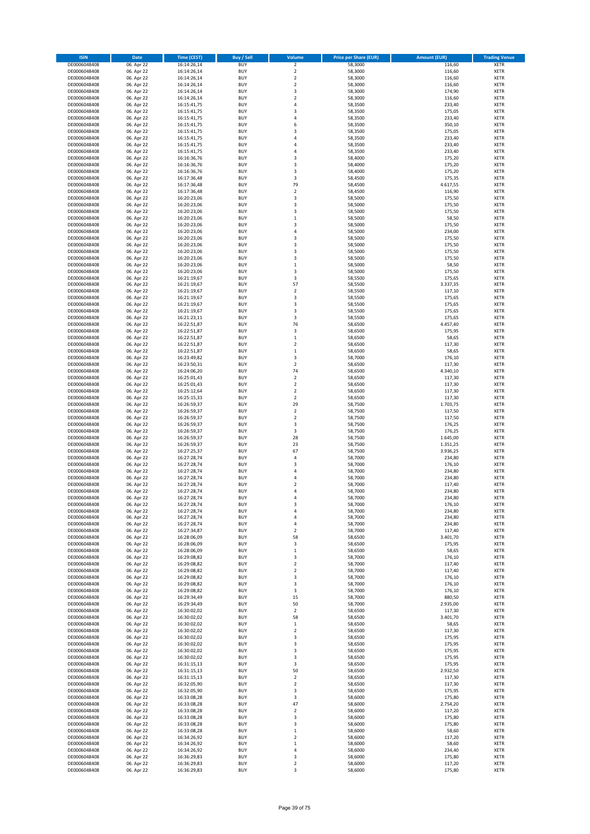| <b>ISIN</b>                  | Date                     | <b>Time (CEST)</b>         | <b>Buy / Sell</b>        | Volume                        | <b>Price per Share (EUR)</b> | <b>Amount (EUR)</b> | <b>Trading Venue</b>       |
|------------------------------|--------------------------|----------------------------|--------------------------|-------------------------------|------------------------------|---------------------|----------------------------|
| DE0006048408                 | 06. Apr 22               | 16:14:26,14                | <b>BUY</b>               | $\mathbf 2$                   | 58,3000                      | 116,60              | <b>XETR</b>                |
| DE0006048408                 | 06. Apr 22               | 16:14:26,14                | <b>BUY</b>               | $\overline{2}$                | 58,3000                      | 116,60              | XETR                       |
| DE0006048408                 | 06. Apr 22               | 16:14:26,14                | BUY                      | $\mathbf 2$                   | 58,3000                      | 116,60              | XETR                       |
| DE0006048408                 | 06. Apr 22               | 16:14:26.14                | <b>BUY</b>               | $\overline{2}$                | 58,3000                      | 116,60              | <b>XETR</b>                |
| DE0006048408                 | 06. Apr 22               | 16:14:26,14                | <b>BUY</b>               | 3                             | 58,3000                      | 174,90              | <b>XETR</b>                |
| DE0006048408                 | 06. Apr 22               | 16:14:26,14                | <b>BUY</b>               | $\overline{2}$                | 58,3000                      | 116,60              | <b>XETR</b>                |
| DE0006048408                 | 06. Apr 22               | 16:15:41,75                | <b>BUY</b>               | $\sqrt{4}$                    | 58,3500                      | 233,40              | <b>XETR</b>                |
| DE0006048408                 | 06. Apr 22               | 16:15:41,75                | <b>BUY</b>               | 3                             | 58,3500                      | 175,05              | <b>XETR</b>                |
| DE0006048408                 | 06. Apr 22               | 16:15:41,75                | <b>BUY</b>               | 4                             | 58,3500                      | 233,40              | <b>XETR</b>                |
| DE0006048408                 | 06. Apr 22               | 16:15:41,75                | <b>BUY</b>               | 6                             | 58,3500                      | 350,10              | <b>XETR</b>                |
| DE0006048408                 | 06. Apr 22               | 16:15:41,75                | BUY                      | 3                             | 58,3500                      | 175,05              | XETR                       |
| DE0006048408                 | 06. Apr 22               | 16:15:41,75                | <b>BUY</b>               | 4                             | 58,3500                      | 233,40              | <b>XETR</b>                |
| DE0006048408                 | 06. Apr 22               | 16:15:41,75                | <b>BUY</b>               | 4                             | 58,3500                      | 233,40              | XETR                       |
| DE0006048408                 | 06. Apr 22               | 16:15:41,75                | <b>BUY</b>               | 4                             | 58,3500                      | 233,40              | <b>XETR</b>                |
| DE0006048408                 | 06. Apr 22               | 16:16:36,76                | <b>BUY</b>               | 3                             | 58,4000                      | 175,20              | XETR                       |
| DE0006048408                 | 06. Apr 22               | 16:16:36,76                | <b>BUY</b>               | 3                             | 58,4000                      | 175,20              | <b>XETR</b>                |
| DE0006048408                 | 06. Apr 22               | 16:16:36,76                | <b>BUY</b>               | 3                             | 58,4000                      | 175,20              | <b>XETR</b>                |
| DE0006048408                 | 06. Apr 22               | 16:17:36,48                | <b>BUY</b>               | 3                             | 58,4500                      | 175,35              | <b>XETR</b>                |
| DE0006048408                 | 06. Apr 22               | 16:17:36,48                | BUY                      | 79                            | 58,4500                      | 4.617,55            | <b>XETR</b>                |
| DE0006048408                 | 06. Apr 22               | 16:17:36,48                | <b>BUY</b>               | $\mathbf 2$                   | 58,4500                      | 116,90              | <b>XETR</b>                |
| DE0006048408                 | 06. Apr 22               | 16:20:23,06                | <b>BUY</b>               | 3                             | 58,5000                      | 175,50              | <b>XETR</b>                |
| DE0006048408                 | 06. Apr 22               | 16:20:23,06                | <b>BUY</b>               | 3                             | 58,5000                      | 175,50              | <b>XETR</b>                |
| DE0006048408                 | 06. Apr 22               | 16:20:23,06                | <b>BUY</b>               | 3                             | 58,5000                      | 175,50              | <b>XETR</b>                |
| DE0006048408                 | 06. Apr 22               | 16:20:23,06                | <b>BUY</b>               | $\mathbf 1$                   | 58,5000                      | 58,50               | <b>XETR</b>                |
| DE0006048408                 | 06. Apr 22               | 16:20:23,06                | <b>BUY</b>               | 3                             | 58,5000                      | 175,50              | <b>XETR</b>                |
| DE0006048408                 | 06. Apr 22               | 16:20:23,06                | <b>BUY</b>               | 4                             | 58,5000                      | 234,00              | <b>XETR</b>                |
| DE0006048408                 | 06. Apr 22               | 16:20:23,06                | BUY                      | 3                             | 58,5000                      | 175,50              | <b>XETR</b>                |
| DE0006048408                 | 06. Apr 22               | 16:20:23,06                | <b>BUY</b>               | 3                             | 58,5000                      | 175,50              | <b>XETR</b>                |
| DE0006048408                 | 06. Apr 22               | 16:20:23,06                | <b>BUY</b>               | 3                             | 58,5000                      | 175,50              | <b>XETR</b>                |
| DE0006048408                 | 06. Apr 22               | 16:20:23,06                | <b>BUY</b>               | 3                             | 58,5000                      | 175,50              | XETR                       |
| DE0006048408                 | 06. Apr 22               | 16:20:23,06                | <b>BUY</b>               | $\mathbf 1$                   | 58,5000                      | 58,50               | <b>XETR</b>                |
| DE0006048408                 | 06. Apr 22               | 16:20:23,06                | <b>BUY</b>               | 3                             | 58,5000                      | 175,50              | <b>XETR</b>                |
| DE0006048408                 | 06. Apr 22               | 16:21:19,67                | <b>BUY</b>               | 3                             | 58,5500                      | 175,65              | <b>XETR</b>                |
| DE0006048408                 | 06. Apr 22               | 16:21:19,67                | <b>BUY</b>               | 57                            | 58,5500                      | 3.337,35            | <b>XETR</b>                |
| DE0006048408                 | 06. Apr 22               | 16:21:19,67                | <b>BUY</b>               | $\overline{2}$                | 58,5500                      | 117,10              | <b>XETR</b>                |
| DE0006048408                 | 06. Apr 22               | 16:21:19,67                | BUY                      | 3                             | 58,5500                      | 175,65              | <b>XETR</b>                |
| DE0006048408                 | 06. Apr 22               | 16:21:19,67                | <b>BUY</b>               | 3                             | 58,5500                      | 175,65              | <b>XETR</b>                |
| DE0006048408                 | 06. Apr 22               | 16:21:19,67                | <b>BUY</b>               | 3                             | 58,5500                      | 175,65              | XETR                       |
| DE0006048408                 | 06. Apr 22<br>06. Apr 22 | 16:21:23,11                | <b>BUY</b>               | 3                             | 58,5500                      | 175,65              | <b>XETR</b>                |
| DE0006048408                 |                          | 16:22:51,87                | <b>BUY</b>               | 76                            | 58,6500                      | 4.457,40            | <b>XETR</b>                |
| DE0006048408                 | 06. Apr 22               | 16:22:51,87                | <b>BUY</b><br><b>BUY</b> | 3                             | 58,6500                      | 175,95              | <b>XETR</b><br><b>XETR</b> |
| DE0006048408                 | 06. Apr 22               | 16:22:51,87                | <b>BUY</b>               | $\mathbf 1$<br>$\overline{2}$ | 58,6500                      | 58,65               |                            |
| DE0006048408                 | 06. Apr 22               | 16:22:51,87                | BUY                      | $\,1\,$                       | 58,6500                      | 117,30              | <b>XETR</b><br><b>XETR</b> |
| DE0006048408                 | 06. Apr 22               | 16:22:51,87                | <b>BUY</b>               | 3                             | 58,6500                      | 58,65               |                            |
| DE0006048408<br>DE0006048408 | 06. Apr 22               | 16:23:49,82                | <b>BUY</b>               | $\boldsymbol{2}$              | 58,7000                      | 176,10              | <b>XETR</b><br><b>XETR</b> |
|                              | 06. Apr 22               | 16:23:50,31                | <b>BUY</b>               | 74                            | 58,6500                      | 117,30<br>4.340,10  |                            |
| DE0006048408<br>DE0006048408 | 06. Apr 22               | 16:24:06,20                | <b>BUY</b>               | $\boldsymbol{2}$              | 58,6500                      | 117,30              | <b>XETR</b><br><b>XETR</b> |
|                              | 06. Apr 22               | 16:25:01,43                |                          | $\boldsymbol{2}$              | 58,6500                      |                     |                            |
| DE0006048408<br>DE0006048408 | 06. Apr 22<br>06. Apr 22 | 16:25:01,43                | <b>BUY</b><br><b>BUY</b> | $\boldsymbol{2}$              | 58,6500<br>58,6500           | 117,30<br>117,30    | <b>XETR</b><br><b>XETR</b> |
| DE0006048408                 | 06. Apr 22               | 16:25:12,64<br>16:25:15,33 | <b>BUY</b>               | $\overline{\mathbf{2}}$       | 58,6500                      | 117,30              | <b>XETR</b>                |
| DE0006048408                 | 06. Apr 22               | 16:26:59,37                | BUY                      | 29                            | 58,7500                      | 1.703,75            | <b>XETR</b>                |
| DE0006048408                 | 06. Apr 22               | 16:26:59,37                | <b>BUY</b>               | $\mathbf 2$                   | 58,7500                      | 117,50              | <b>XETR</b>                |
| DE0006048408                 | 06. Apr 22               | 16:26:59,37                | <b>BUY</b>               | $\boldsymbol{2}$              | 58,7500                      | 117,50              | <b>XETR</b>                |
| DE0006048408                 | 06. Apr 22               | 16:26:59,37                | <b>BUY</b>               | 3                             | 58,7500                      | 176,25              | <b>XETR</b>                |
| DE0006048408                 | 06. Apr 22               | 16:26:59,37                | <b>BUY</b>               | 3                             | 58,7500                      | 176,25              | <b>XETR</b>                |
| DE0006048408                 | 06. Apr 22               | 16:26:59,37                | <b>BUY</b>               | 28                            | 58,7500                      | 1.645,00            | <b>XETR</b>                |
| DE0006048408                 | 06. Apr 22               | 16:26:59,37                | <b>BUY</b>               | 23                            | 58,7500                      | 1.351,25            | <b>XETR</b>                |
| DE0006048408                 | 06. Apr 22               | 16:27:25,37                | <b>BUY</b>               | 67                            | 58,7500                      | 3.936,25            | <b>XETR</b>                |
| DE0006048408                 | 06. Apr 22               | 16:27:28,74                | <b>BUY</b>               | 4                             | 58,7000                      | 234,80              | <b>XETR</b>                |
| DE0006048408                 | 06. Apr 22               | 16:27:28,74                | <b>BUY</b>               | 3                             | 58,7000                      | 176,10              | XETR                       |
| DE0006048408                 | 06. Apr 22               | 16:27:28,74                | BUY                      | 4                             | 58,7000                      | 234,80              | <b>XETR</b>                |
| DE0006048408                 | 06. Apr 22               | 16:27:28,74                | <b>BUY</b>               | 4                             | 58,7000                      | 234,80              | <b>XETR</b>                |
| DE0006048408                 | 06. Apr 22               | 16:27:28,74                | BUY                      | $\overline{2}$                | 58,7000                      | 117,40              | <b>XETR</b>                |
| DE0006048408                 | 06. Apr 22               | 16:27:28,74                | BUY                      | 4                             | 58,7000                      | 234,80              | <b>XETR</b>                |
| DE0006048408                 | 06. Apr 22               | 16:27:28,74                | <b>BUY</b>               | 4                             | 58,7000                      | 234,80              | <b>XETR</b>                |
| DE0006048408                 | 06. Apr 22               | 16:27:28,74                | <b>BUY</b>               | 3                             | 58,7000                      | 176,10              | <b>XETR</b>                |
| DE0006048408                 | 06. Apr 22               | 16:27:28,74                | <b>BUY</b>               | 4                             | 58,7000                      | 234,80              | XETR                       |
| DE0006048408                 | 06. Apr 22               | 16:27:28,74                | <b>BUY</b>               | 4                             | 58,7000                      | 234,80              | <b>XETR</b>                |
| DE0006048408                 | 06. Apr 22               | 16:27:28,74                | <b>BUY</b>               | 4                             | 58,7000                      | 234,80              | <b>XETR</b>                |
| DE0006048408                 | 06. Apr 22               | 16:27:34,87                | <b>BUY</b>               | $\boldsymbol{2}$              | 58,7000                      | 117,40              | <b>XETR</b>                |
| DE0006048408                 | 06. Apr 22               | 16:28:06,09                | <b>BUY</b>               | 58                            | 58,6500                      | 3.401,70            | <b>XETR</b>                |
| DE0006048408                 | 06. Apr 22               | 16:28:06,09                | <b>BUY</b>               | 3                             | 58,6500                      | 175,95              | <b>XETR</b>                |
| DE0006048408                 | 06. Apr 22               | 16:28:06,09                | <b>BUY</b>               | $\,1\,$                       | 58,6500                      | 58,65               | <b>XETR</b>                |
| DE0006048408                 | 06. Apr 22               | 16:29:08,82                | <b>BUY</b>               | 3                             | 58,7000                      | 176,10              | <b>XETR</b>                |
| DE0006048408                 | 06. Apr 22               | 16:29:08,82                | <b>BUY</b>               | $\overline{\mathbf{2}}$       | 58,7000                      | 117,40              | <b>XETR</b>                |
| DE0006048408                 | 06. Apr 22               | 16:29:08,82                | <b>BUY</b>               | $\boldsymbol{2}$              | 58,7000                      | 117,40              | <b>XETR</b>                |
| DE0006048408                 | 06. Apr 22               | 16:29:08,82                | <b>BUY</b>               | 3                             | 58,7000                      | 176,10              | <b>XETR</b>                |
| DE0006048408                 | 06. Apr 22               | 16:29:08,82                | <b>BUY</b>               | 3                             | 58,7000                      | 176,10              | XETR                       |
| DE0006048408                 | 06. Apr 22               | 16:29:08,82                | <b>BUY</b>               | 3                             | 58,7000                      | 176,10              | <b>XETR</b><br><b>XETR</b> |
| DE0006048408                 | 06. Apr 22               | 16:29:34,49                | <b>BUY</b>               | 15                            | 58,7000                      | 880,50              |                            |
| DE0006048408<br>DE0006048408 | 06. Apr 22<br>06. Apr 22 | 16:29:34,49<br>16:30:02,02 | <b>BUY</b><br><b>BUY</b> | 50<br>$\overline{\mathbf{2}}$ | 58,7000<br>58,6500           | 2.935,00<br>117,30  | <b>XETR</b><br><b>XETR</b> |
| DE0006048408                 | 06. Apr 22               | 16:30:02,02                | <b>BUY</b>               | 58                            | 58,6500                      | 3.401,70            | <b>XETR</b>                |
| DE0006048408                 | 06. Apr 22               | 16:30:02,02                | <b>BUY</b>               | $\mathbf 1$                   | 58,6500                      | 58,65               | <b>XETR</b>                |
| DE0006048408                 | 06. Apr 22               | 16:30:02,02                | <b>BUY</b>               | $\boldsymbol{2}$              | 58,6500                      | 117,30              | <b>XETR</b>                |
| DE0006048408                 | 06. Apr 22               | 16:30:02,02                | <b>BUY</b>               | 3                             | 58,6500                      | 175,95              | <b>XETR</b>                |
| DE0006048408                 | 06. Apr 22               | 16:30:02,02                | <b>BUY</b>               | 3                             | 58,6500                      | 175,95              | XETR                       |
| DE0006048408                 | 06. Apr 22               | 16:30:02,02                | <b>BUY</b>               | 3                             | 58,6500                      | 175,95              | <b>XETR</b>                |
| DE0006048408                 | 06. Apr 22               | 16:30:02,02                | <b>BUY</b>               | 3                             | 58,6500                      | 175,95              | XETR                       |
| DE0006048408                 | 06. Apr 22               | 16:31:15,13                | <b>BUY</b>               | 3                             | 58,6500                      | 175,95              | <b>XETR</b>                |
| DE0006048408                 | 06. Apr 22               | 16:31:15,13                | <b>BUY</b>               | 50                            | 58,6500                      | 2.932,50            | XETR                       |
| DE0006048408                 | 06. Apr 22               | 16:31:15,13                | <b>BUY</b>               | $\overline{2}$                | 58,6500                      | 117,30              | <b>XETR</b>                |
| DE0006048408                 | 06. Apr 22               | 16:32:05,90                | <b>BUY</b>               | $\boldsymbol{2}$              | 58,6500                      | 117,30              | <b>XETR</b>                |
| DE0006048408                 | 06. Apr 22               | 16:32:05,90                | <b>BUY</b>               | 3                             | 58,6500                      | 175,95              | <b>XETR</b>                |
| DE0006048408                 | 06. Apr 22               | 16:33:08,28                | <b>BUY</b>               | 3                             | 58,6000                      | 175,80              | XETR                       |
| DE0006048408                 | 06. Apr 22               | 16:33:08,28                | <b>BUY</b>               | 47                            | 58,6000                      | 2.754,20            | <b>XETR</b>                |
| DE0006048408                 | 06. Apr 22               | 16:33:08,28                | <b>BUY</b>               | $\boldsymbol{2}$              | 58,6000                      | 117,20              | XETR                       |
| DE0006048408                 | 06. Apr 22               | 16:33:08,28                | <b>BUY</b>               | 3                             | 58,6000                      | 175,80              | <b>XETR</b>                |
| DE0006048408                 | 06. Apr 22               | 16:33:08,28                | <b>BUY</b>               | 3                             | 58,6000                      | 175,80              | <b>XETR</b>                |
| DE0006048408                 | 06. Apr 22               | 16:33:08,28                | <b>BUY</b>               | $\,1\,$                       | 58,6000                      | 58,60               | <b>XETR</b>                |
| DE0006048408                 | 06. Apr 22               | 16:34:26,92                | <b>BUY</b>               | $\boldsymbol{2}$              | 58,6000                      | 117,20              | XETR                       |
| DE0006048408                 | 06. Apr 22               | 16:34:26,92                | <b>BUY</b>               | $\,1\,$                       | 58,6000                      | 58,60               | <b>XETR</b>                |
| DE0006048408                 | 06. Apr 22               | 16:34:26,92                | <b>BUY</b>               | $\sqrt{4}$                    | 58,6000                      | 234,40              | XETR                       |
| DE0006048408                 | 06. Apr 22               | 16:36:29,83                | <b>BUY</b>               | 3                             | 58,6000                      | 175,80              | <b>XETR</b>                |
| DE0006048408                 | 06. Apr 22               | 16:36:29,83                | <b>BUY</b>               | $\boldsymbol{2}$              | 58,6000                      | 117,20              | XETR                       |
| DE0006048408                 | 06. Apr 22               | 16:36:29,83                | <b>BUY</b>               | 3                             | 58,6000                      | 175,80              | <b>XETR</b>                |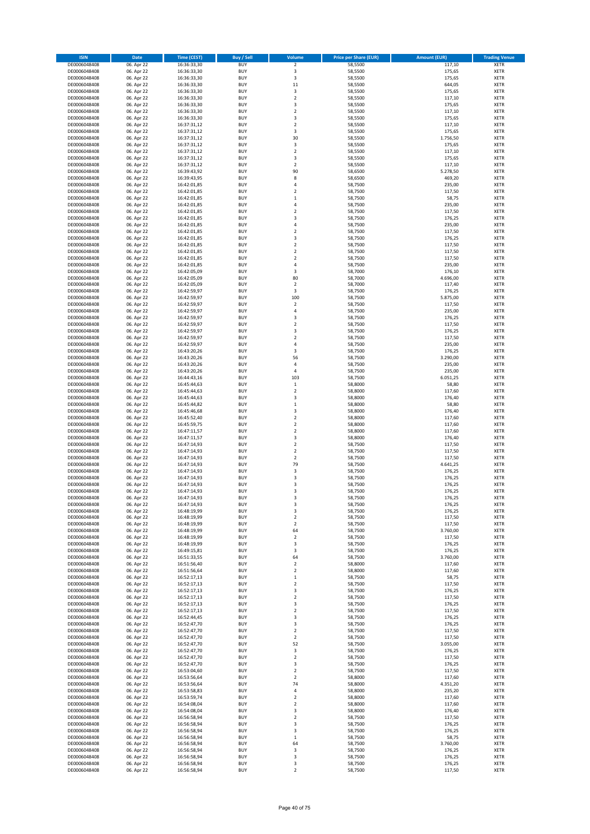| <b>ISIN</b>                  | Date                     | <b>Time (CEST)</b>         | <b>Buy / Sell</b>        | Volume                                    | <b>Price per Share (EUR)</b> | <b>Amount (EUR)</b> | <b>Trading Venue</b>       |
|------------------------------|--------------------------|----------------------------|--------------------------|-------------------------------------------|------------------------------|---------------------|----------------------------|
| DE0006048408                 | 06. Apr 22               | 16:36:33,30                | <b>BUY</b>               | $\mathbf 2$                               | 58,5500                      | 117,10              | <b>XETR</b>                |
| DE0006048408                 | 06. Apr 22               | 16:36:33,30                | <b>BUY</b>               | 3                                         | 58,5500                      | 175,65              | XETR                       |
| DE0006048408                 | 06. Apr 22               | 16:36:33,30                | BUY                      | 3                                         | 58,5500                      | 175,65              | XETR                       |
| DE0006048408                 | 06. Apr 22               | 16:36:33,30                | <b>BUY</b>               | 11                                        | 58,5500                      | 644,05              | <b>XETR</b>                |
| DE0006048408                 | 06. Apr 22               | 16:36:33,30                | <b>BUY</b>               | 3                                         | 58,5500                      | 175,65              | XETR                       |
| DE0006048408                 | 06. Apr 22               | 16:36:33,30                | <b>BUY</b>               | $\overline{2}$                            | 58,5500                      | 117,10              | <b>XETR</b>                |
| DE0006048408<br>DE0006048408 | 06. Apr 22               | 16:36:33,30                | <b>BUY</b><br><b>BUY</b> | 3<br>$\overline{2}$                       | 58,5500<br>58,5500           | 175,65              | <b>XETR</b><br><b>XETR</b> |
| DE0006048408                 | 06. Apr 22<br>06. Apr 22 | 16:36:33,30<br>16:36:33,30 | <b>BUY</b>               | 3                                         | 58,5500                      | 117,10<br>175,65    | XETR                       |
| DE0006048408                 | 06. Apr 22               | 16:37:31,12                | <b>BUY</b>               | $\overline{2}$                            | 58,5500                      | 117,10              | <b>XETR</b>                |
| DE0006048408                 | 06. Apr 22               | 16:37:31,12                | BUY                      | 3                                         | 58,5500                      | 175,65              | XETR                       |
| DE0006048408                 | 06. Apr 22               | 16:37:31,12                | <b>BUY</b>               | 30                                        | 58,5500                      | 1.756,50            | <b>XETR</b>                |
| DE0006048408                 | 06. Apr 22               | 16:37:31,12                | <b>BUY</b>               | 3                                         | 58,5500                      | 175,65              | XETR                       |
| DE0006048408                 | 06. Apr 22               | 16:37:31,12                | <b>BUY</b>               | $\overline{2}$                            | 58,5500                      | 117,10              | <b>XETR</b>                |
| DE0006048408                 | 06. Apr 22               | 16:37:31,12                | <b>BUY</b>               | 3                                         | 58,5500                      | 175,65              | <b>XETR</b>                |
| DE0006048408                 | 06. Apr 22               | 16:37:31,12                | <b>BUY</b>               | $\overline{\mathbf{2}}$                   | 58,5500                      | 117,10              | <b>XETR</b>                |
| DE0006048408                 | 06. Apr 22               | 16:39:43,92                | <b>BUY</b>               | 90                                        | 58,6500                      | 5.278,50            | <b>XETR</b>                |
| DE0006048408                 | 06. Apr 22               | 16:39:43,95                | <b>BUY</b>               | 8                                         | 58,6500                      | 469,20              | <b>XETR</b>                |
| DE0006048408                 | 06. Apr 22               | 16:42:01,85                | BUY                      | $\overline{4}$                            | 58,7500                      | 235,00              | <b>XETR</b>                |
| DE0006048408<br>DE0006048408 | 06. Apr 22<br>06. Apr 22 | 16:42:01,85<br>16:42:01,85 | <b>BUY</b><br><b>BUY</b> | $\overline{2}$<br>$\,1\,$                 | 58,7500<br>58,7500           | 117,50<br>58,75     | <b>XETR</b><br><b>XETR</b> |
| DE0006048408                 | 06. Apr 22               | 16:42:01,85                | <b>BUY</b>               | 4                                         | 58,7500                      | 235,00              | <b>XETR</b>                |
| DE0006048408                 | 06. Apr 22               | 16:42:01,85                | <b>BUY</b>               | $\overline{2}$                            | 58,7500                      | 117,50              | <b>XETR</b>                |
| DE0006048408                 | 06. Apr 22               | 16:42:01,85                | <b>BUY</b>               | 3                                         | 58,7500                      | 176,25              | <b>XETR</b>                |
| DE0006048408                 | 06. Apr 22               | 16:42:01,85                | <b>BUY</b>               | $\sqrt{4}$                                | 58,7500                      | 235,00              | <b>XETR</b>                |
| DE0006048408                 | 06. Apr 22               | 16:42:01,85                | <b>BUY</b>               | $\overline{2}$                            | 58,7500                      | 117,50              | <b>XETR</b>                |
| DE0006048408                 | 06. Apr 22               | 16:42:01,85                | BUY                      | 3                                         | 58,7500                      | 176,25              | <b>XETR</b>                |
| DE0006048408                 | 06. Apr 22               | 16:42:01,85                | BUY                      | $\overline{2}$                            | 58,7500                      | 117,50              | <b>XETR</b>                |
| DE0006048408                 | 06. Apr 22               | 16:42:01,85                | <b>BUY</b>               | $\overline{2}$                            | 58,7500                      | 117,50              | <b>XETR</b>                |
| DE0006048408<br>DE0006048408 | 06. Apr 22<br>06. Apr 22 | 16:42:01,85<br>16:42:01,85 | <b>BUY</b><br><b>BUY</b> | $\boldsymbol{2}$<br>$\sqrt{4}$            | 58,7500<br>58,7500           | 117,50<br>235,00    | XETR<br><b>XETR</b>        |
| DE0006048408                 | 06. Apr 22               | 16:42:05,09                | <b>BUY</b>               | 3                                         | 58,7000                      | 176,10              | <b>XETR</b>                |
| DE0006048408                 | 06. Apr 22               | 16:42:05,09                | <b>BUY</b>               | 80                                        | 58,7000                      | 4.696,00            | <b>XETR</b>                |
| DE0006048408                 | 06. Apr 22               | 16:42:05,09                | <b>BUY</b>               | $\boldsymbol{2}$                          | 58,7000                      | 117,40              | <b>XETR</b>                |
| DE0006048408                 | 06. Apr 22               | 16:42:59,97                | <b>BUY</b>               | 3                                         | 58,7500                      | 176,25              | <b>XETR</b>                |
| DE0006048408                 | 06. Apr 22               | 16:42:59,97                | <b>BUY</b>               | 100                                       | 58,7500                      | 5.875,00            | <b>XETR</b>                |
| DE0006048408                 | 06. Apr 22               | 16:42:59,97                | <b>BUY</b>               | $\overline{2}$                            | 58,7500                      | 117,50              | <b>XETR</b>                |
| DE0006048408                 | 06. Apr 22               | 16:42:59,97                | <b>BUY</b>               | 4                                         | 58,7500                      | 235,00              | XETR                       |
| DE0006048408                 | 06. Apr 22               | 16:42:59,97                | <b>BUY</b>               | 3                                         | 58,7500                      | 176,25              | <b>XETR</b>                |
| DE0006048408                 | 06. Apr 22               | 16:42:59,97                | <b>BUY</b>               | $\mathbf 2$                               | 58,7500                      | 117,50              | <b>XETR</b>                |
| DE0006048408                 | 06. Apr 22               | 16:42:59,97                | <b>BUY</b>               | 3                                         | 58,7500                      | 176,25              | <b>XETR</b>                |
| DE0006048408<br>DE0006048408 | 06. Apr 22<br>06. Apr 22 | 16:42:59,97<br>16:42:59,97 | <b>BUY</b><br><b>BUY</b> | $\overline{2}$<br>4                       | 58,7500<br>58,7500           | 117,50<br>235,00    | <b>XETR</b><br><b>XETR</b> |
| DE0006048408                 | 06. Apr 22               | 16:43:20,26                | BUY                      | 3                                         | 58,7500                      | 176,25              | <b>XETR</b>                |
| DE0006048408                 | 06. Apr 22               | 16:43:20,26                | <b>BUY</b>               | 56                                        | 58,7500                      | 3.290,00            | <b>XETR</b>                |
| DE0006048408                 | 06. Apr 22               | 16:43:20,26                | <b>BUY</b>               | $\sqrt{4}$                                | 58,7500                      | 235,00              | <b>XETR</b>                |
| DE0006048408                 | 06. Apr 22               | 16:43:20,26                | <b>BUY</b>               | 4                                         | 58,7500                      | 235,00              | <b>XETR</b>                |
| DE0006048408                 | 06. Apr 22               | 16:44:43,16                | <b>BUY</b>               | 103                                       | 58,7500                      | 6.051,25            | <b>XETR</b>                |
| DE0006048408                 | 06. Apr 22               | 16:45:44,63                | <b>BUY</b>               | $\,1\,$                                   | 58,8000                      | 58,80               | <b>XETR</b>                |
| DE0006048408                 | 06. Apr 22               | 16:45:44,63                | <b>BUY</b>               | $\boldsymbol{2}$                          | 58,8000                      | 117,60              | XETR                       |
| DE0006048408                 | 06. Apr 22               | 16:45:44,63                | <b>BUY</b>               | 3                                         | 58,8000                      | 176,40              | <b>XETR</b>                |
| DE0006048408                 | 06. Apr 22               | 16:45:44,82                | <b>BUY</b>               | $\,1\,$                                   | 58,8000                      | 58,80               | <b>XETR</b>                |
| DE0006048408<br>DE0006048408 | 06. Apr 22<br>06. Apr 22 | 16:45:46,68<br>16:45:52,40 | <b>BUY</b><br><b>BUY</b> | 3<br>$\boldsymbol{2}$                     | 58,8000<br>58,8000           | 176,40<br>117,60    | <b>XETR</b><br><b>XETR</b> |
| DE0006048408                 | 06. Apr 22               | 16:45:59,75                | <b>BUY</b>               | $\boldsymbol{2}$                          | 58,8000                      | 117,60              | <b>XETR</b>                |
| DE0006048408                 | 06. Apr 22               | 16:47:11,57                | <b>BUY</b>               | $\overline{2}$                            | 58,8000                      | 117,60              | <b>XETR</b>                |
| DE0006048408                 | 06. Apr 22               | 16:47:11,57                | <b>BUY</b>               | 3                                         | 58,8000                      | 176,40              | <b>XETR</b>                |
| DE0006048408                 | 06. Apr 22               | 16:47:14,93                | <b>BUY</b>               | $\overline{2}$                            | 58,7500                      | 117,50              | <b>XETR</b>                |
| DE0006048408                 | 06. Apr 22               | 16:47:14,93                | <b>BUY</b>               | $\boldsymbol{2}$                          | 58,7500                      | 117,50              | XETR                       |
| DE0006048408                 | 06. Apr 22               | 16:47:14,93                | <b>BUY</b>               | $\overline{2}$                            | 58,7500                      | 117,50              | <b>XETR</b>                |
| DE0006048408                 | 06. Apr 22               | 16:47:14,93                | <b>BUY</b>               | 79                                        | 58,7500                      | 4.641,25            | XETR                       |
| DE0006048408                 | 06. Apr 22               | 16:47:14,93                | <b>BUY</b>               | 3                                         | 58,7500                      | 176,25              | <b>XETR</b>                |
| DE0006048408<br>DE0006048408 | 06. Apr 22<br>06. Apr 22 | 16:47:14,93<br>16:47:14.93 | <b>BUY</b><br>BUY        | 3<br>3                                    | 58,7500<br>58,7500           | 176,25<br>176,25    | <b>XETR</b><br><b>XETR</b> |
| DE0006048408                 | 06. Apr 22               | 16:47:14,93                | BUY                      | 3                                         | 58,7500                      | 176,25              | <b>XETR</b>                |
| DE0006048408                 | 06. Apr 22               | 16:47:14,93                | <b>BUY</b>               | 3                                         | 58,7500                      | 176,25              | <b>XETR</b>                |
| DE0006048408                 | 06. Apr 22               | 16:47:14,93                | <b>BUY</b>               | 3                                         | 58,7500                      | 176,25              | <b>XETR</b>                |
| DE0006048408                 | 06. Apr 22               | 16:48:19,99                | <b>BUY</b>               | 3                                         | 58,7500                      | 176,25              | XETR                       |
| DE0006048408                 | 06. Apr 22               | 16:48:19,99                | <b>BUY</b>               | $\boldsymbol{2}$                          | 58,7500                      | 117,50              | XETR                       |
| DE0006048408                 | 06. Apr 22               | 16:48:19,99                | <b>BUY</b>               | $\mathbf 2$                               | 58,7500                      | 117,50              | <b>XETR</b>                |
| DE0006048408                 | 06. Apr 22               | 16:48:19,99                | <b>BUY</b>               | 64                                        | 58,7500                      | 3.760,00            | XETR                       |
| DE0006048408<br>DE0006048408 | 06. Apr 22<br>06. Apr 22 | 16:48:19,99<br>16:48:19,99 | <b>BUY</b><br><b>BUY</b> | $\overline{\mathbf{2}}$<br>3              | 58,7500<br>58,7500           | 117,50<br>176,25    | <b>XETR</b><br><b>XETR</b> |
| DE0006048408                 | 06. Apr 22               | 16:49:15,81                | <b>BUY</b>               | 3                                         | 58,7500                      | 176,25              | <b>XETR</b>                |
| DE0006048408                 | 06. Apr 22               | 16:51:33,55                | <b>BUY</b>               | 64                                        | 58,7500                      | 3.760,00            | XETR                       |
| DE0006048408                 | 06. Apr 22               | 16:51:56,40                | <b>BUY</b>               | $\overline{\mathbf{2}}$                   | 58,8000                      | 117,60              | <b>XETR</b>                |
| DE0006048408                 | 06. Apr 22               | 16:51:56,64                | <b>BUY</b>               | $\boldsymbol{2}$                          | 58,8000                      | 117,60              | XETR                       |
| DE0006048408                 | 06. Apr 22               | 16:52:17,13                | <b>BUY</b>               | $\,1\,$                                   | 58,7500                      | 58,75               | <b>XETR</b>                |
| DE0006048408                 | 06. Apr 22               | 16:52:17,13                | <b>BUY</b>               | $\boldsymbol{2}$                          | 58,7500                      | 117,50              | XETR                       |
| DE0006048408                 | 06. Apr 22               | 16:52:17,13                | <b>BUY</b>               | 3                                         | 58,7500                      | 176,25              | <b>XETR</b>                |
| DE0006048408<br>DE0006048408 | 06. Apr 22               | 16:52:17,13                | <b>BUY</b><br><b>BUY</b> | $\boldsymbol{2}$<br>3                     | 58,7500                      | 117,50              | <b>XETR</b><br><b>XETR</b> |
| DE0006048408                 | 06. Apr 22<br>06. Apr 22 | 16:52:17,13<br>16:52:17,13 | <b>BUY</b>               | $\overline{\mathbf{2}}$                   | 58,7500<br>58,7500           | 176,25<br>117,50    | <b>XETR</b>                |
| DE0006048408                 | 06. Apr 22               | 16:52:44,45                | <b>BUY</b>               | 3                                         | 58,7500                      | 176,25              | <b>XETR</b>                |
| DE0006048408                 | 06. Apr 22               | 16:52:47,70                | <b>BUY</b>               | 3                                         | 58,7500                      | 176,25              | <b>XETR</b>                |
| DE0006048408                 | 06. Apr 22               | 16:52:47,70                | <b>BUY</b>               | $\boldsymbol{2}$                          | 58,7500                      | 117,50              | <b>XETR</b>                |
| DE0006048408                 | 06. Apr 22               | 16:52:47,70                | <b>BUY</b>               | $\mathbf 2$                               | 58,7500                      | 117,50              | <b>XETR</b>                |
| DE0006048408                 | 06. Apr 22               | 16:52:47,70                | <b>BUY</b>               | 52                                        | 58,7500                      | 3.055,00            | XETR                       |
| DE0006048408                 | 06. Apr 22               | 16:52:47,70                | <b>BUY</b>               | 3                                         | 58,7500                      | 176,25              | <b>XETR</b>                |
| DE0006048408                 | 06. Apr 22               | 16:52:47,70                | <b>BUY</b>               | $\boldsymbol{2}$                          | 58,7500                      | 117,50              | XETR                       |
| DE0006048408                 | 06. Apr 22               | 16:52:47,70                | <b>BUY</b><br><b>BUY</b> | 3                                         | 58,7500<br>58,7500           | 176,25<br>117,50    | <b>XETR</b><br>XETR        |
| DE0006048408<br>DE0006048408 | 06. Apr 22<br>06. Apr 22 | 16:53:04,60<br>16:53:56,64 | <b>BUY</b>               | $\overline{\mathbf{2}}$<br>$\overline{2}$ | 58,8000                      | 117,60              | <b>XETR</b>                |
| DE0006048408                 | 06. Apr 22               | 16:53:56,64                | <b>BUY</b>               | 74                                        | 58,8000                      | 4.351,20            | <b>XETR</b>                |
| DE0006048408                 | 06. Apr 22               | 16:53:58,83                | <b>BUY</b>               | $\sqrt{4}$                                | 58,8000                      | 235,20              | <b>XETR</b>                |
| DE0006048408                 | 06. Apr 22               | 16:53:59,74                | <b>BUY</b>               | $\overline{\mathbf{2}}$                   | 58,8000                      | 117,60              | XETR                       |
| DE0006048408                 | 06. Apr 22               | 16:54:08,04                | <b>BUY</b>               | $\overline{\mathbf{2}}$                   | 58,8000                      | 117,60              | <b>XETR</b>                |
| DE0006048408                 | 06. Apr 22               | 16:54:08,04                | <b>BUY</b>               | 3                                         | 58,8000                      | 176,40              | XETR                       |
| DE0006048408                 | 06. Apr 22               | 16:56:58,94                | <b>BUY</b>               | $\overline{\mathbf{2}}$                   | 58,7500                      | 117,50              | <b>XETR</b>                |
| DE0006048408                 | 06. Apr 22               | 16:56:58,94                | <b>BUY</b>               | 3                                         | 58,7500                      | 176,25              | <b>XETR</b>                |
| DE0006048408                 | 06. Apr 22               | 16:56:58,94                | <b>BUY</b>               | 3                                         | 58,7500                      | 176,25              | <b>XETR</b>                |
| DE0006048408<br>DE0006048408 | 06. Apr 22<br>06. Apr 22 | 16:56:58,94<br>16:56:58,94 | <b>BUY</b><br><b>BUY</b> | $\,1\,$<br>64                             | 58,7500<br>58,7500           | 58,75<br>3.760,00   | XETR<br><b>XETR</b>        |
| DE0006048408                 | 06. Apr 22               | 16:56:58,94                | <b>BUY</b>               | 3                                         | 58,7500                      | 176,25              | XETR                       |
| DE0006048408                 | 06. Apr 22               | 16:56:58,94                | <b>BUY</b>               | 3                                         | 58,7500                      | 176,25              | <b>XETR</b>                |
| DE0006048408                 | 06. Apr 22               | 16:56:58,94                | <b>BUY</b>               | 3                                         | 58,7500                      | 176,25              | XETR                       |
| DE0006048408                 | 06. Apr 22               | 16:56:58,94                | <b>BUY</b>               | $\mathbf 2$                               | 58,7500                      | 117,50              | <b>XETR</b>                |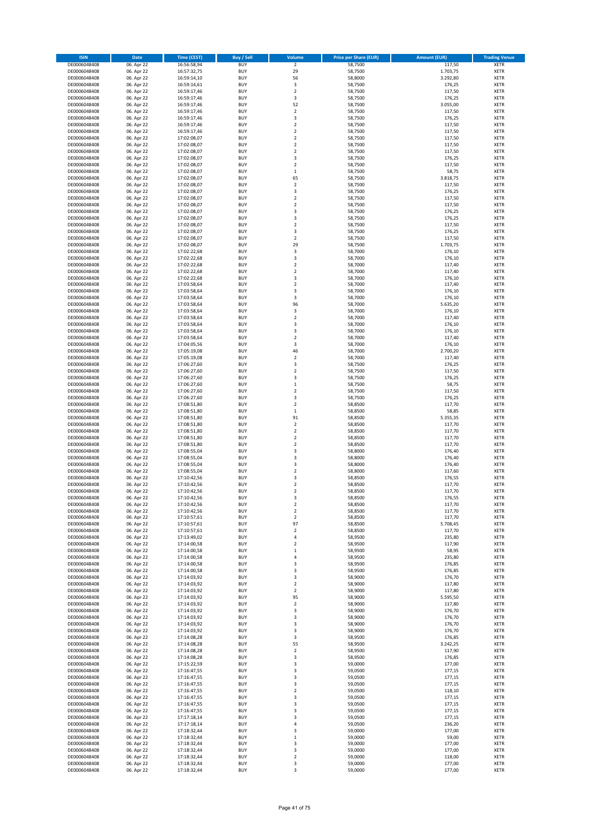| <b>ISIN</b>                  | Date                     | <b>Time (CEST)</b>         | <b>Buy / Sell</b>        | Volume                  | <b>Price per Share (EUR)</b> | <b>Amount (EUR)</b> | <b>Trading Venue</b> |
|------------------------------|--------------------------|----------------------------|--------------------------|-------------------------|------------------------------|---------------------|----------------------|
| DE0006048408                 | 06. Apr 22               | 16:56:58,94                | <b>BUY</b>               | $\mathbf 2$             | 58,7500                      | 117,50              | <b>XETR</b>          |
| DE0006048408                 | 06. Apr 22               | 16:57:32,75                | <b>BUY</b>               | 29                      | 58,7500                      | 1.703,75            | XETR                 |
| DE0006048408                 | 06. Apr 22               | 16:59:14,10                | <b>BUY</b>               | 56                      | 58,8000                      | 3.292,80            | XETR                 |
| DE0006048408                 | 06. Apr 22               | 16:59:14,61                | <b>BUY</b>               | 3                       | 58,7500                      | 176,25              | <b>XETR</b>          |
| DE0006048408                 | 06. Apr 22               | 16:59:17,46                | <b>BUY</b>               | $\boldsymbol{2}$        | 58,7500                      | 117,50              | <b>XETR</b>          |
| DE0006048408                 | 06. Apr 22               | 16:59:17,46                | <b>BUY</b>               | 3                       | 58,7500                      | 176,25              | <b>XETR</b>          |
| DE0006048408                 | 06. Apr 22               | 16:59:17,46                | <b>BUY</b>               | 52                      | 58,7500                      | 3.055,00            | <b>XETR</b>          |
| DE0006048408                 | 06. Apr 22               | 16:59:17,46                | <b>BUY</b>               | $\overline{2}$          | 58,7500                      | 117,50              | <b>XETR</b>          |
| DE0006048408                 | 06. Apr 22               | 16:59:17,46                | <b>BUY</b>               | 3                       | 58,7500                      | 176,25              | <b>XETR</b>          |
| DE0006048408                 | 06. Apr 22               | 16:59:17,46                | <b>BUY</b>               | $\overline{2}$          | 58,7500                      | 117,50              | <b>XETR</b>          |
| DE0006048408                 | 06. Apr 22               | 16:59:17,46                | <b>BUY</b>               | $\boldsymbol{2}$        | 58,7500                      | 117,50              | XETR                 |
| DE0006048408                 | 06. Apr 22               | 17:02:08,07                | <b>BUY</b>               | $\overline{2}$          | 58,7500                      | 117,50              | <b>XETR</b>          |
| DE0006048408                 | 06. Apr 22               | 17:02:08,07                | <b>BUY</b>               | $\boldsymbol{2}$        | 58,7500                      | 117,50              | XETR                 |
| DE0006048408                 | 06. Apr 22               | 17:02:08,07<br>17:02:08,07 | <b>BUY</b>               | $\overline{2}$<br>3     | 58,7500                      | 117,50              | <b>XETR</b>          |
| DE0006048408<br>DE0006048408 | 06. Apr 22<br>06. Apr 22 | 17:02:08,07                | <b>BUY</b><br><b>BUY</b> | $\overline{\mathbf{2}}$ | 58,7500<br>58,7500           | 176,25<br>117,50    | XETR<br><b>XETR</b>  |
| DE0006048408                 | 06. Apr 22               | 17:02:08,07                | <b>BUY</b>               | $\,1\,$                 | 58,7500                      | 58,75               | <b>XETR</b>          |
| DE0006048408                 | 06. Apr 22               | 17:02:08,07                | <b>BUY</b>               | 65                      | 58,7500                      | 3.818,75            | <b>XETR</b>          |
| DE0006048408                 | 06. Apr 22               | 17:02:08,07                | <b>BUY</b>               | $\boldsymbol{2}$        | 58,7500                      | 117,50              | <b>XETR</b>          |
| DE0006048408                 | 06. Apr 22               | 17:02:08,07                | <b>BUY</b>               | 3                       | 58,7500                      | 176,25              | <b>XETR</b>          |
| DE0006048408                 | 06. Apr 22               | 17:02:08,07                | <b>BUY</b>               | $\overline{2}$          | 58,7500                      | 117,50              | <b>XETR</b>          |
| DE0006048408                 | 06. Apr 22               | 17:02:08,07                | <b>BUY</b>               | $\boldsymbol{2}$        | 58,7500                      | 117,50              | <b>XETR</b>          |
| DE0006048408                 | 06. Apr 22               | 17:02:08,07                | <b>BUY</b>               | 3                       | 58,7500                      | 176,25              | <b>XETR</b>          |
| DE0006048408                 | 06. Apr 22               | 17:02:08,07                | <b>BUY</b>               | 3                       | 58,7500                      | 176,25              | <b>XETR</b>          |
| DE0006048408                 | 06. Apr 22               | 17:02:08,07                | <b>BUY</b>               | $\overline{2}$          | 58,7500                      | 117,50              | <b>XETR</b>          |
| DE0006048408                 | 06. Apr 22               | 17:02:08,07                | <b>BUY</b>               | 3                       | 58,7500                      | 176,25              | <b>XETR</b>          |
| DE0006048408                 | 06. Apr 22               | 17:02:08,07                | <b>BUY</b>               | $\overline{2}$          | 58,7500                      | 117,50              | <b>XETR</b>          |
| DE0006048408                 | 06. Apr 22               | 17:02:08,07                | <b>BUY</b>               | 29                      | 58,7500                      | 1.703,75            | <b>XETR</b>          |
| DE0006048408                 | 06. Apr 22               | 17:02:22,68                | <b>BUY</b>               | 3                       | 58,7000                      | 176,10              | <b>XETR</b>          |
| DE0006048408                 | 06. Apr 22               | 17:02:22,68                | <b>BUY</b>               | 3                       | 58,7000                      | 176,10              | XETR                 |
| DE0006048408                 | 06. Apr 22               | 17:02:22,68                | <b>BUY</b>               | $\overline{2}$          | 58,7000                      | 117,40              | <b>XETR</b>          |
| DE0006048408                 | 06. Apr 22               | 17:02:22,68                | <b>BUY</b>               | $\boldsymbol{2}$        | 58,7000                      | 117,40              | XETR                 |
| DE0006048408                 | 06. Apr 22               | 17:02:22,68                | <b>BUY</b>               | 3                       | 58,7000                      | 176,10              | <b>XETR</b>          |
| DE0006048408                 | 06. Apr 22               | 17:03:58,64                | <b>BUY</b>               | $\boldsymbol{2}$        | 58,7000                      | 117,40              | XETR                 |
| DE0006048408                 | 06. Apr 22               | 17:03:58,64                | <b>BUY</b>               | 3                       | 58,7000                      | 176,10              | <b>XETR</b>          |
| DE0006048408                 | 06. Apr 22               | 17:03:58,64                | <b>BUY</b>               | 3                       | 58,7000                      | 176,10              | XETR                 |
| DE0006048408                 | 06. Apr 22               | 17:03:58,64<br>17:03:58,64 | <b>BUY</b>               | 96                      | 58,7000                      | 5.635,20            | <b>XETR</b>          |
| DE0006048408<br>DE0006048408 | 06. Apr 22<br>06. Apr 22 | 17:03:58,64                | <b>BUY</b><br><b>BUY</b> | 3<br>$\overline{2}$     | 58,7000<br>58,7000           | 176,10<br>117,40    | XETR<br><b>XETR</b>  |
| DE0006048408                 | 06. Apr 22               | 17:03:58,64                | <b>BUY</b>               | 3                       | 58,7000                      | 176,10              | <b>XETR</b>          |
| DE0006048408                 | 06. Apr 22               | 17:03:58,64                | <b>BUY</b>               | 3                       | 58,7000                      | 176,10              | <b>XETR</b>          |
| DE0006048408                 | 06. Apr 22               | 17:03:58,64                | <b>BUY</b>               | $\overline{2}$          | 58,7000                      | 117,40              | <b>XETR</b>          |
| DE0006048408                 | 06. Apr 22               | 17:04:05,56                | <b>BUY</b>               | 3                       | 58,7000                      | 176,10              | <b>XETR</b>          |
| DE0006048408                 | 06. Apr 22               | 17:05:19,08                | <b>BUY</b>               | 46                      | 58,7000                      | 2.700,20            | <b>XETR</b>          |
| DE0006048408                 | 06. Apr 22               | 17:05:19,08                | <b>BUY</b>               | $\boldsymbol{2}$        | 58,7000                      | 117,40              | <b>XETR</b>          |
| DE0006048408                 | 06. Apr 22               | 17:06:27,60                | <b>BUY</b>               | 3                       | 58,7500                      | 176,25              | <b>XETR</b>          |
| DE0006048408                 | 06. Apr 22               | 17:06:27,60                | <b>BUY</b>               | $\boldsymbol{2}$        | 58,7500                      | 117,50              | <b>XETR</b>          |
| DE0006048408                 | 06. Apr 22               | 17:06:27,60                | <b>BUY</b>               | 3                       | 58,7500                      | 176,25              | <b>XETR</b>          |
| DE0006048408                 | 06. Apr 22               | 17:06:27,60                | <b>BUY</b>               | $\,1\,$                 | 58,7500                      | 58,75               | <b>XETR</b>          |
| DE0006048408                 | 06. Apr 22               | 17:06:27,60                | <b>BUY</b>               | $\boldsymbol{2}$        | 58,7500                      | 117,50              | <b>XETR</b>          |
| DE0006048408                 | 06. Apr 22               | 17:06:27,60                | <b>BUY</b>               | 3                       | 58,7500                      | 176,25              | <b>XETR</b>          |
| DE0006048408                 | 06. Apr 22               | 17:08:51,80                | <b>BUY</b>               | $\boldsymbol{2}$        | 58,8500                      | 117,70              | <b>XETR</b>          |
| DE0006048408                 | 06. Apr 22               | 17:08:51,80                | <b>BUY</b>               | $\,1\,$                 | 58,8500                      | 58,85               | <b>XETR</b>          |
| DE0006048408                 | 06. Apr 22               | 17:08:51,80                | <b>BUY</b>               | 91                      | 58,8500                      | 5.355,35            | <b>XETR</b>          |
| DE0006048408                 | 06. Apr 22               | 17:08:51,80                | <b>BUY</b>               | $\boldsymbol{2}$        | 58,8500                      | 117,70              | <b>XETR</b>          |
| DE0006048408                 | 06. Apr 22               | 17:08:51,80                | <b>BUY</b>               | $\overline{2}$          | 58,8500                      | 117,70              | <b>XETR</b>          |
| DE0006048408                 | 06. Apr 22               | 17:08:51,80                | <b>BUY</b>               | $\mathbf 2$             | 58,8500                      | 117,70              | <b>XETR</b>          |
| DE0006048408                 | 06. Apr 22               | 17:08:51,80                | <b>BUY</b>               | $\overline{2}$          | 58,8500                      | 117,70              | <b>XETR</b>          |
| DE0006048408                 | 06. Apr 22               | 17:08:55,04                | <b>BUY</b>               | 3                       | 58,8000                      | 176,40              | XETR                 |
| DE0006048408                 | 06. Apr 22<br>06. Apr 22 | 17:08:55,04<br>17:08:55,04 | <b>BUY</b><br><b>BUY</b> | 3<br>3                  | 58,8000<br>58,8000           | 176,40              | <b>XETR</b><br>XETR  |
| DE0006048408<br>DE0006048408 | 06. Apr 22               | 17:08:55,04                | <b>BUY</b>               | $\overline{2}$          | 58,8000                      | 176,40<br>117,60    | <b>XETR</b>          |
| DE0006048408                 | 06. Apr 22               | 17:10:42,56                | <b>BUY</b>               | 3                       | 58,8500                      | 176,55              | XETR                 |
| DE0006048408                 | 06. Apr 22               | 17:10:42,56                | <b>BUY</b>               | $\overline{2}$          | 58,8500                      | 117,70              | <b>XETR</b>          |
| DE0006048408                 | 06. Apr 22               | 17:10:42,56                | <b>BUY</b>               | $\overline{2}$          | 58,8500                      | 117,70              | <b>XETR</b>          |
| DE0006048408                 | 06. Apr 22               | 17:10:42,56                | <b>BUY</b>               | 3                       | 58,8500                      | 176,55              | <b>XETR</b>          |
| DE0006048408                 | 06. Apr 22               | 17:10:42,56                | <b>BUY</b>               | $\boldsymbol{2}$        | 58,8500                      | 117,70              | <b>XETR</b>          |
| DE0006048408                 | 06. Apr 22               | 17:10:42,56                | <b>BUY</b>               | $\boldsymbol{2}$        | 58,8500                      | 117,70              | XETR                 |
| DE0006048408                 | 06. Apr 22               | 17:10:57,61                | <b>BUY</b>               | $\overline{\mathbf{2}}$ | 58,8500                      | 117,70              | XETR                 |
| DE0006048408                 | 06. Apr 22               | 17:10:57,61                | <b>BUY</b>               | 97                      | 58,8500                      | 5.708,45            | <b>XETR</b>          |
| DE0006048408                 | 06. Apr 22               | 17:10:57,61                | <b>BUY</b>               | $\boldsymbol{2}$        | 58,8500                      | 117,70              | XETR                 |
| DE0006048408                 | 06. Apr 22               | 17:13:49,02                | <b>BUY</b>               | 4                       | 58,9500                      | 235,80              | <b>XETR</b>          |
| DE0006048408                 | 06. Apr 22               | 17:14:00,58                | <b>BUY</b>               | $\boldsymbol{2}$        | 58,9500                      | 117,90              | <b>XETR</b>          |
| DE0006048408                 | 06. Apr 22               | 17:14:00,58                | <b>BUY</b>               | $\,1\,$                 | 58,9500                      | 58,95               | <b>XETR</b>          |
| DE0006048408                 | 06. Apr 22               | 17:14:00,58                | <b>BUY</b>               | 4                       | 58,9500                      | 235,80              | XETR                 |
| DE0006048408                 | 06. Apr 22               | 17:14:00,58                | <b>BUY</b>               | 3                       | 58,9500                      | 176,85              | <b>XETR</b>          |
| DE0006048408<br>DE0006048408 | 06. Apr 22<br>06. Apr 22 | 17:14:00,58<br>17:14:03,92 | <b>BUY</b><br><b>BUY</b> | 3<br>3                  | 58,9500<br>58,9000           | 176,85<br>176,70    | XETR<br><b>XETR</b>  |
| DE0006048408                 | 06. Apr 22               | 17:14:03,92                | <b>BUY</b>               | $\mathbf 2$             | 58,9000                      | 117,80              | XETR                 |
| DE0006048408                 | 06. Apr 22               | 17:14:03,92                | <b>BUY</b>               | $\overline{\mathbf{2}}$ | 58,9000                      | 117,80              | <b>XETR</b>          |
| DE0006048408                 | 06. Apr 22               | 17:14:03,92                | <b>BUY</b>               | 95                      | 58,9000                      | 5.595,50            | <b>XETR</b>          |
| DE0006048408                 | 06. Apr 22               | 17:14:03,92                | <b>BUY</b>               | $\overline{\mathbf{2}}$ | 58,9000                      | 117,80              | <b>XETR</b>          |
| DE0006048408                 | 06. Apr 22               | 17:14:03,92                | <b>BUY</b>               | 3                       | 58,9000                      | 176,70              | <b>XETR</b>          |
| DE0006048408                 | 06. Apr 22               | 17:14:03,92                | <b>BUY</b>               | 3                       | 58,9000                      | 176,70              | <b>XETR</b>          |
| DE0006048408                 | 06. Apr 22               | 17:14:03,92                | <b>BUY</b>               | 3                       | 58,9000                      | 176,70              | <b>XETR</b>          |
| DE0006048408                 | 06. Apr 22               | 17:14:03,92                | <b>BUY</b>               | 3                       | 58,9000                      | 176,70              | <b>XETR</b>          |
| DE0006048408                 | 06. Apr 22               | 17:14:08,28                | <b>BUY</b>               | 3                       | 58,9500                      | 176,85              | <b>XETR</b>          |
| DE0006048408                 | 06. Apr 22               | 17:14:08,28                | <b>BUY</b>               | 55                      | 58,9500                      | 3.242,25            | XETR                 |
| DE0006048408                 | 06. Apr 22               | 17:14:08,28                | <b>BUY</b>               | $\overline{2}$          | 58,9500                      | 117,90              | <b>XETR</b>          |
| DE0006048408                 | 06. Apr 22               | 17:14:08,28                | <b>BUY</b>               | 3                       | 58,9500                      | 176,85              | XETR                 |
| DE0006048408                 | 06. Apr 22               | 17:15:22,59                | <b>BUY</b>               | 3                       | 59,0000                      | 177,00              | <b>XETR</b>          |
| DE0006048408                 | 06. Apr 22               | 17:16:47,55                | <b>BUY</b>               | 3                       | 59,0500                      | 177,15              | XETR                 |
| DE0006048408                 | 06. Apr 22               | 17:16:47,55                | <b>BUY</b>               | 3                       | 59,0500                      | 177,15              | <b>XETR</b>          |
| DE0006048408                 | 06. Apr 22               | 17:16:47,55                | <b>BUY</b>               | 3                       | 59,0500                      | 177,15              | <b>XETR</b>          |
| DE0006048408                 | 06. Apr 22               | 17:16:47,55                | <b>BUY</b><br><b>BUY</b> | $\overline{2}$          | 59,0500                      | 118,10              | <b>XETR</b><br>XETR  |
| DE0006048408<br>DE0006048408 | 06. Apr 22<br>06. Apr 22 | 17:16:47,55<br>17:16:47,55 | <b>BUY</b>               | 3<br>3                  | 59,0500<br>59,0500           | 177,15<br>177,15    | <b>XETR</b>          |
| DE0006048408                 | 06. Apr 22               | 17:16:47,55                | <b>BUY</b>               | 3                       | 59,0500                      | 177,15              | XETR                 |
| DE0006048408                 | 06. Apr 22               | 17:17:18,14                | <b>BUY</b>               | 3                       | 59,0500                      | 177,15              | <b>XETR</b>          |
| DE0006048408                 | 06. Apr 22               | 17:17:18,14                | <b>BUY</b>               | 4                       | 59,0500                      | 236,20              | <b>XETR</b>          |
| DE0006048408                 | 06. Apr 22               | 17:18:32,44                | <b>BUY</b>               | 3                       | 59,0000                      | 177,00              | <b>XETR</b>          |
| DE0006048408                 | 06. Apr 22               | 17:18:32,44                | <b>BUY</b>               | $\,1\,$                 | 59,0000                      | 59,00               | XETR                 |
| DE0006048408                 | 06. Apr 22               | 17:18:32,44                | <b>BUY</b>               | 3                       | 59,0000                      | 177,00              | <b>XETR</b>          |
| DE0006048408                 | 06. Apr 22               | 17:18:32,44                | <b>BUY</b>               | 3                       | 59,0000                      | 177,00              | XETR                 |
| DE0006048408                 | 06. Apr 22               | 17:18:32,44                | <b>BUY</b>               | $\boldsymbol{2}$        | 59,0000                      | 118,00              | <b>XETR</b>          |
| DE0006048408                 | 06. Apr 22               | 17:18:32,44                | <b>BUY</b>               | 3                       | 59,0000                      | 177,00              | XETR                 |
| DE0006048408                 | 06. Apr 22               | 17:18:32,44                | <b>BUY</b>               | 3                       | 59,0000                      | 177,00              | <b>XETR</b>          |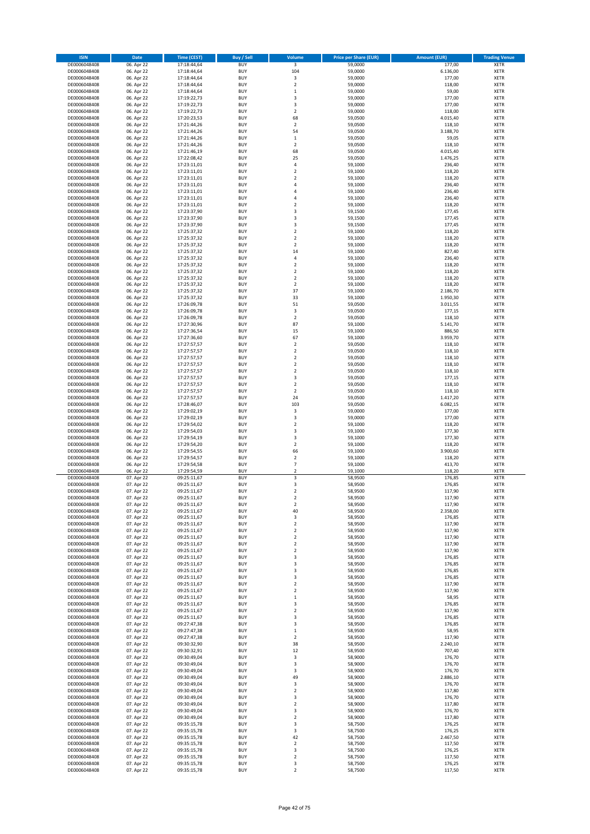| <b>ISIN</b>                  | Date                     | <b>Time (CEST)</b>         | Buy / Sell               | Volume                                  | <b>Price per Share (EUR)</b> | <b>Amount (EUR)</b> | <b>Trading Venue</b>       |
|------------------------------|--------------------------|----------------------------|--------------------------|-----------------------------------------|------------------------------|---------------------|----------------------------|
| DE0006048408                 | 06. Apr 22               | 17:18:44,64                | <b>BUY</b>               | 3                                       | 59,0000                      | 177,00              | <b>XETR</b>                |
| DE0006048408                 | 06. Apr 22               | 17:18:44,64                | <b>BUY</b>               | 104                                     | 59,0000                      | 6.136,00            | <b>XETR</b>                |
| DE0006048408                 | 06. Apr 22               | 17:18:44,64                | <b>BUY</b>               | 3                                       | 59,0000                      | 177,00              | <b>XETR</b>                |
| DE0006048408                 | 06. Apr 22               | 17:18:44,64                | <b>BUY</b>               | $\mathbf 2$                             | 59,0000                      | 118,00              | <b>XETR</b>                |
| DE0006048408                 | 06. Apr 22               | 17:18:44,64                | <b>BUY</b>               | $\,1\,$                                 | 59,0000                      | 59,00               | <b>XETR</b>                |
| DE0006048408<br>DE0006048408 | 06. Apr 22<br>06. Apr 22 | 17:19:22,73<br>17:19:22,73 | <b>BUY</b><br><b>BUY</b> | 3<br>3                                  | 59,0000<br>59,0000           | 177,00<br>177,00    | <b>XETR</b><br><b>XETR</b> |
| DE0006048408                 | 06. Apr 22               | 17:19:22,73                | <b>BUY</b>               | $\overline{2}$                          | 59,0000                      | 118,00              | <b>XETR</b>                |
| DE0006048408                 | 06. Apr 22               | 17:20:23,53                | <b>BUY</b>               | 68                                      | 59,0500                      | 4.015,40            | <b>XETR</b>                |
| DE0006048408                 | 06. Apr 22               | 17:21:44,26                | <b>BUY</b>               | $\overline{2}$                          | 59,0500                      | 118,10              | <b>XETR</b>                |
| DE0006048408                 | 06. Apr 22               | 17:21:44,26                | <b>BUY</b>               | 54                                      | 59,0500                      | 3.188,70            | <b>XETR</b>                |
| DE0006048408                 | 06. Apr 22               | 17:21:44,26                | <b>BUY</b>               | $\mathbf 1$                             | 59,0500                      | 59,05               | <b>XETR</b>                |
| DE0006048408                 | 06. Apr 22               | 17:21:44,26                | <b>BUY</b>               | $\mathbf 2$                             | 59,0500                      | 118,10              | <b>XETR</b>                |
| DE0006048408                 | 06. Apr 22               | 17:21:46,19                | <b>BUY</b>               | 68                                      | 59,0500                      | 4.015,40            | <b>XETR</b>                |
| DE0006048408<br>DE0006048408 | 06. Apr 22<br>06. Apr 22 | 17:22:08,42<br>17:23:11,01 | <b>BUY</b><br><b>BUY</b> | 25<br>4                                 | 59,0500<br>59,1000           | 1.476,25<br>236,40  | <b>XETR</b><br><b>XETR</b> |
| DE0006048408                 | 06. Apr 22               | 17:23:11,01                | <b>BUY</b>               | $\overline{2}$                          | 59,1000                      | 118,20              | <b>XETR</b>                |
| DE0006048408                 | 06. Apr 22               | 17:23:11,01                | <b>BUY</b>               | $\overline{2}$                          | 59,1000                      | 118,20              | <b>XETR</b>                |
| DE0006048408                 | 06. Apr 22               | 17:23:11,01                | <b>BUY</b>               | $\overline{4}$                          | 59,1000                      | 236,40              | <b>XETR</b>                |
| DE0006048408                 | 06. Apr 22               | 17:23:11,01                | <b>BUY</b>               | 4                                       | 59,1000                      | 236,40              | <b>XETR</b>                |
| DE0006048408                 | 06. Apr 22               | 17:23:11,01                | <b>BUY</b>               | 4                                       | 59,1000                      | 236,40              | <b>XETR</b>                |
| DE0006048408                 | 06. Apr 22               | 17:23:11,01                | <b>BUY</b>               | $\overline{2}$                          | 59,1000                      | 118,20              | <b>XETR</b>                |
| DE0006048408                 | 06. Apr 22               | 17:23:37,90                | <b>BUY</b>               | 3                                       | 59,1500                      | 177,45              | <b>XETR</b>                |
| DE0006048408<br>DE0006048408 | 06. Apr 22<br>06. Apr 22 | 17:23:37,90<br>17:23:37,90 | <b>BUY</b><br><b>BUY</b> | 3<br>3                                  | 59,1500<br>59,1500           | 177,45<br>177,45    | <b>XETR</b><br><b>XETR</b> |
| DE0006048408                 | 06. Apr 22               | 17:25:37,32                | <b>BUY</b>               | $\overline{2}$                          | 59,1000                      | 118,20              | <b>XETR</b>                |
| DE0006048408                 | 06. Apr 22               | 17:25:37,32                | <b>BUY</b>               | $\overline{2}$                          | 59,1000                      | 118,20              | <b>XETR</b>                |
| DE0006048408                 | 06. Apr 22               | 17:25:37,32                | <b>BUY</b>               | $\overline{2}$                          | 59,1000                      | 118,20              | <b>XETR</b>                |
| DE0006048408                 | 06. Apr 22               | 17:25:37,32                | <b>BUY</b>               | 14                                      | 59,1000                      | 827,40              | <b>XETR</b>                |
| DE0006048408                 | 06. Apr 22               | 17:25:37,32                | <b>BUY</b>               | 4                                       | 59,1000                      | 236,40              | <b>XETR</b>                |
| DE0006048408                 | 06. Apr 22               | 17:25:37,32                | <b>BUY</b>               | $\overline{2}$                          | 59,1000                      | 118,20              | <b>XETR</b>                |
| DE0006048408                 | 06. Apr 22               | 17:25:37,32                | <b>BUY</b>               | $\overline{2}$                          | 59,1000                      | 118,20              | <b>XETR</b>                |
| DE0006048408<br>DE0006048408 | 06. Apr 22<br>06. Apr 22 | 17:25:37,32<br>17:25:37,32 | <b>BUY</b><br><b>BUY</b> | $\overline{2}$<br>$\overline{2}$        | 59,1000<br>59,1000           | 118,20<br>118,20    | <b>XETR</b><br><b>XETR</b> |
| DE0006048408                 | 06. Apr 22               | 17:25:37,32                | <b>BUY</b>               | 37                                      | 59,1000                      | 2.186,70            | <b>XETR</b>                |
| DE0006048408                 | 06. Apr 22               | 17:25:37,32                | <b>BUY</b>               | 33                                      | 59,1000                      | 1.950,30            | <b>XETR</b>                |
| DE0006048408                 | 06. Apr 22               | 17:26:09,78                | <b>BUY</b>               | 51                                      | 59,0500                      | 3.011,55            | <b>XETR</b>                |
| DE0006048408                 | 06. Apr 22               | 17:26:09,78                | <b>BUY</b>               | $\mathsf 3$                             | 59,0500                      | 177,15              | <b>XETR</b>                |
| DE0006048408                 | 06. Apr 22               | 17:26:09,78                | <b>BUY</b>               | $\overline{2}$                          | 59,0500                      | 118,10              | <b>XETR</b>                |
| DE0006048408                 | 06. Apr 22               | 17:27:30,96                | <b>BUY</b>               | 87                                      | 59,1000                      | 5.141,70            | <b>XETR</b>                |
| DE0006048408                 | 06. Apr 22               | 17:27:36,54                | <b>BUY</b>               | 15                                      | 59,1000                      | 886,50              | <b>XETR</b>                |
| DE0006048408                 | 06. Apr 22               | 17:27:36,60                | <b>BUY</b><br><b>BUY</b> | 67<br>$\overline{2}$                    | 59,1000                      | 3.959,70            | <b>XETR</b>                |
| DE0006048408<br>DE0006048408 | 06. Apr 22<br>06. Apr 22 | 17:27:57,57<br>17:27:57,57 | <b>BUY</b>               | $\overline{2}$                          | 59,0500<br>59,0500           | 118,10<br>118,10    | <b>XETR</b><br><b>XETR</b> |
| DE0006048408                 | 06. Apr 22               | 17:27:57,57                | <b>BUY</b>               | $\overline{2}$                          | 59,0500                      | 118,10              | <b>XETR</b>                |
| DE0006048408                 | 06. Apr 22               | 17:27:57,57                | <b>BUY</b>               | $\overline{2}$                          | 59,0500                      | 118,10              | <b>XETR</b>                |
| DE0006048408                 | 06. Apr 22               | 17:27:57,57                | <b>BUY</b>               | $\overline{2}$                          | 59,0500                      | 118,10              | <b>XETR</b>                |
| DE0006048408                 | 06. Apr 22               | 17:27:57,57                | <b>BUY</b>               | 3                                       | 59,0500                      | 177,15              | <b>XETR</b>                |
| DE0006048408                 | 06. Apr 22               | 17:27:57,57                | <b>BUY</b>               | $\overline{2}$                          | 59,0500                      | 118,10              | <b>XETR</b>                |
| DE0006048408                 | 06. Apr 22               | 17:27:57,57                | <b>BUY</b>               | $\overline{2}$                          | 59,0500                      | 118,10              | <b>XETR</b>                |
| DE0006048408                 | 06. Apr 22               | 17:27:57,57                | <b>BUY</b>               | 24                                      | 59,0500                      | 1.417,20            | <b>XETR</b>                |
| DE0006048408                 | 06. Apr 22               | 17:28:46,07                | <b>BUY</b><br><b>BUY</b> | 103<br>3                                | 59,0500                      | 6.082,15<br>177,00  | <b>XETR</b><br><b>XETR</b> |
| DE0006048408<br>DE0006048408 | 06. Apr 22<br>06. Apr 22 | 17:29:02,19<br>17:29:02,19 | <b>BUY</b>               | 3                                       | 59,0000<br>59,0000           | 177,00              | <b>XETR</b>                |
| DE0006048408                 | 06. Apr 22               | 17:29:54,02                | <b>BUY</b>               | $\overline{2}$                          | 59,1000                      | 118,20              | <b>XETR</b>                |
| DE0006048408                 | 06. Apr 22               | 17:29:54,03                | <b>BUY</b>               | 3                                       | 59,1000                      | 177,30              | <b>XETR</b>                |
| DE0006048408                 | 06. Apr 22               | 17:29:54,19                | <b>BUY</b>               | 3                                       | 59,1000                      | 177,30              | <b>XETR</b>                |
| DE0006048408                 | 06. Apr 22               | 17:29:54,20                | <b>BUY</b>               | $\overline{2}$                          | 59,1000                      | 118,20              | <b>XETR</b>                |
| DE0006048408                 | 06. Apr 22               | 17:29:54,55                | <b>BUY</b>               | 66                                      | 59,1000                      | 3.900,60            | <b>XETR</b>                |
| DE0006048408                 | 06. Apr 22               | 17:29:54,57                | <b>BUY</b>               | $\overline{2}$                          | 59,1000                      | 118,20              | <b>XETR</b>                |
| DE0006048408<br>DE0006048408 | 06. Apr 22<br>06. Apr 22 | 17:29:54,58<br>17:29:54,59 | <b>BUY</b><br><b>BUY</b> | $\overline{\phantom{a}}$<br>$\mathbf 2$ | 59,1000<br>59,1000           | 413,70<br>118,20    | <b>XETR</b><br><b>XETR</b> |
| DE0006048408                 | 07. Apr 22               | 09:25:11,67                | <b>BUY</b>               | 3                                       | 58,9500                      | 176,85              | <b>XETR</b>                |
| DE0006048408                 | 07. Apr 22               | 09:25:11,67                | <b>BUY</b>               | 3                                       | 58,9500                      | 176,85              | <b>XETR</b>                |
| DE0006048408                 | 07. Apr 22               | 09:25:11,67                | <b>BUY</b>               | $\overline{2}$                          | 58,9500                      | 117,90              | <b>XETR</b>                |
| DE0006048408                 | 07. Apr 22               | 09:25:11,67                | <b>BUY</b>               | $\overline{\mathbf{2}}$                 | 58,9500                      | 117,90              | <b>XETR</b>                |
| DE0006048408                 | 07. Apr 22               | 09:25:11,67                | <b>BUY</b>               | $\overline{\mathbf{2}}$                 | 58,9500                      | 117,90              | <b>XETR</b>                |
| DE0006048408                 | 07. Apr 22               | 09:25:11,67                | <b>BUY</b>               | 40                                      | 58,9500                      | 2.358,00            | <b>XETR</b>                |
| DE0006048408<br>DE0006048408 | 07. Apr 22<br>07. Apr 22 | 09:25:11,67<br>09:25:11,67 | <b>BUY</b><br><b>BUY</b> | 3<br>$\overline{\mathbf{2}}$            | 58,9500<br>58,9500           | 176,85<br>117,90    | <b>XETR</b><br><b>XETR</b> |
| DE0006048408                 | 07. Apr 22               | 09:25:11,67                | <b>BUY</b>               | $\overline{\mathbf{c}}$                 | 58,9500                      | 117,90              | <b>XETR</b>                |
| DE0006048408                 | 07. Apr 22               | 09:25:11,67                | <b>BUY</b>               | $\overline{\mathbf{2}}$                 | 58,9500                      | 117,90              | <b>XETR</b>                |
| DE0006048408                 | 07. Apr 22               | 09:25:11,67                | <b>BUY</b>               | $\mathbf 2$                             | 58,9500                      | 117,90              | <b>XETR</b>                |
| DE0006048408                 | 07. Apr 22               | 09:25:11,67                | <b>BUY</b>               | $\overline{\mathbf{2}}$                 | 58,9500                      | 117,90              | <b>XETR</b>                |
| DE0006048408                 | 07. Apr 22               | 09:25:11,67                | <b>BUY</b>               | 3                                       | 58,9500                      | 176,85              | <b>XETR</b>                |
| DE0006048408                 | 07. Apr 22               | 09:25:11,67                | <b>BUY</b><br><b>BUY</b> | 3<br>3                                  | 58,9500                      | 176,85              | <b>XETR</b><br><b>XETR</b> |
| DE0006048408<br>DE0006048408 | 07. Apr 22<br>07. Apr 22 | 09:25:11,67<br>09:25:11,67 | <b>BUY</b>               | 3                                       | 58,9500<br>58,9500           | 176,85<br>176,85    | <b>XETR</b>                |
| DE0006048408                 | 07. Apr 22               | 09:25:11,67                | <b>BUY</b>               | $\overline{2}$                          | 58,9500                      | 117,90              | <b>XETR</b>                |
| DE0006048408                 | 07. Apr 22               | 09:25:11,67                | <b>BUY</b>               | $\overline{\mathbf{2}}$                 | 58,9500                      | 117,90              | <b>XETR</b>                |
| DE0006048408                 | 07. Apr 22               | 09:25:11,67                | <b>BUY</b>               | $\,1\,$                                 | 58,9500                      | 58,95               | <b>XETR</b>                |
| DE0006048408                 | 07. Apr 22               | 09:25:11,67                | <b>BUY</b>               | 3                                       | 58,9500                      | 176,85              | <b>XETR</b>                |
| DE0006048408                 | 07. Apr 22               | 09:25:11,67                | <b>BUY</b>               | $\overline{2}$                          | 58,9500                      | 117,90              | <b>XETR</b>                |
| DE0006048408<br>DE0006048408 | 07. Apr 22<br>07. Apr 22 | 09:25:11,67<br>09:27:47,38 | <b>BUY</b><br><b>BUY</b> | 3<br>3                                  | 58,9500<br>58,9500           | 176,85<br>176,85    | <b>XETR</b><br><b>XETR</b> |
| DE0006048408                 | 07. Apr 22               | 09:27:47,38                | <b>BUY</b>               | $\,1\,$                                 | 58,9500                      | 58,95               | <b>XETR</b>                |
| DE0006048408                 | 07. Apr 22               | 09:27:47,38                | <b>BUY</b>               | $\overline{2}$                          | 58,9500                      | 117,90              | <b>XETR</b>                |
| DE0006048408                 | 07. Apr 22               | 09:30:32,90                | <b>BUY</b>               | 38                                      | 58,9500                      | 2.240,10            | <b>XETR</b>                |
| DE0006048408                 | 07. Apr 22               | 09:30:32,91                | <b>BUY</b>               | 12                                      | 58,9500                      | 707,40              | <b>XETR</b>                |
| DE0006048408                 | 07. Apr 22               | 09:30:49,04                | <b>BUY</b>               | 3                                       | 58,9000                      | 176,70              | <b>XETR</b>                |
| DE0006048408                 | 07. Apr 22               | 09:30:49,04                | <b>BUY</b>               | 3                                       | 58,9000                      | 176,70              | <b>XETR</b>                |
| DE0006048408                 | 07. Apr 22               | 09:30:49,04                | <b>BUY</b><br><b>BUY</b> | 3<br>49                                 | 58,9000                      | 176,70              | <b>XETR</b><br><b>XETR</b> |
| DE0006048408<br>DE0006048408 | 07. Apr 22<br>07. Apr 22 | 09:30:49,04<br>09:30:49,04 | <b>BUY</b>               | 3                                       | 58,9000<br>58,9000           | 2.886,10<br>176,70  | <b>XETR</b>                |
| DE0006048408                 | 07. Apr 22               | 09:30:49,04                | <b>BUY</b>               | $\overline{2}$                          | 58,9000                      | 117,80              | <b>XETR</b>                |
| DE0006048408                 | 07. Apr 22               | 09:30:49,04                | <b>BUY</b>               | 3                                       | 58,9000                      | 176,70              | <b>XETR</b>                |
| DE0006048408                 | 07. Apr 22               | 09:30:49,04                | <b>BUY</b>               | $\overline{\mathbf{2}}$                 | 58,9000                      | 117,80              | <b>XETR</b>                |
| DE0006048408                 | 07. Apr 22               | 09:30:49,04                | <b>BUY</b>               | 3                                       | 58,9000                      | 176,70              | <b>XETR</b>                |
| DE0006048408                 | 07. Apr 22               | 09:30:49,04                | <b>BUY</b>               | $\overline{2}$                          | 58,9000                      | 117,80              | <b>XETR</b>                |
| DE0006048408                 | 07. Apr 22               | 09:35:15,78                | <b>BUY</b>               | 3                                       | 58,7500                      | 176,25              | <b>XETR</b>                |
| DE0006048408<br>DE0006048408 | 07. Apr 22<br>07. Apr 22 | 09:35:15,78                | <b>BUY</b><br><b>BUY</b> | 3<br>42                                 | 58,7500<br>58,7500           | 176,25<br>2.467,50  | <b>XETR</b><br><b>XETR</b> |
| DE0006048408                 | 07. Apr 22               | 09:35:15,78<br>09:35:15,78 | <b>BUY</b>               | $\overline{2}$                          | 58,7500                      | 117,50              | <b>XETR</b>                |
| DE0006048408                 | 07. Apr 22               | 09:35:15,78                | <b>BUY</b>               | 3                                       | 58,7500                      | 176,25              | <b>XETR</b>                |
| DE0006048408                 | 07. Apr 22               | 09:35:15,78                | <b>BUY</b>               | $\overline{\mathbf{2}}$                 | 58,7500                      | 117,50              | XETR                       |
| DE0006048408                 | 07. Apr 22               | 09:35:15,78                | <b>BUY</b>               | 3                                       | 58,7500                      | 176,25              | <b>XETR</b>                |
| DE0006048408                 | 07. Apr 22               | 09:35:15,78                | <b>BUY</b>               | $\overline{2}$                          | 58,7500                      | 117,50              | <b>XETR</b>                |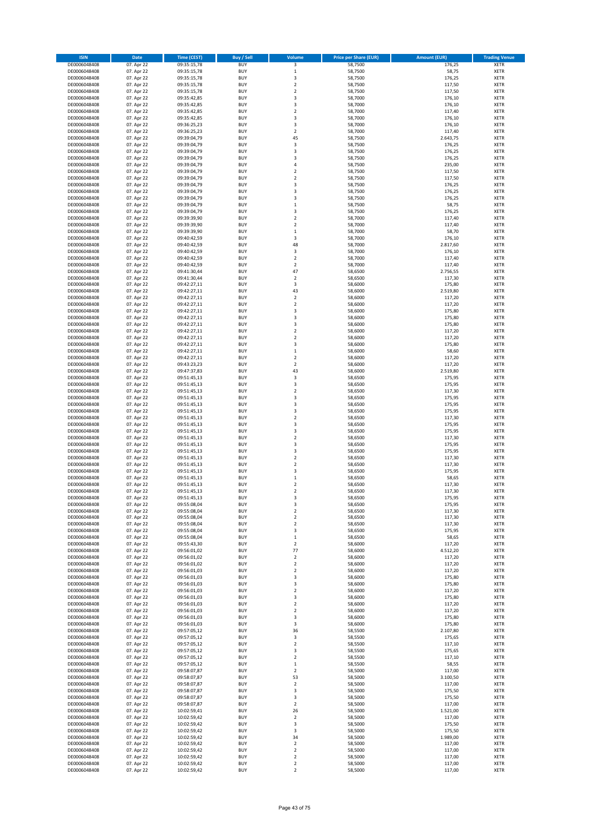| <b>ISIN</b>                  | Date                     | <b>Time (CEST)</b>         | Buy / Sell               | Volume                               | <b>Price per Share (EUR)</b> | <b>Amount (EUR)</b> | <b>Trading Venue</b>       |
|------------------------------|--------------------------|----------------------------|--------------------------|--------------------------------------|------------------------------|---------------------|----------------------------|
| DE0006048408                 | 07. Apr 22               | 09:35:15,78                | <b>BUY</b>               | 3                                    | 58,7500                      | 176,25              | <b>XETR</b>                |
| DE0006048408                 | 07. Apr 22               | 09:35:15,78                | <b>BUY</b>               | $\mathbf 1$                          | 58,7500                      | 58,75               | <b>XETR</b>                |
| DE0006048408                 | 07. Apr 22               | 09:35:15,78                | BUY                      | 3                                    | 58,7500                      | 176,25              | XETR                       |
| DE0006048408                 | 07. Apr 22               | 09:35:15,78                | <b>BUY</b>               | $\overline{2}$                       | 58,7500                      | 117,50              | <b>XETR</b>                |
| DE0006048408                 | 07. Apr 22               | 09:35:15,78                | <b>BUY</b>               | $\boldsymbol{2}$                     | 58,7500                      | 117,50              | <b>XETR</b>                |
| DE0006048408                 | 07. Apr 22               | 09:35:42,85                | <b>BUY</b>               | 3                                    | 58,7000                      | 176,10              | <b>XETR</b>                |
| DE0006048408                 | 07. Apr 22               | 09:35:42,85                | <b>BUY</b>               | 3                                    | 58,7000                      | 176,10              | <b>XETR</b>                |
| DE0006048408                 | 07. Apr 22               | 09:35:42,85                | <b>BUY</b>               | $\overline{2}$                       | 58,7000                      | 117,40              | <b>XETR</b>                |
| DE0006048408<br>DE0006048408 | 07. Apr 22<br>07. Apr 22 | 09:35:42,85<br>09:36:25,23 | <b>BUY</b><br><b>BUY</b> | 3<br>3                               | 58,7000<br>58,7000           | 176,10<br>176,10    | <b>XETR</b><br><b>XETR</b> |
| DE0006048408                 | 07. Apr 22               | 09:36:25,23                | BUY                      | $\boldsymbol{2}$                     | 58,7000                      | 117,40              | <b>XETR</b>                |
| DE0006048408                 | 07. Apr 22               | 09:39:04,79                | <b>BUY</b>               | 45                                   | 58,7500                      | 2.643,75            | <b>XETR</b>                |
| DE0006048408                 | 07. Apr 22               | 09:39:04,79                | <b>BUY</b>               | 3                                    | 58,7500                      | 176,25              | XETR                       |
| DE0006048408                 | 07. Apr 22               | 09:39:04,79                | <b>BUY</b>               | 3                                    | 58,7500                      | 176,25              | <b>XETR</b>                |
| DE0006048408                 | 07. Apr 22               | 09:39:04,79                | <b>BUY</b>               | 3                                    | 58,7500                      | 176,25              | <b>XETR</b>                |
| DE0006048408                 | 07. Apr 22               | 09:39:04,79                | <b>BUY</b>               | 4                                    | 58,7500                      | 235,00              | <b>XETR</b>                |
| DE0006048408                 | 07. Apr 22               | 09:39:04,79                | <b>BUY</b>               | $\boldsymbol{2}$                     | 58,7500                      | 117,50              | <b>XETR</b>                |
| DE0006048408                 | 07. Apr 22               | 09:39:04,79                | <b>BUY</b>               | $\overline{2}$                       | 58,7500                      | 117,50              | <b>XETR</b>                |
| DE0006048408                 | 07. Apr 22               | 09:39:04,79                | BUY<br><b>BUY</b>        | 3<br>3                               | 58,7500                      | 176,25              | <b>XETR</b>                |
| DE0006048408<br>DE0006048408 | 07. Apr 22<br>07. Apr 22 | 09:39:04,79<br>09:39:04,79 | <b>BUY</b>               | 3                                    | 58,7500<br>58,7500           | 176,25<br>176,25    | <b>XETR</b><br><b>XETR</b> |
| DE0006048408                 | 07. Apr 22               | 09:39:04,79                | <b>BUY</b>               | $\,1\,$                              | 58,7500                      | 58,75               | <b>XETR</b>                |
| DE0006048408                 | 07. Apr 22               | 09:39:04,79                | <b>BUY</b>               | 3                                    | 58,7500                      | 176,25              | <b>XETR</b>                |
| DE0006048408                 | 07. Apr 22               | 09:39:39,90                | <b>BUY</b>               | $\overline{2}$                       | 58,7000                      | 117,40              | <b>XETR</b>                |
| DE0006048408                 | 07. Apr 22               | 09:39:39,90                | <b>BUY</b>               | $\overline{2}$                       | 58,7000                      | 117,40              | <b>XETR</b>                |
| DE0006048408                 | 07. Apr 22               | 09:39:39,90                | <b>BUY</b>               | $\mathbf 1$                          | 58,7000                      | 58,70               | <b>XETR</b>                |
| DE0006048408                 | 07. Apr 22               | 09:40:42,59                | BUY                      | 3                                    | 58,7000                      | 176,10              | <b>XETR</b>                |
| DE0006048408                 | 07. Apr 22               | 09:40:42,59                | BUY                      | 48                                   | 58,7000                      | 2.817,60            | <b>XETR</b>                |
| DE0006048408                 | 07. Apr 22               | 09:40:42,59                | <b>BUY</b><br><b>BUY</b> | 3<br>$\boldsymbol{2}$                | 58,7000                      | 176,10<br>117,40    | <b>XETR</b><br>XETR        |
| DE0006048408<br>DE0006048408 | 07. Apr 22<br>07. Apr 22 | 09:40:42,59<br>09:40:42,59 | <b>BUY</b>               | $\overline{2}$                       | 58,7000<br>58,7000           | 117,40              | <b>XETR</b>                |
| DE0006048408                 | 07. Apr 22               | 09:41:30,44                | <b>BUY</b>               | 47                                   | 58,6500                      | 2.756,55            | XETR                       |
| DE0006048408                 | 07. Apr 22               | 09:41:30,44                | <b>BUY</b>               | $\overline{2}$                       | 58,6500                      | 117,30              | <b>XETR</b>                |
| DE0006048408                 | 07. Apr 22               | 09:42:27,11                | <b>BUY</b>               | 3                                    | 58,6000                      | 175,80              | XETR                       |
| DE0006048408                 | 07. Apr 22               | 09:42:27,11                | <b>BUY</b>               | 43                                   | 58,6000                      | 2.519,80            | <b>XETR</b>                |
| DE0006048408                 | 07. Apr 22               | 09:42:27,11                | BUY                      | $\mathbf 2$                          | 58,6000                      | 117,20              | XETR                       |
| DE0006048408                 | 07. Apr 22               | 09:42:27,11                | <b>BUY</b>               | $\overline{2}$                       | 58,6000                      | 117,20              | <b>XETR</b>                |
| DE0006048408                 | 07. Apr 22               | 09:42:27,11                | <b>BUY</b>               | 3                                    | 58,6000                      | 175,80              | XETR                       |
| DE0006048408                 | 07. Apr 22               | 09:42:27,11                | <b>BUY</b>               | 3                                    | 58,6000                      | 175,80              | <b>XETR</b>                |
| DE0006048408<br>DE0006048408 | 07. Apr 22<br>07. Apr 22 | 09:42:27,11<br>09:42:27,11 | <b>BUY</b><br><b>BUY</b> | 3<br>$\overline{2}$                  | 58,6000<br>58,6000           | 175,80<br>117,20    | <b>XETR</b><br><b>XETR</b> |
| DE0006048408                 | 07. Apr 22               | 09:42:27,11                | <b>BUY</b>               | $\overline{2}$                       | 58,6000                      | 117,20              | <b>XETR</b>                |
| DE0006048408                 | 07. Apr 22               | 09:42:27,11                | <b>BUY</b>               | 3                                    | 58,6000                      | 175,80              | <b>XETR</b>                |
| DE0006048408                 | 07. Apr 22               | 09:42:27,11                | BUY                      | $\,1\,$                              | 58,6000                      | 58,60               | <b>XETR</b>                |
| DE0006048408                 | 07. Apr 22               | 09:42:27,11                | <b>BUY</b>               | $\mathbf 2$                          | 58,6000                      | 117,20              | <b>XETR</b>                |
| DE0006048408                 | 07. Apr 22               | 09:43:23,23                | <b>BUY</b>               | $\boldsymbol{2}$                     | 58,6000                      | 117,20              | <b>XETR</b>                |
| DE0006048408                 | 07. Apr 22               | 09:47:37,83                | <b>BUY</b>               | 43                                   | 58,6000                      | 2.519,80            | <b>XETR</b>                |
| DE0006048408                 | 07. Apr 22               | 09:51:45,13                | <b>BUY</b>               | 3                                    | 58,6500                      | 175,95              | <b>XETR</b>                |
| DE0006048408                 | 07. Apr 22               | 09:51:45,13                | <b>BUY</b>               | 3                                    | 58,6500                      | 175,95              | <b>XETR</b>                |
| DE0006048408                 | 07. Apr 22               | 09:51:45,13                | <b>BUY</b><br><b>BUY</b> | $\boldsymbol{2}$                     | 58,6500                      | 117,30              | <b>XETR</b>                |
| DE0006048408<br>DE0006048408 | 07. Apr 22<br>07. Apr 22 | 09:51:45,13<br>09:51:45,13 | BUY                      | 3<br>3                               | 58,6500<br>58,6500           | 175,95<br>175,95    | <b>XETR</b><br><b>XETR</b> |
| DE0006048408                 | 07. Apr 22               | 09:51:45,13                | <b>BUY</b>               | 3                                    | 58,6500                      | 175,95              | <b>XETR</b>                |
| DE0006048408                 | 07. Apr 22               | 09:51:45,13                | <b>BUY</b>               | $\boldsymbol{2}$                     | 58,6500                      | 117,30              | <b>XETR</b>                |
| DE0006048408                 | 07. Apr 22               | 09:51:45,13                | <b>BUY</b>               | 3                                    | 58,6500                      | 175,95              | <b>XETR</b>                |
| DE0006048408                 | 07. Apr 22               | 09:51:45,13                | <b>BUY</b>               | 3                                    | 58,6500                      | 175,95              | <b>XETR</b>                |
| DE0006048408                 | 07. Apr 22               | 09:51:45,13                | <b>BUY</b>               | $\mathbf 2$                          | 58,6500                      | 117,30              | <b>XETR</b>                |
| DE0006048408                 | 07. Apr 22               | 09:51:45,13                | <b>BUY</b>               | 3                                    | 58,6500                      | 175,95              | <b>XETR</b>                |
| DE0006048408                 | 07. Apr 22               | 09:51:45,13                | <b>BUY</b>               | 3                                    | 58,6500                      | 175,95              | XETR                       |
| DE0006048408                 | 07. Apr 22<br>07. Apr 22 | 09:51:45,13                | <b>BUY</b><br><b>BUY</b> | $\overline{2}$<br>$\boldsymbol{2}$   | 58,6500                      | 117,30<br>117,30    | <b>XETR</b><br>XETR        |
| DE0006048408<br>DE0006048408 | 07. Apr 22               | 09:51:45,13<br>09:51:45,13 | <b>BUY</b>               | 3                                    | 58,6500<br>58,6500           | 175,95              | <b>XETR</b>                |
| DE0006048408                 | 07. Apr 22               | 09:51:45,13                | <b>BUY</b>               | $\,1\,$                              | 58,6500                      | 58,65               | <b>XETR</b>                |
| DE0006048408                 | 07. Apr 22               | 09:51:45.13                | BUY                      | $\overline{2}$                       | 58,6500                      | 117,30              | <b>XETR</b>                |
| DE0006048408                 | 07. Apr 22               | 09:51:45,13                | BUY                      | $\overline{2}$                       | 58,6500                      | 117,30              | <b>XETR</b>                |
| DE0006048408                 | 07. Apr 22               | 09:51:45,13                | <b>BUY</b>               | 3                                    | 58,6500                      | 175,95              | <b>XETR</b>                |
| DE0006048408                 | 07. Apr 22               | 09:55:08,04                | <b>BUY</b>               | 3                                    | 58,6500                      | 175,95              | <b>XETR</b>                |
| DE0006048408                 | 07. Apr 22               | 09:55:08,04                | <b>BUY</b>               | $\boldsymbol{2}$                     | 58,6500                      | 117,30              | XETR                       |
| DE0006048408                 | 07. Apr 22               | 09:55:08,04<br>09:55:08,04 | <b>BUY</b>               | $\boldsymbol{2}$<br>$\mathbf 2$      | 58,6500<br>58,6500           | 117,30<br>117,30    | XETR                       |
| DE0006048408<br>DE0006048408 | 07. Apr 22<br>07. Apr 22 | 09:55:08,04                | <b>BUY</b><br><b>BUY</b> | 3                                    | 58,6500                      | 175,95              | <b>XETR</b><br>XETR        |
| DE0006048408                 | 07. Apr 22               | 09:55:08,04                | <b>BUY</b>               | $\,1\,$                              | 58,6500                      | 58,65               | <b>XETR</b>                |
| DE0006048408                 | 07. Apr 22               | 09:55:43,30                | <b>BUY</b>               | $\overline{2}$                       | 58,6000                      | 117,20              | <b>XETR</b>                |
| DE0006048408                 | 07. Apr 22               | 09:56:01,02                | <b>BUY</b>               | 77                                   | 58,6000                      | 4.512,20            | <b>XETR</b>                |
| DE0006048408                 | 07. Apr 22               | 09:56:01,02                | <b>BUY</b>               | $\boldsymbol{2}$                     | 58,6000                      | 117,20              | <b>XETR</b>                |
| DE0006048408                 | 07. Apr 22               | 09:56:01,02                | <b>BUY</b>               | $\boldsymbol{2}$                     | 58,6000                      | 117,20              | <b>XETR</b>                |
| DE0006048408                 | 07. Apr 22               | 09:56:01,03                | <b>BUY</b>               | $\boldsymbol{2}$                     | 58,6000                      | 117,20              | <b>XETR</b>                |
| DE0006048408<br>DE0006048408 | 07. Apr 22<br>07. Apr 22 | 09:56:01,03<br>09:56:01,03 | <b>BUY</b><br><b>BUY</b> | 3<br>3                               | 58,6000<br>58,6000           | 175,80<br>175,80    | <b>XETR</b><br><b>XETR</b> |
| DE0006048408                 | 07. Apr 22               | 09:56:01,03                | <b>BUY</b>               | $\boldsymbol{2}$                     | 58,6000                      | 117,20              | <b>XETR</b>                |
| DE0006048408                 | 07. Apr 22               | 09:56:01,03                | <b>BUY</b>               | 3                                    | 58,6000                      | 175,80              | <b>XETR</b>                |
| DE0006048408                 | 07. Apr 22               | 09:56:01,03                | <b>BUY</b>               | $\overline{\mathbf{2}}$              | 58,6000                      | 117,20              | <b>XETR</b>                |
| DE0006048408                 | 07. Apr 22               | 09:56:01,03                | <b>BUY</b>               | $\overline{\mathbf{2}}$              | 58,6000                      | 117,20              | <b>XETR</b>                |
| DE0006048408                 | 07. Apr 22               | 09:56:01,03                | <b>BUY</b>               | 3                                    | 58,6000                      | 175,80              | <b>XETR</b>                |
| DE0006048408                 | 07. Apr 22               | 09:56:01,03                | <b>BUY</b>               | 3                                    | 58,6000                      | 175,80              | <b>XETR</b>                |
| DE0006048408                 | 07. Apr 22               | 09:57:05,12                | <b>BUY</b>               | 36                                   | 58,5500                      | 2.107,80            | <b>XETR</b>                |
| DE0006048408<br>DE0006048408 | 07. Apr 22<br>07. Apr 22 | 09:57:05,12<br>09:57:05,12 | <b>BUY</b><br><b>BUY</b> | 3<br>$\boldsymbol{2}$                | 58,5500<br>58,5500           | 175,65<br>117,10    | <b>XETR</b><br>XETR        |
| DE0006048408                 | 07. Apr 22               | 09:57:05,12                | <b>BUY</b>               | 3                                    | 58,5500                      | 175,65              | <b>XETR</b>                |
| DE0006048408                 | 07. Apr 22               | 09:57:05,12                | <b>BUY</b>               | $\boldsymbol{2}$                     | 58,5500                      | 117,10              | <b>XETR</b>                |
| DE0006048408                 | 07. Apr 22               | 09:57:05,12                | <b>BUY</b>               | $\mathbf 1$                          | 58,5500                      | 58,55               | <b>XETR</b>                |
| DE0006048408                 | 07. Apr 22               | 09:58:07,87                | <b>BUY</b>               | $\overline{\mathbf{2}}$              | 58,5000                      | 117,00              | <b>XETR</b>                |
| DE0006048408                 | 07. Apr 22               | 09:58:07,87                | <b>BUY</b>               | 53                                   | 58,5000                      | 3.100,50            | <b>XETR</b>                |
| DE0006048408                 | 07. Apr 22               | 09:58:07,87                | <b>BUY</b>               | $\boldsymbol{2}$                     | 58,5000                      | 117,00              | <b>XETR</b>                |
| DE0006048408                 | 07. Apr 22               | 09:58:07,87                | <b>BUY</b>               | 3                                    | 58,5000                      | 175,50              | <b>XETR</b>                |
| DE0006048408                 | 07. Apr 22               | 09:58:07,87                | <b>BUY</b>               | 3                                    | 58,5000                      | 175,50              | XETR                       |
| DE0006048408<br>DE0006048408 | 07. Apr 22<br>07. Apr 22 | 09:58:07,87<br>10:02:59,41 | <b>BUY</b><br><b>BUY</b> | $\overline{\mathbf{2}}$<br>26        | 58,5000<br>58,5000           | 117,00<br>1.521,00  | <b>XETR</b><br><b>XETR</b> |
| DE0006048408                 | 07. Apr 22               | 10:02:59,42                | <b>BUY</b>               | $\overline{\mathbf{2}}$              | 58,5000                      | 117,00              | <b>XETR</b>                |
| DE0006048408                 | 07. Apr 22               | 10:02:59,42                | <b>BUY</b>               | 3                                    | 58,5000                      | 175,50              | <b>XETR</b>                |
| DE0006048408                 | 07. Apr 22               | 10:02:59,42                | <b>BUY</b>               | 3                                    | 58,5000                      | 175,50              | <b>XETR</b>                |
| DE0006048408                 | 07. Apr 22               | 10:02:59,42                | <b>BUY</b>               | 34                                   | 58,5000                      | 1.989,00            | <b>XETR</b>                |
| DE0006048408                 | 07. Apr 22               | 10:02:59,42                | <b>BUY</b>               | $\boldsymbol{2}$                     | 58,5000                      | 117,00              | <b>XETR</b>                |
| DE0006048408                 | 07. Apr 22               | 10:02:59,42                | <b>BUY</b>               | $\mathbf 2$                          | 58,5000                      | 117,00              | XETR                       |
| DE0006048408                 | 07. Apr 22               | 10:02:59,42                | <b>BUY</b>               | $\mathbf 2$                          | 58,5000                      | 117,00              | <b>XETR</b>                |
| DE0006048408<br>DE0006048408 | 07. Apr 22<br>07. Apr 22 | 10:02:59,42<br>10:02:59,42 | <b>BUY</b><br><b>BUY</b> | $\boldsymbol{2}$<br>$\boldsymbol{2}$ | 58,5000<br>58,5000           | 117,00<br>117,00    | <b>XETR</b><br><b>XETR</b> |
|                              |                          |                            |                          |                                      |                              |                     |                            |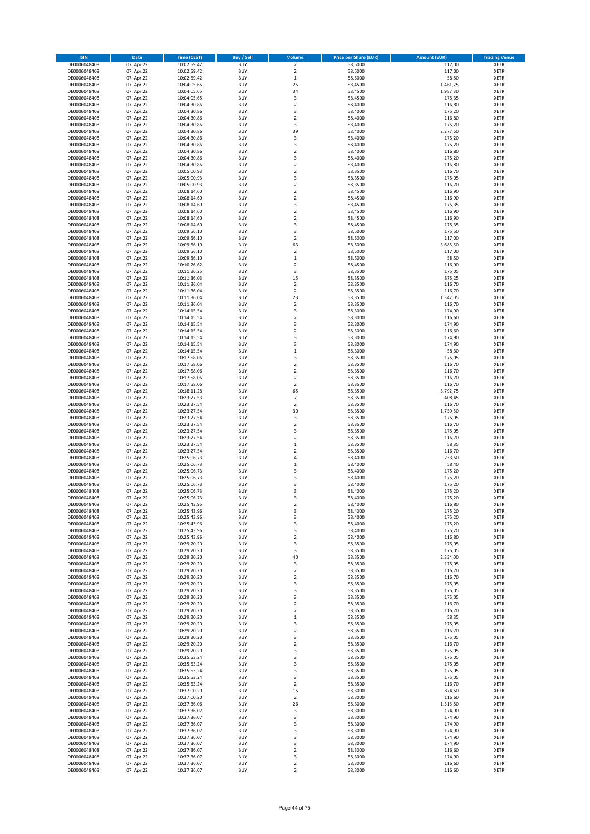| <b>ISIN</b>                  | Date                     | <b>Time (CEST)</b>         | Buy / Sell               | Volume                        | <b>Price per Share (EUR)</b> | <b>Amount (EUR)</b> | <b>Trading Venue</b>       |
|------------------------------|--------------------------|----------------------------|--------------------------|-------------------------------|------------------------------|---------------------|----------------------------|
| DE0006048408                 | 07. Apr 22               | 10:02:59,42                | <b>BUY</b>               | $\mathbf 2$                   | 58,5000                      | 117,00              | <b>XETR</b>                |
| DE0006048408                 | 07. Apr 22               | 10:02:59,42                | <b>BUY</b>               | $\overline{2}$                | 58,5000                      | 117,00              | <b>XETR</b>                |
| DE0006048408                 | 07. Apr 22               | 10:02:59,42                | <b>BUY</b>               | $\,1\,$                       | 58,5000                      | 58,50               | XETR                       |
| DE0006048408                 | 07. Apr 22               | 10:04:05,65                | <b>BUY</b>               | 25                            | 58,4500                      | 1.461,25            | <b>XETR</b>                |
| DE0006048408                 | 07. Apr 22               | 10:04:05,65                | <b>BUY</b>               | 34                            | 58,4500                      | 1.987,30            | <b>XETR</b>                |
| DE0006048408                 | 07. Apr 22               | 10:04:05,65                | <b>BUY</b>               | 3                             | 58,4500                      | 175,35              | <b>XETR</b>                |
| DE0006048408<br>DE0006048408 | 07. Apr 22               | 10:04:30,86                | <b>BUY</b><br><b>BUY</b> | $\overline{2}$<br>3           | 58,4000<br>58,4000           | 116,80              | <b>XETR</b><br><b>XETR</b> |
| DE0006048408                 | 07. Apr 22<br>07. Apr 22 | 10:04:30,86<br>10:04:30,86 | <b>BUY</b>               | $\boldsymbol{2}$              | 58,4000                      | 175,20<br>116,80    | <b>XETR</b>                |
| DE0006048408                 | 07. Apr 22               | 10:04:30,86                | <b>BUY</b>               | 3                             | 58,4000                      | 175,20              | <b>XETR</b>                |
| DE0006048408                 | 07. Apr 22               | 10:04:30,86                | <b>BUY</b>               | 39                            | 58,4000                      | 2.277,60            | <b>XETR</b>                |
| DE0006048408                 | 07. Apr 22               | 10:04:30,86                | <b>BUY</b>               | 3                             | 58,4000                      | 175,20              | <b>XETR</b>                |
| DE0006048408                 | 07. Apr 22               | 10:04:30,86                | <b>BUY</b>               | 3                             | 58,4000                      | 175,20              | XETR                       |
| DE0006048408                 | 07. Apr 22               | 10:04:30,86                | <b>BUY</b>               | $\overline{2}$                | 58,4000                      | 116,80              | <b>XETR</b>                |
| DE0006048408                 | 07. Apr 22               | 10:04:30,86                | <b>BUY</b>               | 3                             | 58,4000                      | 175,20              | <b>XETR</b>                |
| DE0006048408                 | 07. Apr 22               | 10:04:30,86                | <b>BUY</b>               | $\overline{\mathbf{2}}$       | 58,4000                      | 116,80              | <b>XETR</b>                |
| DE0006048408                 | 07. Apr 22               | 10:05:00,93                | <b>BUY</b>               | $\boldsymbol{2}$              | 58,3500                      | 116,70              | <b>XETR</b>                |
| DE0006048408                 | 07. Apr 22               | 10:05:00,93                | <b>BUY</b>               | 3                             | 58,3500                      | 175,05              | <b>XETR</b>                |
| DE0006048408                 | 07. Apr 22               | 10:05:00,93                | <b>BUY</b>               | $\overline{2}$                | 58,3500                      | 116,70              | <b>XETR</b>                |
| DE0006048408<br>DE0006048408 | 07. Apr 22<br>07. Apr 22 | 10:08:14,60<br>10:08:14,60 | <b>BUY</b><br><b>BUY</b> | $\mathbf 2$<br>$\overline{2}$ | 58,4500<br>58,4500           | 116,90<br>116,90    | <b>XETR</b><br><b>XETR</b> |
| DE0006048408                 | 07. Apr 22               | 10:08:14,60                | <b>BUY</b>               | 3                             | 58,4500                      | 175,35              | <b>XETR</b>                |
| DE0006048408                 | 07. Apr 22               | 10:08:14,60                | <b>BUY</b>               | $\overline{2}$                | 58,4500                      | 116,90              | <b>XETR</b>                |
| DE0006048408                 | 07. Apr 22               | 10:08:14,60                | <b>BUY</b>               | $\mathbf 2$                   | 58,4500                      | 116,90              | <b>XETR</b>                |
| DE0006048408                 | 07. Apr 22               | 10:08:14,60                | <b>BUY</b>               | 3                             | 58,4500                      | 175,35              | <b>XETR</b>                |
| DE0006048408                 | 07. Apr 22               | 10:09:56,10                | <b>BUY</b>               | 3                             | 58,5000                      | 175,50              | <b>XETR</b>                |
| DE0006048408                 | 07. Apr 22               | 10:09:56,10                | <b>BUY</b>               | $\overline{2}$                | 58,5000                      | 117,00              | <b>XETR</b>                |
| DE0006048408                 | 07. Apr 22               | 10:09:56,10                | <b>BUY</b>               | 63                            | 58,5000                      | 3.685,50            | <b>XETR</b>                |
| DE0006048408                 | 07. Apr 22               | 10:09:56,10                | <b>BUY</b>               | $\overline{2}$                | 58,5000                      | 117,00              | <b>XETR</b>                |
| DE0006048408<br>DE0006048408 | 07. Apr 22<br>07. Apr 22 | 10:09:56,10<br>10:10:26,62 | <b>BUY</b><br><b>BUY</b> | $\,1\,$<br>$\overline{2}$     | 58,5000<br>58,4500           | 58,50<br>116,90     | XETR<br><b>XETR</b>        |
| DE0006048408                 | 07. Apr 22               | 10:11:26,25                | <b>BUY</b>               | 3                             | 58,3500                      | 175,05              | XETR                       |
| DE0006048408                 | 07. Apr 22               | 10:11:36,03                | <b>BUY</b>               | 15                            | 58,3500                      | 875,25              | <b>XETR</b>                |
| DE0006048408                 | 07. Apr 22               | 10:11:36,04                | <b>BUY</b>               | $\boldsymbol{2}$              | 58,3500                      | 116,70              | XETR                       |
| DE0006048408                 | 07. Apr 22               | 10:11:36,04                | <b>BUY</b>               | $\overline{2}$                | 58,3500                      | 116,70              | <b>XETR</b>                |
| DE0006048408                 | 07. Apr 22               | 10:11:36,04                | <b>BUY</b>               | 23                            | 58,3500                      | 1.342,05            | XETR                       |
| DE0006048408                 | 07. Apr 22               | 10:11:36,04                | <b>BUY</b>               | $\overline{2}$                | 58,3500                      | 116,70              | <b>XETR</b>                |
| DE0006048408                 | 07. Apr 22               | 10:14:15,54                | <b>BUY</b>               | 3                             | 58,3000                      | 174,90              | XETR                       |
| DE0006048408                 | 07. Apr 22               | 10:14:15,54                | <b>BUY</b>               | $\overline{2}$                | 58,3000                      | 116,60              | <b>XETR</b>                |
| DE0006048408                 | 07. Apr 22               | 10:14:15,54                | <b>BUY</b>               | 3                             | 58,3000                      | 174,90              | <b>XETR</b>                |
| DE0006048408                 | 07. Apr 22               | 10:14:15,54                | <b>BUY</b>               | $\overline{2}$                | 58,3000                      | 116,60              | <b>XETR</b>                |
| DE0006048408<br>DE0006048408 | 07. Apr 22<br>07. Apr 22 | 10:14:15,54<br>10:14:15,54 | <b>BUY</b><br><b>BUY</b> | 3<br>3                        | 58,3000<br>58,3000           | 174,90<br>174,90    | <b>XETR</b><br><b>XETR</b> |
| DE0006048408                 | 07. Apr 22               | 10:14:15,54                | <b>BUY</b>               | $\,1\,$                       | 58,3000                      | 58,30               | <b>XETR</b>                |
| DE0006048408                 | 07. Apr 22               | 10:17:58,06                | <b>BUY</b>               | 3                             | 58,3500                      | 175,05              | <b>XETR</b>                |
| DE0006048408                 | 07. Apr 22               | 10:17:58,06                | <b>BUY</b>               | $\boldsymbol{2}$              | 58,3500                      | 116,70              | <b>XETR</b>                |
| DE0006048408                 | 07. Apr 22               | 10:17:58,06                | <b>BUY</b>               | $\boldsymbol{2}$              | 58,3500                      | 116,70              | <b>XETR</b>                |
| DE0006048408                 | 07. Apr 22               | 10:17:58,06                | <b>BUY</b>               | $\boldsymbol{2}$              | 58,3500                      | 116,70              | <b>XETR</b>                |
| DE0006048408                 | 07. Apr 22               | 10:17:58,06                | <b>BUY</b>               | $\boldsymbol{2}$              | 58,3500                      | 116,70              | <b>XETR</b>                |
| DE0006048408                 | 07. Apr 22               | 10:18:11,28                | <b>BUY</b>               | 65                            | 58,3500                      | 3.792,75            | <b>XETR</b>                |
| DE0006048408                 | 07. Apr 22               | 10:23:27,53                | <b>BUY</b>               | $\overline{7}$                | 58,3500                      | 408,45              | <b>XETR</b>                |
| DE0006048408                 | 07. Apr 22               | 10:23:27,54                | <b>BUY</b><br><b>BUY</b> | $\boldsymbol{2}$<br>30        | 58,3500                      | 116,70              | <b>XETR</b>                |
| DE0006048408<br>DE0006048408 | 07. Apr 22<br>07. Apr 22 | 10:23:27,54<br>10:23:27,54 | <b>BUY</b>               | 3                             | 58,3500<br>58,3500           | 1.750,50<br>175,05  | <b>XETR</b><br><b>XETR</b> |
| DE0006048408                 | 07. Apr 22               | 10:23:27,54                | <b>BUY</b>               | $\boldsymbol{2}$              | 58,3500                      | 116,70              | <b>XETR</b>                |
| DE0006048408                 | 07. Apr 22               | 10:23:27,54                | <b>BUY</b>               | 3                             | 58,3500                      | 175,05              | <b>XETR</b>                |
| DE0006048408                 | 07. Apr 22               | 10:23:27,54                | <b>BUY</b>               | $\overline{2}$                | 58,3500                      | 116,70              | <b>XETR</b>                |
| DE0006048408                 | 07. Apr 22               | 10:23:27,54                | <b>BUY</b>               | $\mathbf 1$                   | 58,3500                      | 58,35               | <b>XETR</b>                |
| DE0006048408                 | 07. Apr 22               | 10:23:27,54                | <b>BUY</b>               | $\boldsymbol{2}$              | 58,3500                      | 116,70              | XETR                       |
| DE0006048408                 | 07. Apr 22               | 10:25:06,73                | <b>BUY</b>               | $\sqrt{4}$                    | 58,4000                      | 233,60              | <b>XETR</b>                |
| DE0006048408                 | 07. Apr 22               | 10:25:06,73                | <b>BUY</b>               | $\,1\,$                       | 58,4000                      | 58,40               | XETR                       |
| DE0006048408                 | 07. Apr 22               | 10:25:06,73                | <b>BUY</b>               | 3                             | 58,4000                      | 175,20              | <b>XETR</b>                |
| DE0006048408<br>DE0006048408 | 07. Apr 22<br>07. Apr 22 | 10:25:06,73<br>10:25:06,73 | <b>BUY</b><br><b>BUY</b> | 3<br>3                        | 58,4000<br>58,4000           | 175,20<br>175,20    | <b>XETR</b><br><b>XETR</b> |
| DE0006048408                 | 07. Apr 22               | 10:25:06,73                | <b>BUY</b>               | 3                             | 58,4000                      | 175,20              | <b>XETR</b>                |
| DE0006048408                 | 07. Apr 22               | 10:25:06,73                | <b>BUY</b>               | 3                             | 58,4000                      | 175,20              | <b>XETR</b>                |
| DE0006048408                 | 07. Apr 22               | 10:25:43,95                | <b>BUY</b>               | $\boldsymbol{2}$              | 58,4000                      | 116,80              | <b>XETR</b>                |
| DE0006048408                 | 07. Apr 22               | 10:25:43,96                | <b>BUY</b>               | 3                             | 58,4000                      | 175,20              | XETR                       |
| DE0006048408                 | 07. Apr 22               | 10:25:43,96                | <b>BUY</b>               | 3                             | 58,4000                      | 175,20              | <b>XETR</b>                |
| DE0006048408                 | 07. Apr 22               | 10:25:43,96                | <b>BUY</b>               | 3                             | 58,4000                      | 175,20              | <b>XETR</b>                |
| DE0006048408                 | 07. Apr 22               | 10:25:43,96                | <b>BUY</b>               | 3                             | 58,4000                      | 175,20              | <b>XETR</b>                |
| DE0006048408<br>DE0006048408 | 07. Apr 22<br>07. Apr 22 | 10:25:43,96<br>10:29:20,20 | <b>BUY</b><br><b>BUY</b> | $\boldsymbol{2}$<br>3         | 58,4000<br>58,3500           | 116,80<br>175,05    | <b>XETR</b><br><b>XETR</b> |
| DE0006048408                 | 07. Apr 22               | 10:29:20,20                | <b>BUY</b>               | 3                             | 58,3500                      | 175,05              | <b>XETR</b>                |
| DE0006048408                 | 07. Apr 22               | 10:29:20,20                | <b>BUY</b>               | 40                            | 58,3500                      | 2.334,00            | <b>XETR</b>                |
| DE0006048408                 | 07. Apr 22               | 10:29:20,20                | <b>BUY</b>               | 3                             | 58,3500                      | 175,05              | <b>XETR</b>                |
| DE0006048408                 | 07. Apr 22               | 10:29:20,20                | <b>BUY</b>               | $\boldsymbol{2}$              | 58,3500                      | 116,70              | <b>XETR</b>                |
| DE0006048408                 | 07. Apr 22               | 10:29:20,20                | <b>BUY</b>               | $\mathbf 2$                   | 58,3500                      | 116,70              | <b>XETR</b>                |
| DE0006048408                 | 07. Apr 22               | 10:29:20,20                | <b>BUY</b>               | 3                             | 58,3500                      | 175,05              | <b>XETR</b>                |
| DE0006048408                 | 07. Apr 22               | 10:29:20,20                | <b>BUY</b>               | 3                             | 58,3500                      | 175,05              | <b>XETR</b>                |
| DE0006048408<br>DE0006048408 | 07. Apr 22<br>07. Apr 22 | 10:29:20,20<br>10:29:20,20 | <b>BUY</b><br><b>BUY</b> | 3<br>$\overline{\mathbf{2}}$  | 58,3500                      | 175,05              | <b>XETR</b><br><b>XETR</b> |
| DE0006048408                 | 07. Apr 22               | 10:29:20,20                | <b>BUY</b>               | $\overline{\mathbf{2}}$       | 58,3500<br>58,3500           | 116,70<br>116,70    | <b>XETR</b>                |
| DE0006048408                 | 07. Apr 22               | 10:29:20,20                | <b>BUY</b>               | $\mathbf{1}$                  | 58,3500                      | 58,35               | <b>XETR</b>                |
| DE0006048408                 | 07. Apr 22               | 10:29:20,20                | <b>BUY</b>               | 3                             | 58,3500                      | 175,05              | <b>XETR</b>                |
| DE0006048408                 | 07. Apr 22               | 10:29:20,20                | <b>BUY</b>               | $\boldsymbol{2}$              | 58,3500                      | 116,70              | <b>XETR</b>                |
| DE0006048408                 | 07. Apr 22               | 10:29:20,20                | <b>BUY</b>               | 3                             | 58,3500                      | 175,05              | <b>XETR</b>                |
| DE0006048408                 | 07. Apr 22               | 10:29:20,20                | <b>BUY</b>               | $\boldsymbol{2}$              | 58,3500                      | 116,70              | XETR                       |
| DE0006048408                 | 07. Apr 22               | 10:29:20,20                | <b>BUY</b>               | 3                             | 58,3500                      | 175,05              | <b>XETR</b>                |
| DE0006048408                 | 07. Apr 22               | 10:35:53,24                | <b>BUY</b>               | 3                             | 58,3500                      | 175,05              | <b>XETR</b>                |
| DE0006048408<br>DE0006048408 | 07. Apr 22<br>07. Apr 22 | 10:35:53,24<br>10:35:53,24 | <b>BUY</b><br><b>BUY</b> | 3<br>3                        | 58,3500<br>58,3500           | 175,05<br>175,05    | <b>XETR</b><br><b>XETR</b> |
| DE0006048408                 | 07. Apr 22               | 10:35:53,24                | <b>BUY</b>               | 3                             | 58,3500                      | 175,05              | <b>XETR</b>                |
| DE0006048408                 | 07. Apr 22               | 10:35:53,24                | <b>BUY</b>               | $\boldsymbol{2}$              | 58,3500                      | 116,70              | <b>XETR</b>                |
| DE0006048408                 | 07. Apr 22               | 10:37:00,20                | <b>BUY</b>               | 15                            | 58,3000                      | 874,50              | <b>XETR</b>                |
| DE0006048408                 | 07. Apr 22               | 10:37:00,20                | <b>BUY</b>               | $\boldsymbol{2}$              | 58,3000                      | 116,60              | <b>XETR</b>                |
| DE0006048408                 | 07. Apr 22               | 10:37:36,06                | <b>BUY</b>               | 26                            | 58,3000                      | 1.515,80            | <b>XETR</b>                |
| DE0006048408                 | 07. Apr 22               | 10:37:36,07                | <b>BUY</b>               | 3                             | 58,3000                      | 174,90              | <b>XETR</b>                |
| DE0006048408                 | 07. Apr 22               | 10:37:36,07                | <b>BUY</b>               | 3                             | 58,3000                      | 174,90              | <b>XETR</b>                |
| DE0006048408                 | 07. Apr 22               | 10:37:36,07                | <b>BUY</b>               | 3                             | 58,3000                      | 174,90              | <b>XETR</b>                |
| DE0006048408                 | 07. Apr 22               | 10:37:36,07                | <b>BUY</b>               | 3                             | 58,3000                      | 174,90              | <b>XETR</b>                |
| DE0006048408<br>DE0006048408 | 07. Apr 22<br>07. Apr 22 | 10:37:36,07<br>10:37:36,07 | <b>BUY</b><br><b>BUY</b> | 3<br>3                        | 58,3000<br>58,3000           | 174,90<br>174,90    | <b>XETR</b><br><b>XETR</b> |
| DE0006048408                 | 07. Apr 22               | 10:37:36,07                | <b>BUY</b>               | $\mathbf 2$                   | 58,3000                      | 116,60              | <b>XETR</b>                |
| DE0006048408                 | 07. Apr 22               | 10:37:36,07                | <b>BUY</b>               | 3                             | 58,3000                      | 174,90              | <b>XETR</b>                |
| DE0006048408                 | 07. Apr 22               | 10:37:36,07                | <b>BUY</b>               | $\boldsymbol{2}$              | 58,3000                      | 116,60              | XETR                       |
| DE0006048408                 | 07. Apr 22               | 10:37:36,07                | <b>BUY</b>               | $\mathbf 2$                   | 58,3000                      | 116,60              | <b>XETR</b>                |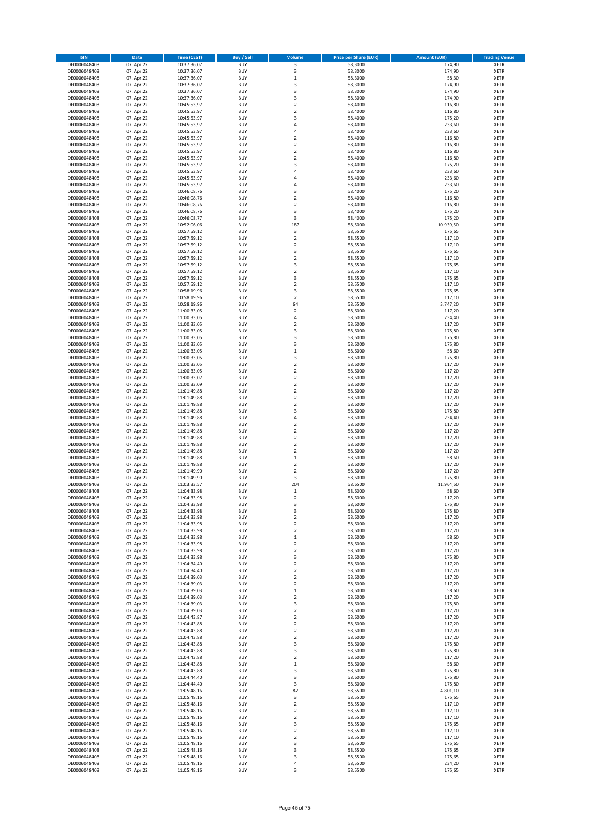| <b>ISIN</b>                  | Date                     | <b>Time (CEST)</b>         | <b>Buy / Sell</b>        | Volume                               | <b>Price per Share (EUR)</b> | <b>Amount (EUR)</b> | <b>Trading Venue</b>       |
|------------------------------|--------------------------|----------------------------|--------------------------|--------------------------------------|------------------------------|---------------------|----------------------------|
| DE0006048408                 | 07. Apr 22               | 10:37:36,07                | <b>BUY</b>               | 3                                    | 58,3000                      | 174,90              | <b>XETR</b>                |
| DE0006048408                 | 07. Apr 22               | 10:37:36,07                | <b>BUY</b>               | 3                                    | 58,3000                      | 174,90              | XETR                       |
| DE0006048408                 | 07. Apr 22               | 10:37:36,07                | <b>BUY</b>               | $\,1\,$                              | 58,3000                      | 58,30               | XETR                       |
| DE0006048408                 | 07. Apr 22               | 10:37:36,07                | <b>BUY</b>               | 3                                    | 58,3000                      | 174,90              | <b>XETR</b>                |
| DE0006048408<br>DE0006048408 | 07. Apr 22<br>07. Apr 22 | 10:37:36,07<br>10:37:36,07 | <b>BUY</b><br><b>BUY</b> | 3<br>3                               | 58,3000<br>58,3000           | 174,90<br>174,90    | <b>XETR</b><br><b>XETR</b> |
| DE0006048408                 | 07. Apr 22               | 10:45:53,97                | <b>BUY</b>               | $\mathbf 2$                          | 58,4000                      | 116,80              | <b>XETR</b>                |
| DE0006048408                 | 07. Apr 22               | 10:45:53,97                | <b>BUY</b>               | $\overline{2}$                       | 58,4000                      | 116,80              | <b>XETR</b>                |
| DE0006048408                 | 07. Apr 22               | 10:45:53,97                | <b>BUY</b>               | 3                                    | 58,4000                      | 175,20              | <b>XETR</b>                |
| DE0006048408                 | 07. Apr 22               | 10:45:53,97                | <b>BUY</b>               | $\overline{4}$                       | 58,4000                      | 233,60              | <b>XETR</b>                |
| DE0006048408<br>DE0006048408 | 07. Apr 22<br>07. Apr 22 | 10:45:53,97                | <b>BUY</b><br><b>BUY</b> | $\sqrt{4}$<br>$\overline{2}$         | 58,4000<br>58,4000           | 233,60<br>116,80    | <b>XETR</b><br><b>XETR</b> |
| DE0006048408                 | 07. Apr 22               | 10:45:53,97<br>10:45:53,97 | <b>BUY</b>               | $\boldsymbol{2}$                     | 58,4000                      | 116,80              | XETR                       |
| DE0006048408                 | 07. Apr 22               | 10:45:53,97                | <b>BUY</b>               | $\overline{2}$                       | 58,4000                      | 116,80              | <b>XETR</b>                |
| DE0006048408                 | 07. Apr 22               | 10:45:53,97                | <b>BUY</b>               | $\boldsymbol{2}$                     | 58,4000                      | 116,80              | <b>XETR</b>                |
| DE0006048408                 | 07. Apr 22               | 10:45:53,97                | <b>BUY</b>               | 3                                    | 58,4000                      | 175,20              | <b>XETR</b>                |
| DE0006048408                 | 07. Apr 22               | 10:45:53,97                | <b>BUY</b>               | $\sqrt{4}$                           | 58,4000                      | 233,60              | <b>XETR</b>                |
| DE0006048408<br>DE0006048408 | 07. Apr 22<br>07. Apr 22 | 10:45:53,97<br>10:45:53,97 | <b>BUY</b><br><b>BUY</b> | 4<br>$\overline{4}$                  | 58,4000<br>58,4000           | 233,60<br>233,60    | <b>XETR</b><br><b>XETR</b> |
| DE0006048408                 | 07. Apr 22               | 10:46:08,76                | <b>BUY</b>               | 3                                    | 58,4000                      | 175,20              | <b>XETR</b>                |
| DE0006048408                 | 07. Apr 22               | 10:46:08,76                | <b>BUY</b>               | $\overline{2}$                       | 58,4000                      | 116,80              | <b>XETR</b>                |
| DE0006048408                 | 07. Apr 22               | 10:46:08,76                | <b>BUY</b>               | $\overline{2}$                       | 58,4000                      | 116,80              | <b>XETR</b>                |
| DE0006048408                 | 07. Apr 22               | 10:46:08,76                | <b>BUY</b>               | 3                                    | 58,4000                      | 175,20              | <b>XETR</b>                |
| DE0006048408                 | 07. Apr 22               | 10:46:08,77                | <b>BUY</b>               | 3                                    | 58,4000                      | 175,20              | <b>XETR</b>                |
| DE0006048408                 | 07. Apr 22<br>07. Apr 22 | 10:52:06,06                | <b>BUY</b><br><b>BUY</b> | 187<br>3                             | 58,5000                      | 10.939,50<br>175,65 | <b>XETR</b><br><b>XETR</b> |
| DE0006048408<br>DE0006048408 | 07. Apr 22               | 10:57:59,12<br>10:57:59,12 | <b>BUY</b>               | $\overline{2}$                       | 58,5500<br>58,5500           | 117,10              | <b>XETR</b>                |
| DE0006048408                 | 07. Apr 22               | 10:57:59,12                | <b>BUY</b>               | $\boldsymbol{2}$                     | 58,5500                      | 117,10              | <b>XETR</b>                |
| DE0006048408                 | 07. Apr 22               | 10:57:59,12                | <b>BUY</b>               | 3                                    | 58,5500                      | 175,65              | <b>XETR</b>                |
| DE0006048408                 | 07. Apr 22               | 10:57:59,12                | <b>BUY</b>               | $\boldsymbol{2}$                     | 58,5500                      | 117,10              | XETR                       |
| DE0006048408                 | 07. Apr 22               | 10:57:59,12                | <b>BUY</b>               | 3                                    | 58,5500                      | 175,65              | <b>XETR</b>                |
| DE0006048408<br>DE0006048408 | 07. Apr 22<br>07. Apr 22 | 10:57:59,12<br>10:57:59,12 | <b>BUY</b><br><b>BUY</b> | $\boldsymbol{2}$<br>3                | 58,5500<br>58,5500           | 117,10<br>175,65    | XETR<br><b>XETR</b>        |
| DE0006048408                 | 07. Apr 22               | 10:57:59,12                | <b>BUY</b>               | $\boldsymbol{2}$                     | 58,5500                      | 117,10              | XETR                       |
| DE0006048408                 | 07. Apr 22               | 10:58:19,96                | <b>BUY</b>               | 3                                    | 58,5500                      | 175,65              | <b>XETR</b>                |
| DE0006048408                 | 07. Apr 22               | 10:58:19,96                | <b>BUY</b>               | $\boldsymbol{2}$                     | 58,5500                      | 117,10              | XETR                       |
| DE0006048408                 | 07. Apr 22               | 10:58:19,96                | <b>BUY</b>               | 64                                   | 58,5500                      | 3.747,20            | <b>XETR</b>                |
| DE0006048408                 | 07. Apr 22               | 11:00:33,05                | <b>BUY</b>               | $\boldsymbol{2}$                     | 58,6000                      | 117,20              | XETR                       |
| DE0006048408<br>DE0006048408 | 07. Apr 22<br>07. Apr 22 | 11:00:33,05<br>11:00:33,05 | <b>BUY</b><br><b>BUY</b> | $\sqrt{4}$<br>$\overline{2}$         | 58,6000<br>58,6000           | 234,40<br>117,20    | <b>XETR</b><br><b>XETR</b> |
| DE0006048408                 | 07. Apr 22               | 11:00:33,05                | <b>BUY</b>               | 3                                    | 58,6000                      | 175,80              | <b>XETR</b>                |
| DE0006048408                 | 07. Apr 22               | 11:00:33,05                | <b>BUY</b>               | 3                                    | 58,6000                      | 175,80              | <b>XETR</b>                |
| DE0006048408                 | 07. Apr 22               | 11:00:33,05                | <b>BUY</b>               | 3                                    | 58,6000                      | 175,80              | <b>XETR</b>                |
| DE0006048408                 | 07. Apr 22               | 11:00:33,05                | <b>BUY</b>               | $\,1\,$                              | 58,6000                      | 58,60               | <b>XETR</b>                |
| DE0006048408                 | 07. Apr 22               | 11:00:33,05                | <b>BUY</b>               | 3                                    | 58,6000                      | 175,80              | <b>XETR</b>                |
| DE0006048408<br>DE0006048408 | 07. Apr 22<br>07. Apr 22 | 11:00:33,05<br>11:00:33,05 | <b>BUY</b><br><b>BUY</b> | $\boldsymbol{2}$<br>$\boldsymbol{2}$ | 58,6000<br>58,6000           | 117,20<br>117,20    | <b>XETR</b><br><b>XETR</b> |
| DE0006048408                 | 07. Apr 22               | 11:00:33,07                | <b>BUY</b>               | $\boldsymbol{2}$                     | 58,6000                      | 117,20              | <b>XETR</b>                |
| DE0006048408                 | 07. Apr 22               | 11:00:33,09                | <b>BUY</b>               | $\boldsymbol{2}$                     | 58,6000                      | 117,20              | <b>XETR</b>                |
| DE0006048408                 | 07. Apr 22               | 11:01:49,88                | <b>BUY</b>               | $\boldsymbol{2}$                     | 58,6000                      | 117,20              | <b>XETR</b>                |
| DE0006048408                 | 07. Apr 22               | 11:01:49,88                | <b>BUY</b>               | $\boldsymbol{2}$                     | 58,6000                      | 117,20              | <b>XETR</b>                |
| DE0006048408                 | 07. Apr 22               | 11:01:49,88                | <b>BUY</b>               | $\overline{2}$                       | 58,6000                      | 117,20              | <b>XETR</b>                |
| DE0006048408<br>DE0006048408 | 07. Apr 22<br>07. Apr 22 | 11:01:49,88<br>11:01:49,88 | <b>BUY</b><br><b>BUY</b> | 3<br>$\sqrt{4}$                      | 58,6000<br>58,6000           | 175,80<br>234,40    | <b>XETR</b><br><b>XETR</b> |
| DE0006048408                 | 07. Apr 22               | 11:01:49,88                | <b>BUY</b>               | $\boldsymbol{2}$                     | 58,6000                      | 117,20              | <b>XETR</b>                |
| DE0006048408                 | 07. Apr 22               | 11:01:49,88                | <b>BUY</b>               | $\overline{2}$                       | 58,6000                      | 117,20              | <b>XETR</b>                |
| DE0006048408                 | 07. Apr 22               | 11:01:49,88                | <b>BUY</b>               | $\mathbf 2$                          | 58,6000                      | 117,20              | <b>XETR</b>                |
| DE0006048408                 | 07. Apr 22               | 11:01:49,88                | <b>BUY</b>               | $\overline{2}$                       | 58,6000                      | 117,20              | <b>XETR</b>                |
| DE0006048408<br>DE0006048408 | 07. Apr 22<br>07. Apr 22 | 11:01:49,88<br>11:01:49,88 | <b>BUY</b><br><b>BUY</b> | $\boldsymbol{2}$<br>$\mathbf 1$      | 58,6000<br>58,6000           | 117,20<br>58,60     | XETR<br><b>XETR</b>        |
| DE0006048408                 | 07. Apr 22               | 11:01:49,88                | <b>BUY</b>               | $\boldsymbol{2}$                     | 58,6000                      | 117,20              | XETR                       |
| DE0006048408                 | 07. Apr 22               | 11:01:49,90                | <b>BUY</b>               | $\overline{2}$                       | 58,6000                      | 117,20              | <b>XETR</b>                |
| DE0006048408                 | 07. Apr 22               | 11:01:49,90                | <b>BUY</b>               | 3                                    | 58,6000                      | 175,80              | <b>XETR</b>                |
| DE0006048408                 | 07. Apr 22               | 11:03:33,57                | <b>BUY</b>               | 204                                  | 58,6500                      | 11.964,60           | <b>XETR</b>                |
| DE0006048408                 | 07. Apr 22               | 11:04:33,98                | <b>BUY</b>               | $\mathbf 1$                          | 58,6000                      | 58,60               | <b>XETR</b>                |
| DE0006048408<br>DE0006048408 | 07. Apr 22               | 11:04:33,98<br>11:04:33,98 | <b>BUY</b><br><b>BUY</b> | $\overline{\mathbf{2}}$              | 58,6000<br>58,6000           | 117,20              | <b>XETR</b><br><b>XETR</b> |
| DE0006048408                 | 07. Apr 22<br>07. Apr 22 | 11:04:33,98                | <b>BUY</b>               | 3<br>3                               | 58,6000                      | 175,80<br>175,80    | XETR                       |
| DE0006048408                 | 07. Apr 22               | 11:04:33,98                | <b>BUY</b>               | $\boldsymbol{2}$                     | 58,6000                      | 117,20              | XETR                       |
| DE0006048408                 | 07. Apr 22               | 11:04:33,98                | <b>BUY</b>               | $\mathbf 2$                          | 58,6000                      | 117,20              | <b>XETR</b>                |
| DE0006048408                 | 07. Apr 22               | 11:04:33,98                | <b>BUY</b>               | $\boldsymbol{2}$                     | 58,6000                      | 117,20              | XETR                       |
| DE0006048408                 | 07. Apr 22<br>07. Apr 22 | 11:04:33,98                | <b>BUY</b>               | $\,1\,$                              | 58,6000                      | 58,60               | <b>XETR</b>                |
| DE0006048408<br>DE0006048408 | 07. Apr 22               | 11:04:33,98<br>11:04:33,98 | <b>BUY</b><br><b>BUY</b> | $\boldsymbol{2}$<br>$\mathbf 2$      | 58,6000<br>58,6000           | 117,20<br>117,20    | <b>XETR</b><br><b>XETR</b> |
| DE0006048408                 | 07. Apr 22               | 11:04:33,98                | <b>BUY</b>               | 3                                    | 58,6000                      | 175,80              | <b>XETR</b>                |
| DE0006048408                 | 07. Apr 22               | 11:04:34,40                | <b>BUY</b>               | $\overline{\mathbf{2}}$              | 58,6000                      | 117,20              | <b>XETR</b>                |
| DE0006048408                 | 07. Apr 22               | 11:04:34,40                | <b>BUY</b>               | $\boldsymbol{2}$                     | 58,6000                      | 117,20              | <b>XETR</b>                |
| DE0006048408                 | 07. Apr 22               | 11:04:39,03                | <b>BUY</b>               | $\mathbf 2$                          | 58,6000                      | 117,20              | <b>XETR</b>                |
| DE0006048408<br>DE0006048408 | 07. Apr 22<br>07. Apr 22 | 11:04:39,03<br>11:04:39,03 | <b>BUY</b><br><b>BUY</b> | $\boldsymbol{2}$<br>$\,1\,$          | 58,6000<br>58,6000           | 117,20<br>58,60     | <b>XETR</b><br><b>XETR</b> |
| DE0006048408                 | 07. Apr 22               | 11:04:39,03                | <b>BUY</b>               | $\boldsymbol{2}$                     | 58,6000                      | 117,20              | <b>XETR</b>                |
| DE0006048408                 | 07. Apr 22               | 11:04:39,03                | <b>BUY</b>               | 3                                    | 58,6000                      | 175,80              | <b>XETR</b>                |
| DE0006048408                 | 07. Apr 22               | 11:04:39,03                | <b>BUY</b>               | $\overline{2}$                       | 58,6000                      | 117,20              | <b>XETR</b>                |
| DE0006048408                 | 07. Apr 22               | 11:04:43,87                | <b>BUY</b>               | $\overline{\mathbf{2}}$              | 58,6000                      | 117,20              | <b>XETR</b>                |
| DE0006048408                 | 07. Apr 22               | 11:04:43,88                | <b>BUY</b>               | $\boldsymbol{2}$                     | 58,6000                      | 117,20              | <b>XETR</b>                |
| DE0006048408<br>DE0006048408 | 07. Apr 22<br>07. Apr 22 | 11:04:43,88<br>11:04:43,88 | <b>BUY</b><br><b>BUY</b> | $\boldsymbol{2}$<br>$\mathbf 2$      | 58,6000<br>58,6000           | 117,20<br>117,20    | <b>XETR</b><br><b>XETR</b> |
| DE0006048408                 | 07. Apr 22               | 11:04:43,88                | <b>BUY</b>               | 3                                    | 58,6000                      | 175,80              | XETR                       |
| DE0006048408                 | 07. Apr 22               | 11:04:43,88                | <b>BUY</b>               | 3                                    | 58,6000                      | 175,80              | <b>XETR</b>                |
| DE0006048408                 | 07. Apr 22               | 11:04:43,88                | <b>BUY</b>               | $\boldsymbol{2}$                     | 58,6000                      | 117,20              | <b>XETR</b>                |
| DE0006048408                 | 07. Apr 22               | 11:04:43,88                | <b>BUY</b>               | $\mathbf 1$                          | 58,6000                      | 58,60               | <b>XETR</b>                |
| DE0006048408                 | 07. Apr 22               | 11:04:43,88                | <b>BUY</b>               | 3                                    | 58,6000                      | 175,80              | <b>XETR</b>                |
| DE0006048408<br>DE0006048408 | 07. Apr 22<br>07. Apr 22 | 11:04:44,40<br>11:04:44,40 | <b>BUY</b><br><b>BUY</b> | 3<br>3                               | 58,6000<br>58,6000           | 175,80<br>175,80    | <b>XETR</b><br><b>XETR</b> |
| DE0006048408                 | 07. Apr 22               | 11:05:48,16                | <b>BUY</b>               | 82                                   | 58,5500                      | 4.801,10            | <b>XETR</b>                |
| DE0006048408                 | 07. Apr 22               | 11:05:48,16                | <b>BUY</b>               | 3                                    | 58,5500                      | 175,65              | XETR                       |
| DE0006048408                 | 07. Apr 22               | 11:05:48,16                | <b>BUY</b>               | $\boldsymbol{2}$                     | 58,5500                      | 117,10              | <b>XETR</b>                |
| DE0006048408                 | 07. Apr 22               | 11:05:48,16                | <b>BUY</b>               | $\boldsymbol{2}$                     | 58,5500                      | 117,10              | <b>XETR</b>                |
| DE0006048408                 | 07. Apr 22               | 11:05:48,16                | <b>BUY</b>               | $\boldsymbol{2}$                     | 58,5500                      | 117,10              | <b>XETR</b>                |
| DE0006048408<br>DE0006048408 | 07. Apr 22<br>07. Apr 22 | 11:05:48,16<br>11:05:48,16 | <b>BUY</b><br><b>BUY</b> | 3<br>$\overline{\mathbf{2}}$         | 58,5500<br>58,5500           | 175,65<br>117,10    | <b>XETR</b><br><b>XETR</b> |
| DE0006048408                 | 07. Apr 22               | 11:05:48,16                | <b>BUY</b>               | $\boldsymbol{2}$                     | 58,5500                      | 117,10              | XETR                       |
| DE0006048408                 | 07. Apr 22               | 11:05:48,16                | <b>BUY</b>               | 3                                    | 58,5500                      | 175,65              | <b>XETR</b>                |
| DE0006048408                 | 07. Apr 22               | 11:05:48,16                | <b>BUY</b>               | 3                                    | 58,5500                      | 175,65              | XETR                       |
| DE0006048408                 | 07. Apr 22               | 11:05:48,16                | <b>BUY</b>               | 3                                    | 58,5500                      | 175,65              | <b>XETR</b>                |
| DE0006048408                 | 07. Apr 22               | 11:05:48,16                | <b>BUY</b>               | $\sqrt{4}$                           | 58,5500                      | 234,20              | XETR                       |
| DE0006048408                 | 07. Apr 22               | 11:05:48,16                | <b>BUY</b>               | 3                                    | 58,5500                      | 175,65              | <b>XETR</b>                |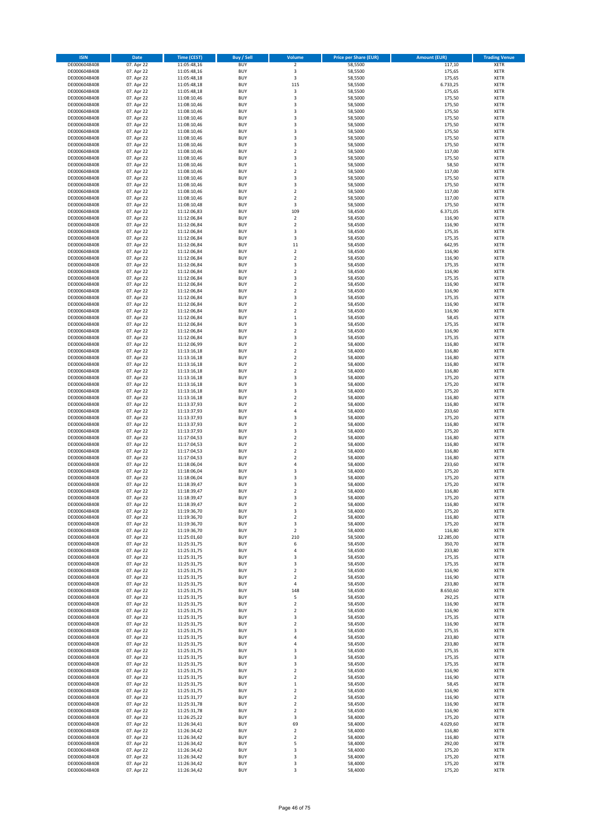| <b>ISIN</b>                  | Date                     | Time (CEST)                | <b>Buy / Sell</b>        | Volume                                             | <b>Price per Share (EUR)</b> | <b>Amount (EUR)</b> | <b>Trading Venue</b> |
|------------------------------|--------------------------|----------------------------|--------------------------|----------------------------------------------------|------------------------------|---------------------|----------------------|
| DE0006048408                 | 07. Apr 22               | 11:05:48,16                | <b>BUY</b>               | $\mathbf 2$                                        | 58,5500                      | 117,10              | <b>XETR</b>          |
| DE0006048408                 | 07. Apr 22               | 11:05:48,16                | <b>BUY</b>               | 3                                                  | 58,5500                      | 175,65              | <b>XETR</b>          |
| DE0006048408                 | 07. Apr 22               | 11:05:48,18                | <b>BUY</b>               | 3                                                  | 58,5500                      | 175,65              | XETR                 |
| DE0006048408                 | 07. Apr 22               | 11:05:48,18                | <b>BUY</b>               | 115                                                | 58,5500                      | 6.733,25            | <b>XETR</b>          |
| DE0006048408                 | 07. Apr 22               | 11:05:48,18                | <b>BUY</b>               | $\mathsf 3$                                        | 58,5500                      | 175,65              | <b>XETR</b>          |
| DE0006048408                 | 07. Apr 22               | 11:08:10,46                | <b>BUY</b>               | 3                                                  | 58,5000                      | 175,50              | <b>XETR</b>          |
| DE0006048408                 | 07. Apr 22               | 11:08:10,46                | <b>BUY</b>               | 3                                                  | 58,5000                      | 175,50              | <b>XETR</b>          |
| DE0006048408                 | 07. Apr 22               | 11:08:10,46                | <b>BUY</b>               | 3                                                  | 58,5000                      | 175,50              | <b>XETR</b>          |
| DE0006048408                 | 07. Apr 22               | 11:08:10,46                | <b>BUY</b>               | 3                                                  | 58,5000                      | 175,50              | <b>XETR</b>          |
| DE0006048408                 | 07. Apr 22               | 11:08:10,46                | <b>BUY</b>               | 3                                                  | 58,5000                      | 175,50              | <b>XETR</b>          |
| DE0006048408                 | 07. Apr 22               | 11:08:10,46                | <b>BUY</b>               | 3                                                  | 58,5000                      | 175,50              | <b>XETR</b>          |
| DE0006048408                 | 07. Apr 22               | 11:08:10,46                | <b>BUY</b>               | 3                                                  | 58,5000                      | 175,50              | <b>XETR</b>          |
| DE0006048408                 | 07. Apr 22               | 11:08:10,46                | <b>BUY</b>               | 3                                                  | 58,5000                      | 175,50              | XETR                 |
| DE0006048408                 | 07. Apr 22               | 11:08:10,46                | <b>BUY</b>               | $\overline{2}$                                     | 58,5000                      | 117,00              | <b>XETR</b>          |
| DE0006048408                 | 07. Apr 22               | 11:08:10,46                | <b>BUY</b>               | 3                                                  | 58,5000                      | 175,50              | <b>XETR</b>          |
| DE0006048408                 | 07. Apr 22               | 11:08:10,46                | <b>BUY</b>               | $\,1\,$                                            | 58,5000                      | 58,50               | <b>XETR</b>          |
| DE0006048408                 | 07. Apr 22               | 11:08:10,46                | <b>BUY</b>               | $\boldsymbol{2}$                                   | 58,5000                      | 117,00              | <b>XETR</b>          |
| DE0006048408                 | 07. Apr 22               | 11:08:10,46                | <b>BUY</b>               | 3                                                  | 58,5000                      | 175,50              | <b>XETR</b>          |
| DE0006048408                 | 07. Apr 22               | 11:08:10,46                | <b>BUY</b>               | 3                                                  | 58,5000                      | 175,50              | <b>XETR</b>          |
| DE0006048408                 | 07. Apr 22               | 11:08:10,46                | <b>BUY</b>               | $\mathbf 2$                                        | 58,5000                      | 117,00              | <b>XETR</b>          |
| DE0006048408                 | 07. Apr 22               | 11:08:10,46                | <b>BUY</b>               | $\overline{\mathbf{c}}$                            | 58,5000                      | 117,00              | <b>XETR</b>          |
| DE0006048408                 | 07. Apr 22               | 11:08:10,48                | <b>BUY</b>               | 3                                                  | 58,5000                      | 175,50              | <b>XETR</b>          |
| DE0006048408                 | 07. Apr 22               | 11:12:06,83                | <b>BUY</b>               | 109                                                | 58,4500                      | 6.371,05            | <b>XETR</b>          |
| DE0006048408                 | 07. Apr 22               | 11:12:06,84                | <b>BUY</b>               | $\mathbf 2$                                        | 58,4500                      | 116,90              | <b>XETR</b>          |
| DE0006048408                 | 07. Apr 22               | 11:12:06,84                | <b>BUY</b>               | $\overline{\mathbf{c}}$                            | 58,4500                      | 116,90              | <b>XETR</b>          |
| DE0006048408                 | 07. Apr 22               | 11:12:06,84                | <b>BUY</b>               | 3                                                  | 58,4500                      | 175,35              | <b>XETR</b>          |
| DE0006048408                 | 07. Apr 22               | 11:12:06,84                | <b>BUY</b>               | 3                                                  | 58,4500                      | 175,35              | <b>XETR</b>          |
| DE0006048408                 | 07. Apr 22               | 11:12:06,84                | <b>BUY</b>               | $11\,$                                             | 58,4500                      | 642,95              | <b>XETR</b>          |
| DE0006048408                 | 07. Apr 22               | 11:12:06,84                | <b>BUY</b>               | $\overline{\mathbf{c}}$                            | 58,4500                      | 116,90              | <b>XETR</b>          |
| DE0006048408                 | 07. Apr 22               | 11:12:06,84                | <b>BUY</b>               | $\boldsymbol{2}$                                   | 58,4500                      | 116,90              | XETR                 |
| DE0006048408                 | 07. Apr 22               | 11:12:06,84                | <b>BUY</b>               | 3                                                  | 58,4500                      | 175,35              | <b>XETR</b>          |
| DE0006048408                 | 07. Apr 22               | 11:12:06,84                | <b>BUY</b>               | $\mathbf 2$                                        | 58,4500                      | 116,90              | <b>XETR</b>          |
| DE0006048408                 | 07. Apr 22               | 11:12:06,84                | <b>BUY</b>               | 3                                                  | 58,4500                      | 175,35              | <b>XETR</b>          |
| DE0006048408                 | 07. Apr 22               | 11:12:06,84                | <b>BUY</b>               | $\boldsymbol{2}$                                   | 58,4500                      | 116,90              | XETR                 |
| DE0006048408                 | 07. Apr 22               | 11:12:06,84                | <b>BUY</b>               | $\overline{\mathbf{c}}$                            | 58,4500                      | 116,90              | <b>XETR</b>          |
| DE0006048408                 | 07. Apr 22               | 11:12:06,84                | <b>BUY</b>               | $\overline{\mathbf{3}}$                            | 58,4500                      | 175,35              | XETR                 |
| DE0006048408                 | 07. Apr 22               | 11:12:06,84                | <b>BUY</b>               | $\overline{\mathbf{c}}$                            | 58,4500                      | 116,90              | <b>XETR</b>          |
| DE0006048408                 | 07. Apr 22               | 11:12:06,84                | <b>BUY</b>               | $\boldsymbol{2}$                                   | 58,4500                      | 116,90              | <b>XETR</b>          |
| DE0006048408                 | 07. Apr 22               | 11:12:06,84                | <b>BUY</b>               | $\,1\,$                                            | 58,4500                      | 58,45               | <b>XETR</b>          |
| DE0006048408                 | 07. Apr 22               | 11:12:06,84                | <b>BUY</b>               | $\overline{\mathbf{3}}$                            | 58,4500                      | 175,35              | <b>XETR</b>          |
| DE0006048408                 | 07. Apr 22               | 11:12:06,84                | <b>BUY</b>               | $\overline{\mathbf{c}}$                            | 58,4500                      | 116,90              | <b>XETR</b>          |
| DE0006048408                 | 07. Apr 22               | 11:12:06,84                | <b>BUY</b>               | 3                                                  | 58,4500                      | 175,35              | <b>XETR</b>          |
| DE0006048408                 | 07. Apr 22               | 11:12:06,99                | <b>BUY</b>               | $\overline{\mathbf{c}}$                            | 58,4000                      | 116,80              | <b>XETR</b>          |
| DE0006048408                 | 07. Apr 22               | 11:13:16,18                | <b>BUY</b>               | $\overline{\mathbf{c}}$                            | 58,4000                      | 116,80              | <b>XETR</b>          |
| DE0006048408                 | 07. Apr 22               | 11:13:16,18                | <b>BUY</b>               | $\mathbf 2$                                        | 58,4000                      | 116,80              | <b>XETR</b>          |
| DE0006048408                 | 07. Apr 22               | 11:13:16,18                | <b>BUY</b>               | $\boldsymbol{2}$                                   | 58,4000                      | 116,80              | <b>XETR</b>          |
| DE0006048408                 | 07. Apr 22               | 11:13:16,18                | <b>BUY</b>               | $\boldsymbol{2}$                                   | 58,4000                      | 116,80              | <b>XETR</b>          |
| DE0006048408                 | 07. Apr 22               | 11:13:16,18                | <b>BUY</b>               | 3                                                  | 58,4000                      | 175,20              | <b>XETR</b>          |
| DE0006048408                 | 07. Apr 22               | 11:13:16,18                | <b>BUY</b>               | 3                                                  | 58,4000                      | 175,20              | <b>XETR</b>          |
| DE0006048408                 | 07. Apr 22               | 11:13:16,18                | <b>BUY</b>               | 3                                                  | 58,4000                      | 175,20              | <b>XETR</b>          |
| DE0006048408                 | 07. Apr 22               | 11:13:16,18                | <b>BUY</b>               | $\boldsymbol{2}$                                   | 58,4000                      | 116,80              | <b>XETR</b>          |
| DE0006048408                 | 07. Apr 22               | 11:13:37,93                | <b>BUY</b>               | $\overline{\mathbf{c}}$                            | 58,4000                      | 116,80              | <b>XETR</b>          |
| DE0006048408                 | 07. Apr 22               | 11:13:37,93                | <b>BUY</b>               | $\sqrt{4}$                                         | 58,4000                      | 233,60              | <b>XETR</b>          |
| DE0006048408                 | 07. Apr 22               | 11:13:37,93                | <b>BUY</b>               | 3                                                  | 58,4000                      | 175,20              | <b>XETR</b>          |
| DE0006048408                 | 07. Apr 22               | 11:13:37,93                | <b>BUY</b>               | $\mathbf 2$                                        | 58,4000                      | 116,80              | <b>XETR</b>          |
| DE0006048408                 | 07. Apr 22               | 11:13:37,93                | <b>BUY</b>               | 3                                                  | 58,4000                      | 175,20              | <b>XETR</b>          |
| DE0006048408                 | 07. Apr 22               | 11:17:04,53                | <b>BUY</b>               | $\mathbf 2$                                        | 58,4000                      | 116,80              | <b>XETR</b>          |
| DE0006048408                 | 07. Apr 22               | 11:17:04,53                | <b>BUY</b>               | $\overline{2}$                                     | 58,4000                      | 116,80              | <b>XETR</b>          |
| DE0006048408                 | 07. Apr 22               | 11:17:04,53                | <b>BUY</b>               | $\overline{2}$                                     | 58,4000                      | 116,80              | XETR                 |
| DE0006048408                 | 07. Apr 22               | 11:17:04,53                | <b>BUY</b>               | $\overline{2}$                                     | 58,4000                      | 116,80              | <b>XETR</b>          |
| DE0006048408                 | 07. Apr 22               | 11:18:06,04                | <b>BUY</b>               | $\sqrt{4}$                                         | 58,4000                      | 233,60              | <b>XETR</b>          |
| DE0006048408                 | 07. Apr 22               | 11:18:06,04                | <b>BUY</b>               | 3                                                  | 58,4000                      | 175,20              | <b>XETR</b>          |
| DE0006048408                 | 07. Apr 22               | 11:18:06,04                | <b>BUY</b>               | 3                                                  | 58,4000                      | 175,20              | <b>XETR</b>          |
| DE0006048408                 | 07. Apr 22               | 11:18:39,47                | <b>BUY</b>               | 3                                                  | 58,4000                      | 175,20              | <b>XETR</b>          |
| DE0006048408                 | 07. Apr 22               | 11:18:39,47                | <b>BUY</b>               | $\overline{2}$                                     | 58,4000                      | 116,80              | <b>XETR</b>          |
| DE0006048408                 | 07. Apr 22               | 11:18:39,47                | <b>BUY</b>               | 3                                                  | 58,4000                      | 175,20              | <b>XETR</b>          |
| DE0006048408                 | 07. Apr 22               | 11:18:39,47                | <b>BUY</b>               | $\boldsymbol{2}$                                   | 58,4000                      | 116,80              | <b>XETR</b>          |
| DE0006048408                 | 07. Apr 22               | 11:19:36,70                | <b>BUY</b>               | 3                                                  | 58,4000                      | 175,20              | XETR                 |
| DE0006048408                 | 07. Apr 22               | 11:19:36,70                | <b>BUY</b>               | $\boldsymbol{2}$                                   | 58,4000                      | 116,80              | XETR                 |
| DE0006048408                 | 07. Apr 22               | 11:19:36,70                | <b>BUY</b>               | 3                                                  | 58,4000                      | 175,20              | <b>XETR</b>          |
| DE0006048408                 | 07. Apr 22               | 11:19:36,70                | <b>BUY</b>               | $\mathbf 2$                                        | 58,4000                      | 116,80              | XETR                 |
| DE0006048408                 | 07. Apr 22               | 11:25:01,60                | <b>BUY</b>               | 210                                                | 58,5000                      | 12.285,00           | <b>XETR</b>          |
| DE0006048408                 | 07. Apr 22               | 11:25:31,75                | <b>BUY</b>               | 6                                                  | 58,4500                      | 350,70              | <b>XETR</b>          |
| DE0006048408                 | 07. Apr 22               | 11:25:31,75                | <b>BUY</b>               | 4                                                  | 58,4500                      | 233,80              | <b>XETR</b>          |
| DE0006048408                 | 07. Apr 22               | 11:25:31,75                | <b>BUY</b>               | 3                                                  | 58,4500                      | 175,35              | <b>XETR</b>          |
| DE0006048408                 | 07. Apr 22               | 11:25:31,75                | <b>BUY</b>               | 3                                                  | 58,4500                      | 175,35              | <b>XETR</b>          |
| DE0006048408                 | 07. Apr 22               | 11:25:31,75                | <b>BUY</b>               | $\overline{2}$                                     | 58,4500                      | 116,90              | <b>XETR</b>          |
| DE0006048408                 | 07. Apr 22               | 11:25:31,75                | <b>BUY</b>               | $\mathbf 2$                                        | 58,4500                      | 116,90              | <b>XETR</b>          |
| DE0006048408                 | 07. Apr 22               | 11:25:31,75                | <b>BUY</b>               | 4                                                  | 58,4500                      | 233,80              | <b>XETR</b>          |
| DE0006048408                 | 07. Apr 22               | 11:25:31,75                | <b>BUY</b>               | 148                                                | 58,4500                      | 8.650,60            | <b>XETR</b>          |
| DE0006048408                 | 07. Apr 22               | 11:25:31,75                | <b>BUY</b>               | 5                                                  | 58,4500                      | 292,25              | <b>XETR</b>          |
| DE0006048408                 | 07. Apr 22               | 11:25:31,75                | <b>BUY</b>               | $\boldsymbol{2}$                                   | 58,4500                      | 116,90              | <b>XETR</b>          |
| DE0006048408<br>DE0006048408 | 07. Apr 22               | 11:25:31,75                | <b>BUY</b>               | $\overline{\mathbf{2}}$                            | 58,4500                      | 116,90              | <b>XETR</b>          |
|                              | 07. Apr 22               | 11:25:31,75                | <b>BUY</b>               | 3                                                  | 58,4500                      | 175,35              | <b>XETR</b>          |
| DE0006048408                 | 07. Apr 22               | 11:25:31,75                | <b>BUY</b>               | $\overline{2}$                                     | 58,4500                      | 116,90              | <b>XETR</b>          |
| DE0006048408                 | 07. Apr 22               | 11:25:31,75                | <b>BUY</b>               | 3                                                  | 58,4500                      | 175,35              | <b>XETR</b>          |
| DE0006048408                 | 07. Apr 22               | 11:25:31,75                | <b>BUY</b><br><b>BUY</b> | 4                                                  | 58,4500<br>58,4500           | 233,80<br>233,80    | <b>XETR</b><br>XETR  |
| DE0006048408<br>DE0006048408 | 07. Apr 22<br>07. Apr 22 | 11:25:31,75<br>11:25:31,75 | <b>BUY</b>               | 4<br>3                                             | 58,4500                      | 175,35              | <b>XETR</b>          |
| DE0006048408                 | 07. Apr 22               |                            | <b>BUY</b>               | 3                                                  | 58,4500                      | 175,35              | <b>XETR</b>          |
| DE0006048408                 | 07. Apr 22               | 11:25:31,75<br>11:25:31,75 | <b>BUY</b>               | 3                                                  | 58,4500                      | 175,35              | <b>XETR</b>          |
| DE0006048408                 | 07. Apr 22               | 11:25:31,75                | <b>BUY</b>               | $\overline{\mathbf{2}}$                            | 58,4500                      | 116,90              | <b>XETR</b>          |
| DE0006048408                 | 07. Apr 22               | 11:25:31,75                | <b>BUY</b>               | $\overline{2}$                                     | 58,4500                      | 116,90              | <b>XETR</b>          |
| DE0006048408                 | 07. Apr 22               | 11:25:31,75                | <b>BUY</b>               | $\,$ 1                                             | 58,4500                      |                     | <b>XETR</b>          |
| DE0006048408                 | 07. Apr 22               | 11:25:31,75                | <b>BUY</b>               | $\overline{2}$                                     | 58,4500                      | 58,45<br>116,90     | <b>XETR</b>          |
| DE0006048408                 |                          |                            | <b>BUY</b>               |                                                    | 58,4500                      |                     | XETR                 |
| DE0006048408                 | 07. Apr 22<br>07. Apr 22 | 11:25:31,77<br>11:25:31,78 | <b>BUY</b>               | $\overline{\mathbf{2}}$<br>$\overline{\mathbf{2}}$ | 58,4500                      | 116,90<br>116,90    | <b>XETR</b>          |
| DE0006048408                 | 07. Apr 22               | 11:25:31,78                | <b>BUY</b>               | $\boldsymbol{2}$                                   | 58,4500                      | 116,90              | <b>XETR</b>          |
| DE0006048408                 | 07. Apr 22               | 11:26:25,22                | <b>BUY</b>               | 3                                                  | 58,4000                      | 175,20              | <b>XETR</b>          |
| DE0006048408                 | 07. Apr 22               | 11:26:34,41                | <b>BUY</b>               | 69                                                 | 58,4000                      | 4.029,60            | <b>XETR</b>          |
| DE0006048408                 | 07. Apr 22               | 11:26:34,42                | <b>BUY</b>               | $\overline{\mathbf{2}}$                            | 58,4000                      | 116,80              | <b>XETR</b>          |
| DE0006048408                 | 07. Apr 22               | 11:26:34,42                | <b>BUY</b>               | $\boldsymbol{2}$                                   | 58,4000                      | 116,80              | <b>XETR</b>          |
| DE0006048408                 | 07. Apr 22               | 11:26:34,42                | <b>BUY</b>               | 5                                                  | 58,4000                      | 292,00              | <b>XETR</b>          |
| DE0006048408                 | 07. Apr 22               | 11:26:34,42                | <b>BUY</b>               | 3                                                  | 58,4000                      | 175,20              | XETR                 |
| DE0006048408                 | 07. Apr 22               | 11:26:34,42                | <b>BUY</b>               | 3                                                  | 58,4000                      | 175,20              | <b>XETR</b>          |
| DE0006048408                 | 07. Apr 22               | 11:26:34,42                | <b>BUY</b>               | 3                                                  | 58,4000                      | 175,20              | <b>XETR</b>          |
| DE0006048408                 | 07. Apr 22               | 11:26:34,42                | <b>BUY</b>               | 3                                                  | 58,4000                      | 175,20              | <b>XETR</b>          |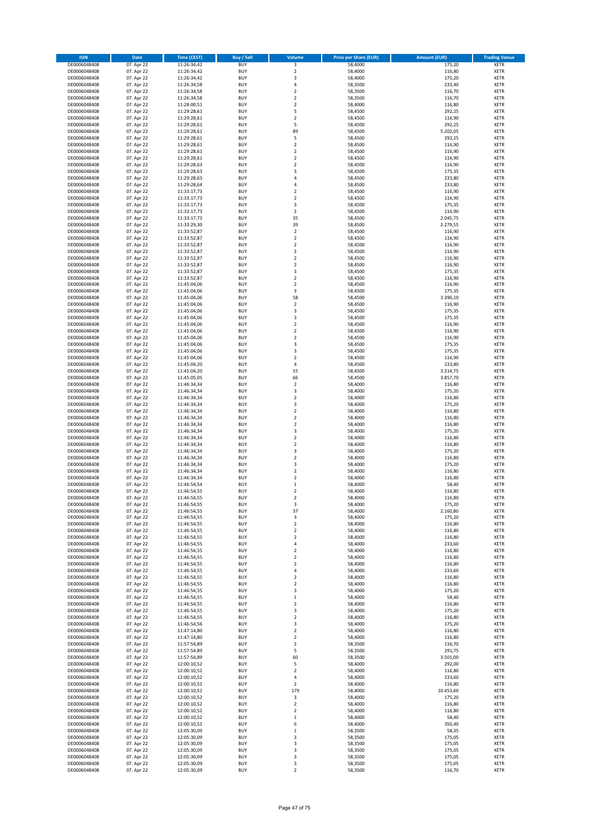| <b>ISIN</b>                  | Date                     | Time (CEST)                | <b>Buy / Sell</b> | Volume                  | <b>Price per Share (EUR)</b> | <b>Amount (EUR)</b> | <b>Trading Venue</b>       |
|------------------------------|--------------------------|----------------------------|-------------------|-------------------------|------------------------------|---------------------|----------------------------|
| DE0006048408                 | 07. Apr 22               | 11:26:34,42                | <b>BUY</b>        | 3                       | 58,4000                      | 175,20              | <b>XETR</b>                |
| DE0006048408                 | 07. Apr 22               | 11:26:34,42                | <b>BUY</b>        | $\overline{2}$          | 58,4000                      | 116,80              | XETR                       |
| DE0006048408                 | 07. Apr 22               | 11:26:34,42                | <b>BUY</b>        | 3                       | 58,4000                      | 175,20              | XETR                       |
| DE0006048408                 | 07. Apr 22               | 11:26:34,58                | <b>BUY</b>        | $\sqrt{4}$              | 58,3500                      | 233,40              | <b>XETR</b>                |
| DE0006048408                 | 07. Apr 22               | 11:26:34,58                | <b>BUY</b>        | $\boldsymbol{2}$        | 58,3500                      | 116,70              | <b>XETR</b>                |
| DE0006048408                 | 07. Apr 22               | 11:26:34,58                | <b>BUY</b>        | $\overline{2}$          | 58,3500                      | 116,70              | <b>XETR</b>                |
| DE0006048408                 | 07. Apr 22               | 11:28:00,51                | <b>BUY</b>        | $\mathbf 2$             | 58,4000                      | 116,80              | <b>XETR</b>                |
| DE0006048408                 | 07. Apr 22               | 11:29:28,61                | <b>BUY</b>        | 5                       | 58,4500                      | 292,25              | <b>XETR</b>                |
| DE0006048408                 | 07. Apr 22               | 11:29:28,61                | <b>BUY</b>        | $\boldsymbol{2}$        | 58,4500                      | 116,90              | <b>XETR</b>                |
| DE0006048408                 | 07. Apr 22               | 11:29:28,61                | <b>BUY</b>        | 5                       | 58,4500                      | 292,25              | <b>XETR</b>                |
| DE0006048408                 | 07. Apr 22               | 11:29:28,61                | <b>BUY</b>        | 89                      | 58,4500                      | 5.202,05            | <b>XETR</b>                |
| DE0006048408                 | 07. Apr 22               | 11:29:28,61                | <b>BUY</b>        | 5                       | 58,4500                      | 292,25              | <b>XETR</b>                |
| DE0006048408                 | 07. Apr 22               | 11:29:28,61                | <b>BUY</b>        | $\boldsymbol{2}$        | 58,4500                      | 116,90              | XETR                       |
| DE0006048408                 | 07. Apr 22               | 11:29:28,61                | <b>BUY</b>        | $\overline{2}$          | 58,4500                      | 116,90              | <b>XETR</b>                |
| DE0006048408                 | 07. Apr 22               | 11:29:28,61                | <b>BUY</b>        | $\boldsymbol{2}$        | 58,4500                      | 116,90              | <b>XETR</b>                |
| DE0006048408                 | 07. Apr 22               | 11:29:28,63                | <b>BUY</b>        | $\boldsymbol{2}$        | 58,4500                      | 116,90              | <b>XETR</b>                |
| DE0006048408                 | 07. Apr 22               | 11:29:28,63                | <b>BUY</b>        | 3                       | 58,4500                      | 175,35              | <b>XETR</b>                |
| DE0006048408                 | 07. Apr 22               | 11:29:28,63                | <b>BUY</b>        | 4                       | 58,4500                      | 233,80              | <b>XETR</b>                |
| DE0006048408                 | 07. Apr 22               | 11:29:28,64                | <b>BUY</b>        | $\overline{4}$          | 58,4500                      | 233,80              | <b>XETR</b>                |
| DE0006048408                 | 07. Apr 22               | 11:33:17,73                | <b>BUY</b>        | $\overline{2}$          | 58,4500                      | 116,90              | <b>XETR</b>                |
| DE0006048408                 | 07. Apr 22               | 11:33:17,73                | <b>BUY</b>        | $\overline{2}$          | 58,4500                      | 116,90              | <b>XETR</b>                |
| DE0006048408                 | 07. Apr 22               | 11:33:17,73                | <b>BUY</b>        | 3                       | 58,4500                      | 175,35              | <b>XETR</b>                |
| DE0006048408                 | 07. Apr 22               | 11:33:17,73                | <b>BUY</b>        | $\mathbf 2$             | 58,4500                      | 116,90              | <b>XETR</b>                |
| DE0006048408                 | 07. Apr 22               | 11:33:17,73                | <b>BUY</b>        | 35                      | 58,4500                      | 2.045,75            | <b>XETR</b>                |
| DE0006048408                 | 07. Apr 22               | 11:33:29,30                | <b>BUY</b>        | 39                      | 58,4500                      | 2.279,55            | <b>XETR</b>                |
| DE0006048408                 | 07. Apr 22               | 11:33:52,87                | <b>BUY</b>        | $\boldsymbol{2}$        | 58,4500                      | 116,90              | <b>XETR</b>                |
| DE0006048408                 | 07. Apr 22               | 11:33:52,87                | <b>BUY</b>        | $\overline{2}$          | 58,4500                      | 116,90              | <b>XETR</b>                |
| DE0006048408                 | 07. Apr 22               | 11:33:52,87                | <b>BUY</b>        | $\overline{2}$          | 58,4500                      | 116,90              | <b>XETR</b>                |
| DE0006048408                 | 07. Apr 22               | 11:33:52,87                | <b>BUY</b>        | $\overline{2}$          | 58,4500                      | 116,90              | <b>XETR</b>                |
| DE0006048408                 | 07. Apr 22               | 11:33:52,87                | <b>BUY</b>        | $\boldsymbol{2}$        | 58,4500                      | 116,90              | XETR                       |
| DE0006048408                 | 07. Apr 22               | 11:33:52,87                | <b>BUY</b>        | $\overline{\mathbf{c}}$ | 58,4500                      | 116,90              | <b>XETR</b>                |
| DE0006048408                 | 07. Apr 22               | 11:33:52,87                | <b>BUY</b>        | 3                       | 58,4500                      | 175,35              | XETR                       |
| DE0006048408                 | 07. Apr 22               | 11:33:52,87                | <b>BUY</b>        | $\overline{\mathbf{c}}$ | 58,4500                      | 116,90              | <b>XETR</b>                |
| DE0006048408                 | 07. Apr 22               | 11:45:04,06                | <b>BUY</b>        | $\boldsymbol{2}$        | 58,4500                      | 116,90              | XETR                       |
| DE0006048408                 | 07. Apr 22               | 11:45:04,06                | <b>BUY</b>        | 3                       | 58,4500                      | 175,35              | <b>XETR</b>                |
| DE0006048408                 | 07. Apr 22               | 11:45:04,06                | <b>BUY</b>        | 58                      | 58,4500                      | 3.390,10            | XETR                       |
| DE0006048408                 | 07. Apr 22               | 11:45:04,06                | <b>BUY</b>        | $\overline{2}$          | 58,4500                      | 116,90              | <b>XETR</b>                |
| DE0006048408                 | 07. Apr 22               | 11:45:04,06                | <b>BUY</b>        | 3                       | 58,4500                      | 175,35              | XETR                       |
| DE0006048408                 | 07. Apr 22               | 11:45:04,06                | <b>BUY</b>        | 3                       | 58,4500                      | 175,35              | <b>XETR</b>                |
| DE0006048408                 | 07. Apr 22               | 11:45:04,06                | <b>BUY</b>        | $\mathbf 2$             | 58,4500                      | 116,90              | <b>XETR</b>                |
| DE0006048408                 | 07. Apr 22               | 11:45:04,06                | <b>BUY</b>        | $\overline{\mathbf{c}}$ | 58,4500                      | 116,90              | <b>XETR</b>                |
| DE0006048408                 | 07. Apr 22               | 11:45:04,06                | <b>BUY</b>        | $\overline{\mathbf{c}}$ | 58,4500                      | 116,90              | <b>XETR</b>                |
| DE0006048408                 | 07. Apr 22               | 11:45:04,06                | <b>BUY</b>        | 3                       | 58,4500                      | 175,35              | <b>XETR</b>                |
| DE0006048408                 | 07. Apr 22               | 11:45:04,06                | <b>BUY</b>        | 3                       | 58,4500                      | 175,35              | <b>XETR</b>                |
| DE0006048408                 | 07. Apr 22               | 11:45:04,06                | <b>BUY</b>        | $\boldsymbol{2}$        | 58,4500                      | 116,90              | <b>XETR</b>                |
| DE0006048408                 | 07. Apr 22               | 11:45:04,20                | <b>BUY</b>        | 4                       | 58,4500                      | 233,80              | <b>XETR</b>                |
|                              |                          |                            | <b>BUY</b>        |                         |                              |                     | <b>XETR</b>                |
| DE0006048408<br>DE0006048408 | 07. Apr 22<br>07. Apr 22 | 11:45:04,20<br>11:45:05,05 | <b>BUY</b>        | 55<br>66                | 58,4500<br>58,4500           | 3.214,75            | <b>XETR</b>                |
|                              | 07. Apr 22               |                            | <b>BUY</b>        | $\boldsymbol{2}$        |                              | 3.857,70            | <b>XETR</b>                |
| DE0006048408<br>DE0006048408 |                          | 11:46:34,34                | <b>BUY</b>        | 3                       | 58,4000<br>58,4000           | 116,80              | <b>XETR</b>                |
|                              | 07. Apr 22               | 11:46:34,34                | <b>BUY</b>        | $\boldsymbol{2}$        |                              | 175,20              |                            |
| DE0006048408<br>DE0006048408 | 07. Apr 22               | 11:46:34,34                | <b>BUY</b>        | 3                       | 58,4000<br>58,4000           | 116,80              | <b>XETR</b><br><b>XETR</b> |
|                              | 07. Apr 22               | 11:46:34,34                | <b>BUY</b>        | $\mathbf 2$             | 58,4000                      | 175,20<br>116,80    | <b>XETR</b>                |
| DE0006048408<br>DE0006048408 | 07. Apr 22               | 11:46:34,34<br>11:46:34,34 | <b>BUY</b>        | $\boldsymbol{2}$        | 58,4000                      | 116,80              | <b>XETR</b>                |
| DE0006048408                 | 07. Apr 22<br>07. Apr 22 |                            | <b>BUY</b>        | $\mathbf 2$             | 58,4000                      | 116,80              | <b>XETR</b>                |
| DE0006048408                 | 07. Apr 22               | 11:46:34,34<br>11:46:34,34 | <b>BUY</b>        | 3                       | 58,4000                      | 175,20              | <b>XETR</b>                |
| DE0006048408                 | 07. Apr 22               | 11:46:34,34                | <b>BUY</b>        | $\mathbf 2$             | 58,4000                      | 116,80              | <b>XETR</b>                |
| DE0006048408                 | 07. Apr 22               | 11:46:34,34                | <b>BUY</b>        | $\overline{2}$          | 58,4000                      | 116,80              | <b>XETR</b>                |
| DE0006048408                 | 07. Apr 22               | 11:46:34,34                | <b>BUY</b>        | 3                       | 58,4000                      | 175,20              | XETR                       |
| DE0006048408                 | 07. Apr 22               | 11:46:34,34                | <b>BUY</b>        | $\overline{2}$          | 58,4000                      | 116,80              | <b>XETR</b>                |
| DE0006048408                 | 07. Apr 22               | 11:46:34,34                | <b>BUY</b>        | 3                       | 58,4000                      | 175,20              | XETR                       |
| DE0006048408                 | 07. Apr 22               | 11:46:34,34                | <b>BUY</b>        | $\overline{2}$          | 58,4000                      | 116,80              | <b>XETR</b>                |
| DE0006048408                 | 07. Apr 22               | 11:46:34,34                | <b>BUY</b>        | $\overline{\mathbf{2}}$ | 58,4000                      | 116,80              | <b>XETR</b>                |
| DE0006048408                 | 07. Apr 22               | 11:46:54.54                | <b>BUY</b>        | $\mathbf 1$             | 58,4000                      | 58,40               | <b>XETR</b>                |
| DE0006048408                 | 07. Apr 22               | 11:46:54,55                | <b>BUY</b>        | $\overline{2}$          | 58,4000                      | 116,80              | <b>XETR</b>                |
| DE0006048408                 | 07. Apr 22               | 11:46:54,55                | <b>BUY</b>        | $\overline{\mathbf{2}}$ | 58,4000                      | 116,80              | <b>XETR</b>                |
| DE0006048408                 | 07. Apr 22               | 11:46:54,55                | <b>BUY</b>        | 3                       | 58,4000                      | 175,20              | <b>XETR</b>                |
| DE0006048408                 | 07. Apr 22               | 11:46:54,55                | <b>BUY</b>        | 37                      | 58,4000                      | 2.160,80            | XETR                       |
| DE0006048408                 | 07. Apr 22               | 11:46:54,55                | <b>BUY</b>        | 3                       | 58,4000                      | 175,20              | XETR                       |
| DE0006048408                 | 07. Apr 22               | 11:46:54,55                | <b>BUY</b>        | $\mathbf 2$             | 58,4000                      | 116,80              | <b>XETR</b>                |
| DE0006048408                 | 07. Apr 22               | 11:46:54,55                | <b>BUY</b>        | $\boldsymbol{2}$        | 58,4000                      | 116,80              | XETR                       |
| DE0006048408                 | 07. Apr 22               | 11:46:54,55                | <b>BUY</b>        | $\boldsymbol{2}$        | 58,4000                      | 116,80              | <b>XETR</b>                |
| DE0006048408                 | 07. Apr 22               | 11:46:54,55                | <b>BUY</b>        | $\sqrt{4}$              | 58,4000                      | 233,60              | <b>XETR</b>                |
| DE0006048408                 | 07. Apr 22               | 11:46:54,55                | <b>BUY</b>        | $\boldsymbol{2}$        | 58,4000                      | 116,80              | <b>XETR</b>                |
| DE0006048408                 | 07. Apr 22               | 11:46:54,55                | <b>BUY</b>        | $\boldsymbol{2}$        | 58,4000                      | 116,80              | <b>XETR</b>                |
| DE0006048408                 | 07. Apr 22               | 11:46:54,55                | <b>BUY</b>        | $\overline{\mathbf{2}}$ | 58,4000                      | 116,80              | <b>XETR</b>                |
| DE0006048408                 | 07. Apr 22               | 11:46:54,55                | <b>BUY</b>        | $\sqrt{4}$              | 58,4000                      | 233,60              | <b>XETR</b>                |
| DE0006048408                 | 07. Apr 22               | 11:46:54,55                | <b>BUY</b>        | $\boldsymbol{2}$        | 58,4000                      | 116,80              | <b>XETR</b>                |
| DE0006048408                 | 07. Apr 22               | 11:46:54,55                | <b>BUY</b>        | $\boldsymbol{2}$        | 58,4000                      | 116,80              | <b>XETR</b>                |
| DE0006048408                 | 07. Apr 22               | 11:46:54,55                | <b>BUY</b>        | 3                       | 58,4000                      | 175,20              | <b>XETR</b>                |
| DE0006048408                 | 07. Apr 22               | 11:46:54,55                | <b>BUY</b>        | $\,$ 1                  | 58,4000                      | 58,40               | <b>XETR</b>                |
| DE0006048408                 | 07. Apr 22               | 11:46:54,55                | <b>BUY</b>        | $\boldsymbol{2}$        | 58,4000                      | 116,80              | <b>XETR</b>                |
| DE0006048408                 | 07. Apr 22               | 11:46:54,55                | <b>BUY</b>        | 3                       | 58,4000                      | 175,20              | <b>XETR</b>                |
| DE0006048408                 | 07. Apr 22               | 11:46:54,55                | <b>BUY</b>        | $\overline{\mathbf{2}}$ | 58,4000                      | 116,80              | <b>XETR</b>                |
| DE0006048408                 | 07. Apr 22               | 11:46:54,56                | <b>BUY</b>        | 3                       | 58,4000                      | 175,20              | <b>XETR</b>                |
| DE0006048408                 | 07. Apr 22               | 11:47:14,80                | <b>BUY</b>        | $\boldsymbol{2}$        | 58,4000                      | 116,80              | <b>XETR</b>                |
| DE0006048408                 | 07. Apr 22               | 11:47:14,80                | <b>BUY</b>        | $\mathbf 2$             | 58,4000                      | 116,80              | <b>XETR</b>                |
| DE0006048408                 | 07. Apr 22               | 11:57:54,89                | <b>BUY</b>        | $\boldsymbol{2}$        | 58,3500                      | 116,70              | XETR                       |
| DE0006048408                 | 07. Apr 22               | 11:57:54,89                | <b>BUY</b>        | 5                       | 58,3500                      | 291,75              | <b>XETR</b>                |
| DE0006048408                 | 07. Apr 22               | 11:57:54,89                | <b>BUY</b>        | 60                      | 58,3500                      | 3.501,00            | <b>XETR</b>                |
| DE0006048408                 | 07. Apr 22               | 12:00:10,52                | <b>BUY</b>        | 5                       | 58,4000                      | 292,00              | <b>XETR</b>                |
| DE0006048408                 | 07. Apr 22               | 12:00:10,52                | <b>BUY</b>        | $\overline{\mathbf{2}}$ | 58,4000                      | 116,80              | <b>XETR</b>                |
| DE0006048408                 | 07. Apr 22               | 12:00:10,52                | <b>BUY</b>        | 4                       | 58,4000                      | 233,60              | <b>XETR</b>                |
| DE0006048408                 | 07. Apr 22               | 12:00:10,52                | <b>BUY</b>        | $\overline{\mathbf{2}}$ | 58,4000                      | 116,80              | <b>XETR</b>                |
| DE0006048408                 | 07. Apr 22               | 12:00:10,52                | <b>BUY</b>        | 179                     | 58,4000                      | 10.453,60           | <b>XETR</b>                |
| DE0006048408                 | 07. Apr 22               | 12:00:10,52                | <b>BUY</b>        | 3                       | 58,4000                      | 175,20              | <b>XETR</b>                |
| DE0006048408                 | 07. Apr 22               | 12:00:10,52                | <b>BUY</b>        | $\boldsymbol{2}$        | 58,4000                      | 116,80              | <b>XETR</b>                |
| DE0006048408                 | 07. Apr 22               | 12:00:10,52                | <b>BUY</b>        | $\boldsymbol{2}$        | 58,4000                      | 116,80              | <b>XETR</b>                |
| DE0006048408                 | 07. Apr 22               | 12:00:10,52                | <b>BUY</b>        | $\,1\,$                 | 58,4000                      | 58,40               | <b>XETR</b>                |
| DE0006048408                 | 07. Apr 22               | 12:00:10,52                | <b>BUY</b>        | 6                       | 58,4000                      | 350,40              | <b>XETR</b>                |
| DE0006048408                 | 07. Apr 22               | 12:05:30,09                | <b>BUY</b>        | $\mathbf{1}$            | 58,3500                      | 58,35               | <b>XETR</b>                |
| DE0006048408                 | 07. Apr 22               | 12:05:30,09                | <b>BUY</b>        | 3                       | 58,3500                      | 175,05              | <b>XETR</b>                |
| DE0006048408                 | 07. Apr 22               | 12:05:30,09                | <b>BUY</b>        | 3                       | 58,3500                      | 175,05              | <b>XETR</b>                |
| DE0006048408                 | 07. Apr 22               | 12:05:30,09                | <b>BUY</b>        | 3                       | 58,3500                      | 175,05              | XETR                       |
| DE0006048408                 | 07. Apr 22               | 12:05:30,09                | <b>BUY</b>        | 3                       | 58,3500                      | 175,05              | <b>XETR</b>                |
| DE0006048408                 | 07. Apr 22               | 12:05:30,09                | <b>BUY</b>        | 3                       | 58,3500                      | 175,05              | <b>XETR</b>                |
| DE0006048408                 | 07. Apr 22               | 12:05:30,09                | <b>BUY</b>        | $\boldsymbol{2}$        | 58,3500                      | 116,70              | <b>XETR</b>                |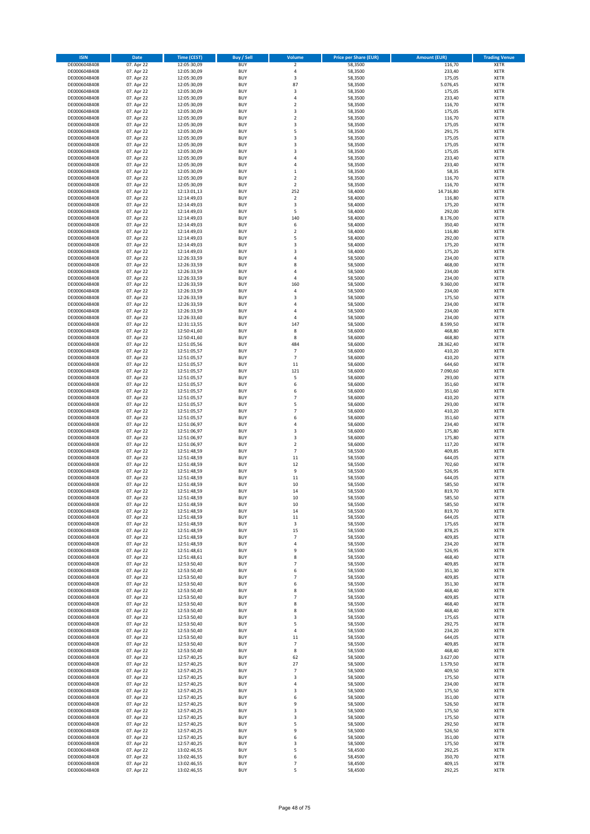| <b>ISIN</b>                  | Date                     | <b>Time (CEST)</b>         | <b>Buy / Sell</b>        | Volume                   | <b>Price per Share (EUR)</b> | <b>Amount (EUR)</b> | <b>Trading Venue</b>       |
|------------------------------|--------------------------|----------------------------|--------------------------|--------------------------|------------------------------|---------------------|----------------------------|
| DE0006048408                 | 07. Apr 22               | 12:05:30,09                | <b>BUY</b>               | $\mathbf 2$              | 58,3500                      | 116,70              | <b>XETR</b>                |
| DE0006048408                 | 07. Apr 22               | 12:05:30,09                | <b>BUY</b>               | $\sqrt{4}$               | 58,3500                      | 233,40              | XETR                       |
| DE0006048408                 | 07. Apr 22               | 12:05:30,09                | <b>BUY</b>               | 3                        | 58,3500                      | 175,05              | XETR                       |
| DE0006048408                 | 07. Apr 22               | 12:05:30,09                | <b>BUY</b>               | 87                       | 58,3500                      | 5.076,45            | <b>XETR</b>                |
| DE0006048408                 | 07. Apr 22               | 12:05:30,09                | <b>BUY</b>               | 3                        | 58,3500                      | 175,05              | <b>XETR</b>                |
| DE0006048408                 | 07. Apr 22               | 12:05:30,09                | <b>BUY</b>               | $\sqrt{4}$               | 58,3500                      | 233,40              | <b>XETR</b>                |
| DE0006048408                 | 07. Apr 22               | 12:05:30,09                | <b>BUY</b>               | $\overline{2}$           | 58,3500                      | 116,70              | <b>XETR</b>                |
| DE0006048408                 | 07. Apr 22               | 12:05:30,09                | <b>BUY</b>               | 3                        | 58,3500                      | 175,05              | <b>XETR</b>                |
| DE0006048408                 | 07. Apr 22               | 12:05:30,09                | <b>BUY</b><br><b>BUY</b> | $\boldsymbol{2}$<br>3    | 58,3500                      | 116,70              | <b>XETR</b><br><b>XETR</b> |
| DE0006048408<br>DE0006048408 | 07. Apr 22<br>07. Apr 22 | 12:05:30,09<br>12:05:30,09 | <b>BUY</b>               | 5                        | 58,3500<br>58,3500           | 175,05<br>291,75    | <b>XETR</b>                |
| DE0006048408                 | 07. Apr 22               | 12:05:30,09                | <b>BUY</b>               | 3                        | 58,3500                      | 175,05              | <b>XETR</b>                |
| DE0006048408                 | 07. Apr 22               | 12:05:30,09                | <b>BUY</b>               | 3                        | 58,3500                      | 175,05              | XETR                       |
| DE0006048408                 | 07. Apr 22               | 12:05:30,09                | <b>BUY</b>               | $\overline{\mathbf{3}}$  | 58,3500                      | 175,05              | <b>XETR</b>                |
| DE0006048408                 | 07. Apr 22               | 12:05:30,09                | <b>BUY</b>               | $\sqrt{4}$               | 58,3500                      | 233,40              | <b>XETR</b>                |
| DE0006048408                 | 07. Apr 22               | 12:05:30,09                | <b>BUY</b>               | 4                        | 58,3500                      | 233,40              | <b>XETR</b>                |
| DE0006048408                 | 07. Apr 22               | 12:05:30,09                | <b>BUY</b>               | $\,$ 1                   | 58,3500                      | 58,35               | <b>XETR</b>                |
| DE0006048408                 | 07. Apr 22               | 12:05:30,09                | <b>BUY</b>               | $\overline{2}$           | 58,3500                      | 116,70              | <b>XETR</b>                |
| DE0006048408                 | 07. Apr 22               | 12:05:30,09                | <b>BUY</b>               | $\overline{2}$           | 58,3500                      | 116,70              | <b>XETR</b>                |
| DE0006048408                 | 07. Apr 22               | 12:13:01,13                | <b>BUY</b>               | 252                      | 58,4000                      | 14.716,80           | <b>XETR</b>                |
| DE0006048408                 | 07. Apr 22               | 12:14:49,03                | <b>BUY</b>               | $\sqrt{2}$               | 58,4000                      | 116,80              | <b>XETR</b>                |
| DE0006048408                 | 07. Apr 22               | 12:14:49,03                | <b>BUY</b>               | 3                        | 58,4000                      | 175,20              | <b>XETR</b>                |
| DE0006048408                 | 07. Apr 22               | 12:14:49,03                | <b>BUY</b>               | 5                        | 58,4000                      | 292,00              | <b>XETR</b>                |
| DE0006048408<br>DE0006048408 | 07. Apr 22<br>07. Apr 22 | 12:14:49,03<br>12:14:49,03 | <b>BUY</b><br><b>BUY</b> | 140<br>6                 | 58,4000<br>58,4000           | 8.176,00<br>350,40  | <b>XETR</b><br><b>XETR</b> |
| DE0006048408                 | 07. Apr 22               | 12:14:49,03                | <b>BUY</b>               | $\overline{2}$           | 58,4000                      | 116,80              | <b>XETR</b>                |
| DE0006048408                 | 07. Apr 22               | 12:14:49,03                | <b>BUY</b>               | 5                        | 58,4000                      | 292,00              | <b>XETR</b>                |
| DE0006048408                 | 07. Apr 22               | 12:14:49,03                | <b>BUY</b>               | 3                        | 58,4000                      | 175,20              | <b>XETR</b>                |
| DE0006048408                 | 07. Apr 22               | 12:14:49,03                | <b>BUY</b>               | 3                        | 58,4000                      | 175,20              | <b>XETR</b>                |
| DE0006048408                 | 07. Apr 22               | 12:26:33,59                | <b>BUY</b>               | 4                        | 58,5000                      | 234,00              | XETR                       |
| DE0006048408                 | 07. Apr 22               | 12:26:33,59                | <b>BUY</b>               | 8                        | 58,5000                      | 468,00              | <b>XETR</b>                |
| DE0006048408                 | 07. Apr 22               | 12:26:33,59                | <b>BUY</b>               | 4                        | 58,5000                      | 234,00              | XETR                       |
| DE0006048408                 | 07. Apr 22               | 12:26:33,59                | <b>BUY</b>               | 4                        | 58,5000                      | 234,00              | <b>XETR</b>                |
| DE0006048408                 | 07. Apr 22               | 12:26:33,59                | <b>BUY</b>               | 160                      | 58,5000                      | 9.360,00            | XETR                       |
| DE0006048408                 | 07. Apr 22               | 12:26:33,59                | <b>BUY</b>               | $\sqrt{4}$               | 58,5000                      | 234,00              | <b>XETR</b>                |
| DE0006048408                 | 07. Apr 22               | 12:26:33,59                | <b>BUY</b>               | 3                        | 58,5000                      | 175,50              | XETR                       |
| DE0006048408                 | 07. Apr 22               | 12:26:33,59                | <b>BUY</b>               | $\sqrt{4}$               | 58,5000                      | 234,00              | <b>XETR</b>                |
| DE0006048408                 | 07. Apr 22               | 12:26:33,59                | <b>BUY</b>               | 4                        | 58,5000                      | 234,00              | XETR                       |
| DE0006048408                 | 07. Apr 22<br>07. Apr 22 | 12:26:33,60                | <b>BUY</b>               | 4<br>147                 | 58,5000                      | 234,00<br>8.599,50  | <b>XETR</b><br><b>XETR</b> |
| DE0006048408<br>DE0006048408 | 07. Apr 22               | 12:31:13,55<br>12:50:41,60 | <b>BUY</b><br><b>BUY</b> | 8                        | 58,5000<br>58,6000           | 468,80              | <b>XETR</b>                |
| DE0006048408                 | 07. Apr 22               | 12:50:41,60                | <b>BUY</b>               | 8                        | 58,6000                      | 468,80              | <b>XETR</b>                |
| DE0006048408                 | 07. Apr 22               | 12:51:05,56                | <b>BUY</b>               | 484                      | 58,6000                      | 28.362,40           | <b>XETR</b>                |
| DE0006048408                 | 07. Apr 22               | 12:51:05,57                | <b>BUY</b>               | $\overline{7}$           | 58,6000                      | 410,20              | <b>XETR</b>                |
| DE0006048408                 | 07. Apr 22               | 12:51:05,57                | <b>BUY</b>               | $\overline{7}$           | 58,6000                      | 410,20              | <b>XETR</b>                |
| DE0006048408                 | 07. Apr 22               | 12:51:05,57                | <b>BUY</b>               | $11\,$                   | 58,6000                      | 644,60              | <b>XETR</b>                |
| DE0006048408                 | 07. Apr 22               | 12:51:05,57                | <b>BUY</b>               | 121                      | 58,6000                      | 7.090,60            | <b>XETR</b>                |
| DE0006048408                 | 07. Apr 22               | 12:51:05,57                | <b>BUY</b>               | 5                        | 58,6000                      | 293,00              | <b>XETR</b>                |
| DE0006048408                 | 07. Apr 22               | 12:51:05,57                | <b>BUY</b>               | 6                        | 58,6000                      | 351,60              | <b>XETR</b>                |
| DE0006048408                 | 07. Apr 22               | 12:51:05,57                | <b>BUY</b>               | 6                        | 58,6000                      | 351,60              | <b>XETR</b>                |
| DE0006048408                 | 07. Apr 22               | 12:51:05,57                | <b>BUY</b>               | $\overline{7}$           | 58,6000                      | 410,20              | <b>XETR</b>                |
| DE0006048408                 | 07. Apr 22               | 12:51:05,57                | <b>BUY</b>               | 5                        | 58,6000                      | 293,00              | <b>XETR</b>                |
| DE0006048408                 | 07. Apr 22               | 12:51:05,57                | <b>BUY</b>               | $\overline{7}$           | 58,6000                      | 410,20              | <b>XETR</b>                |
| DE0006048408                 | 07. Apr 22               | 12:51:05,57                | <b>BUY</b>               | 6                        | 58,6000                      | 351,60              | <b>XETR</b>                |
| DE0006048408<br>DE0006048408 | 07. Apr 22<br>07. Apr 22 | 12:51:06,97<br>12:51:06,97 | <b>BUY</b><br><b>BUY</b> | 4<br>3                   | 58,6000<br>58,6000           | 234,40<br>175,80    | <b>XETR</b><br><b>XETR</b> |
| DE0006048408                 | 07. Apr 22               | 12:51:06,97                | <b>BUY</b>               | 3                        | 58,6000                      | 175,80              | <b>XETR</b>                |
| DE0006048408                 | 07. Apr 22               | 12:51:06,97                | <b>BUY</b>               | $\overline{2}$           | 58,6000                      | 117,20              | <b>XETR</b>                |
| DE0006048408                 | 07. Apr 22               | 12:51:48,59                | <b>BUY</b>               | $\overline{7}$           | 58,5500                      | 409,85              | XETR                       |
| DE0006048408                 | 07. Apr 22               | 12:51:48,59                | <b>BUY</b>               | 11                       | 58,5500                      | 644,05              | <b>XETR</b>                |
| DE0006048408                 | 07. Apr 22               | 12:51:48,59                | <b>BUY</b>               | 12                       | 58,5500                      | 702,60              | XETR                       |
| DE0006048408                 | 07. Apr 22               | 12:51:48,59                | <b>BUY</b>               | 9                        | 58,5500                      | 526,95              | <b>XETR</b>                |
| DE0006048408                 | 07. Apr 22               | 12:51:48,59                | <b>BUY</b>               | 11                       | 58,5500                      | 644,05              | <b>XETR</b>                |
| DE0006048408                 | 07. Apr 22               | 12:51:48.59                | <b>BUY</b>               | 10                       | 58,5500                      | 585,50              | <b>XETR</b>                |
| DE0006048408                 | 07. Apr 22               | 12:51:48,59                | <b>BUY</b>               | 14                       | 58,5500                      | 819,70              | <b>XETR</b>                |
| DE0006048408                 | 07. Apr 22               | 12:51:48,59                | <b>BUY</b>               | 10                       | 58,5500                      | 585,50              | <b>XETR</b>                |
| DE0006048408                 | 07. Apr 22               | 12:51:48,59                | <b>BUY</b>               | 10                       | 58,5500                      | 585,50              | <b>XETR</b>                |
| DE0006048408                 | 07. Apr 22               | 12:51:48,59                | <b>BUY</b>               | 14                       | 58,5500                      | 819,70              | XETR                       |
| DE0006048408                 | 07. Apr 22               | 12:51:48,59                | <b>BUY</b>               | 11                       | 58,5500                      | 644,05              | XETR                       |
| DE0006048408<br>DE0006048408 | 07. Apr 22               | 12:51:48,59<br>12:51:48,59 | <b>BUY</b><br><b>BUY</b> | 3<br>15                  | 58,5500                      | 175,65              | <b>XETR</b><br>XETR        |
| DE0006048408                 | 07. Apr 22<br>07. Apr 22 | 12:51:48,59                | <b>BUY</b>               | $\overline{7}$           | 58,5500<br>58,5500           | 878,25<br>409,85    | <b>XETR</b>                |
| DE0006048408                 | 07. Apr 22               | 12:51:48,59                | <b>BUY</b>               | $\sqrt{4}$               | 58,5500                      | 234,20              | <b>XETR</b>                |
| DE0006048408                 | 07. Apr 22               | 12:51:48,61                | <b>BUY</b>               | 9                        | 58,5500                      | 526,95              | <b>XETR</b>                |
| DE0006048408                 | 07. Apr 22               | 12:51:48,61                | <b>BUY</b>               | 8                        | 58,5500                      | 468,40              | <b>XETR</b>                |
| DE0006048408                 | 07. Apr 22               | 12:53:50,40                | <b>BUY</b>               | $\overline{7}$           | 58,5500                      | 409,85              | <b>XETR</b>                |
| DE0006048408                 | 07. Apr 22               | 12:53:50,40                | <b>BUY</b>               | 6                        | 58,5500                      | 351,30              | XETR                       |
| DE0006048408                 | 07. Apr 22               | 12:53:50,40                | <b>BUY</b>               | $\overline{7}$           | 58,5500                      | 409,85              | <b>XETR</b>                |
| DE0006048408                 | 07. Apr 22               | 12:53:50,40                | <b>BUY</b>               | 6                        | 58,5500                      | 351,30              | XETR                       |
| DE0006048408                 | 07. Apr 22               | 12:53:50,40                | <b>BUY</b>               | 8                        | 58,5500                      | 468,40              | <b>XETR</b>                |
| DE0006048408                 | 07. Apr 22               | 12:53:50,40                | <b>BUY</b>               | $\overline{7}$           | 58,5500                      | 409,85              | <b>XETR</b>                |
| DE0006048408                 | 07. Apr 22               | 12:53:50,40                | <b>BUY</b>               | 8                        | 58,5500                      | 468,40              | <b>XETR</b>                |
| DE0006048408<br>DE0006048408 | 07. Apr 22               | 12:53:50,40<br>12:53:50,40 | <b>BUY</b>               | 8                        | 58,5500                      | 468,40              | <b>XETR</b>                |
| DE0006048408                 | 07. Apr 22<br>07. Apr 22 | 12:53:50,40                | <b>BUY</b><br><b>BUY</b> | 3<br>5                   | 58,5500<br>58,5500           | 175,65<br>292,75    | <b>XETR</b><br><b>XETR</b> |
| DE0006048408                 | 07. Apr 22               | 12:53:50,40                | <b>BUY</b>               | 4                        | 58,5500                      | 234,20              | <b>XETR</b>                |
| DE0006048408                 | 07. Apr 22               | 12:53:50,40                | <b>BUY</b>               | 11                       | 58,5500                      | 644,05              | <b>XETR</b>                |
| DE0006048408                 | 07. Apr 22               | 12:53:50,40                | <b>BUY</b>               | $\overline{\phantom{a}}$ | 58,5500                      | 409,85              | XETR                       |
| DE0006048408                 | 07. Apr 22               | 12:53:50,40                | <b>BUY</b>               | 8                        | 58,5500                      | 468,40              | <b>XETR</b>                |
| DE0006048408                 | 07. Apr 22               | 12:57:40,25                | <b>BUY</b>               | 62                       | 58,5000                      | 3.627,00            | XETR                       |
| DE0006048408                 | 07. Apr 22               | 12:57:40,25                | <b>BUY</b>               | 27                       | 58,5000                      | 1.579,50            | <b>XETR</b>                |
| DE0006048408                 | 07. Apr 22               | 12:57:40,25                | <b>BUY</b>               | $\overline{7}$           | 58,5000                      | 409,50              | XETR                       |
| DE0006048408                 | 07. Apr 22               | 12:57:40,25                | <b>BUY</b>               | 3                        | 58,5000                      | 175,50              | <b>XETR</b>                |
| DE0006048408                 | 07. Apr 22               | 12:57:40,25                | <b>BUY</b>               | 4                        | 58,5000                      | 234,00              | <b>XETR</b>                |
| DE0006048408                 | 07. Apr 22               | 12:57:40,25                | <b>BUY</b>               | 3                        | 58,5000                      | 175,50              | <b>XETR</b>                |
| DE0006048408                 | 07. Apr 22               | 12:57:40,25                | <b>BUY</b>               | 6                        | 58,5000                      | 351,00              | XETR                       |
| DE0006048408                 | 07. Apr 22               | 12:57:40,25                | <b>BUY</b>               | 9                        | 58,5000                      | 526,50              | <b>XETR</b>                |
| DE0006048408                 | 07. Apr 22               | 12:57:40,25                | <b>BUY</b>               | 3                        | 58,5000                      | 175,50              | XETR                       |
| DE0006048408                 | 07. Apr 22               | 12:57:40,25                | <b>BUY</b>               | 3                        | 58,5000                      | 175,50              | <b>XETR</b>                |
| DE0006048408                 | 07. Apr 22               | 12:57:40,25                | <b>BUY</b>               | 5                        | 58,5000                      | 292,50              | <b>XETR</b>                |
| DE0006048408<br>DE0006048408 | 07. Apr 22<br>07. Apr 22 | 12:57:40,25<br>12:57:40,25 | <b>BUY</b><br><b>BUY</b> | 9<br>6                   | 58,5000<br>58,5000           | 526,50<br>351,00    | <b>XETR</b><br>XETR        |
| DE0006048408                 | 07. Apr 22               | 12:57:40,25                | <b>BUY</b>               | 3                        | 58,5000                      | 175,50              | <b>XETR</b>                |
| DE0006048408                 | 07. Apr 22               | 13:02:46,55                | <b>BUY</b>               | 5                        | 58,4500                      | 292,25              | XETR                       |
| DE0006048408                 | 07. Apr 22               | 13:02:46,55                | <b>BUY</b>               | 6                        | 58,4500                      | 350,70              | <b>XETR</b>                |
| DE0006048408                 | 07. Apr 22               | 13:02:46,55                | <b>BUY</b>               | $\overline{7}$           | 58,4500                      | 409,15              | XETR                       |
| DE0006048408                 | 07. Apr 22               | 13:02:46,55                | <b>BUY</b>               | 5                        | 58,4500                      | 292,25              | <b>XETR</b>                |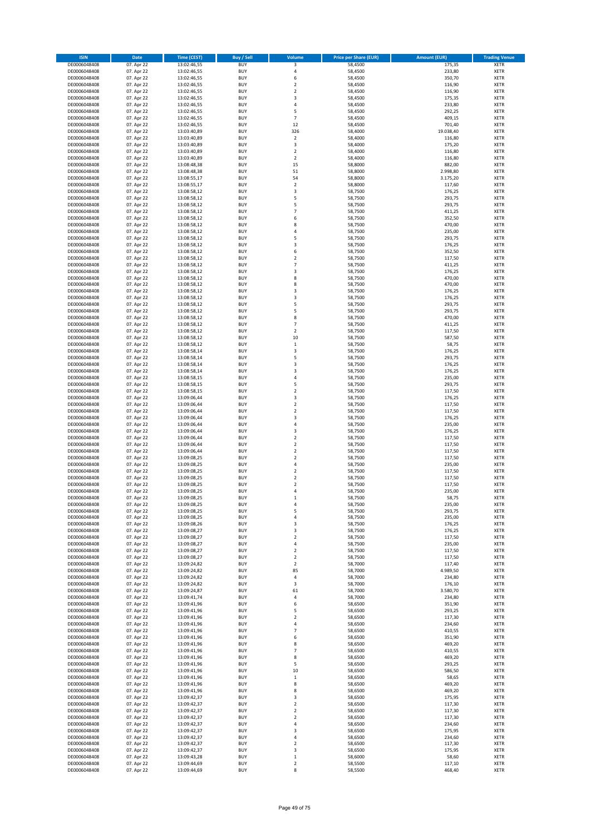| <b>ISIN</b>  | Date       | Time (CEST) | <b>Buy / Sell</b> | Volume                   | <b>Price per Share (EUR)</b> | <b>Amount (EUR)</b> | <b>Trading Venue</b> |
|--------------|------------|-------------|-------------------|--------------------------|------------------------------|---------------------|----------------------|
| DE0006048408 | 07. Apr 22 | 13:02:46,55 | <b>BUY</b>        | 3                        | 58,4500                      | 175,35              | <b>XETR</b>          |
| DE0006048408 | 07. Apr 22 | 13:02:46,55 | <b>BUY</b>        | $\sqrt{4}$               | 58,4500                      | 233,80              | XETR                 |
| DE0006048408 | 07. Apr 22 | 13:02:46,55 | <b>BUY</b>        | 6                        | 58,4500                      | 350,70              | XETR                 |
| DE0006048408 | 07. Apr 22 | 13:02:46,55 | <b>BUY</b>        | $\overline{\mathbf{c}}$  | 58,4500                      | 116,90              | <b>XETR</b>          |
| DE0006048408 | 07. Apr 22 | 13:02:46,55 | <b>BUY</b>        | $\boldsymbol{2}$         | 58,4500                      | 116,90              | <b>XETR</b>          |
| DE0006048408 | 07. Apr 22 | 13:02:46,55 | <b>BUY</b>        | 3                        | 58,4500                      | 175,35              | <b>XETR</b>          |
| DE0006048408 | 07. Apr 22 | 13:02:46,55 | <b>BUY</b>        | $\sqrt{4}$               | 58,4500                      | 233,80              | <b>XETR</b>          |
| DE0006048408 | 07. Apr 22 | 13:02:46,55 | <b>BUY</b>        | 5                        | 58,4500                      | 292,25              | <b>XETR</b>          |
| DE0006048408 | 07. Apr 22 | 13:02:46,55 | <b>BUY</b>        | $\overline{7}$           | 58,4500                      | 409,15              | <b>XETR</b>          |
| DE0006048408 | 07. Apr 22 | 13:02:46,55 | <b>BUY</b>        | 12                       | 58,4500                      | 701,40              | <b>XETR</b>          |
| DE0006048408 | 07. Apr 22 | 13:03:40,89 | <b>BUY</b>        | 326                      | 58,4000                      | 19.038,40           | <b>XETR</b>          |
| DE0006048408 | 07. Apr 22 | 13:03:40,89 | <b>BUY</b>        | $\overline{2}$           | 58,4000                      | 116,80              | <b>XETR</b>          |
| DE0006048408 | 07. Apr 22 | 13:03:40,89 | <b>BUY</b>        | 3                        | 58,4000                      | 175,20              | XETR                 |
| DE0006048408 | 07. Apr 22 | 13:03:40,89 | <b>BUY</b>        | $\overline{\mathbf{c}}$  | 58,4000                      | 116,80              | <b>XETR</b>          |
| DE0006048408 | 07. Apr 22 | 13:03:40,89 | <b>BUY</b>        | $\boldsymbol{2}$         | 58,4000                      | 116,80              | <b>XETR</b>          |
| DE0006048408 | 07. Apr 22 | 13:08:48,38 | <b>BUY</b>        | 15                       | 58,8000                      | 882,00              | <b>XETR</b>          |
| DE0006048408 | 07. Apr 22 | 13:08:48,38 | <b>BUY</b>        | 51                       | 58,8000                      | 2.998,80            | <b>XETR</b>          |
| DE0006048408 | 07. Apr 22 | 13:08:55,17 | <b>BUY</b>        | 54                       | 58,8000                      | 3.175,20            | <b>XETR</b>          |
| DE0006048408 | 07. Apr 22 | 13:08:55,17 | <b>BUY</b>        | $\boldsymbol{2}$         | 58,8000                      | 117,60              | <b>XETR</b>          |
| DE0006048408 | 07. Apr 22 | 13:08:58,12 | <b>BUY</b>        | 3                        | 58,7500                      | 176,25              | <b>XETR</b>          |
| DE0006048408 | 07. Apr 22 | 13:08:58,12 | <b>BUY</b>        | 5                        | 58,7500                      | 293,75              | <b>XETR</b>          |
| DE0006048408 | 07. Apr 22 | 13:08:58,12 | <b>BUY</b>        | 5                        | 58,7500                      | 293,75              | <b>XETR</b>          |
| DE0006048408 | 07. Apr 22 | 13:08:58,12 | <b>BUY</b>        | $\overline{7}$           | 58,7500                      | 411,25              | <b>XETR</b>          |
| DE0006048408 | 07. Apr 22 | 13:08:58,12 | <b>BUY</b>        | 6                        | 58,7500                      | 352,50              | <b>XETR</b>          |
| DE0006048408 | 07. Apr 22 | 13:08:58,12 | <b>BUY</b>        | 8                        | 58,7500                      | 470,00              | <b>XETR</b>          |
| DE0006048408 | 07. Apr 22 | 13:08:58,12 | <b>BUY</b>        | 4                        | 58,7500                      | 235,00              | <b>XETR</b>          |
| DE0006048408 | 07. Apr 22 | 13:08:58,12 | <b>BUY</b>        | 5                        | 58,7500                      | 293,75              | <b>XETR</b>          |
| DE0006048408 | 07. Apr 22 | 13:08:58,12 | <b>BUY</b>        | 3                        | 58,7500                      | 176,25              | <b>XETR</b>          |
| DE0006048408 | 07. Apr 22 | 13:08:58,12 | <b>BUY</b>        | 6                        | 58,7500                      | 352,50              | <b>XETR</b>          |
| DE0006048408 | 07. Apr 22 | 13:08:58,12 | <b>BUY</b>        | $\boldsymbol{2}$         | 58,7500                      | 117,50              | XETR                 |
| DE0006048408 | 07. Apr 22 | 13:08:58,12 | <b>BUY</b>        | $\overline{7}$           | 58,7500                      | 411,25              | <b>XETR</b>          |
| DE0006048408 | 07. Apr 22 | 13:08:58,12 | <b>BUY</b>        | 3                        | 58,7500                      | 176,25              | XETR                 |
| DE0006048408 | 07. Apr 22 | 13:08:58,12 | <b>BUY</b>        | 8                        | 58,7500                      | 470,00              | <b>XETR</b>          |
| DE0006048408 | 07. Apr 22 | 13:08:58,12 | <b>BUY</b>        | 8                        | 58,7500                      | 470,00              | XETR                 |
| DE0006048408 | 07. Apr 22 | 13:08:58,12 | <b>BUY</b>        | 3                        | 58,7500                      | 176,25              | <b>XETR</b>          |
| DE0006048408 | 07. Apr 22 | 13:08:58,12 | <b>BUY</b>        | 3                        | 58,7500                      | 176,25              | XETR                 |
| DE0006048408 | 07. Apr 22 | 13:08:58,12 | <b>BUY</b>        | 5                        | 58,7500                      | 293,75              | <b>XETR</b>          |
| DE0006048408 | 07. Apr 22 | 13:08:58,12 | <b>BUY</b>        | 5                        | 58,7500                      | 293,75              | XETR                 |
| DE0006048408 | 07. Apr 22 | 13:08:58,12 | <b>BUY</b>        | 8                        | 58,7500                      | 470,00              | <b>XETR</b>          |
| DE0006048408 | 07. Apr 22 | 13:08:58,12 | <b>BUY</b>        | $\overline{7}$           | 58,7500                      | 411,25              | <b>XETR</b>          |
| DE0006048408 | 07. Apr 22 | 13:08:58.12 | <b>BUY</b>        | $\overline{2}$           | 58.7500                      | 117,50              | <b>XETR</b>          |
| DE0006048408 | 07. Apr 22 | 13:08:58,12 | <b>BUY</b>        | 10                       | 58,7500                      | 587,50              | <b>XETR</b>          |
| DE0006048408 | 07. Apr 22 | 13:08:58,12 | <b>BUY</b>        | $\mathbf 1$              | 58,7500                      | 58,75               | <b>XETR</b>          |
| DE0006048408 | 07. Apr 22 | 13:08:58,14 | <b>BUY</b>        | 3                        | 58,7500                      | 176,25              | <b>XETR</b>          |
| DE0006048408 | 07. Apr 22 | 13:08:58,14 | <b>BUY</b>        | 5                        | 58,7500                      | 293,75              | <b>XETR</b>          |
| DE0006048408 | 07. Apr 22 | 13:08:58,14 | <b>BUY</b>        | 3                        | 58,7500                      | 176,25              | <b>XETR</b>          |
| DE0006048408 | 07. Apr 22 | 13:08:58,14 | <b>BUY</b>        | 3                        | 58,7500                      | 176,25              | <b>XETR</b>          |
| DE0006048408 | 07. Apr 22 | 13:08:58,15 | <b>BUY</b>        | $\overline{4}$           | 58,7500                      | 235,00              | <b>XETR</b>          |
| DE0006048408 | 07. Apr 22 | 13:08:58,15 | <b>BUY</b>        | 5                        | 58,7500                      | 293,75              | <b>XETR</b>          |
| DE0006048408 | 07. Apr 22 | 13:08:58,15 | <b>BUY</b>        | $\boldsymbol{2}$         | 58,7500                      | 117,50              | <b>XETR</b>          |
| DE0006048408 | 07. Apr 22 | 13:09:06,44 | <b>BUY</b>        | 3                        | 58,7500                      | 176,25              | <b>XETR</b>          |
| DE0006048408 | 07. Apr 22 | 13:09:06,44 | <b>BUY</b>        | $\overline{2}$           | 58,7500                      | 117,50              | <b>XETR</b>          |
| DE0006048408 | 07. Apr 22 | 13:09:06,44 | <b>BUY</b>        | $\mathbf 2$              | 58,7500                      | 117,50              | <b>XETR</b>          |
| DE0006048408 | 07. Apr 22 | 13:09:06,44 | <b>BUY</b>        | 3                        | 58,7500                      | 176,25              | <b>XETR</b>          |
| DE0006048408 | 07. Apr 22 | 13:09:06,44 | <b>BUY</b>        | 4                        | 58,7500                      | 235,00              | <b>XETR</b>          |
| DE0006048408 | 07. Apr 22 | 13:09:06,44 | <b>BUY</b>        | 3                        | 58,7500                      | 176,25              | <b>XETR</b>          |
| DE0006048408 | 07. Apr 22 | 13:09:06,44 | <b>BUY</b>        | $\mathbf 2$              | 58,7500                      | 117,50              | <b>XETR</b>          |
| DE0006048408 | 07. Apr 22 | 13:09:06,44 | <b>BUY</b>        | $\overline{2}$           | 58,7500                      | 117,50              | <b>XETR</b>          |
| DE0006048408 | 07. Apr 22 | 13:09:06,44 | <b>BUY</b>        | $\boldsymbol{2}$         | 58,7500                      | 117,50              | XETR                 |
| DE0006048408 | 07. Apr 22 | 13:09:08,25 | <b>BUY</b>        | $\overline{2}$           | 58,7500                      | 117,50              | <b>XETR</b>          |
| DE0006048408 | 07. Apr 22 | 13:09:08,25 | <b>BUY</b>        | $\sqrt{4}$               | 58,7500                      | 235,00              | XETR                 |
| DE0006048408 | 07. Apr 22 | 13:09:08,25 | <b>BUY</b>        | $\overline{2}$           | 58,7500                      | 117,50              | <b>XETR</b>          |
| DE0006048408 | 07. Apr 22 | 13:09:08,25 | <b>BUY</b>        | $\overline{\mathbf{2}}$  | 58,7500                      | 117,50              | <b>XETR</b>          |
| DE0006048408 | 07. Apr 22 | 13:09:08,25 | <b>BUY</b>        | $\overline{2}$           | 58,7500                      | 117,50              | <b>XETR</b>          |
| DE0006048408 | 07. Apr 22 | 13:09:08,25 | <b>BUY</b>        | 4                        | 58,7500                      | 235,00              | <b>XETR</b>          |
| DE0006048408 | 07. Apr 22 | 13:09:08,25 | <b>BUY</b>        | 1                        | 58,7500                      | 58,75               | <b>XETR</b>          |
| DE0006048408 | 07. Apr 22 | 13:09:08,25 | <b>BUY</b>        | 4                        | 58,7500                      | 235,00              | <b>XETR</b>          |
| DE0006048408 | 07. Apr 22 | 13:09:08,25 | <b>BUY</b>        | 5                        | 58,7500                      | 293,75              | XETR                 |
| DE0006048408 | 07. Apr 22 | 13:09:08,25 | <b>BUY</b>        | 4                        | 58,7500                      | 235,00              | XETR                 |
| DE0006048408 | 07. Apr 22 | 13:09:08,26 | <b>BUY</b>        | 3                        | 58,7500                      | 176,25              | <b>XETR</b>          |
| DE0006048408 | 07. Apr 22 | 13:09:08,27 | <b>BUY</b>        | 3                        | 58,7500                      | 176,25              | XETR                 |
| DE0006048408 | 07. Apr 22 | 13:09:08,27 | <b>BUY</b>        | $\boldsymbol{2}$         | 58,7500                      | 117,50              | <b>XETR</b>          |
| DE0006048408 | 07. Apr 22 | 13:09:08,27 | <b>BUY</b>        | $\sqrt{4}$               | 58,7500                      | 235,00              | <b>XETR</b>          |
| DE0006048408 | 07. Apr 22 | 13:09:08,27 | <b>BUY</b>        | $\boldsymbol{2}$         | 58,7500                      | 117,50              | <b>XETR</b>          |
| DE0006048408 | 07. Apr 22 | 13:09:08,27 | <b>BUY</b>        | $\boldsymbol{2}$         | 58,7500                      | 117,50              | <b>XETR</b>          |
| DE0006048408 | 07. Apr 22 | 13:09:24,82 | <b>BUY</b>        | $\overline{\mathbf{2}}$  | 58,7000                      | 117,40              | <b>XETR</b>          |
| DE0006048408 | 07. Apr 22 | 13:09:24,82 | <b>BUY</b>        | 85                       | 58,7000                      | 4.989,50            | XETR                 |
| DE0006048408 | 07. Apr 22 | 13:09:24,82 | <b>BUY</b>        | 4                        | 58,7000                      | 234,80              | <b>XETR</b>          |
| DE0006048408 | 07. Apr 22 | 13:09:24,82 | <b>BUY</b>        | 3                        | 58,7000                      | 176,10              | XETR                 |
| DE0006048408 | 07. Apr 22 | 13:09:24,87 | <b>BUY</b>        | 61                       | 58,7000                      | 3.580,70            | <b>XETR</b>          |
| DE0006048408 | 07. Apr 22 | 13:09:41,74 | <b>BUY</b>        | 4                        | 58,7000                      | 234,80              | <b>XETR</b>          |
| DE0006048408 | 07. Apr 22 | 13:09:41,96 | <b>BUY</b>        | 6                        | 58,6500                      | 351,90              | <b>XETR</b>          |
| DE0006048408 | 07. Apr 22 | 13:09:41,96 | <b>BUY</b>        | 5                        | 58,6500                      | 293,25              | <b>XETR</b>          |
| DE0006048408 | 07. Apr 22 | 13:09:41,96 | <b>BUY</b>        | $\overline{\mathbf{2}}$  | 58,6500                      | 117,30              | <b>XETR</b>          |
| DE0006048408 | 07. Apr 22 | 13:09:41,96 | <b>BUY</b>        | 4                        | 58,6500                      | 234,60              | <b>XETR</b>          |
| DE0006048408 | 07. Apr 22 | 13:09:41,96 | <b>BUY</b>        | $\overline{\phantom{a}}$ | 58,6500                      | 410,55              | <b>XETR</b>          |
| DE0006048408 | 07. Apr 22 | 13:09:41,96 | <b>BUY</b>        | 6                        | 58,6500                      | 351,90              | <b>XETR</b>          |
| DE0006048408 | 07. Apr 22 | 13:09:41,96 | <b>BUY</b>        | 8                        | 58,6500                      | 469,20              | XETR                 |
| DE0006048408 | 07. Apr 22 | 13:09:41,96 | <b>BUY</b>        | $\overline{7}$           | 58,6500                      | 410,55              | <b>XETR</b>          |
| DE0006048408 | 07. Apr 22 | 13:09:41,96 | <b>BUY</b>        | 8                        | 58,6500                      | 469,20              | <b>XETR</b>          |
| DE0006048408 | 07. Apr 22 | 13:09:41,96 | <b>BUY</b>        | 5                        | 58,6500                      | 293,25              | <b>XETR</b>          |
| DE0006048408 | 07. Apr 22 | 13:09:41,96 | <b>BUY</b>        | 10                       | 58,6500                      | 586,50              | XETR                 |
| DE0006048408 | 07. Apr 22 | 13:09:41,96 | <b>BUY</b>        | $\mathbf 1$              | 58,6500                      | 58,65               | <b>XETR</b>          |
| DE0006048408 | 07. Apr 22 | 13:09:41,96 | <b>BUY</b>        | 8                        | 58,6500                      | 469,20              | <b>XETR</b>          |
| DE0006048408 | 07. Apr 22 | 13:09:41,96 | <b>BUY</b>        | 8                        | 58,6500                      | 469,20              | <b>XETR</b>          |
| DE0006048408 | 07. Apr 22 | 13:09:42,37 | <b>BUY</b>        | 3                        | 58,6500                      | 175,95              | XETR                 |
| DE0006048408 | 07. Apr 22 | 13:09:42,37 | <b>BUY</b>        | $\overline{\mathbf{2}}$  | 58,6500                      | 117,30              | <b>XETR</b>          |
| DE0006048408 | 07. Apr 22 | 13:09:42,37 | <b>BUY</b>        | $\boldsymbol{2}$         | 58,6500                      | 117,30              | XETR                 |
| DE0006048408 | 07. Apr 22 | 13:09:42,37 | <b>BUY</b>        | $\overline{\mathbf{2}}$  | 58,6500                      | 117,30              | <b>XETR</b>          |
| DE0006048408 | 07. Apr 22 | 13:09:42,37 | <b>BUY</b>        | 4                        | 58,6500                      | 234,60              | <b>XETR</b>          |
| DE0006048408 | 07. Apr 22 | 13:09:42,37 | <b>BUY</b>        | 3                        | 58,6500                      | 175,95              | <b>XETR</b>          |
| DE0006048408 | 07. Apr 22 | 13:09:42,37 | <b>BUY</b>        | $\sqrt{4}$               | 58,6500                      | 234,60              | XETR                 |
| DE0006048408 | 07. Apr 22 | 13:09:42,37 | <b>BUY</b>        | $\boldsymbol{2}$         | 58,6500                      | 117,30              | <b>XETR</b>          |
| DE0006048408 | 07. Apr 22 | 13:09:42,37 | <b>BUY</b>        | 3                        | 58,6500                      | 175,95              | XETR                 |
| DE0006048408 | 07. Apr 22 | 13:09:43,28 | <b>BUY</b>        | $\,1\,$                  | 58,6000                      | 58,60               | <b>XETR</b>          |
| DE0006048408 | 07. Apr 22 | 13:09:44,69 | <b>BUY</b>        | $\boldsymbol{2}$         | 58,5500                      | 117,10              | XETR                 |
| DE0006048408 | 07. Apr 22 | 13:09:44,69 | <b>BUY</b>        | 8                        | 58,5500                      | 468,40              | <b>XETR</b>          |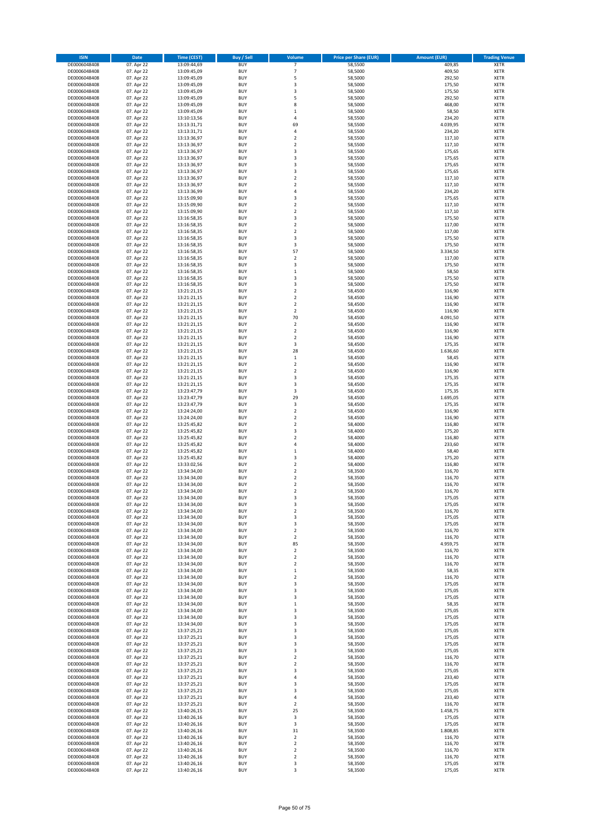| <b>ISIN</b>  | Date       | Time (CEST) | <b>Buy / Sell</b> | Volume                  | <b>Price per Share (EUR)</b> | <b>Amount (EUR)</b> | <b>Trading Venue</b> |
|--------------|------------|-------------|-------------------|-------------------------|------------------------------|---------------------|----------------------|
| DE0006048408 | 07. Apr 22 | 13:09:44,69 | <b>BUY</b>        | $\overline{7}$          | 58,5500                      | 409,85              | <b>XETR</b>          |
| DE0006048408 | 07. Apr 22 | 13:09:45,09 | <b>BUY</b>        | $\overline{7}$          | 58,5000                      | 409,50              | <b>XETR</b>          |
| DE0006048408 | 07. Apr 22 | 13:09:45,09 | <b>BUY</b>        | 5                       | 58,5000                      | 292,50              | XETR                 |
| DE0006048408 | 07. Apr 22 | 13:09:45,09 | <b>BUY</b>        | 3                       | 58,5000                      | 175,50              | <b>XETR</b>          |
| DE0006048408 | 07. Apr 22 | 13:09:45,09 | <b>BUY</b>        | 3                       | 58,5000                      | 175,50              | <b>XETR</b>          |
| DE0006048408 | 07. Apr 22 | 13:09:45,09 | <b>BUY</b>        | 5                       | 58,5000                      | 292,50              | <b>XETR</b>          |
| DE0006048408 | 07. Apr 22 | 13:09:45,09 | <b>BUY</b>        | 8                       | 58,5000                      | 468,00              | <b>XETR</b>          |
| DE0006048408 | 07. Apr 22 | 13:09:45,09 | <b>BUY</b>        | $\mathbf 1$             | 58,5000                      | 58,50               | <b>XETR</b>          |
| DE0006048408 | 07. Apr 22 | 13:10:13,56 | <b>BUY</b>        | 4                       | 58,5500                      | 234,20              | <b>XETR</b>          |
| DE0006048408 | 07. Apr 22 | 13:13:31,71 | <b>BUY</b>        | 69                      | 58,5500                      | 4.039,95            | <b>XETR</b>          |
| DE0006048408 | 07. Apr 22 | 13:13:31,71 | <b>BUY</b>        | $\sqrt{4}$              | 58,5500                      | 234,20              | <b>XETR</b>          |
| DE0006048408 | 07. Apr 22 | 13:13:36,97 | <b>BUY</b>        | $\overline{2}$          | 58,5500                      | 117,10              | <b>XETR</b>          |
| DE0006048408 | 07. Apr 22 | 13:13:36,97 | <b>BUY</b>        | $\boldsymbol{2}$        | 58,5500                      | 117,10              | XETR                 |
| DE0006048408 | 07. Apr 22 | 13:13:36,97 | <b>BUY</b>        | 3                       | 58,5500                      | 175,65              | <b>XETR</b>          |
| DE0006048408 | 07. Apr 22 | 13:13:36,97 | <b>BUY</b>        | 3                       | 58,5500                      | 175,65              | <b>XETR</b>          |
| DE0006048408 | 07. Apr 22 | 13:13:36,97 | <b>BUY</b>        | 3                       | 58,5500                      | 175,65              | <b>XETR</b>          |
| DE0006048408 | 07. Apr 22 | 13:13:36,97 | <b>BUY</b>        | 3                       | 58,5500                      | 175,65              | <b>XETR</b>          |
| DE0006048408 | 07. Apr 22 | 13:13:36,97 | <b>BUY</b>        | $\overline{2}$          | 58,5500                      | 117,10              | <b>XETR</b>          |
| DE0006048408 | 07. Apr 22 | 13:13:36,97 | <b>BUY</b>        | $\overline{2}$          | 58,5500                      | 117,10              | <b>XETR</b>          |
| DE0006048408 | 07. Apr 22 | 13:13:36,99 | <b>BUY</b>        | $\sqrt{4}$              | 58,5500                      | 234,20              | <b>XETR</b>          |
| DE0006048408 | 07. Apr 22 | 13:15:09,90 | <b>BUY</b>        | 3                       | 58,5500                      | 175,65              | <b>XETR</b>          |
| DE0006048408 | 07. Apr 22 | 13:15:09,90 | <b>BUY</b>        | $\overline{2}$          | 58,5500                      | 117,10              | <b>XETR</b>          |
| DE0006048408 | 07. Apr 22 | 13:15:09,90 | <b>BUY</b>        | $\overline{2}$          | 58,5500                      | 117,10              | <b>XETR</b>          |
| DE0006048408 | 07. Apr 22 | 13:16:58,35 | <b>BUY</b>        | 3                       | 58,5000                      | 175,50              | <b>XETR</b>          |
| DE0006048408 | 07. Apr 22 | 13:16:58,35 | <b>BUY</b>        | $\overline{2}$          | 58,5000                      | 117,00              | <b>XETR</b>          |
| DE0006048408 | 07. Apr 22 | 13:16:58,35 | <b>BUY</b>        | $\overline{2}$          | 58,5000                      | 117,00              | <b>XETR</b>          |
| DE0006048408 | 07. Apr 22 | 13:16:58,35 | <b>BUY</b>        | 3                       | 58,5000                      | 175,50              | <b>XETR</b>          |
| DE0006048408 | 07. Apr 22 | 13:16:58,35 | <b>BUY</b>        | 3                       | 58,5000                      | 175,50              | <b>XETR</b>          |
| DE0006048408 | 07. Apr 22 | 13:16:58,35 | <b>BUY</b>        | 57                      | 58,5000                      | 3.334,50            | <b>XETR</b>          |
| DE0006048408 | 07. Apr 22 | 13:16:58,35 | <b>BUY</b>        | $\boldsymbol{2}$        | 58,5000                      | 117,00              | XETR                 |
| DE0006048408 | 07. Apr 22 | 13:16:58,35 | <b>BUY</b>        | 3                       | 58,5000                      | 175,50              | <b>XETR</b>          |
| DE0006048408 | 07. Apr 22 | 13:16:58,35 | <b>BUY</b>        | $\,$ 1                  | 58,5000                      | 58,50               | XETR                 |
| DE0006048408 | 07. Apr 22 | 13:16:58,35 | <b>BUY</b>        | 3                       | 58,5000                      | 175,50              | <b>XETR</b>          |
| DE0006048408 | 07. Apr 22 | 13:16:58,35 | <b>BUY</b>        | 3                       | 58,5000                      | 175,50              | XETR                 |
| DE0006048408 | 07. Apr 22 | 13:21:21,15 | <b>BUY</b>        | $\overline{2}$          | 58,4500                      | 116,90              | <b>XETR</b>          |
| DE0006048408 | 07. Apr 22 | 13:21:21,15 | <b>BUY</b>        | $\mathbf 2$             | 58,4500                      | 116,90              | XETR                 |
| DE0006048408 | 07. Apr 22 | 13:21:21,15 | <b>BUY</b>        | $\overline{2}$          | 58,4500                      | 116,90              | <b>XETR</b>          |
| DE0006048408 | 07. Apr 22 | 13:21:21,15 | <b>BUY</b>        | $\boldsymbol{2}$        | 58,4500                      | 116,90              | <b>XETR</b>          |
| DE0006048408 | 07. Apr 22 | 13:21:21,15 | <b>BUY</b>        | 70                      | 58,4500                      | 4.091,50            | <b>XETR</b>          |
| DE0006048408 | 07. Apr 22 | 13:21:21,15 | <b>BUY</b>        | $\mathbf 2$             | 58,4500                      | 116,90              | <b>XETR</b>          |
| DE0006048408 | 07. Apr 22 | 13:21:21,15 | <b>BUY</b>        | $\overline{2}$          | 58,4500                      | 116,90              | <b>XETR</b>          |
| DE0006048408 | 07. Apr 22 | 13:21:21,15 | <b>BUY</b>        | $\overline{2}$          | 58,4500                      | 116,90              | <b>XETR</b>          |
| DE0006048408 | 07. Apr 22 | 13:21:21,15 | <b>BUY</b>        | 3                       | 58,4500                      | 175,35              | <b>XETR</b>          |
| DE0006048408 | 07. Apr 22 | 13:21:21,15 | <b>BUY</b>        | 28                      | 58,4500                      | 1.636,60            | <b>XETR</b>          |
| DE0006048408 | 07. Apr 22 | 13:21:21,15 | <b>BUY</b>        | $\,1\,$                 | 58,4500                      | 58,45               | <b>XETR</b>          |
| DE0006048408 | 07. Apr 22 | 13:21:21,15 | <b>BUY</b>        | $\boldsymbol{2}$        | 58,4500                      | 116,90              | <b>XETR</b>          |
| DE0006048408 | 07. Apr 22 | 13:21:21,15 | <b>BUY</b>        | $\boldsymbol{2}$        | 58,4500                      | 116,90              | <b>XETR</b>          |
| DE0006048408 | 07. Apr 22 | 13:21:21,15 | <b>BUY</b>        | 3                       | 58,4500                      | 175,35              | <b>XETR</b>          |
| DE0006048408 | 07. Apr 22 | 13:21:21,15 | <b>BUY</b>        | 3                       | 58,4500                      | 175,35              | <b>XETR</b>          |
| DE0006048408 | 07. Apr 22 | 13:23:47,79 | <b>BUY</b>        | 3                       | 58,4500                      | 175,35              | <b>XETR</b>          |
| DE0006048408 | 07. Apr 22 | 13:23:47,79 | <b>BUY</b>        | 29                      | 58,4500                      | 1.695,05            | <b>XETR</b>          |
| DE0006048408 | 07. Apr 22 | 13:23:47,79 | <b>BUY</b>        | 3                       | 58,4500                      | 175,35              | <b>XETR</b>          |
| DE0006048408 | 07. Apr 22 | 13:24:24,00 | <b>BUY</b>        | $\boldsymbol{2}$        | 58,4500                      | 116,90              | <b>XETR</b>          |
| DE0006048408 | 07. Apr 22 | 13:24:24,00 | <b>BUY</b>        | $\boldsymbol{2}$        | 58,4500                      | 116,90              | <b>XETR</b>          |
| DE0006048408 | 07. Apr 22 | 13:25:45,82 | <b>BUY</b>        | $\mathbf 2$             | 58,4000                      | 116,80              | <b>XETR</b>          |
| DE0006048408 | 07. Apr 22 | 13:25:45,82 | <b>BUY</b>        | 3                       | 58,4000                      | 175,20              | <b>XETR</b>          |
| DE0006048408 | 07. Apr 22 | 13:25:45,82 | <b>BUY</b>        | $\overline{2}$          | 58,4000                      | 116,80              | <b>XETR</b>          |
| DE0006048408 | 07. Apr 22 | 13:25:45,82 | <b>BUY</b>        | $\overline{4}$          | 58,4000                      | 233,60              | <b>XETR</b>          |
| DE0006048408 | 07. Apr 22 | 13:25:45,82 | <b>BUY</b>        | $\,1\,$                 | 58,4000                      | 58,40               | XETR                 |
| DE0006048408 | 07. Apr 22 | 13:25:45,82 | <b>BUY</b>        | 3                       | 58,4000                      | 175,20              | <b>XETR</b>          |
| DE0006048408 | 07. Apr 22 | 13:33:02,56 | <b>BUY</b>        | $\mathbf 2$             | 58,4000                      | 116,80              | XETR                 |
| DE0006048408 | 07. Apr 22 | 13:34:34,00 | <b>BUY</b>        | $\overline{2}$          | 58,3500                      | 116,70              | <b>XETR</b>          |
| DE0006048408 | 07. Apr 22 | 13:34:34,00 | <b>BUY</b>        | $\boldsymbol{2}$        | 58,3500                      | 116,70              | <b>XETR</b>          |
| DE0006048408 | 07. Apr 22 | 13:34:34.00 | <b>BUY</b>        | $\overline{2}$          | 58,3500                      | 116,70              | <b>XETR</b>          |
| DE0006048408 | 07. Apr 22 | 13:34:34,00 | <b>BUY</b>        | $\overline{2}$          | 58,3500                      | 116,70              | <b>XETR</b>          |
| DE0006048408 | 07. Apr 22 | 13:34:34,00 | <b>BUY</b>        | 3                       | 58,3500                      | 175,05              | <b>XETR</b>          |
| DE0006048408 | 07. Apr 22 | 13:34:34,00 | <b>BUY</b>        | 3                       | 58,3500                      | 175,05              | <b>XETR</b>          |
| DE0006048408 | 07. Apr 22 | 13:34:34,00 | <b>BUY</b>        | $\boldsymbol{2}$        | 58,3500                      | 116,70              | XETR                 |
| DE0006048408 | 07. Apr 22 | 13:34:34,00 | <b>BUY</b>        | 3                       | 58,3500                      | 175,05              | XETR                 |
| DE0006048408 | 07. Apr 22 | 13:34:34,00 | <b>BUY</b>        | 3                       | 58,3500                      | 175,05              | <b>XETR</b>          |
| DE0006048408 | 07. Apr 22 | 13:34:34,00 | <b>BUY</b>        | $\mathbf 2$             | 58,3500                      | 116,70              | XETR                 |
| DE0006048408 | 07. Apr 22 | 13:34:34,00 | <b>BUY</b>        | $\boldsymbol{2}$        | 58,3500                      | 116,70              | <b>XETR</b>          |
| DE0006048408 | 07. Apr 22 | 13:34:34,00 | <b>BUY</b>        | 85                      | 58,3500                      | 4.959,75            | <b>XETR</b>          |
| DE0006048408 | 07. Apr 22 | 13:34:34,00 | <b>BUY</b>        | $\overline{\mathbf{2}}$ | 58,3500                      | 116,70              | <b>XETR</b>          |
| DE0006048408 | 07. Apr 22 | 13:34:34,00 | <b>BUY</b>        | $\boldsymbol{2}$        | 58,3500                      | 116,70              | XETR                 |
| DE0006048408 | 07. Apr 22 | 13:34:34,00 | <b>BUY</b>        | $\overline{\mathbf{2}}$ | 58,3500                      | 116,70              | <b>XETR</b>          |
| DE0006048408 | 07. Apr 22 | 13:34:34,00 | <b>BUY</b>        | $\,1\,$                 | 58,3500                      | 58,35               | XETR                 |
| DE0006048408 | 07. Apr 22 | 13:34:34,00 | <b>BUY</b>        | $\mathbf 2$             | 58,3500                      | 116,70              | <b>XETR</b>          |
| DE0006048408 | 07. Apr 22 | 13:34:34,00 | <b>BUY</b>        | 3                       | 58,3500                      | 175,05              | XETR                 |
| DE0006048408 | 07. Apr 22 | 13:34:34,00 | <b>BUY</b>        | 3                       | 58,3500                      | 175,05              | <b>XETR</b>          |
| DE0006048408 | 07. Apr 22 | 13:34:34,00 | <b>BUY</b>        | 3                       | 58,3500                      | 175,05              | <b>XETR</b>          |
| DE0006048408 | 07. Apr 22 | 13:34:34,00 | <b>BUY</b>        | $\,1\,$                 | 58,3500                      | 58,35               | <b>XETR</b>          |
| DE0006048408 | 07. Apr 22 | 13:34:34,00 | <b>BUY</b>        | 3                       | 58,3500                      | 175,05              | <b>XETR</b>          |
| DE0006048408 | 07. Apr 22 | 13:34:34,00 | <b>BUY</b>        | 3                       | 58,3500                      | 175,05              | <b>XETR</b>          |
| DE0006048408 | 07. Apr 22 | 13:34:34,00 | <b>BUY</b>        | 3                       | 58,3500                      | 175,05              | <b>XETR</b>          |
| DE0006048408 | 07. Apr 22 | 13:37:25,21 | <b>BUY</b>        | 3                       | 58,3500                      | 175,05              | <b>XETR</b>          |
| DE0006048408 | 07. Apr 22 | 13:37:25,21 | <b>BUY</b>        | 3                       | 58,3500                      | 175,05              | <b>XETR</b>          |
| DE0006048408 | 07. Apr 22 | 13:37:25,21 | <b>BUY</b>        | 3                       | 58,3500                      | 175,05              | XETR                 |
| DE0006048408 | 07. Apr 22 | 13:37:25,21 | <b>BUY</b>        | 3                       | 58,3500                      | 175,05              | <b>XETR</b>          |
| DE0006048408 | 07. Apr 22 | 13:37:25,21 | <b>BUY</b>        | $\boldsymbol{2}$        | 58,3500                      | 116,70              | <b>XETR</b>          |
| DE0006048408 | 07. Apr 22 | 13:37:25,21 | <b>BUY</b>        | $\overline{2}$          | 58,3500                      | 116,70              | <b>XETR</b>          |
| DE0006048408 | 07. Apr 22 | 13:37:25,21 | <b>BUY</b>        | 3                       | 58,3500                      | 175,05              | XETR                 |
| DE0006048408 | 07. Apr 22 | 13:37:25,21 | <b>BUY</b>        | 4                       | 58,3500                      | 233,40              | <b>XETR</b>          |
| DE0006048408 | 07. Apr 22 | 13:37:25,21 | <b>BUY</b>        | 3                       | 58,3500                      | 175,05              | <b>XETR</b>          |
| DE0006048408 | 07. Apr 22 | 13:37:25,21 | <b>BUY</b>        | 3                       | 58,3500                      | 175,05              | <b>XETR</b>          |
| DE0006048408 | 07. Apr 22 | 13:37:25,21 | <b>BUY</b>        | 4                       | 58,3500                      | 233,40              | XETR                 |
| DE0006048408 | 07. Apr 22 | 13:37:25,21 | <b>BUY</b>        | $\overline{\mathbf{2}}$ | 58,3500                      | 116,70              | <b>XETR</b>          |
| DE0006048408 | 07. Apr 22 | 13:40:26,15 | <b>BUY</b>        | 25                      | 58,3500                      | 1.458,75            | XETR                 |
| DE0006048408 | 07. Apr 22 | 13:40:26,16 | <b>BUY</b>        | 3                       | 58,3500                      | 175,05              | <b>XETR</b>          |
| DE0006048408 | 07. Apr 22 | 13:40:26,16 | <b>BUY</b>        | 3                       | 58,3500                      | 175,05              | <b>XETR</b>          |
| DE0006048408 | 07. Apr 22 | 13:40:26,16 | <b>BUY</b>        | 31                      | 58,3500                      | 1.808,85            | <b>XETR</b>          |
| DE0006048408 | 07. Apr 22 | 13:40:26,16 | <b>BUY</b>        | $\boldsymbol{2}$        | 58,3500                      | 116,70              | XETR                 |
| DE0006048408 | 07. Apr 22 | 13:40:26,16 | <b>BUY</b>        | $\mathbf 2$             | 58,3500                      | 116,70              | <b>XETR</b>          |
| DE0006048408 | 07. Apr 22 | 13:40:26,16 | <b>BUY</b>        | $\mathbf 2$             | 58,3500                      | 116,70              | XETR                 |
| DE0006048408 | 07. Apr 22 | 13:40:26,16 | <b>BUY</b>        | $\mathbf 2$             | 58,3500                      | 116,70              | <b>XETR</b>          |
| DE0006048408 | 07. Apr 22 | 13:40:26,16 | <b>BUY</b>        | 3                       | 58,3500                      | 175,05              | XETR                 |
| DE0006048408 | 07. Apr 22 | 13:40:26,16 | <b>BUY</b>        | 3                       | 58,3500                      | 175,05              | <b>XETR</b>          |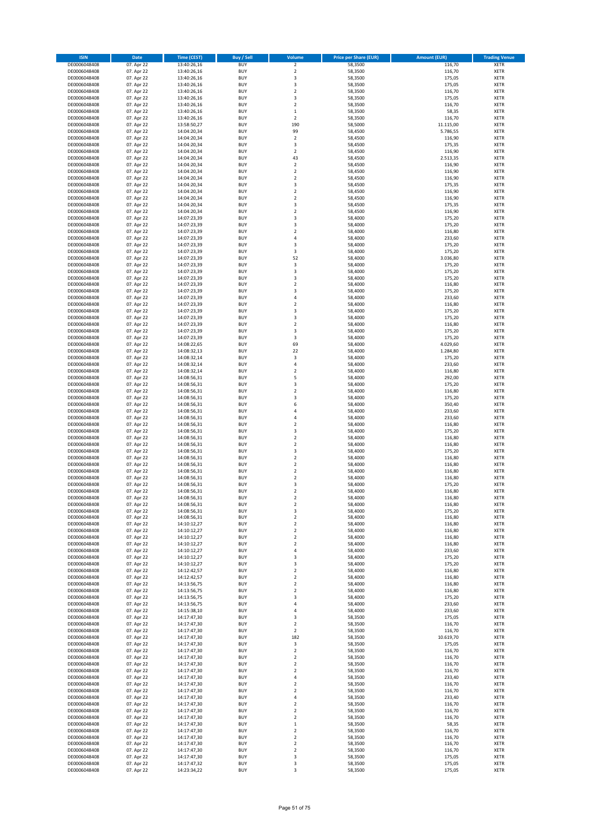| <b>ISIN</b>                  | Date                     | <b>Time (CEST)</b>         | Buy / Sell               | Volume                  | <b>Price per Share (EUR)</b> | <b>Amount (EUR)</b> | <b>Trading Venue</b> |
|------------------------------|--------------------------|----------------------------|--------------------------|-------------------------|------------------------------|---------------------|----------------------|
| DE0006048408                 | 07. Apr 22               | 13:40:26,16                | <b>BUY</b>               | $\mathbf 2$             | 58,3500                      | 116,70              | <b>XETR</b>          |
| DE0006048408                 | 07. Apr 22               | 13:40:26,16                | <b>BUY</b>               | $\overline{2}$          | 58,3500                      | 116,70              | XETR                 |
| DE0006048408                 | 07. Apr 22               | 13:40:26,16                | <b>BUY</b>               | 3                       | 58,3500                      | 175,05              | XETR                 |
| DE0006048408                 | 07. Apr 22               | 13:40:26,16                | <b>BUY</b>               | 3                       | 58,3500                      | 175,05              | <b>XETR</b>          |
| DE0006048408                 | 07. Apr 22               | 13:40:26,16                | <b>BUY</b>               | $\boldsymbol{2}$        | 58,3500                      | 116,70              | <b>XETR</b>          |
| DE0006048408                 | 07. Apr 22               | 13:40:26,16                | <b>BUY</b>               | 3                       | 58,3500                      | 175,05              | <b>XETR</b>          |
| DE0006048408                 | 07. Apr 22               | 13:40:26,16                | <b>BUY</b>               | $\overline{2}$          | 58,3500                      | 116,70              | <b>XETR</b>          |
| DE0006048408                 | 07. Apr 22               | 13:40:26,16                | <b>BUY</b>               | $\mathbf 1$             | 58,3500                      | 58,35               | <b>XETR</b>          |
| DE0006048408                 | 07. Apr 22               | 13:40:26,16                | <b>BUY</b>               | $\boldsymbol{2}$        | 58,3500                      | 116,70              | <b>XETR</b>          |
| DE0006048408                 | 07. Apr 22               | 13:58:50,27                | <b>BUY</b>               | 190                     | 58,5000                      | 11.115,00           | <b>XETR</b>          |
| DE0006048408                 | 07. Apr 22               | 14:04:20,34                | <b>BUY</b>               | 99                      | 58,4500                      | 5.786,55            | <b>XETR</b>          |
| DE0006048408                 | 07. Apr 22               | 14:04:20,34                | <b>BUY</b>               | $\overline{2}$          | 58,4500                      | 116,90              | <b>XETR</b>          |
| DE0006048408                 | 07. Apr 22               | 14:04:20,34                | <b>BUY</b>               | 3                       | 58,4500                      | 175,35              | XETR                 |
| DE0006048408                 | 07. Apr 22               | 14:04:20,34                | <b>BUY</b>               | $\overline{2}$          | 58,4500                      | 116,90              | <b>XETR</b>          |
| DE0006048408                 | 07. Apr 22               | 14:04:20,34                | <b>BUY</b>               | 43                      | 58,4500                      | 2.513,35            | XETR                 |
| DE0006048408                 | 07. Apr 22               | 14:04:20,34                | <b>BUY</b>               | $\overline{\mathbf{2}}$ | 58,4500                      | 116,90              | <b>XETR</b>          |
| DE0006048408                 | 07. Apr 22               | 14:04:20,34                | <b>BUY</b>               | $\boldsymbol{2}$        | 58,4500                      | 116,90              | <b>XETR</b>          |
| DE0006048408                 | 07. Apr 22               | 14:04:20,34                | <b>BUY</b>               | $\boldsymbol{2}$        | 58,4500                      | 116,90              | <b>XETR</b>          |
| DE0006048408                 | 07. Apr 22               | 14:04:20,34                | <b>BUY</b>               | 3                       | 58,4500                      | 175,35              | <b>XETR</b>          |
| DE0006048408                 | 07. Apr 22               | 14:04:20,34                | <b>BUY</b>               | $\mathbf 2$             | 58,4500                      | 116,90              | <b>XETR</b>          |
| DE0006048408                 | 07. Apr 22               | 14:04:20,34                | <b>BUY</b>               | $\overline{2}$          | 58,4500                      | 116,90              | <b>XETR</b>          |
| DE0006048408                 | 07. Apr 22               | 14:04:20,34                | <b>BUY</b>               | 3                       | 58,4500                      | 175,35              | <b>XETR</b>          |
| DE0006048408                 | 07. Apr 22               | 14:04:20,34                | <b>BUY</b>               | $\overline{2}$          | 58,4500                      | 116,90              | <b>XETR</b>          |
| DE0006048408                 | 07. Apr 22               | 14:07:23,39                | <b>BUY</b>               | 3                       | 58,4000                      | 175,20              | <b>XETR</b>          |
| DE0006048408                 | 07. Apr 22               | 14:07:23,39                | <b>BUY</b>               | 3                       | 58,4000                      | 175,20              | <b>XETR</b>          |
| DE0006048408                 | 07. Apr 22               | 14:07:23,39                | <b>BUY</b>               | $\overline{2}$          | 58,4000                      | 116,80              | <b>XETR</b>          |
| DE0006048408                 | 07. Apr 22               | 14:07:23,39                | <b>BUY</b>               | $\overline{4}$          | 58,4000                      | 233,60              | <b>XETR</b>          |
| DE0006048408                 | 07. Apr 22               | 14:07:23,39                | <b>BUY</b>               | 3                       | 58,4000                      | 175,20              | <b>XETR</b>          |
| DE0006048408                 | 07. Apr 22               | 14:07:23,39                | <b>BUY</b>               | 3                       | 58,4000                      | 175,20              | <b>XETR</b>          |
| DE0006048408                 | 07. Apr 22               | 14:07:23,39                | <b>BUY</b>               | 52                      | 58,4000                      | 3.036,80            | XETR                 |
| DE0006048408                 | 07. Apr 22               | 14:07:23,39                | <b>BUY</b>               | 3                       | 58,4000                      | 175,20              | <b>XETR</b>          |
| DE0006048408                 | 07. Apr 22               | 14:07:23,39                | <b>BUY</b>               | 3                       | 58,4000                      | 175,20              | XETR                 |
| DE0006048408                 | 07. Apr 22               | 14:07:23,39                | <b>BUY</b>               | 3                       | 58,4000                      | 175,20              | <b>XETR</b>          |
| DE0006048408                 | 07. Apr 22               | 14:07:23,39                | <b>BUY</b>               | $\boldsymbol{2}$        | 58,4000                      | 116,80              | XETR                 |
| DE0006048408                 | 07. Apr 22               | 14:07:23,39                | <b>BUY</b>               | 3                       | 58,4000                      | 175,20              | <b>XETR</b>          |
| DE0006048408                 | 07. Apr 22               | 14:07:23,39                | <b>BUY</b>               | $\sqrt{4}$              | 58,4000                      | 233,60              | XETR                 |
| DE0006048408                 | 07. Apr 22               | 14:07:23,39                | <b>BUY</b>               | $\overline{2}$          | 58,4000                      | 116,80              | <b>XETR</b>          |
| DE0006048408                 | 07. Apr 22               | 14:07:23,39                | <b>BUY</b>               | 3                       | 58,4000                      | 175,20              | XETR                 |
| DE0006048408                 | 07. Apr 22               | 14:07:23,39                | <b>BUY</b>               | 3                       | 58,4000                      | 175,20              | <b>XETR</b>          |
| DE0006048408                 | 07. Apr 22               | 14:07:23,39                | <b>BUY</b>               | $\mathbf 2$             | 58,4000                      | 116,80              | <b>XETR</b>          |
| DE0006048408                 | 07. Apr 22               | 14:07:23,39                | <b>BUY</b>               | 3                       | 58,4000                      | 175,20              | <b>XETR</b>          |
| DE0006048408                 | 07. Apr 22               | 14:07:23,39                | <b>BUY</b>               | 3                       | 58,4000                      | 175,20              | <b>XETR</b>          |
| DE0006048408                 | 07. Apr 22               | 14:08:22,65                | <b>BUY</b>               | 69                      | 58,4000                      | 4.029,60            | <b>XETR</b>          |
| DE0006048408                 | 07. Apr 22               | 14:08:32,13                | <b>BUY</b>               | 22                      | 58,4000                      | 1.284,80            | <b>XETR</b>          |
| DE0006048408                 | 07. Apr 22               | 14:08:32,14                | <b>BUY</b>               | 3                       | 58,4000                      | 175,20              | <b>XETR</b>          |
| DE0006048408                 | 07. Apr 22               | 14:08:32,14                | <b>BUY</b>               | 4                       | 58,4000                      | 233,60              | <b>XETR</b>          |
| DE0006048408                 | 07. Apr 22               | 14:08:32,14                | <b>BUY</b>               | $\boldsymbol{2}$        | 58,4000                      | 116,80              | <b>XETR</b>          |
| DE0006048408                 | 07. Apr 22               | 14:08:56,31                | <b>BUY</b>               | 5                       | 58,4000                      | 292,00              | <b>XETR</b>          |
| DE0006048408                 | 07. Apr 22               | 14:08:56,31                | <b>BUY</b>               | 3                       | 58,4000                      | 175,20              | <b>XETR</b>          |
| DE0006048408                 | 07. Apr 22               | 14:08:56,31                | <b>BUY</b>               | $\boldsymbol{2}$        | 58,4000                      | 116,80              | <b>XETR</b>          |
| DE0006048408                 | 07. Apr 22               | 14:08:56,31                | <b>BUY</b>               | 3                       | 58,4000                      | 175,20              | <b>XETR</b>          |
| DE0006048408                 | 07. Apr 22               | 14:08:56,31                | <b>BUY</b>               | 6                       | 58,4000                      | 350,40              | <b>XETR</b>          |
| DE0006048408                 | 07. Apr 22               | 14:08:56,31                | <b>BUY</b>               | 4                       | 58,4000                      | 233,60              | <b>XETR</b>          |
| DE0006048408                 | 07. Apr 22               | 14:08:56,31                | <b>BUY</b>               | $\sqrt{4}$              | 58,4000                      | 233,60              | <b>XETR</b>          |
| DE0006048408                 | 07. Apr 22               | 14:08:56,31                | <b>BUY</b>               | $\boldsymbol{2}$        | 58,4000                      | 116,80              | <b>XETR</b>          |
| DE0006048408                 | 07. Apr 22               | 14:08:56,31                | <b>BUY</b>               | 3                       | 58,4000                      | 175,20              | <b>XETR</b>          |
| DE0006048408                 | 07. Apr 22               | 14:08:56,31                | <b>BUY</b>               | $\mathbf 2$             | 58,4000                      | 116,80              | <b>XETR</b>          |
| DE0006048408                 | 07. Apr 22               | 14:08:56,31                | <b>BUY</b>               | $\overline{2}$          | 58,4000                      | 116,80              | <b>XETR</b>          |
| DE0006048408                 | 07. Apr 22               | 14:08:56,31                | <b>BUY</b>               | 3                       | 58,4000                      | 175,20              | XETR                 |
| DE0006048408                 | 07. Apr 22               | 14:08:56,31                | <b>BUY</b>               | $\overline{2}$          | 58,4000                      | 116,80              | <b>XETR</b>          |
| DE0006048408                 | 07. Apr 22               | 14:08:56,31                | <b>BUY</b>               | $\boldsymbol{2}$        | 58,4000                      | 116,80              | XETR                 |
| DE0006048408                 | 07. Apr 22               | 14:08:56,31                | <b>BUY</b>               | $\overline{2}$          | 58,4000                      | 116,80              | <b>XETR</b>          |
| DE0006048408                 | 07. Apr 22               | 14:08:56,31                | <b>BUY</b>               | $\overline{\mathbf{2}}$ | 58,4000                      | 116,80              | <b>XETR</b>          |
| DE0006048408                 | 07. Apr 22               | 14:08:56,31                | <b>BUY</b>               | 3                       | 58,4000                      | 175,20              | <b>XETR</b>          |
| DE0006048408                 | 07. Apr 22               | 14:08:56,31                | <b>BUY</b>               | $\overline{2}$          | 58,4000                      | 116,80              | <b>XETR</b>          |
| DE0006048408                 | 07. Apr 22               | 14:08:56,31                | <b>BUY</b>               | $\overline{\mathbf{2}}$ | 58,4000                      | 116,80              | <b>XETR</b>          |
| DE0006048408                 | 07. Apr 22               | 14:08:56,31                | <b>BUY</b>               | $\overline{\mathbf{2}}$ | 58,4000                      | 116,80              | <b>XETR</b>          |
| DE0006048408                 | 07. Apr 22               | 14:08:56,31                | <b>BUY</b>               | 3                       | 58,4000                      | 175,20              | XETR                 |
| DE0006048408                 | 07. Apr 22               | 14:08:56,31                | <b>BUY</b>               | $\boldsymbol{2}$        | 58,4000                      | 116,80              | XETR                 |
| DE0006048408                 | 07. Apr 22               | 14:10:12,27                | <b>BUY</b>               | $\mathbf 2$             | 58,4000                      | 116,80              | <b>XETR</b>          |
| DE0006048408                 | 07. Apr 22               | 14:10:12,27                | <b>BUY</b>               | $\mathbf 2$             | 58,4000                      | 116,80              | XETR                 |
| DE0006048408                 | 07. Apr 22               | 14:10:12,27                | <b>BUY</b>               | $\boldsymbol{2}$        | 58,4000                      | 116,80              | <b>XETR</b>          |
| DE0006048408                 | 07. Apr 22               | 14:10:12,27                | <b>BUY</b>               | $\overline{2}$          | 58,4000                      | 116,80              | <b>XETR</b>          |
| DE0006048408                 | 07. Apr 22               | 14:10:12,27                | <b>BUY</b>               | 4                       | 58,4000                      | 233,60              | <b>XETR</b>          |
| DE0006048408                 | 07. Apr 22               | 14:10:12,27                | <b>BUY</b>               | 3                       | 58,4000                      | 175,20              | XETR                 |
| DE0006048408<br>DE0006048408 | 07. Apr 22               | 14:10:12,27<br>14:12:42,57 | <b>BUY</b><br><b>BUY</b> | 3<br>$\overline{2}$     | 58,4000                      | 175,20              | <b>XETR</b>          |
| DE0006048408                 | 07. Apr 22<br>07. Apr 22 | 14:12:42,57                | <b>BUY</b>               | $\mathbf 2$             | 58,4000<br>58,4000           | 116,80<br>116,80    | XETR<br><b>XETR</b>  |
| DE0006048408                 | 07. Apr 22               | 14:13:56,75                | <b>BUY</b>               | $\mathbf 2$             | 58,4000                      | 116,80              | XETR                 |
| DE0006048408                 | 07. Apr 22               | 14:13:56,75                | <b>BUY</b>               | $\boldsymbol{2}$        | 58,4000                      | 116,80              | <b>XETR</b>          |
| DE0006048408                 | 07. Apr 22               | 14:13:56,75                | <b>BUY</b>               | 3                       | 58,4000                      | 175,20              | <b>XETR</b>          |
| DE0006048408                 | 07. Apr 22               | 14:13:56,75                | <b>BUY</b>               | 4                       | 58,4000                      | 233,60              | <b>XETR</b>          |
| DE0006048408                 | 07. Apr 22               | 14:15:38,10                | <b>BUY</b>               | 4                       | 58,4000                      | 233,60              | <b>XETR</b>          |
| DE0006048408                 | 07. Apr 22               | 14:17:47,30                | <b>BUY</b>               | 3                       | 58,3500                      | 175,05              | <b>XETR</b>          |
| DE0006048408                 | 07. Apr 22               | 14:17:47,30                | <b>BUY</b>               | $\overline{2}$          | 58,3500                      | 116,70              | <b>XETR</b>          |
| DE0006048408                 | 07. Apr 22               | 14:17:47,30                | <b>BUY</b>               | $\overline{2}$          | 58,3500                      | 116,70              | <b>XETR</b>          |
| DE0006048408                 | 07. Apr 22               | 14:17:47,30                | <b>BUY</b>               | 182                     | 58,3500                      | 10.619,70           | <b>XETR</b>          |
| DE0006048408                 | 07. Apr 22               | 14:17:47,30                | <b>BUY</b>               | 3                       | 58,3500                      | 175,05              | XETR                 |
| DE0006048408                 | 07. Apr 22               | 14:17:47,30                | <b>BUY</b>               | $\overline{2}$          | 58,3500                      | 116,70              | <b>XETR</b>          |
| DE0006048408                 | 07. Apr 22               | 14:17:47,30                | <b>BUY</b>               | $\boldsymbol{2}$        | 58,3500                      | 116,70              | <b>XETR</b>          |
| DE0006048408                 | 07. Apr 22               | 14:17:47,30                | <b>BUY</b>               | $\overline{2}$          | 58,3500                      | 116,70              | <b>XETR</b>          |
| DE0006048408                 | 07. Apr 22               | 14:17:47,30                | <b>BUY</b>               | $\overline{\mathbf{2}}$ | 58,3500                      | 116,70              | XETR                 |
| DE0006048408                 | 07. Apr 22               | 14:17:47,30                | <b>BUY</b>               | 4                       | 58,3500                      | 233,40              | <b>XETR</b>          |
| DE0006048408                 | 07. Apr 22               | 14:17:47,30                | <b>BUY</b>               | $\overline{\mathbf{2}}$ | 58,3500                      | 116,70              | <b>XETR</b>          |
| DE0006048408                 | 07. Apr 22               | 14:17:47,30                | <b>BUY</b>               | $\overline{2}$          | 58,3500                      | 116,70              | <b>XETR</b>          |
| DE0006048408                 | 07. Apr 22               | 14:17:47,30                | <b>BUY</b>               | 4                       | 58,3500                      | 233,40              | XETR                 |
| DE0006048408                 | 07. Apr 22               | 14:17:47,30                | <b>BUY</b>               | $\overline{\mathbf{2}}$ | 58,3500                      | 116,70              | <b>XETR</b>          |
| DE0006048408                 | 07. Apr 22               | 14:17:47,30                | <b>BUY</b>               | $\boldsymbol{2}$        | 58,3500                      | 116,70              | XETR                 |
| DE0006048408                 | 07. Apr 22               | 14:17:47,30                | <b>BUY</b>               | $\overline{\mathbf{2}}$ | 58,3500                      | 116,70              | <b>XETR</b>          |
| DE0006048408                 | 07. Apr 22               | 14:17:47,30                | <b>BUY</b>               | $\,$ 1                  | 58,3500                      | 58,35               | <b>XETR</b>          |
| DE0006048408                 | 07. Apr 22               | 14:17:47,30                | <b>BUY</b>               | $\overline{\mathbf{2}}$ | 58,3500                      | 116,70              | <b>XETR</b>          |
| DE0006048408                 | 07. Apr 22               | 14:17:47,30                | <b>BUY</b>               | $\boldsymbol{2}$        | 58,3500                      | 116,70              | XETR                 |
| DE0006048408                 | 07. Apr 22               | 14:17:47,30                | <b>BUY</b>               | $\mathbf 2$             | 58,3500                      | 116,70              | <b>XETR</b>          |
| DE0006048408                 | 07. Apr 22               | 14:17:47,30                | <b>BUY</b>               | $\mathbf 2$             | 58,3500                      | 116,70              | XETR                 |
| DE0006048408                 | 07. Apr 22               | 14:17:47,30                | <b>BUY</b>               | 3                       | 58,3500                      | 175,05              | <b>XETR</b>          |
| DE0006048408                 | 07. Apr 22               | 14:17:47,32                | <b>BUY</b>               | 3                       | 58,3500                      | 175,05              | XETR                 |
| DE0006048408                 | 07. Apr 22               | 14:23:34,22                | <b>BUY</b>               | 3                       | 58,3500                      | 175,05              | <b>XETR</b>          |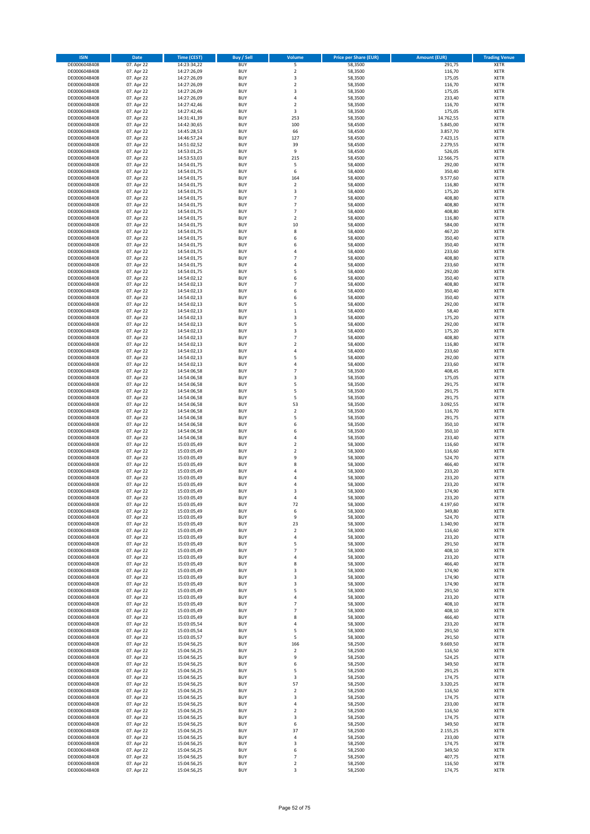| <b>ISIN</b>                  | Date                     | <b>Time (CEST)</b>         | Buy / Sell               | Volume                   | <b>Price per Share (EUR)</b> | <b>Amount (EUR)</b> | <b>Trading Venue</b>       |
|------------------------------|--------------------------|----------------------------|--------------------------|--------------------------|------------------------------|---------------------|----------------------------|
| DE0006048408                 | 07. Apr 22               | 14:23:34,22                | <b>BUY</b>               | 5                        | 58,3500                      | 291,75              | <b>XETR</b>                |
| DE0006048408                 | 07. Apr 22               | 14:27:26,09                | <b>BUY</b>               | $\overline{2}$           | 58,3500                      | 116,70              | XETR                       |
| DE0006048408                 | 07. Apr 22               | 14:27:26,09                | <b>BUY</b>               | 3                        | 58,3500                      | 175,05              | XETR                       |
| DE0006048408                 | 07. Apr 22               | 14:27:26,09                | <b>BUY</b>               | $\overline{\mathbf{c}}$  | 58,3500                      | 116,70              | <b>XETR</b>                |
| DE0006048408                 | 07. Apr 22               | 14:27:26,09                | <b>BUY</b>               | 3                        | 58,3500                      | 175,05              | <b>XETR</b>                |
| DE0006048408                 | 07. Apr 22               | 14:27:26,09                | <b>BUY</b>               | $\sqrt{4}$               | 58,3500                      | 233,40              | <b>XETR</b>                |
| DE0006048408                 | 07. Apr 22               | 14:27:42,46<br>14:27:42.46 | <b>BUY</b>               | $\overline{\mathbf{c}}$  | 58,3500                      | 116,70              | <b>XETR</b>                |
| DE0006048408<br>DE0006048408 | 07. Apr 22<br>07. Apr 22 | 14:31:41,39                | <b>BUY</b><br><b>BUY</b> | 3<br>253                 | 58,3500<br>58,3500           | 175,05<br>14.762,55 | <b>XETR</b><br><b>XETR</b> |
| DE0006048408                 | 07. Apr 22               | 14:42:30,65                | <b>BUY</b>               | 100                      | 58,4500                      | 5.845,00            | <b>XETR</b>                |
| DE0006048408                 | 07. Apr 22               | 14:45:28,53                | <b>BUY</b>               | 66                       | 58,4500                      | 3.857,70            | <b>XETR</b>                |
| DE0006048408                 | 07. Apr 22               | 14:46:57,24                | <b>BUY</b>               | 127                      | 58,4500                      | 7.423,15            | <b>XETR</b>                |
| DE0006048408                 | 07. Apr 22               | 14:51:02,52                | <b>BUY</b>               | 39                       | 58,4500                      | 2.279,55            | XETR                       |
| DE0006048408                 | 07. Apr 22               | 14:53:01,25                | <b>BUY</b>               | 9                        | 58,4500                      | 526,05              | <b>XETR</b>                |
| DE0006048408                 | 07. Apr 22               | 14:53:53,03                | <b>BUY</b>               | 215                      | 58,4500                      | 12.566,75           | XETR                       |
| DE0006048408                 | 07. Apr 22               | 14:54:01,75                | <b>BUY</b>               | 5                        | 58,4000                      | 292,00              | <b>XETR</b>                |
| DE0006048408                 | 07. Apr 22               | 14:54:01,75                | <b>BUY</b>               | 6                        | 58,4000                      | 350,40              | <b>XETR</b>                |
| DE0006048408                 | 07. Apr 22               | 14:54:01,75                | <b>BUY</b>               | 164                      | 58,4000                      | 9.577,60            | <b>XETR</b>                |
| DE0006048408                 | 07. Apr 22<br>07. Apr 22 | 14:54:01,75<br>14:54:01,75 | <b>BUY</b><br><b>BUY</b> | $\boldsymbol{2}$<br>3    | 58,4000                      | 116,80              | <b>XETR</b>                |
| DE0006048408<br>DE0006048408 | 07. Apr 22               | 14:54:01,75                | <b>BUY</b>               | $\overline{7}$           | 58,4000<br>58,4000           | 175,20<br>408,80    | <b>XETR</b><br><b>XETR</b> |
| DE0006048408                 | 07. Apr 22               | 14:54:01,75                | <b>BUY</b>               | $\overline{7}$           | 58,4000                      | 408,80              | <b>XETR</b>                |
| DE0006048408                 | 07. Apr 22               | 14:54:01,75                | <b>BUY</b>               | $\overline{7}$           | 58,4000                      | 408,80              | <b>XETR</b>                |
| DE0006048408                 | 07. Apr 22               | 14:54:01,75                | <b>BUY</b>               | $\mathbf 2$              | 58,4000                      | 116,80              | <b>XETR</b>                |
| DE0006048408                 | 07. Apr 22               | 14:54:01,75                | <b>BUY</b>               | 10                       | 58,4000                      | 584,00              | <b>XETR</b>                |
| DE0006048408                 | 07. Apr 22               | 14:54:01,75                | <b>BUY</b>               | 8                        | 58,4000                      | 467,20              | <b>XETR</b>                |
| DE0006048408                 | 07. Apr 22               | 14:54:01,75                | <b>BUY</b>               | 6                        | 58,4000                      | 350,40              | <b>XETR</b>                |
| DE0006048408                 | 07. Apr 22               | 14:54:01,75                | <b>BUY</b>               | 6                        | 58,4000                      | 350,40              | <b>XETR</b>                |
| DE0006048408                 | 07. Apr 22               | 14:54:01,75                | <b>BUY</b>               | 4<br>$\overline{7}$      | 58,4000                      | 233,60              | <b>XETR</b>                |
| DE0006048408<br>DE0006048408 | 07. Apr 22<br>07. Apr 22 | 14:54:01,75<br>14:54:01,75 | <b>BUY</b><br><b>BUY</b> | $\sqrt{4}$               | 58,4000<br>58,4000           | 408,80<br>233,60    | XETR<br><b>XETR</b>        |
| DE0006048408                 | 07. Apr 22               | 14:54:01,75                | <b>BUY</b>               | 5                        | 58,4000                      | 292,00              | XETR                       |
| DE0006048408                 | 07. Apr 22               | 14:54:02,12                | <b>BUY</b>               | 6                        | 58,4000                      | 350,40              | <b>XETR</b>                |
| DE0006048408                 | 07. Apr 22               | 14:54:02,13                | <b>BUY</b>               | $\overline{7}$           | 58,4000                      | 408,80              | XETR                       |
| DE0006048408                 | 07. Apr 22               | 14:54:02,13                | <b>BUY</b>               | 6                        | 58,4000                      | 350,40              | <b>XETR</b>                |
| DE0006048408                 | 07. Apr 22               | 14:54:02,13                | <b>BUY</b>               | 6                        | 58,4000                      | 350,40              | XETR                       |
| DE0006048408                 | 07. Apr 22               | 14:54:02,13                | <b>BUY</b>               | 5                        | 58,4000                      | 292,00              | <b>XETR</b>                |
| DE0006048408                 | 07. Apr 22               | 14:54:02,13                | <b>BUY</b>               | $\,1\,$                  | 58,4000                      | 58,40               | XETR                       |
| DE0006048408                 | 07. Apr 22               | 14:54:02,13                | <b>BUY</b>               | 3                        | 58,4000                      | 175,20              | <b>XETR</b>                |
| DE0006048408<br>DE0006048408 | 07. Apr 22<br>07. Apr 22 | 14:54:02,13<br>14:54:02,13 | <b>BUY</b><br><b>BUY</b> | 5<br>3                   | 58,4000<br>58,4000           | 292,00              | <b>XETR</b><br><b>XETR</b> |
| DE0006048408                 | 07. Apr 22               | 14:54:02,13                | <b>BUY</b>               | $\overline{7}$           | 58,4000                      | 175,20<br>408,80    | <b>XETR</b>                |
| DE0006048408                 | 07. Apr 22               | 14:54:02,13                | <b>BUY</b>               | $\overline{2}$           | 58,4000                      | 116,80              | <b>XETR</b>                |
| DE0006048408                 | 07. Apr 22               | 14:54:02,13                | <b>BUY</b>               | $\overline{4}$           | 58,4000                      | 233,60              | <b>XETR</b>                |
| DE0006048408                 | 07. Apr 22               | 14:54:02,13                | <b>BUY</b>               | 5                        | 58,4000                      | 292,00              | <b>XETR</b>                |
| DE0006048408                 | 07. Apr 22               | 14:54:02,13                | <b>BUY</b>               | $\sqrt{4}$               | 58,4000                      | 233,60              | <b>XETR</b>                |
| DE0006048408                 | 07. Apr 22               | 14:54:06,58                | <b>BUY</b>               | $\overline{7}$           | 58,3500                      | 408,45              | <b>XETR</b>                |
| DE0006048408                 | 07. Apr 22               | 14:54:06,58                | <b>BUY</b>               | 3                        | 58,3500                      | 175,05              | <b>XETR</b>                |
| DE0006048408                 | 07. Apr 22               | 14:54:06,58                | <b>BUY</b>               | 5                        | 58,3500                      | 291,75              | <b>XETR</b>                |
| DE0006048408                 | 07. Apr 22               | 14:54:06,58                | <b>BUY</b>               | 5                        | 58,3500                      | 291,75              | <b>XETR</b>                |
| DE0006048408<br>DE0006048408 | 07. Apr 22<br>07. Apr 22 | 14:54:06,58<br>14:54:06,58 | <b>BUY</b><br><b>BUY</b> | 5<br>53                  | 58,3500<br>58,3500           | 291,75<br>3.092,55  | <b>XETR</b><br><b>XETR</b> |
| DE0006048408                 | 07. Apr 22               | 14:54:06,58                | <b>BUY</b>               | $\mathbf 2$              | 58,3500                      | 116,70              | <b>XETR</b>                |
| DE0006048408                 | 07. Apr 22               | 14:54:06,58                | <b>BUY</b>               | 5                        | 58,3500                      | 291,75              | <b>XETR</b>                |
| DE0006048408                 | 07. Apr 22               | 14:54:06,58                | <b>BUY</b>               | 6                        | 58,3500                      | 350,10              | <b>XETR</b>                |
| DE0006048408                 | 07. Apr 22               | 14:54:06,58                | <b>BUY</b>               | 6                        | 58,3500                      | 350,10              | <b>XETR</b>                |
| DE0006048408                 | 07. Apr 22               | 14:54:06,58                | <b>BUY</b>               | $\sqrt{4}$               | 58,3500                      | 233,40              | <b>XETR</b>                |
| DE0006048408                 | 07. Apr 22               | 15:03:05,49                | <b>BUY</b>               | $\overline{2}$           | 58,3000                      | 116,60              | <b>XETR</b>                |
| DE0006048408                 | 07. Apr 22               | 15:03:05,49                | <b>BUY</b>               | $\boldsymbol{2}$         | 58,3000                      | 116,60              | XETR                       |
| DE0006048408                 | 07. Apr 22               | 15:03:05,49                | <b>BUY</b>               | 9                        | 58,3000                      | 524,70              | <b>XETR</b>                |
| DE0006048408<br>DE0006048408 | 07. Apr 22               | 15:03:05,49                | <b>BUY</b><br><b>BUY</b> | 8<br>4                   | 58,3000<br>58,3000           | 466,40<br>233,20    | XETR<br><b>XETR</b>        |
| DE0006048408                 | 07. Apr 22<br>07. Apr 22 | 15:03:05,49<br>15:03:05,49 | <b>BUY</b>               | 4                        | 58,3000                      | 233,20              | XETR                       |
| DE0006048408                 | 07. Apr 22               | 15:03:05,49                | <b>BUY</b>               | 4                        | 58,3000                      | 233,20              | <b>XETR</b>                |
| DE0006048408                 | 07. Apr 22               | 15:03:05,49                | <b>BUY</b>               | 3                        | 58,3000                      | 174,90              | <b>XETR</b>                |
| DE0006048408                 | 07. Apr 22               | 15:03:05,49                | <b>BUY</b>               | 4                        | 58,3000                      | 233,20              | <b>XETR</b>                |
| DE0006048408                 | 07. Apr 22               | 15:03:05,49                | <b>BUY</b>               | 72                       | 58,3000                      | 4.197,60            | <b>XETR</b>                |
| DE0006048408                 | 07. Apr 22               | 15:03:05,49                | <b>BUY</b>               | 6                        | 58,3000                      | 349,80              | XETR                       |
| DE0006048408                 | 07. Apr 22               | 15:03:05,49                | <b>BUY</b>               | 9                        | 58,3000                      | 524,70              | XETR                       |
| DE0006048408                 | 07. Apr 22               | 15:03:05,49                | <b>BUY</b>               | 23                       | 58,3000                      | 1.340,90            | <b>XETR</b>                |
| DE0006048408<br>DE0006048408 | 07. Apr 22<br>07. Apr 22 | 15:03:05,49<br>15:03:05,49 | <b>BUY</b><br><b>BUY</b> | $\boldsymbol{2}$<br>4    | 58,3000<br>58,3000           | 116,60<br>233,20    | XETR<br><b>XETR</b>        |
| DE0006048408                 | 07. Apr 22               | 15:03:05,49                | <b>BUY</b>               | 5                        | 58,3000                      | 291,50              | <b>XETR</b>                |
| DE0006048408                 | 07. Apr 22               | 15:03:05,49                | <b>BUY</b>               | $\overline{7}$           | 58,3000                      | 408,10              | <b>XETR</b>                |
| DE0006048408                 | 07. Apr 22               | 15:03:05,49                | <b>BUY</b>               | $\sqrt{4}$               | 58,3000                      | 233,20              | <b>XETR</b>                |
| DE0006048408                 | 07. Apr 22               | 15:03:05,49                | <b>BUY</b>               | 8                        | 58,3000                      | 466,40              | <b>XETR</b>                |
| DE0006048408                 | 07. Apr 22               | 15:03:05,49                | <b>BUY</b>               | 3                        | 58,3000                      | 174,90              | XETR                       |
| DE0006048408                 | 07. Apr 22               | 15:03:05,49                | <b>BUY</b>               | 3                        | 58,3000                      | 174,90              | <b>XETR</b>                |
| DE0006048408                 | 07. Apr 22               | 15:03:05,49                | <b>BUY</b>               | 3                        | 58,3000                      | 174,90              | XETR                       |
| DE0006048408<br>DE0006048408 | 07. Apr 22<br>07. Apr 22 | 15:03:05,49<br>15:03:05,49 | <b>BUY</b><br><b>BUY</b> | 5<br>$\sqrt{4}$          | 58,3000<br>58,3000           | 291,50<br>233,20    | <b>XETR</b><br><b>XETR</b> |
| DE0006048408                 | 07. Apr 22               | 15:03:05,49                | <b>BUY</b>               | $\overline{\phantom{a}}$ | 58,3000                      | 408,10              | <b>XETR</b>                |
| DE0006048408                 | 07. Apr 22               | 15:03:05,49                | <b>BUY</b>               | $\overline{7}$           | 58,3000                      | 408,10              | <b>XETR</b>                |
| DE0006048408                 | 07. Apr 22               | 15:03:05,49                | <b>BUY</b>               | 8                        | 58,3000                      | 466,40              | <b>XETR</b>                |
| DE0006048408                 | 07. Apr 22               | 15:03:05,54                | <b>BUY</b>               | 4                        | 58,3000                      | 233,20              | <b>XETR</b>                |
| DE0006048408                 | 07. Apr 22               | 15:03:05,54                | <b>BUY</b>               | 5                        | 58,3000                      | 291,50              | <b>XETR</b>                |
| DE0006048408                 | 07. Apr 22               | 15:03:05,57                | <b>BUY</b>               | 5                        | 58,3000                      | 291,50              | <b>XETR</b>                |
| DE0006048408                 | 07. Apr 22               | 15:04:56,25                | <b>BUY</b>               | 166                      | 58,2500                      | 9.669,50            | XETR                       |
| DE0006048408<br>DE0006048408 | 07. Apr 22<br>07. Apr 22 | 15:04:56,25<br>15:04:56,25 | <b>BUY</b><br><b>BUY</b> | $\overline{2}$<br>9      | 58,2500<br>58,2500           | 116,50<br>524,25    | <b>XETR</b><br>XETR        |
| DE0006048408                 | 07. Apr 22               | 15:04:56,25                | <b>BUY</b>               | 6                        | 58,2500                      | 349,50              | <b>XETR</b>                |
| DE0006048408                 | 07. Apr 22               | 15:04:56,25                | <b>BUY</b>               | 5                        | 58,2500                      | 291,25              | XETR                       |
| DE0006048408                 | 07. Apr 22               | 15:04:56,25                | <b>BUY</b>               | 3                        | 58,2500                      | 174,75              | <b>XETR</b>                |
| DE0006048408                 | 07. Apr 22               | 15:04:56,25                | <b>BUY</b>               | 57                       | 58,2500                      | 3.320,25            | <b>XETR</b>                |
| DE0006048408                 | 07. Apr 22               | 15:04:56,25                | <b>BUY</b>               | $\overline{2}$           | 58,2500                      | 116,50              | <b>XETR</b>                |
| DE0006048408                 | 07. Apr 22               | 15:04:56,25                | <b>BUY</b>               | 3                        | 58,2500                      | 174,75              | XETR                       |
| DE0006048408                 | 07. Apr 22               | 15:04:56,25                | <b>BUY</b>               | 4                        | 58,2500                      | 233,00              | <b>XETR</b>                |
| DE0006048408                 | 07. Apr 22               | 15:04:56,25                | <b>BUY</b>               | $\overline{\mathbf{2}}$  | 58,2500                      | 116,50              | XETR                       |
| DE0006048408                 | 07. Apr 22               | 15:04:56,25                | <b>BUY</b>               | 3                        | 58,2500                      | 174,75              | <b>XETR</b>                |
| DE0006048408<br>DE0006048408 | 07. Apr 22<br>07. Apr 22 | 15:04:56,25<br>15:04:56,25 | <b>BUY</b><br><b>BUY</b> | 6<br>37                  | 58,2500<br>58,2500           | 349,50<br>2.155,25  | <b>XETR</b><br><b>XETR</b> |
| DE0006048408                 | 07. Apr 22               | 15:04:56,25                | <b>BUY</b>               | $\sqrt{4}$               | 58,2500                      | 233,00              | XETR                       |
| DE0006048408                 | 07. Apr 22               | 15:04:56,25                | <b>BUY</b>               | 3                        | 58,2500                      | 174,75              | <b>XETR</b>                |
| DE0006048408                 | 07. Apr 22               | 15:04:56,25                | <b>BUY</b>               | 6                        | 58,2500                      | 349,50              | XETR                       |
| DE0006048408                 | 07. Apr 22               | 15:04:56,25                | <b>BUY</b>               | $\overline{\phantom{a}}$ | 58,2500                      | 407,75              | <b>XETR</b>                |
| DE0006048408                 | 07. Apr 22               | 15:04:56,25                | <b>BUY</b>               | $\boldsymbol{2}$         | 58,2500                      | 116,50              | XETR                       |
| DE0006048408                 | 07. Apr 22               | 15:04:56,25                | <b>BUY</b>               | 3                        | 58,2500                      | 174,75              | <b>XETR</b>                |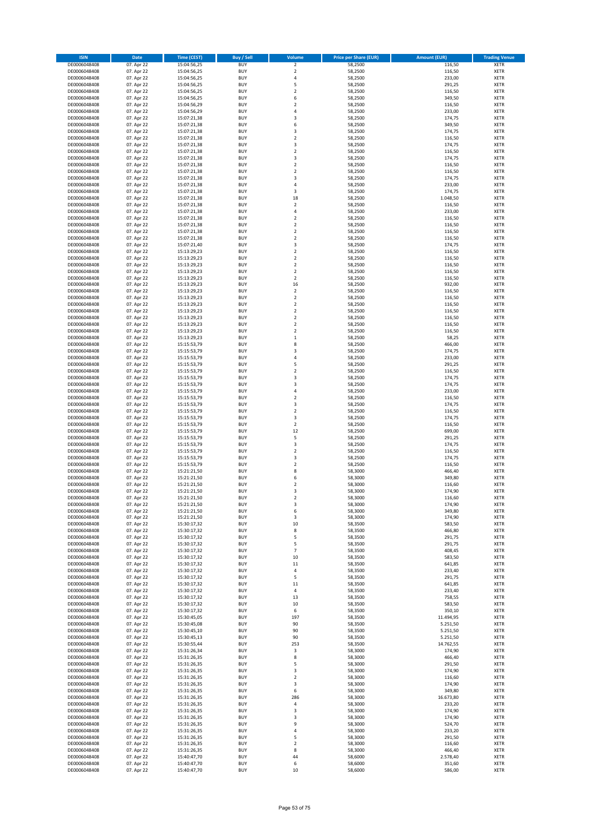| <b>ISIN</b>                  | Date                     | <b>Time (CEST)</b>         | Buy / Sell               | Volume                             | <b>Price per Share (EUR)</b> | <b>Amount (EUR)</b>   | <b>Trading Venue</b>       |
|------------------------------|--------------------------|----------------------------|--------------------------|------------------------------------|------------------------------|-----------------------|----------------------------|
| DE0006048408                 | 07. Apr 22               | 15:04:56,25                | <b>BUY</b>               | $\mathbf 2$                        | 58,2500                      | 116,50                | <b>XETR</b>                |
| DE0006048408                 | 07. Apr 22               | 15:04:56,25                | <b>BUY</b>               | $\overline{2}$                     | 58,2500                      | 116,50                | <b>XETR</b>                |
| DE0006048408                 | 07. Apr 22               | 15:04:56,25                | <b>BUY</b>               | $\sqrt{4}$                         | 58,2500                      | 233,00                | XETR                       |
| DE0006048408                 | 07. Apr 22               | 15:04:56,25                | <b>BUY</b>               | 5                                  | 58,2500                      | 291,25                | <b>XETR</b>                |
| DE0006048408<br>DE0006048408 | 07. Apr 22<br>07. Apr 22 | 15:04:56,25<br>15:04:56,25 | <b>BUY</b><br><b>BUY</b> | $\boldsymbol{2}$<br>6              | 58,2500<br>58,2500           | 116,50<br>349,50      | <b>XETR</b><br><b>XETR</b> |
| DE0006048408                 | 07. Apr 22               | 15:04:56,29                | <b>BUY</b>               | $\overline{2}$                     | 58,2500                      | 116,50                | <b>XETR</b>                |
| DE0006048408                 | 07. Apr 22               | 15:04:56,29                | <b>BUY</b>               | $\overline{4}$                     | 58,2500                      | 233,00                | <b>XETR</b>                |
| DE0006048408                 | 07. Apr 22               | 15:07:21,38                | <b>BUY</b>               | 3                                  | 58,2500                      | 174,75                | <b>XETR</b>                |
| DE0006048408                 | 07. Apr 22               | 15:07:21,38                | <b>BUY</b>               | 6                                  | 58,2500                      | 349,50                | <b>XETR</b>                |
| DE0006048408                 | 07. Apr 22               | 15:07:21,38                | <b>BUY</b><br><b>BUY</b> | 3<br>$\overline{2}$                | 58,2500<br>58,2500           | 174,75<br>116,50      | <b>XETR</b><br><b>XETR</b> |
| DE0006048408<br>DE0006048408 | 07. Apr 22<br>07. Apr 22 | 15:07:21,38<br>15:07:21,38 | <b>BUY</b>               | 3                                  | 58,2500                      | 174,75                | XETR                       |
| DE0006048408                 | 07. Apr 22               | 15:07:21,38                | <b>BUY</b>               | $\overline{2}$                     | 58,2500                      | 116,50                | <b>XETR</b>                |
| DE0006048408                 | 07. Apr 22               | 15:07:21,38                | <b>BUY</b>               | 3                                  | 58,2500                      | 174,75                | <b>XETR</b>                |
| DE0006048408                 | 07. Apr 22               | 15:07:21,38                | <b>BUY</b>               | $\boldsymbol{2}$                   | 58,2500                      | 116,50                | <b>XETR</b>                |
| DE0006048408                 | 07. Apr 22               | 15:07:21,38                | <b>BUY</b>               | $\overline{2}$                     | 58,2500                      | 116,50                | <b>XETR</b>                |
| DE0006048408<br>DE0006048408 | 07. Apr 22<br>07. Apr 22 | 15:07:21,38<br>15:07:21,38 | <b>BUY</b><br><b>BUY</b> | 3<br>$\overline{4}$                | 58,2500<br>58,2500           | 174,75<br>233,00      | <b>XETR</b><br><b>XETR</b> |
| DE0006048408                 | 07. Apr 22               | 15:07:21,38                | <b>BUY</b>               | 3                                  | 58,2500                      | 174,75                | <b>XETR</b>                |
| DE0006048408                 | 07. Apr 22               | 15:07:21,38                | <b>BUY</b>               | 18                                 | 58,2500                      | 1.048,50              | <b>XETR</b>                |
| DE0006048408                 | 07. Apr 22               | 15:07:21,38                | <b>BUY</b>               | $\overline{2}$                     | 58,2500                      | 116,50                | <b>XETR</b>                |
| DE0006048408                 | 07. Apr 22               | 15:07:21,38                | <b>BUY</b>               | $\overline{4}$                     | 58,2500                      | 233,00                | <b>XETR</b>                |
| DE0006048408                 | 07. Apr 22               | 15:07:21,38                | <b>BUY</b>               | $\mathbf 2$                        | 58,2500                      | 116,50                | <b>XETR</b>                |
| DE0006048408                 | 07. Apr 22               | 15:07:21,38                | <b>BUY</b><br><b>BUY</b> | $\overline{2}$<br>$\overline{2}$   | 58,2500                      | 116,50                | <b>XETR</b>                |
| DE0006048408<br>DE0006048408 | 07. Apr 22<br>07. Apr 22 | 15:07:21,38<br>15:07:21,38 | <b>BUY</b>               | $\overline{2}$                     | 58,2500<br>58,2500           | 116,50<br>116,50      | <b>XETR</b><br><b>XETR</b> |
| DE0006048408                 | 07. Apr 22               | 15:07:21,40                | <b>BUY</b>               | 3                                  | 58,2500                      | 174,75                | <b>XETR</b>                |
| DE0006048408                 | 07. Apr 22               | 15:13:29,23                | <b>BUY</b>               | $\overline{2}$                     | 58,2500                      | 116,50                | <b>XETR</b>                |
| DE0006048408                 | 07. Apr 22               | 15:13:29,23                | <b>BUY</b>               | $\boldsymbol{2}$                   | 58,2500                      | 116,50                | XETR                       |
| DE0006048408                 | 07. Apr 22               | 15:13:29,23                | <b>BUY</b>               | $\overline{2}$                     | 58,2500                      | 116,50                | <b>XETR</b>                |
| DE0006048408<br>DE0006048408 | 07. Apr 22<br>07. Apr 22 | 15:13:29,23<br>15:13:29,23 | <b>BUY</b><br><b>BUY</b> | $\boldsymbol{2}$<br>$\overline{2}$ | 58,2500<br>58,2500           | 116,50<br>116,50      | <b>XETR</b><br><b>XETR</b> |
| DE0006048408                 | 07. Apr 22               | 15:13:29,23                | <b>BUY</b>               | 16                                 | 58,2500                      | 932,00                | XETR                       |
| DE0006048408                 | 07. Apr 22               | 15:13:29,23                | <b>BUY</b>               | $\overline{2}$                     | 58,2500                      | 116,50                | <b>XETR</b>                |
| DE0006048408                 | 07. Apr 22               | 15:13:29,23                | <b>BUY</b>               | $\mathbf 2$                        | 58,2500                      | 116,50                | XETR                       |
| DE0006048408                 | 07. Apr 22               | 15:13:29,23                | <b>BUY</b>               | $\overline{2}$                     | 58,2500                      | 116,50                | <b>XETR</b>                |
| DE0006048408                 | 07. Apr 22               | 15:13:29,23                | <b>BUY</b>               | $\boldsymbol{2}$                   | 58,2500                      | 116,50                | XETR                       |
| DE0006048408<br>DE0006048408 | 07. Apr 22<br>07. Apr 22 | 15:13:29.23<br>15:13:29,23 | <b>BUY</b><br><b>BUY</b> | $\overline{2}$<br>$\mathbf 2$      | 58,2500<br>58,2500           | 116,50<br>116,50      | <b>XETR</b><br><b>XETR</b> |
| DE0006048408                 | 07. Apr 22               | 15:13:29,23                | <b>BUY</b>               | $\overline{2}$                     | 58,2500                      | 116,50                | <b>XETR</b>                |
| DE0006048408                 | 07. Apr 22               | 15:13:29,23                | <b>BUY</b>               | $\mathbf 1$                        | 58,2500                      | 58,25                 | <b>XETR</b>                |
| DE0006048408                 | 07. Apr 22               | 15:15:53,79                | <b>BUY</b>               | 8                                  | 58,2500                      | 466,00                | <b>XETR</b>                |
| DE0006048408                 | 07. Apr 22               | 15:15:53,79                | <b>BUY</b>               | 3                                  | 58,2500                      | 174,75                | <b>XETR</b>                |
| DE0006048408                 | 07. Apr 22               | 15:15:53,79                | <b>BUY</b>               | 4                                  | 58,2500                      | 233,00                | <b>XETR</b>                |
| DE0006048408                 | 07. Apr 22               | 15:15:53,79                | <b>BUY</b><br><b>BUY</b> | 5<br>$\boldsymbol{2}$              | 58,2500                      | 291,25<br>116,50      | <b>XETR</b><br><b>XETR</b> |
| DE0006048408<br>DE0006048408 | 07. Apr 22<br>07. Apr 22 | 15:15:53,79<br>15:15:53,79 | <b>BUY</b>               | 3                                  | 58,2500<br>58,2500           | 174,75                | <b>XETR</b>                |
| DE0006048408                 | 07. Apr 22               | 15:15:53,79                | <b>BUY</b>               | 3                                  | 58,2500                      | 174,75                | <b>XETR</b>                |
| DE0006048408                 | 07. Apr 22               | 15:15:53,79                | <b>BUY</b>               | $\sqrt{4}$                         | 58,2500                      | 233,00                | XETR                       |
| DE0006048408                 | 07. Apr 22               | 15:15:53,79                | <b>BUY</b>               | $\boldsymbol{2}$                   | 58,2500                      | 116,50                | <b>XETR</b>                |
| DE0006048408                 | 07. Apr 22               | 15:15:53,79                | <b>BUY</b>               | 3                                  | 58,2500                      | 174,75                | <b>XETR</b>                |
| DE0006048408<br>DE0006048408 | 07. Apr 22               | 15:15:53,79<br>15:15:53,79 | <b>BUY</b><br><b>BUY</b> | $\overline{2}$<br>3                | 58,2500<br>58,2500           | 116,50                | <b>XETR</b><br><b>XETR</b> |
| DE0006048408                 | 07. Apr 22<br>07. Apr 22 | 15:15:53,79                | <b>BUY</b>               | $\mathbf 2$                        | 58,2500                      | 174,75<br>116,50      | <b>XETR</b>                |
| DE0006048408                 | 07. Apr 22               | 15:15:53,79                | <b>BUY</b>               | 12                                 | 58,2500                      | 699,00                | <b>XETR</b>                |
| DE0006048408                 | 07. Apr 22               | 15:15:53,79                | <b>BUY</b>               | 5                                  | 58,2500                      | 291,25                | <b>XETR</b>                |
| DE0006048408                 | 07. Apr 22               | 15:15:53,79                | <b>BUY</b>               | 3                                  | 58,2500                      | 174,75                | <b>XETR</b>                |
| DE0006048408                 | 07. Apr 22               | 15:15:53,79                | <b>BUY</b>               | $\boldsymbol{2}$                   | 58,2500                      | 116,50                | XETR                       |
| DE0006048408<br>DE0006048408 | 07. Apr 22<br>07. Apr 22 | 15:15:53,79<br>15:15:53,79 | <b>BUY</b><br><b>BUY</b> | 3<br>$\boldsymbol{2}$              | 58,2500<br>58,2500           | 174,75<br>116,50      | <b>XETR</b><br>XETR        |
| DE0006048408                 | 07. Apr 22               | 15:21:21,50                | <b>BUY</b>               | 8                                  | 58,3000                      | 466,40                | <b>XETR</b>                |
| DE0006048408                 | 07. Apr 22               | 15:21:21,50                | <b>BUY</b>               | 6                                  | 58,3000                      | 349,80                | <b>XETR</b>                |
| DE0006048408                 | 07. Apr 22               | 15:21:21.50                | <b>BUY</b>               | $\overline{2}$                     | 58,3000                      | 116,60                | <b>XETR</b>                |
| DE0006048408                 | 07. Apr 22               | 15:21:21,50                | <b>BUY</b>               | 3                                  | 58,3000                      | 174,90                | <b>XETR</b>                |
| DE0006048408                 | 07. Apr 22               | 15:21:21,50                | <b>BUY</b>               | 2                                  | 58,3000                      | 116,60                | <b>XETR</b>                |
| DE0006048408<br>DE0006048408 | 07. Apr 22<br>07. Apr 22 | 15:21:21,50<br>15:21:21,50 | <b>BUY</b><br><b>BUY</b> | 3<br>6                             | 58,3000<br>58,3000           | 174,90<br>349,80      | <b>XETR</b><br>XETR        |
| DE0006048408                 | 07. Apr 22               | 15:21:21,50                | <b>BUY</b>               | 3                                  | 58,3000                      | 174,90                | XETR                       |
| DE0006048408                 | 07. Apr 22               | 15:30:17,32                | <b>BUY</b>               | 10                                 | 58,3500                      | 583,50                | <b>XETR</b>                |
| DE0006048408                 | 07. Apr 22               | 15:30:17,32                | <b>BUY</b>               | 8                                  | 58,3500                      | 466,80                | XETR                       |
| DE0006048408                 | 07. Apr 22               | 15:30:17,32                | <b>BUY</b>               | 5                                  | 58,3500                      | 291,75                | <b>XETR</b>                |
| DE0006048408                 | 07. Apr 22               | 15:30:17,32                | <b>BUY</b>               | 5                                  | 58,3500                      | 291,75                | <b>XETR</b>                |
| DE0006048408<br>DE0006048408 | 07. Apr 22<br>07. Apr 22 | 15:30:17,32<br>15:30:17,32 | <b>BUY</b><br><b>BUY</b> | $\overline{7}$<br>10               | 58,3500<br>58,3500           | 408,45<br>583,50      | <b>XETR</b><br>XETR        |
| DE0006048408                 | 07. Apr 22               | 15:30:17,32                | <b>BUY</b>               | 11                                 | 58,3500                      | 641,85                | <b>XETR</b>                |
| DE0006048408                 | 07. Apr 22               | 15:30:17,32                | <b>BUY</b>               | $\sqrt{4}$                         | 58,3500                      | 233,40                | XETR                       |
| DE0006048408                 | 07. Apr 22               | 15:30:17,32                | <b>BUY</b>               | 5                                  | 58,3500                      | 291,75                | <b>XETR</b>                |
| DE0006048408                 | 07. Apr 22               | 15:30:17,32                | <b>BUY</b>               | 11                                 | 58,3500                      | 641,85                | XETR                       |
| DE0006048408<br>DE0006048408 | 07. Apr 22<br>07. Apr 22 | 15:30:17,32                | <b>BUY</b><br><b>BUY</b> | 4                                  | 58,3500<br>58,3500           | 233,40<br>758,55      | <b>XETR</b><br><b>XETR</b> |
| DE0006048408                 | 07. Apr 22               | 15:30:17,32<br>15:30:17,32 | <b>BUY</b>               | 13<br>10                           | 58,3500                      | 583,50                | <b>XETR</b>                |
| DE0006048408                 | 07. Apr 22               | 15:30:17,32                | <b>BUY</b>               | 6                                  | 58,3500                      | 350,10                | <b>XETR</b>                |
| DE0006048408                 | 07. Apr 22               | 15:30:45,05                | <b>BUY</b>               | 197                                | 58,3500                      | 11.494,95             | <b>XETR</b>                |
| DE0006048408                 | 07. Apr 22               | 15:30:45,08                | <b>BUY</b>               | 90                                 | 58,3500                      | 5.251,50              | <b>XETR</b>                |
| DE0006048408                 | 07. Apr 22               | 15:30:45,10                | <b>BUY</b>               | 90                                 | 58,3500                      | 5.251,50              | <b>XETR</b>                |
| DE0006048408                 | 07. Apr 22               | 15:30:45,13                | <b>BUY</b><br><b>BUY</b> | 90<br>253                          | 58,3500<br>58,3500           | 5.251,50<br>14.762,55 | <b>XETR</b><br>XETR        |
| DE0006048408<br>DE0006048408 | 07. Apr 22<br>07. Apr 22 | 15:30:55,44<br>15:31:26,34 | <b>BUY</b>               | 3                                  | 58,3000                      | 174,90                | <b>XETR</b>                |
| DE0006048408                 | 07. Apr 22               | 15:31:26,35                | <b>BUY</b>               | 8                                  | 58,3000                      | 466,40                | <b>XETR</b>                |
| DE0006048408                 | 07. Apr 22               | 15:31:26,35                | <b>BUY</b>               | 5                                  | 58,3000                      | 291,50                | <b>XETR</b>                |
| DE0006048408                 | 07. Apr 22               | 15:31:26,35                | <b>BUY</b>               | 3                                  | 58,3000                      | 174,90                | XETR                       |
| DE0006048408                 | 07. Apr 22               | 15:31:26,35                | <b>BUY</b>               | $\overline{2}$                     | 58,3000                      | 116,60                | <b>XETR</b>                |
| DE0006048408<br>DE0006048408 | 07. Apr 22               | 15:31:26,35                | <b>BUY</b><br><b>BUY</b> | 3<br>6                             | 58,3000                      | 174,90                | <b>XETR</b><br><b>XETR</b> |
| DE0006048408                 | 07. Apr 22<br>07. Apr 22 | 15:31:26,35<br>15:31:26,35 | <b>BUY</b>               | 286                                | 58,3000<br>58,3000           | 349,80<br>16.673,80   | XETR                       |
| DE0006048408                 | 07. Apr 22               | 15:31:26,35                | <b>BUY</b>               | 4                                  | 58,3000                      | 233,20                | <b>XETR</b>                |
| DE0006048408                 | 07. Apr 22               | 15:31:26,35                | <b>BUY</b>               | 3                                  | 58,3000                      | 174,90                | XETR                       |
| DE0006048408                 | 07. Apr 22               | 15:31:26,35                | <b>BUY</b>               | 3                                  | 58,3000                      | 174,90                | <b>XETR</b>                |
| DE0006048408                 | 07. Apr 22               | 15:31:26,35                | <b>BUY</b>               | 9                                  | 58,3000                      | 524,70                | <b>XETR</b>                |
| DE0006048408                 | 07. Apr 22               | 15:31:26,35                | <b>BUY</b>               | 4                                  | 58,3000                      | 233,20                | <b>XETR</b>                |
| DE0006048408<br>DE0006048408 | 07. Apr 22<br>07. Apr 22 | 15:31:26,35<br>15:31:26,35 | <b>BUY</b><br><b>BUY</b> | 5<br>$\mathbf 2$                   | 58,3000<br>58,3000           | 291,50<br>116,60      | XETR<br><b>XETR</b>        |
| DE0006048408                 | 07. Apr 22               | 15:31:26,35                | <b>BUY</b>               | 8                                  | 58,3000                      | 466,40                | XETR                       |
| DE0006048408                 | 07. Apr 22               | 15:40:47,70                | <b>BUY</b>               | 44                                 | 58,6000                      | 2.578,40              | <b>XETR</b>                |
| DE0006048408                 | 07. Apr 22               | 15:40:47,70                | <b>BUY</b>               | 6                                  | 58,6000                      | 351,60                | XETR                       |
| DE0006048408                 | 07. Apr 22               | 15:40:47,70                | <b>BUY</b>               | 10                                 | 58,6000                      | 586,00                | <b>XETR</b>                |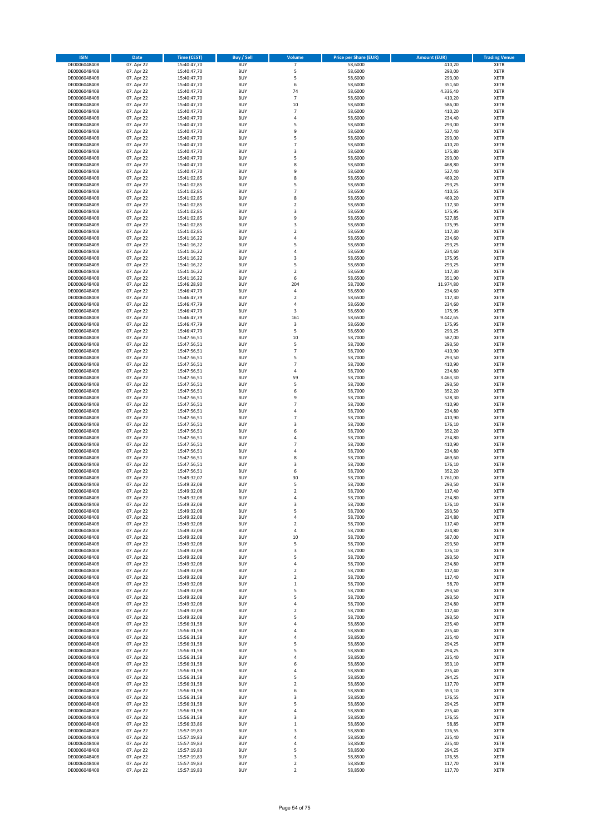| <b>ISIN</b>                  | Date                     | <b>Time (CEST)</b>         | Buy / Sell               | Volume                  | <b>Price per Share (EUR)</b> | <b>Amount (EUR)</b> | <b>Trading Venue</b>       |
|------------------------------|--------------------------|----------------------------|--------------------------|-------------------------|------------------------------|---------------------|----------------------------|
| DE0006048408                 | 07. Apr 22               | 15:40:47,70                | <b>BUY</b>               | $\overline{7}$          | 58,6000                      | 410,20              | <b>XETR</b>                |
| DE0006048408                 | 07. Apr 22               | 15:40:47,70                | <b>BUY</b>               | 5                       | 58,6000                      | 293,00              | <b>XETR</b>                |
| DE0006048408                 | 07. Apr 22               | 15:40:47,70                | <b>BUY</b>               | 5                       | 58,6000                      | 293,00              | XETR                       |
| DE0006048408                 | 07. Apr 22               | 15:40:47,70                | <b>BUY</b>               | 6                       | 58,6000                      | 351,60              | <b>XETR</b>                |
| DE0006048408                 | 07. Apr 22               | 15:40:47,70                | <b>BUY</b>               | 74                      | 58,6000                      | 4.336,40            | <b>XETR</b>                |
| DE0006048408                 | 07. Apr 22               | 15:40:47,70                | <b>BUY</b>               | $\overline{7}$          | 58,6000                      | 410,20              | <b>XETR</b>                |
| DE0006048408                 | 07. Apr 22               | 15:40:47,70                | <b>BUY</b>               | 10                      | 58,6000                      | 586,00              | <b>XETR</b>                |
| DE0006048408                 | 07. Apr 22               | 15:40:47,70                | <b>BUY</b>               | $\overline{7}$          | 58,6000                      | 410,20              | <b>XETR</b>                |
| DE0006048408                 | 07. Apr 22               | 15:40:47,70                | <b>BUY</b>               | 4                       | 58,6000                      | 234,40              | <b>XETR</b>                |
| DE0006048408                 | 07. Apr 22               | 15:40:47,70                | <b>BUY</b>               | 5                       | 58,6000                      | 293,00              | <b>XETR</b>                |
| DE0006048408                 | 07. Apr 22               | 15:40:47,70                | <b>BUY</b>               | 9                       | 58,6000                      | 527,40              | <b>XETR</b>                |
| DE0006048408                 | 07. Apr 22               | 15:40:47,70                | <b>BUY</b>               | 5                       | 58,6000                      | 293,00              | <b>XETR</b>                |
| DE0006048408                 | 07. Apr 22               | 15:40:47,70                | <b>BUY</b>               | $\overline{7}$          | 58,6000                      | 410,20              | XETR                       |
| DE0006048408                 | 07. Apr 22               | 15:40:47,70                | <b>BUY</b>               | 3                       | 58,6000                      | 175,80              | <b>XETR</b>                |
| DE0006048408                 | 07. Apr 22               | 15:40:47,70                | <b>BUY</b>               | 5                       | 58,6000                      | 293,00              | XETR                       |
| DE0006048408                 | 07. Apr 22               | 15:40:47,70                | <b>BUY</b>               | 8                       | 58,6000                      | 468,80              | <b>XETR</b>                |
| DE0006048408                 | 07. Apr 22               | 15:40:47,70                | <b>BUY</b>               | 9                       | 58,6000                      | 527,40              | <b>XETR</b>                |
| DE0006048408                 | 07. Apr 22               | 15:41:02,85                | <b>BUY</b>               | 8                       | 58,6500                      | 469,20              | <b>XETR</b>                |
| DE0006048408                 | 07. Apr 22               | 15:41:02,85                | <b>BUY</b>               | 5                       | 58,6500                      | 293,25              | <b>XETR</b>                |
| DE0006048408                 | 07. Apr 22               | 15:41:02,85                | <b>BUY</b>               | $\overline{7}$          | 58,6500                      | 410,55              | <b>XETR</b>                |
| DE0006048408                 | 07. Apr 22               | 15:41:02,85                | <b>BUY</b>               | 8                       | 58,6500                      | 469,20              | <b>XETR</b>                |
| DE0006048408                 | 07. Apr 22               | 15:41:02,85                | <b>BUY</b>               | $\overline{2}$          | 58,6500                      | 117,30              | <b>XETR</b>                |
| DE0006048408                 | 07. Apr 22               | 15:41:02,85                | <b>BUY</b>               | 3                       | 58,6500                      | 175,95              | <b>XETR</b>                |
| DE0006048408                 | 07. Apr 22               | 15:41:02,85                | <b>BUY</b>               | 9                       | 58,6500                      | 527,85              | <b>XETR</b>                |
| DE0006048408                 | 07. Apr 22               | 15:41:02,85                | <b>BUY</b>               | 3                       | 58,6500                      | 175,95              | <b>XETR</b>                |
| DE0006048408                 | 07. Apr 22               | 15:41:02,85                | <b>BUY</b>               | $\overline{2}$          | 58,6500                      | 117,30              | <b>XETR</b>                |
| DE0006048408                 | 07. Apr 22               | 15:41:16,22                | <b>BUY</b>               | $\overline{4}$          | 58,6500                      | 234,60              | <b>XETR</b>                |
| DE0006048408                 | 07. Apr 22               | 15:41:16,22                | <b>BUY</b>               | 5                       | 58,6500                      | 293,25              | <b>XETR</b>                |
| DE0006048408                 | 07. Apr 22               | 15:41:16,22                | <b>BUY</b>               | $\sqrt{4}$              | 58,6500                      | 234,60              | <b>XETR</b>                |
| DE0006048408                 | 07. Apr 22               | 15:41:16,22                | <b>BUY</b>               | 3                       | 58,6500                      | 175,95              | XETR                       |
| DE0006048408                 | 07. Apr 22               | 15:41:16,22                | <b>BUY</b>               | 5                       | 58,6500                      | 293,25              | <b>XETR</b>                |
| DE0006048408                 | 07. Apr 22               | 15:41:16,22                | <b>BUY</b>               | $\boldsymbol{2}$        | 58,6500                      | 117,30              | XETR                       |
| DE0006048408                 | 07. Apr 22               | 15:41:16,22                | <b>BUY</b>               | 6                       | 58,6500                      | 351,90              | <b>XETR</b>                |
| DE0006048408                 | 07. Apr 22               | 15:46:28,90                | <b>BUY</b>               | 204                     | 58,7000                      | 11.974,80           | XETR                       |
| DE0006048408                 | 07. Apr 22               | 15:46:47,79                | <b>BUY</b>               | $\sqrt{4}$              | 58,6500                      | 234,60              | <b>XETR</b>                |
| DE0006048408                 | 07. Apr 22               | 15:46:47,79                | <b>BUY</b>               | $\boldsymbol{2}$        | 58,6500                      | 117,30              | XETR                       |
| DE0006048408                 | 07. Apr 22               | 15:46:47,79                | <b>BUY</b>               | $\sqrt{4}$              | 58,6500                      | 234,60              | <b>XETR</b>                |
| DE0006048408                 | 07. Apr 22               | 15:46:47,79                | <b>BUY</b>               | 3                       | 58,6500                      | 175,95              | XETR                       |
| DE0006048408                 | 07. Apr 22               | 15:46:47,79                | <b>BUY</b>               | 161                     | 58,6500                      | 9.442,65            | <b>XETR</b>                |
| DE0006048408                 | 07. Apr 22               | 15:46:47,79                | <b>BUY</b>               | $\mathsf 3$             | 58,6500                      | 175,95              | <b>XETR</b>                |
| DE0006048408                 | 07. Apr 22               | 15:46:47,79                | <b>BUY</b>               | 5                       | 58,6500                      | 293,25              | <b>XETR</b>                |
| DE0006048408                 | 07. Apr 22               | 15:47:56,51                | <b>BUY</b>               | 10                      | 58,7000                      | 587,00              | <b>XETR</b>                |
| DE0006048408                 | 07. Apr 22               | 15:47:56,51                | <b>BUY</b><br><b>BUY</b> | 5<br>$\overline{7}$     | 58,7000                      | 293,50              | <b>XETR</b><br><b>XETR</b> |
| DE0006048408                 | 07. Apr 22               | 15:47:56,51                | <b>BUY</b>               | 5                       | 58,7000<br>58,7000           | 410,90              | <b>XETR</b>                |
| DE0006048408<br>DE0006048408 | 07. Apr 22               | 15:47:56,51                | <b>BUY</b>               | $\overline{7}$          | 58,7000                      | 293,50<br>410,90    | <b>XETR</b>                |
|                              | 07. Apr 22               | 15:47:56,51                |                          |                         |                              |                     |                            |
| DE0006048408                 | 07. Apr 22               | 15:47:56,51                | <b>BUY</b><br><b>BUY</b> | 4<br>59                 | 58,7000                      | 234,80              | <b>XETR</b><br><b>XETR</b> |
| DE0006048408                 | 07. Apr 22               | 15:47:56,51                |                          |                         | 58,7000                      | 3.463,30            | <b>XETR</b>                |
| DE0006048408<br>DE0006048408 | 07. Apr 22               | 15:47:56,51                | <b>BUY</b><br><b>BUY</b> | 5<br>6                  | 58,7000<br>58,7000           | 293,50              | <b>XETR</b>                |
| DE0006048408                 | 07. Apr 22<br>07. Apr 22 | 15:47:56,51<br>15:47:56,51 | <b>BUY</b>               | 9                       | 58,7000                      | 352,20<br>528,30    | <b>XETR</b>                |
| DE0006048408                 | 07. Apr 22               |                            | <b>BUY</b>               | $\overline{7}$          | 58,7000                      | 410,90              | <b>XETR</b>                |
| DE0006048408                 | 07. Apr 22               | 15:47:56,51<br>15:47:56,51 | <b>BUY</b>               | 4                       | 58,7000                      | 234,80              | <b>XETR</b>                |
| DE0006048408                 | 07. Apr 22               | 15:47:56,51                | <b>BUY</b>               | $\overline{7}$          | 58,7000                      | 410,90              | <b>XETR</b>                |
| DE0006048408                 | 07. Apr 22               | 15:47:56,51                | <b>BUY</b>               | 3                       | 58,7000                      | 176,10              | <b>XETR</b>                |
| DE0006048408                 | 07. Apr 22               | 15:47:56,51                | <b>BUY</b>               | 6                       | 58,7000                      | 352,20              | <b>XETR</b>                |
| DE0006048408                 | 07. Apr 22               | 15:47:56,51                | <b>BUY</b>               | $\overline{4}$          | 58,7000                      | 234,80              | <b>XETR</b>                |
| DE0006048408                 | 07. Apr 22               | 15:47:56,51                | <b>BUY</b>               | $\overline{7}$          | 58,7000                      | 410,90              | <b>XETR</b>                |
| DE0006048408                 | 07. Apr 22               | 15:47:56,51                | <b>BUY</b>               | 4                       | 58,7000                      | 234,80              | XETR                       |
| DE0006048408                 | 07. Apr 22               | 15:47:56,51                | <b>BUY</b>               | 8                       | 58,7000                      | 469,60              | <b>XETR</b>                |
| DE0006048408                 | 07. Apr 22               | 15:47:56,51                | <b>BUY</b>               | 3                       | 58,7000                      | 176,10              | XETR                       |
| DE0006048408                 | 07. Apr 22               | 15:47:56,51                | <b>BUY</b>               | 6                       | 58,7000                      | 352,20              | <b>XETR</b>                |
| DE0006048408                 | 07. Apr 22               | 15:49:32,07                | <b>BUY</b>               | 30                      | 58,7000                      | 1.761,00            | XETR                       |
| DE0006048408                 | 07. Apr 22               | 15:49:32.08                | <b>BUY</b>               | 5                       | 58,7000                      | 293,50              | <b>XETR</b>                |
| DE0006048408                 | 07. Apr 22               | 15:49:32,08                | <b>BUY</b>               | $\overline{\mathbf{c}}$ | 58,7000                      | 117,40              | <b>XETR</b>                |
| DE0006048408                 | 07. Apr 22               | 15:49:32,08                | <b>BUY</b>               | 4                       | 58,7000                      | 234,80              | <b>XETR</b>                |
| DE0006048408                 | 07. Apr 22               | 15:49:32,08                | <b>BUY</b>               | 3                       | 58,7000                      | 176,10              | <b>XETR</b>                |
| DE0006048408                 | 07. Apr 22               | 15:49:32,08                | <b>BUY</b>               | 5                       | 58,7000                      | 293,50              | XETR                       |
| DE0006048408                 | 07. Apr 22               | 15:49:32,08                | <b>BUY</b>               | 4                       | 58,7000                      | 234,80              | XETR                       |
| DE0006048408                 | 07. Apr 22               | 15:49:32,08                | <b>BUY</b>               | $\boldsymbol{2}$        | 58,7000                      | 117,40              | <b>XETR</b>                |
| DE0006048408                 | 07. Apr 22               | 15:49:32,08                | <b>BUY</b>               | 4                       | 58,7000                      | 234,80              | XETR                       |
| DE0006048408                 | 07. Apr 22               | 15:49:32,08                | <b>BUY</b>               | 10                      | 58,7000                      | 587,00              | <b>XETR</b>                |
| DE0006048408                 | 07. Apr 22               | 15:49:32,08                | <b>BUY</b>               | 5                       | 58,7000                      | 293,50              | <b>XETR</b>                |
| DE0006048408                 | 07. Apr 22               | 15:49:32,08                | <b>BUY</b>               | 3                       | 58,7000                      | 176,10              | <b>XETR</b>                |
| DE0006048408                 | 07. Apr 22               | 15:49:32,08                | <b>BUY</b>               | 5                       | 58,7000                      | 293,50              | XETR                       |
| DE0006048408                 | 07. Apr 22               | 15:49:32,08                | <b>BUY</b>               | 4                       | 58,7000                      | 234,80              | <b>XETR</b>                |
| DE0006048408                 | 07. Apr 22               | 15:49:32,08                | <b>BUY</b>               | $\overline{2}$          | 58,7000                      | 117,40              | XETR                       |
| DE0006048408                 | 07. Apr 22               | 15:49:32,08                | <b>BUY</b>               | $\mathbf 2$             | 58,7000                      | 117,40              | <b>XETR</b>                |
| DE0006048408                 | 07. Apr 22               | 15:49:32,08                | <b>BUY</b>               | $\,$ 1                  | 58,7000                      | 58,70               | XETR                       |
| DE0006048408                 | 07. Apr 22               | 15:49:32,08                | <b>BUY</b>               | 5                       | 58,7000                      | 293,50              | <b>XETR</b>                |
| DE0006048408<br>DE0006048408 | 07. Apr 22<br>07. Apr 22 | 15:49:32,08<br>15:49:32,08 | <b>BUY</b><br><b>BUY</b> | 5<br>4                  | 58,7000<br>58,7000           | 293,50              | <b>XETR</b><br><b>XETR</b> |
|                              |                          |                            |                          |                         |                              | 234,80              |                            |
| DE0006048408                 | 07. Apr 22               | 15:49:32,08                | <b>BUY</b>               | $\overline{\mathbf{2}}$ | 58,7000                      | 117,40              | <b>XETR</b>                |
| DE0006048408<br>DE0006048408 | 07. Apr 22<br>07. Apr 22 | 15:49:32,08<br>15:56:31,58 | <b>BUY</b><br><b>BUY</b> | 5<br>4                  | 58,7000<br>58,8500           | 293,50<br>235,40    | <b>XETR</b><br><b>XETR</b> |
| DE0006048408                 | 07. Apr 22               | 15:56:31,58                | <b>BUY</b>               | 4                       | 58,8500                      | 235,40              | <b>XETR</b>                |
| DE0006048408                 | 07. Apr 22               | 15:56:31,58                | <b>BUY</b>               | 4                       | 58,8500                      | 235,40              | <b>XETR</b>                |
| DE0006048408                 |                          | 15:56:31,58                | <b>BUY</b>               | 5                       | 58,8500                      | 294,25              | XETR                       |
| DE0006048408                 | 07. Apr 22<br>07. Apr 22 | 15:56:31,58                | <b>BUY</b>               | 5                       | 58,8500                      | 294,25              | <b>XETR</b>                |
| DE0006048408                 | 07. Apr 22               | 15:56:31,58                | <b>BUY</b>               | 4                       | 58,8500                      | 235,40              | <b>XETR</b>                |
| DE0006048408                 | 07. Apr 22               | 15:56:31,58                | <b>BUY</b>               | 6                       | 58,8500                      | 353,10              | <b>XETR</b>                |
| DE0006048408                 | 07. Apr 22               | 15:56:31,58                | <b>BUY</b>               | 4                       | 58,8500                      | 235,40              | XETR                       |
| DE0006048408                 | 07. Apr 22               | 15:56:31,58                | <b>BUY</b>               | 5                       | 58,8500                      | 294,25              | <b>XETR</b>                |
| DE0006048408                 | 07. Apr 22               | 15:56:31,58                | <b>BUY</b>               | $\boldsymbol{2}$        | 58,8500                      | 117,70              | <b>XETR</b>                |
| DE0006048408                 | 07. Apr 22               | 15:56:31,58                | <b>BUY</b>               | 6                       | 58,8500                      | 353,10              | <b>XETR</b>                |
| DE0006048408                 | 07. Apr 22               | 15:56:31,58                | <b>BUY</b>               | 3                       | 58,8500                      | 176,55              | XETR                       |
| DE0006048408                 | 07. Apr 22               | 15:56:31,58                | <b>BUY</b>               | 5                       | 58,8500                      | 294,25              | <b>XETR</b>                |
| DE0006048408                 | 07. Apr 22               | 15:56:31,58                | <b>BUY</b>               | $\sqrt{4}$              | 58,8500                      | 235,40              | XETR                       |
| DE0006048408                 | 07. Apr 22               | 15:56:31,58                | <b>BUY</b>               | 3                       | 58,8500                      | 176,55              | <b>XETR</b>                |
| DE0006048408                 | 07. Apr 22               | 15:56:33,86                | <b>BUY</b>               | $\mathbf{1}$            | 58,8500                      | 58,85               | <b>XETR</b>                |
| DE0006048408                 | 07. Apr 22               | 15:57:19,83                | <b>BUY</b>               | 3                       | 58,8500                      | 176,55              | <b>XETR</b>                |
| DE0006048408                 | 07. Apr 22               | 15:57:19,83                | <b>BUY</b>               | $\sqrt{4}$              | 58,8500                      | 235,40              | XETR                       |
| DE0006048408                 | 07. Apr 22               | 15:57:19,83                | <b>BUY</b>               | 4                       | 58,8500                      | 235,40              | <b>XETR</b>                |
| DE0006048408                 | 07. Apr 22               | 15:57:19,83                | <b>BUY</b>               | 5                       | 58,8500                      | 294,25              | XETR                       |
| DE0006048408                 | 07. Apr 22               | 15:57:19,83                | <b>BUY</b>               | 3                       | 58,8500                      | 176,55              | <b>XETR</b>                |
| DE0006048408                 | 07. Apr 22               | 15:57:19,83                | <b>BUY</b>               | $\boldsymbol{2}$        | 58,8500                      | 117,70              | XETR                       |
| DE0006048408                 | 07. Apr 22               | 15:57:19,83                | <b>BUY</b>               | $\mathbf 2$             | 58,8500                      | 117,70              | <b>XETR</b>                |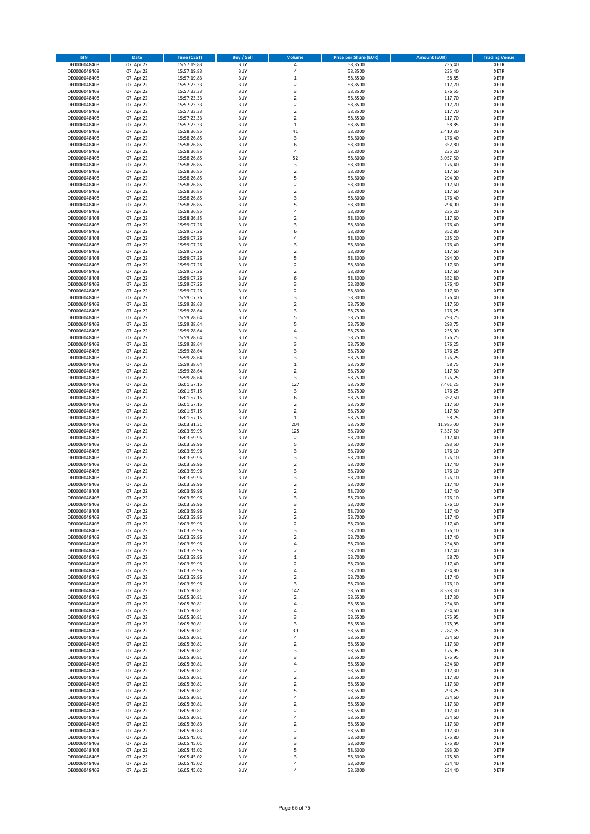| <b>ISIN</b>  | Date       | <b>Time (CEST)</b> | Buy / Sell | Volume                  | <b>Price per Share (EUR)</b> | <b>Amount (EUR)</b> | <b>Trading Venue</b> |
|--------------|------------|--------------------|------------|-------------------------|------------------------------|---------------------|----------------------|
| DE0006048408 | 07. Apr 22 | 15:57:19,83        | <b>BUY</b> | 4                       | 58,8500                      | 235,40              | <b>XETR</b>          |
| DE0006048408 | 07. Apr 22 | 15:57:19,83        | <b>BUY</b> | 4                       | 58,8500                      | 235,40              | <b>XETR</b>          |
| DE0006048408 | 07. Apr 22 | 15:57:19,83        | <b>BUY</b> | $\mathbf{1}$            | 58,8500                      | 58,85               | XETR                 |
| DE0006048408 | 07. Apr 22 | 15:57:23,33        | <b>BUY</b> | $\overline{2}$          | 58,8500                      | 117,70              | <b>XETR</b>          |
| DE0006048408 | 07. Apr 22 | 15:57:23,33        | <b>BUY</b> | 3                       | 58,8500                      | 176,55              | <b>XETR</b>          |
| DE0006048408 | 07. Apr 22 | 15:57:23,33        | <b>BUY</b> | $\overline{2}$          | 58,8500                      | 117,70              | <b>XETR</b>          |
| DE0006048408 | 07. Apr 22 | 15:57:23,33        | <b>BUY</b> | $\overline{2}$          | 58,8500                      | 117,70              | <b>XETR</b>          |
| DE0006048408 | 07. Apr 22 | 15:57:23,33        | <b>BUY</b> | $\overline{2}$          | 58,8500                      | 117,70              | <b>XETR</b>          |
| DE0006048408 | 07. Apr 22 | 15:57:23,33        | <b>BUY</b> | $\boldsymbol{2}$        | 58,8500                      | 117,70              | <b>XETR</b>          |
| DE0006048408 | 07. Apr 22 | 15:57:23,33        | <b>BUY</b> | $\mathbf 1$             | 58,8500                      | 58,85               | <b>XETR</b>          |
| DE0006048408 | 07. Apr 22 | 15:58:26,85        | <b>BUY</b> | 41                      | 58,8000                      | 2.410,80            | <b>XETR</b>          |
| DE0006048408 | 07. Apr 22 | 15:58:26,85        | <b>BUY</b> | 3                       | 58,8000                      | 176,40              | <b>XETR</b>          |
| DE0006048408 | 07. Apr 22 | 15:58:26,85        | <b>BUY</b> | 6                       | 58,8000                      | 352,80              | XETR                 |
| DE0006048408 | 07. Apr 22 | 15:58:26,85        | <b>BUY</b> | 4                       | 58,8000                      | 235,20              | <b>XETR</b>          |
| DE0006048408 | 07. Apr 22 | 15:58:26,85        | <b>BUY</b> | 52                      | 58,8000                      | 3.057,60            | XETR                 |
| DE0006048408 | 07. Apr 22 | 15:58:26,85        | <b>BUY</b> | 3                       | 58,8000                      | 176,40              | <b>XETR</b>          |
| DE0006048408 | 07. Apr 22 | 15:58:26,85        | <b>BUY</b> | $\boldsymbol{2}$        | 58,8000                      | 117,60              | <b>XETR</b>          |
| DE0006048408 | 07. Apr 22 | 15:58:26,85        | <b>BUY</b> | 5                       | 58,8000                      | 294,00              | <b>XETR</b>          |
| DE0006048408 | 07. Apr 22 | 15:58:26,85        | <b>BUY</b> | $\overline{2}$          | 58,8000                      | 117,60              | <b>XETR</b>          |
| DE0006048408 | 07. Apr 22 | 15:58:26,85        | <b>BUY</b> | $\mathbf 2$             | 58,8000                      | 117,60              | <b>XETR</b>          |
| DE0006048408 | 07. Apr 22 | 15:58:26,85        | <b>BUY</b> | 3                       | 58,8000                      | 176,40              | <b>XETR</b>          |
| DE0006048408 | 07. Apr 22 | 15:58:26,85        | <b>BUY</b> | 5                       | 58,8000                      | 294,00              | <b>XETR</b>          |
| DE0006048408 | 07. Apr 22 | 15:58:26,85        | <b>BUY</b> | $\overline{4}$          | 58,8000                      | 235,20              | <b>XETR</b>          |
| DE0006048408 | 07. Apr 22 | 15:58:26,85        | <b>BUY</b> | $\mathbf 2$             | 58,8000                      | 117,60              | <b>XETR</b>          |
| DE0006048408 | 07. Apr 22 | 15:59:07,26        | <b>BUY</b> | 3                       | 58,8000                      | 176,40              | <b>XETR</b>          |
| DE0006048408 | 07. Apr 22 | 15:59:07,26        | <b>BUY</b> | 6                       | 58,8000                      | 352,80              | <b>XETR</b>          |
| DE0006048408 | 07. Apr 22 | 15:59:07,26        | <b>BUY</b> | $\overline{4}$          | 58,8000                      | 235,20              | <b>XETR</b>          |
| DE0006048408 | 07. Apr 22 | 15:59:07,26        | <b>BUY</b> | 3                       | 58,8000                      | 176,40              | <b>XETR</b>          |
| DE0006048408 | 07. Apr 22 | 15:59:07,26        | <b>BUY</b> | $\overline{2}$          | 58,8000                      | 117,60              | <b>XETR</b>          |
| DE0006048408 | 07. Apr 22 | 15:59:07,26        | <b>BUY</b> | 5                       | 58,8000                      | 294,00              | XETR                 |
| DE0006048408 | 07. Apr 22 | 15:59:07,26        | <b>BUY</b> | $\overline{2}$          | 58,8000                      | 117,60              | <b>XETR</b>          |
| DE0006048408 | 07. Apr 22 | 15:59:07,26        | <b>BUY</b> | $\boldsymbol{2}$        | 58,8000                      | 117,60              | XETR                 |
| DE0006048408 | 07. Apr 22 | 15:59:07,26        | <b>BUY</b> | 6                       | 58,8000                      | 352,80              | <b>XETR</b>          |
| DE0006048408 | 07. Apr 22 | 15:59:07,26        | <b>BUY</b> | 3                       | 58,8000                      | 176,40              | XETR                 |
| DE0006048408 | 07. Apr 22 | 15:59:07,26        | <b>BUY</b> | $\overline{2}$          | 58,8000                      | 117,60              | <b>XETR</b>          |
| DE0006048408 | 07. Apr 22 | 15:59:07,26        | <b>BUY</b> | 3                       | 58,8000                      | 176,40              | XETR                 |
| DE0006048408 | 07. Apr 22 | 15:59:28,63        | <b>BUY</b> | $\overline{2}$          | 58,7500                      | 117,50              | <b>XETR</b>          |
| DE0006048408 | 07. Apr 22 | 15:59:28,64        | <b>BUY</b> | 3                       | 58,7500                      | 176,25              | XETR                 |
| DE0006048408 | 07. Apr 22 | 15:59:28,64        | <b>BUY</b> | 5                       | 58,7500                      | 293,75              | <b>XETR</b>          |
| DE0006048408 | 07. Apr 22 | 15:59:28,64        | <b>BUY</b> | 5                       | 58,7500                      | 293,75              | <b>XETR</b>          |
| DE0006048408 | 07. Apr 22 | 15:59:28,64        | <b>BUY</b> | $\overline{4}$          | 58.7500                      | 235,00              | <b>XETR</b>          |
| DE0006048408 | 07. Apr 22 | 15:59:28,64        | <b>BUY</b> | 3                       | 58,7500                      | 176,25              | <b>XETR</b>          |
| DE0006048408 | 07. Apr 22 | 15:59:28,64        | <b>BUY</b> | 3                       | 58,7500                      | 176,25              | <b>XETR</b>          |
| DE0006048408 | 07. Apr 22 | 15:59:28,64        | <b>BUY</b> | 3                       | 58,7500                      | 176,25              | <b>XETR</b>          |
| DE0006048408 | 07. Apr 22 | 15:59:28,64        | <b>BUY</b> | 3                       | 58,7500                      | 176,25              | <b>XETR</b>          |
| DE0006048408 | 07. Apr 22 | 15:59:28,64        | <b>BUY</b> | $\,$ 1                  | 58,7500                      | 58,75               | <b>XETR</b>          |
| DE0006048408 | 07. Apr 22 | 15:59:28,64        | <b>BUY</b> | $\boldsymbol{2}$        | 58,7500                      | 117,50              | <b>XETR</b>          |
| DE0006048408 | 07. Apr 22 | 15:59:28,64        | <b>BUY</b> | 3                       | 58,7500                      | 176,25              | <b>XETR</b>          |
| DE0006048408 | 07. Apr 22 | 16:01:57,15        | <b>BUY</b> | 127                     | 58,7500                      | 7.461,25            | <b>XETR</b>          |
| DE0006048408 | 07. Apr 22 | 16:01:57,15        | <b>BUY</b> | 3                       | 58,7500                      | 176,25              | <b>XETR</b>          |
| DE0006048408 | 07. Apr 22 | 16:01:57,15        | <b>BUY</b> | 6                       | 58,7500                      | 352,50              | <b>XETR</b>          |
| DE0006048408 | 07. Apr 22 | 16:01:57,15        | <b>BUY</b> | $\overline{2}$          | 58,7500                      | 117,50              | <b>XETR</b>          |
| DE0006048408 | 07. Apr 22 | 16:01:57,15        | <b>BUY</b> | $\mathbf 2$             | 58,7500                      | 117,50              | <b>XETR</b>          |
| DE0006048408 | 07. Apr 22 | 16:01:57,15        | <b>BUY</b> | $\,1\,$                 | 58,7500                      | 58,75               | <b>XETR</b>          |
| DE0006048408 | 07. Apr 22 | 16:03:31,31        | <b>BUY</b> | 204                     | 58,7500                      | 11.985,00           | <b>XETR</b>          |
| DE0006048408 | 07. Apr 22 | 16:03:59,95        | <b>BUY</b> | 125                     | 58,7000                      | 7.337,50            | <b>XETR</b>          |
| DE0006048408 | 07. Apr 22 | 16:03:59,96        | <b>BUY</b> | $\mathbf 2$             | 58,7000                      | 117,40              | <b>XETR</b>          |
| DE0006048408 | 07. Apr 22 | 16:03:59,96        | <b>BUY</b> | 5                       | 58,7000                      | 293,50              | <b>XETR</b>          |
| DE0006048408 | 07. Apr 22 | 16:03:59,96        | <b>BUY</b> | 3                       | 58,7000                      | 176,10              | XETR                 |
| DE0006048408 | 07. Apr 22 | 16:03:59,96        | <b>BUY</b> | 3                       | 58,7000                      | 176,10              | <b>XETR</b>          |
| DE0006048408 | 07. Apr 22 | 16:03:59,96        | <b>BUY</b> | $\boldsymbol{2}$        | 58,7000                      | 117,40              | XETR                 |
| DE0006048408 | 07. Apr 22 | 16:03:59,96        | <b>BUY</b> | 3                       | 58,7000                      | 176,10              | <b>XETR</b>          |
| DE0006048408 | 07. Apr 22 | 16:03:59,96        | <b>BUY</b> | 3                       | 58,7000                      | 176,10              | XETR                 |
| DE0006048408 | 07. Apr 22 | 16:03:59.96        | <b>BUY</b> | $\overline{2}$          | 58,7000                      | 117,40              | <b>XETR</b>          |
| DE0006048408 | 07. Apr 22 | 16:03:59,96        | <b>BUY</b> | $\overline{2}$          | 58,7000                      | 117,40              | <b>XETR</b>          |
| DE0006048408 | 07. Apr 22 | 16:03:59,96        | <b>BUY</b> | 3                       | 58,7000                      | 176,10              | <b>XETR</b>          |
| DE0006048408 | 07. Apr 22 | 16:03:59,96        | <b>BUY</b> | 3                       | 58,7000                      | 176,10              | <b>XETR</b>          |
| DE0006048408 | 07. Apr 22 | 16:03:59,96        | <b>BUY</b> | $\boldsymbol{2}$        | 58,7000                      | 117,40              | XETR                 |
| DE0006048408 | 07. Apr 22 | 16:03:59,96        | <b>BUY</b> | $\boldsymbol{2}$        | 58,7000                      | 117,40              | XETR                 |
| DE0006048408 | 07. Apr 22 | 16:03:59,96        | <b>BUY</b> | $\mathbf 2$             | 58,7000                      | 117,40              | <b>XETR</b>          |
| DE0006048408 | 07. Apr 22 | 16:03:59,96        | <b>BUY</b> | 3                       | 58,7000                      | 176,10              | XETR                 |
| DE0006048408 | 07. Apr 22 | 16:03:59,96        | <b>BUY</b> | $\boldsymbol{2}$        | 58,7000                      | 117,40              | <b>XETR</b>          |
| DE0006048408 | 07. Apr 22 | 16:03:59,96        | <b>BUY</b> | $\sqrt{4}$              | 58,7000                      | 234,80              | <b>XETR</b>          |
| DE0006048408 | 07. Apr 22 | 16:03:59,96        | <b>BUY</b> | $\boldsymbol{2}$        | 58,7000                      | 117,40              | <b>XETR</b>          |
| DE0006048408 | 07. Apr 22 | 16:03:59,96        | <b>BUY</b> | $\,1\,$                 | 58,7000                      | 58,70               | <b>XETR</b>          |
| DE0006048408 | 07. Apr 22 | 16:03:59,96        | <b>BUY</b> | $\overline{\mathbf{2}}$ | 58,7000                      | 117,40              | <b>XETR</b>          |
| DE0006048408 | 07. Apr 22 | 16:03:59,96        | <b>BUY</b> | $\sqrt{4}$              | 58,7000                      | 234,80              | XETR                 |
| DE0006048408 | 07. Apr 22 | 16:03:59,96        | <b>BUY</b> | $\overline{\mathbf{2}}$ | 58,7000                      | 117,40              | <b>XETR</b>          |
| DE0006048408 | 07. Apr 22 | 16:03:59,96        | <b>BUY</b> | 3                       | 58,7000                      | 176,10              | XETR                 |
| DE0006048408 | 07. Apr 22 | 16:05:30,81        | <b>BUY</b> | 142                     | 58,6500                      | 8.328,30            | <b>XETR</b>          |
| DE0006048408 | 07. Apr 22 | 16:05:30,81        | <b>BUY</b> | $\boldsymbol{2}$        | 58,6500                      | 117,30              | <b>XETR</b>          |
| DE0006048408 | 07. Apr 22 | 16:05:30,81        | <b>BUY</b> | 4                       | 58,6500                      | 234,60              | <b>XETR</b>          |
| DE0006048408 | 07. Apr 22 | 16:05:30,81        | <b>BUY</b> | 4                       | 58,6500                      | 234,60              | <b>XETR</b>          |
| DE0006048408 | 07. Apr 22 | 16:05:30,81        | <b>BUY</b> | 3                       | 58,6500                      | 175,95              | <b>XETR</b>          |
| DE0006048408 | 07. Apr 22 | 16:05:30,81        | <b>BUY</b> | 3                       | 58,6500                      | 175,95              | <b>XETR</b>          |
| DE0006048408 | 07. Apr 22 | 16:05:30,81        | <b>BUY</b> | 39                      | 58,6500                      | 2.287,35            | <b>XETR</b>          |
| DE0006048408 | 07. Apr 22 | 16:05:30,81        | <b>BUY</b> | 4                       | 58,6500                      | 234,60              | <b>XETR</b>          |
| DE0006048408 | 07. Apr 22 | 16:05:30,81        | <b>BUY</b> | $\boldsymbol{2}$        | 58,6500                      | 117,30              | XETR                 |
| DE0006048408 | 07. Apr 22 | 16:05:30,81        | <b>BUY</b> | 3                       | 58,6500                      | 175,95              | <b>XETR</b>          |
| DE0006048408 | 07. Apr 22 | 16:05:30,81        | <b>BUY</b> | 3                       | 58,6500                      | 175,95              | <b>XETR</b>          |
| DE0006048408 | 07. Apr 22 | 16:05:30,81        | <b>BUY</b> | 4                       | 58,6500                      | 234,60              | <b>XETR</b>          |
| DE0006048408 | 07. Apr 22 | 16:05:30,81        | <b>BUY</b> | $\overline{\mathbf{2}}$ | 58,6500                      | 117,30              | XETR                 |
| DE0006048408 | 07. Apr 22 | 16:05:30,81        | <b>BUY</b> | $\overline{2}$          | 58,6500                      | 117,30              | <b>XETR</b>          |
| DE0006048408 | 07. Apr 22 | 16:05:30,81        | <b>BUY</b> | $\boldsymbol{2}$        | 58,6500                      | 117,30              | <b>XETR</b>          |
| DE0006048408 | 07. Apr 22 | 16:05:30,81        | <b>BUY</b> | 5                       | 58,6500                      | 293,25              | <b>XETR</b>          |
| DE0006048408 | 07. Apr 22 | 16:05:30,81        | <b>BUY</b> | 4                       | 58,6500                      | 234,60              | XETR                 |
| DE0006048408 | 07. Apr 22 | 16:05:30,81        | <b>BUY</b> | $\overline{\mathbf{2}}$ | 58,6500                      | 117,30              | <b>XETR</b>          |
| DE0006048408 | 07. Apr 22 | 16:05:30,81        | <b>BUY</b> | $\boldsymbol{2}$        | 58,6500                      | 117,30              | <b>XETR</b>          |
| DE0006048408 | 07. Apr 22 | 16:05:30,81        | <b>BUY</b> | 4                       | 58,6500                      | 234,60              | <b>XETR</b>          |
| DE0006048408 | 07. Apr 22 | 16:05:30,83        | <b>BUY</b> | $\overline{\mathbf{2}}$ | 58,6500                      | 117,30              | <b>XETR</b>          |
| DE0006048408 | 07. Apr 22 | 16:05:30,83        | <b>BUY</b> | $\overline{\mathbf{2}}$ | 58,6500                      | 117,30              | <b>XETR</b>          |
| DE0006048408 | 07. Apr 22 | 16:05:45,01        | <b>BUY</b> | 3                       | 58,6000                      | 175,80              | XETR                 |
| DE0006048408 | 07. Apr 22 | 16:05:45,01        | <b>BUY</b> | 3                       | 58,6000                      | 175,80              | <b>XETR</b>          |
| DE0006048408 | 07. Apr 22 | 16:05:45,02        | <b>BUY</b> | 5                       | 58,6000                      | 293,00              | XETR                 |
| DE0006048408 | 07. Apr 22 | 16:05:45,02        | <b>BUY</b> | 3                       | 58,6000                      | 175,80              | <b>XETR</b>          |
| DE0006048408 | 07. Apr 22 | 16:05:45,02        | <b>BUY</b> | $\sqrt{4}$              | 58,6000                      | 234,40              | XETR                 |
| DE0006048408 | 07. Apr 22 | 16:05:45,02        | <b>BUY</b> | 4                       | 58,6000                      | 234,40              | <b>XETR</b>          |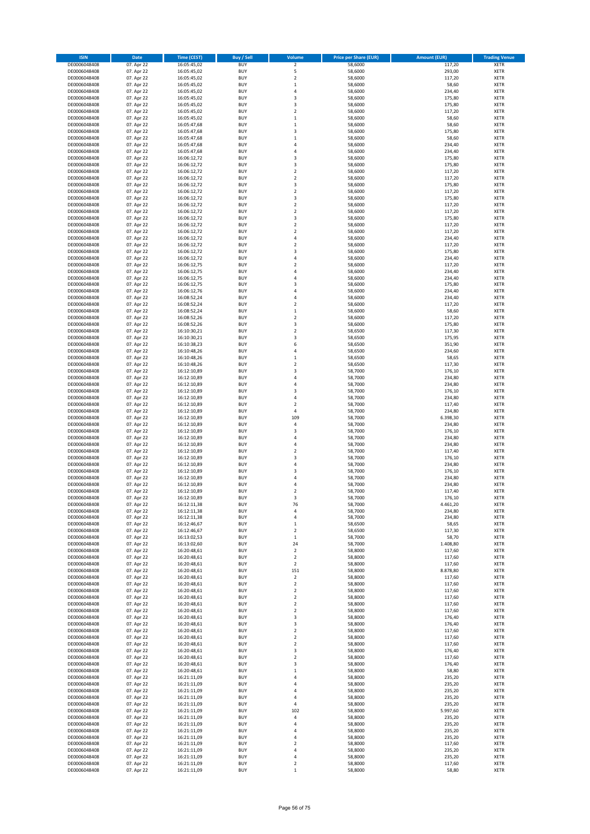| <b>ISIN</b>                  | Date                     | <b>Time (CEST)</b>         | Buy / Sell               | Volume                                      | <b>Price per Share (EUR)</b> | <b>Amount (EUR)</b> | <b>Trading Venue</b>       |
|------------------------------|--------------------------|----------------------------|--------------------------|---------------------------------------------|------------------------------|---------------------|----------------------------|
| DE0006048408                 | 07. Apr 22               | 16:05:45,02                | <b>BUY</b>               | $\mathbf 2$                                 | 58,6000                      | 117,20              | <b>XETR</b>                |
| DE0006048408                 | 07. Apr 22               | 16:05:45,02                | <b>BUY</b>               | 5                                           | 58,6000                      | 293,00              | XETR                       |
| DE0006048408                 | 07. Apr 22               | 16:05:45,02                | <b>BUY</b>               | $\mathbf 2$                                 | 58,6000                      | 117,20              | XETR                       |
| DE0006048408                 | 07. Apr 22               | 16:05:45,02                | <b>BUY</b>               | $\,1\,$                                     | 58,6000                      | 58,60               | <b>XETR</b>                |
| DE0006048408<br>DE0006048408 | 07. Apr 22<br>07. Apr 22 | 16:05:45,02<br>16:05:45,02 | <b>BUY</b><br><b>BUY</b> | 4<br>$\overline{\mathbf{3}}$                | 58,6000<br>58,6000           | 234,40<br>175,80    | XETR<br><b>XETR</b>        |
| DE0006048408                 | 07. Apr 22               | 16:05:45,02                | <b>BUY</b>               | 3                                           | 58,6000                      | 175,80              | <b>XETR</b>                |
| DE0006048408                 | 07. Apr 22               | 16:05:45,02                | <b>BUY</b>               | $\overline{2}$                              | 58,6000                      | 117,20              | <b>XETR</b>                |
| DE0006048408                 | 07. Apr 22               | 16:05:45,02                | <b>BUY</b>               | $\,1\,$                                     | 58,6000                      | 58,60               | XETR                       |
| DE0006048408                 | 07. Apr 22               | 16:05:47,68                | <b>BUY</b>               | $\mathbf{1}$                                | 58,6000                      | 58,60               | <b>XETR</b>                |
| DE0006048408                 | 07. Apr 22               | 16:05:47,68                | <b>BUY</b><br><b>BUY</b> | 3<br>$\mathbf 1$                            | 58,6000<br>58,6000           | 175,80              | XETR<br><b>XETR</b>        |
| DE0006048408<br>DE0006048408 | 07. Apr 22<br>07. Apr 22 | 16:05:47,68<br>16:05:47,68 | <b>BUY</b>               | 4                                           | 58,6000                      | 58,60<br>234,40     | XETR                       |
| DE0006048408                 | 07. Apr 22               | 16:05:47,68                | <b>BUY</b>               | 4                                           | 58,6000                      | 234,40              | <b>XETR</b>                |
| DE0006048408                 | 07. Apr 22               | 16:06:12,72                | <b>BUY</b>               | 3                                           | 58,6000                      | 175,80              | <b>XETR</b>                |
| DE0006048408                 | 07. Apr 22               | 16:06:12,72                | <b>BUY</b>               | 3                                           | 58,6000                      | 175,80              | <b>XETR</b>                |
| DE0006048408                 | 07. Apr 22               | 16:06:12,72                | <b>BUY</b>               | $\boldsymbol{2}$                            | 58,6000                      | 117,20              | <b>XETR</b>                |
| DE0006048408<br>DE0006048408 | 07. Apr 22<br>07. Apr 22 | 16:06:12,72<br>16:06:12,72 | <b>BUY</b><br><b>BUY</b> | $\overline{2}$<br>3                         | 58,6000<br>58,6000           | 117,20<br>175,80    | <b>XETR</b><br><b>XETR</b> |
| DE0006048408                 | 07. Apr 22               | 16:06:12,72                | <b>BUY</b>               | $\boldsymbol{2}$                            | 58,6000                      | 117,20              | <b>XETR</b>                |
| DE0006048408                 | 07. Apr 22               | 16:06:12,72                | <b>BUY</b>               | 3                                           | 58,6000                      | 175,80              | <b>XETR</b>                |
| DE0006048408                 | 07. Apr 22               | 16:06:12,72                | <b>BUY</b>               | $\boldsymbol{2}$                            | 58,6000                      | 117,20              | <b>XETR</b>                |
| DE0006048408                 | 07. Apr 22               | 16:06:12,72                | <b>BUY</b>               | $\overline{2}$                              | 58,6000                      | 117,20              | <b>XETR</b>                |
| DE0006048408                 | 07. Apr 22               | 16:06:12,72                | <b>BUY</b>               | 3                                           | 58,6000                      | 175,80              | <b>XETR</b>                |
| DE0006048408                 | 07. Apr 22<br>07. Apr 22 | 16:06:12,72                | <b>BUY</b><br><b>BUY</b> | $\overline{2}$<br>$\overline{2}$            | 58,6000                      | 117,20<br>117,20    | <b>XETR</b><br><b>XETR</b> |
| DE0006048408<br>DE0006048408 | 07. Apr 22               | 16:06:12,72<br>16:06:12,72 | <b>BUY</b>               | $\overline{4}$                              | 58,6000<br>58,6000           | 234,40              | <b>XETR</b>                |
| DE0006048408                 | 07. Apr 22               | 16:06:12,72                | <b>BUY</b>               | $\overline{2}$                              | 58,6000                      | 117,20              | <b>XETR</b>                |
| DE0006048408                 | 07. Apr 22               | 16:06:12,72                | <b>BUY</b>               | 3                                           | 58,6000                      | 175,80              | <b>XETR</b>                |
| DE0006048408                 | 07. Apr 22               | 16:06:12,72                | <b>BUY</b>               | 4                                           | 58,6000                      | 234,40              | XETR                       |
| DE0006048408                 | 07. Apr 22               | 16:06:12,75                | <b>BUY</b>               | $\overline{2}$                              | 58,6000                      | 117,20              | <b>XETR</b>                |
| DE0006048408<br>DE0006048408 | 07. Apr 22<br>07. Apr 22 | 16:06:12,75<br>16:06:12,75 | <b>BUY</b><br><b>BUY</b> | 4<br>4                                      | 58,6000<br>58,6000           | 234,40<br>234,40    | <b>XETR</b><br><b>XETR</b> |
| DE0006048408                 | 07. Apr 22               | 16:06:12,75                | <b>BUY</b>               | 3                                           | 58,6000                      | 175,80              | XETR                       |
| DE0006048408                 | 07. Apr 22               | 16:06:12,76                | <b>BUY</b>               | $\overline{4}$                              | 58,6000                      | 234,40              | <b>XETR</b>                |
| DE0006048408                 | 07. Apr 22               | 16:08:52,24                | <b>BUY</b>               | $\sqrt{4}$                                  | 58,6000                      | 234,40              | XETR                       |
| DE0006048408                 | 07. Apr 22               | 16:08:52,24                | <b>BUY</b>               | $\overline{2}$                              | 58,6000                      | 117,20              | <b>XETR</b>                |
| DE0006048408                 | 07. Apr 22               | 16:08:52,24                | <b>BUY</b>               | $\,1\,$                                     | 58,6000                      | 58,60               | XETR                       |
| DE0006048408                 | 07. Apr 22<br>07. Apr 22 | 16:08:52,26                | <b>BUY</b>               | $\overline{2}$<br>3                         | 58,6000                      | 117,20              | <b>XETR</b><br><b>XETR</b> |
| DE0006048408<br>DE0006048408 | 07. Apr 22               | 16:08:52,26<br>16:10:30,21 | <b>BUY</b><br><b>BUY</b> | $\overline{2}$                              | 58,6000<br>58,6500           | 175,80<br>117,30    | <b>XETR</b>                |
| DE0006048408                 | 07. Apr 22               | 16:10:30,21                | <b>BUY</b>               | 3                                           | 58,6500                      | 175,95              | <b>XETR</b>                |
| DE0006048408                 | 07. Apr 22               | 16:10:38,23                | <b>BUY</b>               | 6                                           | 58,6500                      | 351,90              | <b>XETR</b>                |
| DE0006048408                 | 07. Apr 22               | 16:10:48,26                | <b>BUY</b>               | $\overline{4}$                              | 58,6500                      | 234,60              | <b>XETR</b>                |
| DE0006048408                 | 07. Apr 22               | 16:10:48,26                | <b>BUY</b>               | $\,1\,$                                     | 58,6500                      | 58,65               | <b>XETR</b>                |
| DE0006048408                 | 07. Apr 22               | 16:10:48,26                | <b>BUY</b><br><b>BUY</b> | $\boldsymbol{2}$<br>3                       | 58,6500                      | 117,30              | <b>XETR</b><br><b>XETR</b> |
| DE0006048408<br>DE0006048408 | 07. Apr 22<br>07. Apr 22 | 16:12:10,89<br>16:12:10,89 | <b>BUY</b>               | $\overline{4}$                              | 58,7000<br>58,7000           | 176,10<br>234,80    | <b>XETR</b>                |
| DE0006048408                 | 07. Apr 22               | 16:12:10,89                | <b>BUY</b>               | 4                                           | 58,7000                      | 234,80              | <b>XETR</b>                |
| DE0006048408                 | 07. Apr 22               | 16:12:10,89                | <b>BUY</b>               | 3                                           | 58,7000                      | 176,10              | XETR                       |
| DE0006048408                 | 07. Apr 22               | 16:12:10,89                | <b>BUY</b>               | 4                                           | 58,7000                      | 234,80              | <b>XETR</b>                |
| DE0006048408                 | 07. Apr 22               | 16:12:10,89                | <b>BUY</b>               | $\overline{2}$                              | 58,7000                      | 117,40              | <b>XETR</b>                |
| DE0006048408<br>DE0006048408 | 07. Apr 22<br>07. Apr 22 | 16:12:10,89<br>16:12:10,89 | <b>BUY</b><br><b>BUY</b> | 4<br>109                                    | 58,7000<br>58,7000           | 234,80<br>6.398,30  | <b>XETR</b><br><b>XETR</b> |
| DE0006048408                 | 07. Apr 22               | 16:12:10,89                | <b>BUY</b>               | 4                                           | 58,7000                      | 234,80              | <b>XETR</b>                |
| DE0006048408                 | 07. Apr 22               | 16:12:10,89                | <b>BUY</b>               | $\overline{3}$                              | 58,7000                      | 176,10              | <b>XETR</b>                |
| DE0006048408                 | 07. Apr 22               | 16:12:10,89                | <b>BUY</b>               | $\overline{4}$                              | 58,7000                      | 234,80              | <b>XETR</b>                |
| DE0006048408                 | 07. Apr 22               | 16:12:10,89                | <b>BUY</b>               | 4                                           | 58,7000                      | 234,80              | <b>XETR</b>                |
| DE0006048408<br>DE0006048408 | 07. Apr 22               | 16:12:10,89                | <b>BUY</b><br><b>BUY</b> | $\boldsymbol{2}$<br>$\overline{\mathbf{3}}$ | 58,7000                      | 117,40              | XETR<br><b>XETR</b>        |
| DE0006048408                 | 07. Apr 22<br>07. Apr 22 | 16:12:10,89<br>16:12:10,89 | <b>BUY</b>               | $\sqrt{4}$                                  | 58,7000<br>58,7000           | 176,10<br>234,80    | XETR                       |
| DE0006048408                 | 07. Apr 22               | 16:12:10,89                | <b>BUY</b>               | 3                                           | 58,7000                      | 176,10              | <b>XETR</b>                |
| DE0006048408                 | 07. Apr 22               | 16:12:10,89                | <b>BUY</b>               | 4                                           | 58,7000                      | 234,80              | <b>XETR</b>                |
| DE0006048408                 | 07. Apr 22               | 16:12:10,89                | <b>BUY</b>               | 4                                           | 58,7000                      | 234,80              | <b>XETR</b>                |
| DE0006048408                 | 07. Apr 22               | 16:12:10,89                | <b>BUY</b>               | $\overline{2}$                              | 58,7000                      | 117,40              | <b>XETR</b>                |
| DE0006048408                 | 07. Apr 22               | 16:12:10,89                | <b>BUY</b>               | 3                                           | 58,7000                      | 176,10              | <b>XETR</b>                |
| DE0006048408<br>DE0006048408 | 07. Apr 22<br>07. Apr 22 | 16:12:11,38<br>16:12:11,38 | <b>BUY</b><br><b>BUY</b> | 76<br>4                                     | 58,7000<br>58,7000           | 4.461,20<br>234,80  | <b>XETR</b><br>XETR        |
| DE0006048408                 | 07. Apr 22               | 16:12:11,38                | <b>BUY</b>               | 4                                           | 58,7000                      | 234,80              | XETR                       |
| DE0006048408                 | 07. Apr 22               | 16:12:46,67                | <b>BUY</b>               | $\,1\,$                                     | 58,6500                      | 58,65               | <b>XETR</b>                |
| DE0006048408                 | 07. Apr 22               | 16:12:46,67                | <b>BUY</b>               | $\boldsymbol{2}$                            | 58,6500                      | 117,30              | XETR                       |
| DE0006048408                 | 07. Apr 22               | 16:13:02,53                | <b>BUY</b>               | $\,1\,$                                     | 58,7000                      | 58,70               | <b>XETR</b>                |
| DE0006048408                 | 07. Apr 22<br>07. Apr 22 | 16:13:02,60                | <b>BUY</b>               | 24                                          | 58,7000                      | 1.408,80            | <b>XETR</b>                |
| DE0006048408<br>DE0006048408 | 07. Apr 22               | 16:20:48,61<br>16:20:48,61 | <b>BUY</b><br><b>BUY</b> | $\boldsymbol{2}$<br>$\boldsymbol{2}$        | 58,8000<br>58,8000           | 117,60<br>117,60    | <b>XETR</b><br>XETR        |
| DE0006048408                 | 07. Apr 22               | 16:20:48,61                | <b>BUY</b>               | $\overline{2}$                              | 58,8000                      | 117,60              | <b>XETR</b>                |
| DE0006048408                 | 07. Apr 22               | 16:20:48,61                | <b>BUY</b>               | 151                                         | 58,8000                      | 8.878,80            | XETR                       |
| DE0006048408                 | 07. Apr 22               | 16:20:48,61                | <b>BUY</b>               | $\mathbf 2$                                 | 58,8000                      | 117,60              | <b>XETR</b>                |
| DE0006048408                 | 07. Apr 22               | 16:20:48,61                | <b>BUY</b>               | $\mathbf 2$                                 | 58,8000                      | 117,60              | XETR                       |
| DE0006048408<br>DE0006048408 | 07. Apr 22<br>07. Apr 22 | 16:20:48,61<br>16:20:48,61 | <b>BUY</b><br><b>BUY</b> | $\boldsymbol{2}$<br>$\boldsymbol{2}$        | 58,8000<br>58,8000           | 117,60<br>117,60    | <b>XETR</b><br><b>XETR</b> |
| DE0006048408                 | 07. Apr 22               | 16:20:48,61                | <b>BUY</b>               | $\overline{\mathbf{2}}$                     | 58,8000                      | 117,60              | <b>XETR</b>                |
| DE0006048408                 | 07. Apr 22               | 16:20:48,61                | <b>BUY</b>               | $\overline{\mathbf{2}}$                     | 58,8000                      | 117,60              | <b>XETR</b>                |
| DE0006048408                 | 07. Apr 22               | 16:20:48,61                | <b>BUY</b>               | 3                                           | 58,8000                      | 176,40              | <b>XETR</b>                |
| DE0006048408                 | 07. Apr 22               | 16:20:48,61                | <b>BUY</b>               | 3                                           | 58,8000                      | 176,40              | <b>XETR</b>                |
| DE0006048408                 | 07. Apr 22               | 16:20:48,61                | <b>BUY</b>               | $\boldsymbol{2}$                            | 58,8000                      | 117,60              | <b>XETR</b>                |
| DE0006048408<br>DE0006048408 | 07. Apr 22<br>07. Apr 22 | 16:20:48,61<br>16:20:48,61 | <b>BUY</b><br><b>BUY</b> | $\mathbf 2$<br>$\boldsymbol{2}$             | 58,8000<br>58,8000           | 117,60<br>117,60    | <b>XETR</b><br>XETR        |
| DE0006048408                 | 07. Apr 22               | 16:20:48,61                | <b>BUY</b>               | 3                                           | 58,8000                      | 176,40              | <b>XETR</b>                |
| DE0006048408                 | 07. Apr 22               | 16:20:48,61                | <b>BUY</b>               | $\boldsymbol{2}$                            | 58,8000                      | 117,60              | <b>XETR</b>                |
| DE0006048408                 | 07. Apr 22               | 16:20:48,61                | <b>BUY</b>               | 3                                           | 58,8000                      | 176,40              | <b>XETR</b>                |
| DE0006048408                 | 07. Apr 22               | 16:20:48,61                | <b>BUY</b>               | $\mathbf{1}$                                | 58,8000                      | 58,80               | XETR                       |
| DE0006048408                 | 07. Apr 22               | 16:21:11,09                | <b>BUY</b>               | 4                                           | 58,8000                      | 235,20              | <b>XETR</b>                |
| DE0006048408<br>DE0006048408 | 07. Apr 22<br>07. Apr 22 | 16:21:11,09<br>16:21:11,09 | <b>BUY</b><br><b>BUY</b> | 4<br>4                                      | 58,8000<br>58,8000           | 235,20<br>235,20    | <b>XETR</b><br><b>XETR</b> |
| DE0006048408                 | 07. Apr 22               | 16:21:11,09                | <b>BUY</b>               | 4                                           | 58,8000                      | 235,20              | XETR                       |
| DE0006048408                 | 07. Apr 22               | 16:21:11,09                | <b>BUY</b>               | 4                                           | 58,8000                      | 235,20              | <b>XETR</b>                |
| DE0006048408                 | 07. Apr 22               | 16:21:11,09                | <b>BUY</b>               | 102                                         | 58,8000                      | 5.997,60            | XETR                       |
| DE0006048408                 | 07. Apr 22               | 16:21:11,09                | <b>BUY</b>               | 4                                           | 58,8000                      | 235,20              | <b>XETR</b>                |
| DE0006048408                 | 07. Apr 22               | 16:21:11,09                | <b>BUY</b>               | 4                                           | 58,8000                      | 235,20              | <b>XETR</b>                |
| DE0006048408<br>DE0006048408 | 07. Apr 22<br>07. Apr 22 | 16:21:11,09<br>16:21:11,09 | <b>BUY</b><br><b>BUY</b> | 4<br>4                                      | 58,8000<br>58,8000           | 235,20<br>235,20    | <b>XETR</b><br>XETR        |
| DE0006048408                 | 07. Apr 22               | 16:21:11,09                | <b>BUY</b>               | $\overline{\mathbf{2}}$                     | 58,8000                      | 117,60              | <b>XETR</b>                |
| DE0006048408                 | 07. Apr 22               | 16:21:11,09                | <b>BUY</b>               | 4                                           | 58,8000                      | 235,20              | XETR                       |
| DE0006048408                 | 07. Apr 22               | 16:21:11,09                | <b>BUY</b>               | 4                                           | 58,8000                      | 235,20              | <b>XETR</b>                |
| DE0006048408                 | 07. Apr 22               | 16:21:11,09                | <b>BUY</b>               | $\boldsymbol{2}$                            | 58,8000                      | 117,60              | XETR                       |
| DE0006048408                 | 07. Apr 22               | 16:21:11,09                | <b>BUY</b>               | $\mathbf 1$                                 | 58,8000                      | 58,80               | <b>XETR</b>                |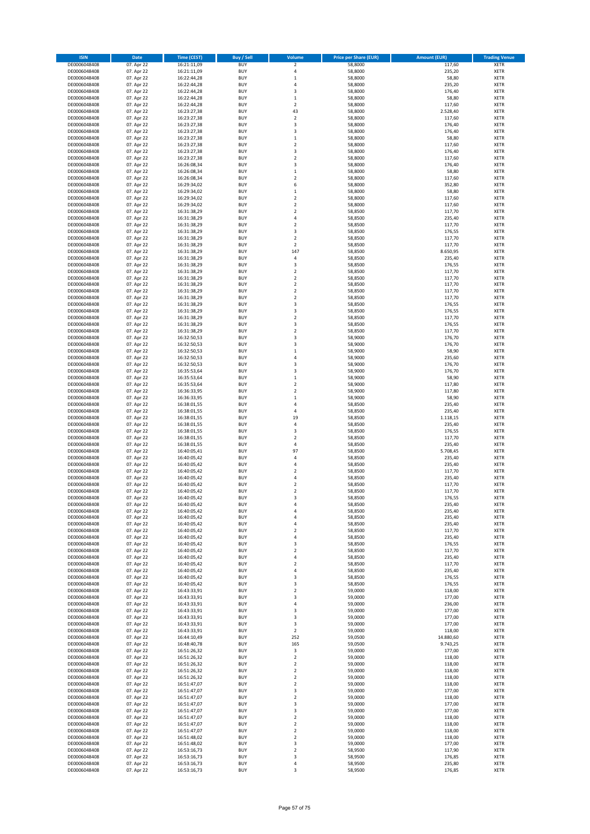| <b>ISIN</b>                  | Date                     | <b>Time (CEST)</b>         | <b>Buy / Sell</b>        | Volume                             | <b>Price per Share (EUR)</b> | <b>Amount (EUR)</b> | <b>Trading Venue</b>       |
|------------------------------|--------------------------|----------------------------|--------------------------|------------------------------------|------------------------------|---------------------|----------------------------|
| DE0006048408                 | 07. Apr 22               | 16:21:11,09                | <b>BUY</b>               | $\mathbf 2$                        | 58,8000                      | 117,60              | <b>XETR</b>                |
| DE0006048408                 | 07. Apr 22               | 16:21:11,09                | <b>BUY</b>               | 4                                  | 58,8000                      | 235,20              | XETR                       |
| DE0006048408                 | 07. Apr 22               | 16:22:44,28                | <b>BUY</b>               | $\mathbf{1}$                       | 58,8000                      | 58,80               | XETR                       |
| DE0006048408                 | 07. Apr 22               | 16:22:44,28                | <b>BUY</b>               | $\sqrt{4}$                         | 58,8000                      | 235,20              | <b>XETR</b>                |
| DE0006048408<br>DE0006048408 | 07. Apr 22<br>07. Apr 22 | 16:22:44,28<br>16:22:44,28 | <b>BUY</b><br><b>BUY</b> | 3<br>$\mathbf 1$                   | 58,8000<br>58,8000           | 176,40<br>58,80     | <b>XETR</b><br><b>XETR</b> |
| DE0006048408                 | 07. Apr 22               | 16:22:44,28                | <b>BUY</b>               | $\overline{2}$                     | 58,8000                      | 117,60              | <b>XETR</b>                |
| DE0006048408                 | 07. Apr 22               | 16:23:27,38                | <b>BUY</b>               | 43                                 | 58,8000                      | 2.528,40            | <b>XETR</b>                |
| DE0006048408                 | 07. Apr 22               | 16:23:27,38                | <b>BUY</b>               | $\boldsymbol{2}$                   | 58,8000                      | 117,60              | <b>XETR</b>                |
| DE0006048408                 | 07. Apr 22               | 16:23:27,38                | <b>BUY</b>               | 3                                  | 58,8000                      | 176,40              | <b>XETR</b>                |
| DE0006048408                 | 07. Apr 22<br>07. Apr 22 | 16:23:27,38                | <b>BUY</b><br><b>BUY</b> | 3<br>$\mathbf 1$                   | 58,8000<br>58,8000           | 176,40              | XETR<br><b>XETR</b>        |
| DE0006048408<br>DE0006048408 | 07. Apr 22               | 16:23:27,38<br>16:23:27,38 | <b>BUY</b>               | $\boldsymbol{2}$                   | 58,8000                      | 58,80<br>117,60     | XETR                       |
| DE0006048408                 | 07. Apr 22               | 16:23:27,38                | <b>BUY</b>               | 3                                  | 58,8000                      | 176,40              | <b>XETR</b>                |
| DE0006048408                 | 07. Apr 22               | 16:23:27,38                | <b>BUY</b>               | $\boldsymbol{2}$                   | 58,8000                      | 117,60              | <b>XETR</b>                |
| DE0006048408                 | 07. Apr 22               | 16:26:08,34                | <b>BUY</b>               | 3                                  | 58,8000                      | 176,40              | <b>XETR</b>                |
| DE0006048408                 | 07. Apr 22               | 16:26:08,34                | <b>BUY</b>               | $\,1\,$                            | 58,8000                      | 58,80               | <b>XETR</b>                |
| DE0006048408<br>DE0006048408 | 07. Apr 22<br>07. Apr 22 | 16:26:08,34<br>16:29:34,02 | <b>BUY</b><br><b>BUY</b> | $\overline{2}$<br>6                | 58,8000<br>58,8000           | 117,60<br>352,80    | <b>XETR</b><br><b>XETR</b> |
| DE0006048408                 | 07. Apr 22               | 16:29:34,02                | <b>BUY</b>               | $\,1\,$                            | 58,8000                      | 58,80               | <b>XETR</b>                |
| DE0006048408                 | 07. Apr 22               | 16:29:34,02                | <b>BUY</b>               | $\overline{2}$                     | 58,8000                      | 117,60              | <b>XETR</b>                |
| DE0006048408                 | 07. Apr 22               | 16:29:34,02                | <b>BUY</b>               | $\boldsymbol{2}$                   | 58,8000                      | 117,60              | <b>XETR</b>                |
| DE0006048408                 | 07. Apr 22               | 16:31:38,29                | <b>BUY</b>               | $\overline{2}$                     | 58,8500                      | 117,70              | <b>XETR</b>                |
| DE0006048408                 | 07. Apr 22               | 16:31:38,29                | <b>BUY</b>               | 4                                  | 58,8500                      | 235,40              | <b>XETR</b>                |
| DE0006048408<br>DE0006048408 | 07. Apr 22<br>07. Apr 22 | 16:31:38,29<br>16:31:38,29 | <b>BUY</b><br><b>BUY</b> | $\overline{2}$<br>3                | 58,8500<br>58,8500           | 117,70<br>176,55    | <b>XETR</b><br><b>XETR</b> |
| DE0006048408                 | 07. Apr 22               | 16:31:38,29                | <b>BUY</b>               | $\overline{2}$                     | 58,8500                      | 117,70              | <b>XETR</b>                |
| DE0006048408                 | 07. Apr 22               | 16:31:38,29                | <b>BUY</b>               | $\mathbf 2$                        | 58,8500                      | 117,70              | <b>XETR</b>                |
| DE0006048408                 | 07. Apr 22               | 16:31:38,29                | <b>BUY</b>               | 147                                | 58,8500                      | 8.650,95            | <b>XETR</b>                |
| DE0006048408                 | 07. Apr 22               | 16:31:38,29                | <b>BUY</b>               | 4                                  | 58,8500                      | 235,40              | XETR                       |
| DE0006048408<br>DE0006048408 | 07. Apr 22<br>07. Apr 22 | 16:31:38,29<br>16:31:38,29 | <b>BUY</b><br><b>BUY</b> | 3<br>$\boldsymbol{2}$              | 58,8500<br>58,8500           | 176,55<br>117,70    | <b>XETR</b><br>XETR        |
| DE0006048408                 | 07. Apr 22               | 16:31:38,29                | <b>BUY</b>               | $\overline{2}$                     | 58,8500                      | 117,70              | <b>XETR</b>                |
| DE0006048408                 | 07. Apr 22               | 16:31:38,29                | <b>BUY</b>               | $\boldsymbol{2}$                   | 58,8500                      | 117,70              | XETR                       |
| DE0006048408                 | 07. Apr 22               | 16:31:38,29                | <b>BUY</b>               | $\overline{2}$                     | 58,8500                      | 117,70              | <b>XETR</b>                |
| DE0006048408                 | 07. Apr 22               | 16:31:38,29                | <b>BUY</b>               | $\boldsymbol{2}$                   | 58,8500                      | 117,70              | XETR                       |
| DE0006048408                 | 07. Apr 22               | 16:31:38,29                | <b>BUY</b>               | 3                                  | 58,8500                      | 176,55              | <b>XETR</b>                |
| DE0006048408<br>DE0006048408 | 07. Apr 22<br>07. Apr 22 | 16:31:38,29<br>16:31:38,29 | <b>BUY</b><br><b>BUY</b> | 3<br>$\overline{2}$                | 58,8500<br>58,8500           | 176,55<br>117,70    | XETR<br><b>XETR</b>        |
| DE0006048408                 | 07. Apr 22               | 16:31:38,29                | <b>BUY</b>               | 3                                  | 58,8500                      | 176,55              | <b>XETR</b>                |
| DE0006048408                 | 07. Apr 22               | 16:31:38,29                | <b>BUY</b>               | $\overline{2}$                     | 58,8500                      | 117,70              | <b>XETR</b>                |
| DE0006048408                 | 07. Apr 22               | 16:32:50,53                | <b>BUY</b>               | 3                                  | 58,9000                      | 176,70              | <b>XETR</b>                |
| DE0006048408                 | 07. Apr 22               | 16:32:50,53                | <b>BUY</b>               | 3                                  | 58,9000                      | 176,70              | <b>XETR</b>                |
| DE0006048408                 | 07. Apr 22               | 16:32:50,53                | <b>BUY</b>               | $\mathbf{1}$                       | 58,9000                      | 58,90               | <b>XETR</b>                |
| DE0006048408<br>DE0006048408 | 07. Apr 22<br>07. Apr 22 | 16:32:50,53<br>16:32:50,53 | <b>BUY</b><br><b>BUY</b> | $\sqrt{4}$<br>3                    | 58,9000<br>58,9000           | 235,60<br>176,70    | <b>XETR</b><br><b>XETR</b> |
| DE0006048408                 | 07. Apr 22               | 16:35:53,64                | <b>BUY</b>               | 3                                  | 58,9000                      | 176,70              | <b>XETR</b>                |
| DE0006048408                 | 07. Apr 22               | 16:35:53,64                | <b>BUY</b>               | $\,$ 1                             | 58,9000                      | 58,90               | <b>XETR</b>                |
| DE0006048408                 | 07. Apr 22               | 16:35:53,64                | <b>BUY</b>               | $\boldsymbol{2}$                   | 58,9000                      | 117,80              | <b>XETR</b>                |
| DE0006048408                 | 07. Apr 22               | 16:36:33,95                | <b>BUY</b>               | $\boldsymbol{2}$                   | 58,9000                      | 117,80              | <b>XETR</b>                |
| DE0006048408                 | 07. Apr 22               | 16:36:33,95                | <b>BUY</b>               | $\mathbf 1$                        | 58,9000                      | 58,90               | <b>XETR</b>                |
| DE0006048408<br>DE0006048408 | 07. Apr 22<br>07. Apr 22 | 16:38:01,55<br>16:38:01,55 | <b>BUY</b><br><b>BUY</b> | $\overline{4}$<br>4                | 58,8500<br>58,8500           | 235,40<br>235,40    | <b>XETR</b><br><b>XETR</b> |
| DE0006048408                 | 07. Apr 22               | 16:38:01,55                | <b>BUY</b>               | 19                                 | 58,8500                      | 1.118,15            | <b>XETR</b>                |
| DE0006048408                 | 07. Apr 22               | 16:38:01,55                | <b>BUY</b>               | 4                                  | 58,8500                      | 235,40              | <b>XETR</b>                |
| DE0006048408                 | 07. Apr 22               | 16:38:01,55                | <b>BUY</b>               | 3                                  | 58,8500                      | 176,55              | <b>XETR</b>                |
| DE0006048408                 | 07. Apr 22               | 16:38:01,55                | <b>BUY</b>               | $\overline{2}$                     | 58,8500                      | 117,70              | <b>XETR</b>                |
| DE0006048408<br>DE0006048408 | 07. Apr 22<br>07. Apr 22 | 16:38:01,55<br>16:40:05,41 | <b>BUY</b><br><b>BUY</b> | $\overline{4}$<br>97               | 58,8500<br>58,8500           | 235,40<br>5.708,45  | <b>XETR</b><br>XETR        |
| DE0006048408                 | 07. Apr 22               | 16:40:05,42                | <b>BUY</b>               | $\sqrt{4}$                         | 58,8500                      | 235,40              | <b>XETR</b>                |
| DE0006048408                 | 07. Apr 22               | 16:40:05,42                | <b>BUY</b>               | $\sqrt{4}$                         | 58,8500                      | 235,40              | XETR                       |
| DE0006048408                 | 07. Apr 22               | 16:40:05,42                | <b>BUY</b>               | $\overline{2}$                     | 58,8500                      | 117,70              | <b>XETR</b>                |
| DE0006048408                 | 07. Apr 22               | 16:40:05,42                | <b>BUY</b>               | 4                                  | 58,8500                      | 235,40              | <b>XETR</b>                |
| DE0006048408                 | 07. Apr 22               | 16:40:05,42                | <b>BUY</b>               | $\overline{2}$                     | 58,8500                      | 117,70              | <b>XETR</b>                |
| DE0006048408<br>DE0006048408 | 07. Apr 22<br>07. Apr 22 | 16:40:05,42<br>16:40:05,42 | <b>BUY</b><br><b>BUY</b> | $\overline{2}$<br>3                | 58,8500<br>58,8500           | 117,70<br>176,55    | <b>XETR</b><br><b>XETR</b> |
| DE0006048408                 | 07. Apr 22               | 16:40:05,42                | <b>BUY</b>               | 4                                  | 58,8500                      | 235,40              | <b>XETR</b>                |
| DE0006048408                 | 07. Apr 22               | 16:40:05,42                | <b>BUY</b>               | 4                                  | 58,8500                      | 235,40              | XETR                       |
| DE0006048408                 | 07. Apr 22               | 16:40:05,42                | <b>BUY</b>               | 4                                  | 58,8500                      | 235,40              | XETR                       |
| DE0006048408                 | 07. Apr 22               | 16:40:05,42                | <b>BUY</b>               | 4                                  | 58,8500                      | 235,40              | <b>XETR</b>                |
| DE0006048408                 | 07. Apr 22               | 16:40:05,42                | <b>BUY</b>               | $\boldsymbol{2}$                   | 58,8500                      | 117,70              | XETR                       |
| DE0006048408<br>DE0006048408 | 07. Apr 22<br>07. Apr 22 | 16:40:05,42<br>16:40:05,42 | <b>BUY</b><br><b>BUY</b> | 4<br>3                             | 58,8500<br>58,8500           | 235,40<br>176,55    | <b>XETR</b><br><b>XETR</b> |
| DE0006048408                 | 07. Apr 22               | 16:40:05,42                | <b>BUY</b>               | $\boldsymbol{2}$                   | 58,8500                      | 117,70              | <b>XETR</b>                |
| DE0006048408                 | 07. Apr 22               | 16:40:05,42                | <b>BUY</b>               | 4                                  | 58,8500                      | 235,40              | XETR                       |
| DE0006048408                 | 07. Apr 22               | 16:40:05,42                | <b>BUY</b>               | $\overline{\mathbf{2}}$            | 58,8500                      | 117,70              | <b>XETR</b>                |
| DE0006048408                 | 07. Apr 22               | 16:40:05,42                | <b>BUY</b>               | $\sqrt{4}$                         | 58,8500                      | 235,40              | XETR                       |
| DE0006048408<br>DE0006048408 | 07. Apr 22<br>07. Apr 22 | 16:40:05,42<br>16:40:05,42 | <b>BUY</b><br><b>BUY</b> | 3<br>3                             | 58,8500<br>58,8500           | 176,55<br>176,55    | <b>XETR</b><br>XETR        |
| DE0006048408                 | 07. Apr 22               | 16:43:33,91                | <b>BUY</b>               | $\boldsymbol{2}$                   | 59,0000                      | 118,00              | <b>XETR</b>                |
| DE0006048408                 | 07. Apr 22               | 16:43:33,91                | <b>BUY</b>               | 3                                  | 59,0000                      | 177,00              | <b>XETR</b>                |
| DE0006048408                 | 07. Apr 22               | 16:43:33,91                | <b>BUY</b>               | 4                                  | 59,0000                      | 236,00              | <b>XETR</b>                |
| DE0006048408                 | 07. Apr 22               | 16:43:33,91                | <b>BUY</b>               | 3                                  | 59,0000                      | 177,00              | <b>XETR</b>                |
| DE0006048408<br>DE0006048408 | 07. Apr 22<br>07. Apr 22 | 16:43:33,91<br>16:43:33,91 | <b>BUY</b><br><b>BUY</b> | 3<br>3                             | 59,0000<br>59,0000           | 177,00<br>177,00    | <b>XETR</b><br><b>XETR</b> |
| DE0006048408                 | 07. Apr 22               | 16:43:33,91                | <b>BUY</b>               | $\mathbf 2$                        | 59,0000                      | 118,00              | <b>XETR</b>                |
| DE0006048408                 | 07. Apr 22               | 16:44:10,49                | <b>BUY</b>               | 252                                | 59,0500                      | 14.880,60           | <b>XETR</b>                |
| DE0006048408                 | 07. Apr 22               | 16:48:40,78                | <b>BUY</b>               | 165                                | 59,0500                      | 9.743,25            | XETR                       |
| DE0006048408                 | 07. Apr 22               | 16:51:26,32                | <b>BUY</b>               | $\mathsf 3$                        | 59,0000                      | 177,00              | <b>XETR</b>                |
| DE0006048408<br>DE0006048408 | 07. Apr 22<br>07. Apr 22 | 16:51:26,32<br>16:51:26,32 | <b>BUY</b><br><b>BUY</b> | $\boldsymbol{2}$<br>$\overline{2}$ | 59,0000<br>59,0000           | 118,00<br>118,00    | <b>XETR</b><br><b>XETR</b> |
| DE0006048408                 | 07. Apr 22               | 16:51:26,32                | <b>BUY</b>               | $\overline{\mathbf{2}}$            | 59,0000                      | 118,00              | XETR                       |
| DE0006048408                 | 07. Apr 22               | 16:51:26,32                | <b>BUY</b>               | $\overline{2}$                     | 59,0000                      | 118,00              | <b>XETR</b>                |
| DE0006048408                 | 07. Apr 22               | 16:51:47,07                | <b>BUY</b>               | $\boldsymbol{2}$                   | 59,0000                      | 118,00              | <b>XETR</b>                |
| DE0006048408                 | 07. Apr 22               | 16:51:47,07                | <b>BUY</b>               | 3                                  | 59,0000                      | 177,00              | <b>XETR</b>                |
| DE0006048408                 | 07. Apr 22               | 16:51:47,07                | <b>BUY</b>               | 2                                  | 59,0000                      | 118,00              | XETR                       |
| DE0006048408<br>DE0006048408 | 07. Apr 22<br>07. Apr 22 | 16:51:47,07<br>16:51:47,07 | <b>BUY</b><br><b>BUY</b> | 3<br>3                             | 59,0000<br>59,0000           | 177,00<br>177,00    | <b>XETR</b><br>XETR        |
| DE0006048408                 | 07. Apr 22               | 16:51:47,07                | <b>BUY</b>               | $\boldsymbol{2}$                   | 59,0000                      | 118,00              | <b>XETR</b>                |
| DE0006048408                 | 07. Apr 22               | 16:51:47,07                | <b>BUY</b>               | $\overline{\mathbf{2}}$            | 59,0000                      | 118,00              | <b>XETR</b>                |
| DE0006048408                 | 07. Apr 22               | 16:51:47,07                | <b>BUY</b>               | $\overline{\mathbf{2}}$            | 59,0000                      | 118,00              | <b>XETR</b>                |
| DE0006048408                 | 07. Apr 22               | 16:51:48,02                | <b>BUY</b>               | $\boldsymbol{2}$                   | 59,0000                      | 118,00              | XETR                       |
| DE0006048408                 | 07. Apr 22               | 16:51:48,02                | <b>BUY</b><br><b>BUY</b> | 3                                  | 59,0000                      | 177,00              | <b>XETR</b><br>XETR        |
| DE0006048408<br>DE0006048408 | 07. Apr 22<br>07. Apr 22 | 16:53:16,73<br>16:53:16,73 | <b>BUY</b>               | $\mathbf 2$<br>3                   | 58,9500<br>58,9500           | 117,90<br>176,85    | <b>XETR</b>                |
| DE0006048408                 | 07. Apr 22               | 16:53:16,73                | <b>BUY</b>               | $\sqrt{4}$                         | 58,9500                      | 235,80              | XETR                       |
| DE0006048408                 | 07. Apr 22               | 16:53:16,73                | <b>BUY</b>               | 3                                  | 58,9500                      | 176,85              | <b>XETR</b>                |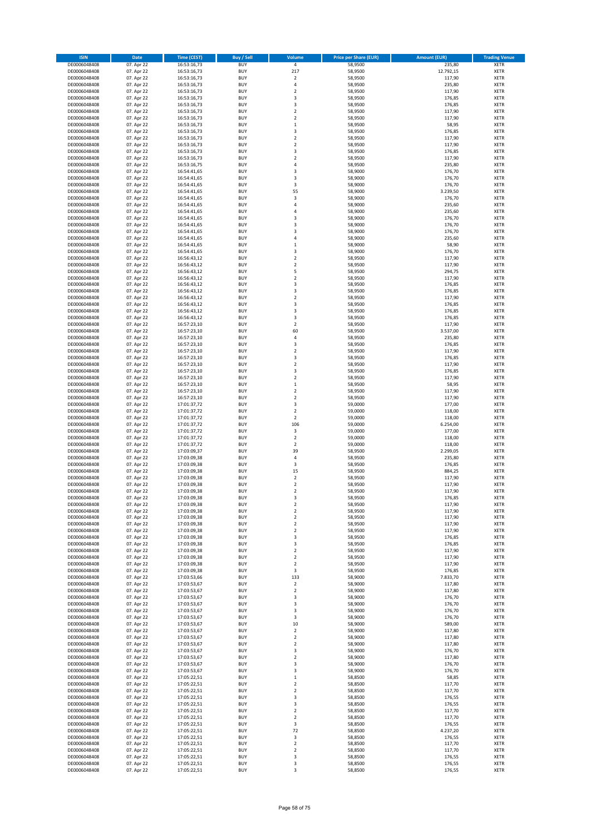| <b>ISIN</b>                  | Date                     | <b>Time (CEST)</b>         | Buy / Sell               | Volume                               | <b>Price per Share (EUR)</b> | <b>Amount (EUR)</b> | <b>Trading Venue</b>       |
|------------------------------|--------------------------|----------------------------|--------------------------|--------------------------------------|------------------------------|---------------------|----------------------------|
| DE0006048408                 | 07. Apr 22               | 16:53:16,73                | <b>BUY</b>               | $\sqrt{4}$                           | 58,9500                      | 235,80              | <b>XETR</b>                |
| DE0006048408                 | 07. Apr 22               | 16:53:16,73                | <b>BUY</b>               | 217                                  | 58,9500                      | 12.792,15           | XETR                       |
| DE0006048408                 | 07. Apr 22               | 16:53:16,73                | <b>BUY</b>               | $\overline{2}$                       | 58,9500                      | 117,90              | XETR                       |
| DE0006048408<br>DE0006048408 | 07. Apr 22<br>07. Apr 22 | 16:53:16,73<br>16:53:16,73 | <b>BUY</b><br><b>BUY</b> | $\sqrt{4}$<br>$\boldsymbol{2}$       | 58,9500<br>58,9500           | 235,80<br>117,90    | <b>XETR</b><br><b>XETR</b> |
| DE0006048408                 | 07. Apr 22               | 16:53:16,73                | <b>BUY</b>               | 3                                    | 58,9500                      | 176,85              | <b>XETR</b>                |
| DE0006048408                 | 07. Apr 22               | 16:53:16,73                | <b>BUY</b>               | 3                                    | 58,9500                      | 176,85              | <b>XETR</b>                |
| DE0006048408                 | 07. Apr 22               | 16:53:16,73                | <b>BUY</b>               | $\overline{2}$                       | 58,9500                      | 117,90              | <b>XETR</b>                |
| DE0006048408                 | 07. Apr 22               | 16:53:16,73                | <b>BUY</b>               | $\boldsymbol{2}$                     | 58,9500                      | 117,90              | <b>XETR</b>                |
| DE0006048408                 | 07. Apr 22               | 16:53:16,73                | <b>BUY</b>               | $\mathbf 1$                          | 58,9500                      | 58,95               | <b>XETR</b>                |
| DE0006048408                 | 07. Apr 22               | 16:53:16,73                | <b>BUY</b>               | 3                                    | 58,9500                      | 176,85              | XETR                       |
| DE0006048408                 | 07. Apr 22               | 16:53:16,73                | <b>BUY</b>               | $\overline{2}$                       | 58,9500                      | 117,90              | <b>XETR</b>                |
| DE0006048408<br>DE0006048408 | 07. Apr 22               | 16:53:16,73                | <b>BUY</b><br><b>BUY</b> | $\boldsymbol{2}$<br>3                | 58,9500<br>58,9500           | 117,90              | XETR<br><b>XETR</b>        |
| DE0006048408                 | 07. Apr 22<br>07. Apr 22 | 16:53:16,73<br>16:53:16,73 | <b>BUY</b>               | $\boldsymbol{2}$                     | 58,9500                      | 176,85<br>117,90    | XETR                       |
| DE0006048408                 | 07. Apr 22               | 16:53:16,75                | <b>BUY</b>               | 4                                    | 58,9500                      | 235,80              | <b>XETR</b>                |
| DE0006048408                 | 07. Apr 22               | 16:54:41,65                | <b>BUY</b>               | 3                                    | 58,9000                      | 176,70              | <b>XETR</b>                |
| DE0006048408                 | 07. Apr 22               | 16:54:41,65                | <b>BUY</b>               | 3                                    | 58,9000                      | 176,70              | <b>XETR</b>                |
| DE0006048408                 | 07. Apr 22               | 16:54:41,65                | <b>BUY</b>               | 3                                    | 58,9000                      | 176,70              | <b>XETR</b>                |
| DE0006048408                 | 07. Apr 22               | 16:54:41,65                | <b>BUY</b>               | 55                                   | 58,9000                      | 3.239,50            | <b>XETR</b>                |
| DE0006048408                 | 07. Apr 22               | 16:54:41,65                | <b>BUY</b>               | 3                                    | 58,9000                      | 176,70              | <b>XETR</b>                |
| DE0006048408                 | 07. Apr 22               | 16:54:41,65                | <b>BUY</b>               | 4<br>$\overline{4}$                  | 58,9000                      | 235,60              | <b>XETR</b>                |
| DE0006048408<br>DE0006048408 | 07. Apr 22<br>07. Apr 22 | 16:54:41,65<br>16:54:41,65 | <b>BUY</b><br><b>BUY</b> | 3                                    | 58,9000<br>58,9000           | 235,60<br>176,70    | <b>XETR</b><br><b>XETR</b> |
| DE0006048408                 | 07. Apr 22               | 16:54:41,65                | <b>BUY</b>               | 3                                    | 58,9000                      | 176,70              | <b>XETR</b>                |
| DE0006048408                 | 07. Apr 22               | 16:54:41,65                | <b>BUY</b>               | 3                                    | 58,9000                      | 176,70              | <b>XETR</b>                |
| DE0006048408                 | 07. Apr 22               | 16:54:41,65                | <b>BUY</b>               | $\overline{4}$                       | 58,9000                      | 235,60              | <b>XETR</b>                |
| DE0006048408                 | 07. Apr 22               | 16:54:41,65                | <b>BUY</b>               | $\,1\,$                              | 58,9000                      | 58,90               | <b>XETR</b>                |
| DE0006048408                 | 07. Apr 22               | 16:54:41,65                | <b>BUY</b>               | 3                                    | 58,9000                      | 176,70              | <b>XETR</b>                |
| DE0006048408                 | 07. Apr 22               | 16:56:43,12                | <b>BUY</b>               | $\boldsymbol{2}$                     | 58,9500                      | 117,90              | XETR                       |
| DE0006048408                 | 07. Apr 22               | 16:56:43,12                | <b>BUY</b>               | $\overline{2}$                       | 58,9500                      | 117,90              | <b>XETR</b>                |
| DE0006048408<br>DE0006048408 | 07. Apr 22<br>07. Apr 22 | 16:56:43,12<br>16:56:43,12 | <b>BUY</b><br><b>BUY</b> | 5<br>$\overline{2}$                  | 58,9500<br>58,9500           | 294,75<br>117,90    | XETR<br><b>XETR</b>        |
| DE0006048408                 | 07. Apr 22               | 16:56:43,12                | <b>BUY</b>               | 3                                    | 58,9500                      | 176,85              | XETR                       |
| DE0006048408                 | 07. Apr 22               | 16:56:43,12                | <b>BUY</b>               | 3                                    | 58,9500                      | 176,85              | <b>XETR</b>                |
| DE0006048408                 | 07. Apr 22               | 16:56:43,12                | <b>BUY</b>               | $\boldsymbol{2}$                     | 58,9500                      | 117,90              | XETR                       |
| DE0006048408                 | 07. Apr 22               | 16:56:43,12                | <b>BUY</b>               | 3                                    | 58,9500                      | 176,85              | <b>XETR</b>                |
| DE0006048408                 | 07. Apr 22               | 16:56:43,12                | <b>BUY</b>               | 3                                    | 58,9500                      | 176,85              | XETR                       |
| DE0006048408                 | 07. Apr 22               | 16:56:43,12                | <b>BUY</b>               | 3                                    | 58,9500                      | 176,85              | <b>XETR</b>                |
| DE0006048408                 | 07. Apr 22               | 16:57:23,10                | <b>BUY</b>               | $\overline{2}$                       | 58,9500                      | 117,90              | <b>XETR</b>                |
| DE0006048408                 | 07. Apr 22               | 16:57:23.10                | <b>BUY</b>               | 60                                   | 58,9500                      | 3.537,00            | <b>XETR</b>                |
| DE0006048408<br>DE0006048408 | 07. Apr 22<br>07. Apr 22 | 16:57:23,10<br>16:57:23,10 | <b>BUY</b><br><b>BUY</b> | 4<br>3                               | 58,9500<br>58,9500           | 235,80<br>176,85    | <b>XETR</b><br><b>XETR</b> |
| DE0006048408                 | 07. Apr 22               | 16:57:23,10                | <b>BUY</b>               | $\overline{2}$                       | 58,9500                      | 117,90              | <b>XETR</b>                |
| DE0006048408                 | 07. Apr 22               | 16:57:23,10                | <b>BUY</b>               | 3                                    | 58,9500                      | 176,85              | <b>XETR</b>                |
| DE0006048408                 | 07. Apr 22               | 16:57:23,10                | <b>BUY</b>               | $\boldsymbol{2}$                     | 58,9500                      | 117,90              | <b>XETR</b>                |
| DE0006048408                 | 07. Apr 22               | 16:57:23,10                | <b>BUY</b>               | 3                                    | 58,9500                      | 176,85              | <b>XETR</b>                |
| DE0006048408                 | 07. Apr 22               | 16:57:23,10                | <b>BUY</b>               | $\boldsymbol{2}$                     | 58,9500                      | 117,90              | <b>XETR</b>                |
| DE0006048408                 | 07. Apr 22               | 16:57:23,10                | <b>BUY</b>               | $\,1\,$                              | 58,9500                      | 58,95               | <b>XETR</b>                |
| DE0006048408                 | 07. Apr 22               | 16:57:23,10                | <b>BUY</b>               | $\boldsymbol{2}$                     | 58,9500                      | 117,90              | <b>XETR</b>                |
| DE0006048408                 | 07. Apr 22               | 16:57:23,10                | <b>BUY</b>               | $\boldsymbol{2}$                     | 58,9500                      | 117,90              | <b>XETR</b>                |
| DE0006048408<br>DE0006048408 | 07. Apr 22<br>07. Apr 22 | 17:01:37,72<br>17:01:37,72 | <b>BUY</b><br><b>BUY</b> | 3<br>$\mathbf 2$                     | 59,0000<br>59,0000           | 177,00<br>118,00    | <b>XETR</b><br><b>XETR</b> |
| DE0006048408                 | 07. Apr 22               | 17:01:37,72                | <b>BUY</b>               | $\overline{2}$                       | 59,0000                      | 118,00              | <b>XETR</b>                |
| DE0006048408                 | 07. Apr 22               | 17:01:37,72                | <b>BUY</b>               | 106                                  | 59,0000                      | 6.254,00            | <b>XETR</b>                |
| DE0006048408                 | 07. Apr 22               | 17:01:37,72                | <b>BUY</b>               | 3                                    | 59,0000                      | 177,00              | <b>XETR</b>                |
| DE0006048408                 | 07. Apr 22               | 17:01:37,72                | <b>BUY</b>               | $\mathbf 2$                          | 59,0000                      | 118,00              | <b>XETR</b>                |
| DE0006048408                 | 07. Apr 22               | 17:01:37,72                | <b>BUY</b>               | $\overline{2}$                       | 59,0000                      | 118,00              | <b>XETR</b>                |
| DE0006048408                 | 07. Apr 22               | 17:03:09,37                | <b>BUY</b>               | 39                                   | 58,9500                      | 2.299,05            | XETR                       |
| DE0006048408                 | 07. Apr 22               | 17:03:09,38                | <b>BUY</b>               | $\sqrt{4}$                           | 58,9500                      | 235,80              | <b>XETR</b>                |
| DE0006048408<br>DE0006048408 | 07. Apr 22<br>07. Apr 22 | 17:03:09,38<br>17:03:09,38 | <b>BUY</b><br><b>BUY</b> | 3<br>15                              | 58,9500<br>58,9500           | 176,85<br>884,25    | XETR<br><b>XETR</b>        |
| DE0006048408                 | 07. Apr 22               | 17:03:09,38                | <b>BUY</b>               | $\boldsymbol{2}$                     | 58,9500                      | 117,90              | <b>XETR</b>                |
| DE0006048408                 | 07. Apr 22               | 17:03:09,38                | <b>BUY</b>               | $\overline{2}$                       | 58,9500                      | 117,90              | <b>XETR</b>                |
| DE0006048408                 | 07. Apr 22               | 17:03:09,38                | <b>BUY</b>               | $\overline{2}$                       | 58,9500                      | 117,90              | <b>XETR</b>                |
| DE0006048408                 | 07. Apr 22               | 17:03:09,38                | <b>BUY</b>               | 3                                    | 58,9500                      | 176,85              | <b>XETR</b>                |
| DE0006048408                 | 07. Apr 22               | 17:03:09,38                | <b>BUY</b>               | 2                                    | 58,9500                      | 117,90              | <b>XETR</b>                |
| DE0006048408                 | 07. Apr 22               | 17:03:09,38                | <b>BUY</b>               | $\boldsymbol{2}$                     | 58,9500                      | 117,90              | XETR                       |
| DE0006048408                 | 07. Apr 22               | 17:03:09,38                | <b>BUY</b>               | $\boldsymbol{2}$                     | 58,9500                      | 117,90              | XETR                       |
| DE0006048408<br>DE0006048408 | 07. Apr 22<br>07. Apr 22 | 17:03:09,38<br>17:03:09,38 | <b>BUY</b><br><b>BUY</b> | $\mathbf 2$<br>$\boldsymbol{2}$      | 58,9500<br>58,9500           | 117,90<br>117,90    | <b>XETR</b><br>XETR        |
| DE0006048408                 | 07. Apr 22               | 17:03:09,38                | <b>BUY</b>               | 3                                    | 58,9500                      | 176,85              | <b>XETR</b>                |
| DE0006048408                 | 07. Apr 22               | 17:03:09,38                | <b>BUY</b>               | 3                                    | 58,9500                      | 176,85              | <b>XETR</b>                |
| DE0006048408                 | 07. Apr 22               | 17:03:09,38                | <b>BUY</b>               | $\boldsymbol{2}$                     | 58,9500                      | 117,90              | <b>XETR</b>                |
| DE0006048408                 | 07. Apr 22               | 17:03:09,38                | <b>BUY</b>               | $\boldsymbol{2}$                     | 58,9500                      | 117,90              | XETR                       |
| DE0006048408                 | 07. Apr 22               | 17:03:09,38                | <b>BUY</b>               | $\overline{\mathbf{2}}$              | 58,9500                      | 117,90              | <b>XETR</b>                |
| DE0006048408                 | 07. Apr 22               | 17:03:09,38                | <b>BUY</b>               | 3                                    | 58,9500                      | 176,85              | XETR                       |
| DE0006048408                 | 07. Apr 22               | 17:03:53,66                | <b>BUY</b><br><b>BUY</b> | 133                                  | 58,9000<br>58,9000           | 7.833,70            | <b>XETR</b><br>XETR        |
| DE0006048408                 | 07. Apr 22               | 17:03:53,67                |                          | $\boldsymbol{2}$<br>$\boldsymbol{2}$ |                              | 117,80              |                            |
| DE0006048408<br>DE0006048408 | 07. Apr 22<br>07. Apr 22 | 17:03:53,67<br>17:03:53,67 | <b>BUY</b><br><b>BUY</b> | 3                                    | 58,9000<br>58,9000           | 117,80<br>176,70    | <b>XETR</b><br><b>XETR</b> |
| DE0006048408                 | 07. Apr 22               | 17:03:53,67                | <b>BUY</b>               | 3                                    | 58,9000                      | 176,70              | <b>XETR</b>                |
| DE0006048408                 | 07. Apr 22               | 17:03:53,67                | <b>BUY</b>               | 3                                    | 58,9000                      | 176,70              | <b>XETR</b>                |
| DE0006048408                 | 07. Apr 22               | 17:03:53,67                | <b>BUY</b>               | 3                                    | 58,9000                      | 176,70              | <b>XETR</b>                |
| DE0006048408                 | 07. Apr 22               | 17:03:53,67                | <b>BUY</b>               | 10                                   | 58,9000                      | 589,00              | <b>XETR</b>                |
| DE0006048408                 | 07. Apr 22               | 17:03:53,67                | <b>BUY</b>               | $\boldsymbol{2}$                     | 58,9000                      | 117,80              | <b>XETR</b>                |
| DE0006048408                 | 07. Apr 22               | 17:03:53,67                | <b>BUY</b>               | $\mathbf 2$                          | 58,9000                      | 117,80              | <b>XETR</b>                |
| DE0006048408<br>DE0006048408 | 07. Apr 22<br>07. Apr 22 | 17:03:53,67<br>17:03:53,67 | <b>BUY</b><br><b>BUY</b> | $\overline{\mathbf{2}}$<br>3         | 58,9000<br>58,9000           | 117,80<br>176,70    | XETR<br><b>XETR</b>        |
| DE0006048408                 | 07. Apr 22               | 17:03:53,67                | <b>BUY</b>               | $\boldsymbol{2}$                     | 58,9000                      | 117,80              | <b>XETR</b>                |
| DE0006048408                 | 07. Apr 22               | 17:03:53,67                | <b>BUY</b>               | 3                                    | 58,9000                      | 176,70              | <b>XETR</b>                |
| DE0006048408                 | 07. Apr 22               | 17:03:53,67                | <b>BUY</b>               | 3                                    | 58,9000                      | 176,70              | XETR                       |
| DE0006048408                 | 07. Apr 22               | 17:05:22,51                | <b>BUY</b>               | $\mathbf 1$                          | 58,8500                      | 58,85               | <b>XETR</b>                |
| DE0006048408                 | 07. Apr 22               | 17:05:22,51                | <b>BUY</b>               | $\boldsymbol{2}$                     | 58,8500                      | 117,70              | <b>XETR</b>                |
| DE0006048408                 | 07. Apr 22               | 17:05:22,51                | <b>BUY</b>               | $\overline{2}$                       | 58,8500                      | 117,70              | <b>XETR</b>                |
| DE0006048408                 | 07. Apr 22               | 17:05:22,51                | <b>BUY</b>               | 3                                    | 58,8500                      | 176,55              | XETR                       |
| DE0006048408<br>DE0006048408 | 07. Apr 22<br>07. Apr 22 | 17:05:22,51<br>17:05:22,51 | <b>BUY</b><br><b>BUY</b> | 3<br>$\boldsymbol{2}$                | 58,8500<br>58,8500           | 176,55<br>117,70    | <b>XETR</b><br>XETR        |
| DE0006048408                 | 07. Apr 22               | 17:05:22,51                | <b>BUY</b>               | $\overline{\mathbf{2}}$              | 58,8500                      | 117,70              | <b>XETR</b>                |
| DE0006048408                 | 07. Apr 22               | 17:05:22,51                | <b>BUY</b>               | 3                                    | 58,8500                      | 176,55              | <b>XETR</b>                |
| DE0006048408                 | 07. Apr 22               | 17:05:22,51                | <b>BUY</b>               | 72                                   | 58,8500                      | 4.237,20            | <b>XETR</b>                |
| DE0006048408                 | 07. Apr 22               | 17:05:22,51                | <b>BUY</b>               | 3                                    | 58,8500                      | 176,55              | XETR                       |
| DE0006048408                 | 07. Apr 22               | 17:05:22,51                | <b>BUY</b>               | $\mathbf 2$                          | 58,8500                      | 117,70              | <b>XETR</b>                |
| DE0006048408                 | 07. Apr 22               | 17:05:22,51                | <b>BUY</b>               | $\boldsymbol{2}$                     | 58,8500                      | 117,70              | XETR                       |
| DE0006048408                 | 07. Apr 22               | 17:05:22,51                | <b>BUY</b>               | 3                                    | 58,8500                      | 176,55              | <b>XETR</b>                |
| DE0006048408<br>DE0006048408 | 07. Apr 22<br>07. Apr 22 | 17:05:22,51<br>17:05:22,51 | <b>BUY</b><br><b>BUY</b> | 3<br>3                               | 58,8500<br>58,8500           | 176,55<br>176,55    | XETR<br><b>XETR</b>        |
|                              |                          |                            |                          |                                      |                              |                     |                            |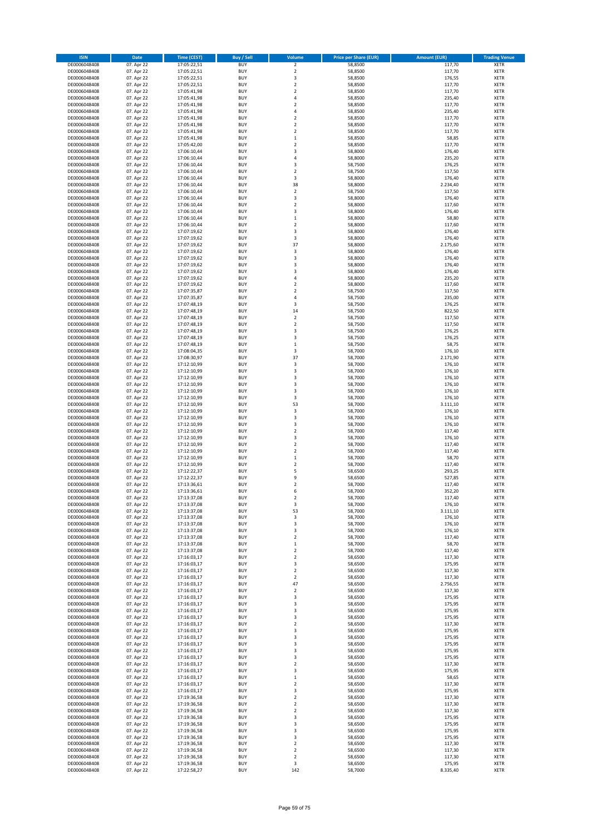| <b>ISIN</b>                  | Date       | <b>Time (CEST)</b>         | Buy / Sell               | Volume                  | <b>Price per Share (EUR)</b> | <b>Amount (EUR)</b> | <b>Trading Venue</b> |
|------------------------------|------------|----------------------------|--------------------------|-------------------------|------------------------------|---------------------|----------------------|
| DE0006048408                 | 07. Apr 22 | 17:05:22,51                | <b>BUY</b>               | $\mathbf 2$             | 58,8500                      | 117,70              | <b>XETR</b>          |
| DE0006048408                 | 07. Apr 22 | 17:05:22,51                | <b>BUY</b>               | $\overline{2}$          | 58,8500                      | 117,70              | <b>XETR</b>          |
| DE0006048408                 | 07. Apr 22 | 17:05:22,51                | <b>BUY</b>               | 3                       | 58,8500                      | 176,55              | XETR                 |
| DE0006048408                 | 07. Apr 22 | 17:05:22,51                | <b>BUY</b>               | $\overline{2}$          | 58,8500                      | 117,70              | <b>XETR</b>          |
| DE0006048408                 | 07. Apr 22 | 17:05:41,98                | <b>BUY</b>               | $\overline{2}$          | 58,8500                      | 117,70              | <b>XETR</b>          |
| DE0006048408                 | 07. Apr 22 | 17:05:41,98                | <b>BUY</b>               | $\sqrt{4}$              | 58,8500                      | 235,40              | <b>XETR</b>          |
| DE0006048408                 | 07. Apr 22 | 17:05:41,98                | <b>BUY</b>               | $\overline{2}$          | 58,8500                      | 117,70              | <b>XETR</b>          |
| DE0006048408                 | 07. Apr 22 | 17:05:41,98                | <b>BUY</b>               | $\overline{4}$          | 58,8500                      | 235,40              | <b>XETR</b>          |
| DE0006048408                 | 07. Apr 22 | 17:05:41,98                | <b>BUY</b>               | $\boldsymbol{2}$        | 58,8500                      | 117,70              | <b>XETR</b>          |
| DE0006048408                 | 07. Apr 22 | 17:05:41,98                | <b>BUY</b>               | $\overline{2}$          | 58,8500                      | 117,70              | <b>XETR</b>          |
| DE0006048408                 | 07. Apr 22 | 17:05:41,98                | <b>BUY</b>               | $\overline{2}$          | 58,8500                      | 117,70              | <b>XETR</b>          |
| DE0006048408                 | 07. Apr 22 | 17:05:41,98                | <b>BUY</b>               | $\,1\,$                 | 58,8500                      | 58,85               | <b>XETR</b>          |
| DE0006048408                 | 07. Apr 22 | 17:05:42,00                | <b>BUY</b>               | $\boldsymbol{2}$        | 58,8500                      | 117,70              | XETR                 |
| DE0006048408                 | 07. Apr 22 | 17:06:10,44                | <b>BUY</b>               | 3                       | 58,8000                      | 176,40              | <b>XETR</b>          |
| DE0006048408                 | 07. Apr 22 | 17:06:10,44                | <b>BUY</b>               | $\sqrt{4}$              | 58,8000                      | 235,20              | XETR                 |
| DE0006048408                 | 07. Apr 22 | 17:06:10,44                | <b>BUY</b>               | 3                       | 58,7500                      | 176,25              | <b>XETR</b>          |
| DE0006048408                 | 07. Apr 22 | 17:06:10,44                | <b>BUY</b>               | $\overline{\mathbf{c}}$ | 58,7500                      | 117,50              | <b>XETR</b>          |
| DE0006048408                 | 07. Apr 22 | 17:06:10,44                | <b>BUY</b>               | 3                       | 58,8000                      | 176,40              | <b>XETR</b>          |
| DE0006048408                 | 07. Apr 22 | 17:06:10,44                | <b>BUY</b>               | 38                      | 58,8000                      | 2.234,40            | <b>XETR</b>          |
| DE0006048408                 | 07. Apr 22 | 17:06:10,44                | <b>BUY</b>               | $\mathbf 2$             | 58,7500                      | 117,50              | <b>XETR</b>          |
| DE0006048408                 | 07. Apr 22 | 17:06:10,44                | <b>BUY</b>               | 3                       | 58,8000                      | 176,40              | <b>XETR</b>          |
| DE0006048408                 | 07. Apr 22 | 17:06:10,44                | <b>BUY</b>               | $\overline{\mathbf{c}}$ | 58,8000                      | 117,60              | <b>XETR</b>          |
| DE0006048408                 | 07. Apr 22 | 17:06:10,44                | <b>BUY</b>               | 3                       | 58,8000                      | 176,40              | <b>XETR</b>          |
| DE0006048408                 | 07. Apr 22 | 17:06:10,44                | <b>BUY</b>               | $\mathbf 1$             | 58,8000                      | 58,80               | <b>XETR</b>          |
| DE0006048408                 | 07. Apr 22 | 17:06:10,44                | <b>BUY</b>               | $\overline{\mathbf{c}}$ | 58,8000                      | 117,60              | <b>XETR</b>          |
| DE0006048408                 | 07. Apr 22 | 17:07:19,62                | <b>BUY</b>               | 3                       | 58,8000                      | 176,40              | <b>XETR</b>          |
| DE0006048408                 | 07. Apr 22 | 17:07:19,62                | <b>BUY</b>               | 3                       | 58,8000                      | 176,40              | <b>XETR</b>          |
| DE0006048408                 | 07. Apr 22 | 17:07:19,62                | <b>BUY</b>               | 37                      | 58,8000                      | 2.175,60            | <b>XETR</b>          |
| DE0006048408                 | 07. Apr 22 | 17:07:19,62                | <b>BUY</b>               | 3                       | 58,8000                      | 176,40              | <b>XETR</b>          |
| DE0006048408                 | 07. Apr 22 | 17:07:19,62                | <b>BUY</b>               | 3                       | 58,8000                      | 176,40              | XETR                 |
| DE0006048408                 | 07. Apr 22 | 17:07:19,62                | <b>BUY</b>               | 3                       | 58,8000                      | 176,40              | <b>XETR</b>          |
| DE0006048408                 | 07. Apr 22 | 17:07:19,62                | <b>BUY</b>               | 3                       | 58,8000                      | 176,40              | XETR                 |
| DE0006048408                 | 07. Apr 22 | 17:07:19,62                | <b>BUY</b>               | 4                       | 58,8000                      | 235,20              | <b>XETR</b>          |
| DE0006048408                 | 07. Apr 22 | 17:07:19,62                | <b>BUY</b>               | $\boldsymbol{2}$        | 58,8000                      | 117,60              | XETR                 |
| DE0006048408                 | 07. Apr 22 | 17:07:35,87                | <b>BUY</b>               | $\overline{2}$          | 58,7500                      | 117,50              | <b>XETR</b>          |
| DE0006048408                 | 07. Apr 22 | 17:07:35,87                | <b>BUY</b>               | $\sqrt{4}$              | 58,7500                      | 235,00              | XETR                 |
| DE0006048408                 | 07. Apr 22 | 17:07:48,19                | <b>BUY</b>               | 3                       | 58,7500                      | 176,25              | <b>XETR</b>          |
| DE0006048408                 | 07. Apr 22 | 17:07:48,19                | <b>BUY</b>               | 14                      | 58,7500                      | 822,50              | XETR                 |
| DE0006048408                 | 07. Apr 22 | 17:07:48,19                | <b>BUY</b>               | $\overline{2}$          | 58,7500                      | 117,50              | <b>XETR</b>          |
| DE0006048408                 | 07. Apr 22 | 17:07:48,19                | <b>BUY</b>               | $\mathbf 2$             | 58,7500                      | 117,50              | <b>XETR</b>          |
| DE0006048408                 | 07. Apr 22 | 17:07:48,19                | <b>BUY</b>               | 3                       | 58.7500                      | 176,25              | <b>XETR</b>          |
| DE0006048408                 | 07. Apr 22 | 17:07:48,19                | <b>BUY</b>               | 3                       | 58,7500                      | 176,25              | <b>XETR</b>          |
| DE0006048408                 | 07. Apr 22 | 17:07:48,19                | <b>BUY</b>               | $\mathbf 1$             | 58,7500                      | 58,75               | <b>XETR</b>          |
| DE0006048408                 | 07. Apr 22 | 17:08:04,35                | <b>BUY</b>               | 3                       | 58,7000                      | 176,10              | <b>XETR</b>          |
| DE0006048408                 | 07. Apr 22 | 17:08:30,97                | <b>BUY</b>               | 37                      | 58,7000                      | 2.171,90            | <b>XETR</b>          |
| DE0006048408                 | 07. Apr 22 | 17:12:10,99                | <b>BUY</b>               | 3                       | 58,7000                      | 176,10              | <b>XETR</b>          |
| DE0006048408                 | 07. Apr 22 | 17:12:10,99                | <b>BUY</b>               | 3                       | 58,7000                      | 176,10              | <b>XETR</b>          |
| DE0006048408                 | 07. Apr 22 | 17:12:10,99                | <b>BUY</b>               | 3                       | 58,7000                      | 176,10              | <b>XETR</b>          |
| DE0006048408                 | 07. Apr 22 | 17:12:10,99                | <b>BUY</b>               | 3                       | 58,7000                      | 176,10              | <b>XETR</b>          |
| DE0006048408                 | 07. Apr 22 | 17:12:10,99                | <b>BUY</b>               | 3                       | 58,7000                      | 176,10              | <b>XETR</b>          |
| DE0006048408                 | 07. Apr 22 | 17:12:10,99                | <b>BUY</b>               | 3                       | 58,7000                      | 176,10              | <b>XETR</b>          |
| DE0006048408                 | 07. Apr 22 | 17:12:10,99                | <b>BUY</b>               | 53                      | 58,7000                      | 3.111,10            | <b>XETR</b>          |
| DE0006048408                 | 07. Apr 22 | 17:12:10,99                | <b>BUY</b>               | 3                       | 58,7000                      | 176,10              | <b>XETR</b>          |
| DE0006048408                 | 07. Apr 22 | 17:12:10,99                | <b>BUY</b>               | 3                       | 58,7000                      | 176,10              | <b>XETR</b>          |
| DE0006048408                 | 07. Apr 22 | 17:12:10,99                | <b>BUY</b>               | 3                       | 58,7000                      | 176,10              | <b>XETR</b>          |
| DE0006048408                 | 07. Apr 22 | 17:12:10,99                | <b>BUY</b>               | $\overline{2}$          | 58,7000                      | 117,40              | <b>XETR</b>          |
| DE0006048408                 | 07. Apr 22 | 17:12:10,99                | <b>BUY</b>               | 3                       | 58,7000                      | 176,10              | <b>XETR</b>          |
| DE0006048408                 | 07. Apr 22 | 17:12:10,99                | <b>BUY</b>               | $\overline{2}$          | 58,7000                      | 117,40              | <b>XETR</b>          |
| DE0006048408                 | 07. Apr 22 | 17:12:10,99                | <b>BUY</b>               | $\boldsymbol{2}$        | 58,7000                      | 117,40              | XETR                 |
| DE0006048408                 | 07. Apr 22 | 17:12:10,99                | <b>BUY</b>               | $\mathbf 1$             | 58,7000                      | 58,70               | <b>XETR</b>          |
| DE0006048408                 | 07. Apr 22 | 17:12:10,99                | <b>BUY</b>               | $\boldsymbol{2}$        | 58,7000                      | 117,40              | XETR                 |
| DE0006048408                 | 07. Apr 22 | 17:12:22,37                | <b>BUY</b>               | 5                       | 58,6500                      | 293,25              | <b>XETR</b>          |
| DE0006048408                 | 07. Apr 22 | 17:12:22,37                | <b>BUY</b>               | 9                       | 58,6500                      | 527,85              | <b>XETR</b>          |
| DE0006048408                 | 07. Apr 22 | 17:13:36.61                | <b>BUY</b>               | $\overline{2}$          | 58,7000                      | 117,40              | <b>XETR</b>          |
| DE0006048408                 | 07. Apr 22 | 17:13:36,61                | <b>BUY</b>               | 6                       | 58,7000                      | 352,20              | <b>XETR</b>          |
| DE0006048408                 | 07. Apr 22 | 17:13:37,08                | <b>BUY</b>               | $\overline{\mathbf{2}}$ | 58,7000                      | 117,40              | <b>XETR</b>          |
| DE0006048408                 | 07. Apr 22 | 17:13:37,08                | <b>BUY</b>               | 3                       | 58,7000                      | 176,10              | <b>XETR</b>          |
| DE0006048408                 | 07. Apr 22 | 17:13:37,08                | <b>BUY</b>               | 53                      | 58,7000                      | 3.111,10            | XETR                 |
| DE0006048408                 | 07. Apr 22 | 17:13:37,08                | <b>BUY</b>               | 3                       | 58,7000                      | 176,10              | XETR                 |
| DE0006048408                 | 07. Apr 22 | 17:13:37,08                | <b>BUY</b>               | 3                       | 58,7000                      | 176,10              | <b>XETR</b>          |
| DE0006048408                 | 07. Apr 22 | 17:13:37,08                | <b>BUY</b>               | 3                       | 58,7000                      | 176,10              | XETR                 |
| DE0006048408                 | 07. Apr 22 | 17:13:37,08                | <b>BUY</b>               | $\boldsymbol{2}$        | 58,7000                      | 117,40              | <b>XETR</b>          |
| DE0006048408                 | 07. Apr 22 | 17:13:37,08                | <b>BUY</b>               | $\,1\,$                 | 58,7000                      | 58,70               | <b>XETR</b>          |
| DE0006048408                 | 07. Apr 22 | 17:13:37,08                | <b>BUY</b>               | $\mathbf 2$             | 58,7000                      | 117,40              | <b>XETR</b>          |
| DE0006048408                 | 07. Apr 22 | 17:16:03,17                | <b>BUY</b>               | $\boldsymbol{2}$        | 58,6500                      | 117,30              | XETR                 |
| DE0006048408                 | 07. Apr 22 | 17:16:03,17                | <b>BUY</b>               | 3                       | 58,6500                      | 175,95              | <b>XETR</b>          |
| DE0006048408                 | 07. Apr 22 | 17:16:03,17                | <b>BUY</b>               | $\boldsymbol{2}$        | 58,6500                      | 117,30              | XETR                 |
| DE0006048408                 | 07. Apr 22 | 17:16:03,17                | <b>BUY</b>               | $\mathbf 2$             | 58,6500                      | 117,30              | <b>XETR</b>          |
| DE0006048408                 | 07. Apr 22 | 17:16:03,17                | <b>BUY</b>               | 47                      | 58,6500                      | 2.756,55            | XETR                 |
| DE0006048408                 | 07. Apr 22 | 17:16:03,17                | <b>BUY</b>               | $\overline{\mathbf{2}}$ | 58,6500                      | 117,30              | <b>XETR</b>          |
| DE0006048408                 | 07. Apr 22 | 17:16:03,17                | <b>BUY</b>               | 3                       | 58,6500                      | 175,95              | <b>XETR</b>          |
| DE0006048408                 | 07. Apr 22 | 17:16:03,17                | <b>BUY</b>               | 3                       | 58,6500                      | 175,95              | <b>XETR</b>          |
| DE0006048408                 | 07. Apr 22 | 17:16:03,17                | <b>BUY</b>               | 3                       | 58,6500                      | 175,95              | <b>XETR</b>          |
| DE0006048408                 | 07. Apr 22 | 17:16:03,17                | <b>BUY</b>               | 3                       | 58,6500                      | 175,95              | <b>XETR</b>          |
| DE0006048408                 | 07. Apr 22 | 17:16:03,17                | <b>BUY</b>               | $\overline{\mathbf{c}}$ | 58,6500                      | 117,30              | <b>XETR</b>          |
| DE0006048408                 | 07. Apr 22 | 17:16:03,17                | <b>BUY</b>               | 3                       | 58,6500                      | 175,95              | <b>XETR</b>          |
| DE0006048408                 | 07. Apr 22 | 17:16:03,17                | <b>BUY</b>               | 3                       | 58,6500                      | 175,95              | <b>XETR</b>          |
| DE0006048408                 | 07. Apr 22 | 17:16:03,17                | <b>BUY</b>               | 3                       | 58,6500                      | 175,95              | XETR                 |
| DE0006048408                 | 07. Apr 22 | 17:16:03,17                | <b>BUY</b>               | 3                       | 58,6500                      | 175,95              | <b>XETR</b>          |
| DE0006048408                 | 07. Apr 22 | 17:16:03,17                | <b>BUY</b>               | 3                       | 58,6500                      | 175,95              | <b>XETR</b>          |
| DE0006048408                 | 07. Apr 22 | 17:16:03,17                | <b>BUY</b>               | $\overline{\mathbf{c}}$ | 58,6500                      | 117,30              | <b>XETR</b>          |
| DE0006048408                 | 07. Apr 22 | 17:16:03,17                | <b>BUY</b>               | 3                       | 58,6500                      | 175,95              | XETR                 |
| DE0006048408                 | 07. Apr 22 | 17:16:03,17                | <b>BUY</b>               | $\mathbf 1$             | 58,6500                      | 58,65               | <b>XETR</b>          |
| DE0006048408                 | 07. Apr 22 | 17:16:03,17                | <b>BUY</b>               | $\boldsymbol{2}$        | 58,6500                      | 117,30              | <b>XETR</b>          |
| DE0006048408                 | 07. Apr 22 | 17:16:03,17                | <b>BUY</b>               | 3                       | 58,6500                      | 175,95              | <b>XETR</b>          |
| DE0006048408                 | 07. Apr 22 | 17:19:36,58                | <b>BUY</b>               | $\overline{\mathbf{2}}$ | 58,6500                      | 117,30              | XETR                 |
| DE0006048408                 | 07. Apr 22 | 17:19:36,58                | <b>BUY</b>               | $\overline{\mathbf{2}}$ | 58,6500                      | 117,30              | <b>XETR</b>          |
| DE0006048408                 | 07. Apr 22 | 17:19:36,58                | <b>BUY</b>               | $\boldsymbol{2}$        | 58,6500                      | 117,30              | XETR                 |
| DE0006048408                 | 07. Apr 22 | 17:19:36,58                | <b>BUY</b>               | 3                       | 58,6500                      | 175,95              | <b>XETR</b>          |
| DE0006048408                 | 07. Apr 22 | 17:19:36,58                | <b>BUY</b>               | 3                       | 58,6500                      | 175,95              | <b>XETR</b>          |
| DE0006048408                 | 07. Apr 22 | 17:19:36,58                | <b>BUY</b>               | 3                       | 58,6500                      | 175,95              | <b>XETR</b>          |
| DE0006048408                 | 07. Apr 22 | 17:19:36,58                | <b>BUY</b>               | 3                       | 58,6500                      | 175,95              | XETR                 |
| DE0006048408                 | 07. Apr 22 | 17:19:36,58                | <b>BUY</b>               | $\mathbf 2$             | 58,6500                      | 117,30              | <b>XETR</b>          |
| DE0006048408                 | 07. Apr 22 | 17:19:36,58                | <b>BUY</b>               | $\boldsymbol{2}$        | 58,6500                      | 117,30              | XETR                 |
| DE0006048408<br>DE0006048408 | 07. Apr 22 | 17:19:36,58<br>17:19:36,58 | <b>BUY</b><br><b>BUY</b> | $\mathbf 2$<br>3        | 58,6500<br>58,6500           | 117,30<br>175,95    | <b>XETR</b><br>XETR  |
|                              | 07. Apr 22 |                            |                          |                         |                              |                     |                      |
| DE0006048408                 | 07. Apr 22 | 17:22:58,27                | <b>BUY</b>               | 142                     | 58,7000                      | 8.335,40            | <b>XETR</b>          |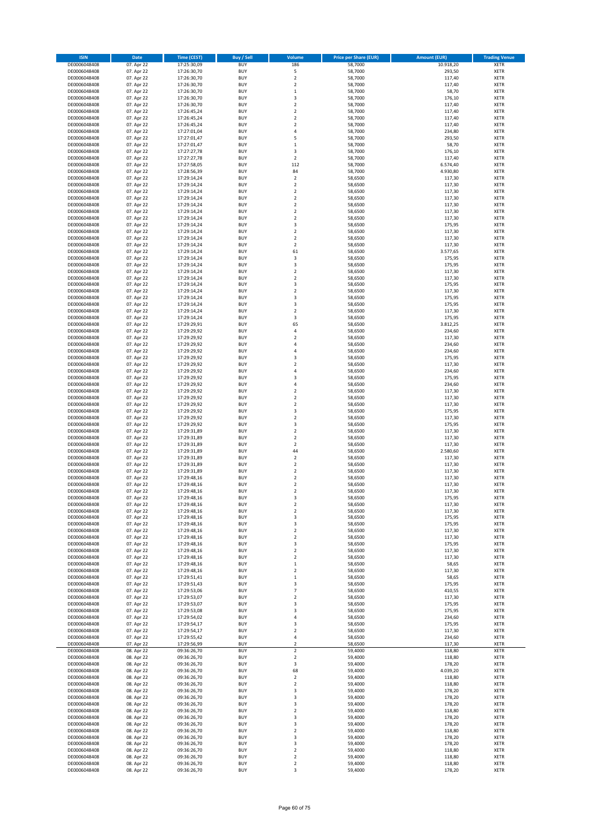| <b>ISIN</b>                  | Date                     | <b>Time (CEST)</b>         | <b>Buy / Sell</b>        | <b>Volume</b>                                      | <b>Price per Share (EUR)</b> | <b>Amount (EUR)</b>  | <b>Trading Venue</b>       |
|------------------------------|--------------------------|----------------------------|--------------------------|----------------------------------------------------|------------------------------|----------------------|----------------------------|
| DE0006048408                 | 07. Apr 22               | 17:25:30,09                | <b>BUY</b>               | 186                                                | 58,7000                      | 10.918,20            | <b>XETR</b>                |
| DE0006048408                 | 07. Apr 22               | 17:26:30,70                | <b>BUY</b>               | 5                                                  | 58,7000                      | 293,50               | <b>XETR</b>                |
| DE0006048408                 | 07. Apr 22               | 17:26:30,70                | <b>BUY</b><br><b>BUY</b> | $\overline{2}$                                     | 58,7000                      | 117,40<br>117,40     | <b>XETR</b>                |
| DE0006048408<br>DE0006048408 | 07. Apr 22<br>07. Apr 22 | 17:26:30,70<br>17:26:30,70 | <b>BUY</b>               | $\boldsymbol{2}$<br>$\mathbf 1$                    | 58,7000<br>58,7000           | 58,70                | <b>XETR</b><br><b>XETR</b> |
| DE0006048408                 | 07. Apr 22               | 17:26:30,70                | <b>BUY</b>               | 3                                                  | 58,7000                      | 176,10               | <b>XETR</b>                |
| DE0006048408                 | 07. Apr 22               | 17:26:30,70                | <b>BUY</b>               | $\overline{2}$                                     | 58,7000                      | 117,40               | <b>XETR</b>                |
| DE0006048408                 | 07. Apr 22               | 17:26:45,24                | <b>BUY</b>               | $\boldsymbol{2}$                                   | 58,7000                      | 117,40               | <b>XETR</b>                |
| DE0006048408                 | 07. Apr 22               | 17:26:45,24                | <b>BUY</b>               | $\overline{2}$                                     | 58,7000                      | 117,40               | <b>XETR</b>                |
| DE0006048408<br>DE0006048408 | 07. Apr 22<br>07. Apr 22 | 17:26:45,24<br>17:27:01,04 | <b>BUY</b><br><b>BUY</b> | $\boldsymbol{2}$<br>$\sqrt{4}$                     | 58,7000<br>58,7000           | 117,40<br>234,80     | <b>XETR</b><br><b>XETR</b> |
| DE0006048408                 | 07. Apr 22               | 17:27:01,47                | <b>BUY</b>               | 5                                                  | 58,7000                      | 293,50               | <b>XETR</b>                |
| DE0006048408                 | 07. Apr 22               | 17:27:01,47                | <b>BUY</b>               | $\mathbf 1$                                        | 58,7000                      | 58,70                | <b>XETR</b>                |
| DE0006048408                 | 07. Apr 22               | 17:27:27,78                | <b>BUY</b>               | 3                                                  | 58,7000                      | 176,10               | <b>XETR</b>                |
| DE0006048408                 | 07. Apr 22               | 17:27:27,78                | <b>BUY</b>               | $\overline{2}$                                     | 58,7000                      | 117,40               | <b>XETR</b>                |
| DE0006048408<br>DE0006048408 | 07. Apr 22<br>07. Apr 22 | 17:27:58,05<br>17:28:56,39 | <b>BUY</b><br><b>BUY</b> | 112<br>84                                          | 58,7000<br>58,7000           | 6.574,40<br>4.930,80 | <b>XETR</b><br><b>XETR</b> |
| DE0006048408                 | 07. Apr 22               | 17:29:14,24                | <b>BUY</b>               | $\boldsymbol{2}$                                   | 58,6500                      | 117,30               | <b>XETR</b>                |
| DE0006048408                 | 07. Apr 22               | 17:29:14,24                | <b>BUY</b>               | $\overline{2}$                                     | 58,6500                      | 117,30               | <b>XETR</b>                |
| DE0006048408                 | 07. Apr 22               | 17:29:14,24                | <b>BUY</b>               | $\boldsymbol{2}$                                   | 58,6500                      | 117,30               | <b>XETR</b>                |
| DE0006048408                 | 07. Apr 22               | 17:29:14,24                | <b>BUY</b>               | $\boldsymbol{2}$                                   | 58,6500                      | 117,30               | <b>XETR</b>                |
| DE0006048408                 | 07. Apr 22               | 17:29:14,24                | <b>BUY</b><br><b>BUY</b> | $\overline{2}$<br>$\mathbf 2$                      | 58,6500                      | 117,30               | <b>XETR</b>                |
| DE0006048408<br>DE0006048408 | 07. Apr 22<br>07. Apr 22 | 17:29:14,24<br>17:29:14,24 | <b>BUY</b>               | $\overline{2}$                                     | 58,6500<br>58,6500           | 117,30<br>117,30     | <b>XETR</b><br><b>XETR</b> |
| DE0006048408                 | 07. Apr 22               | 17:29:14,24                | <b>BUY</b>               | 3                                                  | 58,6500                      | 175,95               | <b>XETR</b>                |
| DE0006048408                 | 07. Apr 22               | 17:29:14,24                | <b>BUY</b>               | $\overline{2}$                                     | 58,6500                      | 117,30               | <b>XETR</b>                |
| DE0006048408                 | 07. Apr 22               | 17:29:14,24                | <b>BUY</b>               | $\overline{2}$                                     | 58,6500                      | 117,30               | <b>XETR</b>                |
| DE0006048408                 | 07. Apr 22               | 17:29:14,24                | <b>BUY</b>               | $\overline{2}$                                     | 58,6500                      | 117,30               | <b>XETR</b>                |
| DE0006048408<br>DE0006048408 | 07. Apr 22<br>07. Apr 22 | 17:29:14,24<br>17:29:14,24 | <b>BUY</b><br><b>BUY</b> | 61<br>3                                            | 58,6500<br>58,6500           | 3.577,65<br>175,95   | <b>XETR</b><br><b>XETR</b> |
| DE0006048408                 | 07. Apr 22               | 17:29:14,24                | <b>BUY</b>               | 3                                                  | 58,6500                      | 175,95               | <b>XETR</b>                |
| DE0006048408                 | 07. Apr 22               | 17:29:14,24                | <b>BUY</b>               | $\overline{2}$                                     | 58,6500                      | 117,30               | <b>XETR</b>                |
| DE0006048408                 | 07. Apr 22               | 17:29:14,24                | <b>BUY</b>               | $\overline{2}$                                     | 58,6500                      | 117,30               | <b>XETR</b>                |
| DE0006048408                 | 07. Apr 22               | 17:29:14,24                | <b>BUY</b>               | 3                                                  | 58,6500                      | 175,95               | <b>XETR</b>                |
| DE0006048408                 | 07. Apr 22               | 17:29:14,24                | <b>BUY</b>               | $\mathbf 2$                                        | 58,6500                      | 117,30               | <b>XETR</b>                |
| DE0006048408<br>DE0006048408 | 07. Apr 22<br>07. Apr 22 | 17:29:14,24<br>17:29:14,24 | <b>BUY</b><br><b>BUY</b> | 3<br>3                                             | 58,6500<br>58,6500           | 175,95<br>175,95     | <b>XETR</b><br><b>XETR</b> |
| DE0006048408                 | 07. Apr 22               | 17:29:14,24                | <b>BUY</b>               | $\overline{2}$                                     | 58,6500                      | 117,30               | <b>XETR</b>                |
| DE0006048408                 | 07. Apr 22               | 17:29:14,24                | <b>BUY</b>               | 3                                                  | 58,6500                      | 175,95               | <b>XETR</b>                |
| DE0006048408                 | 07. Apr 22               | 17:29:29.91                | <b>BUY</b>               | 65                                                 | 58,6500                      | 3.812,25             | <b>XETR</b>                |
| DE0006048408                 | 07. Apr 22               | 17:29:29,92                | <b>BUY</b>               | 4                                                  | 58,6500                      | 234,60               | <b>XETR</b>                |
| DE0006048408                 | 07. Apr 22               | 17:29:29,92                | <b>BUY</b>               | $\overline{2}$<br>$\overline{4}$                   | 58,6500                      | 117,30               | <b>XETR</b>                |
| DE0006048408<br>DE0006048408 | 07. Apr 22<br>07. Apr 22 | 17:29:29,92<br>17:29:29,92 | <b>BUY</b><br><b>BUY</b> | 4                                                  | 58,6500<br>58,6500           | 234,60<br>234,60     | <b>XETR</b><br><b>XETR</b> |
| DE0006048408                 | 07. Apr 22               | 17:29:29,92                | <b>BUY</b>               | 3                                                  | 58,6500                      | 175,95               | <b>XETR</b>                |
| DE0006048408                 | 07. Apr 22               | 17:29:29,92                | <b>BUY</b>               | $\overline{2}$                                     | 58,6500                      | 117,30               | <b>XETR</b>                |
| DE0006048408                 | 07. Apr 22               | 17:29:29,92                | <b>BUY</b>               | $\overline{4}$                                     | 58,6500                      | 234,60               | <b>XETR</b>                |
| DE0006048408                 | 07. Apr 22               | 17:29:29,92                | <b>BUY</b>               | 3                                                  | 58,6500                      | 175,95               | <b>XETR</b>                |
| DE0006048408                 | 07. Apr 22               | 17:29:29,92                | <b>BUY</b><br><b>BUY</b> | $\overline{4}$<br>$\overline{\mathbf{c}}$          | 58,6500                      | 234,60<br>117,30     | <b>XETR</b><br><b>XETR</b> |
| DE0006048408<br>DE0006048408 | 07. Apr 22<br>07. Apr 22 | 17:29:29,92<br>17:29:29,92 | <b>BUY</b>               | $\overline{2}$                                     | 58,6500<br>58,6500           | 117,30               | <b>XETR</b>                |
| DE0006048408                 | 07. Apr 22               | 17:29:29,92                | <b>BUY</b>               | $\overline{2}$                                     | 58,6500                      | 117,30               | <b>XETR</b>                |
| DE0006048408                 | 07. Apr 22               | 17:29:29,92                | <b>BUY</b>               | 3                                                  | 58,6500                      | 175,95               | <b>XETR</b>                |
| DE0006048408                 | 07. Apr 22               | 17:29:29,92                | <b>BUY</b>               | $\overline{\mathbf{c}}$                            | 58,6500                      | 117,30               | <b>XETR</b>                |
| DE0006048408                 | 07. Apr 22               | 17:29:29,92                | <b>BUY</b>               | 3                                                  | 58,6500                      | 175,95               | <b>XETR</b>                |
| DE0006048408<br>DE0006048408 | 07. Apr 22<br>07. Apr 22 | 17:29:31,89<br>17:29:31,89 | <b>BUY</b><br><b>BUY</b> | $\overline{\mathbf{c}}$<br>$\overline{\mathbf{c}}$ | 58,6500<br>58,6500           | 117,30<br>117,30     | <b>XETR</b><br><b>XETR</b> |
| DE0006048408                 | 07. Apr 22               | 17:29:31,89                | <b>BUY</b>               | $\boldsymbol{2}$                                   | 58,6500                      | 117,30               | <b>XETR</b>                |
| DE0006048408                 | 07. Apr 22               | 17:29:31,89                | <b>BUY</b>               | 44                                                 | 58,6500                      | 2.580,60             | <b>XETR</b>                |
| DE0006048408                 | 07. Apr 22               | 17:29:31,89                | <b>BUY</b>               | $\mathbf 2$                                        | 58,6500                      | 117,30               | <b>XETR</b>                |
| DE0006048408                 | 07. Apr 22               | 17:29:31,89                | <b>BUY</b>               | $\overline{\mathbf{c}}$                            | 58,6500                      | 117,30               | <b>XETR</b>                |
| DE0006048408<br>DE0006048408 | 07. Apr 22               | 17:29:31,89                | <b>BUY</b><br><b>BUY</b> | $\boldsymbol{2}$<br>$\overline{2}$                 | 58,6500<br>58,6500           | 117,30               | <b>XETR</b><br><b>XETR</b> |
| DE0006048408                 | 07. Apr 22<br>07. Apr 22 | 17:29:48,16<br>17:29:48,16 | <b>BUY</b>               | $\overline{2}$                                     | 58,6500                      | 117,30<br>117,30     | <b>XETR</b>                |
| DE0006048408                 | 07. Apr 22               | 17:29:48,16                | <b>BUY</b>               | $\overline{\phantom{a}}$                           | 58,6500                      | 117,30               | <b>XETR</b>                |
| DE0006048408                 | 07. Apr 22               | 17:29:48,16                | <b>BUY</b>               | 3                                                  | 58,6500                      | 175,95               | XETR                       |
| DE0006048408                 | 07. Apr 22               | 17:29:48,16                | <b>BUY</b>               | $\boldsymbol{2}$                                   | 58,6500                      | 117,30               | <b>XETR</b>                |
| DE0006048408                 | 07. Apr 22               | 17:29:48,16                | <b>BUY</b>               | $\boldsymbol{2}$                                   | 58,6500                      | 117,30               | <b>XETR</b>                |
| DE0006048408<br>DE0006048408 | 07. Apr 22<br>07. Apr 22 | 17:29:48,16<br>17:29:48,16 | <b>BUY</b><br><b>BUY</b> | 3<br>3                                             | 58,6500<br>58,6500           | 175,95<br>175,95     | <b>XETR</b><br><b>XETR</b> |
| DE0006048408                 | 07. Apr 22               | 17:29:48,16                | <b>BUY</b>               | $\overline{\mathbf{2}}$                            | 58,6500                      | 117,30               | <b>XETR</b>                |
| DE0006048408                 | 07. Apr 22               | 17:29:48,16                | <b>BUY</b>               | $\boldsymbol{2}$                                   | 58,6500                      | 117,30               | <b>XETR</b>                |
| DE0006048408                 | 07. Apr 22               | 17:29:48,16                | <b>BUY</b>               | 3                                                  | 58,6500                      | 175,95               | <b>XETR</b>                |
| DE0006048408                 | 07. Apr 22               | 17:29:48,16                | <b>BUY</b>               | $\boldsymbol{2}$                                   | 58,6500                      | 117,30               | <b>XETR</b>                |
| DE0006048408<br>DE0006048408 | 07. Apr 22<br>07. Apr 22 | 17:29:48,16<br>17:29:48,16 | <b>BUY</b><br><b>BUY</b> | $\overline{\mathbf{2}}$<br>$\,1\,$                 | 58,6500<br>58,6500           | 117,30<br>58,65      | <b>XETR</b><br><b>XETR</b> |
| DE0006048408                 | 07. Apr 22               | 17:29:48,16                | <b>BUY</b>               | $\boldsymbol{2}$                                   | 58,6500                      | 117,30               | <b>XETR</b>                |
| DE0006048408                 | 07. Apr 22               | 17:29:51,41                | <b>BUY</b>               | $\,$ 1                                             | 58,6500                      | 58,65                | <b>XETR</b>                |
| DE0006048408                 | 07. Apr 22               | 17:29:51,43                | <b>BUY</b>               | 3                                                  | 58,6500                      | 175,95               | <b>XETR</b>                |
| DE0006048408                 | 07. Apr 22               | 17:29:53,06                | <b>BUY</b>               | $\overline{7}$                                     | 58,6500                      | 410,55               | <b>XETR</b>                |
| DE0006048408<br>DE0006048408 | 07. Apr 22<br>07. Apr 22 | 17:29:53,07<br>17:29:53,07 | <b>BUY</b><br><b>BUY</b> | $\boldsymbol{2}$<br>3                              | 58,6500<br>58,6500           | 117,30<br>175,95     | <b>XETR</b><br><b>XETR</b> |
| DE0006048408                 | 07. Apr 22               | 17:29:53,08                | <b>BUY</b>               | 3                                                  | 58,6500                      | 175,95               | <b>XETR</b>                |
| DE0006048408                 | 07. Apr 22               | 17:29:54,02                | <b>BUY</b>               | 4                                                  | 58,6500                      | 234,60               | <b>XETR</b>                |
| DE0006048408                 | 07. Apr 22               | 17:29:54,17                | <b>BUY</b>               | 3                                                  | 58,6500                      | 175,95               | <b>XETR</b>                |
| DE0006048408                 | 07. Apr 22               | 17:29:54,17                | <b>BUY</b>               | $\overline{2}$                                     | 58,6500                      | 117,30               | <b>XETR</b>                |
| DE0006048408                 | 07. Apr 22               | 17:29:55,42                | <b>BUY</b>               | 4                                                  | 58,6500                      | 234,60               | <b>XETR</b>                |
| DE0006048408<br>DE0006048408 | 07. Apr 22<br>08. Apr 22 | 17:29:56,99<br>09:36:26,70 | <b>BUY</b><br><b>BUY</b> | $\overline{\mathbf{2}}$<br>$\mathbf 2$             | 58,6500<br>59,4000           | 117,30<br>118,80     | <b>XETR</b><br><b>XETR</b> |
| DE0006048408                 | 08. Apr 22               | 09:36:26,70                | <b>BUY</b>               | $\overline{2}$                                     | 59,4000                      | 118,80               | <b>XETR</b>                |
| DE0006048408                 | 08. Apr 22               | 09:36:26,70                | <b>BUY</b>               | 3                                                  | 59,4000                      | 178,20               | <b>XETR</b>                |
| DE0006048408                 | 08. Apr 22               | 09:36:26,70                | <b>BUY</b>               | 68                                                 | 59,4000                      | 4.039,20             | <b>XETR</b>                |
| DE0006048408                 | 08. Apr 22               | 09:36:26,70                | <b>BUY</b>               | $\boldsymbol{2}$                                   | 59,4000                      | 118,80               | <b>XETR</b>                |
| DE0006048408                 | 08. Apr 22               | 09:36:26,70                | <b>BUY</b><br><b>BUY</b> | $\overline{2}$                                     | 59,4000<br>59,4000           | 118,80<br>178,20     | <b>XETR</b><br><b>XETR</b> |
| DE0006048408<br>DE0006048408 | 08. Apr 22<br>08. Apr 22 | 09:36:26,70<br>09:36:26,70 | <b>BUY</b>               | 3<br>3                                             | 59,4000                      | 178,20               | <b>XETR</b>                |
| DE0006048408                 | 08. Apr 22               | 09:36:26,70                | <b>BUY</b>               | 3                                                  | 59,4000                      | 178,20               | <b>XETR</b>                |
| DE0006048408                 | 08. Apr 22               | 09:36:26,70                | <b>BUY</b>               | $\boldsymbol{2}$                                   | 59,4000                      | 118,80               | <b>XETR</b>                |
| DE0006048408                 | 08. Apr 22               | 09:36:26,70                | <b>BUY</b>               | 3                                                  | 59,4000                      | 178,20               | <b>XETR</b>                |
| DE0006048408                 | 08. Apr 22               | 09:36:26,70                | <b>BUY</b>               | 3                                                  | 59,4000                      | 178,20               | <b>XETR</b>                |
| DE0006048408<br>DE0006048408 | 08. Apr 22<br>08. Apr 22 | 09:36:26,70<br>09:36:26,70 | <b>BUY</b><br><b>BUY</b> | $\overline{2}$<br>3                                | 59,4000<br>59,4000           | 118,80<br>178,20     | <b>XETR</b><br><b>XETR</b> |
| DE0006048408                 | 08. Apr 22               | 09:36:26,70                | <b>BUY</b>               | 3                                                  | 59,4000                      | 178,20               | <b>XETR</b>                |
| DE0006048408                 | 08. Apr 22               | 09:36:26,70                | <b>BUY</b>               | $\boldsymbol{2}$                                   | 59,4000                      | 118,80               | <b>XETR</b>                |
| DE0006048408                 | 08. Apr 22               | 09:36:26,70                | <b>BUY</b>               | $\boldsymbol{2}$                                   | 59,4000                      | 118,80               | <b>XETR</b>                |
| DE0006048408                 | 08. Apr 22               | 09:36:26,70                | <b>BUY</b>               | $\mathbf 2$                                        | 59,4000                      | 118,80               | <b>XETR</b>                |
| DE0006048408                 | 08. Apr 22               | 09:36:26,70                | <b>BUY</b>               | $\overline{\mathbf{3}}$                            | 59,4000                      | 178,20               | <b>XETR</b>                |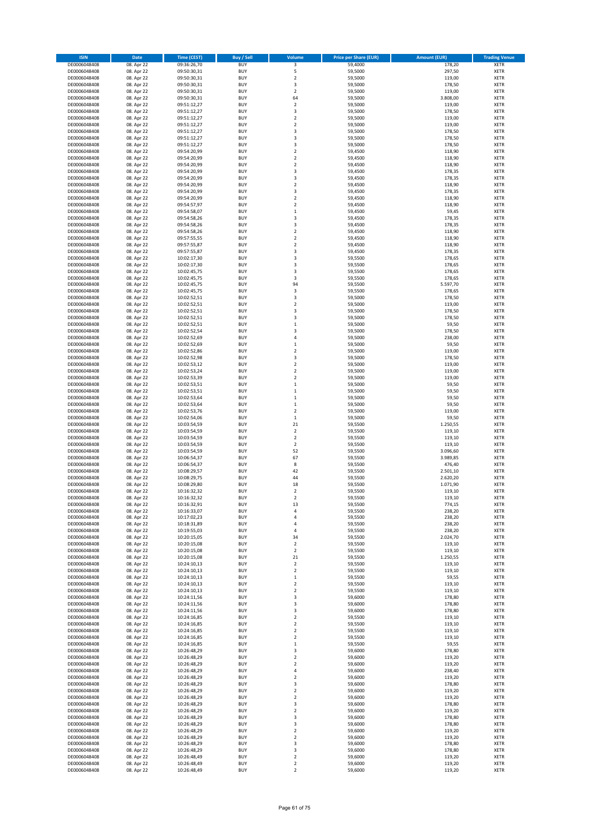| <b>ISIN</b>                  | <b>Date</b>              | <b>Time (CEST)</b>         | <b>Buy / Sell</b>        | Volume                                  | <b>Price per Share (EUR)</b> | <b>Amount (EUR)</b> | <b>Trading Venue</b>       |
|------------------------------|--------------------------|----------------------------|--------------------------|-----------------------------------------|------------------------------|---------------------|----------------------------|
| DE0006048408                 | 08. Apr 22               | 09:36:26,70                | <b>BUY</b>               | 3                                       | 59,4000                      | 178,20              | XETR                       |
| DE0006048408                 | 08. Apr 22               | 09:50:30,31                | <b>BUY</b>               | 5                                       | 59,5000                      | 297,50              | <b>XETR</b>                |
| DE0006048408                 | 08. Apr 22               | 09:50:30,31                | <b>BUY</b>               | $\overline{\mathbf{c}}$                 | 59,5000                      | 119,00              | XETR                       |
| DE0006048408                 | 08. Apr 22               | 09:50:30,31                | <b>BUY</b>               | $\overline{\mathbf{3}}$                 | 59,5000                      | 178,50              | <b>XETR</b>                |
| DE0006048408                 | 08. Apr 22               | 09:50:30,31                | <b>BUY</b>               | $\mathbf 2$                             | 59,5000                      | 119,00              | XETR                       |
| DE0006048408                 | 08. Apr 22               | 09:50:30,31                | <b>BUY</b>               | 64                                      | 59,5000                      | 3.808,00            | <b>XETR</b>                |
| DE0006048408                 | 08. Apr 22               | 09:51:12,27                | <b>BUY</b>               | $\overline{2}$                          | 59,5000                      | 119,00              | <b>XETR</b>                |
| DE0006048408                 | 08. Apr 22               | 09:51:12,27                | <b>BUY</b>               | $\overline{\mathbf{3}}$                 | 59,5000                      | 178,50              | <b>XETR</b>                |
| DE0006048408                 | 08. Apr 22               | 09:51:12,27                | <b>BUY</b>               | 2                                       | 59,5000                      | 119,00              | XETR                       |
| DE0006048408                 | 08. Apr 22               | 09:51:12,27                | <b>BUY</b>               | $\overline{\mathbf{c}}$                 | 59,5000                      | 119,00              | <b>XETR</b>                |
| DE0006048408                 | 08. Apr 22               | 09:51:12,27                | <b>BUY</b>               | 3                                       | 59,5000                      | 178,50              | XETR                       |
| DE0006048408                 | 08. Apr 22               | 09:51:12,27                | <b>BUY</b>               | 3                                       | 59,5000                      | 178,50              | <b>XETR</b>                |
| DE0006048408                 | 08. Apr 22               | 09:51:12,27                | <b>BUY</b>               | 3                                       | 59,5000                      | 178,50              | XETR                       |
| DE0006048408                 | 08. Apr 22               | 09:54:20,99                | <b>BUY</b>               | $\overline{\mathbf{c}}$                 | 59,4500                      | 118,90              | <b>XETR</b>                |
| DE0006048408                 | 08. Apr 22               | 09:54:20,99                | <b>BUY</b>               | $\mathbf 2$                             | 59,4500                      | 118,90              | XETR                       |
| DE0006048408                 | 08. Apr 22               | 09:54:20,99                | <b>BUY</b>               | $\overline{\mathbf{2}}$                 | 59,4500                      | 118,90              | <b>XETR</b>                |
| DE0006048408                 | 08. Apr 22               | 09:54:20,99                | <b>BUY</b>               | $\overline{\mathbf{3}}$                 | 59,4500                      | 178,35              | <b>XETR</b>                |
| DE0006048408                 | 08. Apr 22               | 09:54:20,99                | <b>BUY</b>               | 3                                       | 59,4500                      | 178,35              | <b>XETR</b>                |
| DE0006048408                 | 08. Apr 22               | 09:54:20,99                | <b>BUY</b>               | $\overline{\mathbf{c}}$                 | 59,4500                      | 118,90              | <b>XETR</b>                |
| DE0006048408                 | 08. Apr 22               | 09:54:20,99                | <b>BUY</b>               | 3                                       | 59,4500                      | 178,35              | <b>XETR</b>                |
| DE0006048408                 | 08. Apr 22               | 09:54:20,99                | <b>BUY</b>               | $\overline{\mathbf{c}}$                 | 59,4500                      | 118,90              | <b>XETR</b>                |
| DE0006048408<br>DE0006048408 | 08. Apr 22               | 09:54:57,97                | <b>BUY</b><br><b>BUY</b> | $\overline{\mathbf{c}}$<br>$\mathbf{1}$ | 59,4500                      | 118,90              | <b>XETR</b><br><b>XETR</b> |
|                              | 08. Apr 22<br>08. Apr 22 | 09:54:58,07                | <b>BUY</b>               | 3                                       | 59,4500<br>59,4500           | 59,45<br>178,35     | <b>XETR</b>                |
| DE0006048408<br>DE0006048408 | 08. Apr 22               | 09:54:58,26<br>09:54:58,26 | <b>BUY</b>               | 3                                       | 59,4500                      | 178,35              | <b>XETR</b>                |
| DE0006048408                 | 08. Apr 22               | 09:54:58,26                | <b>BUY</b>               | $\overline{\mathbf{c}}$                 | 59,4500                      | 118,90              | <b>XETR</b>                |
| DE0006048408                 | 08. Apr 22               | 09:57:55,55                | <b>BUY</b>               | $\overline{\mathbf{c}}$                 | 59,4500                      | 118,90              | <b>XETR</b>                |
| DE0006048408                 | 08. Apr 22               | 09:57:55,87                | <b>BUY</b>               | $\overline{\mathbf{c}}$                 | 59,4500                      | 118,90              | <b>XETR</b>                |
| DE0006048408                 | 08. Apr 22               | 09:57:55,87                | <b>BUY</b>               | 3                                       | 59,4500                      | 178,35              | <b>XETR</b>                |
| DE0006048408                 | 08. Apr 22               | 10:02:17,30                | <b>BUY</b>               | 3                                       | 59,5500                      | 178,65              | XETR                       |
| DE0006048408                 | 08. Apr 22               | 10:02:17,30                | <b>BUY</b>               | 3                                       | 59,5500                      | 178,65              | <b>XETR</b>                |
| DE0006048408                 | 08. Apr 22               | 10:02:45,75                | <b>BUY</b>               | $\overline{\mathbf{3}}$                 | 59,5500                      | 178,65              | XETR                       |
| DE0006048408                 | 08. Apr 22               | 10:02:45,75                | <b>BUY</b>               | 3                                       | 59,5500                      | 178,65              | <b>XETR</b>                |
| DE0006048408                 | 08. Apr 22               | 10:02:45,75                | <b>BUY</b>               | 94                                      | 59,5500                      | 5.597,70            | XETR                       |
| DE0006048408                 | 08. Apr 22               | 10:02:45,75                | <b>BUY</b>               | 3                                       | 59,5500                      | 178,65              | <b>XETR</b>                |
| DE0006048408                 | 08. Apr 22               | 10:02:52,51                | <b>BUY</b>               | $\overline{\mathbf{3}}$                 | 59,5000                      | 178,50              | XETR                       |
| DE0006048408                 | 08. Apr 22               | 10:02:52,51                | <b>BUY</b>               | $\overline{\mathbf{c}}$                 | 59,5000                      | 119,00              | <b>XETR</b>                |
| DE0006048408                 | 08. Apr 22               | 10:02:52,51                | <b>BUY</b>               | 3                                       | 59,5000                      | 178,50              | XETR                       |
| DE0006048408                 | 08. Apr 22               | 10:02:52,51                | <b>BUY</b>               | $\overline{\mathbf{3}}$                 | 59,5000                      | 178,50              | <b>XETR</b>                |
| DE0006048408                 | 08. Apr 22               | 10:02:52,51                | <b>BUY</b>               | $\mathbf{1}$                            | 59,5000                      | 59,50               | <b>XETR</b>                |
| DE0006048408                 | 08. Apr 22               | 10:02:52,54                | <b>BUY</b>               | $\overline{\mathbf{3}}$                 | 59,5000                      | 178,50              | <b>XETR</b>                |
| DE0006048408                 | 08. Apr 22               | 10:02:52,69                | <b>BUY</b>               | $\overline{4}$                          | 59,5000                      | 238,00              | <b>XETR</b>                |
| DE0006048408                 | 08. Apr 22               | 10:02:52,69                | <b>BUY</b>               | $\mathbf{1}$                            | 59,5000                      | 59,50               | <b>XETR</b>                |
| DE0006048408                 | 08. Apr 22               | 10:02:52,86                | <b>BUY</b>               | $\overline{\mathbf{c}}$                 | 59,5000                      | 119,00              | <b>XETR</b>                |
| DE0006048408                 | 08. Apr 22               | 10:02:52,98                | <b>BUY</b>               | 3                                       | 59,5000                      | 178,50              | <b>XETR</b>                |
| DE0006048408                 | 08. Apr 22               | 10:02:53,12                | <b>BUY</b>               | $\mathbf 2$                             | 59,5000                      | 119,00              | <b>XETR</b>                |
| DE0006048408                 | 08. Apr 22               | 10:02:53,24                | <b>BUY</b>               | 2                                       | 59,5000                      | 119,00              | <b>XETR</b>                |
| DE0006048408                 | 08. Apr 22               | 10:02:53,39                | <b>BUY</b>               | $\overline{\mathbf{c}}$                 | 59,5000                      | 119,00              | <b>XETR</b>                |
| DE0006048408                 | 08. Apr 22               | 10:02:53,51                | <b>BUY</b>               | $\mathbf{1}$                            | 59,5000                      | 59,50               | <b>XETR</b>                |
| DE0006048408                 | 08. Apr 22               | 10:02:53,51                | <b>BUY</b><br><b>BUY</b> | 1<br>$\mathbf{1}$                       | 59,5000                      | 59,50               | XETR                       |
| DE0006048408<br>DE0006048408 | 08. Apr 22               | 10:02:53,64                | <b>BUY</b>               | $\mathbf{1}$                            | 59,5000<br>59,5000           | 59,50<br>59,50      | <b>XETR</b><br><b>XETR</b> |
| DE0006048408                 | 08. Apr 22<br>08. Apr 22 | 10:02:53,64<br>10:02:53,76 | <b>BUY</b>               | $\overline{\mathbf{c}}$                 | 59,5000                      | 119,00              | <b>XETR</b>                |
| DE0006048408                 | 08. Apr 22               | 10:02:54,06                | <b>BUY</b>               | $\mathbf 1$                             | 59,5000                      | 59,50               | <b>XETR</b>                |
| DE0006048408                 | 08. Apr 22               | 10:03:54,59                | <b>BUY</b>               | 21                                      | 59,5500                      | 1.250,55            | <b>XETR</b>                |
| DE0006048408                 | 08. Apr 22               | 10:03:54,59                | <b>BUY</b>               | $\overline{\mathbf{2}}$                 | 59,5500                      | 119,10              | <b>XETR</b>                |
| DE0006048408                 | 08. Apr 22               | 10:03:54,59                | <b>BUY</b>               | $\overline{\mathbf{c}}$                 | 59,5500                      | 119,10              | <b>XETR</b>                |
| DE0006048408                 | 08. Apr 22               | 10:03:54,59                | <b>BUY</b>               | $\overline{\mathbf{c}}$                 | 59,5500                      | 119,10              | <b>XETR</b>                |
| DE0006048408                 | 08. Apr 22               | 10:03:54,59                | <b>BUY</b>               | 52                                      | 59,5500                      | 3.096,60            | XETR                       |
| DE0006048408                 | 08. Apr 22               | 10:06:54,37                | <b>BUY</b>               | 67                                      | 59,5500                      | 3.989,85            | <b>XETR</b>                |
| DE0006048408                 | 08. Apr 22               | 10:06:54,37                | <b>BUY</b>               | 8                                       | 59,5500                      | 476,40              | XETR                       |
| DE0006048408                 | 08. Apr 22               | 10:08:29,57                | <b>BUY</b>               | 42                                      | 59,5500                      | 2.501,10            | <b>XETR</b>                |
| DE0006048408                 | 08. Apr 22               | 10:08:29,75                | <b>BUY</b>               | 44                                      | 59,5500                      | 2.620,20            | XETR                       |
| DE0006048408                 | 08. Apr 22               | 10:08:29,80                | <b>BUY</b>               | 18                                      | 59,5500                      | 1.071,90            | <b>XETR</b>                |
| DE0006048408                 | 08. Apr 22               | 10:16:32,32                | <b>BUY</b>               | $\overline{\mathbf{2}}$                 | 59,5500                      | 119,10              | <b>XETR</b>                |
| DE0006048408                 | 08. Apr 22               | 10:16:32,32                | <b>BUY</b>               | 2                                       | 59,5500                      | 119,10              | <b>XETR</b>                |
| DE0006048408                 | 08. Apr 22               | 10:16:32,91                | <b>BUY</b>               | 13                                      | 59,5500                      | 774,15              | <b>XETR</b>                |
| DE0006048408                 | 08. Apr 22               | 10:16:33,07                | <b>BUY</b>               | 4                                       | 59,5500                      | 238,20              | XETR                       |
| DE0006048408                 | 08. Apr 22               | 10:17:02,23                | <b>BUY</b>               | 4                                       | 59,5500                      | 238,20              | XETR                       |
| DE0006048408                 | 08. Apr 22               | 10:18:31,89                | <b>BUY</b>               | 4                                       | 59,5500                      | 238,20              | <b>XETR</b>                |
| DE0006048408                 | 08. Apr 22               | 10:19:55,03                | <b>BUY</b>               | 4                                       | 59,5500<br>59,5500           | 238,20<br>2.024,70  | XETR                       |
| DE0006048408<br>DE0006048408 | 08. Apr 22<br>08. Apr 22 | 10:20:15,05<br>10:20:15,08 | <b>BUY</b><br><b>BUY</b> | 34<br>$\boldsymbol{2}$                  | 59,5500                      | 119,10              | <b>XETR</b><br>XETR        |
| DE0006048408                 | 08. Apr 22               | 10:20:15,08                | <b>BUY</b>               | $\mathbf 2$                             | 59,5500                      | 119,10              | <b>XETR</b>                |
| DE0006048408                 | 08. Apr 22               | 10:20:15,08                | <b>BUY</b>               | 21                                      | 59,5500                      | 1.250,55            | XETR                       |
| DE0006048408                 | 08. Apr 22               | 10:24:10,13                | <b>BUY</b>               | 2                                       | 59,5500                      | 119,10              | <b>XETR</b>                |
| DE0006048408                 | 08. Apr 22               | 10:24:10,13                | <b>BUY</b>               | $\mathbf 2$                             | 59,5500                      | 119,10              | XETR                       |
| DE0006048408                 | 08. Apr 22               | 10:24:10,13                | <b>BUY</b>               | $\mathbf 1$                             | 59,5500                      | 59,55               | <b>XETR</b>                |
| DE0006048408                 | 08. Apr 22               | 10:24:10,13                | <b>BUY</b>               | 2                                       | 59,5500                      | 119,10              | XETR                       |
| DE0006048408                 | 08. Apr 22               | 10:24:10,13                | <b>BUY</b>               | 2                                       | 59,5500                      | 119,10              | <b>XETR</b>                |
| DE0006048408                 | 08. Apr 22               | 10:24:11,56                | <b>BUY</b>               | 3                                       | 59,6000                      | 178,80              | <b>XETR</b>                |
| DE0006048408                 | 08. Apr 22               | 10:24:11,56                | <b>BUY</b>               | 3                                       | 59,6000                      | 178,80              | <b>XETR</b>                |
| DE0006048408                 | 08. Apr 22               | 10:24:11,56                | <b>BUY</b>               | 3                                       | 59,6000                      | 178,80              | <b>XETR</b>                |
| DE0006048408                 | 08. Apr 22               | 10:24:16,85                | <b>BUY</b>               | 2                                       | 59,5500                      | 119,10              | <b>XETR</b>                |
| DE0006048408                 | 08. Apr 22               | 10:24:16,85                | <b>BUY</b>               | 2                                       | 59,5500                      | 119,10              | <b>XETR</b>                |
| DE0006048408                 | 08. Apr 22               | 10:24:16,85                | <b>BUY</b>               | $\mathbf 2$                             | 59,5500                      | 119,10              | XETR                       |
| DE0006048408                 | 08. Apr 22               | 10:24:16,85                | <b>BUY</b>               | 2                                       | 59,5500                      | 119,10              | <b>XETR</b>                |
| DE0006048408                 | 08. Apr 22               | 10:24:16,85                | <b>BUY</b>               | 1                                       | 59,5500                      | 59,55               | XETR                       |
| DE0006048408<br>DE0006048408 | 08. Apr 22<br>08. Apr 22 | 10:26:48,29<br>10:26:48,29 | <b>BUY</b><br><b>BUY</b> | 3<br>$\mathbf 2$                        | 59,6000<br>59,6000           | 178,80<br>119,20    | <b>XETR</b><br>XETR        |
| DE0006048408                 | 08. Apr 22               | 10:26:48,29                | <b>BUY</b>               | $\overline{\mathbf{c}}$                 | 59,6000                      | 119,20              | <b>XETR</b>                |
| DE0006048408                 | 08. Apr 22               | 10:26:48,29                | <b>BUY</b>               | 4                                       | 59,6000                      | 238,40              | XETR                       |
| DE0006048408                 | 08. Apr 22               | 10:26:48,29                | <b>BUY</b>               | 2                                       | 59,6000                      | 119,20              | <b>XETR</b>                |
| DE0006048408                 | 08. Apr 22               | 10:26:48,29                | <b>BUY</b>               | 3                                       | 59,6000                      | 178,80              | XETR                       |
| DE0006048408                 | 08. Apr 22               | 10:26:48,29                | <b>BUY</b>               | 2                                       | 59,6000                      | 119,20              | <b>XETR</b>                |
| DE0006048408                 | 08. Apr 22               | 10:26:48,29                | <b>BUY</b>               | 2                                       | 59,6000                      | 119,20              | XETR                       |
| DE0006048408                 | 08. Apr 22               | 10:26:48,29                | <b>BUY</b>               | 3                                       | 59,6000                      | 178,80              | <b>XETR</b>                |
| DE0006048408                 | 08. Apr 22               | 10:26:48,29                | <b>BUY</b>               | $\mathbf 2$                             | 59,6000                      | 119,20              | XETR                       |
| DE0006048408                 | 08. Apr 22               | 10:26:48,29                | <b>BUY</b>               | 3                                       | 59,6000                      | 178,80              | <b>XETR</b>                |
| DE0006048408                 | 08. Apr 22               | 10:26:48,29                | <b>BUY</b>               | 3                                       | 59,6000                      | 178,80              | <b>XETR</b>                |
| DE0006048408                 | 08. Apr 22               | 10:26:48,29                | <b>BUY</b>               | $\overline{2}$                          | 59,6000                      | 119,20              | <b>XETR</b>                |
| DE0006048408                 | 08. Apr 22               | 10:26:48,29                | <b>BUY</b>               | $\mathbf 2$                             | 59,6000                      | 119,20              | XETR                       |
| DE0006048408                 | 08. Apr 22               | 10:26:48,29                | <b>BUY</b>               | 3                                       | 59,6000                      | 178,80              | <b>XETR</b>                |
| DE0006048408                 | 08. Apr 22               | 10:26:48,29                | <b>BUY</b>               | 3                                       | 59,6000                      | 178,80              | XETR                       |
| DE0006048408                 | 08. Apr 22               | 10:26:48,49                | <b>BUY</b>               | $\mathbf 2$                             | 59,6000                      | 119,20              | <b>XETR</b>                |
| DE0006048408                 | 08. Apr 22               | 10:26:48,49                | <b>BUY</b>               | $\mathbf 2$                             | 59,6000                      | 119,20              | XETR                       |
| DE0006048408                 | 08. Apr 22               | 10:26:48,49                | <b>BUY</b>               | $\mathbf 2$                             | 59,6000                      | 119,20              | <b>XETR</b>                |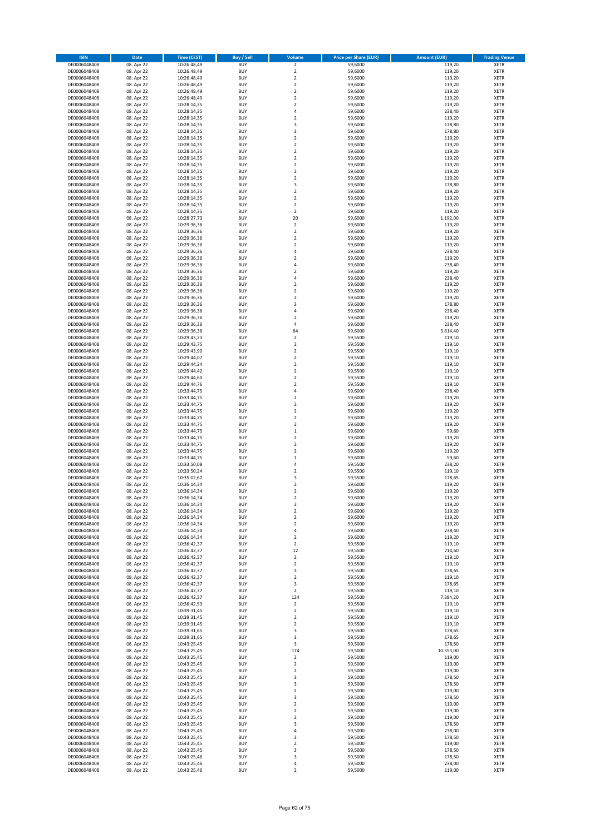| <b>ISIN</b>                  | <b>Date</b>              | <b>Time (CEST)</b>         | <b>Buy / Sell</b>        | Volume                                      | <b>Price per Share (EUR)</b> | <b>Amount (EUR)</b> | <b>Trading Venue</b>       |
|------------------------------|--------------------------|----------------------------|--------------------------|---------------------------------------------|------------------------------|---------------------|----------------------------|
| DE0006048408                 | 08. Apr 22               | 10:26:48,49                | <b>BUY</b>               | $\mathbf 2$                                 | 59,6000                      | 119,20              | <b>XETR</b>                |
| DE0006048408                 | 08. Apr 22               | 10:26:48,49                | <b>BUY</b>               | $\overline{2}$                              | 59,6000                      | 119,20              | <b>XETR</b>                |
| DE0006048408                 | 08. Apr 22               | 10:26:48,49                | <b>BUY</b>               | $\boldsymbol{2}$                            | 59,6000                      | 119,20              | <b>XETR</b>                |
| DE0006048408                 | 08. Apr 22               | 10:26:48,49                | <b>BUY</b>               | $\overline{2}$                              | 59,6000                      | 119,20              | <b>XETR</b>                |
| DE0006048408                 | 08. Apr 22               | 10:26:48,49                | <b>BUY</b>               | $\boldsymbol{2}$                            | 59,6000                      | 119,20              | <b>XETR</b>                |
| DE0006048408                 | 08. Apr 22               | 10:26:48,49                | <b>BUY</b>               | $\overline{2}$                              | 59,6000                      | 119,20              | <b>XETR</b>                |
| DE0006048408                 | 08. Apr 22               | 10:28:14,35                | <b>BUY</b>               | $\overline{2}$                              | 59,6000                      | 119,20              | <b>XETR</b>                |
| DE0006048408                 | 08. Apr 22               | 10:28:14,35                | <b>BUY</b>               | 4                                           | 59,6000                      | 238,40              | <b>XETR</b>                |
| DE0006048408                 | 08. Apr 22               | 10:28:14,35                | <b>BUY</b>               | $\overline{2}$                              | 59,6000                      | 119,20              | <b>XETR</b>                |
| DE0006048408                 | 08. Apr 22               | 10:28:14,35                | <b>BUY</b>               | 3                                           | 59,6000                      | 178,80              | <b>XETR</b>                |
| DE0006048408                 | 08. Apr 22               | 10:28:14,35                | <b>BUY</b>               | 3                                           | 59,6000                      | 178,80              | <b>XETR</b>                |
| DE0006048408                 | 08. Apr 22               | 10:28:14,35                | <b>BUY</b>               | $\overline{2}$                              | 59,6000                      | 119,20              | <b>XETR</b>                |
| DE0006048408<br>DE0006048408 | 08. Apr 22<br>08. Apr 22 | 10:28:14,35<br>10:28:14,35 | <b>BUY</b><br><b>BUY</b> | $\boldsymbol{2}$<br>$\overline{2}$          | 59,6000<br>59,6000           | 119,20<br>119,20    | <b>XETR</b><br><b>XETR</b> |
| DE0006048408                 | 08. Apr 22               | 10:28:14,35                | <b>BUY</b>               | $\boldsymbol{2}$                            | 59,6000                      | 119,20              | <b>XETR</b>                |
| DE0006048408                 | 08. Apr 22               | 10:28:14,35                | <b>BUY</b>               | $\overline{2}$                              | 59,6000                      | 119,20              | <b>XETR</b>                |
| DE0006048408                 | 08. Apr 22               | 10:28:14,35                | <b>BUY</b>               | $\overline{2}$                              | 59,6000                      | 119,20              | <b>XETR</b>                |
| DE0006048408                 | 08. Apr 22               | 10:28:14,35                | <b>BUY</b>               | $\overline{2}$                              | 59,6000                      | 119,20              | <b>XETR</b>                |
| DE0006048408                 | 08. Apr 22               | 10:28:14,35                | <b>BUY</b>               | 3                                           | 59,6000                      | 178,80              | <b>XETR</b>                |
| DE0006048408                 | 08. Apr 22               | 10:28:14,35                | <b>BUY</b>               | $\overline{2}$                              | 59,6000                      | 119,20              | <b>XETR</b>                |
| DE0006048408                 | 08. Apr 22               | 10:28:14,35                | <b>BUY</b>               | $\mathbf 2$                                 | 59,6000                      | 119,20              | <b>XETR</b>                |
| DE0006048408                 | 08. Apr 22               | 10:28:14,35                | <b>BUY</b>               | $\overline{\mathbf{2}}$                     | 59,6000                      | 119,20              | <b>XETR</b>                |
| DE0006048408                 | 08. Apr 22               | 10:28:14,35                | <b>BUY</b>               | $\boldsymbol{2}$                            | 59,6000                      | 119,20              | <b>XETR</b>                |
| DE0006048408                 | 08. Apr 22               | 10:28:27,73                | <b>BUY</b>               | 20                                          | 59,6000                      | 1.192,00            | <b>XETR</b>                |
| DE0006048408                 | 08. Apr 22               | 10:29:36,36                | <b>BUY</b>               | $\boldsymbol{2}$                            | 59,6000                      | 119,20              | <b>XETR</b>                |
| DE0006048408                 | 08. Apr 22               | 10:29:36,36                | <b>BUY</b>               | $\overline{2}$                              | 59,6000                      | 119,20              | <b>XETR</b>                |
| DE0006048408                 | 08. Apr 22               | 10:29:36,36                | <b>BUY</b>               | $\overline{2}$                              | 59,6000                      | 119,20              | <b>XETR</b>                |
| DE0006048408<br>DE0006048408 | 08. Apr 22               | 10:29:36,36                | <b>BUY</b><br><b>BUY</b> | $\overline{2}$<br>4                         | 59,6000                      | 119,20              | <b>XETR</b>                |
| DE0006048408                 | 08. Apr 22<br>08. Apr 22 | 10:29:36,36<br>10:29:36,36 | <b>BUY</b>               | $\boldsymbol{2}$                            | 59,6000<br>59,6000           | 238,40<br>119,20    | <b>XETR</b><br><b>XETR</b> |
| DE0006048408                 | 08. Apr 22               | 10:29:36,36                | <b>BUY</b>               | 4                                           | 59,6000                      | 238,40              | <b>XETR</b>                |
| DE0006048408                 | 08. Apr 22               | 10:29:36,36                | <b>BUY</b>               | $\overline{2}$                              | 59,6000                      | 119,20              | <b>XETR</b>                |
| DE0006048408                 | 08. Apr 22               | 10:29:36,36                | <b>BUY</b>               | 4                                           | 59,6000                      | 238,40              | <b>XETR</b>                |
| DE0006048408                 | 08. Apr 22               | 10:29:36,36                | <b>BUY</b>               | $\overline{2}$                              | 59,6000                      | 119,20              | <b>XETR</b>                |
| DE0006048408                 | 08. Apr 22               | 10:29:36,36                | <b>BUY</b>               | $\overline{2}$                              | 59,6000                      | 119,20              | <b>XETR</b>                |
| DE0006048408                 | 08. Apr 22               | 10:29:36,36                | <b>BUY</b>               | $\boldsymbol{2}$                            | 59,6000                      | 119,20              | <b>XETR</b>                |
| DE0006048408                 | 08. Apr 22               | 10:29:36,36                | <b>BUY</b>               | 3                                           | 59,6000                      | 178,80              | <b>XETR</b>                |
| DE0006048408                 | 08. Apr 22               | 10:29:36,36                | <b>BUY</b>               | 4                                           | 59,6000                      | 238,40              | <b>XETR</b>                |
| DE0006048408                 | 08. Apr 22               | 10:29:36,36                | <b>BUY</b>               | $\overline{2}$                              | 59,6000                      | 119,20              | <b>XETR</b>                |
| DE0006048408                 | 08. Apr 22               | 10:29:36,36                | <b>BUY</b>               | 4                                           | 59,6000                      | 238,40              | <b>XETR</b>                |
| DE0006048408                 | 08. Apr 22               | 10:29:36,36                | <b>BUY</b>               | 64                                          | 59,6000                      | 3.814,40            | <b>XETR</b>                |
| DE0006048408                 | 08. Apr 22               | 10:29:43,23                | <b>BUY</b>               | $\boldsymbol{2}$                            | 59,5500                      | 119,10              | <b>XETR</b>                |
| DE0006048408                 | 08. Apr 22               | 10:29:43,75                | <b>BUY</b>               | $\overline{2}$                              | 59,5500                      | 119,10              | <b>XETR</b>                |
| DE0006048408                 | 08. Apr 22               | 10:29:43,90                | <b>BUY</b>               | $\overline{2}$                              | 59,5500                      | 119,10              | <b>XETR</b>                |
| DE0006048408                 | 08. Apr 22               | 10:29:44,07                | <b>BUY</b>               | $\mathbf 2$                                 | 59,5500                      | 119,10              | <b>XETR</b>                |
| DE0006048408                 | 08. Apr 22               | 10:29:44,24                | <b>BUY</b><br><b>BUY</b> | $\mathbf 2$                                 | 59,5500                      | 119,10              | <b>XETR</b>                |
| DE0006048408<br>DE0006048408 | 08. Apr 22<br>08. Apr 22 | 10:29:44,42<br>10:29:44,60 | <b>BUY</b>               | $\boldsymbol{2}$<br>$\overline{2}$          | 59,5500<br>59,5500           | 119,10<br>119,10    | <b>XETR</b><br><b>XETR</b> |
| DE0006048408                 | 08. Apr 22               | 10:29:44,76                | <b>BUY</b>               | $\overline{2}$                              | 59,5500                      | 119,10              | <b>XETR</b>                |
| DE0006048408                 | 08. Apr 22               | 10:33:44,75                | <b>BUY</b>               | $\overline{4}$                              | 59,6000                      | 238,40              | <b>XETR</b>                |
| DE0006048408                 | 08. Apr 22               | 10:33:44,75                | <b>BUY</b>               | $\overline{2}$                              | 59,6000                      | 119,20              | <b>XETR</b>                |
| DE0006048408                 | 08. Apr 22               | 10:33:44,75                | <b>BUY</b>               | $\overline{2}$                              | 59,6000                      | 119,20              | <b>XETR</b>                |
| DE0006048408                 | 08. Apr 22               | 10:33:44,75                | <b>BUY</b>               | $\overline{2}$                              | 59,6000                      | 119,20              | <b>XETR</b>                |
| DE0006048408                 | 08. Apr 22               | 10:33:44,75                | <b>BUY</b>               | $\overline{2}$                              | 59,6000                      | 119,20              | <b>XETR</b>                |
| DE0006048408                 | 08. Apr 22               | 10:33:44,75                | <b>BUY</b>               | $\overline{2}$                              | 59,6000                      | 119,20              | <b>XETR</b>                |
| DE0006048408                 | 08. Apr 22               | 10:33:44,75                | <b>BUY</b>               | $\,1\,$                                     | 59,6000                      | 59,60               | <b>XETR</b>                |
| DE0006048408                 | 08. Apr 22               | 10:33:44,75                | <b>BUY</b>               | $\overline{2}$                              | 59,6000                      | 119,20              | <b>XETR</b>                |
| DE0006048408                 | 08. Apr 22               | 10:33:44,75                | <b>BUY</b>               | $\overline{2}$                              | 59,6000                      | 119,20              | <b>XETR</b>                |
| DE0006048408                 | 08. Apr 22               | 10:33:44,75                | <b>BUY</b>               | $\overline{\mathbf{2}}$                     | 59,6000                      | 119,20              | <b>XETR</b>                |
| DE0006048408                 | 08. Apr 22               | 10:33:44,75                | <b>BUY</b>               | $\mathbf 1$                                 | 59,6000                      | 59,60               | <b>XETR</b>                |
| DE0006048408                 | 08. Apr 22               | 10:33:50,08                | <b>BUY</b>               | 4                                           | 59,5500                      | 238,20              | <b>XETR</b>                |
| DE0006048408                 | 08. Apr 22               | 10:33:50,24                | <b>BUY</b>               | $\overline{2}$                              | 59,5500                      | 119,10              | <b>XETR</b>                |
| DE0006048408                 | 08. Apr 22               | 10:35:02,67                | <b>BUY</b>               | 3                                           | 59,5500                      | 178,65              | <b>XETR</b>                |
| DE0006048408<br>DE0006048408 | 08. Apr 22               | 10:36:14,34<br>10:36:14,34 | <b>BUY</b><br><b>BUY</b> | $\overline{2}$<br>$\overline{2}$            | 59,6000<br>59,6000           | 119,20<br>119,20    | <b>XETR</b><br><b>XETR</b> |
| DE0006048408                 | 08. Apr 22               |                            | <b>BUY</b>               | 2                                           |                              |                     |                            |
| DE0006048408                 | 08. Apr 22<br>08. Apr 22 | 10:36:14,34<br>10:36:14,34 | <b>BUY</b>               | 2                                           | 59,6000<br>59,6000           | 119,20<br>119,20    | XETR<br><b>XETR</b>        |
| DE0006048408                 | 08. Apr 22               | 10:36:14,34                | <b>BUY</b>               | $\boldsymbol{2}$                            | 59,6000                      | 119,20              | <b>XETR</b>                |
| DE0006048408                 | 08. Apr 22               | 10:36:14,34                | <b>BUY</b>               | $\overline{\mathbf{2}}$                     | 59,6000                      | 119,20              | <b>XETR</b>                |
| DE0006048408                 | 08. Apr 22               | 10:36:14,34                | <b>BUY</b>               | $\overline{2}$                              | 59,6000                      | 119,20              | <b>XETR</b>                |
| DE0006048408                 | 08. Apr 22               | 10:36:14,34                | <b>BUY</b>               | 4                                           | 59,6000                      | 238,40              | <b>XETR</b>                |
| DE0006048408                 | 08. Apr 22               | 10:36:14,34                | <b>BUY</b>               | $\overline{\mathbf{2}}$                     | 59,6000                      | 119,20              | <b>XETR</b>                |
| DE0006048408                 | 08. Apr 22               | 10:36:42,37                | <b>BUY</b>               | $\boldsymbol{2}$                            | 59,5500                      | 119,10              | <b>XETR</b>                |
| DE0006048408                 | 08. Apr 22               | 10:36:42,37                | <b>BUY</b>               | 12                                          | 59,5500                      | 714,60              | <b>XETR</b>                |
| DE0006048408                 | 08. Apr 22               | 10:36:42,37                | <b>BUY</b>               | $\mathbf 2$                                 | 59,5500                      | 119,10              | <b>XETR</b>                |
| DE0006048408                 | 08. Apr 22               | 10:36:42,37                | <b>BUY</b>               | $\overline{2}$                              | 59,5500                      | 119,10              | <b>XETR</b>                |
| DE0006048408                 | 08. Apr 22               | 10:36:42,37                | <b>BUY</b>               | 3                                           | 59,5500                      | 178,65              | <b>XETR</b>                |
| DE0006048408                 | 08. Apr 22               | 10:36:42,37                | <b>BUY</b>               | $\overline{2}$                              | 59,5500                      | 119,10              | <b>XETR</b>                |
| DE0006048408                 | 08. Apr 22               | 10:36:42,37                | <b>BUY</b>               | 3                                           | 59,5500                      | 178,65              | <b>XETR</b>                |
| DE0006048408<br>DE0006048408 | 08. Apr 22<br>08. Apr 22 | 10:36:42,37<br>10:36:42,37 | <b>BUY</b><br><b>BUY</b> | $\overline{\mathbf{2}}$<br>124              | 59,5500<br>59,5500           | 119,10<br>7.384,20  | <b>XETR</b><br><b>XETR</b> |
| DE0006048408                 | 08. Apr 22               | 10:36:42,53                | <b>BUY</b>               | $\overline{2}$                              | 59,5500                      | 119,10              | <b>XETR</b>                |
| DE0006048408                 | 08. Apr 22               | 10:39:31,45                | <b>BUY</b>               | $\overline{2}$                              | 59,5500                      | 119,10              | <b>XETR</b>                |
| DE0006048408                 | 08. Apr 22               | 10:39:31,45                | <b>BUY</b>               | 2                                           | 59,5500                      | 119,10              | <b>XETR</b>                |
| DE0006048408                 | 08. Apr 22               | 10:39:31,45                | <b>BUY</b>               | $\overline{2}$                              | 59,5500                      | 119,10              | <b>XETR</b>                |
| DE0006048408                 | 08. Apr 22               | 10:39:31,65                | <b>BUY</b>               | 3                                           | 59,5500                      | 178,65              | <b>XETR</b>                |
| DE0006048408                 | 08. Apr 22               | 10:39:31,65                | <b>BUY</b>               | 3                                           | 59,5500                      | 178,65              | <b>XETR</b>                |
| DE0006048408                 | 08. Apr 22               | 10:43:25,45                | <b>BUY</b>               | 3                                           | 59,5000                      | 178,50              | <b>XETR</b>                |
| DE0006048408                 | 08. Apr 22               | 10:43:25,45                | <b>BUY</b>               | 174                                         | 59,5000                      | 10.353,00           | <b>XETR</b>                |
| DE0006048408                 | 08. Apr 22               | 10:43:25,45                | <b>BUY</b>               | $\overline{2}$                              | 59,5000                      | 119,00              | <b>XETR</b>                |
| DE0006048408                 | 08. Apr 22               | 10:43:25,45                | <b>BUY</b>               | $\overline{\mathbf{2}}$                     | 59,5000                      | 119,00              | <b>XETR</b>                |
| DE0006048408                 | 08. Apr 22               | 10:43:25,45                | <b>BUY</b>               | 2                                           | 59,5000                      | 119,00              | <b>XETR</b>                |
| DE0006048408                 | 08. Apr 22               | 10:43:25,45                | <b>BUY</b>               | 3                                           | 59,5000                      | 178,50              | <b>XETR</b>                |
| DE0006048408                 | 08. Apr 22               | 10:43:25,45                | <b>BUY</b>               | 3                                           | 59,5000                      | 178,50              | <b>XETR</b>                |
| DE0006048408                 | 08. Apr 22               | 10:43:25,45                | <b>BUY</b>               | $\overline{2}$                              | 59,5000                      | 119,00              | <b>XETR</b>                |
| DE0006048408                 | 08. Apr 22               | 10:43:25,45                | <b>BUY</b>               | 3                                           | 59,5000                      | 178,50              | <b>XETR</b>                |
| DE0006048408<br>DE0006048408 | 08. Apr 22               | 10:43:25,45                | <b>BUY</b><br><b>BUY</b> | $\overline{\mathbf{2}}$<br>$\boldsymbol{2}$ | 59,5000<br>59,5000           | 119,00              | <b>XETR</b><br><b>XETR</b> |
| DE0006048408                 | 08. Apr 22<br>08. Apr 22 | 10:43:25,45<br>10:43:25,45 | <b>BUY</b>               | $\overline{2}$                              | 59,5000                      | 119,00<br>119,00    | <b>XETR</b>                |
| DE0006048408                 | 08. Apr 22               | 10:43:25,45                | <b>BUY</b>               | 3                                           | 59,5000                      | 178,50              | <b>XETR</b>                |
| DE0006048408                 | 08. Apr 22               | 10:43:25,45                | <b>BUY</b>               | 4                                           | 59,5000                      | 238,00              | <b>XETR</b>                |
| DE0006048408                 | 08. Apr 22               | 10:43:25,45                | <b>BUY</b>               | 3                                           | 59,5000                      | 178,50              | <b>XETR</b>                |
| DE0006048408                 | 08. Apr 22               | 10:43:25,45                | <b>BUY</b>               | $\overline{\mathbf{2}}$                     | 59,5000                      | 119,00              | <b>XETR</b>                |
| DE0006048408                 | 08. Apr 22               | 10:43:25,45                | <b>BUY</b>               | 3                                           | 59,5000                      | 178,50              | <b>XETR</b>                |
| DE0006048408                 | 08. Apr 22               | 10:43:25,46                | <b>BUY</b>               | 3                                           | 59,5000                      | 178,50              | <b>XETR</b>                |
| DE0006048408                 | 08. Apr 22               | 10:43:25,46                | <b>BUY</b>               | 4                                           | 59,5000                      | 238,00              | <b>XETR</b>                |
| DE0006048408                 | 08. Apr 22               | 10:43:25,46                | <b>BUY</b>               | $\overline{2}$                              | 59,5000                      | 119,00              | <b>XETR</b>                |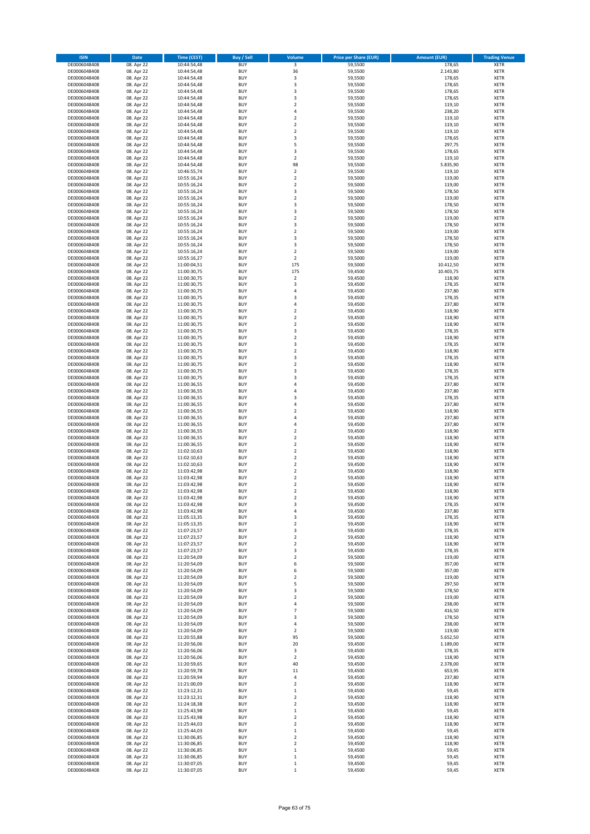| <b>ISIN</b>                  | Date       | Time (CEST)                | <b>Buy / Sell</b>        | Volume                  | <b>Price per Share (EUR)</b> | <b>Amount (EUR)</b> | <b>Trading Venue</b> |
|------------------------------|------------|----------------------------|--------------------------|-------------------------|------------------------------|---------------------|----------------------|
| DE0006048408                 | 08. Apr 22 | 10:44:54,48                | <b>BUY</b>               | 3                       | 59,5500                      | 178,65              | <b>XETR</b>          |
| DE0006048408                 | 08. Apr 22 | 10:44:54,48                | <b>BUY</b>               | 36                      | 59,5500                      | 2.143,80            | XETR                 |
| DE0006048408                 | 08. Apr 22 | 10:44:54,48                | <b>BUY</b>               | 3                       | 59,5500                      | 178,65              | XETR                 |
| DE0006048408                 | 08. Apr 22 | 10:44:54,48                | <b>BUY</b>               | 3                       | 59,5500                      | 178,65              | <b>XETR</b>          |
| DE0006048408                 | 08. Apr 22 | 10:44:54,48                | <b>BUY</b>               | 3                       | 59,5500                      | 178,65              | <b>XETR</b>          |
| DE0006048408                 | 08. Apr 22 | 10:44:54,48                | <b>BUY</b>               | 3                       | 59,5500                      | 178,65              | <b>XETR</b>          |
| DE0006048408                 | 08. Apr 22 | 10:44:54,48                | <b>BUY</b>               | $\overline{2}$          | 59,5500                      | 119,10              | <b>XETR</b>          |
| DE0006048408                 | 08. Apr 22 | 10:44:54,48                | <b>BUY</b>               | $\overline{4}$          | 59,5500                      | 238,20              | <b>XETR</b>          |
| DE0006048408                 | 08. Apr 22 | 10:44:54,48                | <b>BUY</b>               | $\boldsymbol{2}$        | 59,5500                      | 119,10              | <b>XETR</b>          |
| DE0006048408                 | 08. Apr 22 | 10:44:54,48                | <b>BUY</b>               | $\overline{2}$          | 59,5500                      | 119,10              | <b>XETR</b>          |
| DE0006048408                 | 08. Apr 22 | 10:44:54,48                | <b>BUY</b>               | $\boldsymbol{2}$        | 59,5500                      | 119,10              | XETR                 |
| DE0006048408                 | 08. Apr 22 | 10:44:54,48                | <b>BUY</b>               | 3                       | 59,5500                      | 178,65              | <b>XETR</b>          |
| DE0006048408                 | 08. Apr 22 | 10:44:54,48                | <b>BUY</b>               | 5                       | 59,5500                      | 297,75              | XETR                 |
| DE0006048408                 | 08. Apr 22 | 10:44:54,48                | <b>BUY</b>               | 3                       | 59,5500                      | 178,65              | <b>XETR</b>          |
| DE0006048408                 | 08. Apr 22 | 10:44:54,48                | <b>BUY</b>               | $\boldsymbol{2}$        | 59,5500                      | 119,10              | XETR                 |
| DE0006048408                 | 08. Apr 22 | 10:44:54,48                | <b>BUY</b>               | 98                      | 59,5500                      | 5.835,90            | <b>XETR</b>          |
| DE0006048408                 | 08. Apr 22 | 10:46:55,74                | <b>BUY</b>               | $\boldsymbol{2}$        | 59,5500                      | 119,10              | <b>XETR</b>          |
| DE0006048408                 | 08. Apr 22 | 10:55:16,24                | <b>BUY</b>               | $\boldsymbol{2}$        | 59,5000                      | 119,00              | <b>XETR</b>          |
| DE0006048408                 | 08. Apr 22 | 10:55:16,24                | <b>BUY</b>               | $\overline{2}$          | 59,5000                      | 119,00              | <b>XETR</b>          |
| DE0006048408                 | 08. Apr 22 | 10:55:16,24                | <b>BUY</b>               | 3                       | 59,5000                      | 178,50              | <b>XETR</b>          |
| DE0006048408                 | 08. Apr 22 | 10:55:16,24                | <b>BUY</b>               | $\overline{2}$          | 59,5000                      | 119,00              | <b>XETR</b>          |
| DE0006048408                 | 08. Apr 22 | 10:55:16,24                | <b>BUY</b>               | 3                       | 59,5000                      | 178,50              | <b>XETR</b>          |
| DE0006048408                 | 08. Apr 22 | 10:55:16,24                | <b>BUY</b>               | 3                       | 59,5000                      | 178,50              | <b>XETR</b>          |
| DE0006048408                 | 08. Apr 22 | 10:55:16,24                | <b>BUY</b>               | $\mathbf 2$             | 59,5000                      | 119,00              | <b>XETR</b>          |
| DE0006048408                 | 08. Apr 22 | 10:55:16,24                | <b>BUY</b>               | 3                       | 59,5000                      | 178,50              | <b>XETR</b>          |
| DE0006048408                 | 08. Apr 22 | 10:55:16,24                | <b>BUY</b>               | $\overline{2}$          | 59,5000                      | 119,00              | <b>XETR</b>          |
| DE0006048408                 | 08. Apr 22 | 10:55:16,24                | <b>BUY</b>               | 3                       | 59,5000                      | 178,50              | <b>XETR</b>          |
| DE0006048408                 | 08. Apr 22 | 10:55:16,24                | <b>BUY</b>               | 3                       | 59,5000                      | 178,50              | <b>XETR</b>          |
| DE0006048408                 | 08. Apr 22 | 10:55:16,24                | <b>BUY</b>               | $\overline{2}$          | 59,5000                      | 119,00              | <b>XETR</b>          |
| DE0006048408                 | 08. Apr 22 | 10:55:16,27                | <b>BUY</b>               | $\boldsymbol{2}$        | 59,5000                      | 119,00              | XETR                 |
| DE0006048408                 | 08. Apr 22 | 11:00:04,51                | <b>BUY</b>               | 175                     | 59,5000                      | 10.412,50           | <b>XETR</b>          |
| DE0006048408                 | 08. Apr 22 | 11:00:30,75                | <b>BUY</b>               | 175                     | 59,4500                      | 10.403,75           | XETR                 |
| DE0006048408                 | 08. Apr 22 | 11:00:30,75                | <b>BUY</b>               | $\overline{2}$          | 59,4500                      | 118,90              | <b>XETR</b>          |
| DE0006048408                 | 08. Apr 22 | 11:00:30,75                | <b>BUY</b>               | 3                       | 59,4500                      | 178,35              | XETR                 |
| DE0006048408                 | 08. Apr 22 | 11:00:30,75                | <b>BUY</b>               | $\overline{4}$          | 59,4500                      | 237,80              | <b>XETR</b>          |
| DE0006048408                 | 08. Apr 22 | 11:00:30,75                | <b>BUY</b>               | $\overline{\mathbf{3}}$ | 59,4500                      | 178,35              | XETR                 |
| DE0006048408                 | 08. Apr 22 | 11:00:30,75                | <b>BUY</b>               | $\sqrt{4}$              | 59,4500                      | 237,80              | <b>XETR</b>          |
| DE0006048408                 | 08. Apr 22 | 11:00:30,75                | <b>BUY</b>               | $\boldsymbol{2}$        | 59,4500                      | 118,90              | XETR                 |
| DE0006048408                 | 08. Apr 22 | 11:00:30,75                | <b>BUY</b>               | $\overline{2}$          | 59,4500                      | 118,90              | <b>XETR</b>          |
| DE0006048408                 | 08. Apr 22 | 11:00:30,75                | <b>BUY</b>               | $\mathbf 2$             | 59,4500                      | 118,90              | <b>XETR</b>          |
| DE0006048408                 | 08. Apr 22 | 11:00:30,75                | <b>BUY</b>               | 3                       | 59,4500                      | 178,35              | <b>XETR</b>          |
| DE0006048408                 | 08. Apr 22 | 11:00:30,75                | <b>BUY</b>               | $\overline{2}$          | 59,4500                      | 118,90              | <b>XETR</b>          |
| DE0006048408                 | 08. Apr 22 | 11:00:30,75                | <b>BUY</b>               | 3                       | 59,4500                      | 178,35              | <b>XETR</b>          |
| DE0006048408                 | 08. Apr 22 | 11:00:30,75                | <b>BUY</b>               | $\overline{2}$          | 59,4500                      | 118,90              | <b>XETR</b>          |
| DE0006048408                 | 08. Apr 22 | 11:00:30,75                | <b>BUY</b>               | 3                       | 59,4500                      | 178,35              | <b>XETR</b>          |
| DE0006048408                 | 08. Apr 22 | 11:00:30,75                | <b>BUY</b>               | $\boldsymbol{2}$        | 59,4500                      | 118,90              | <b>XETR</b>          |
| DE0006048408                 | 08. Apr 22 | 11:00:30,75                | <b>BUY</b>               | 3                       | 59,4500                      | 178,35              | <b>XETR</b>          |
| DE0006048408                 | 08. Apr 22 | 11:00:30,75                | <b>BUY</b>               | 3                       | 59,4500                      | 178,35              | <b>XETR</b>          |
| DE0006048408                 | 08. Apr 22 | 11:00:36,55                | <b>BUY</b>               | 4                       | 59,4500                      | 237,80              | <b>XETR</b>          |
| DE0006048408                 | 08. Apr 22 | 11:00:36,55                | <b>BUY</b>               | $\sqrt{4}$              | 59,4500                      | 237,80              | XETR                 |
| DE0006048408                 | 08. Apr 22 | 11:00:36,55                | <b>BUY</b>               | 3                       | 59,4500                      | 178,35              | <b>XETR</b>          |
| DE0006048408                 | 08. Apr 22 | 11:00:36,55                | <b>BUY</b>               | $\overline{4}$          | 59,4500                      | 237,80              | <b>XETR</b>          |
| DE0006048408                 | 08. Apr 22 | 11:00:36,55                | <b>BUY</b>               | $\overline{2}$          | 59,4500                      | 118,90              | <b>XETR</b>          |
| DE0006048408                 | 08. Apr 22 | 11:00:36,55                | <b>BUY</b>               | $\sqrt{4}$              | 59,4500                      | 237,80              | <b>XETR</b>          |
| DE0006048408                 | 08. Apr 22 | 11:00:36,55                | <b>BUY</b>               | 4                       | 59,4500                      | 237,80              | <b>XETR</b>          |
| DE0006048408                 | 08. Apr 22 | 11:00:36,55                | <b>BUY</b>               | $\overline{2}$          | 59,4500                      | 118,90              | <b>XETR</b>          |
| DE0006048408                 | 08. Apr 22 | 11:00:36,55                | <b>BUY</b>               | $\mathbf 2$             | 59,4500                      | 118,90              | <b>XETR</b>          |
| DE0006048408                 | 08. Apr 22 | 11:00:36,55                | <b>BUY</b>               | $\overline{2}$          | 59,4500                      | 118,90              | <b>XETR</b>          |
| DE0006048408                 | 08. Apr 22 | 11:02:10,63                | <b>BUY</b>               | $\boldsymbol{2}$        | 59,4500                      | 118,90              | XETR                 |
| DE0006048408                 | 08. Apr 22 | 11:02:10,63                | <b>BUY</b>               | $\overline{2}$          | 59,4500                      | 118,90              | <b>XETR</b>          |
| DE0006048408                 | 08. Apr 22 | 11:02:10,63                | <b>BUY</b>               | $\boldsymbol{2}$        | 59,4500                      | 118,90              | XETR                 |
| DE0006048408                 | 08. Apr 22 | 11:03:42,98                | <b>BUY</b>               | $\overline{2}$          | 59,4500                      | 118,90              | <b>XETR</b>          |
| DE0006048408                 | 08. Apr 22 | 11:03:42,98                | <b>BUY</b>               | $\boldsymbol{2}$        | 59,4500                      | 118,90              | <b>XETR</b>          |
| DE0006048408                 | 08. Apr 22 | 11:03:42,98                | <b>BUY</b>               | $\overline{2}$          | 59,4500                      | 118,90              | <b>XETR</b>          |
| DE0006048408                 | 08. Apr 22 | 11:03:42,98                | <b>BUY</b>               | $\overline{2}$          | 59,4500                      | 118,90              | <b>XETR</b>          |
| DE0006048408                 | 08. Apr 22 | 11:03:42,98                | <b>BUY</b>               | $\overline{\mathbf{2}}$ | 59,4500                      | 118,90              | <b>XETR</b>          |
| DE0006048408                 | 08. Apr 22 | 11:03:42,98                | <b>BUY</b>               | 3                       | 59,4500                      | 178,35              | <b>XETR</b>          |
| DE0006048408                 | 08. Apr 22 | 11:03:42,98                | <b>BUY</b>               | 4                       | 59,4500                      | 237,80              | XETR                 |
| DE0006048408                 | 08. Apr 22 | 11:05:13,35                | <b>BUY</b>               | 3                       | 59,4500                      | 178,35              | XETR                 |
| DE0006048408                 | 08. Apr 22 | 11:05:13,35                | <b>BUY</b>               | $\boldsymbol{2}$        | 59,4500                      | 118,90              | <b>XETR</b>          |
| DE0006048408                 | 08. Apr 22 | 11:07:23,57                | <b>BUY</b>               | 3                       | 59,4500                      | 178,35              | XETR                 |
| DE0006048408                 | 08. Apr 22 | 11:07:23,57                | <b>BUY</b>               | $\boldsymbol{2}$        | 59,4500                      | 118,90              | <b>XETR</b>          |
| DE0006048408                 | 08. Apr 22 | 11:07:23,57                | <b>BUY</b>               | $\boldsymbol{2}$        | 59,4500                      | 118,90              | <b>XETR</b>          |
| DE0006048408                 | 08. Apr 22 | 11:07:23,57                | <b>BUY</b>               | 3                       | 59,4500                      | 178,35              | <b>XETR</b>          |
| DE0006048408                 | 08. Apr 22 | 11:20:54,09                | <b>BUY</b>               | $\boldsymbol{2}$        | 59,5000                      | 119,00              | XETR                 |
| DE0006048408                 | 08. Apr 22 | 11:20:54,09                | <b>BUY</b>               | 6                       | 59,5000                      | 357,00              | <b>XETR</b>          |
| DE0006048408                 | 08. Apr 22 | 11:20:54,09                | <b>BUY</b>               | 6                       | 59,5000                      | 357,00              | XETR                 |
| DE0006048408                 | 08. Apr 22 | 11:20:54,09                | <b>BUY</b>               | $\boldsymbol{2}$        | 59,5000                      | 119,00              | <b>XETR</b>          |
| DE0006048408                 | 08. Apr 22 | 11:20:54,09                | <b>BUY</b>               | 5                       | 59,5000                      | 297,50              | XETR                 |
| DE0006048408                 | 08. Apr 22 | 11:20:54,09                | <b>BUY</b>               | 3                       | 59,5000                      | 178,50              | <b>XETR</b>          |
| DE0006048408                 | 08. Apr 22 | 11:20:54,09                | <b>BUY</b>               | $\boldsymbol{2}$        | 59,5000                      | 119,00              | <b>XETR</b>          |
| DE0006048408                 | 08. Apr 22 | 11:20:54,09                | <b>BUY</b>               | 4                       | 59,5000                      | 238,00              | <b>XETR</b>          |
| DE0006048408                 | 08. Apr 22 | 11:20:54,09                | <b>BUY</b>               | $\overline{7}$          | 59,5000                      | 416,50              | <b>XETR</b>          |
| DE0006048408                 | 08. Apr 22 | 11:20:54,09                | <b>BUY</b>               | 3                       | 59,5000                      | 178,50              | <b>XETR</b>          |
| DE0006048408                 | 08. Apr 22 | 11:20:54,09                | <b>BUY</b>               | 4                       | 59,5000                      | 238,00              | <b>XETR</b>          |
| DE0006048408                 | 08. Apr 22 | 11:20:54,09                | <b>BUY</b>               | $\overline{\mathbf{2}}$ | 59,5000                      | 119,00              | <b>XETR</b>          |
| DE0006048408                 | 08. Apr 22 | 11:20:55,88                | <b>BUY</b>               | 95                      | 59,5000                      | 5.652,50            | <b>XETR</b>          |
| DE0006048408                 | 08. Apr 22 | 11:20:56,06                | <b>BUY</b>               | 20                      | 59,4500                      | 1.189,00            | XETR                 |
| DE0006048408                 | 08. Apr 22 | 11:20:56,06                | <b>BUY</b>               | 3                       | 59,4500                      | 178,35              | <b>XETR</b>          |
| DE0006048408                 | 08. Apr 22 | 11:20:56,06                | <b>BUY</b>               | $\boldsymbol{2}$        | 59,4500                      | 118,90              | XETR                 |
| DE0006048408                 | 08. Apr 22 | 11:20:59,65                | <b>BUY</b>               | 40                      | 59,4500                      | 2.378,00            | <b>XETR</b>          |
| DE0006048408                 | 08. Apr 22 | 11:20:59,78                | <b>BUY</b>               | 11                      | 59,4500                      | 653,95              | XETR                 |
| DE0006048408                 | 08. Apr 22 | 11:20:59,94                | <b>BUY</b>               | 4                       | 59,4500                      | 237,80              | <b>XETR</b>          |
| DE0006048408                 | 08. Apr 22 | 11:21:00,09                | <b>BUY</b>               | $\boldsymbol{2}$        | 59,4500                      | 118,90              | XETR                 |
| DE0006048408                 | 08. Apr 22 | 11:23:12,31                | <b>BUY</b>               | $\mathbf 1$             | 59,4500                      | 59,45               | <b>XETR</b>          |
| DE0006048408                 | 08. Apr 22 | 11:23:12,31                | <b>BUY</b>               | 2                       | 59,4500                      | 118,90              | XETR                 |
| DE0006048408                 | 08. Apr 22 | 11:24:18,38                | <b>BUY</b>               | $\overline{\mathbf{2}}$ | 59,4500                      | 118,90              | <b>XETR</b>          |
| DE0006048408                 | 08. Apr 22 | 11:25:43,98                | <b>BUY</b>               | $\,1\,$                 | 59,4500                      | 59,45               | XETR                 |
| DE0006048408                 | 08. Apr 22 | 11:25:43,98                | <b>BUY</b>               | $\boldsymbol{2}$        | 59,4500                      | 118,90              | <b>XETR</b>          |
| DE0006048408                 | 08. Apr 22 | 11:25:44,03                | <b>BUY</b>               | $\overline{\mathbf{2}}$ | 59,4500                      | 118,90              | <b>XETR</b>          |
| DE0006048408                 | 08. Apr 22 | 11:25:44,03                | <b>BUY</b>               | $\,1\,$                 | 59,4500                      | 59,45               | <b>XETR</b>          |
| DE0006048408                 | 08. Apr 22 | 11:30:06,85                | <b>BUY</b>               | $\boldsymbol{2}$        | 59,4500                      | 118,90              | XETR                 |
| DE0006048408                 | 08. Apr 22 | 11:30:06,85                | <b>BUY</b>               | $\mathbf 2$             | 59,4500                      | 118,90              | <b>XETR</b>          |
| DE0006048408                 | 08. Apr 22 | 11:30:06,85                | <b>BUY</b>               | $\,$ 1                  | 59,4500                      | 59,45               | XETR                 |
| DE0006048408<br>DE0006048408 | 08. Apr 22 | 11:30:06,85<br>11:30:07,05 | <b>BUY</b><br><b>BUY</b> | $\,1\,$                 | 59,4500                      | 59,45               | <b>XETR</b><br>XETR  |
|                              | 08. Apr 22 |                            |                          | $\mathbf 1$             | 59,4500                      | 59,45               |                      |
| DE0006048408                 | 08. Apr 22 | 11:30:07,05                | <b>BUY</b>               | $\,1\,$                 | 59,4500                      | 59,45               | <b>XETR</b>          |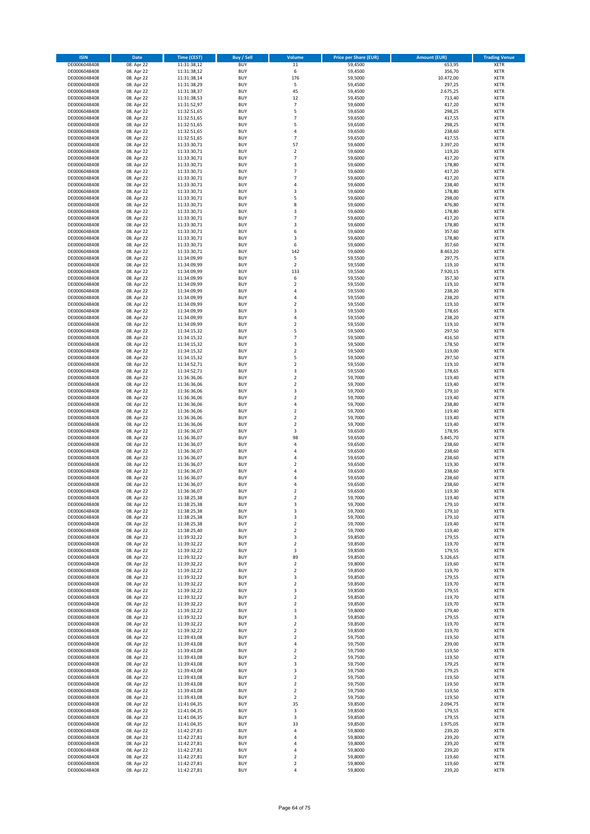| <b>ISIN</b>                  | Date                     | Time (CEST)                | <b>Buy / Sell</b>        | Volume                                      | <b>Price per Share (EUR)</b> | <b>Amount (EUR)</b> | <b>Trading Venue</b>       |
|------------------------------|--------------------------|----------------------------|--------------------------|---------------------------------------------|------------------------------|---------------------|----------------------------|
| DE0006048408                 | 08. Apr 22               | 11:31:38,12                | <b>BUY</b>               | $11\,$                                      | 59,4500                      | 653,95              | <b>XETR</b>                |
| DE0006048408                 | 08. Apr 22               | 11:31:38,12                | <b>BUY</b>               | 6                                           | 59,4500                      | 356,70              | XETR                       |
| DE0006048408                 | 08. Apr 22               | 11:31:38,14                | <b>BUY</b>               | 176                                         | 59,5000                      | 10.472,00           | XETR                       |
| DE0006048408                 | 08. Apr 22               | 11:31:38,29                | <b>BUY</b>               | 5                                           | 59,4500                      | 297,25              | <b>XETR</b>                |
| DE0006048408                 | 08. Apr 22               | 11:31:38,37                | <b>BUY</b>               | 45                                          | 59,4500                      | 2.675,25            | <b>XETR</b>                |
| DE0006048408                 | 08. Apr 22               | 11:31:38,53                | <b>BUY</b>               | 12                                          | 59,4500                      | 713,40              | <b>XETR</b>                |
| DE0006048408<br>DE0006048408 | 08. Apr 22               | 11:31:52,97                | <b>BUY</b><br><b>BUY</b> | $\overline{7}$<br>5                         | 59,6000                      | 417,20              | <b>XETR</b><br><b>XETR</b> |
| DE0006048408                 | 08. Apr 22<br>08. Apr 22 | 11:32:51,65<br>11:32:51,65 | <b>BUY</b>               | $\overline{7}$                              | 59,6500<br>59,6500           | 298,25<br>417,55    | <b>XETR</b>                |
| DE0006048408                 | 08. Apr 22               | 11:32:51,65                | <b>BUY</b>               | 5                                           | 59,6500                      | 298,25              | <b>XETR</b>                |
| DE0006048408                 | 08. Apr 22               | 11:32:51,65                | <b>BUY</b>               | $\sqrt{4}$                                  | 59,6500                      | 238,60              | XETR                       |
| DE0006048408                 | 08. Apr 22               | 11:32:51,65                | <b>BUY</b>               | $\overline{7}$                              | 59,6500                      | 417,55              | <b>XETR</b>                |
| DE0006048408                 | 08. Apr 22               | 11:33:30,71                | <b>BUY</b>               | 57                                          | 59,6000                      | 3.397,20            | XETR                       |
| DE0006048408                 | 08. Apr 22               | 11:33:30,71                | <b>BUY</b>               | $\overline{2}$                              | 59,6000                      | 119,20              | <b>XETR</b>                |
| DE0006048408                 | 08. Apr 22               | 11:33:30,71                | <b>BUY</b>               | $\overline{7}$                              | 59,6000                      | 417,20              | <b>XETR</b>                |
| DE0006048408                 | 08. Apr 22               | 11:33:30,71                | <b>BUY</b>               | 3                                           | 59,6000                      | 178,80              | <b>XETR</b>                |
| DE0006048408                 | 08. Apr 22               | 11:33:30,71                | <b>BUY</b>               | $\overline{7}$                              | 59,6000                      | 417,20              | <b>XETR</b>                |
| DE0006048408<br>DE0006048408 | 08. Apr 22               | 11:33:30,71<br>11:33:30,71 | <b>BUY</b><br><b>BUY</b> | $\overline{7}$<br>$\overline{4}$            | 59,6000<br>59,6000           | 417,20<br>238,40    | <b>XETR</b><br><b>XETR</b> |
| DE0006048408                 | 08. Apr 22<br>08. Apr 22 | 11:33:30,71                | <b>BUY</b>               | 3                                           | 59,6000                      | 178,80              | <b>XETR</b>                |
| DE0006048408                 | 08. Apr 22               | 11:33:30,71                | <b>BUY</b>               | 5                                           | 59,6000                      | 298,00              | <b>XETR</b>                |
| DE0006048408                 | 08. Apr 22               | 11:33:30,71                | <b>BUY</b>               | 8                                           | 59,6000                      | 476,80              | <b>XETR</b>                |
| DE0006048408                 | 08. Apr 22               | 11:33:30,71                | <b>BUY</b>               | 3                                           | 59,6000                      | 178,80              | <b>XETR</b>                |
| DE0006048408                 | 08. Apr 22               | 11:33:30,71                | <b>BUY</b>               | $\overline{7}$                              | 59,6000                      | 417,20              | <b>XETR</b>                |
| DE0006048408                 | 08. Apr 22               | 11:33:30,71                | <b>BUY</b>               | 3                                           | 59,6000                      | 178,80              | <b>XETR</b>                |
| DE0006048408                 | 08. Apr 22               | 11:33:30,71                | <b>BUY</b>               | 6                                           | 59,6000                      | 357,60              | <b>XETR</b>                |
| DE0006048408                 | 08. Apr 22               | 11:33:30,71                | <b>BUY</b>               | 3                                           | 59,6000                      | 178,80              | <b>XETR</b>                |
| DE0006048408<br>DE0006048408 | 08. Apr 22<br>08. Apr 22 | 11:33:30,71<br>11:33:30,71 | <b>BUY</b><br><b>BUY</b> | 6<br>142                                    | 59,6000<br>59,6000           | 357,60<br>8.463,20  | <b>XETR</b><br><b>XETR</b> |
| DE0006048408                 | 08. Apr 22               | 11:34:09,99                | <b>BUY</b>               | 5                                           | 59,5500                      | 297,75              | XETR                       |
| DE0006048408                 | 08. Apr 22               | 11:34:09,99                | <b>BUY</b>               | $\overline{2}$                              | 59,5500                      | 119,10              | <b>XETR</b>                |
| DE0006048408                 | 08. Apr 22               | 11:34:09,99                | <b>BUY</b>               | 133                                         | 59,5500                      | 7.920,15            | XETR                       |
| DE0006048408                 | 08. Apr 22               | 11:34:09,99                | <b>BUY</b>               | 6                                           | 59,5500                      | 357,30              | <b>XETR</b>                |
| DE0006048408                 | 08. Apr 22               | 11:34:09,99                | <b>BUY</b>               | $\boldsymbol{2}$                            | 59,5500                      | 119,10              | XETR                       |
| DE0006048408                 | 08. Apr 22               | 11:34:09,99                | <b>BUY</b>               | $\overline{4}$                              | 59,5500                      | 238,20              | <b>XETR</b>                |
| DE0006048408                 | 08. Apr 22               | 11:34:09,99                | <b>BUY</b>               | $\sqrt{4}$                                  | 59,5500                      | 238,20              | XETR                       |
| DE0006048408                 | 08. Apr 22               | 11:34:09,99                | <b>BUY</b>               | $\overline{2}$                              | 59,5500                      | 119,10              | <b>XETR</b>                |
| DE0006048408<br>DE0006048408 | 08. Apr 22<br>08. Apr 22 | 11:34:09,99<br>11:34:09,99 | <b>BUY</b><br><b>BUY</b> | 3<br>$\sqrt{4}$                             | 59,5500<br>59,5500           | 178,65<br>238,20    | XETR<br><b>XETR</b>        |
| DE0006048408                 | 08. Apr 22               | 11:34:09,99                | <b>BUY</b>               | $\mathbf 2$                                 | 59,5500                      | 119,10              | <b>XETR</b>                |
| DE0006048408                 | 08. Apr 22               | 11:34:15,32                | <b>BUY</b>               | 5                                           | 59,5000                      | 297,50              | <b>XETR</b>                |
| DE0006048408                 | 08. Apr 22               | 11:34:15,32                | <b>BUY</b>               | $\overline{7}$                              | 59,5000                      | 416,50              | <b>XETR</b>                |
| DE0006048408                 | 08. Apr 22               | 11:34:15,32                | <b>BUY</b>               | 3                                           | 59,5000                      | 178,50              | <b>XETR</b>                |
| DE0006048408                 | 08. Apr 22               | 11:34:15,32                | <b>BUY</b>               | $\overline{2}$                              | 59,5000                      | 119,00              | <b>XETR</b>                |
| DE0006048408                 | 08. Apr 22               | 11:34:15,32                | <b>BUY</b>               | 5                                           | 59,5000                      | 297,50              | <b>XETR</b>                |
| DE0006048408                 | 08. Apr 22               | 11:34:52,71                | <b>BUY</b>               | $\boldsymbol{2}$                            | 59,5500                      | 119,10              | <b>XETR</b>                |
| DE0006048408                 | 08. Apr 22               | 11:34:52,71                | <b>BUY</b>               | 3                                           | 59,5500                      | 178,65              | XETR                       |
| DE0006048408                 | 08. Apr 22<br>08. Apr 22 | 11:36:36,06                | <b>BUY</b><br><b>BUY</b> | $\boldsymbol{2}$<br>$\boldsymbol{2}$        | 59,7000                      | 119,40<br>119,40    | <b>XETR</b>                |
| DE0006048408<br>DE0006048408 | 08. Apr 22               | 11:36:36,06<br>11:36:36,06 | <b>BUY</b>               | 3                                           | 59,7000<br>59,7000           | 179,10              | <b>XETR</b><br>XETR        |
| DE0006048408                 | 08. Apr 22               | 11:36:36,06                | <b>BUY</b>               | $\boldsymbol{2}$                            | 59,7000                      | 119,40              | <b>XETR</b>                |
| DE0006048408                 | 08. Apr 22               | 11:36:36,06                | <b>BUY</b>               | $\overline{4}$                              | 59,7000                      | 238,80              | <b>XETR</b>                |
| DE0006048408                 | 08. Apr 22               | 11:36:36,06                | <b>BUY</b>               | $\boldsymbol{2}$                            | 59,7000                      | 119,40              | <b>XETR</b>                |
| DE0006048408                 | 08. Apr 22               | 11:36:36,06                | <b>BUY</b>               | $\boldsymbol{2}$                            | 59,7000                      | 119,40              | <b>XETR</b>                |
| DE0006048408                 | 08. Apr 22               | 11:36:36,06                | <b>BUY</b>               | $\mathbf 2$                                 | 59,7000                      | 119,40              | <b>XETR</b>                |
| DE0006048408                 | 08. Apr 22               | 11:36:36,07                | <b>BUY</b>               | 3                                           | 59,6500                      | 178,95              | <b>XETR</b>                |
| DE0006048408                 | 08. Apr 22               | 11:36:36,07                | <b>BUY</b>               | 98                                          | 59,6500                      | 5.845,70            | <b>XETR</b>                |
| DE0006048408<br>DE0006048408 | 08. Apr 22<br>08. Apr 22 | 11:36:36,07<br>11:36:36,07 | <b>BUY</b><br><b>BUY</b> | $\sqrt{4}$<br>4                             | 59,6500<br>59,6500           | 238,60<br>238,60    | <b>XETR</b><br>XETR        |
| DE0006048408                 | 08. Apr 22               | 11:36:36,07                | <b>BUY</b>               | $\overline{4}$                              | 59,6500                      | 238,60              | <b>XETR</b>                |
| DE0006048408                 | 08. Apr 22               | 11:36:36,07                | <b>BUY</b>               | $\boldsymbol{2}$                            | 59,6500                      | 119,30              | XETR                       |
| DE0006048408                 | 08. Apr 22               | 11:36:36,07                | <b>BUY</b>               | $\sqrt{4}$                                  | 59,6500                      | 238,60              | <b>XETR</b>                |
| DE0006048408                 | 08. Apr 22               | 11:36:36,07                | <b>BUY</b>               | 4                                           | 59,6500                      | 238,60              | <b>XETR</b>                |
| DE0006048408                 | 08. Apr 22               | 11:36:36,07                | <b>BUY</b>               | 4                                           | 59,6500                      | 238,60              | <b>XETR</b>                |
| DE0006048408                 | 08. Apr 22               | 11:36:36,07                | <b>BUY</b>               | $\overline{2}$                              | 59,6500                      | 119,30              | <b>XETR</b>                |
| DE0006048408                 | 08. Apr 22               | 11:38:25,38                | <b>BUY</b>               | $\overline{\mathbf{2}}$                     | 59,7000                      | 119,40              | <b>XETR</b>                |
| DE0006048408<br>DE0006048408 | 08. Apr 22<br>08. Apr 22 | 11:38:25,38<br>11:38:25,38 | <b>BUY</b><br><b>BUY</b> | 3<br>3                                      | 59,7000<br>59,7000           | 179,10<br>179,10    | <b>XETR</b><br>XETR        |
| DE0006048408                 | 08. Apr 22               | 11:38:25,38                | <b>BUY</b>               | 3                                           | 59,7000                      | 179,10              | XETR                       |
| DE0006048408                 | 08. Apr 22               | 11:38:25,38                | <b>BUY</b>               | $\mathbf 2$                                 | 59,7000                      | 119,40              | <b>XETR</b>                |
| DE0006048408                 | 08. Apr 22               | 11:38:25,40                | <b>BUY</b>               | $\mathbf 2$                                 | 59,7000                      | 119,40              | XETR                       |
| DE0006048408                 | 08. Apr 22               | 11:39:32,22                | <b>BUY</b>               | 3                                           | 59,8500                      | 179,55              | <b>XETR</b>                |
| DE0006048408                 | 08. Apr 22               | 11:39:32,22                | <b>BUY</b>               | $\overline{2}$                              | 59,8500                      | 119,70              | <b>XETR</b>                |
| DE0006048408                 | 08. Apr 22               | 11:39:32,22                | <b>BUY</b>               | 3                                           | 59,8500                      | 179,55              | <b>XETR</b>                |
| DE0006048408                 | 08. Apr 22               | 11:39:32,22                | <b>BUY</b>               | 89                                          | 59,8500                      | 5.326,65            | <b>XETR</b>                |
| DE0006048408<br>DE0006048408 | 08. Apr 22<br>08. Apr 22 | 11:39:32,22<br>11:39:32,22 | <b>BUY</b><br><b>BUY</b> | $\overline{\mathbf{2}}$<br>$\boldsymbol{2}$ | 59,8000<br>59,8500           | 119,60<br>119,70    | <b>XETR</b><br><b>XETR</b> |
| DE0006048408                 | 08. Apr 22               | 11:39:32,22                | <b>BUY</b>               | 3                                           | 59,8500                      | 179,55              | <b>XETR</b>                |
| DE0006048408                 | 08. Apr 22               | 11:39:32,22                | <b>BUY</b>               | $\mathbf 2$                                 | 59,8500                      | 119,70              | <b>XETR</b>                |
| DE0006048408                 | 08. Apr 22               | 11:39:32,22                | <b>BUY</b>               | 3                                           | 59,8500                      | 179,55              | <b>XETR</b>                |
| DE0006048408                 | 08. Apr 22               | 11:39:32,22                | <b>BUY</b>               | $\boldsymbol{2}$                            | 59,8500                      | 119,70              | <b>XETR</b>                |
| DE0006048408                 | 08. Apr 22               | 11:39:32,22                | <b>BUY</b>               | $\boldsymbol{2}$                            | 59,8500                      | 119,70              | <b>XETR</b>                |
| DE0006048408                 | 08. Apr 22               | 11:39:32,22                | <b>BUY</b>               | 3                                           | 59,8000                      | 179,40              | <b>XETR</b>                |
| DE0006048408<br>DE0006048408 | 08. Apr 22<br>08. Apr 22 | 11:39:32,22<br>11:39:32,22 | <b>BUY</b><br><b>BUY</b> | 3<br>$\overline{2}$                         | 59,8500<br>59,8500           | 179,55<br>119,70    | <b>XETR</b><br>XETR        |
| DE0006048408                 | 08. Apr 22               | 11:39:32,22                | <b>BUY</b>               | $\boldsymbol{2}$                            | 59,8500                      | 119,70              | <b>XETR</b>                |
| DE0006048408                 | 08. Apr 22               | 11:39:43,08                | <b>BUY</b>               | $\mathbf 2$                                 | 59,7500                      | 119,50              | <b>XETR</b>                |
| DE0006048408                 | 08. Apr 22               | 11:39:43,08                | <b>BUY</b>               | 4                                           | 59,7500                      | 239,00              | XETR                       |
| DE0006048408                 | 08. Apr 22               | 11:39:43,08                | <b>BUY</b>               | $\overline{2}$                              | 59,7500                      | 119,50              | <b>XETR</b>                |
| DE0006048408                 | 08. Apr 22               | 11:39:43,08                | <b>BUY</b>               | $\boldsymbol{2}$                            | 59,7500                      | 119,50              | <b>XETR</b>                |
| DE0006048408                 | 08. Apr 22               | 11:39:43,08                | <b>BUY</b>               | 3                                           | 59,7500                      | 179,25              | <b>XETR</b>                |
| DE0006048408                 | 08. Apr 22               | 11:39:43,08                | <b>BUY</b>               | 3                                           | 59,7500                      | 179,25              | XETR                       |
| DE0006048408                 | 08. Apr 22               | 11:39:43,08                | <b>BUY</b>               | $\overline{2}$                              | 59,7500                      | 119,50              | <b>XETR</b>                |
| DE0006048408<br>DE0006048408 | 08. Apr 22<br>08. Apr 22 | 11:39:43,08<br>11:39:43,08 | <b>BUY</b><br><b>BUY</b> | $\boldsymbol{2}$<br>$\overline{2}$          | 59,7500<br>59,7500           | 119,50<br>119,50    | XETR<br><b>XETR</b>        |
| DE0006048408                 | 08. Apr 22               | 11:39:43,08                | <b>BUY</b>               | $\boldsymbol{2}$                            | 59,7500                      | 119,50              | XETR                       |
| DE0006048408                 | 08. Apr 22               | 11:41:04,35                | <b>BUY</b>               | 35                                          | 59,8500                      | 2.094,75            | <b>XETR</b>                |
| DE0006048408                 | 08. Apr 22               | 11:41:04,35                | <b>BUY</b>               | 3                                           | 59,8500                      | 179,55              | XETR                       |
| DE0006048408                 | 08. Apr 22               | 11:41:04,35                | <b>BUY</b>               | 3                                           | 59,8500                      | 179,55              | <b>XETR</b>                |
| DE0006048408                 | 08. Apr 22               | 11:41:04,35                | <b>BUY</b>               | 33                                          | 59,8500                      | 1.975,05            | <b>XETR</b>                |
| DE0006048408                 | 08. Apr 22               | 11:42:27,81                | <b>BUY</b>               | 4                                           | 59,8000                      | 239,20              | <b>XETR</b>                |
| DE0006048408                 | 08. Apr 22               | 11:42:27,81                | <b>BUY</b>               | 4                                           | 59,8000                      | 239,20              | XETR                       |
| DE0006048408<br>DE0006048408 | 08. Apr 22<br>08. Apr 22 | 11:42:27,81<br>11:42:27,81 | <b>BUY</b><br><b>BUY</b> | 4<br>4                                      | 59,8000<br>59,8000           | 239,20<br>239,20    | <b>XETR</b><br>XETR        |
| DE0006048408                 | 08. Apr 22               | 11:42:27,81                | <b>BUY</b>               | $\boldsymbol{2}$                            | 59,8000                      | 119,60              | <b>XETR</b>                |
| DE0006048408                 | 08. Apr 22               | 11:42:27,81                | <b>BUY</b>               | $\boldsymbol{2}$                            | 59,8000                      | 119,60              | XETR                       |
| DE0006048408                 | 08. Apr 22               | 11:42:27,81                | <b>BUY</b>               | $\sqrt{4}$                                  | 59,8000                      | 239,20              | <b>XETR</b>                |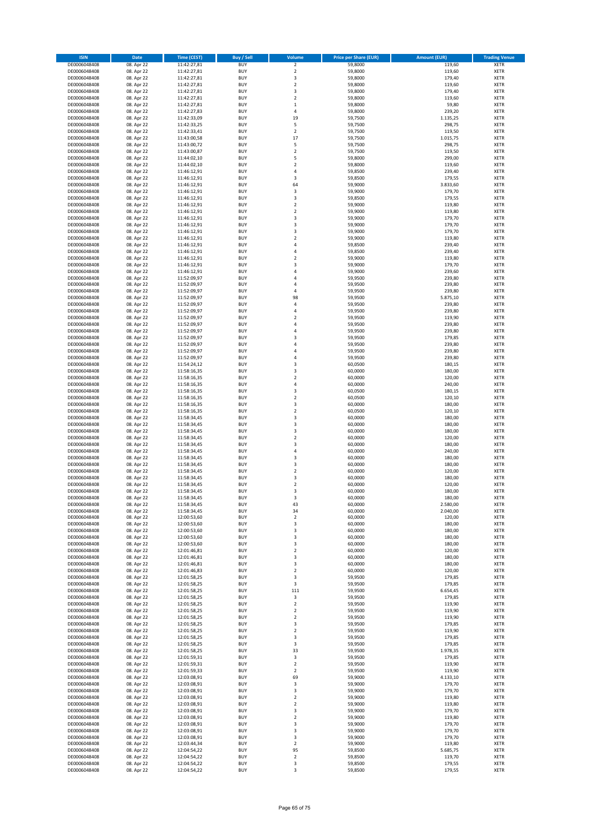| <b>ISIN</b>                  | Date                     | Time (CEST)                | <b>Buy / Sell</b>        | Volume                                      | <b>Price per Share (EUR)</b> | <b>Amount (EUR)</b> | <b>Trading Venue</b>       |
|------------------------------|--------------------------|----------------------------|--------------------------|---------------------------------------------|------------------------------|---------------------|----------------------------|
| DE0006048408                 | 08. Apr 22               | 11:42:27,81                | <b>BUY</b>               | $\mathbf 2$                                 | 59,8000                      | 119,60              | <b>XETR</b>                |
| DE0006048408                 | 08. Apr 22               | 11:42:27,81                | <b>BUY</b>               | $\overline{2}$                              | 59,8000                      | 119,60              | XETR                       |
| DE0006048408                 | 08. Apr 22               | 11:42:27,81                | <b>BUY</b>               | 3                                           | 59,8000                      | 179,40              | XETR                       |
| DE0006048408                 | 08. Apr 22               | 11:42:27,81                | <b>BUY</b>               | $\overline{2}$                              | 59,8000                      | 119,60              | <b>XETR</b>                |
| DE0006048408                 | 08. Apr 22               | 11:42:27,81                | <b>BUY</b>               | 3                                           | 59,8000                      | 179,40              | <b>XETR</b>                |
| DE0006048408                 | 08. Apr 22               | 11:42:27,81                | <b>BUY</b>               | $\overline{2}$                              | 59,8000                      | 119,60              | <b>XETR</b>                |
| DE0006048408<br>DE0006048408 | 08. Apr 22               | 11:42:27,81                | <b>BUY</b><br><b>BUY</b> | $\mathbf{1}$<br>$\sqrt{4}$                  | 59,8000                      | 59,80               | <b>XETR</b><br><b>XETR</b> |
| DE0006048408                 | 08. Apr 22<br>08. Apr 22 | 11:42:27,83<br>11:42:33,09 | <b>BUY</b>               | 19                                          | 59,8000<br>59,7500           | 239,20<br>1.135,25  | <b>XETR</b>                |
| DE0006048408                 | 08. Apr 22               | 11:42:33,25                | <b>BUY</b>               | 5                                           | 59,7500                      | 298,75              | <b>XETR</b>                |
| DE0006048408                 | 08. Apr 22               | 11:42:33,41                | <b>BUY</b>               | $\boldsymbol{2}$                            | 59,7500                      | 119,50              | <b>XETR</b>                |
| DE0006048408                 | 08. Apr 22               | 11:43:00,58                | <b>BUY</b>               | 17                                          | 59,7500                      | 1.015,75            | <b>XETR</b>                |
| DE0006048408                 | 08. Apr 22               | 11:43:00,72                | <b>BUY</b>               | 5                                           | 59,7500                      | 298,75              | XETR                       |
| DE0006048408                 | 08. Apr 22               | 11:43:00,87                | <b>BUY</b>               | $\overline{2}$                              | 59,7500                      | 119,50              | <b>XETR</b>                |
| DE0006048408                 | 08. Apr 22               | 11:44:02,10                | <b>BUY</b>               | 5                                           | 59,8000                      | 299,00              | <b>XETR</b>                |
| DE0006048408                 | 08. Apr 22               | 11:44:02,10                | <b>BUY</b>               | $\overline{\mathbf{2}}$                     | 59,8000                      | 119,60              | <b>XETR</b>                |
| DE0006048408                 | 08. Apr 22               | 11:46:12,91                | <b>BUY</b>               | $\sqrt{4}$                                  | 59,8500                      | 239,40              | <b>XETR</b>                |
| DE0006048408<br>DE0006048408 | 08. Apr 22               | 11:46:12,91                | <b>BUY</b><br><b>BUY</b> | 3<br>64                                     | 59,8500<br>59,9000           | 179,55<br>3.833,60  | <b>XETR</b><br><b>XETR</b> |
| DE0006048408                 | 08. Apr 22<br>08. Apr 22 | 11:46:12,91<br>11:46:12,91 | <b>BUY</b>               | 3                                           | 59,9000                      | 179,70              | <b>XETR</b>                |
| DE0006048408                 | 08. Apr 22               | 11:46:12,91                | <b>BUY</b>               | 3                                           | 59,8500                      | 179,55              | <b>XETR</b>                |
| DE0006048408                 | 08. Apr 22               | 11:46:12,91                | <b>BUY</b>               | $\overline{2}$                              | 59,9000                      | 119,80              | <b>XETR</b>                |
| DE0006048408                 | 08. Apr 22               | 11:46:12,91                | <b>BUY</b>               | $\overline{2}$                              | 59,9000                      | 119,80              | <b>XETR</b>                |
| DE0006048408                 | 08. Apr 22               | 11:46:12,91                | <b>BUY</b>               | 3                                           | 59,9000                      | 179,70              | <b>XETR</b>                |
| DE0006048408                 | 08. Apr 22               | 11:46:12,91                | <b>BUY</b>               | 3                                           | 59,9000                      | 179,70              | <b>XETR</b>                |
| DE0006048408                 | 08. Apr 22               | 11:46:12,91                | <b>BUY</b>               | 3                                           | 59,9000                      | 179,70              | <b>XETR</b>                |
| DE0006048408                 | 08. Apr 22               | 11:46:12,91                | <b>BUY</b>               | $\overline{2}$                              | 59,9000                      | 119,80              | <b>XETR</b>                |
| DE0006048408<br>DE0006048408 | 08. Apr 22<br>08. Apr 22 | 11:46:12,91<br>11:46:12,91 | <b>BUY</b><br><b>BUY</b> | $\sqrt{4}$<br>$\sqrt{4}$                    | 59,8500<br>59,8500           | 239,40<br>239,40    | <b>XETR</b><br><b>XETR</b> |
| DE0006048408                 | 08. Apr 22               | 11:46:12,91                | <b>BUY</b>               | $\boldsymbol{2}$                            | 59,9000                      | 119,80              | XETR                       |
| DE0006048408                 | 08. Apr 22               | 11:46:12,91                | <b>BUY</b>               | $\overline{\mathbf{3}}$                     | 59,9000                      | 179,70              | <b>XETR</b>                |
| DE0006048408                 | 08. Apr 22               | 11:46:12,91                | <b>BUY</b>               | $\sqrt{4}$                                  | 59,9000                      | 239,60              | XETR                       |
| DE0006048408                 | 08. Apr 22               | 11:52:09,97                | <b>BUY</b>               | $\sqrt{4}$                                  | 59,9500                      | 239,80              | <b>XETR</b>                |
| DE0006048408                 | 08. Apr 22               | 11:52:09,97                | <b>BUY</b>               | 4                                           | 59,9500                      | 239,80              | XETR                       |
| DE0006048408                 | 08. Apr 22               | 11:52:09,97                | <b>BUY</b>               | $\overline{4}$                              | 59,9500                      | 239,80              | <b>XETR</b>                |
| DE0006048408                 | 08. Apr 22               | 11:52:09,97                | <b>BUY</b>               | 98                                          | 59,9500                      | 5.875,10            | XETR                       |
| DE0006048408                 | 08. Apr 22               | 11:52:09,97                | <b>BUY</b>               | $\sqrt{4}$                                  | 59,9500                      | 239,80              | <b>XETR</b>                |
| DE0006048408                 | 08. Apr 22               | 11:52:09,97                | <b>BUY</b>               | 4                                           | 59,9500                      | 239,80              | XETR                       |
| DE0006048408<br>DE0006048408 | 08. Apr 22<br>08. Apr 22 | 11:52:09,97<br>11:52:09,97 | <b>BUY</b><br><b>BUY</b> | $\overline{2}$<br>$\sqrt{4}$                | 59,9500<br>59,9500           | 119,90<br>239,80    | <b>XETR</b><br><b>XETR</b> |
| DE0006048408                 | 08. Apr 22               | 11:52:09,97                | <b>BUY</b>               | $\overline{4}$                              | 59,9500                      | 239,80              | <b>XETR</b>                |
| DE0006048408                 | 08. Apr 22               | 11:52:09,97                | <b>BUY</b>               | 3                                           | 59,9500                      | 179,85              | <b>XETR</b>                |
| DE0006048408                 | 08. Apr 22               | 11:52:09,97                | <b>BUY</b>               | 4                                           | 59,9500                      | 239,80              | <b>XETR</b>                |
| DE0006048408                 | 08. Apr 22               | 11:52:09,97                | <b>BUY</b>               | $\overline{4}$                              | 59,9500                      | 239,80              | <b>XETR</b>                |
| DE0006048408                 | 08. Apr 22               | 11:52:09,97                | <b>BUY</b>               | 4                                           | 59,9500                      | 239,80              | <b>XETR</b>                |
| DE0006048408                 | 08. Apr 22               | 11:54:24,12                | <b>BUY</b>               | 3                                           | 60,0500                      | 180,15              | <b>XETR</b>                |
| DE0006048408                 | 08. Apr 22               | 11:58:16,35                | <b>BUY</b>               | 3                                           | 60,0000                      | 180,00              | <b>XETR</b>                |
| DE0006048408                 | 08. Apr 22               | 11:58:16,35                | <b>BUY</b>               | $\overline{2}$                              | 60,0000                      | 120,00              | <b>XETR</b>                |
| DE0006048408                 | 08. Apr 22               | 11:58:16,35                | <b>BUY</b><br><b>BUY</b> | 4<br>3                                      | 60,0000                      | 240,00              | <b>XETR</b>                |
| DE0006048408<br>DE0006048408 | 08. Apr 22<br>08. Apr 22 | 11:58:16,35<br>11:58:16,35 | <b>BUY</b>               | $\overline{2}$                              | 60,0500<br>60,0500           | 180,15<br>120,10    | XETR<br><b>XETR</b>        |
| DE0006048408                 | 08. Apr 22               | 11:58:16,35                | <b>BUY</b>               | 3                                           | 60,0000                      | 180,00              | <b>XETR</b>                |
| DE0006048408                 | 08. Apr 22               | 11:58:16,35                | <b>BUY</b>               | $\mathbf 2$                                 | 60,0500                      | 120,10              | <b>XETR</b>                |
| DE0006048408                 | 08. Apr 22               | 11:58:34,45                | <b>BUY</b>               | 3                                           | 60,0000                      | 180,00              | <b>XETR</b>                |
| DE0006048408                 | 08. Apr 22               | 11:58:34,45                | <b>BUY</b>               | 3                                           | 60,0000                      | 180,00              | <b>XETR</b>                |
| DE0006048408                 | 08. Apr 22               | 11:58:34,45                | <b>BUY</b>               | 3                                           | 60,0000                      | 180,00              | <b>XETR</b>                |
| DE0006048408                 | 08. Apr 22               | 11:58:34,45                | <b>BUY</b>               | $\mathbf 2$                                 | 60,0000                      | 120,00              | <b>XETR</b>                |
| DE0006048408                 | 08. Apr 22               | 11:58:34,45                | <b>BUY</b>               | 3                                           | 60,0000                      | 180,00              | <b>XETR</b>                |
| DE0006048408<br>DE0006048408 | 08. Apr 22<br>08. Apr 22 | 11:58:34,45<br>11:58:34,45 | <b>BUY</b><br><b>BUY</b> | 4<br>3                                      | 60,0000<br>60,0000           | 240,00<br>180,00    | XETR<br><b>XETR</b>        |
| DE0006048408                 | 08. Apr 22               | 11:58:34,45                | <b>BUY</b>               | 3                                           | 60,0000                      | 180,00              | XETR                       |
| DE0006048408                 | 08. Apr 22               | 11:58:34,45                | <b>BUY</b>               | $\overline{2}$                              | 60,0000                      | 120,00              | <b>XETR</b>                |
| DE0006048408                 | 08. Apr 22               | 11:58:34,45                | <b>BUY</b>               | 3                                           | 60,0000                      | 180,00              | <b>XETR</b>                |
| DE0006048408                 | 08. Apr 22               | 11:58:34.45                | <b>BUY</b>               | $\overline{2}$                              | 60,0000                      | 120,00              | <b>XETR</b>                |
| DE0006048408                 | 08. Apr 22               | 11:58:34,45                | <b>BUY</b>               | 3                                           | 60,0000                      | 180,00              | <b>XETR</b>                |
| DE0006048408                 | 08. Apr 22               | 11:58:34,45                | <b>BUY</b>               | 3                                           | 60,0000                      | 180,00              | <b>XETR</b>                |
| DE0006048408                 | 08. Apr 22               | 11:58:34,45                | <b>BUY</b>               | 43                                          | 60,0000                      | 2.580,00            | <b>XETR</b>                |
| DE0006048408                 | 08. Apr 22               | 11:58:34,45                | <b>BUY</b>               | 34                                          | 60,0000<br>60,0000           | 2.040,00            | XETR                       |
| DE0006048408<br>DE0006048408 | 08. Apr 22<br>08. Apr 22 | 12:00:53,60<br>12:00:53,60 | <b>BUY</b><br><b>BUY</b> | $\boldsymbol{2}$<br>3                       | 60,0000                      | 120,00<br>180,00    | XETR<br><b>XETR</b>        |
| DE0006048408                 | 08. Apr 22               | 12:00:53,60                | <b>BUY</b>               | 3                                           | 60,0000                      | 180,00              | XETR                       |
| DE0006048408                 | 08. Apr 22               | 12:00:53,60                | <b>BUY</b>               | 3                                           | 60,0000                      | 180,00              | <b>XETR</b>                |
| DE0006048408                 | 08. Apr 22               | 12:00:53,60                | <b>BUY</b>               | 3                                           | 60,0000                      | 180,00              | <b>XETR</b>                |
| DE0006048408                 | 08. Apr 22               | 12:01:46,81                | <b>BUY</b>               | $\boldsymbol{2}$                            | 60,0000                      | 120,00              | <b>XETR</b>                |
| DE0006048408                 | 08. Apr 22               | 12:01:46,81                | <b>BUY</b>               | 3                                           | 60,0000                      | 180,00              | <b>XETR</b>                |
| DE0006048408                 | 08. Apr 22               | 12:01:46,81                | <b>BUY</b>               | 3                                           | 60,0000                      | 180,00              | <b>XETR</b>                |
| DE0006048408<br>DE0006048408 | 08. Apr 22<br>08. Apr 22 | 12:01:46,83<br>12:01:58,25 | <b>BUY</b><br><b>BUY</b> | $\overline{2}$<br>3                         | 60,0000<br>59,9500           | 120,00<br>179,85    | <b>XETR</b><br><b>XETR</b> |
| DE0006048408                 | 08. Apr 22               | 12:01:58,25                | <b>BUY</b>               | 3                                           | 59,9500                      | 179,85              | <b>XETR</b>                |
| DE0006048408                 | 08. Apr 22               | 12:01:58,25                | <b>BUY</b>               | 111                                         | 59,9500                      | 6.654,45            | <b>XETR</b>                |
| DE0006048408                 | 08. Apr 22               | 12:01:58,25                | <b>BUY</b>               | 3                                           | 59,9500                      | 179,85              | <b>XETR</b>                |
| DE0006048408                 | 08. Apr 22               | 12:01:58,25                | <b>BUY</b>               | $\boldsymbol{2}$                            | 59,9500                      | 119,90              | <b>XETR</b>                |
| DE0006048408                 | 08. Apr 22               | 12:01:58,25                | <b>BUY</b>               | $\boldsymbol{2}$                            | 59,9500                      | 119,90              | <b>XETR</b>                |
| DE0006048408                 | 08. Apr 22               | 12:01:58,25                | <b>BUY</b>               | $\overline{\mathbf{2}}$                     | 59,9500                      | 119,90              | <b>XETR</b>                |
| DE0006048408                 | 08. Apr 22               | 12:01:58,25                | <b>BUY</b>               | 3                                           | 59,9500                      | 179,85              | XETR                       |
| DE0006048408                 | 08. Apr 22               | 12:01:58,25                | <b>BUY</b><br><b>BUY</b> | $\boldsymbol{2}$<br>3                       | 59,9500<br>59,9500           | 119,90<br>179,85    | <b>XETR</b><br><b>XETR</b> |
| DE0006048408<br>DE0006048408 | 08. Apr 22<br>08. Apr 22 | 12:01:58,25<br>12:01:58,25 | <b>BUY</b>               | 3                                           | 59,9500                      | 179,85              | XETR                       |
| DE0006048408                 | 08. Apr 22               | 12:01:58,25                | <b>BUY</b>               | 33                                          | 59,9500                      | 1.978,35            | <b>XETR</b>                |
| DE0006048408                 | 08. Apr 22               | 12:01:59,31                | <b>BUY</b>               | 3                                           | 59,9500                      | 179,85              | <b>XETR</b>                |
| DE0006048408                 | 08. Apr 22               | 12:01:59,31                | <b>BUY</b>               | $\overline{2}$                              | 59,9500                      | 119,90              | <b>XETR</b>                |
| DE0006048408                 | 08. Apr 22               | 12:01:59,33                | <b>BUY</b>               | $\overline{\mathbf{2}}$                     | 59,9500                      | 119,90              | XETR                       |
| DE0006048408                 | 08. Apr 22               | 12:03:08,91                | <b>BUY</b>               | 69                                          | 59,9000                      | 4.133,10            | <b>XETR</b>                |
| DE0006048408                 | 08. Apr 22               | 12:03:08,91                | <b>BUY</b>               | 3                                           | 59,9000                      | 179,70              | XETR                       |
| DE0006048408                 | 08. Apr 22               | 12:03:08,91                | <b>BUY</b>               | 3                                           | 59,9000                      | 179,70              | <b>XETR</b>                |
| DE0006048408<br>DE0006048408 | 08. Apr 22<br>08. Apr 22 | 12:03:08,91<br>12:03:08,91 | <b>BUY</b><br><b>BUY</b> | $\boldsymbol{2}$<br>$\overline{\mathbf{2}}$ | 59,9000<br>59,9000           | 119,80<br>119,80    | XETR<br><b>XETR</b>        |
| DE0006048408                 | 08. Apr 22               | 12:03:08,91                | <b>BUY</b>               | 3                                           | 59,9000                      | 179,70              | XETR                       |
| DE0006048408                 | 08. Apr 22               | 12:03:08,91                | <b>BUY</b>               | $\boldsymbol{2}$                            | 59,9000                      | 119,80              | <b>XETR</b>                |
| DE0006048408                 | 08. Apr 22               | 12:03:08,91                | <b>BUY</b>               | 3                                           | 59,9000                      | 179,70              | <b>XETR</b>                |
| DE0006048408                 | 08. Apr 22               | 12:03:08,91                | <b>BUY</b>               | 3                                           | 59,9000                      | 179,70              | <b>XETR</b>                |
| DE0006048408                 | 08. Apr 22               | 12:03:08,91                | <b>BUY</b>               | 3                                           | 59,9000                      | 179,70              | XETR                       |
| DE0006048408                 | 08. Apr 22               | 12:03:44,34                | <b>BUY</b>               | $\mathbf 2$                                 | 59,9000                      | 119,80              | <b>XETR</b>                |
| DE0006048408                 | 08. Apr 22               | 12:04:54,22                | <b>BUY</b>               | 95                                          | 59,8500                      | 5.685,75            | XETR                       |
| DE0006048408<br>DE0006048408 | 08. Apr 22<br>08. Apr 22 | 12:04:54,22<br>12:04:54,22 | <b>BUY</b><br><b>BUY</b> | $\mathbf 2$<br>3                            | 59,8500<br>59,8500           | 119,70<br>179,55    | <b>XETR</b><br>XETR        |
| DE0006048408                 | 08. Apr 22               | 12:04:54,22                | <b>BUY</b>               | 3                                           | 59,8500                      | 179,55              | <b>XETR</b>                |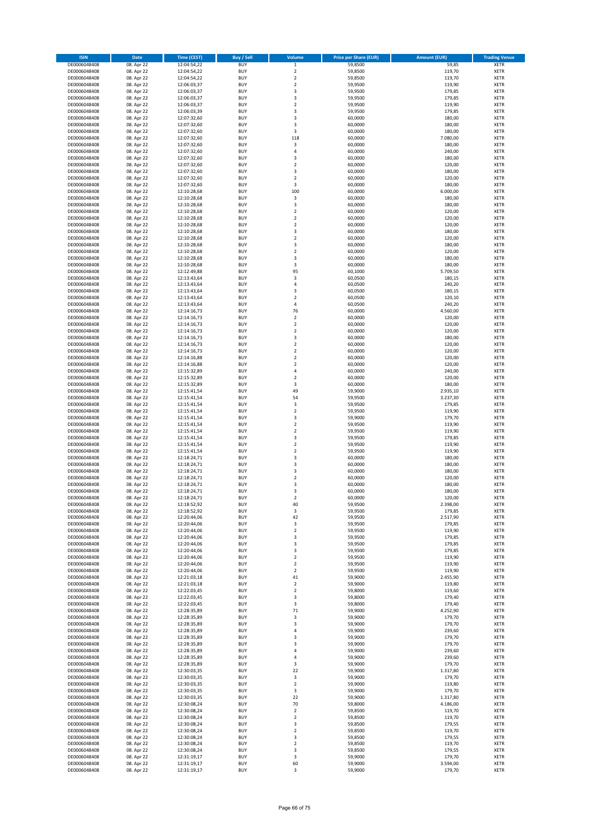| <b>ISIN</b>                  | Date                     | Time (CEST)                | <b>Buy / Sell</b>        | Volume                        | <b>Price per Share (EUR)</b> | <b>Amount (EUR)</b>  | <b>Trading Venue</b>       |
|------------------------------|--------------------------|----------------------------|--------------------------|-------------------------------|------------------------------|----------------------|----------------------------|
| DE0006048408                 | 08. Apr 22               | 12:04:54,22                | <b>BUY</b>               | $\mathbf 1$                   | 59,8500                      | 59,85                | <b>XETR</b>                |
| DE0006048408                 | 08. Apr 22               | 12:04:54,22                | <b>BUY</b>               | $\overline{2}$                | 59,8500                      | 119,70               | XETR                       |
| DE0006048408                 | 08. Apr 22               | 12:04:54,22                | <b>BUY</b>               | $\mathbf 2$                   | 59,8500                      | 119,70               | XETR                       |
| DE0006048408                 | 08. Apr 22               | 12:06:03,37                | <b>BUY</b>               | $\overline{2}$                | 59,9500                      | 119,90               | <b>XETR</b>                |
| DE0006048408                 | 08. Apr 22               | 12:06:03,37                | <b>BUY</b>               | 3                             | 59,9500                      | 179,85               | <b>XETR</b>                |
| DE0006048408                 | 08. Apr 22               | 12:06:03,37                | <b>BUY</b>               | 3                             | 59,9500                      | 179,85               | <b>XETR</b>                |
| DE0006048408<br>DE0006048408 | 08. Apr 22               | 12:06:03,37                | <b>BUY</b><br><b>BUY</b> | $\mathbf 2$<br>3              | 59,9500                      | 119,90               | <b>XETR</b><br><b>XETR</b> |
| DE0006048408                 | 08. Apr 22<br>08. Apr 22 | 12:06:03,39<br>12:07:32,60 | <b>BUY</b>               | 3                             | 59,9500<br>60,0000           | 179,85<br>180,00     | <b>XETR</b>                |
| DE0006048408                 | 08. Apr 22               | 12:07:32,60                | <b>BUY</b>               | 3                             | 60,0000                      | 180,00               | <b>XETR</b>                |
| DE0006048408                 | 08. Apr 22               | 12:07:32,60                | <b>BUY</b>               | 3                             | 60,0000                      | 180,00               | XETR                       |
| DE0006048408                 | 08. Apr 22               | 12:07:32,60                | <b>BUY</b>               | 118                           | 60,0000                      | 7.080,00             | <b>XETR</b>                |
| DE0006048408                 | 08. Apr 22               | 12:07:32,60                | <b>BUY</b>               | $\mathsf 3$                   | 60,0000                      | 180,00               | XETR                       |
| DE0006048408                 | 08. Apr 22               | 12:07:32,60                | <b>BUY</b>               | $\sqrt{4}$                    | 60,0000                      | 240,00               | <b>XETR</b>                |
| DE0006048408                 | 08. Apr 22               | 12:07:32,60                | <b>BUY</b>               | 3                             | 60,0000                      | 180,00               | <b>XETR</b>                |
| DE0006048408                 | 08. Apr 22               | 12:07:32,60                | <b>BUY</b>               | $\overline{\mathbf{2}}$       | 60,0000                      | 120,00               | <b>XETR</b>                |
| DE0006048408                 | 08. Apr 22               | 12:07:32,60                | <b>BUY</b>               | 3                             | 60,0000                      | 180,00               | <b>XETR</b>                |
| DE0006048408                 | 08. Apr 22               | 12:07:32,60                | <b>BUY</b>               | $\boldsymbol{2}$              | 60,0000                      | 120,00               | <b>XETR</b>                |
| DE0006048408<br>DE0006048408 | 08. Apr 22<br>08. Apr 22 | 12:07:32,60<br>12:10:28,68 | <b>BUY</b><br><b>BUY</b> | 3<br>100                      | 60,0000<br>60,0000           | 180,00<br>6.000,00   | <b>XETR</b><br><b>XETR</b> |
| DE0006048408                 | 08. Apr 22               | 12:10:28,68                | <b>BUY</b>               | $\mathsf 3$                   | 60,0000                      | 180,00               | <b>XETR</b>                |
| DE0006048408                 | 08. Apr 22               | 12:10:28,68                | <b>BUY</b>               | 3                             | 60,0000                      | 180,00               | <b>XETR</b>                |
| DE0006048408                 | 08. Apr 22               | 12:10:28,68                | <b>BUY</b>               | $\overline{2}$                | 60,0000                      | 120,00               | <b>XETR</b>                |
| DE0006048408                 | 08. Apr 22               | 12:10:28,68                | <b>BUY</b>               | $\mathbf 2$                   | 60,0000                      | 120,00               | <b>XETR</b>                |
| DE0006048408                 | 08. Apr 22               | 12:10:28,68                | <b>BUY</b>               | $\overline{2}$                | 60,0000                      | 120,00               | <b>XETR</b>                |
| DE0006048408                 | 08. Apr 22               | 12:10:28,68                | <b>BUY</b>               | 3                             | 60,0000                      | 180,00               | <b>XETR</b>                |
| DE0006048408                 | 08. Apr 22               | 12:10:28,68                | <b>BUY</b>               | $\overline{2}$                | 60,0000                      | 120,00               | <b>XETR</b>                |
| DE0006048408                 | 08. Apr 22               | 12:10:28,68<br>12:10:28,68 | <b>BUY</b><br><b>BUY</b> | 3<br>$\overline{2}$           | 60,0000                      | 180,00               | <b>XETR</b><br><b>XETR</b> |
| DE0006048408<br>DE0006048408 | 08. Apr 22<br>08. Apr 22 | 12:10:28,68                | <b>BUY</b>               | 3                             | 60,0000<br>60,0000           | 120,00<br>180,00     | XETR                       |
| DE0006048408                 | 08. Apr 22               | 12:10:28,68                | <b>BUY</b>               | 3                             | 60,0000                      | 180,00               | <b>XETR</b>                |
| DE0006048408                 | 08. Apr 22               | 12:12:49,88                | <b>BUY</b>               | 95                            | 60,1000                      | 5.709,50             | XETR                       |
| DE0006048408                 | 08. Apr 22               | 12:13:43,64                | <b>BUY</b>               | 3                             | 60,0500                      | 180,15               | <b>XETR</b>                |
| DE0006048408                 | 08. Apr 22               | 12:13:43,64                | <b>BUY</b>               | 4                             | 60,0500                      | 240,20               | XETR                       |
| DE0006048408                 | 08. Apr 22               | 12:13:43,64                | <b>BUY</b>               | 3                             | 60,0500                      | 180,15               | <b>XETR</b>                |
| DE0006048408                 | 08. Apr 22               | 12:13:43,64                | <b>BUY</b>               | $\overline{2}$                | 60,0500                      | 120,10               | XETR                       |
| DE0006048408                 | 08. Apr 22               | 12:13:43,64                | <b>BUY</b>               | $\sqrt{4}$                    | 60,0500                      | 240,20               | <b>XETR</b>                |
| DE0006048408                 | 08. Apr 22               | 12:14:16,73                | <b>BUY</b>               | 76                            | 60,0000                      | 4.560,00             | XETR                       |
| DE0006048408<br>DE0006048408 | 08. Apr 22<br>08. Apr 22 | 12:14:16,73<br>12:14:16,73 | <b>BUY</b><br><b>BUY</b> | $\overline{2}$<br>$\mathbf 2$ | 60,0000<br>60,0000           | 120,00<br>120,00     | <b>XETR</b><br><b>XETR</b> |
| DE0006048408                 | 08. Apr 22               | 12:14:16,73                | <b>BUY</b>               | $\overline{2}$                | 60,0000                      | 120,00               | <b>XETR</b>                |
| DE0006048408                 | 08. Apr 22               | 12:14:16,73                | <b>BUY</b>               | 3                             | 60,0000                      | 180,00               | <b>XETR</b>                |
| DE0006048408                 | 08. Apr 22               | 12:14:16,73                | <b>BUY</b>               | $\overline{2}$                | 60,0000                      | 120,00               | <b>XETR</b>                |
| DE0006048408                 | 08. Apr 22               | 12:14:16,73                | <b>BUY</b>               | $\overline{2}$                | 60,0000                      | 120,00               | <b>XETR</b>                |
| DE0006048408                 | 08. Apr 22               | 12:14:16,88                | <b>BUY</b>               | $\mathbf 2$                   | 60,0000                      | 120,00               | <b>XETR</b>                |
| DE0006048408                 | 08. Apr 22               | 12:14:16,88                | <b>BUY</b>               | $\boldsymbol{2}$              | 60,0000                      | 120,00               | <b>XETR</b>                |
| DE0006048408                 | 08. Apr 22               | 12:15:32,89                | <b>BUY</b>               | 4                             | 60,0000                      | 240,00               | <b>XETR</b>                |
| DE0006048408                 | 08. Apr 22               | 12:15:32,89                | <b>BUY</b>               | $\boldsymbol{2}$              | 60,0000                      | 120,00               | <b>XETR</b>                |
| DE0006048408                 | 08. Apr 22               | 12:15:32,89                | <b>BUY</b><br><b>BUY</b> | 3                             | 60,0000                      | 180,00               | <b>XETR</b>                |
| DE0006048408<br>DE0006048408 | 08. Apr 22<br>08. Apr 22 | 12:15:41,54<br>12:15:41,54 | <b>BUY</b>               | 49<br>54                      | 59,9000<br>59,9500           | 2.935,10<br>3.237,30 | <b>XETR</b><br><b>XETR</b> |
| DE0006048408                 | 08. Apr 22               | 12:15:41,54                | <b>BUY</b>               | 3                             | 59,9500                      | 179,85               | <b>XETR</b>                |
| DE0006048408                 | 08. Apr 22               | 12:15:41,54                | <b>BUY</b>               | $\boldsymbol{2}$              | 59,9500                      | 119,90               | <b>XETR</b>                |
| DE0006048408                 | 08. Apr 22               | 12:15:41,54                | <b>BUY</b>               | 3                             | 59,9000                      | 179,70               | <b>XETR</b>                |
| DE0006048408                 | 08. Apr 22               | 12:15:41,54                | <b>BUY</b>               | $\boldsymbol{2}$              | 59,9500                      | 119,90               | <b>XETR</b>                |
| DE0006048408                 | 08. Apr 22               | 12:15:41,54                | <b>BUY</b>               | $\overline{2}$                | 59,9500                      | 119,90               | <b>XETR</b>                |
| DE0006048408                 | 08. Apr 22               | 12:15:41,54                | <b>BUY</b>               | 3                             | 59,9500                      | 179,85               | <b>XETR</b>                |
| DE0006048408                 | 08. Apr 22               | 12:15:41,54                | <b>BUY</b>               | $\overline{2}$                | 59,9500                      | 119,90               | <b>XETR</b>                |
| DE0006048408<br>DE0006048408 | 08. Apr 22<br>08. Apr 22 | 12:15:41,54<br>12:18:24,71 | <b>BUY</b><br><b>BUY</b> | $\boldsymbol{2}$<br>3         | 59,9500<br>60,0000           | 119,90<br>180,00     | <b>XETR</b><br><b>XETR</b> |
| DE0006048408                 | 08. Apr 22               | 12:18:24,71                | <b>BUY</b>               | 3                             | 60,0000                      | 180,00               | XETR                       |
| DE0006048408                 | 08. Apr 22               | 12:18:24,71                | <b>BUY</b>               | 3                             | 60,0000                      | 180,00               | <b>XETR</b>                |
| DE0006048408                 | 08. Apr 22               | 12:18:24,71                | <b>BUY</b>               | $\boldsymbol{2}$              | 60,0000                      | 120,00               | <b>XETR</b>                |
| DE0006048408                 | 08. Apr 22               | 12:18:24,71                | <b>BUY</b>               | 3                             | 60,0000                      | 180,00               | <b>XETR</b>                |
| DE0006048408                 | 08. Apr 22               | 12:18:24,71                | <b>BUY</b>               | 3                             | 60,0000                      | 180,00               | <b>XETR</b>                |
| DE0006048408                 | 08. Apr 22               | 12:18:24,71                | <b>BUY</b>               | $\overline{\mathbf{2}}$       | 60,0000                      | 120,00               | <b>XETR</b>                |
| DE0006048408                 | 08. Apr 22               | 12:18:52,92                | <b>BUY</b>               | 40                            | 59,9500                      | 2.398,00             | <b>XETR</b>                |
| DE0006048408                 | 08. Apr 22               | 12:18:52,92                | <b>BUY</b>               | 3                             | 59,9500<br>59,9500           | 179,85               | XETR                       |
| DE0006048408<br>DE0006048408 | 08. Apr 22<br>08. Apr 22 | 12:20:44,06<br>12:20:44,06 | <b>BUY</b><br><b>BUY</b> | 42<br>3                       | 59,9500                      | 2.517,90<br>179,85   | XETR<br><b>XETR</b>        |
| DE0006048408                 | 08. Apr 22               | 12:20:44,06                | <b>BUY</b>               | $\mathbf 2$                   | 59,9500                      | 119,90               | XETR                       |
| DE0006048408                 | 08. Apr 22               | 12:20:44,06                | <b>BUY</b>               | 3                             | 59,9500                      | 179,85               | <b>XETR</b>                |
| DE0006048408                 | 08. Apr 22               | 12:20:44,06                | <b>BUY</b>               | 3                             | 59,9500                      | 179,85               | <b>XETR</b>                |
| DE0006048408                 | 08. Apr 22               | 12:20:44,06                | <b>BUY</b>               | 3                             | 59,9500                      | 179,85               | <b>XETR</b>                |
| DE0006048408                 | 08. Apr 22               | 12:20:44,06                | <b>BUY</b>               | $\boldsymbol{2}$              | 59,9500                      | 119,90               | <b>XETR</b>                |
| DE0006048408                 | 08. Apr 22               | 12:20:44,06                | <b>BUY</b>               | $\boldsymbol{2}$              | 59,9500                      | 119,90               | <b>XETR</b>                |
| DE0006048408                 | 08. Apr 22               | 12:20:44,06                | <b>BUY</b>               | $\boldsymbol{2}$              | 59,9500                      | 119,90               | <b>XETR</b>                |
| DE0006048408<br>DE0006048408 | 08. Apr 22<br>08. Apr 22 | 12:21:03,18<br>12:21:03,18 | <b>BUY</b><br><b>BUY</b> | 41<br>$\boldsymbol{2}$        | 59,9000<br>59,9000           | 2.455,90<br>119,80   | <b>XETR</b><br><b>XETR</b> |
| DE0006048408                 | 08. Apr 22               | 12:22:03,45                | <b>BUY</b>               | $\boldsymbol{2}$              | 59,8000                      | 119,60               | <b>XETR</b>                |
| DE0006048408                 | 08. Apr 22               | 12:22:03,45                | <b>BUY</b>               | 3                             | 59,8000                      | 179,40               | <b>XETR</b>                |
| DE0006048408                 | 08. Apr 22               | 12:22:03,45                | <b>BUY</b>               | 3                             | 59,8000                      | 179,40               | <b>XETR</b>                |
| DE0006048408                 | 08. Apr 22               | 12:28:35,89                | <b>BUY</b>               | 71                            | 59,9000                      | 4.252,90             | <b>XETR</b>                |
| DE0006048408                 | 08. Apr 22               | 12:28:35,89                | <b>BUY</b>               | 3                             | 59,9000                      | 179,70               | <b>XETR</b>                |
| DE0006048408                 | 08. Apr 22               | 12:28:35,89                | <b>BUY</b>               | 3                             | 59,9000                      | 179,70               | XETR                       |
| DE0006048408                 | 08. Apr 22               | 12:28:35,89                | <b>BUY</b>               | 4                             | 59,9000                      | 239,60               | <b>XETR</b>                |
| DE0006048408<br>DE0006048408 | 08. Apr 22<br>08. Apr 22 | 12:28:35,89<br>12:28:35,89 | <b>BUY</b><br><b>BUY</b> | 3<br>3                        | 59,9000<br>59,9000           | 179,70<br>179,70     | XETR<br>XETR               |
| DE0006048408                 | 08. Apr 22               | 12:28:35,89                | <b>BUY</b>               | 4                             | 59,9000                      | 239,60               | <b>XETR</b>                |
| DE0006048408                 | 08. Apr 22               | 12:28:35,89                | <b>BUY</b>               | 4                             | 59,9000                      | 239,60               | XETR                       |
| DE0006048408                 | 08. Apr 22               | 12:28:35,89                | <b>BUY</b>               | 3                             | 59,9000                      | 179,70               | <b>XETR</b>                |
| DE0006048408                 | 08. Apr 22               | 12:30:03,35                | <b>BUY</b>               | 22                            | 59,9000                      | 1.317,80             | XETR                       |
| DE0006048408                 | 08. Apr 22               | 12:30:03,35                | <b>BUY</b>               | 3                             | 59,9000                      | 179,70               | <b>XETR</b>                |
| DE0006048408                 | 08. Apr 22               | 12:30:03,35                | <b>BUY</b>               | $\boldsymbol{2}$              | 59,9000                      | 119,80               | XETR                       |
| DE0006048408                 | 08. Apr 22               | 12:30:03,35                | <b>BUY</b>               | 3                             | 59,9000                      | 179,70               | <b>XETR</b>                |
| DE0006048408                 | 08. Apr 22               | 12:30:03,35                | <b>BUY</b>               | 22                            | 59,9000                      | 1.317,80             | XETR                       |
| DE0006048408<br>DE0006048408 | 08. Apr 22<br>08. Apr 22 | 12:30:08,24<br>12:30:08,24 | <b>BUY</b><br><b>BUY</b> | 70<br>$\boldsymbol{2}$        | 59,8000<br>59,8500           | 4.186,00<br>119,70   | <b>XETR</b><br>XETR        |
| DE0006048408                 | 08. Apr 22               | 12:30:08,24                | <b>BUY</b>               | $\boldsymbol{2}$              | 59,8500                      | 119,70               | <b>XETR</b>                |
| DE0006048408                 | 08. Apr 22               | 12:30:08,24                | <b>BUY</b>               | 3                             | 59,8500                      | 179,55               | <b>XETR</b>                |
| DE0006048408                 | 08. Apr 22               | 12:30:08,24                | <b>BUY</b>               | $\overline{\mathbf{2}}$       | 59,8500                      | 119,70               | <b>XETR</b>                |
| DE0006048408                 | 08. Apr 22               | 12:30:08,24                | <b>BUY</b>               | 3                             | 59,8500                      | 179,55               | XETR                       |
| DE0006048408                 | 08. Apr 22               | 12:30:08,24                | <b>BUY</b>               | $\mathbf 2$                   | 59,8500                      | 119,70               | <b>XETR</b>                |
| DE0006048408                 | 08. Apr 22               | 12:30:08,24                | <b>BUY</b>               | 3                             | 59,8500                      | 179,55               | XETR                       |
| DE0006048408                 | 08. Apr 22               | 12:31:19,17                | <b>BUY</b>               | 3                             | 59,9000                      | 179,70               | <b>XETR</b>                |
| DE0006048408                 | 08. Apr 22               | 12:31:19,17                | <b>BUY</b>               | 60                            | 59,9000                      | 3.594,00             | XETR                       |
| DE0006048408                 | 08. Apr 22               | 12:31:19,17                | <b>BUY</b>               | 3                             | 59,9000                      | 179,70               | <b>XETR</b>                |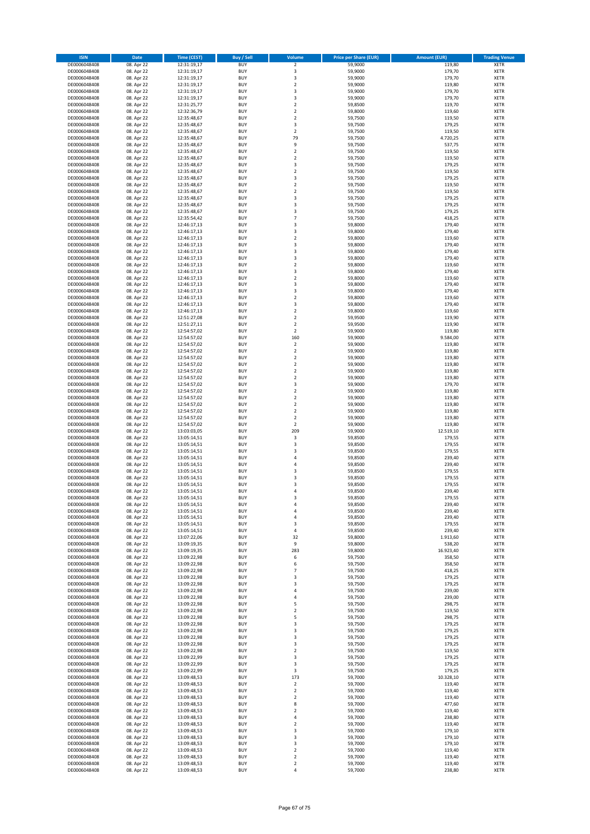| <b>ISIN</b>                  | Date                     | Time (CEST)                | Buy / Sell               | Volume                               | <b>Price per Share (EUR)</b> | <b>Amount (EUR)</b> | <b>Trading Venue</b>       |
|------------------------------|--------------------------|----------------------------|--------------------------|--------------------------------------|------------------------------|---------------------|----------------------------|
| DE0006048408                 | 08. Apr 22               | 12:31:19,17                | <b>BUY</b>               | $\mathbf 2$                          | 59,9000                      | 119,80              | <b>XETR</b>                |
| DE0006048408                 | 08. Apr 22               | 12:31:19,17                | <b>BUY</b>               | 3                                    | 59,9000                      | 179,70              | XETR                       |
| DE0006048408                 | 08. Apr 22               | 12:31:19,17                | <b>BUY</b>               | 3                                    | 59,9000                      | 179,70              | XETR                       |
| DE0006048408                 | 08. Apr 22               | 12:31:19,17                | <b>BUY</b>               | $\overline{2}$                       | 59,9000                      | 119,80              | <b>XETR</b>                |
| DE0006048408                 | 08. Apr 22               | 12:31:19,17                | <b>BUY</b>               | 3                                    | 59,9000                      | 179,70              | XETR                       |
| DE0006048408                 | 08. Apr 22               | 12:31:19,17                | <b>BUY</b>               | 3                                    | 59,9000                      | 179,70              | <b>XETR</b>                |
| DE0006048408                 | 08. Apr 22               | 12:31:25,77                | <b>BUY</b>               | $\overline{2}$                       | 59,8500                      | 119,70              | <b>XETR</b>                |
| DE0006048408                 | 08. Apr 22               | 12:32:36,79                | <b>BUY</b>               | $\overline{2}$                       | 59,8000                      | 119,60              | <b>XETR</b>                |
| DE0006048408                 | 08. Apr 22               | 12:35:48,67                | <b>BUY</b>               | $\boldsymbol{2}$                     | 59,7500                      | 119,50              | <b>XETR</b>                |
| DE0006048408                 | 08. Apr 22               | 12:35:48,67                | <b>BUY</b>               | 3                                    | 59,7500                      | 179,25              | <b>XETR</b>                |
| DE0006048408                 | 08. Apr 22               | 12:35:48,67                | <b>BUY</b>               | $\boldsymbol{2}$                     | 59,7500                      | 119,50              | XETR                       |
| DE0006048408                 | 08. Apr 22               | 12:35:48,67                | <b>BUY</b>               | 79                                   | 59,7500                      | 4.720,25            | <b>XETR</b>                |
| DE0006048408<br>DE0006048408 | 08. Apr 22<br>08. Apr 22 | 12:35:48,67<br>12:35:48,67 | <b>BUY</b><br><b>BUY</b> | 9<br>$\overline{2}$                  | 59,7500<br>59,7500           | 537,75<br>119,50    | XETR<br><b>XETR</b>        |
| DE0006048408                 | 08. Apr 22               | 12:35:48,67                | <b>BUY</b>               | $\boldsymbol{2}$                     | 59,7500                      | 119,50              | <b>XETR</b>                |
| DE0006048408                 | 08. Apr 22               | 12:35:48,67                | <b>BUY</b>               | 3                                    | 59,7500                      | 179,25              | <b>XETR</b>                |
| DE0006048408                 | 08. Apr 22               | 12:35:48,67                | <b>BUY</b>               | $\boldsymbol{2}$                     | 59,7500                      | 119,50              | <b>XETR</b>                |
| DE0006048408                 | 08. Apr 22               | 12:35:48,67                | <b>BUY</b>               | 3                                    | 59,7500                      | 179,25              | <b>XETR</b>                |
| DE0006048408                 | 08. Apr 22               | 12:35:48,67                | <b>BUY</b>               | $\overline{2}$                       | 59,7500                      | 119,50              | <b>XETR</b>                |
| DE0006048408                 | 08. Apr 22               | 12:35:48,67                | <b>BUY</b>               | $\mathbf 2$                          | 59,7500                      | 119,50              | <b>XETR</b>                |
| DE0006048408                 | 08. Apr 22               | 12:35:48,67                | <b>BUY</b>               | 3                                    | 59,7500                      | 179,25              | <b>XETR</b>                |
| DE0006048408                 | 08. Apr 22               | 12:35:48,67                | <b>BUY</b>               | 3                                    | 59,7500                      | 179,25              | <b>XETR</b>                |
| DE0006048408                 | 08. Apr 22               | 12:35:48,67                | <b>BUY</b>               | 3                                    | 59,7500                      | 179,25              | <b>XETR</b>                |
| DE0006048408                 | 08. Apr 22               | 12:35:54,42                | <b>BUY</b>               | $\overline{7}$                       | 59,7500                      | 418,25              | <b>XETR</b>                |
| DE0006048408                 | 08. Apr 22               | 12:46:17,13                | <b>BUY</b>               | 3                                    | 59,8000                      | 179,40              | <b>XETR</b>                |
| DE0006048408                 | 08. Apr 22               | 12:46:17,13                | <b>BUY</b>               | 3                                    | 59,8000                      | 179,40              | <b>XETR</b>                |
| DE0006048408                 | 08. Apr 22               | 12:46:17,13                | <b>BUY</b>               | $\overline{2}$                       | 59,8000                      | 119,60              | <b>XETR</b>                |
| DE0006048408                 | 08. Apr 22               | 12:46:17,13                | <b>BUY</b><br><b>BUY</b> | 3<br>3                               | 59,8000<br>59,8000           | 179,40<br>179,40    | <b>XETR</b><br><b>XETR</b> |
| DE0006048408<br>DE0006048408 | 08. Apr 22<br>08. Apr 22 | 12:46:17,13<br>12:46:17,13 | <b>BUY</b>               | 3                                    | 59,8000                      | 179,40              | XETR                       |
| DE0006048408                 | 08. Apr 22               | 12:46:17,13                | <b>BUY</b>               | $\overline{2}$                       | 59,8000                      | 119,60              | <b>XETR</b>                |
| DE0006048408                 | 08. Apr 22               | 12:46:17,13                | <b>BUY</b>               | 3                                    | 59,8000                      | 179,40              | XETR                       |
| DE0006048408                 | 08. Apr 22               | 12:46:17,13                | <b>BUY</b>               | $\overline{2}$                       | 59,8000                      | 119,60              | <b>XETR</b>                |
| DE0006048408                 | 08. Apr 22               | 12:46:17,13                | <b>BUY</b>               | 3                                    | 59,8000                      | 179,40              | XETR                       |
| DE0006048408                 | 08. Apr 22               | 12:46:17,13                | <b>BUY</b>               | 3                                    | 59,8000                      | 179,40              | <b>XETR</b>                |
| DE0006048408                 | 08. Apr 22               | 12:46:17,13                | <b>BUY</b>               | $\boldsymbol{2}$                     | 59,8000                      | 119,60              | XETR                       |
| DE0006048408                 | 08. Apr 22               | 12:46:17,13                | <b>BUY</b>               | 3                                    | 59,8000                      | 179,40              | <b>XETR</b>                |
| DE0006048408                 | 08. Apr 22               | 12:46:17,13                | <b>BUY</b>               | $\boldsymbol{2}$                     | 59,8000                      | 119,60              | XETR                       |
| DE0006048408                 | 08. Apr 22               | 12:51:27,08                | <b>BUY</b>               | $\overline{2}$                       | 59,9500                      | 119,90              | <b>XETR</b>                |
| DE0006048408                 | 08. Apr 22               | 12:51:27,11                | <b>BUY</b>               | $\mathbf 2$                          | 59,9500                      | 119,90              | <b>XETR</b>                |
| DE0006048408                 | 08. Apr 22               | 12:54:57,02                | <b>BUY</b>               | $\overline{2}$                       | 59,9000                      | 119,80              | <b>XETR</b>                |
| DE0006048408                 | 08. Apr 22               | 12:54:57,02                | <b>BUY</b>               | 160                                  | 59,9000                      | 9.584,00            | <b>XETR</b>                |
| DE0006048408                 | 08. Apr 22               | 12:54:57,02                | <b>BUY</b>               | $\boldsymbol{2}$                     | 59,9000                      | 119,80              | <b>XETR</b>                |
| DE0006048408                 | 08. Apr 22               | 12:54:57,02                | <b>BUY</b>               | $\overline{2}$                       | 59,9000                      | 119,80              | <b>XETR</b>                |
| DE0006048408                 | 08. Apr 22               | 12:54:57,02                | <b>BUY</b>               | $\mathbf 2$                          | 59,9000                      | 119,80              | <b>XETR</b>                |
| DE0006048408                 | 08. Apr 22               | 12:54:57,02                | <b>BUY</b><br><b>BUY</b> | $\boldsymbol{2}$<br>$\boldsymbol{2}$ | 59,9000                      | 119,80<br>119,80    | <b>XETR</b>                |
| DE0006048408<br>DE0006048408 | 08. Apr 22<br>08. Apr 22 | 12:54:57,02<br>12:54:57,02 | <b>BUY</b>               | $\boldsymbol{2}$                     | 59,9000<br>59,9000           | 119,80              | <b>XETR</b><br><b>XETR</b> |
| DE0006048408                 | 08. Apr 22               | 12:54:57,02                | <b>BUY</b>               | 3                                    | 59,9000                      | 179,70              | <b>XETR</b>                |
| DE0006048408                 | 08. Apr 22               | 12:54:57,02                | <b>BUY</b>               | $\boldsymbol{2}$                     | 59,9000                      | 119,80              | <b>XETR</b>                |
| DE0006048408                 | 08. Apr 22               | 12:54:57,02                | <b>BUY</b>               | $\boldsymbol{2}$                     | 59,9000                      | 119,80              | <b>XETR</b>                |
| DE0006048408                 | 08. Apr 22               | 12:54:57,02                | <b>BUY</b>               | $\overline{2}$                       | 59,9000                      | 119,80              | <b>XETR</b>                |
| DE0006048408                 | 08. Apr 22               | 12:54:57,02                | <b>BUY</b>               | $\mathbf 2$                          | 59,9000                      | 119,80              | <b>XETR</b>                |
| DE0006048408                 | 08. Apr 22               | 12:54:57,02                | <b>BUY</b>               | $\boldsymbol{2}$                     | 59,9000                      | 119,80              | <b>XETR</b>                |
| DE0006048408                 | 08. Apr 22               | 12:54:57,02                | <b>BUY</b>               | $\boldsymbol{2}$                     | 59,9000                      | 119,80              | <b>XETR</b>                |
| DE0006048408                 | 08. Apr 22               | 13:03:03,05                | <b>BUY</b>               | 209                                  | 59,9000                      | 12.519,10           | <b>XETR</b>                |
| DE0006048408                 | 08. Apr 22               | 13:05:14,51                | <b>BUY</b>               | 3                                    | 59,8500                      | 179,55              | <b>XETR</b>                |
| DE0006048408                 | 08. Apr 22               | 13:05:14,51                | <b>BUY</b>               | 3                                    | 59,8500                      | 179,55              | <b>XETR</b>                |
| DE0006048408                 | 08. Apr 22               | 13:05:14,51                | <b>BUY</b>               | 3                                    | 59,8500                      | 179,55              | XETR                       |
| DE0006048408                 | 08. Apr 22               | 13:05:14,51                | <b>BUY</b>               | $\overline{4}$                       | 59,8500                      | 239,40              | <b>XETR</b>                |
| DE0006048408                 | 08. Apr 22               | 13:05:14,51                | <b>BUY</b>               | $\sqrt{4}$                           | 59,8500                      | 239,40              | XETR                       |
| DE0006048408                 | 08. Apr 22               | 13:05:14,51                | <b>BUY</b>               | 3                                    | 59,8500                      | 179,55              | <b>XETR</b>                |
| DE0006048408<br>DE0006048408 | 08. Apr 22               | 13:05:14,51                | <b>BUY</b><br><b>BUY</b> | 3                                    | 59,8500<br>59,8500           | 179,55              | <b>XETR</b><br><b>XETR</b> |
| DE0006048408                 | 08. Apr 22               | 13:05:14,51<br>13:05:14,51 | <b>BUY</b>               | 3<br>4                               | 59,8500                      | 179,55<br>239,40    | <b>XETR</b>                |
| DE0006048408                 | 08. Apr 22<br>08. Apr 22 | 13:05:14,51                | <b>BUY</b>               | 3                                    | 59,8500                      | 179,55              | <b>XETR</b>                |
| DE0006048408                 | 08. Apr 22               | 13:05:14,51                | <b>BUY</b>               | 4                                    | 59,8500                      | 239,40              | <b>XETR</b>                |
| DE0006048408                 | 08. Apr 22               | 13:05:14,51                | <b>BUY</b>               | 4                                    | 59,8500                      | 239,40              | XETR                       |
| DE0006048408                 | 08. Apr 22               | 13:05:14,51                | <b>BUY</b>               | 4                                    | 59,8500                      | 239,40              | <b>XETR</b>                |
| DE0006048408                 | 08. Apr 22               | 13:05:14,51                | <b>BUY</b>               | 3                                    | 59,8500                      | 179,55              | <b>XETR</b>                |
| DE0006048408                 | 08. Apr 22               | 13:05:14,51                | <b>BUY</b>               | 4                                    | 59,8500                      | 239,40              | <b>XETR</b>                |
| DE0006048408                 | 08. Apr 22               | 13:07:22,06                | <b>BUY</b>               | 32                                   | 59,8000                      | 1.913,60            | <b>XETR</b>                |
| DE0006048408                 | 08. Apr 22               | 13:09:19,35                | <b>BUY</b>               | 9                                    | 59,8000                      | 538,20              | <b>XETR</b>                |
| DE0006048408                 | 08. Apr 22               | 13:09:19,35                | <b>BUY</b>               | 283                                  | 59,8000                      | 16.923,40           | <b>XETR</b>                |
| DE0006048408                 | 08. Apr 22               | 13:09:22,98                | <b>BUY</b>               | 6                                    | 59,7500                      | 358,50              | <b>XETR</b>                |
| DE0006048408                 | 08. Apr 22               | 13:09:22,98                | <b>BUY</b>               | 6                                    | 59,7500                      | 358,50              | <b>XETR</b>                |
| DE0006048408                 | 08. Apr 22               | 13:09:22,98                | <b>BUY</b>               | $\overline{7}$                       | 59,7500                      | 418,25              | <b>XETR</b>                |
| DE0006048408                 | 08. Apr 22               | 13:09:22,98                | <b>BUY</b>               | 3                                    | 59,7500                      | 179,25              | <b>XETR</b>                |
| DE0006048408                 | 08. Apr 22               | 13:09:22,98                | <b>BUY</b>               | 3                                    | 59,7500                      | 179,25              | XETR                       |
| DE0006048408<br>DE0006048408 | 08. Apr 22<br>08. Apr 22 | 13:09:22,98<br>13:09:22,98 | <b>BUY</b><br><b>BUY</b> | 4<br>4                               | 59,7500<br>59,7500           | 239,00<br>239,00    | <b>XETR</b><br><b>XETR</b> |
| DE0006048408                 | 08. Apr 22               | 13:09:22,98                | <b>BUY</b>               | 5                                    | 59,7500                      | 298,75              | <b>XETR</b>                |
| DE0006048408                 | 08. Apr 22               | 13:09:22,98                | <b>BUY</b>               | $\overline{\mathbf{2}}$              | 59,7500                      | 119,50              | <b>XETR</b>                |
| DE0006048408                 | 08. Apr 22               | 13:09:22,98                | <b>BUY</b>               | 5                                    | 59,7500                      | 298,75              | <b>XETR</b>                |
| DE0006048408                 | 08. Apr 22               | 13:09:22,98                | <b>BUY</b>               | 3                                    | 59,7500                      | 179,25              | <b>XETR</b>                |
| DE0006048408                 | 08. Apr 22               | 13:09:22,98                | <b>BUY</b>               | 3                                    | 59,7500                      | 179,25              | <b>XETR</b>                |
| DE0006048408                 | 08. Apr 22               | 13:09:22,98                | <b>BUY</b>               | 3                                    | 59,7500                      | 179,25              | <b>XETR</b>                |
| DE0006048408                 | 08. Apr 22               | 13:09:22,98                | <b>BUY</b>               | 3                                    | 59,7500                      | 179,25              | XETR                       |
| DE0006048408                 | 08. Apr 22               | 13:09:22,98                | <b>BUY</b>               | $\overline{2}$                       | 59,7500                      | 119,50              | <b>XETR</b>                |
| DE0006048408                 | 08. Apr 22               | 13:09:22,99                | <b>BUY</b>               | 3                                    | 59,7500                      | 179,25              | XETR                       |
| DE0006048408                 | 08. Apr 22               | 13:09:22,99                | <b>BUY</b>               | 3                                    | 59,7500                      | 179,25              | <b>XETR</b>                |
| DE0006048408                 | 08. Apr 22               | 13:09:22,99                | <b>BUY</b>               | 3                                    | 59,7500                      | 179,25              | XETR                       |
| DE0006048408                 | 08. Apr 22               | 13:09:48,53                | <b>BUY</b>               | 173                                  | 59,7000                      | 10.328,10           | <b>XETR</b>                |
| DE0006048408                 | 08. Apr 22               | 13:09:48,53                | <b>BUY</b>               | $\boldsymbol{2}$                     | 59,7000                      | 119,40              | XETR                       |
| DE0006048408                 | 08. Apr 22               | 13:09:48,53                | <b>BUY</b>               | $\overline{2}$                       | 59,7000                      | 119,40              | <b>XETR</b>                |
| DE0006048408                 | 08. Apr 22               | 13:09:48,53                | <b>BUY</b>               | 2                                    | 59,7000                      | 119,40              | XETR                       |
| DE0006048408<br>DE0006048408 | 08. Apr 22<br>08. Apr 22 | 13:09:48,53<br>13:09:48,53 | <b>BUY</b><br><b>BUY</b> | 8<br>$\boldsymbol{2}$                | 59,7000<br>59,7000           | 477,60<br>119,40    | <b>XETR</b><br>XETR        |
| DE0006048408                 | 08. Apr 22               | 13:09:48,53                | <b>BUY</b>               | 4                                    | 59,7000                      | 238,80              | <b>XETR</b>                |
| DE0006048408                 | 08. Apr 22               | 13:09:48,53                | <b>BUY</b>               | $\overline{\mathbf{2}}$              | 59,7000                      | 119,40              | <b>XETR</b>                |
| DE0006048408                 | 08. Apr 22               | 13:09:48,53                | <b>BUY</b>               | 3                                    | 59,7000                      | 179,10              | <b>XETR</b>                |
| DE0006048408                 | 08. Apr 22               | 13:09:48,53                | <b>BUY</b>               | 3                                    | 59,7000                      | 179,10              | XETR                       |
| DE0006048408                 | 08. Apr 22               | 13:09:48,53                | <b>BUY</b>               | 3                                    | 59,7000                      | 179,10              | <b>XETR</b>                |
| DE0006048408                 | 08. Apr 22               | 13:09:48,53                | <b>BUY</b>               | $\mathbf 2$                          | 59,7000                      | 119,40              | XETR                       |
| DE0006048408                 | 08. Apr 22               | 13:09:48,53                | <b>BUY</b>               | $\mathbf 2$                          | 59,7000                      | 119,40              | <b>XETR</b>                |
| DE0006048408                 | 08. Apr 22               | 13:09:48,53                | <b>BUY</b>               | $\boldsymbol{2}$                     | 59,7000                      | 119,40              | XETR                       |
| DE0006048408                 | 08. Apr 22               | 13:09:48,53                | <b>BUY</b>               | 4                                    | 59,7000                      | 238,80              | <b>XETR</b>                |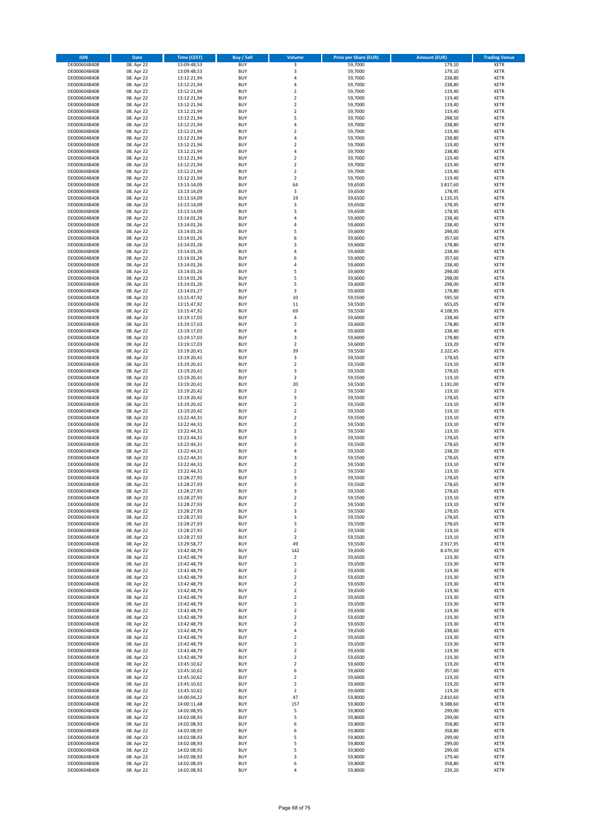| <b>ISIN</b>                  | Date                     | Time (CEST)                | Buy / Sell               | Volume                                    | <b>Price per Share (EUR)</b> | <b>Amount (EUR)</b> | <b>Trading Venue</b> |
|------------------------------|--------------------------|----------------------------|--------------------------|-------------------------------------------|------------------------------|---------------------|----------------------|
| DE0006048408                 | 08. Apr 22               | 13:09:48,53                | <b>BUY</b>               | 3                                         | 59,7000                      | 179,10              | <b>XETR</b>          |
| DE0006048408                 | 08. Apr 22               | 13:09:48,53                | <b>BUY</b>               | 3                                         | 59,7000                      | 179,10              | XETR                 |
| DE0006048408                 | 08. Apr 22               | 13:12:21,94                | <b>BUY</b>               | $\sqrt{4}$                                | 59,7000                      | 238,80              | XETR                 |
| DE0006048408                 | 08. Apr 22               | 13:12:21,94                | <b>BUY</b>               | $\sqrt{4}$                                | 59,7000                      | 238,80              | <b>XETR</b>          |
| DE0006048408                 | 08. Apr 22               | 13:12:21,94                | <b>BUY</b>               | $\boldsymbol{2}$                          | 59,7000                      | 119,40              | <b>XETR</b>          |
| DE0006048408                 | 08. Apr 22               | 13:12:21,94                | <b>BUY</b>               | $\overline{2}$                            | 59,7000                      | 119,40              | <b>XETR</b>          |
| DE0006048408                 | 08. Apr 22               | 13:12:21,94                | <b>BUY</b>               | $\mathbf 2$                               | 59,7000                      | 119,40              | <b>XETR</b>          |
| DE0006048408                 | 08. Apr 22               | 13:12:21,94                | <b>BUY</b>               | $\overline{2}$                            | 59,7000                      | 119,40              | <b>XETR</b>          |
| DE0006048408                 | 08. Apr 22               | 13:12:21,94                | <b>BUY</b>               | 5                                         | 59,7000                      | 298,50              | <b>XETR</b>          |
| DE0006048408                 | 08. Apr 22               | 13:12:21,94                | <b>BUY</b>               | $\sqrt{4}$                                | 59,7000                      | 238,80              | <b>XETR</b>          |
| DE0006048408                 | 08. Apr 22               | 13:12:21,94                | <b>BUY</b>               | $\overline{2}$                            | 59,7000                      | 119,40              | <b>XETR</b>          |
| DE0006048408                 | 08. Apr 22               | 13:12:21,94                | <b>BUY</b>               | $\sqrt{4}$                                | 59,7000                      | 238,80              | <b>XETR</b>          |
| DE0006048408                 | 08. Apr 22               | 13:12:21,94                | <b>BUY</b>               | $\boldsymbol{2}$                          | 59,7000                      | 119,40              | XETR                 |
| DE0006048408                 | 08. Apr 22               | 13:12:21,94                | <b>BUY</b>               | $\sqrt{4}$                                | 59,7000                      | 238,80              | <b>XETR</b>          |
| DE0006048408                 | 08. Apr 22               | 13:12:21,94                | <b>BUY</b>               | $\boldsymbol{2}$                          | 59,7000                      | 119,40              | <b>XETR</b>          |
| DE0006048408                 | 08. Apr 22               | 13:12:21,94                | <b>BUY</b>               | $\boldsymbol{2}$                          | 59,7000                      | 119,40              | <b>XETR</b>          |
| DE0006048408                 | 08. Apr 22               | 13:12:21,94                | <b>BUY</b>               | $\overline{2}$                            | 59,7000                      | 119,40              | <b>XETR</b>          |
| DE0006048408                 | 08. Apr 22               | 13:12:21,94                | <b>BUY</b>               | $\boldsymbol{2}$                          | 59,7000                      | 119,40              | <b>XETR</b>          |
| DE0006048408                 | 08. Apr 22               | 13:13:14,09                | <b>BUY</b>               | 64                                        | 59,6500                      | 3.817,60            | <b>XETR</b>          |
| DE0006048408                 | 08. Apr 22               | 13:13:14,09                | <b>BUY</b>               | 3                                         | 59,6500                      | 178,95              | <b>XETR</b>          |
| DE0006048408                 | 08. Apr 22               | 13:13:14,09                | <b>BUY</b>               | 19                                        | 59,6500                      | 1.133,35            | <b>XETR</b>          |
| DE0006048408                 | 08. Apr 22               | 13:13:14,09                | <b>BUY</b>               | 3                                         | 59,6500                      | 178,95              | <b>XETR</b>          |
| DE0006048408                 | 08. Apr 22               | 13:13:14,09                | <b>BUY</b>               | 3                                         | 59,6500                      | 178,95              | <b>XETR</b>          |
| DE0006048408                 | 08. Apr 22               | 13:14:01,26                | <b>BUY</b>               | 4                                         | 59,6000                      | 238,40              | <b>XETR</b>          |
| DE0006048408                 | 08. Apr 22               | 13:14:01,26                | <b>BUY</b>               | $\overline{4}$                            | 59,6000                      | 238,40              | <b>XETR</b>          |
| DE0006048408                 | 08. Apr 22               | 13:14:01,26                | <b>BUY</b>               | 5                                         | 59,6000                      | 298,00              | <b>XETR</b>          |
| DE0006048408                 | 08. Apr 22               | 13:14:01,26                | <b>BUY</b>               | 6                                         | 59,6000                      | 357,60              | <b>XETR</b>          |
| DE0006048408                 | 08. Apr 22               | 13:14:01,26                | <b>BUY</b>               | 3                                         | 59,6000                      | 178,80              | <b>XETR</b>          |
| DE0006048408                 | 08. Apr 22               | 13:14:01,26                | <b>BUY</b>               | $\sqrt{4}$                                | 59,6000                      | 238,40              | <b>XETR</b>          |
| DE0006048408                 | 08. Apr 22               | 13:14:01,26                | <b>BUY</b>               | 6                                         | 59,6000                      | 357,60              | XETR                 |
| DE0006048408                 | 08. Apr 22               | 13:14:01,26                | <b>BUY</b>               | 4                                         | 59,6000                      | 238,40              | <b>XETR</b>          |
| DE0006048408                 | 08. Apr 22               | 13:14:01,26                | <b>BUY</b>               | 5                                         | 59,6000                      | 298,00              | <b>XETR</b>          |
| DE0006048408                 | 08. Apr 22               | 13:14:01,26                | <b>BUY</b>               | 5                                         | 59,6000                      | 298,00              | <b>XETR</b>          |
| DE0006048408                 | 08. Apr 22               | 13:14:01,26                | <b>BUY</b>               | 5                                         | 59,6000                      | 298,00              | XETR                 |
| DE0006048408                 | 08. Apr 22               | 13:14:01,27                | <b>BUY</b>               | 3                                         | 59,6000                      | 178,80              | <b>XETR</b>          |
| DE0006048408                 | 08. Apr 22               | 13:15:47,92                | <b>BUY</b>               | 10                                        | 59,5500                      | 595,50              | XETR                 |
| DE0006048408                 | 08. Apr 22               | 13:15:47,92                | <b>BUY</b>               | 11                                        | 59,5500                      | 655,05              | <b>XETR</b>          |
| DE0006048408                 | 08. Apr 22               | 13:15:47,92                | <b>BUY</b>               | 69                                        | 59,5500                      | 4.108,95            | <b>XETR</b>          |
| DE0006048408                 | 08. Apr 22               | 13:19:17,03                | <b>BUY</b>               | $\sqrt{4}$                                | 59,6000                      | 238,40              | <b>XETR</b>          |
| DE0006048408                 | 08. Apr 22               | 13:19:17,03                | <b>BUY</b>               | $\overline{\mathbf{3}}$                   | 59,6000                      | 178,80              | <b>XETR</b>          |
| DE0006048408                 | 08. Apr 22               | 13:19:17,03                | <b>BUY</b>               | $\overline{4}$                            | 59,6000                      | 238,40              | <b>XETR</b>          |
| DE0006048408                 | 08. Apr 22               | 13:19:17,03                | <b>BUY</b>               | 3                                         | 59,6000                      | 178,80              | <b>XETR</b>          |
| DE0006048408                 | 08. Apr 22               | 13:19:17,03                | <b>BUY</b>               | $\overline{2}$                            | 59,6000                      | 119,20              | <b>XETR</b>          |
| DE0006048408                 | 08. Apr 22               | 13:19:20,41                | <b>BUY</b>               | 39                                        | 59,5500                      | 2.322,45            | <b>XETR</b>          |
| DE0006048408                 | 08. Apr 22               | 13:19:20,41                | <b>BUY</b>               | 3                                         | 59,5500                      | 178,65              | <b>XETR</b>          |
| DE0006048408                 | 08. Apr 22               | 13:19:20,41                | <b>BUY</b>               | $\boldsymbol{2}$                          | 59,5500                      | 119,10              | <b>XETR</b>          |
| DE0006048408                 | 08. Apr 22               | 13:19:20,41                | <b>BUY</b>               | 3                                         | 59,5500                      | 178,65              | <b>XETR</b>          |
| DE0006048408                 | 08. Apr 22               | 13:19:20,41                | <b>BUY</b>               | $\boldsymbol{2}$                          | 59,5500                      | 119,10              | <b>XETR</b>          |
| DE0006048408                 | 08. Apr 22               | 13:19:20,41                | <b>BUY</b>               | 20                                        | 59,5500                      | 1.191,00            | <b>XETR</b>          |
| DE0006048408                 | 08. Apr 22               | 13:19:20,42                | <b>BUY</b>               | $\boldsymbol{2}$                          | 59,5500                      | 119,10              | <b>XETR</b>          |
| DE0006048408                 | 08. Apr 22               | 13:19:20,42                | <b>BUY</b>               | 3                                         | 59,5500                      | 178,65              | <b>XETR</b>          |
| DE0006048408                 | 08. Apr 22               | 13:19:20,42                | <b>BUY</b>               | $\overline{2}$                            | 59,5500                      | 119,10              | <b>XETR</b>          |
| DE0006048408                 | 08. Apr 22               | 13:19:20,42                | <b>BUY</b>               | $\mathbf 2$                               | 59,5500                      | 119,10              | <b>XETR</b>          |
| DE0006048408                 | 08. Apr 22               | 13:22:44,31                | <b>BUY</b>               | $\boldsymbol{2}$                          | 59,5500                      | 119,10              | <b>XETR</b>          |
| DE0006048408                 | 08. Apr 22               | 13:22:44,31                | <b>BUY</b>               | $\mathbf 2$                               | 59,5500                      | 119,10              | <b>XETR</b>          |
| DE0006048408                 | 08. Apr 22               | 13:22:44,31                | <b>BUY</b>               | $\overline{2}$                            | 59,5500                      | 119,10              | <b>XETR</b>          |
| DE0006048408                 | 08. Apr 22               | 13:22:44,31                | <b>BUY</b>               | 3                                         | 59,5500                      | 178,65              | <b>XETR</b>          |
| DE0006048408                 | 08. Apr 22               | 13:22:44,31                | <b>BUY</b>               | 3                                         | 59,5500                      | 178,65              | <b>XETR</b>          |
| DE0006048408                 | 08. Apr 22               | 13:22:44,31                | <b>BUY</b>               | 4                                         | 59,5500                      | 238,20              | XETR                 |
| DE0006048408                 | 08. Apr 22               | 13:22:44,31                | <b>BUY</b>               | 3                                         | 59,5500                      | 178,65              | <b>XETR</b>          |
| DE0006048408                 | 08. Apr 22               | 13:22:44,31                | <b>BUY</b>               | $\overline{2}$                            | 59,5500                      | 119,10              | XETR                 |
| DE0006048408                 | 08. Apr 22               | 13:22:44,31                | <b>BUY</b>               | $\overline{2}$                            | 59,5500                      | 119,10              | <b>XETR</b>          |
| DE0006048408                 | 08. Apr 22               | 13:28:27,93                | <b>BUY</b>               | 3                                         | 59,5500                      | 178,65              | <b>XETR</b>          |
| DE0006048408                 | 08. Apr 22               | 13:28:27,93                | <b>BUY</b>               | 3                                         | 59,5500                      | 178,65              | <b>XETR</b>          |
| DE0006048408                 | 08. Apr 22               | 13:28:27,93                | <b>BUY</b>               | 3                                         | 59,5500                      | 178,65              | <b>XETR</b>          |
| DE0006048408                 | 08. Apr 22               | 13:28:27,93                | <b>BUY</b>               | $\overline{\mathbf{2}}$                   | 59,5500                      | 119,10              | <b>XETR</b>          |
| DE0006048408                 | 08. Apr 22               | 13:28:27,93                | <b>BUY</b>               | $\overline{\mathbf{2}}$                   | 59,5500                      | 119,10              | <b>XETR</b>          |
| DE0006048408                 | 08. Apr 22               | 13:28:27,93                | <b>BUY</b>               | 3                                         | 59,5500                      | 178,65              | XETR                 |
| DE0006048408                 | 08. Apr 22               | 13:28:27,93                | <b>BUY</b>               | 3                                         | 59,5500                      | 178,65              | <b>XETR</b>          |
| DE0006048408                 | 08. Apr 22               | 13:28:27,93                | <b>BUY</b>               | 3                                         | 59,5500                      | 178,65              | <b>XETR</b>          |
| DE0006048408                 | 08. Apr 22               | 13:28:27,93                | <b>BUY</b>               | $\mathbf 2$                               | 59,5500                      | 119,10              | <b>XETR</b>          |
| DE0006048408                 | 08. Apr 22               | 13:28:27,93                | <b>BUY</b>               | $\boldsymbol{2}$                          | 59,5500                      | 119,10              | <b>XETR</b>          |
| DE0006048408                 | 08. Apr 22               | 13:29:58,77                | <b>BUY</b>               | 49                                        | 59,5500                      | 2.917,95            | <b>XETR</b>          |
| DE0006048408                 | 08. Apr 22               | 13:42:48,79                | <b>BUY</b>               | 142                                       | 59,6500                      | 8.470,30            | <b>XETR</b>          |
| DE0006048408                 | 08. Apr 22               | 13:42:48,79                | <b>BUY</b>               | $\boldsymbol{2}$                          | 59,6500                      | 119,30              | <b>XETR</b>          |
| DE0006048408                 | 08. Apr 22               | 13:42:48,79                | <b>BUY</b>               | $\boldsymbol{2}$                          | 59,6500                      | 119,30              | <b>XETR</b>          |
| DE0006048408                 | 08. Apr 22               | 13:42:48,79                | <b>BUY</b>               | $\boldsymbol{2}$                          | 59,6500                      | 119,30              | <b>XETR</b>          |
| DE0006048408                 | 08. Apr 22               | 13:42:48,79                | <b>BUY</b>               | $\mathbf 2$                               | 59,6500                      | 119,30              | <b>XETR</b>          |
| DE0006048408                 | 08. Apr 22               | 13:42:48,79                | <b>BUY</b>               | $\mathbf 2$                               | 59,6500                      | 119,30              | <b>XETR</b>          |
| DE0006048408                 | 08. Apr 22               | 13:42:48,79                | <b>BUY</b>               | $\boldsymbol{2}$                          | 59,6500                      | 119,30              | <b>XETR</b>          |
| DE0006048408                 | 08. Apr 22               | 13:42:48,79                | <b>BUY</b>               | $\boldsymbol{2}$                          | 59,6500                      | 119,30              | <b>XETR</b>          |
| DE0006048408                 | 08. Apr 22               | 13:42:48,79                | <b>BUY</b>               | $\overline{\mathbf{2}}$                   | 59,6500                      | 119,30              | <b>XETR</b>          |
| DE0006048408                 | 08. Apr 22               | 13:42:48,79                | <b>BUY</b>               | $\overline{\mathbf{2}}$                   | 59,6500                      | 119,30              | <b>XETR</b>          |
| DE0006048408                 | 08. Apr 22               | 13:42:48,79                | <b>BUY</b>               | $\overline{\mathbf{2}}$                   | 59,6500                      | 119,30              | <b>XETR</b>          |
| DE0006048408                 | 08. Apr 22               | 13:42:48,79                | <b>BUY</b>               | $\overline{2}$                            | 59,6500                      | 119,30              | <b>XETR</b>          |
| DE0006048408                 | 08. Apr 22               | 13:42:48,79                | <b>BUY</b>               | 4                                         | 59,6500                      | 238,60              | <b>XETR</b>          |
| DE0006048408                 | 08. Apr 22               | 13:42:48,79                | <b>BUY</b>               | $\mathbf 2$                               | 59,6500                      | 119,30              | <b>XETR</b>          |
| DE0006048408                 | 08. Apr 22               | 13:42:48,79                | <b>BUY</b>               | $\overline{\mathbf{2}}$                   | 59,6500                      | 119,30              | XETR                 |
| DE0006048408                 | 08. Apr 22               | 13:42:48,79                | <b>BUY</b>               | $\overline{2}$                            | 59,6500                      | 119,30              | <b>XETR</b>          |
| DE0006048408                 | 08. Apr 22               | 13:42:48,79                | <b>BUY</b><br><b>BUY</b> | $\boldsymbol{2}$<br>$\overline{2}$        | 59,6500                      | 119,30              | XETR                 |
| DE0006048408                 | 08. Apr 22               | 13:45:10,62                |                          |                                           | 59,6000                      | 119,20              | <b>XETR</b>          |
| DE0006048408                 | 08. Apr 22               | 13:45:10,62                | <b>BUY</b><br><b>BUY</b> | 6                                         | 59,6000                      | 357,60              | XETR<br><b>XETR</b>  |
| DE0006048408                 | 08. Apr 22               | 13:45:10,62                |                          | $\overline{2}$                            | 59,6000                      | 119,20              |                      |
| DE0006048408                 | 08. Apr 22               | 13:45:10,62                | <b>BUY</b><br><b>BUY</b> | $\overline{\mathbf{2}}$<br>$\overline{2}$ | 59,6000                      | 119,20              | XETR<br><b>XETR</b>  |
| DE0006048408<br>DE0006048408 | 08. Apr 22<br>08. Apr 22 | 13:45:10,62<br>14:00:04,22 | <b>BUY</b>               | 47                                        | 59,6000<br>59,8000           | 119,20<br>2.810,60  | XETR                 |
| DE0006048408                 | 08. Apr 22               | 14:00:11,48                | <b>BUY</b>               | 157                                       | 59,8000                      | 9.388,60            | <b>XETR</b>          |
| DE0006048408                 | 08. Apr 22               | 14:02:08,93                | <b>BUY</b>               | 5                                         | 59,8000                      | 299,00              | XETR                 |
| DE0006048408                 | 08. Apr 22               | 14:02:08,93                | <b>BUY</b>               | 5                                         | 59,8000                      | 299,00              | <b>XETR</b>          |
| DE0006048408                 | 08. Apr 22               | 14:02:08,93                | <b>BUY</b>               | 6                                         | 59,8000                      | 358,80              | <b>XETR</b>          |
| DE0006048408                 | 08. Apr 22               | 14:02:08,93                | <b>BUY</b>               | 6                                         | 59,8000                      | 358,80              | <b>XETR</b>          |
| DE0006048408                 | 08. Apr 22               | 14:02:08,93                | <b>BUY</b>               | 5                                         | 59,8000                      | 299,00              | XETR                 |
| DE0006048408                 | 08. Apr 22               | 14:02:08,93                | <b>BUY</b>               | 5                                         | 59,8000                      | 299,00              | <b>XETR</b>          |
| DE0006048408                 | 08. Apr 22               | 14:02:08,93                | <b>BUY</b>               | 5                                         | 59,8000                      | 299,00              | XETR                 |
| DE0006048408                 | 08. Apr 22               | 14:02:08,93                | <b>BUY</b>               | 3                                         | 59,8000                      | 179,40              | <b>XETR</b>          |
| DE0006048408                 | 08. Apr 22               | 14:02:08,93                | <b>BUY</b>               | 6                                         | 59,8000                      | 358,80              | XETR                 |
| DE0006048408                 | 08. Apr 22               | 14:02:08,93                | <b>BUY</b>               | 4                                         | 59,8000                      | 239,20              | <b>XETR</b>          |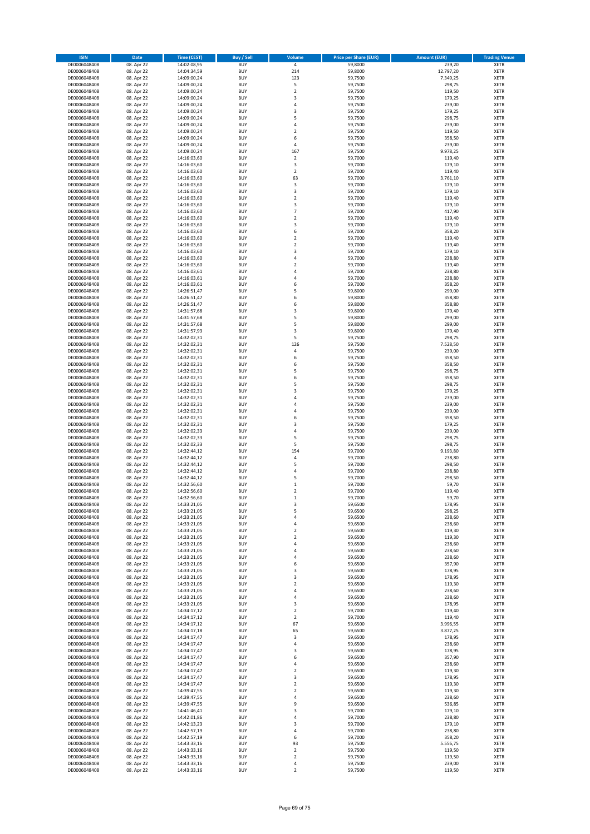| <b>ISIN</b>                  | Date                     | Time (CEST)                | Buy / Sell               | Volume                  | <b>Price per Share (EUR)</b> | <b>Amount (EUR)</b> | <b>Trading Venue</b>       |
|------------------------------|--------------------------|----------------------------|--------------------------|-------------------------|------------------------------|---------------------|----------------------------|
| DE0006048408                 | 08. Apr 22               | 14:02:08,95                | <b>BUY</b>               | $\sqrt{4}$              | 59,8000                      | 239,20              | <b>XETR</b>                |
| DE0006048408                 | 08. Apr 22               | 14:04:34,59                | <b>BUY</b>               | 214                     | 59,8000                      | 12.797,20           | XETR                       |
| DE0006048408                 | 08. Apr 22               | 14:09:00,24                | <b>BUY</b>               | 123                     | 59,7500                      | 7.349,25            | XETR                       |
| DE0006048408                 | 08. Apr 22               | 14:09:00,24                | <b>BUY</b>               | 5                       | 59,7500                      | 298,75              | <b>XETR</b>                |
| DE0006048408                 | 08. Apr 22               | 14:09:00,24                | <b>BUY</b>               | $\mathbf 2$             | 59,7500                      | 119,50              | <b>XETR</b>                |
| DE0006048408                 | 08. Apr 22               | 14:09:00,24                | <b>BUY</b>               | 3                       | 59,7500                      | 179,25              | <b>XETR</b>                |
| DE0006048408<br>DE0006048408 | 08. Apr 22               | 14:09:00,24                | <b>BUY</b><br><b>BUY</b> | $\sqrt{4}$<br>3         | 59,7500                      | 239,00              | <b>XETR</b><br><b>XETR</b> |
| DE0006048408                 | 08. Apr 22<br>08. Apr 22 | 14:09:00,24<br>14:09:00,24 | <b>BUY</b>               | 5                       | 59,7500<br>59,7500           | 179,25<br>298,75    | <b>XETR</b>                |
| DE0006048408                 | 08. Apr 22               | 14:09:00,24                | <b>BUY</b>               | $\sqrt{4}$              | 59,7500                      | 239,00              | <b>XETR</b>                |
| DE0006048408                 | 08. Apr 22               | 14:09:00,24                | <b>BUY</b>               | $\overline{2}$          | 59,7500                      | 119,50              | <b>XETR</b>                |
| DE0006048408                 | 08. Apr 22               | 14:09:00,24                | <b>BUY</b>               | 6                       | 59,7500                      | 358,50              | <b>XETR</b>                |
| DE0006048408                 | 08. Apr 22               | 14:09:00,24                | <b>BUY</b>               | 4                       | 59,7500                      | 239,00              | XETR                       |
| DE0006048408                 | 08. Apr 22               | 14:09:00,24                | <b>BUY</b>               | 167                     | 59,7500                      | 9.978,25            | <b>XETR</b>                |
| DE0006048408                 | 08. Apr 22               | 14:16:03,60                | <b>BUY</b>               | $\boldsymbol{2}$        | 59,7000                      | 119,40              | XETR                       |
| DE0006048408                 | 08. Apr 22               | 14:16:03,60                | <b>BUY</b>               | 3                       | 59,7000                      | 179,10              | <b>XETR</b>                |
| DE0006048408                 | 08. Apr 22               | 14:16:03,60                | <b>BUY</b>               | $\boldsymbol{2}$        | 59,7000                      | 119,40              | <b>XETR</b>                |
| DE0006048408<br>DE0006048408 | 08. Apr 22               | 14:16:03,60<br>14:16:03,60 | <b>BUY</b><br><b>BUY</b> | 63<br>3                 | 59,7000<br>59,7000           | 3.761,10<br>179,10  | <b>XETR</b><br><b>XETR</b> |
| DE0006048408                 | 08. Apr 22<br>08. Apr 22 | 14:16:03,60                | <b>BUY</b>               | 3                       | 59,7000                      | 179,10              | <b>XETR</b>                |
| DE0006048408                 | 08. Apr 22               | 14:16:03,60                | <b>BUY</b>               | $\overline{2}$          | 59,7000                      | 119,40              | <b>XETR</b>                |
| DE0006048408                 | 08. Apr 22               | 14:16:03,60                | <b>BUY</b>               | 3                       | 59,7000                      | 179,10              | <b>XETR</b>                |
| DE0006048408                 | 08. Apr 22               | 14:16:03,60                | <b>BUY</b>               | $\overline{7}$          | 59,7000                      | 417,90              | <b>XETR</b>                |
| DE0006048408                 | 08. Apr 22               | 14:16:03,60                | <b>BUY</b>               | $\mathbf 2$             | 59,7000                      | 119,40              | <b>XETR</b>                |
| DE0006048408                 | 08. Apr 22               | 14:16:03,60                | <b>BUY</b>               | 3                       | 59,7000                      | 179,10              | <b>XETR</b>                |
| DE0006048408                 | 08. Apr 22               | 14:16:03,60                | <b>BUY</b>               | 6                       | 59,7000                      | 358,20              | <b>XETR</b>                |
| DE0006048408                 | 08. Apr 22               | 14:16:03,60                | <b>BUY</b>               | $\overline{2}$          | 59,7000                      | 119,40              | <b>XETR</b>                |
| DE0006048408<br>DE0006048408 | 08. Apr 22<br>08. Apr 22 | 14:16:03,60<br>14:16:03,60 | <b>BUY</b><br><b>BUY</b> | $\mathbf 2$<br>3        | 59,7000<br>59,7000           | 119,40<br>179,10    | <b>XETR</b><br><b>XETR</b> |
| DE0006048408                 | 08. Apr 22               | 14:16:03,60                | <b>BUY</b>               | 4                       | 59,7000                      | 238,80              | XETR                       |
| DE0006048408                 | 08. Apr 22               | 14:16:03,60                | <b>BUY</b>               | $\overline{2}$          | 59,7000                      | 119,40              | <b>XETR</b>                |
| DE0006048408                 | 08. Apr 22               | 14:16:03,61                | <b>BUY</b>               | 4                       | 59,7000                      | 238,80              | XETR                       |
| DE0006048408                 | 08. Apr 22               | 14:16:03,61                | <b>BUY</b>               | $\sqrt{4}$              | 59,7000                      | 238,80              | <b>XETR</b>                |
| DE0006048408                 | 08. Apr 22               | 14:16:03,61                | <b>BUY</b>               | 6                       | 59,7000                      | 358,20              | XETR                       |
| DE0006048408                 | 08. Apr 22               | 14:26:51,47                | <b>BUY</b>               | 5                       | 59,8000                      | 299,00              | <b>XETR</b>                |
| DE0006048408                 | 08. Apr 22               | 14:26:51,47                | <b>BUY</b>               | 6                       | 59,8000                      | 358,80              | XETR                       |
| DE0006048408                 | 08. Apr 22               | 14:26:51,47                | <b>BUY</b>               | 6                       | 59,8000                      | 358,80              | <b>XETR</b>                |
| DE0006048408                 | 08. Apr 22               | 14:31:57,68                | <b>BUY</b>               | 3                       | 59,8000                      | 179,40              | XETR                       |
| DE0006048408<br>DE0006048408 | 08. Apr 22<br>08. Apr 22 | 14:31:57,68<br>14:31:57,68 | <b>BUY</b><br><b>BUY</b> | 5<br>5                  | 59,8000<br>59,8000           | 299,00<br>299,00    | <b>XETR</b><br><b>XETR</b> |
| DE0006048408                 | 08. Apr 22               | 14:31:57,93                | <b>BUY</b>               | 3                       | 59,8000                      | 179,40              | <b>XETR</b>                |
| DE0006048408                 | 08. Apr 22               | 14:32:02,31                | <b>BUY</b>               | 5                       | 59,7500                      | 298,75              | <b>XETR</b>                |
| DE0006048408                 | 08. Apr 22               | 14:32:02,31                | <b>BUY</b>               | 126                     | 59,7500                      | 7.528,50            | <b>XETR</b>                |
| DE0006048408                 | 08. Apr 22               | 14:32:02,31                | <b>BUY</b>               | $\sqrt{4}$              | 59,7500                      | 239,00              | <b>XETR</b>                |
| DE0006048408                 | 08. Apr 22               | 14:32:02,31                | <b>BUY</b>               | 6                       | 59,7500                      | 358,50              | <b>XETR</b>                |
| DE0006048408                 | 08. Apr 22               | 14:32:02,31                | <b>BUY</b>               | 6                       | 59,7500                      | 358,50              | <b>XETR</b>                |
| DE0006048408                 | 08. Apr 22               | 14:32:02,31                | <b>BUY</b>               | 5                       | 59,7500                      | 298,75              | <b>XETR</b>                |
| DE0006048408                 | 08. Apr 22               | 14:32:02,31                | <b>BUY</b>               | 6                       | 59,7500                      | 358,50              | <b>XETR</b>                |
| DE0006048408<br>DE0006048408 | 08. Apr 22               | 14:32:02,31                | <b>BUY</b><br><b>BUY</b> | 5<br>3                  | 59,7500                      | 298,75              | <b>XETR</b><br><b>XETR</b> |
| DE0006048408                 | 08. Apr 22<br>08. Apr 22 | 14:32:02,31<br>14:32:02,31 | <b>BUY</b>               | 4                       | 59,7500<br>59,7500           | 179,25<br>239,00    | <b>XETR</b>                |
| DE0006048408                 | 08. Apr 22               | 14:32:02,31                | <b>BUY</b>               | $\overline{4}$          | 59,7500                      | 239,00              | <b>XETR</b>                |
| DE0006048408                 | 08. Apr 22               | 14:32:02,31                | <b>BUY</b>               | 4                       | 59,7500                      | 239,00              | <b>XETR</b>                |
| DE0006048408                 | 08. Apr 22               | 14:32:02,31                | <b>BUY</b>               | 6                       | 59,7500                      | 358,50              | <b>XETR</b>                |
| DE0006048408                 | 08. Apr 22               | 14:32:02,31                | <b>BUY</b>               | 3                       | 59,7500                      | 179,25              | <b>XETR</b>                |
| DE0006048408                 | 08. Apr 22               | 14:32:02,33                | <b>BUY</b>               | $\sqrt{4}$              | 59,7500                      | 239,00              | <b>XETR</b>                |
| DE0006048408                 | 08. Apr 22               | 14:32:02,33                | <b>BUY</b>               | 5                       | 59,7500                      | 298,75              | <b>XETR</b>                |
| DE0006048408                 | 08. Apr 22               | 14:32:02,33                | <b>BUY</b>               | 5                       | 59,7500                      | 298,75              | <b>XETR</b>                |
| DE0006048408<br>DE0006048408 | 08. Apr 22<br>08. Apr 22 | 14:32:44,12<br>14:32:44,12 | <b>BUY</b><br><b>BUY</b> | 154<br>$\sqrt{4}$       | 59,7000<br>59,7000           | 9.193,80<br>238,80  | XETR<br><b>XETR</b>        |
| DE0006048408                 | 08. Apr 22               | 14:32:44,12                | <b>BUY</b>               | 5                       | 59,7000                      | 298,50              | XETR                       |
| DE0006048408                 | 08. Apr 22               | 14:32:44,12                | <b>BUY</b>               | $\sqrt{4}$              | 59,7000                      | 238,80              | <b>XETR</b>                |
| DE0006048408                 | 08. Apr 22               | 14:32:44,12                | <b>BUY</b>               | 5                       | 59,7000                      | 298,50              | <b>XETR</b>                |
| DE0006048408                 | 08. Apr 22               | 14:32:56,60                | <b>BUY</b>               | $\mathbf 1$             | 59,7000                      | 59,70               | <b>XETR</b>                |
| DE0006048408                 | 08. Apr 22               | 14:32:56,60                | <b>BUY</b>               | $\overline{2}$          | 59,7000                      | 119,40              | <b>XETR</b>                |
| DE0006048408                 | 08. Apr 22               | 14:32:56,60                | <b>BUY</b>               | 1                       | 59,7000                      | 59,70               | <b>XETR</b>                |
| DE0006048408                 | 08. Apr 22               | 14:33:21,05                | <b>BUY</b>               | 3                       | 59,6500                      | 178,95              | <b>XETR</b>                |
| DE0006048408<br>DE0006048408 | 08. Apr 22<br>08. Apr 22 | 14:33:21,05<br>14:33:21,05 | <b>BUY</b><br><b>BUY</b> | 5<br>4                  | 59,6500<br>59,6500           | 298,25<br>238,60    | XETR<br>XETR               |
| DE0006048408                 | 08. Apr 22               | 14:33:21,05                | <b>BUY</b>               | 4                       | 59,6500                      | 238,60              | <b>XETR</b>                |
| DE0006048408                 | 08. Apr 22               | 14:33:21,05                | <b>BUY</b>               | $\boldsymbol{2}$        | 59,6500                      | 119,30              | <b>XETR</b>                |
| DE0006048408                 | 08. Apr 22               | 14:33:21,05                | <b>BUY</b>               | $\boldsymbol{2}$        | 59,6500                      | 119,30              | <b>XETR</b>                |
| DE0006048408                 | 08. Apr 22               | 14:33:21,05                | <b>BUY</b>               | $\sqrt{4}$              | 59,6500                      | 238,60              | <b>XETR</b>                |
| DE0006048408                 | 08. Apr 22               | 14:33:21,05                | <b>BUY</b>               | 4                       | 59,6500                      | 238,60              | <b>XETR</b>                |
| DE0006048408                 | 08. Apr 22               | 14:33:21,05                | <b>BUY</b>               | $\sqrt{4}$              | 59,6500                      | 238,60              | <b>XETR</b>                |
| DE0006048408<br>DE0006048408 | 08. Apr 22               | 14:33:21,05                | <b>BUY</b>               | 6                       | 59,6500                      | 357,90              | <b>XETR</b>                |
| DE0006048408                 | 08. Apr 22<br>08. Apr 22 | 14:33:21,05<br>14:33:21,05 | <b>BUY</b><br><b>BUY</b> | 3<br>3                  | 59,6500<br>59,6500           | 178,95<br>178,95    | <b>XETR</b><br><b>XETR</b> |
| DE0006048408                 | 08. Apr 22               | 14:33:21,05                | <b>BUY</b>               | $\boldsymbol{2}$        | 59,6500                      | 119,30              | <b>XETR</b>                |
| DE0006048408                 | 08. Apr 22               | 14:33:21,05                | <b>BUY</b>               | 4                       | 59,6500                      | 238,60              | <b>XETR</b>                |
| DE0006048408                 | 08. Apr 22               | 14:33:21,05                | <b>BUY</b>               | 4                       | 59,6500                      | 238,60              | <b>XETR</b>                |
| DE0006048408                 | 08. Apr 22               | 14:33:21,05                | <b>BUY</b>               | 3                       | 59,6500                      | 178,95              | <b>XETR</b>                |
| DE0006048408                 | 08. Apr 22               | 14:34:17,12                | <b>BUY</b>               | $\overline{2}$          | 59,7000                      | 119,40              | <b>XETR</b>                |
| DE0006048408                 | 08. Apr 22               | 14:34:17,12                | <b>BUY</b>               | $\overline{\mathbf{2}}$ | 59,7000                      | 119,40              | <b>XETR</b>                |
| DE0006048408                 | 08. Apr 22               | 14:34:17,12                | <b>BUY</b><br><b>BUY</b> | 67<br>65                | 59,6500<br>59,6500           | 3.996,55            | <b>XETR</b>                |
| DE0006048408<br>DE0006048408 | 08. Apr 22<br>08. Apr 22 | 14:34:17,18<br>14:34:17,47 | <b>BUY</b>               | 3                       | 59,6500                      | 3.877,25<br>178,95  | <b>XETR</b><br><b>XETR</b> |
| DE0006048408                 | 08. Apr 22               | 14:34:17,47                | <b>BUY</b>               | 4                       | 59,6500                      | 238,60              | XETR                       |
| DE0006048408                 | 08. Apr 22               | 14:34:17,47                | <b>BUY</b>               | 3                       | 59,6500                      | 178,95              | <b>XETR</b>                |
| DE0006048408                 | 08. Apr 22               | 14:34:17,47                | <b>BUY</b>               | 6                       | 59,6500                      | 357,90              | XETR                       |
| DE0006048408                 | 08. Apr 22               | 14:34:17,47                | <b>BUY</b>               | 4                       | 59,6500                      | 238,60              | <b>XETR</b>                |
| DE0006048408                 | 08. Apr 22               | 14:34:17,47                | <b>BUY</b>               | $\overline{\mathbf{2}}$ | 59,6500                      | 119,30              | XETR                       |
| DE0006048408                 | 08. Apr 22               | 14:34:17,47                | <b>BUY</b>               | 3                       | 59,6500                      | 178,95              | <b>XETR</b>                |
| DE0006048408                 | 08. Apr 22               | 14:34:17,47                | <b>BUY</b>               | $\boldsymbol{2}$        | 59,6500                      | 119,30              | XETR                       |
| DE0006048408<br>DE0006048408 | 08. Apr 22<br>08. Apr 22 | 14:39:47,55<br>14:39:47,55 | <b>BUY</b><br><b>BUY</b> | $\overline{2}$<br>4     | 59,6500<br>59,6500           | 119,30<br>238,60    | <b>XETR</b><br>XETR        |
| DE0006048408                 | 08. Apr 22               | 14:39:47,55                | <b>BUY</b>               | 9                       | 59,6500                      | 536,85              | <b>XETR</b>                |
| DE0006048408                 | 08. Apr 22               | 14:41:46,41                | <b>BUY</b>               | 3                       | 59,7000                      | 179,10              | XETR                       |
| DE0006048408                 | 08. Apr 22               | 14:42:01,86                | <b>BUY</b>               | 4                       | 59,7000                      | 238,80              | <b>XETR</b>                |
| DE0006048408                 | 08. Apr 22               | 14:42:13,23                | <b>BUY</b>               | 3                       | 59,7000                      | 179,10              | <b>XETR</b>                |
| DE0006048408                 | 08. Apr 22               | 14:42:57,19                | <b>BUY</b>               | 4                       | 59,7000                      | 238,80              | <b>XETR</b>                |
| DE0006048408                 | 08. Apr 22               | 14:42:57,19                | <b>BUY</b>               | 6                       | 59,7000                      | 358,20              | XETR                       |
| DE0006048408                 | 08. Apr 22               | 14:43:33,16                | <b>BUY</b>               | 93                      | 59,7500                      | 5.556,75            | <b>XETR</b>                |
| DE0006048408                 | 08. Apr 22               | 14:43:33,16                | <b>BUY</b>               | $\mathbf 2$             | 59,7500                      | 119,50              | XETR                       |
| DE0006048408<br>DE0006048408 | 08. Apr 22<br>08. Apr 22 | 14:43:33,16<br>14:43:33,16 | <b>BUY</b><br><b>BUY</b> | $\boldsymbol{2}$<br>4   | 59,7500<br>59,7500           | 119,50<br>239,00    | <b>XETR</b><br>XETR        |
| DE0006048408                 | 08. Apr 22               | 14:43:33,16                | <b>BUY</b>               | $\overline{2}$          | 59,7500                      | 119,50              | <b>XETR</b>                |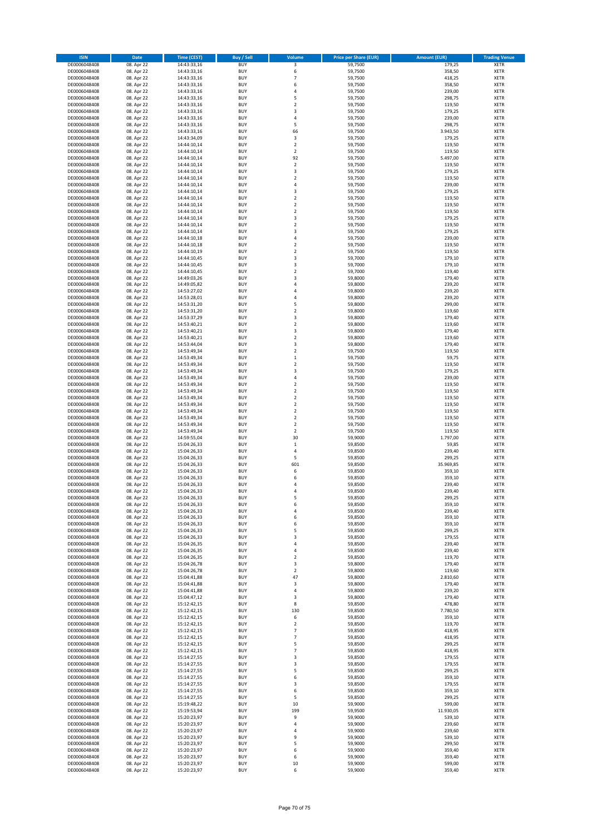| <b>ISIN</b>                  | Date                     | <b>Time (CEST)</b>         | Buy / Sell               | Volume                             | <b>Price per Share (EUR)</b> | <b>Amount (EUR)</b> | <b>Trading Venue</b>       |
|------------------------------|--------------------------|----------------------------|--------------------------|------------------------------------|------------------------------|---------------------|----------------------------|
| DE0006048408                 | 08. Apr 22               | 14:43:33,16                | <b>BUY</b>               | 3                                  | 59,7500                      | 179,25              | <b>XETR</b>                |
| DE0006048408                 | 08. Apr 22               | 14:43:33,16                | <b>BUY</b>               | 6                                  | 59,7500                      | 358,50              | XETR                       |
| DE0006048408                 | 08. Apr 22               | 14:43:33,16                | <b>BUY</b>               | $\overline{7}$                     | 59,7500                      | 418,25              | XETR                       |
| DE0006048408                 | 08. Apr 22               | 14:43:33,16                | <b>BUY</b>               | 6                                  | 59,7500                      | 358,50              | <b>XETR</b>                |
| DE0006048408                 | 08. Apr 22               | 14:43:33,16                | <b>BUY</b>               | 4                                  | 59,7500                      | 239,00              | <b>XETR</b>                |
| DE0006048408                 | 08. Apr 22               | 14:43:33,16                | <b>BUY</b>               | 5                                  | 59,7500                      | 298,75              | <b>XETR</b>                |
| DE0006048408                 | 08. Apr 22               | 14:43:33,16                | <b>BUY</b>               | $\overline{2}$                     | 59,7500                      | 119,50              | <b>XETR</b>                |
| DE0006048408                 | 08. Apr 22<br>08. Apr 22 | 14:43:33,16                | <b>BUY</b>               | 3                                  | 59,7500                      | 179,25              | <b>XETR</b>                |
| DE0006048408<br>DE0006048408 | 08. Apr 22               | 14:43:33,16<br>14:43:33,16 | <b>BUY</b><br><b>BUY</b> | 4<br>5                             | 59,7500<br>59,7500           | 239,00<br>298,75    | <b>XETR</b><br><b>XETR</b> |
| DE0006048408                 | 08. Apr 22               | 14:43:33,16                | <b>BUY</b>               | 66                                 | 59,7500                      | 3.943,50            | XETR                       |
| DE0006048408                 | 08. Apr 22               | 14:43:34,09                | <b>BUY</b>               | 3                                  | 59,7500                      | 179,25              | <b>XETR</b>                |
| DE0006048408                 | 08. Apr 22               | 14:44:10,14                | <b>BUY</b>               | $\boldsymbol{2}$                   | 59,7500                      | 119,50              | XETR                       |
| DE0006048408                 | 08. Apr 22               | 14:44:10,14                | <b>BUY</b>               | $\overline{2}$                     | 59,7500                      | 119,50              | <b>XETR</b>                |
| DE0006048408                 | 08. Apr 22               | 14:44:10,14                | <b>BUY</b>               | 92                                 | 59,7500                      | 5.497,00            | XETR                       |
| DE0006048408                 | 08. Apr 22               | 14:44:10,14                | <b>BUY</b>               | $\overline{\mathbf{2}}$            | 59,7500                      | 119,50              | <b>XETR</b>                |
| DE0006048408                 | 08. Apr 22               | 14:44:10,14                | <b>BUY</b>               | 3                                  | 59,7500                      | 179,25              | <b>XETR</b>                |
| DE0006048408                 | 08. Apr 22               | 14:44:10,14                | <b>BUY</b>               | $\overline{2}$                     | 59,7500                      | 119,50              | <b>XETR</b>                |
| DE0006048408                 | 08. Apr 22<br>08. Apr 22 | 14:44:10,14                | <b>BUY</b><br><b>BUY</b> | $\overline{4}$<br>3                | 59,7500                      | 239,00              | <b>XETR</b>                |
| DE0006048408<br>DE0006048408 | 08. Apr 22               | 14:44:10,14<br>14:44:10,14 | <b>BUY</b>               | $\overline{2}$                     | 59,7500<br>59,7500           | 179,25<br>119,50    | <b>XETR</b><br><b>XETR</b> |
| DE0006048408                 | 08. Apr 22               | 14:44:10,14                | <b>BUY</b>               | $\boldsymbol{2}$                   | 59,7500                      | 119,50              | <b>XETR</b>                |
| DE0006048408                 | 08. Apr 22               | 14:44:10,14                | <b>BUY</b>               | $\mathbf 2$                        | 59,7500                      | 119,50              | <b>XETR</b>                |
| DE0006048408                 | 08. Apr 22               | 14:44:10,14                | <b>BUY</b>               | 3                                  | 59,7500                      | 179,25              | <b>XETR</b>                |
| DE0006048408                 | 08. Apr 22               | 14:44:10,14                | <b>BUY</b>               | $\overline{2}$                     | 59,7500                      | 119,50              | <b>XETR</b>                |
| DE0006048408                 | 08. Apr 22               | 14:44:10,14                | <b>BUY</b>               | 3                                  | 59,7500                      | 179,25              | <b>XETR</b>                |
| DE0006048408                 | 08. Apr 22               | 14:44:10,18                | <b>BUY</b>               | $\overline{4}$                     | 59,7500                      | 239,00              | <b>XETR</b>                |
| DE0006048408                 | 08. Apr 22               | 14:44:10,18                | <b>BUY</b>               | $\overline{2}$                     | 59,7500                      | 119,50              | <b>XETR</b>                |
| DE0006048408                 | 08. Apr 22               | 14:44:10,19<br>14:44:10,45 | <b>BUY</b><br><b>BUY</b> | $\overline{2}$<br>3                | 59,7500<br>59,7000           | 119,50<br>179,10    | <b>XETR</b><br>XETR        |
| DE0006048408<br>DE0006048408 | 08. Apr 22<br>08. Apr 22 | 14:44:10,45                | <b>BUY</b>               | 3                                  | 59,7000                      | 179,10              | <b>XETR</b>                |
| DE0006048408                 | 08. Apr 22               | 14:44:10,45                | <b>BUY</b>               | $\boldsymbol{2}$                   | 59,7000                      | 119,40              | XETR                       |
| DE0006048408                 | 08. Apr 22               | 14:49:03,26                | <b>BUY</b>               | 3                                  | 59,8000                      | 179,40              | <b>XETR</b>                |
| DE0006048408                 | 08. Apr 22               | 14:49:05,82                | <b>BUY</b>               | 4                                  | 59,8000                      | 239,20              | XETR                       |
| DE0006048408                 | 08. Apr 22               | 14:53:27,02                | <b>BUY</b>               | $\overline{4}$                     | 59,8000                      | 239,20              | <b>XETR</b>                |
| DE0006048408                 | 08. Apr 22               | 14:53:28,01                | <b>BUY</b>               | $\sqrt{4}$                         | 59,8000                      | 239,20              | XETR                       |
| DE0006048408                 | 08. Apr 22               | 14:53:31,20                | <b>BUY</b>               | 5                                  | 59,8000                      | 299,00              | <b>XETR</b>                |
| DE0006048408                 | 08. Apr 22               | 14:53:31,20                | <b>BUY</b>               | $\boldsymbol{2}$                   | 59,8000                      | 119,60              | XETR                       |
| DE0006048408                 | 08. Apr 22               | 14:53:37,29                | <b>BUY</b>               | 3                                  | 59,8000                      | 179,40              | <b>XETR</b>                |
| DE0006048408<br>DE0006048408 | 08. Apr 22<br>08. Apr 22 | 14:53:40,21<br>14:53:40,21 | <b>BUY</b><br><b>BUY</b> | $\mathbf 2$<br>3                   | 59,8000<br>59,8000           | 119,60<br>179,40    | <b>XETR</b><br><b>XETR</b> |
| DE0006048408                 | 08. Apr 22               | 14:53:40,21                | <b>BUY</b>               | $\overline{2}$                     | 59,8000                      | 119,60              | <b>XETR</b>                |
| DE0006048408                 | 08. Apr 22               | 14:53:44,04                | <b>BUY</b>               | 3                                  | 59,8000                      | 179,40              | <b>XETR</b>                |
| DE0006048408                 | 08. Apr 22               | 14:53:49,34                | <b>BUY</b>               | $\overline{2}$                     | 59,7500                      | 119,50              | <b>XETR</b>                |
| DE0006048408                 | 08. Apr 22               | 14:53:49,34                | <b>BUY</b>               | $\,$ 1                             | 59,7500                      | 59,75               | <b>XETR</b>                |
| DE0006048408                 | 08. Apr 22               | 14:53:49,34                | <b>BUY</b>               | $\boldsymbol{2}$                   | 59,7500                      | 119,50              | <b>XETR</b>                |
| DE0006048408                 | 08. Apr 22               | 14:53:49,34                | <b>BUY</b>               | 3                                  | 59,7500                      | 179,25              | <b>XETR</b>                |
| DE0006048408                 | 08. Apr 22               | 14:53:49,34                | <b>BUY</b>               | $\sqrt{4}$                         | 59,7500                      | 239,00              | <b>XETR</b>                |
| DE0006048408                 | 08. Apr 22               | 14:53:49,34                | <b>BUY</b>               | $\boldsymbol{2}$                   | 59,7500                      | 119,50              | <b>XETR</b>                |
| DE0006048408                 | 08. Apr 22               | 14:53:49,34                | <b>BUY</b>               | $\boldsymbol{2}$                   | 59,7500                      | 119,50              | <b>XETR</b>                |
| DE0006048408<br>DE0006048408 | 08. Apr 22<br>08. Apr 22 | 14:53:49,34<br>14:53:49,34 | <b>BUY</b><br><b>BUY</b> | $\boldsymbol{2}$<br>$\overline{2}$ | 59,7500<br>59,7500           | 119,50<br>119,50    | <b>XETR</b><br><b>XETR</b> |
| DE0006048408                 | 08. Apr 22               | 14:53:49,34                | <b>BUY</b>               | $\mathbf 2$                        | 59,7500                      | 119,50              | <b>XETR</b>                |
| DE0006048408                 | 08. Apr 22               | 14:53:49,34                | <b>BUY</b>               | $\boldsymbol{2}$                   | 59,7500                      | 119,50              | <b>XETR</b>                |
| DE0006048408                 | 08. Apr 22               | 14:53:49,34                | <b>BUY</b>               | $\boldsymbol{2}$                   | 59,7500                      | 119,50              | <b>XETR</b>                |
| DE0006048408                 | 08. Apr 22               | 14:53:49,34                | <b>BUY</b>               | $\overline{2}$                     | 59,7500                      | 119,50              | <b>XETR</b>                |
| DE0006048408                 | 08. Apr 22               | 14:59:55,04                | <b>BUY</b>               | 30                                 | 59,9000                      | 1.797,00            | <b>XETR</b>                |
| DE0006048408                 | 08. Apr 22               | 15:04:26,33                | <b>BUY</b>               | $\mathbf 1$                        | 59,8500                      | 59,85               | <b>XETR</b>                |
| DE0006048408                 | 08. Apr 22               | 15:04:26,33                | <b>BUY</b>               | 4                                  | 59,8500                      | 239,40              | XETR                       |
| DE0006048408                 | 08. Apr 22               | 15:04:26,33                | <b>BUY</b>               | 5                                  | 59,8500                      | 299,25              | <b>XETR</b>                |
| DE0006048408<br>DE0006048408 | 08. Apr 22               | 15:04:26,33                | <b>BUY</b><br><b>BUY</b> | 601<br>6                           | 59,8500<br>59,8500           | 35.969,85<br>359,10 | XETR<br><b>XETR</b>        |
| DE0006048408                 | 08. Apr 22<br>08. Apr 22 | 15:04:26,33<br>15:04:26,33 | <b>BUY</b>               | 6                                  | 59,8500                      | 359,10              | <b>XETR</b>                |
| DE0006048408                 | 08. Apr 22               | 15:04:26,33                | <b>BUY</b>               | 4                                  | 59,8500                      | 239,40              | <b>XETR</b>                |
| DE0006048408                 | 08. Apr 22               | 15:04:26,33                | <b>BUY</b>               | 4                                  | 59,8500                      | 239,40              | <b>XETR</b>                |
| DE0006048408                 | 08. Apr 22               | 15:04:26,33                | <b>BUY</b>               | 5                                  | 59,8500                      | 299,25              | <b>XETR</b>                |
| DE0006048408                 | 08. Apr 22               | 15:04:26,33                | <b>BUY</b>               | 6                                  | 59,8500                      | 359,10              | <b>XETR</b>                |
| DE0006048408                 | 08. Apr 22               | 15:04:26,33                | <b>BUY</b>               | 4                                  | 59,8500                      | 239,40              | XETR                       |
| DE0006048408                 | 08. Apr 22               | 15:04:26,33                | <b>BUY</b>               | 6                                  | 59,8500                      | 359,10              | XETR                       |
| DE0006048408                 | 08. Apr 22               | 15:04:26,33                | <b>BUY</b>               | 6                                  | 59,8500                      | 359,10              | <b>XETR</b>                |
| DE0006048408<br>DE0006048408 | 08. Apr 22<br>08. Apr 22 | 15:04:26,33<br>15:04:26,33 | <b>BUY</b><br><b>BUY</b> | 5<br>3                             | 59,8500<br>59,8500           | 299,25<br>179,55    | XETR<br><b>XETR</b>        |
| DE0006048408                 | 08. Apr 22               | 15:04:26,35                | <b>BUY</b>               | $\sqrt{4}$                         | 59,8500                      | 239,40              | <b>XETR</b>                |
| DE0006048408                 | 08. Apr 22               | 15:04:26,35                | <b>BUY</b>               | 4                                  | 59,8500                      | 239,40              | <b>XETR</b>                |
| DE0006048408                 | 08. Apr 22               | 15:04:26,35                | <b>BUY</b>               | $\overline{2}$                     | 59,8500                      | 119,70              | <b>XETR</b>                |
| DE0006048408                 | 08. Apr 22               | 15:04:26,78                | <b>BUY</b>               | 3                                  | 59,8000                      | 179,40              | <b>XETR</b>                |
| DE0006048408                 | 08. Apr 22               | 15:04:26,78                | <b>BUY</b>               | $\boldsymbol{2}$                   | 59,8000                      | 119,60              | <b>XETR</b>                |
| DE0006048408                 | 08. Apr 22               | 15:04:41,88                | <b>BUY</b>               | 47                                 | 59,8000                      | 2.810,60            | <b>XETR</b>                |
| DE0006048408                 | 08. Apr 22               | 15:04:41,88                | <b>BUY</b>               | 3                                  | 59,8000<br>59,8000           | 179,40              | XETR                       |
| DE0006048408<br>DE0006048408 | 08. Apr 22<br>08. Apr 22 | 15:04:41,88<br>15:04:47,12 | <b>BUY</b><br><b>BUY</b> | 4<br>3                             | 59,8000                      | 239,20<br>179,40    | <b>XETR</b><br><b>XETR</b> |
| DE0006048408                 | 08. Apr 22               | 15:12:42,15                | <b>BUY</b>               | 8                                  | 59,8500                      | 478,80              | <b>XETR</b>                |
| DE0006048408                 | 08. Apr 22               | 15:12:42,15                | <b>BUY</b>               | 130                                | 59,8500                      | 7.780,50            | <b>XETR</b>                |
| DE0006048408                 | 08. Apr 22               | 15:12:42,15                | <b>BUY</b>               | 6                                  | 59,8500                      | 359,10              | <b>XETR</b>                |
| DE0006048408                 | 08. Apr 22               | 15:12:42,15                | <b>BUY</b>               | $\overline{\mathbf{2}}$            | 59,8500                      | 119,70              | <b>XETR</b>                |
| DE0006048408                 | 08. Apr 22               | 15:12:42,15                | <b>BUY</b>               | $\overline{\phantom{a}}$           | 59,8500                      | 418,95              | <b>XETR</b>                |
| DE0006048408                 | 08. Apr 22               | 15:12:42,15                | <b>BUY</b>               | $\overline{7}$                     | 59,8500                      | 418,95              | <b>XETR</b>                |
| DE0006048408<br>DE0006048408 | 08. Apr 22               | 15:12:42,15                | <b>BUY</b><br><b>BUY</b> | 5<br>$\overline{7}$                | 59,8500                      | 299,25              | XETR<br><b>XETR</b>        |
| DE0006048408                 | 08. Apr 22<br>08. Apr 22 | 15:12:42,15<br>15:14:27,55 | <b>BUY</b>               | 3                                  | 59,8500<br>59,8500           | 418,95<br>179,55    | XETR                       |
| DE0006048408                 | 08. Apr 22               | 15:14:27,55                | <b>BUY</b>               | 3                                  | 59,8500                      | 179,55              | <b>XETR</b>                |
| DE0006048408                 | 08. Apr 22               | 15:14:27,55                | <b>BUY</b>               | 5                                  | 59,8500                      | 299,25              | XETR                       |
| DE0006048408                 | 08. Apr 22               | 15:14:27,55                | <b>BUY</b>               | 6                                  | 59,8500                      | 359,10              | <b>XETR</b>                |
| DE0006048408                 | 08. Apr 22               | 15:14:27,55                | <b>BUY</b>               | 3                                  | 59,8500                      | 179,55              | XETR                       |
| DE0006048408                 | 08. Apr 22               | 15:14:27,55                | <b>BUY</b>               | 6                                  | 59,8500                      | 359,10              | <b>XETR</b>                |
| DE0006048408                 | 08. Apr 22               | 15:14:27,55                | <b>BUY</b>               | 5                                  | 59,8500                      | 299,25              | XETR                       |
| DE0006048408                 | 08. Apr 22               | 15:19:48,22                | <b>BUY</b>               | 10                                 | 59,9000                      | 599,00              | <b>XETR</b>                |
| DE0006048408                 | 08. Apr 22               | 15:19:53,94                | <b>BUY</b>               | 199                                | 59,9500                      | 11.930,05           | XETR                       |
| DE0006048408                 | 08. Apr 22               | 15:20:23,97                | <b>BUY</b>               | 9                                  | 59,9000                      | 539,10              | <b>XETR</b>                |
| DE0006048408<br>DE0006048408 | 08. Apr 22<br>08. Apr 22 | 15:20:23,97<br>15:20:23,97 | <b>BUY</b><br><b>BUY</b> | 4<br>4                             | 59,9000<br>59,9000           | 239,60<br>239,60    | <b>XETR</b><br><b>XETR</b> |
| DE0006048408                 | 08. Apr 22               | 15:20:23,97                | <b>BUY</b>               | 9                                  | 59,9000                      | 539,10              | XETR                       |
| DE0006048408                 | 08. Apr 22               | 15:20:23,97                | <b>BUY</b>               | 5                                  | 59,9000                      | 299,50              | <b>XETR</b>                |
| DE0006048408                 | 08. Apr 22               | 15:20:23,97                | <b>BUY</b>               | 6                                  | 59,9000                      | 359,40              | XETR                       |
| DE0006048408                 | 08. Apr 22               | 15:20:23,97                | <b>BUY</b>               | 6                                  | 59,9000                      | 359,40              | <b>XETR</b>                |
| DE0006048408                 | 08. Apr 22               | 15:20:23,97                | <b>BUY</b>               | 10                                 | 59,9000                      | 599,00              | XETR                       |
| DE0006048408                 | 08. Apr 22               | 15:20:23,97                | <b>BUY</b>               | 6                                  | 59,9000                      | 359,40              | <b>XETR</b>                |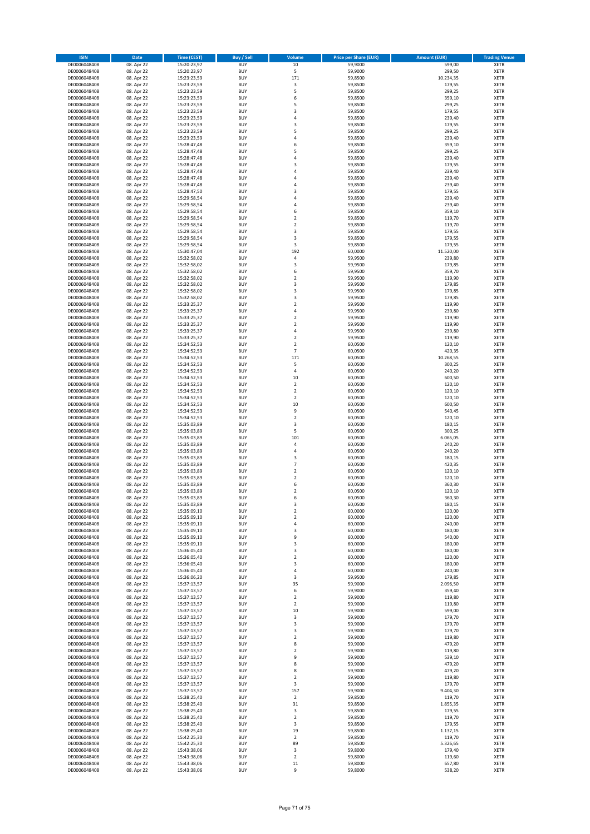| <b>ISIN</b>                  | Date                     | <b>Time (CEST)</b>         | Buy / Sell               | Volume                       | <b>Price per Share (EUR)</b> | <b>Amount (EUR)</b> | <b>Trading Venue</b>       |
|------------------------------|--------------------------|----------------------------|--------------------------|------------------------------|------------------------------|---------------------|----------------------------|
| DE0006048408                 | 08. Apr 22               | 15:20:23,97                | <b>BUY</b>               | $10\,$                       | 59,9000                      | 599,00              | <b>XETR</b>                |
| DE0006048408                 | 08. Apr 22               | 15:20:23,97                | <b>BUY</b>               | 5                            | 59,9000                      | 299,50              | XETR                       |
| DE0006048408                 | 08. Apr 22               | 15:23:23,59                | <b>BUY</b>               | 171                          | 59,8500                      | 10.234,35           | XETR                       |
| DE0006048408                 | 08. Apr 22               | 15:23:23,59                | <b>BUY</b>               | 3                            | 59,8500                      | 179,55              | <b>XETR</b>                |
| DE0006048408                 | 08. Apr 22               | 15:23:23,59                | <b>BUY</b>               | 5                            | 59,8500                      | 299,25              | XETR                       |
| DE0006048408                 | 08. Apr 22               | 15:23:23,59                | <b>BUY</b>               | 6                            | 59,8500                      | 359,10              | <b>XETR</b>                |
| DE0006048408                 | 08. Apr 22               | 15:23:23,59                | <b>BUY</b>               | 5                            | 59,8500                      | 299,25              | <b>XETR</b>                |
| DE0006048408                 | 08. Apr 22               | 15:23:23,59                | <b>BUY</b>               | 3                            | 59,8500                      | 179,55              | <b>XETR</b>                |
| DE0006048408                 | 08. Apr 22               | 15:23:23,59                | <b>BUY</b>               | 4                            | 59,8500                      | 239,40              | <b>XETR</b>                |
| DE0006048408                 | 08. Apr 22               | 15:23:23,59                | <b>BUY</b>               | 3                            | 59,8500                      | 179,55              | <b>XETR</b>                |
| DE0006048408                 | 08. Apr 22               | 15:23:23,59                | <b>BUY</b>               | 5                            | 59,8500                      | 299,25              | XETR                       |
| DE0006048408                 | 08. Apr 22               | 15:23:23,59                | <b>BUY</b>               | $\sqrt{4}$                   | 59,8500                      | 239,40              | <b>XETR</b>                |
| DE0006048408                 | 08. Apr 22               | 15:28:47,48                | <b>BUY</b>               | 6                            | 59,8500                      | 359,10              | XETR                       |
| DE0006048408                 | 08. Apr 22               | 15:28:47,48<br>15:28:47,48 | <b>BUY</b>               | 5<br>$\sqrt{4}$              | 59,8500                      | 299,25              | <b>XETR</b>                |
| DE0006048408<br>DE0006048408 | 08. Apr 22<br>08. Apr 22 | 15:28:47,48                | <b>BUY</b><br><b>BUY</b> | 3                            | 59,8500<br>59,8500           | 239,40<br>179,55    | <b>XETR</b><br><b>XETR</b> |
| DE0006048408                 | 08. Apr 22               | 15:28:47,48                | <b>BUY</b>               | $\sqrt{4}$                   | 59,8500                      | 239,40              | <b>XETR</b>                |
| DE0006048408                 | 08. Apr 22               | 15:28:47,48                | <b>BUY</b>               | 4                            | 59,8500                      | 239,40              | <b>XETR</b>                |
| DE0006048408                 | 08. Apr 22               | 15:28:47,48                | <b>BUY</b>               | $\overline{4}$               | 59,8500                      | 239,40              | <b>XETR</b>                |
| DE0006048408                 | 08. Apr 22               | 15:28:47,50                | <b>BUY</b>               | 3                            | 59,8500                      | 179,55              | <b>XETR</b>                |
| DE0006048408                 | 08. Apr 22               | 15:29:58,54                | <b>BUY</b>               | $\sqrt{4}$                   | 59,8500                      | 239,40              | <b>XETR</b>                |
| DE0006048408                 | 08. Apr 22               | 15:29:58,54                | <b>BUY</b>               | 4                            | 59,8500                      | 239,40              | <b>XETR</b>                |
| DE0006048408                 | 08. Apr 22               | 15:29:58,54                | <b>BUY</b>               | 6                            | 59,8500                      | 359,10              | <b>XETR</b>                |
| DE0006048408                 | 08. Apr 22               | 15:29:58,54                | <b>BUY</b>               | $\overline{2}$               | 59,8500                      | 119,70              | <b>XETR</b>                |
| DE0006048408                 | 08. Apr 22               | 15:29:58,54                | <b>BUY</b>               | $\overline{2}$               | 59,8500                      | 119,70              | <b>XETR</b>                |
| DE0006048408                 | 08. Apr 22               | 15:29:58,54                | <b>BUY</b>               | 3                            | 59,8500                      | 179,55              | <b>XETR</b>                |
| DE0006048408                 | 08. Apr 22               | 15:29:58,54                | <b>BUY</b>               | 3                            | 59,8500                      | 179,55              | <b>XETR</b>                |
| DE0006048408                 | 08. Apr 22               | 15:29:58,54                | <b>BUY</b>               | 3                            | 59,8500                      | 179,55              | <b>XETR</b>                |
| DE0006048408                 | 08. Apr 22               | 15:30:47,04                | <b>BUY</b>               | 192                          | 60,0000                      | 11.520,00           | <b>XETR</b>                |
| DE0006048408                 | 08. Apr 22               | 15:32:58,02                | <b>BUY</b>               | 4                            | 59,9500                      | 239,80              | XETR                       |
| DE0006048408                 | 08. Apr 22               | 15:32:58,02                | <b>BUY</b>               | 3                            | 59,9500                      | 179,85              | <b>XETR</b>                |
| DE0006048408                 | 08. Apr 22               | 15:32:58,02                | <b>BUY</b>               | 6                            | 59,9500                      | 359,70              | <b>XETR</b>                |
| DE0006048408                 | 08. Apr 22               | 15:32:58,02                | <b>BUY</b>               | $\overline{2}$               | 59,9500                      | 119,90              | <b>XETR</b>                |
| DE0006048408                 | 08. Apr 22               | 15:32:58,02                | <b>BUY</b>               | 3                            | 59,9500                      | 179,85              | <b>XETR</b>                |
| DE0006048408                 | 08. Apr 22               | 15:32:58,02                | <b>BUY</b>               | 3                            | 59,9500                      | 179,85              | <b>XETR</b>                |
| DE0006048408                 | 08. Apr 22               | 15:32:58,02                | <b>BUY</b>               | 3                            | 59,9500                      | 179,85              | <b>XETR</b>                |
| DE0006048408                 | 08. Apr 22<br>08. Apr 22 | 15:33:25,37                | <b>BUY</b>               | $\overline{2}$               | 59,9500                      | 119,90              | <b>XETR</b>                |
| DE0006048408<br>DE0006048408 | 08. Apr 22               | 15:33:25,37<br>15:33:25,37 | <b>BUY</b><br><b>BUY</b> | 4<br>$\overline{2}$          | 59,9500<br>59,9500           | 239,80<br>119,90    | XETR<br><b>XETR</b>        |
| DE0006048408                 | 08. Apr 22               | 15:33:25,37                | <b>BUY</b>               | $\mathbf 2$                  | 59,9500                      | 119,90              | <b>XETR</b>                |
| DE0006048408                 | 08. Apr 22               | 15:33:25,37                | <b>BUY</b>               | $\overline{4}$               | 59,9500                      | 239,80              | <b>XETR</b>                |
| DE0006048408                 | 08. Apr 22               | 15:33:25,37                | <b>BUY</b>               | $\overline{\mathbf{c}}$      | 59,9500                      | 119,90              | <b>XETR</b>                |
| DE0006048408                 | 08. Apr 22               | 15:34:52,53                | <b>BUY</b>               | $\overline{\mathbf{c}}$      | 60,0500                      | 120,10              | <b>XETR</b>                |
| DE0006048408                 | 08. Apr 22               | 15:34:52,53                | <b>BUY</b>               | $\overline{7}$               | 60,0500                      | 420,35              | <b>XETR</b>                |
| DE0006048408                 | 08. Apr 22               | 15:34:52,53                | <b>BUY</b>               | 171                          | 60,0500                      | 10.268,55           | <b>XETR</b>                |
| DE0006048408                 | 08. Apr 22               | 15:34:52,53                | <b>BUY</b>               | 5                            | 60,0500                      | 300,25              | <b>XETR</b>                |
| DE0006048408                 | 08. Apr 22               | 15:34:52,53                | <b>BUY</b>               | 4                            | 60,0500                      | 240,20              | <b>XETR</b>                |
| DE0006048408                 | 08. Apr 22               | 15:34:52,53                | <b>BUY</b>               | 10                           | 60,0500                      | 600,50              | <b>XETR</b>                |
| DE0006048408                 | 08. Apr 22               | 15:34:52,53                | <b>BUY</b>               | $\overline{\mathbf{2}}$      | 60,0500                      | 120,10              | <b>XETR</b>                |
| DE0006048408                 | 08. Apr 22               | 15:34:52,53                | <b>BUY</b>               | $\boldsymbol{2}$             | 60,0500                      | 120,10              | <b>XETR</b>                |
| DE0006048408                 | 08. Apr 22               | 15:34:52,53                | <b>BUY</b>               | $\overline{\mathbf{2}}$      | 60,0500                      | 120,10              | <b>XETR</b>                |
| DE0006048408                 | 08. Apr 22               | 15:34:52,53                | <b>BUY</b>               | 10                           | 60,0500                      | 600,50              | <b>XETR</b>                |
| DE0006048408                 | 08. Apr 22               | 15:34:52,53                | <b>BUY</b>               | 9                            | 60,0500                      | 540,45              | <b>XETR</b>                |
| DE0006048408                 | 08. Apr 22               | 15:34:52,53                | <b>BUY</b>               | $\overline{\mathbf{c}}$      | 60,0500                      | 120,10              | <b>XETR</b>                |
| DE0006048408                 | 08. Apr 22               | 15:35:03,89                | <b>BUY</b>               | 3                            | 60,0500                      | 180,15              | <b>XETR</b>                |
| DE0006048408                 | 08. Apr 22               | 15:35:03,89                | <b>BUY</b>               | 5                            | 60,0500                      | 300,25              | <b>XETR</b>                |
| DE0006048408                 | 08. Apr 22               | 15:35:03,89                | <b>BUY</b>               | 101                          | 60,0500                      | 6.065,05            | <b>XETR</b>                |
| DE0006048408                 | 08. Apr 22               | 15:35:03,89                | <b>BUY</b>               | 4                            | 60,0500                      | 240,20              | <b>XETR</b>                |
| DE0006048408                 | 08. Apr 22               | 15:35:03,89                | <b>BUY</b>               | 4                            | 60,0500                      | 240,20              | <b>XETR</b>                |
| DE0006048408                 | 08. Apr 22               | 15:35:03,89                | <b>BUY</b>               | 3                            | 60,0500                      | 180,15              | <b>XETR</b>                |
| DE0006048408                 | 08. Apr 22               | 15:35:03,89                | <b>BUY</b>               | $\overline{7}$               | 60,0500                      | 420,35              | XETR                       |
| DE0006048408                 | 08. Apr 22               | 15:35:03,89                | <b>BUY</b><br><b>BUY</b> | $\overline{2}$               | 60,0500                      | 120,10<br>120,10    | <b>XETR</b><br><b>XETR</b> |
| DE0006048408<br>DE0006048408 | 08. Apr 22<br>08. Apr 22 | 15:35:03,89<br>15:35:03,89 | <b>BUY</b>               | $\overline{\mathbf{2}}$<br>6 | 60,0500<br>60,0500           | 360,30              | <b>XETR</b>                |
| DE0006048408                 | 08. Apr 22               | 15:35:03,89                | <b>BUY</b>               | $\overline{2}$               | 60,0500                      | 120,10              | <b>XETR</b>                |
| DE0006048408                 | 08. Apr 22               | 15:35:03,89                | <b>BUY</b>               | 6                            | 60,0500                      | 360,30              | <b>XETR</b>                |
| DE0006048408                 | 08. Apr 22               | 15:35:03,89                | <b>BUY</b>               | 3                            | 60,0500                      | 180,15              | <b>XETR</b>                |
| DE0006048408                 | 08. Apr 22               | 15:35:09,10                | <b>BUY</b>               | $\boldsymbol{2}$             | 60,0000                      | 120,00              | XETR                       |
| DE0006048408                 | 08. Apr 22               | 15:35:09,10                | <b>BUY</b>               | $\overline{\mathbf{2}}$      | 60,0000                      | 120,00              | <b>XETR</b>                |
| DE0006048408                 | 08. Apr 22               | 15:35:09,10                | <b>BUY</b>               | 4                            | 60,0000                      | 240,00              | <b>XETR</b>                |
| DE0006048408                 | 08. Apr 22               | 15:35:09,10                | <b>BUY</b>               | 3                            | 60,0000                      | 180,00              | XETR                       |
| DE0006048408                 | 08. Apr 22               | 15:35:09,10                | <b>BUY</b>               | 9                            | 60,0000                      | 540,00              | <b>XETR</b>                |
| DE0006048408                 | 08. Apr 22               | 15:35:09,10                | <b>BUY</b>               | 3                            | 60,0000                      | 180,00              | <b>XETR</b>                |
| DE0006048408                 | 08. Apr 22               | 15:36:05,40                | <b>BUY</b>               | 3                            | 60,0000                      | 180,00              | <b>XETR</b>                |
| DE0006048408                 | 08. Apr 22               | 15:36:05,40                | <b>BUY</b>               | $\boldsymbol{2}$             | 60,0000                      | 120,00              | XETR                       |
| DE0006048408                 | 08. Apr 22               | 15:36:05,40                | <b>BUY</b>               | 3                            | 60,0000                      | 180,00              | <b>XETR</b>                |
| DE0006048408                 | 08. Apr 22               | 15:36:05,40                | <b>BUY</b>               | $\sqrt{4}$                   | 60,0000                      | 240,00              | XETR                       |
| DE0006048408<br>DE0006048408 | 08. Apr 22<br>08. Apr 22 | 15:36:06,20                | <b>BUY</b><br><b>BUY</b> | 3<br>35                      | 59,9500<br>59,9000           | 179,85<br>2.096,50  | <b>XETR</b><br>XETR        |
|                              |                          | 15:37:13,57                |                          |                              |                              |                     |                            |
| DE0006048408<br>DE0006048408 | 08. Apr 22<br>08. Apr 22 | 15:37:13,57<br>15:37:13,57 | <b>BUY</b><br><b>BUY</b> | 6<br>$\boldsymbol{2}$        | 59,9000<br>59,9000           | 359,40<br>119,80    | <b>XETR</b><br><b>XETR</b> |
| DE0006048408                 | 08. Apr 22               | 15:37:13,57                | <b>BUY</b>               | $\overline{\mathbf{2}}$      | 59,9000                      | 119,80              | <b>XETR</b>                |
| DE0006048408                 | 08. Apr 22               | 15:37:13,57                | <b>BUY</b>               | 10                           | 59,9000                      | 599,00              | <b>XETR</b>                |
| DE0006048408                 | 08. Apr 22               | 15:37:13,57                | <b>BUY</b>               | 3                            | 59,9000                      | 179,70              | <b>XETR</b>                |
| DE0006048408                 | 08. Apr 22               | 15:37:13,57                | <b>BUY</b>               | 3                            | 59,9000                      | 179,70              | <b>XETR</b>                |
| DE0006048408                 | 08. Apr 22               | 15:37:13,57                | <b>BUY</b>               | 3                            | 59,9000                      | 179,70              | <b>XETR</b>                |
| DE0006048408                 | 08. Apr 22               | 15:37:13,57                | <b>BUY</b>               | $\mathbf 2$                  | 59,9000                      | 119,80              | <b>XETR</b>                |
| DE0006048408                 | 08. Apr 22               | 15:37:13,57                | <b>BUY</b>               | 8                            | 59,9000                      | 479,20              | XETR                       |
| DE0006048408                 | 08. Apr 22               | 15:37:13,57                | <b>BUY</b>               | $\overline{2}$               | 59,9000                      | 119,80              | <b>XETR</b>                |
| DE0006048408                 | 08. Apr 22               | 15:37:13,57                | <b>BUY</b>               | 9                            | 59,9000                      | 539,10              | <b>XETR</b>                |
| DE0006048408                 | 08. Apr 22               | 15:37:13,57                | <b>BUY</b>               | 8                            | 59,9000                      | 479,20              | <b>XETR</b>                |
| DE0006048408                 | 08. Apr 22               | 15:37:13,57                | <b>BUY</b>               | 8                            | 59,9000                      | 479,20              | XETR                       |
| DE0006048408                 | 08. Apr 22               | 15:37:13,57                | <b>BUY</b>               | $\overline{2}$               | 59,9000                      | 119,80              | <b>XETR</b>                |
| DE0006048408                 | 08. Apr 22               | 15:37:13,57                | <b>BUY</b>               | 3                            | 59,9000                      | 179,70              | <b>XETR</b>                |
| DE0006048408                 | 08. Apr 22               | 15:37:13,57                | <b>BUY</b>               | 157                          | 59,9000                      | 9.404,30            | <b>XETR</b>                |
| DE0006048408                 | 08. Apr 22               | 15:38:25,40                | <b>BUY</b>               | $\overline{\mathbf{2}}$      | 59,8500                      | 119,70              | XETR                       |
| DE0006048408<br>DE0006048408 | 08. Apr 22<br>08. Apr 22 | 15:38:25,40<br>15:38:25,40 | <b>BUY</b><br><b>BUY</b> | 31<br>3                      | 59,8500<br>59,8500           | 1.855,35<br>179,55  | <b>XETR</b><br>XETR        |
| DE0006048408                 | 08. Apr 22               | 15:38:25,40                | <b>BUY</b>               | $\overline{\mathbf{2}}$      | 59,8500                      | 119,70              | <b>XETR</b>                |
| DE0006048408                 | 08. Apr 22               | 15:38:25,40                | <b>BUY</b>               | 3                            | 59,8500                      | 179,55              | <b>XETR</b>                |
| DE0006048408                 | 08. Apr 22               | 15:38:25,40                | <b>BUY</b>               | 19                           | 59,8500                      | 1.137,15            | <b>XETR</b>                |
| DE0006048408                 | 08. Apr 22               | 15:42:25,30                | <b>BUY</b>               | $\boldsymbol{2}$             | 59,8500                      | 119,70              | XETR                       |
| DE0006048408                 | 08. Apr 22               | 15:42:25,30                | <b>BUY</b>               | 89                           | 59,8500                      | 5.326,65            | <b>XETR</b>                |
| DE0006048408                 | 08. Apr 22               | 15:43:38,06                | <b>BUY</b>               | 3                            | 59,8000                      | 179,40              | XETR                       |
| DE0006048408                 | 08. Apr 22               | 15:43:38,06                | <b>BUY</b>               | $\boldsymbol{2}$             | 59,8000                      | 119,60              | <b>XETR</b>                |
| DE0006048408                 | 08. Apr 22               | 15:43:38,06                | <b>BUY</b>               | 11                           | 59,8000                      | 657,80              | XETR                       |
| DE0006048408                 | 08. Apr 22               | 15:43:38,06                | <b>BUY</b>               | 9                            | 59,8000                      | 538,20              | <b>XETR</b>                |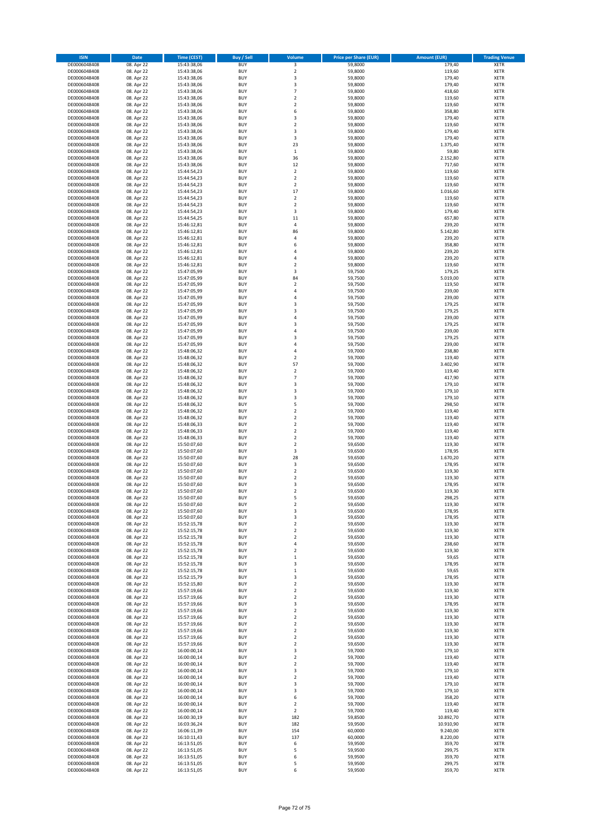| <b>ISIN</b>                  | Date                     | <b>Time (CEST)</b>         | Buy / Sell               | Volume                                      | <b>Price per Share (EUR)</b> | <b>Amount (EUR)</b>   | <b>Trading Venue</b>       |
|------------------------------|--------------------------|----------------------------|--------------------------|---------------------------------------------|------------------------------|-----------------------|----------------------------|
| DE0006048408                 | 08. Apr 22               | 15:43:38,06                | <b>BUY</b>               | 3                                           | 59,8000                      | 179,40                | <b>XETR</b>                |
| DE0006048408                 | 08. Apr 22               | 15:43:38,06                | <b>BUY</b>               | $\overline{2}$                              | 59,8000                      | 119,60                | XETR                       |
| DE0006048408                 | 08. Apr 22               | 15:43:38,06                | BUY                      | 3                                           | 59,8000                      | 179,40                | XETR                       |
| DE0006048408                 | 08. Apr 22               | 15:43:38,06                | <b>BUY</b>               | 3                                           | 59,8000                      | 179,40                | <b>XETR</b>                |
| DE0006048408<br>DE0006048408 | 08. Apr 22<br>08. Apr 22 | 15:43:38,06<br>15:43:38,06 | <b>BUY</b><br><b>BUY</b> | $\overline{7}$<br>$\overline{2}$            | 59,8000<br>59,8000           | 418,60<br>119,60      | XETR<br><b>XETR</b>        |
| DE0006048408                 | 08. Apr 22               | 15:43:38,06                | <b>BUY</b>               | $\overline{2}$                              | 59,8000                      | 119,60                | <b>XETR</b>                |
| DE0006048408                 | 08. Apr 22               | 15:43:38,06                | <b>BUY</b>               | 6                                           | 59,8000                      | 358,80                | <b>XETR</b>                |
| DE0006048408                 | 08. Apr 22               | 15:43:38,06                | <b>BUY</b>               | 3                                           | 59,8000                      | 179,40                | XETR                       |
| DE0006048408                 | 08. Apr 22               | 15:43:38,06                | <b>BUY</b>               | $\overline{2}$                              | 59,8000                      | 119,60                | <b>XETR</b>                |
| DE0006048408                 | 08. Apr 22               | 15:43:38,06                | BUY<br><b>BUY</b>        | 3<br>3                                      | 59,8000<br>59,8000           | 179,40<br>179,40      | XETR<br><b>XETR</b>        |
| DE0006048408<br>DE0006048408 | 08. Apr 22<br>08. Apr 22 | 15:43:38,06<br>15:43:38,06 | <b>BUY</b>               | 23                                          | 59,8000                      | 1.375,40              | XETR                       |
| DE0006048408                 | 08. Apr 22               | 15:43:38,06                | <b>BUY</b>               | $\mathbf 1$                                 | 59,8000                      | 59,80                 | <b>XETR</b>                |
| DE0006048408                 | 08. Apr 22               | 15:43:38,06                | <b>BUY</b>               | 36                                          | 59,8000                      | 2.152,80              | XETR                       |
| DE0006048408                 | 08. Apr 22               | 15:43:38,06                | <b>BUY</b>               | 12                                          | 59,8000                      | 717,60                | <b>XETR</b>                |
| DE0006048408                 | 08. Apr 22               | 15:44:54,23                | <b>BUY</b>               | $\boldsymbol{2}$                            | 59,8000                      | 119,60                | <b>XETR</b>                |
| DE0006048408<br>DE0006048408 | 08. Apr 22<br>08. Apr 22 | 15:44:54,23<br>15:44:54,23 | <b>BUY</b><br>BUY        | $\boldsymbol{2}$<br>$\overline{\mathbf{c}}$ | 59,8000<br>59,8000           | 119,60<br>119,60      | <b>XETR</b><br><b>XETR</b> |
| DE0006048408                 | 08. Apr 22               | 15:44:54,23                | <b>BUY</b>               | 17                                          | 59,8000                      | 1.016,60              | <b>XETR</b>                |
| DE0006048408                 | 08. Apr 22               | 15:44:54,23                | <b>BUY</b>               | $\boldsymbol{2}$                            | 59,8000                      | 119,60                | <b>XETR</b>                |
| DE0006048408                 | 08. Apr 22               | 15:44:54,23                | <b>BUY</b>               | $\boldsymbol{2}$                            | 59,8000                      | 119,60                | <b>XETR</b>                |
| DE0006048408                 | 08. Apr 22               | 15:44:54,23                | <b>BUY</b>               | 3                                           | 59,8000                      | 179,40                | <b>XETR</b>                |
| DE0006048408                 | 08. Apr 22               | 15:44:54,25                | <b>BUY</b>               | 11                                          | 59,8000                      | 657,80                | <b>XETR</b>                |
| DE0006048408<br>DE0006048408 | 08. Apr 22<br>08. Apr 22 | 15:46:12,81<br>15:46:12,81 | <b>BUY</b><br><b>BUY</b> | $\sqrt{4}$<br>86                            | 59,8000<br>59,8000           | 239,20<br>5.142,80    | <b>XETR</b><br><b>XETR</b> |
| DE0006048408                 | 08. Apr 22               | 15:46:12,81                | BUY                      | $\overline{4}$                              | 59,8000                      | 239,20                | <b>XETR</b>                |
| DE0006048408                 | 08. Apr 22               | 15:46:12,81                | <b>BUY</b>               | 6                                           | 59,8000                      | 358,80                | <b>XETR</b>                |
| DE0006048408                 | 08. Apr 22               | 15:46:12,81                | <b>BUY</b>               | 4                                           | 59,8000                      | 239,20                | <b>XETR</b>                |
| DE0006048408                 | 08. Apr 22               | 15:46:12,81                | <b>BUY</b>               | 4                                           | 59,8000                      | 239,20                | XETR                       |
| DE0006048408                 | 08. Apr 22               | 15:46:12,81                | <b>BUY</b>               | $\overline{2}$                              | 59,8000                      | 119,60                | <b>XETR</b>                |
| DE0006048408<br>DE0006048408 | 08. Apr 22<br>08. Apr 22 | 15:47:05,99<br>15:47:05,99 | <b>BUY</b><br><b>BUY</b> | 3<br>84                                     | 59,7500<br>59,7500           | 179,25<br>5.019,00    | <b>XETR</b><br><b>XETR</b> |
| DE0006048408                 | 08. Apr 22               | 15:47:05,99                | <b>BUY</b>               | $\boldsymbol{2}$                            | 59,7500                      | 119,50                | <b>XETR</b>                |
| DE0006048408                 | 08. Apr 22               | 15:47:05,99                | <b>BUY</b>               | $\overline{4}$                              | 59,7500                      | 239,00                | <b>XETR</b>                |
| DE0006048408                 | 08. Apr 22               | 15:47:05,99                | <b>BUY</b>               | $\sqrt{4}$                                  | 59,7500                      | 239,00                | <b>XETR</b>                |
| DE0006048408                 | 08. Apr 22               | 15:47:05,99                | <b>BUY</b>               | 3                                           | 59,7500                      | 179,25                | <b>XETR</b>                |
| DE0006048408                 | 08. Apr 22               | 15:47:05,99                | <b>BUY</b>               | 3                                           | 59,7500                      | 179,25                | XETR                       |
| DE0006048408<br>DE0006048408 | 08. Apr 22<br>08. Apr 22 | 15:47:05,99                | <b>BUY</b><br><b>BUY</b> | $\sqrt{4}$<br>$\overline{\mathbf{3}}$       | 59,7500<br>59,7500           | 239,00<br>179,25      | <b>XETR</b><br><b>XETR</b> |
| DE0006048408                 | 08. Apr 22               | 15:47:05,99<br>15:47:05,99 | <b>BUY</b>               | $\overline{4}$                              | 59,7500                      | 239,00                | <b>XETR</b>                |
| DE0006048408                 | 08. Apr 22               | 15:47:05,99                | <b>BUY</b>               | 3                                           | 59,7500                      | 179,25                | <b>XETR</b>                |
| DE0006048408                 | 08. Apr 22               | 15:47:05,99                | <b>BUY</b>               | 4                                           | 59,7500                      | 239,00                | <b>XETR</b>                |
| DE0006048408                 | 08. Apr 22               | 15:48:06,32                | BUY                      | $\overline{4}$                              | 59,7000                      | 238,80                | <b>XETR</b>                |
| DE0006048408                 | 08. Apr 22               | 15:48:06,32                | <b>BUY</b>               | $\boldsymbol{2}$                            | 59,7000                      | 119,40                | <b>XETR</b>                |
| DE0006048408<br>DE0006048408 | 08. Apr 22<br>08. Apr 22 | 15:48:06,32<br>15:48:06,32 | <b>BUY</b><br><b>BUY</b> | 57<br>$\boldsymbol{2}$                      | 59,7000<br>59,7000           | 3.402,90<br>119,40    | <b>XETR</b><br><b>XETR</b> |
| DE0006048408                 | 08. Apr 22               | 15:48:06,32                | <b>BUY</b>               | $\overline{7}$                              | 59,7000                      | 417,90                | <b>XETR</b>                |
| DE0006048408                 | 08. Apr 22               | 15:48:06,32                | <b>BUY</b>               | 3                                           | 59,7000                      | 179,10                | <b>XETR</b>                |
| DE0006048408                 | 08. Apr 22               | 15:48:06,32                | <b>BUY</b>               | 3                                           | 59,7000                      | 179,10                | <b>XETR</b>                |
| DE0006048408                 | 08. Apr 22               | 15:48:06,32                | <b>BUY</b>               | 3                                           | 59,7000                      | 179,10                | <b>XETR</b>                |
| DE0006048408                 | 08. Apr 22               | 15:48:06,32                | <b>BUY</b>               | 5                                           | 59,7000                      | 298,50                | <b>XETR</b>                |
| DE0006048408<br>DE0006048408 | 08. Apr 22<br>08. Apr 22 | 15:48:06,32<br>15:48:06,32 | <b>BUY</b><br><b>BUY</b> | $\boldsymbol{2}$<br>$\boldsymbol{2}$        | 59,7000<br>59,7000           | 119,40<br>119,40      | <b>XETR</b><br><b>XETR</b> |
| DE0006048408                 | 08. Apr 22               | 15:48:06,33                | <b>BUY</b>               | $\boldsymbol{2}$                            | 59,7000                      | 119,40                | <b>XETR</b>                |
| DE0006048408                 | 08. Apr 22               | 15:48:06,33                | <b>BUY</b>               | $\overline{2}$                              | 59,7000                      | 119,40                | <b>XETR</b>                |
| DE0006048408                 | 08. Apr 22               | 15:48:06,33                | <b>BUY</b>               | $\overline{2}$                              | 59,7000                      | 119,40                | <b>XETR</b>                |
| DE0006048408                 | 08. Apr 22               | 15:50:07,60                | <b>BUY</b>               | $\overline{2}$                              | 59,6500                      | 119,30                | <b>XETR</b>                |
| DE0006048408<br>DE0006048408 | 08. Apr 22<br>08. Apr 22 | 15:50:07,60<br>15:50:07,60 | <b>BUY</b><br><b>BUY</b> | 3<br>28                                     | 59,6500<br>59,6500           | 178,95<br>1.670,20    | XETR<br><b>XETR</b>        |
| DE0006048408                 | 08. Apr 22               | 15:50:07,60                | <b>BUY</b>               | 3                                           | 59,6500                      | 178,95                | XETR                       |
| DE0006048408                 | 08. Apr 22               | 15:50:07,60                | <b>BUY</b>               | $\overline{2}$                              | 59,6500                      | 119,30                | <b>XETR</b>                |
| DE0006048408                 | 08. Apr 22               | 15:50:07,60                | <b>BUY</b>               | $\overline{\mathbf{2}}$                     | 59,6500                      | 119,30                | <b>XETR</b>                |
| DE0006048408                 | 08. Apr 22               | 15:50:07,60                | BUY                      | 3                                           | 59,6500                      | 178,95                | <b>XETR</b>                |
| DE0006048408                 | 08. Apr 22               | 15:50:07,60                | <b>BUY</b>               | $\overline{2}$                              | 59,6500                      | 119,30                | <b>XETR</b>                |
| DE0006048408<br>DE0006048408 | 08. Apr 22               | 15:50:07,60                | <b>BUY</b><br><b>BUY</b> | 5<br>$\boldsymbol{2}$                       | 59,6500<br>59,6500           | 298,25                | <b>XETR</b><br><b>XETR</b> |
| DE0006048408                 | 08. Apr 22<br>08. Apr 22 | 15:50:07,60<br>15:50:07,60 | <b>BUY</b>               | 3                                           | 59,6500                      | 119,30<br>178,95      | XETR                       |
| DE0006048408                 | 08. Apr 22               | 15:50:07,60                | <b>BUY</b>               | 3                                           | 59,6500                      | 178,95                | XETR                       |
| DE0006048408                 | 08. Apr 22               | 15:52:15,78                | <b>BUY</b>               | $\mathbf 2$                                 | 59,6500                      | 119,30                | <b>XETR</b>                |
| DE0006048408                 | 08. Apr 22               | 15:52:15,78                | <b>BUY</b>               | $\boldsymbol{2}$                            | 59,6500                      | 119,30                | XETR                       |
| DE0006048408<br>DE0006048408 | 08. Apr 22<br>08. Apr 22 | 15:52:15,78<br>15:52:15,78 | <b>BUY</b><br><b>BUY</b> | $\boldsymbol{2}$<br>$\sqrt{4}$              | 59,6500<br>59,6500           | 119,30<br>238,60      | <b>XETR</b><br><b>XETR</b> |
| DE0006048408                 | 08. Apr 22               | 15:52:15,78                | <b>BUY</b>               | $\boldsymbol{2}$                            | 59,6500                      | 119,30                | <b>XETR</b>                |
| DE0006048408                 | 08. Apr 22               | 15:52:15,78                | <b>BUY</b>               | $\,1\,$                                     | 59,6500                      | 59,65                 | <b>XETR</b>                |
| DE0006048408                 | 08. Apr 22               | 15:52:15,78                | <b>BUY</b>               | 3                                           | 59,6500                      | 178,95                | <b>XETR</b>                |
| DE0006048408                 | 08. Apr 22               | 15:52:15,78                | <b>BUY</b>               | $\,1\,$                                     | 59,6500                      | 59,65                 | XETR                       |
| DE0006048408                 | 08. Apr 22               | 15:52:15,79                | <b>BUY</b>               | 3                                           | 59,6500                      | 178,95                | <b>XETR</b>                |
| DE0006048408<br>DE0006048408 | 08. Apr 22<br>08. Apr 22 | 15:52:15,80<br>15:57:19,66 | <b>BUY</b><br><b>BUY</b> | $\mathbf 2$<br>$\overline{\mathbf{2}}$      | 59,6500<br>59,6500           | 119,30<br>119,30      | XETR<br><b>XETR</b>        |
| DE0006048408                 | 08. Apr 22               | 15:57:19,66                | <b>BUY</b>               | $\boldsymbol{2}$                            | 59,6500                      | 119,30                | <b>XETR</b>                |
| DE0006048408                 | 08. Apr 22               | 15:57:19,66                | <b>BUY</b>               | 3                                           | 59,6500                      | 178,95                | <b>XETR</b>                |
| DE0006048408                 | 08. Apr 22               | 15:57:19,66                | <b>BUY</b>               | $\overline{2}$                              | 59,6500                      | 119,30                | <b>XETR</b>                |
| DE0006048408                 | 08. Apr 22               | 15:57:19,66                | <b>BUY</b>               | $\overline{\mathbf{2}}$                     | 59,6500                      | 119,30                | <b>XETR</b>                |
| DE0006048408<br>DE0006048408 | 08. Apr 22               | 15:57:19,66<br>15:57:19,66 | <b>BUY</b><br><b>BUY</b> | $\overline{2}$<br>$\boldsymbol{2}$          | 59,6500<br>59,6500           | 119,30<br>119,30      | <b>XETR</b><br><b>XETR</b> |
| DE0006048408                 | 08. Apr 22<br>08. Apr 22 | 15:57:19,66                | <b>BUY</b>               | $\mathbf 2$                                 | 59,6500                      | 119,30                | <b>XETR</b>                |
| DE0006048408                 | 08. Apr 22               | 15:57:19,66                | <b>BUY</b>               | $\overline{\mathbf{2}}$                     | 59,6500                      | 119,30                | XETR                       |
| DE0006048408                 | 08. Apr 22               | 16:00:00,14                | <b>BUY</b>               | 3                                           | 59,7000                      | 179,10                | <b>XETR</b>                |
| DE0006048408                 | 08. Apr 22               | 16:00:00,14                | <b>BUY</b>               | $\boldsymbol{2}$                            | 59,7000                      | 119,40                | XETR                       |
| DE0006048408                 | 08. Apr 22               | 16:00:00,14                | <b>BUY</b>               | $\overline{2}$                              | 59,7000                      | 119,40                | <b>XETR</b>                |
| DE0006048408                 | 08. Apr 22               | 16:00:00,14                | <b>BUY</b>               | 3                                           | 59,7000                      | 179,10                | XETR                       |
| DE0006048408<br>DE0006048408 | 08. Apr 22<br>08. Apr 22 | 16:00:00,14<br>16:00:00,14 | <b>BUY</b><br><b>BUY</b> | $\overline{2}$<br>3                         | 59,7000<br>59,7000           | 119,40<br>179,10      | <b>XETR</b><br>XETR        |
| DE0006048408                 | 08. Apr 22               | 16:00:00,14                | <b>BUY</b>               | 3                                           | 59,7000                      | 179,10                | <b>XETR</b>                |
| DE0006048408                 | 08. Apr 22               | 16:00:00,14                | <b>BUY</b>               | 6                                           | 59,7000                      | 358,20                | XETR                       |
| DE0006048408                 | 08. Apr 22               | 16:00:00,14                | <b>BUY</b>               | $\overline{\mathbf{2}}$                     | 59,7000                      | 119,40                | <b>XETR</b>                |
| DE0006048408                 | 08. Apr 22               | 16:00:00,14                | <b>BUY</b>               | $\boldsymbol{2}$                            | 59,7000                      | 119,40                | XETR                       |
| DE0006048408                 | 08. Apr 22               | 16:00:30,19                | <b>BUY</b>               | 182                                         | 59,8500                      | 10.892,70             | <b>XETR</b>                |
| DE0006048408<br>DE0006048408 | 08. Apr 22<br>08. Apr 22 | 16:03:36,24<br>16:06:11,39 | <b>BUY</b><br><b>BUY</b> | 182<br>154                                  | 59,9500<br>60,0000           | 10.910,90<br>9.240,00 | <b>XETR</b><br><b>XETR</b> |
| DE0006048408                 | 08. Apr 22               | 16:10:11,43                | <b>BUY</b>               | 137                                         | 60,0000                      | 8.220,00              | XETR                       |
| DE0006048408                 | 08. Apr 22               | 16:13:51,05                | <b>BUY</b>               | 6                                           | 59,9500                      | 359,70                | <b>XETR</b>                |
| DE0006048408                 | 08. Apr 22               | 16:13:51,05                | <b>BUY</b>               | 5                                           | 59,9500                      | 299,75                | XETR                       |
| DE0006048408                 | 08. Apr 22               | 16:13:51,05                | <b>BUY</b>               | 6                                           | 59,9500                      | 359,70                | <b>XETR</b>                |
| DE0006048408                 | 08. Apr 22               | 16:13:51,05                | <b>BUY</b>               | 5                                           | 59,9500                      | 299,75                | XETR                       |
| DE0006048408                 | 08. Apr 22               | 16:13:51,05                | <b>BUY</b>               | 6                                           | 59,9500                      | 359,70                | <b>XETR</b>                |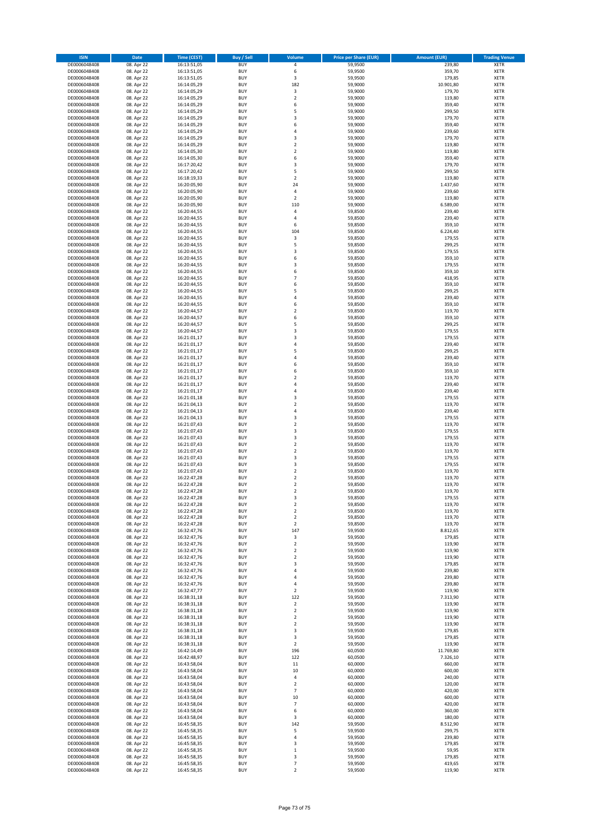| <b>ISIN</b>                  | Date                     | <b>Time (CEST)</b>         | Buy / Sell               | Volume                          | <b>Price per Share (EUR)</b> | <b>Amount (EUR)</b> | <b>Trading Venue</b>       |
|------------------------------|--------------------------|----------------------------|--------------------------|---------------------------------|------------------------------|---------------------|----------------------------|
| DE0006048408                 | 08. Apr 22               | 16:13:51,05                | <b>BUY</b>               | 4                               | 59,9500                      | 239,80              | <b>XETR</b>                |
| DE0006048408                 | 08. Apr 22               | 16:13:51,05                | <b>BUY</b>               | 6                               | 59,9500                      | 359,70              | XETR                       |
| DE0006048408                 | 08. Apr 22               | 16:13:51,05                | <b>BUY</b>               | 3                               | 59,9500                      | 179,85              | XETR                       |
| DE0006048408                 | 08. Apr 22               | 16:14:05,29                | <b>BUY</b>               | 182                             | 59,9000                      | 10.901,80           | <b>XETR</b>                |
| DE0006048408                 | 08. Apr 22               | 16:14:05,29                | <b>BUY</b>               | $\mathsf 3$                     | 59,9000                      | 179,70              | XETR                       |
| DE0006048408                 | 08. Apr 22               | 16:14:05,29                | <b>BUY</b>               | $\overline{2}$                  | 59,9000                      | 119,80              | <b>XETR</b>                |
| DE0006048408                 | 08. Apr 22               | 16:14:05,29                | <b>BUY</b>               | 6                               | 59,9000                      | 359,40              | <b>XETR</b>                |
| DE0006048408                 | 08. Apr 22               | 16:14:05,29                | <b>BUY</b>               | 5                               | 59,9000                      | 299,50              | <b>XETR</b>                |
| DE0006048408                 | 08. Apr 22               | 16:14:05,29                | <b>BUY</b>               | 3                               | 59,9000                      | 179,70              | XETR                       |
| DE0006048408                 | 08. Apr 22               | 16:14:05,29                | <b>BUY</b>               | 6                               | 59,9000                      | 359,40              | <b>XETR</b>                |
| DE0006048408                 | 08. Apr 22               | 16:14:05,29                | <b>BUY</b>               | $\sqrt{4}$                      | 59,9000                      | 239,60              | XETR                       |
| DE0006048408                 | 08. Apr 22               | 16:14:05,29                | <b>BUY</b>               | 3                               | 59,9000                      | 179,70              | <b>XETR</b>                |
| DE0006048408                 | 08. Apr 22               | 16:14:05,29                | <b>BUY</b>               | $\boldsymbol{2}$                | 59,9000                      | 119,80              | XETR                       |
| DE0006048408                 | 08. Apr 22               | 16:14:05,30                | <b>BUY</b>               | $\overline{2}$                  | 59,9000                      | 119,80              | <b>XETR</b>                |
| DE0006048408                 | 08. Apr 22               | 16:14:05,30                | <b>BUY</b>               | 6                               | 59,9000                      | 359,40              | <b>XETR</b>                |
| DE0006048408                 | 08. Apr 22               | 16:17:20,42                | <b>BUY</b>               | 3                               | 59,9000                      | 179,70              | <b>XETR</b>                |
| DE0006048408                 | 08. Apr 22               | 16:17:20,42                | <b>BUY</b>               | 5                               | 59,9000                      | 299,50              | <b>XETR</b>                |
| DE0006048408                 | 08. Apr 22               | 16:18:19,33                | <b>BUY</b>               | $\boldsymbol{2}$                | 59,9000                      | 119,80              | <b>XETR</b>                |
| DE0006048408                 | 08. Apr 22               | 16:20:05,90                | <b>BUY</b>               | 24                              | 59,9000                      | 1.437,60            | <b>XETR</b>                |
| DE0006048408                 | 08. Apr 22               | 16:20:05,90                | <b>BUY</b>               | $\sqrt{4}$                      | 59,9000                      | 239,60              | <b>XETR</b>                |
| DE0006048408                 | 08. Apr 22               | 16:20:05,90                | <b>BUY</b>               | $\overline{2}$                  | 59,9000                      | 119,80              | <b>XETR</b>                |
| DE0006048408                 | 08. Apr 22               | 16:20:05,90                | <b>BUY</b>               | 110                             | 59,9000                      | 6.589,00            | <b>XETR</b>                |
| DE0006048408                 | 08. Apr 22               | 16:20:44,55                | <b>BUY</b>               | $\overline{4}$                  | 59,8500                      | 239,40              | <b>XETR</b>                |
| DE0006048408                 | 08. Apr 22               | 16:20:44,55                | <b>BUY</b>               | 4                               | 59,8500                      | 239,40              | <b>XETR</b>                |
| DE0006048408                 | 08. Apr 22               | 16:20:44,55                | <b>BUY</b>               | 6                               | 59,8500                      | 359,10              | <b>XETR</b>                |
| DE0006048408                 | 08. Apr 22               | 16:20:44,55                | <b>BUY</b>               | 104                             | 59,8500                      | 6.224,40            | <b>XETR</b>                |
| DE0006048408                 | 08. Apr 22               | 16:20:44,55                | <b>BUY</b>               | 3                               | 59,8500                      | 179,55              | <b>XETR</b>                |
| DE0006048408                 | 08. Apr 22               | 16:20:44,55                | <b>BUY</b>               | 5                               | 59,8500                      | 299,25              | <b>XETR</b>                |
| DE0006048408                 | 08. Apr 22               | 16:20:44,55                | <b>BUY</b>               | 3                               | 59,8500                      | 179,55              | <b>XETR</b>                |
| DE0006048408                 | 08. Apr 22               | 16:20:44,55                | <b>BUY</b>               | 6                               | 59,8500                      | 359,10              | XETR                       |
| DE0006048408                 | 08. Apr 22               | 16:20:44,55                | <b>BUY</b>               | 3                               | 59,8500                      | 179,55              | <b>XETR</b>                |
| DE0006048408                 | 08. Apr 22               | 16:20:44,55                | <b>BUY</b>               | 6                               | 59,8500                      | 359,10              | <b>XETR</b>                |
| DE0006048408                 | 08. Apr 22               | 16:20:44,55                | <b>BUY</b>               | $\overline{7}$                  | 59,8500                      | 418,95              | <b>XETR</b>                |
| DE0006048408                 | 08. Apr 22               | 16:20:44,55                | <b>BUY</b>               | 6                               | 59,8500                      | 359,10              | XETR                       |
| DE0006048408                 | 08. Apr 22               | 16:20:44,55                | <b>BUY</b>               | 5                               | 59,8500                      | 299,25              | <b>XETR</b>                |
| DE0006048408                 | 08. Apr 22               | 16:20:44,55                | <b>BUY</b>               | $\sqrt{4}$                      | 59,8500                      | 239,40              | XETR                       |
| DE0006048408                 | 08. Apr 22               | 16:20:44,55                | <b>BUY</b>               | 6                               | 59,8500                      | 359,10              | <b>XETR</b>                |
| DE0006048408                 | 08. Apr 22               | 16:20:44,57                | <b>BUY</b>               | $\boldsymbol{2}$                | 59,8500                      | 119,70              | XETR                       |
| DE0006048408                 | 08. Apr 22               | 16:20:44,57                | <b>BUY</b>               | 6                               | 59,8500                      | 359,10              | <b>XETR</b>                |
| DE0006048408                 | 08. Apr 22               | 16:20:44,57                | <b>BUY</b>               | 5                               | 59,8500                      | 299,25              | <b>XETR</b>                |
| DE0006048408                 | 08. Apr 22               | 16:20:44,57                | <b>BUY</b>               | 3                               | 59,8500                      | 179,55              | <b>XETR</b>                |
| DE0006048408                 | 08. Apr 22               | 16:21:01,17                | <b>BUY</b>               | 3                               | 59,8500                      | 179,55              | <b>XETR</b>                |
| DE0006048408                 | 08. Apr 22               | 16:21:01,17                | <b>BUY</b>               | 4                               | 59,8500                      | 239,40              | <b>XETR</b>                |
| DE0006048408                 | 08. Apr 22               | 16:21:01,17                | <b>BUY</b>               | 5                               | 59,8500                      | 299,25              | <b>XETR</b>                |
| DE0006048408                 | 08. Apr 22               | 16:21:01,17                | <b>BUY</b>               | 4                               | 59,8500                      | 239,40              | <b>XETR</b>                |
| DE0006048408                 | 08. Apr 22               | 16:21:01,17                | <b>BUY</b>               | 6                               | 59,8500                      | 359,10              | <b>XETR</b>                |
| DE0006048408                 | 08. Apr 22               | 16:21:01,17                | <b>BUY</b>               | 6                               | 59,8500                      | 359,10              | <b>XETR</b>                |
| DE0006048408                 | 08. Apr 22               | 16:21:01,17                | <b>BUY</b>               | $\overline{\mathbf{c}}$         | 59,8500                      | 119,70              | <b>XETR</b>                |
| DE0006048408                 | 08. Apr 22               | 16:21:01,17                | <b>BUY</b>               | 4                               | 59,8500                      | 239,40              | <b>XETR</b>                |
| DE0006048408                 | 08. Apr 22               | 16:21:01,17                | <b>BUY</b>               | $\sqrt{4}$                      | 59,8500                      | 239,40              | <b>XETR</b>                |
| DE0006048408                 | 08. Apr 22               | 16:21:01,18                | <b>BUY</b>               | 3                               | 59,8500                      | 179,55              | <b>XETR</b>                |
| DE0006048408                 | 08. Apr 22               | 16:21:04,13                | <b>BUY</b>               | $\overline{\mathbf{c}}$         | 59,8500                      | 119,70              | <b>XETR</b>                |
| DE0006048408                 | 08. Apr 22               | 16:21:04,13                | <b>BUY</b>               | $\sqrt{4}$                      | 59,8500                      | 239,40              | <b>XETR</b>                |
| DE0006048408                 | 08. Apr 22               | 16:21:04,13                | <b>BUY</b>               | 3                               | 59,8500                      | 179,55              | <b>XETR</b>                |
| DE0006048408                 | 08. Apr 22               | 16:21:07,43                | <b>BUY</b>               | $\boldsymbol{2}$                | 59,8500                      | 119,70              | <b>XETR</b>                |
| DE0006048408                 | 08. Apr 22               | 16:21:07,43                | <b>BUY</b>               | 3                               | 59,8500                      | 179,55              | <b>XETR</b>                |
| DE0006048408                 | 08. Apr 22               | 16:21:07,43                | <b>BUY</b>               | 3                               | 59,8500                      | 179,55              | <b>XETR</b>                |
| DE0006048408                 | 08. Apr 22               | 16:21:07,43                | <b>BUY</b>               | $\overline{\mathbf{c}}$         | 59,8500                      | 119,70              | <b>XETR</b>                |
| DE0006048408                 | 08. Apr 22               | 16:21:07,43                | <b>BUY</b>               | $\boldsymbol{2}$                | 59,8500                      | 119,70              | XETR                       |
| DE0006048408                 | 08. Apr 22               | 16:21:07,43                | <b>BUY</b>               | 3                               | 59,8500                      | 179,55              | <b>XETR</b>                |
| DE0006048408                 | 08. Apr 22               | 16:21:07,43                | <b>BUY</b>               | 3                               | 59,8500                      | 179,55              | XETR                       |
| DE0006048408                 | 08. Apr 22               | 16:21:07,43                | <b>BUY</b>               | $\overline{\mathbf{c}}$         | 59,8500                      | 119,70              | <b>XETR</b>                |
| DE0006048408                 | 08. Apr 22               | 16:22:47,28                | <b>BUY</b>               | $\overline{\mathbf{2}}$         | 59,8500                      | 119,70              | <b>XETR</b>                |
| DE0006048408                 | 08. Apr 22               | 16:22:47,28                | <b>BUY</b>               | $\overline{\mathbf{c}}$         | 59,8500                      | 119,70              | <b>XETR</b>                |
| DE0006048408                 | 08. Apr 22               | 16:22:47,28                | <b>BUY</b>               | $\overline{\mathbf{c}}$         | 59,8500                      | 119,70              | <b>XETR</b>                |
| DE0006048408                 | 08. Apr 22               | 16:22:47,28                | <b>BUY</b>               | 3                               | 59,8500                      | 179,55              | <b>XETR</b>                |
| DE0006048408                 | 08. Apr 22               | 16:22:47,28                | <b>BUY</b>               | $\boldsymbol{2}$                | 59,8500                      | 119,70              | <b>XETR</b>                |
| DE0006048408                 | 08. Apr 22               | 16:22:47,28                | <b>BUY</b>               | $\boldsymbol{2}$                | 59,8500                      | 119,70              | XETR                       |
| DE0006048408                 | 08. Apr 22               | 16:22:47,28                | <b>BUY</b>               | $\overline{\mathbf{2}}$         | 59,8500                      | 119,70              | <b>XETR</b>                |
| DE0006048408                 | 08. Apr 22               | 16:22:47,28                | <b>BUY</b>               | $\overline{2}$                  | 59,8500                      | 119,70              | <b>XETR</b>                |
| DE0006048408                 | 08. Apr 22               | 16:32:47,76                | <b>BUY</b>               | 147                             | 59,9500                      | 8.812,65            | <b>XETR</b>                |
| DE0006048408                 | 08. Apr 22               | 16:32:47,76                | <b>BUY</b>               | 3                               | 59,9500                      | 179,85              | <b>XETR</b><br><b>XETR</b> |
| DE0006048408                 | 08. Apr 22               | 16:32:47,76                | <b>BUY</b>               | $\boldsymbol{2}$                | 59,9500                      | 119,90              |                            |
| DE0006048408<br>DE0006048408 | 08. Apr 22<br>08. Apr 22 | 16:32:47,76<br>16:32:47,76 | <b>BUY</b><br><b>BUY</b> | $\mathbf 2$<br>$\boldsymbol{2}$ | 59,9500<br>59,9500           | 119,90<br>119,90    | <b>XETR</b><br><b>XETR</b> |
| DE0006048408                 | 08. Apr 22               | 16:32:47,76                | <b>BUY</b>               | 3                               | 59,9500                      | 179,85              | <b>XETR</b>                |
| DE0006048408                 | 08. Apr 22               | 16:32:47,76                | <b>BUY</b>               | $\sqrt{4}$                      | 59,9500                      | 239,80              | <b>XETR</b>                |
| DE0006048408                 | 08. Apr 22               | 16:32:47,76                | <b>BUY</b>               | 4                               | 59,9500                      | 239,80              | <b>XETR</b>                |
| DE0006048408                 | 08. Apr 22               | 16:32:47,76                | <b>BUY</b>               | 4                               | 59,9500                      | 239,80              | <b>XETR</b>                |
| DE0006048408                 | 08. Apr 22               | 16:32:47,77                | <b>BUY</b>               | $\overline{\mathbf{2}}$         | 59,9500                      | 119,90              | <b>XETR</b>                |
| DE0006048408                 | 08. Apr 22               | 16:38:31,18                | <b>BUY</b>               | 122                             | 59,9500                      | 7.313,90            | <b>XETR</b>                |
| DE0006048408                 | 08. Apr 22               | 16:38:31,18                | <b>BUY</b>               | $\overline{\mathbf{c}}$         | 59,9500                      | 119,90              | <b>XETR</b>                |
| DE0006048408                 | 08. Apr 22               | 16:38:31,18                | <b>BUY</b>               | $\mathbf 2$                     | 59,9500                      | 119,90              | <b>XETR</b>                |
| DE0006048408                 | 08. Apr 22               | 16:38:31,18                | <b>BUY</b>               | $\overline{\mathbf{2}}$         | 59,9500                      | 119,90              | <b>XETR</b>                |
| DE0006048408                 | 08. Apr 22               | 16:38:31,18                | <b>BUY</b>               | $\overline{2}$                  | 59,9500                      | 119,90              | XETR                       |
| DE0006048408                 | 08. Apr 22               | 16:38:31,18                | <b>BUY</b>               | 3                               | 59,9500                      | 179,85              | <b>XETR</b>                |
| DE0006048408                 | 08. Apr 22               | 16:38:31,18                | <b>BUY</b>               | 3                               | 59,9500                      | 179,85              | XETR                       |
| DE0006048408                 | 08. Apr 22               | 16:38:31,18                | <b>BUY</b>               | $\boldsymbol{2}$                | 59,9500                      | 119,90              | XETR                       |
| DE0006048408                 | 08. Apr 22               | 16:42:14,49                | <b>BUY</b>               | 196                             | 60,0500                      | 11.769,80           | <b>XETR</b>                |
| DE0006048408                 | 08. Apr 22               | 16:42:48,97                | <b>BUY</b>               | 122                             | 60,0500                      | 7.326,10            | XETR                       |
| DE0006048408                 | 08. Apr 22               | 16:43:58,04                | <b>BUY</b>               | 11                              | 60,0000                      | 660,00              | <b>XETR</b>                |
| DE0006048408                 | 08. Apr 22               | 16:43:58,04                | <b>BUY</b>               | 10                              | 60,0000                      | 600,00              | XETR                       |
| DE0006048408                 | 08. Apr 22               | 16:43:58,04                | <b>BUY</b>               | 4                               | 60,0000                      | 240,00              | <b>XETR</b>                |
| DE0006048408                 | 08. Apr 22               | 16:43:58,04                | <b>BUY</b>               | $\overline{\mathbf{2}}$         | 60,0000                      | 120,00              | XETR                       |
| DE0006048408                 | 08. Apr 22               | 16:43:58,04                | <b>BUY</b>               | $\overline{7}$                  | 60,0000                      | 420,00              | <b>XETR</b>                |
| DE0006048408                 | 08. Apr 22               | 16:43:58,04                | <b>BUY</b>               | 10                              | 60,0000                      | 600,00              | XETR                       |
| DE0006048408                 | 08. Apr 22               | 16:43:58,04                | <b>BUY</b>               | $\overline{7}$                  | 60,0000                      | 420,00              | <b>XETR</b>                |
| DE0006048408                 | 08. Apr 22               | 16:43:58,04                | <b>BUY</b>               | 6                               | 60,0000                      | 360,00              | XETR                       |
| DE0006048408                 | 08. Apr 22               | 16:43:58,04                | <b>BUY</b>               | 3                               | 60,0000                      | 180,00              | <b>XETR</b>                |
| DE0006048408                 | 08. Apr 22               | 16:45:58,35                | <b>BUY</b>               | 142                             | 59,9500                      | 8.512,90            | XETR                       |
| DE0006048408                 | 08. Apr 22               | 16:45:58,35                | <b>BUY</b>               | 5                               | 59,9500                      | 299,75              | <b>XETR</b>                |
| DE0006048408                 | 08. Apr 22               | 16:45:58,35                | <b>BUY</b>               | 4                               | 59,9500                      | 239,80              | XETR                       |
| DE0006048408                 | 08. Apr 22               | 16:45:58,35                | <b>BUY</b>               | 3                               | 59,9500                      | 179,85              | <b>XETR</b>                |
| DE0006048408                 | 08. Apr 22               | 16:45:58,35                | <b>BUY</b>               | $\,$ 1                          | 59,9500                      | 59,95               | XETR                       |
| DE0006048408                 | 08. Apr 22               | 16:45:58,35                | <b>BUY</b>               | 3<br>$\overline{7}$             | 59,9500                      | 179,85              | <b>XETR</b>                |
| DE0006048408                 | 08. Apr 22               | 16:45:58,35                | <b>BUY</b>               | $\mathbf 2$                     | 59,9500                      | 419,65<br>119,90    | XETR                       |
| DE0006048408                 | 08. Apr 22               | 16:45:58,35                | <b>BUY</b>               |                                 | 59,9500                      |                     | <b>XETR</b>                |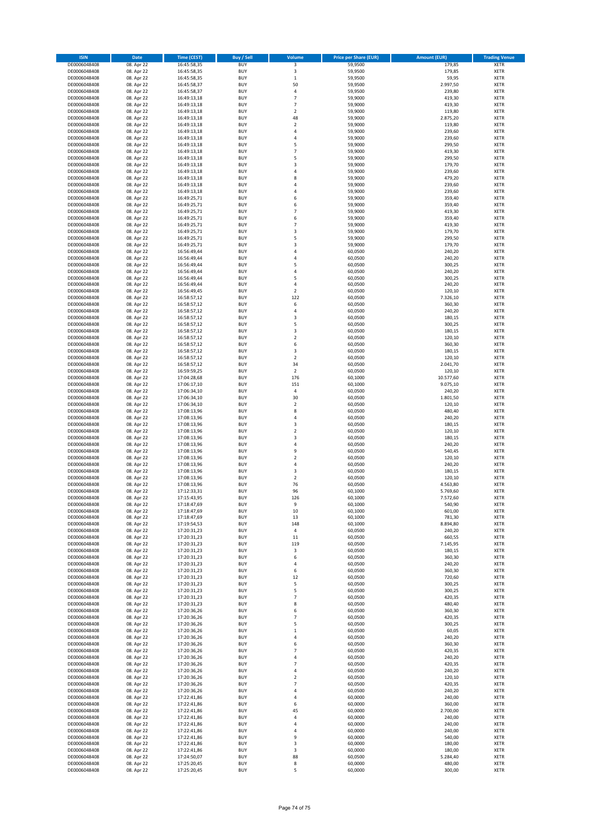| <b>ISIN</b>                  | Date                     | <b>Time (CEST)</b>         | Buy / Sell               | Volume                  | <b>Price per Share (EUR)</b> | <b>Amount (EUR)</b> | <b>Trading Venue</b>       |
|------------------------------|--------------------------|----------------------------|--------------------------|-------------------------|------------------------------|---------------------|----------------------------|
| DE0006048408                 | 08. Apr 22               | 16:45:58,35                | <b>BUY</b>               | 3                       | 59,9500                      | 179,85              | <b>XETR</b>                |
| DE0006048408                 | 08. Apr 22               | 16:45:58,35                | <b>BUY</b>               | 3                       | 59,9500                      | 179,85              | XETR                       |
| DE0006048408                 | 08. Apr 22               | 16:45:58,35                | BUY                      | $\,1\,$                 | 59,9500                      | 59,95               | XETR                       |
| DE0006048408                 | 08. Apr 22               | 16:45:58,37                | <b>BUY</b>               | 50                      | 59,9500                      | 2.997,50            | <b>XETR</b>                |
| DE0006048408                 | 08. Apr 22               | 16:45:58,37                | <b>BUY</b>               | 4                       | 59,9500                      | 239,80              | XETR                       |
| DE0006048408                 | 08. Apr 22               | 16:49:13,18                | <b>BUY</b>               | $\overline{7}$          | 59,9000                      | 419,30              | <b>XETR</b>                |
| DE0006048408                 | 08. Apr 22               | 16:49:13,18                | <b>BUY</b>               | $\overline{7}$          | 59,9000                      | 419,30              | <b>XETR</b>                |
| DE0006048408                 | 08. Apr 22               | 16:49:13,18                | <b>BUY</b>               | $\overline{2}$          | 59,9000                      | 119,80              | <b>XETR</b>                |
| DE0006048408                 | 08. Apr 22               | 16:49:13,18                | <b>BUY</b>               | 48                      | 59,9000                      | 2.875,20            | <b>XETR</b>                |
| DE0006048408                 | 08. Apr 22               | 16:49:13,18                | <b>BUY</b>               | $\overline{2}$          | 59,9000                      | 119,80              | <b>XETR</b>                |
| DE0006048408                 | 08. Apr 22               | 16:49:13,18                | BUY                      | $\sqrt{4}$              | 59,9000                      | 239,60              | XETR                       |
| DE0006048408                 | 08. Apr 22               | 16:49:13,18                | <b>BUY</b>               | $\sqrt{4}$              | 59,9000                      | 239,60              | <b>XETR</b>                |
| DE0006048408                 | 08. Apr 22               | 16:49:13,18                | <b>BUY</b>               | 5                       | 59,9000                      | 299,50              | XETR                       |
| DE0006048408                 | 08. Apr 22               | 16:49:13,18                | <b>BUY</b>               | $\overline{7}$          | 59,9000                      | 419,30              | <b>XETR</b>                |
| DE0006048408                 | 08. Apr 22               | 16:49:13,18                | <b>BUY</b>               | 5                       | 59,9000                      | 299,50              | XETR                       |
| DE0006048408                 | 08. Apr 22               | 16:49:13,18                | <b>BUY</b>               | 3                       | 59,9000                      | 179,70              | <b>XETR</b>                |
| DE0006048408                 | 08. Apr 22               | 16:49:13,18                | <b>BUY</b>               | $\sqrt{4}$              | 59,9000                      | 239,60              | <b>XETR</b>                |
| DE0006048408                 | 08. Apr 22               | 16:49:13,18                | <b>BUY</b>               | 8                       | 59,9000                      | 479,20              | <b>XETR</b>                |
| DE0006048408                 | 08. Apr 22               | 16:49:13,18                | BUY                      | $\overline{4}$          | 59,9000                      | 239,60              | <b>XETR</b>                |
| DE0006048408                 | 08. Apr 22               | 16:49:13,18                | <b>BUY</b>               | 4                       | 59,9000                      | 239,60              | <b>XETR</b>                |
| DE0006048408                 | 08. Apr 22               | 16:49:25,71                | <b>BUY</b>               | 6                       | 59,9000                      | 359,40              | <b>XETR</b>                |
| DE0006048408                 | 08. Apr 22               | 16:49:25,71                | <b>BUY</b>               | 6                       | 59,9000                      | 359,40              | <b>XETR</b>                |
| DE0006048408                 | 08. Apr 22               | 16:49:25,71                | <b>BUY</b>               | $\overline{7}$          | 59,9000                      | 419,30              | <b>XETR</b>                |
| DE0006048408                 | 08. Apr 22               | 16:49:25,71                | <b>BUY</b>               | 6                       | 59,9000                      | 359,40              | <b>XETR</b>                |
| DE0006048408                 | 08. Apr 22               | 16:49:25,71                | <b>BUY</b>               | $\overline{7}$          | 59,9000                      | 419,30              | <b>XETR</b>                |
| DE0006048408                 | 08. Apr 22               | 16:49:25,71                | <b>BUY</b>               | 3                       | 59,9000                      | 179,70              | <b>XETR</b>                |
| DE0006048408                 | 08. Apr 22               | 16:49:25,71                | BUY                      | 5                       | 59,9000                      | 299,50              | <b>XETR</b>                |
| DE0006048408                 | 08. Apr 22               | 16:49:25,71                | <b>BUY</b>               | 3                       | 59,9000                      | 179,70              | <b>XETR</b>                |
| DE0006048408                 | 08. Apr 22               | 16:56:49,44                | <b>BUY</b>               | 4                       | 60,0500                      | 240,20              | <b>XETR</b>                |
| DE0006048408                 | 08. Apr 22               | 16:56:49,44                | <b>BUY</b>               | 4                       | 60,0500                      | 240,20              | XETR                       |
| DE0006048408                 | 08. Apr 22               | 16:56:49,44                | <b>BUY</b>               | 5                       | 60,0500                      | 300,25              | <b>XETR</b>                |
| DE0006048408                 | 08. Apr 22               | 16:56:49,44                | <b>BUY</b>               | $\sqrt{4}$              | 60,0500                      | 240,20              | XETR                       |
| DE0006048408                 | 08. Apr 22               | 16:56:49,44                | <b>BUY</b>               | 5                       | 60,0500                      | 300,25              | <b>XETR</b>                |
| DE0006048408                 | 08. Apr 22               | 16:56:49,44                | <b>BUY</b>               | 4                       | 60,0500                      | 240,20              | XETR                       |
| DE0006048408                 | 08. Apr 22               | 16:56:49,45                | <b>BUY</b>               | $\overline{\mathbf{c}}$ | 60,0500                      | 120,10              | <b>XETR</b>                |
| DE0006048408                 | 08. Apr 22               | 16:58:57,12                | <b>BUY</b>               | 122                     | 60,0500                      | 7.326,10            | XETR                       |
| DE0006048408                 | 08. Apr 22               | 16:58:57,12                | <b>BUY</b>               | 6                       | 60,0500                      | 360,30              | <b>XETR</b>                |
| DE0006048408                 | 08. Apr 22               | 16:58:57,12                | <b>BUY</b>               | 4                       | 60,0500                      | 240,20              | XETR                       |
| DE0006048408                 | 08. Apr 22               | 16:58:57,12                | <b>BUY</b>               | 3                       | 60,0500                      | 180,15              | <b>XETR</b>                |
| DE0006048408                 | 08. Apr 22               | 16:58:57,12                | <b>BUY</b>               | 5                       | 60,0500                      | 300,25              | <b>XETR</b>                |
| DE0006048408                 | 08. Apr 22               | 16:58:57,12                | <b>BUY</b>               | 3                       | 60,0500                      | 180,15              | <b>XETR</b>                |
| DE0006048408                 | 08. Apr 22               | 16:58:57,12                | <b>BUY</b>               | $\overline{2}$          | 60,0500                      | 120,10              | <b>XETR</b>                |
| DE0006048408                 | 08. Apr 22               | 16:58:57,12                | <b>BUY</b>               | 6                       | 60,0500                      | 360,30              | <b>XETR</b>                |
| DE0006048408                 | 08. Apr 22               | 16:58:57,12                | BUY                      | 3                       | 60,0500                      | 180,15              | <b>XETR</b>                |
| DE0006048408                 | 08. Apr 22               | 16:58:57,12                | <b>BUY</b>               | $\overline{2}$          | 60,0500                      | 120,10              | <b>XETR</b>                |
| DE0006048408                 | 08. Apr 22               | 16:58:57,12                | <b>BUY</b>               | 34                      | 60,0500                      | 2.041,70            | <b>XETR</b>                |
| DE0006048408                 | 08. Apr 22               | 16:59:59,25                | <b>BUY</b>               | $\boldsymbol{2}$        | 60,0500                      | 120,10              | <b>XETR</b>                |
| DE0006048408                 | 08. Apr 22               | 17:04:28,68                | <b>BUY</b>               | 176                     | 60,1000                      | 10.577,60           | <b>XETR</b>                |
| DE0006048408                 | 08. Apr 22               | 17:06:17,10                | <b>BUY</b>               | 151                     | 60,1000                      | 9.075,10            | <b>XETR</b>                |
| DE0006048408                 | 08. Apr 22               | 17:06:34,10                | <b>BUY</b>               | 4                       | 60,0500                      | 240,20              | XETR                       |
| DE0006048408                 | 08. Apr 22               | 17:06:34,10                | <b>BUY</b>               | 30                      | 60,0500                      | 1.801,50            | <b>XETR</b>                |
| DE0006048408                 | 08. Apr 22               | 17:06:34,10                | <b>BUY</b>               | $\boldsymbol{2}$        | 60,0500                      | 120,10              | <b>XETR</b>                |
| DE0006048408                 | 08. Apr 22               | 17:08:13,96                | <b>BUY</b>               | 8                       | 60,0500                      | 480,40              | <b>XETR</b>                |
| DE0006048408                 | 08. Apr 22               | 17:08:13,96                | <b>BUY</b>               | $\sqrt{4}$              | 60,0500                      | 240,20              | <b>XETR</b>                |
| DE0006048408                 | 08. Apr 22               | 17:08:13,96                | <b>BUY</b>               | 3                       | 60,0500                      | 180,15              | <b>XETR</b>                |
| DE0006048408                 | 08. Apr 22               | 17:08:13,96                | <b>BUY</b>               | $\overline{2}$          | 60,0500                      | 120,10              | <b>XETR</b>                |
| DE0006048408                 | 08. Apr 22               | 17:08:13,96                | <b>BUY</b>               | $\overline{\mathbf{3}}$ | 60,0500                      | 180,15              | <b>XETR</b>                |
| DE0006048408                 | 08. Apr 22               | 17:08:13,96                | <b>BUY</b>               | $\sqrt{4}$              | 60,0500                      | 240,20              | <b>XETR</b>                |
| DE0006048408                 | 08. Apr 22               | 17:08:13,96                | <b>BUY</b>               | 9                       | 60,0500                      | 540,45              | XETR                       |
| DE0006048408                 | 08. Apr 22               | 17:08:13,96                | <b>BUY</b>               | $\overline{2}$          | 60,0500                      | 120,10              | <b>XETR</b>                |
| DE0006048408                 | 08. Apr 22               | 17:08:13,96                | <b>BUY</b>               | $\sqrt{4}$              | 60,0500                      | 240,20              | XETR                       |
| DE0006048408                 | 08. Apr 22               | 17:08:13,96                | <b>BUY</b>               | 3                       | 60,0500                      | 180,15              | <b>XETR</b>                |
| DE0006048408                 | 08. Apr 22               | 17:08:13,96                | <b>BUY</b>               | $\boldsymbol{2}$        | 60,0500                      | 120,10              | <b>XETR</b>                |
| DE0006048408                 | 08. Apr 22               | 17:08:13,96                | <b>BUY</b>               | 76                      | 60,0500                      | 4.563,80            | <b>XETR</b>                |
| DE0006048408                 | 08. Apr 22               | 17:12:33,31                | <b>BUY</b>               | 96                      | 60,1000                      | 5.769,60            | <b>XETR</b>                |
| DE0006048408                 | 08. Apr 22               | 17:15:43,95                | <b>BUY</b>               | 126                     | 60,1000                      | 7.572,60            | <b>XETR</b>                |
| DE0006048408                 | 08. Apr 22               | 17:18:47,69                | <b>BUY</b>               | 9                       | 60,1000                      | 540,90              | <b>XETR</b>                |
| DE0006048408                 | 08. Apr 22               | 17:18:47,69                | <b>BUY</b>               | 10                      | 60,1000                      | 601,00              | XETR                       |
| DE0006048408                 | 08. Apr 22               | 17:18:47,69                | <b>BUY</b>               | 13                      | 60,1000                      | 781,30              | XETR                       |
| DE0006048408                 | 08. Apr 22               | 17:19:54,53                | <b>BUY</b>               | 148                     | 60,1000                      | 8.894,80            | <b>XETR</b>                |
| DE0006048408                 | 08. Apr 22               | 17:20:31,23                | <b>BUY</b>               | $\sqrt{4}$              | 60,0500                      | 240,20              | XETR                       |
| DE0006048408                 | 08. Apr 22               | 17:20:31,23                | <b>BUY</b>               | 11                      | 60,0500                      | 660,55              | <b>XETR</b>                |
| DE0006048408                 | 08. Apr 22               | 17:20:31,23                | <b>BUY</b>               | 119                     | 60,0500                      | 7.145,95            | <b>XETR</b>                |
| DE0006048408                 | 08. Apr 22               | 17:20:31,23                | <b>BUY</b>               | 3                       | 60,0500                      | 180,15              | <b>XETR</b>                |
| DE0006048408                 | 08. Apr 22               | 17:20:31,23                | <b>BUY</b>               | 6                       | 60,0500                      | 360,30              | <b>XETR</b>                |
| DE0006048408                 | 08. Apr 22               | 17:20:31,23                | <b>BUY</b>               | 4                       | 60,0500                      | 240,20              | <b>XETR</b>                |
| DE0006048408                 | 08. Apr 22               | 17:20:31,23                | <b>BUY</b>               | 6                       | 60,0500                      | 360,30              | XETR                       |
| DE0006048408                 | 08. Apr 22               | 17:20:31,23                | <b>BUY</b>               | 12                      | 60,0500                      | 720,60              | <b>XETR</b>                |
| DE0006048408                 | 08. Apr 22               | 17:20:31,23                | <b>BUY</b>               | 5                       | 60,0500                      | 300,25              | XETR                       |
| DE0006048408                 | 08. Apr 22               | 17:20:31,23                | <b>BUY</b>               | 5                       | 60,0500                      | 300,25              | <b>XETR</b>                |
| DE0006048408                 | 08. Apr 22               | 17:20:31,23                | <b>BUY</b>               | $\overline{7}$          | 60,0500                      | 420,35              | <b>XETR</b>                |
| DE0006048408                 | 08. Apr 22               | 17:20:31,23                | <b>BUY</b>               | 8                       | 60,0500                      | 480,40              | <b>XETR</b>                |
| DE0006048408                 | 08. Apr 22               | 17:20:36,26                | <b>BUY</b>               | 6                       | 60,0500                      | 360,30              | <b>XETR</b>                |
| DE0006048408                 | 08. Apr 22               | 17:20:36,26                | <b>BUY</b>               | $\overline{7}$          | 60,0500                      | 420,35              | <b>XETR</b>                |
| DE0006048408                 | 08. Apr 22               | 17:20:36,26                | <b>BUY</b>               | 5                       | 60,0500                      | 300,25              | <b>XETR</b>                |
| DE0006048408                 | 08. Apr 22               | 17:20:36,26                | <b>BUY</b>               | $\,1\,$                 | 60,0500                      | 60,05               | <b>XETR</b>                |
| DE0006048408                 | 08. Apr 22               | 17:20:36,26                | <b>BUY</b>               | $\sqrt{4}$              | 60,0500                      | 240,20              | <b>XETR</b>                |
| DE0006048408                 | 08. Apr 22               | 17:20:36,26                | <b>BUY</b>               | 6<br>$\overline{7}$     | 60,0500                      | 360,30              | XETR                       |
| DE0006048408                 | 08. Apr 22               | 17:20:36,26                | <b>BUY</b>               | $\sqrt{4}$              | 60,0500                      | 420,35              | <b>XETR</b>                |
| DE0006048408<br>DE0006048408 | 08. Apr 22               | 17:20:36,26                | <b>BUY</b>               | $\overline{7}$          | 60,0500                      | 240,20              | <b>XETR</b>                |
|                              | 08. Apr 22               | 17:20:36,26                | <b>BUY</b>               |                         | 60,0500                      | 420,35              | <b>XETR</b>                |
| DE0006048408                 | 08. Apr 22               | 17:20:36,26                | <b>BUY</b>               | 4                       | 60,0500                      | 240,20              | <b>XETR</b>                |
| DE0006048408                 | 08. Apr 22               | 17:20:36,26                | <b>BUY</b>               | $\overline{2}$          | 60,0500                      | 120,10              | <b>XETR</b>                |
| DE0006048408                 | 08. Apr 22               | 17:20:36,26                | <b>BUY</b>               | $\overline{7}$          | 60,0500                      | 420,35              | XETR                       |
| DE0006048408                 | 08. Apr 22               | 17:20:36,26                | <b>BUY</b>               | 4                       | 60,0500                      | 240,20              | <b>XETR</b>                |
| DE0006048408                 | 08. Apr 22               | 17:22:41,86                | <b>BUY</b>               | 4                       | 60,0000                      | 240,00              | <b>XETR</b>                |
| DE0006048408<br>DE0006048408 | 08. Apr 22               | 17:22:41,86                | <b>BUY</b><br><b>BUY</b> | 6<br>45                 | 60,0000<br>60,0000           | 360,00              | <b>XETR</b><br><b>XETR</b> |
|                              | 08. Apr 22               | 17:22:41,86                |                          |                         |                              | 2.700,00            |                            |
| DE0006048408                 | 08. Apr 22               | 17:22:41,86                | <b>BUY</b><br><b>BUY</b> | 4<br>4                  | 60,0000                      | 240,00              | <b>XETR</b><br><b>XETR</b> |
| DE0006048408                 | 08. Apr 22               | 17:22:41,86                |                          | 4                       | 60,0000                      | 240,00              |                            |
| DE0006048408<br>DE0006048408 | 08. Apr 22<br>08. Apr 22 | 17:22:41,86<br>17:22:41,86 | <b>BUY</b><br><b>BUY</b> | 9                       | 60,0000<br>60,0000           | 240,00<br>540,00    | <b>XETR</b><br><b>XETR</b> |
| DE0006048408                 | 08. Apr 22               | 17:22:41,86                | <b>BUY</b>               | 3                       | 60,0000                      | 180,00              | <b>XETR</b>                |
| DE0006048408                 | 08. Apr 22               | 17:22:41,86                | <b>BUY</b>               | 3                       | 60,0000                      | 180,00              | <b>XETR</b>                |
| DE0006048408                 | 08. Apr 22               | 17:24:50,07                | <b>BUY</b>               | 88                      | 60,0500                      | 5.284,40            | <b>XETR</b>                |
| DE0006048408                 | 08. Apr 22               | 17:25:20,45                | <b>BUY</b>               | 8                       | 60,0000                      | 480,00              | <b>XETR</b>                |
| DE0006048408                 | 08. Apr 22               | 17:25:20,45                | <b>BUY</b>               | 5                       | 60,0000                      | 300,00              | <b>XETR</b>                |
|                              |                          |                            |                          |                         |                              |                     |                            |